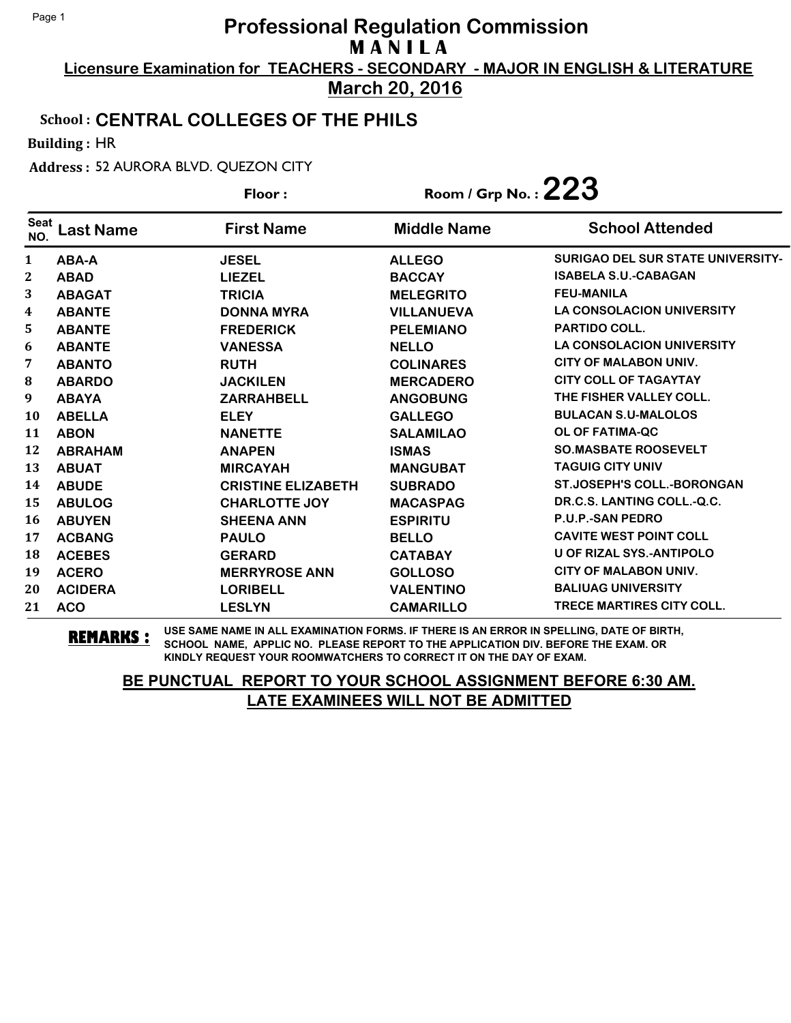**Licensure Examination for TEACHERS - SECONDARY - MAJOR IN ENGLISH & LITERATURE March 20, 2016**

### School : **CENTRAL COLLEGES OF THE PHILS**

Building : HR

Address : 52 AURORA BLVD. QUEZON CITY

|                    |                  | Floor:                    | Room / Grp No.: $223$ |                                          |
|--------------------|------------------|---------------------------|-----------------------|------------------------------------------|
| <b>Seat</b><br>NO. | <b>Last Name</b> | <b>First Name</b>         | <b>Middle Name</b>    | <b>School Attended</b>                   |
| $\mathbf{1}$       | ABA-A            | <b>JESEL</b>              | <b>ALLEGO</b>         | <b>SURIGAO DEL SUR STATE UNIVERSITY-</b> |
| $\mathbf{2}$       | <b>ABAD</b>      | <b>LIEZEL</b>             | <b>BACCAY</b>         | <b>ISABELA S.U.-CABAGAN</b>              |
| 3                  | <b>ABAGAT</b>    | <b>TRICIA</b>             | <b>MELEGRITO</b>      | <b>FEU-MANILA</b>                        |
| 4                  | <b>ABANTE</b>    | <b>DONNA MYRA</b>         | <b>VILLANUEVA</b>     | <b>LA CONSOLACION UNIVERSITY</b>         |
| 5                  | <b>ABANTE</b>    | <b>FREDERICK</b>          | <b>PELEMIANO</b>      | <b>PARTIDO COLL.</b>                     |
| 6                  | <b>ABANTE</b>    | <b>VANESSA</b>            | <b>NELLO</b>          | <b>LA CONSOLACION UNIVERSITY</b>         |
| 7                  | <b>ABANTO</b>    | <b>RUTH</b>               | <b>COLINARES</b>      | <b>CITY OF MALABON UNIV.</b>             |
| 8                  | <b>ABARDO</b>    | <b>JACKILEN</b>           | <b>MERCADERO</b>      | <b>CITY COLL OF TAGAYTAY</b>             |
| 9                  | <b>ABAYA</b>     | <b>ZARRAHBELL</b>         | <b>ANGOBUNG</b>       | THE FISHER VALLEY COLL.                  |
| 10                 | <b>ABELLA</b>    | <b>ELEY</b>               | <b>GALLEGO</b>        | <b>BULACAN S.U-MALOLOS</b>               |
| 11                 | <b>ABON</b>      | <b>NANETTE</b>            | <b>SALAMILAO</b>      | <b>OL OF FATIMA-QC</b>                   |
| 12                 | <b>ABRAHAM</b>   | <b>ANAPEN</b>             | <b>ISMAS</b>          | <b>SO.MASBATE ROOSEVELT</b>              |
| 13                 | <b>ABUAT</b>     | <b>MIRCAYAH</b>           | <b>MANGUBAT</b>       | <b>TAGUIG CITY UNIV</b>                  |
| 14                 | <b>ABUDE</b>     | <b>CRISTINE ELIZABETH</b> | <b>SUBRADO</b>        | <b>ST.JOSEPH'S COLL.-BORONGAN</b>        |
| 15                 | <b>ABULOG</b>    | <b>CHARLOTTE JOY</b>      | <b>MACASPAG</b>       | DR.C.S. LANTING COLL.-Q.C.               |
| 16                 | <b>ABUYEN</b>    | <b>SHEENA ANN</b>         | <b>ESPIRITU</b>       | <b>P.U.P.-SAN PEDRO</b>                  |
| 17                 | <b>ACBANG</b>    | <b>PAULO</b>              | <b>BELLO</b>          | <b>CAVITE WEST POINT COLL</b>            |
| 18                 | <b>ACEBES</b>    | <b>GERARD</b>             | <b>CATABAY</b>        | U OF RIZAL SYS.-ANTIPOLO                 |
| 19                 | <b>ACERO</b>     | <b>MERRYROSE ANN</b>      | <b>GOLLOSO</b>        | <b>CITY OF MALABON UNIV.</b>             |
| 20                 | <b>ACIDERA</b>   | <b>LORIBELL</b>           | <b>VALENTINO</b>      | <b>BALIUAG UNIVERSITY</b>                |
| 21                 | <b>ACO</b>       | <b>LESLYN</b>             | <b>CAMARILLO</b>      | <b>TRECE MARTIRES CITY COLL.</b>         |

**REMARKS :** USE SAME NAME IN ALL EXAMINATION FORMS. IF THERE IS AN ERROR IN SPELLING, DATE OF BIRTH, SCHOOL NAME, APPLIC NO. PLEASE REPORT TO THE APPLICATION DIV. BEFORE THE EXAM. OR KINDLY REQUEST YOUR ROOMWATCHERS TO CORRECT IT ON THE DAY OF EXAM.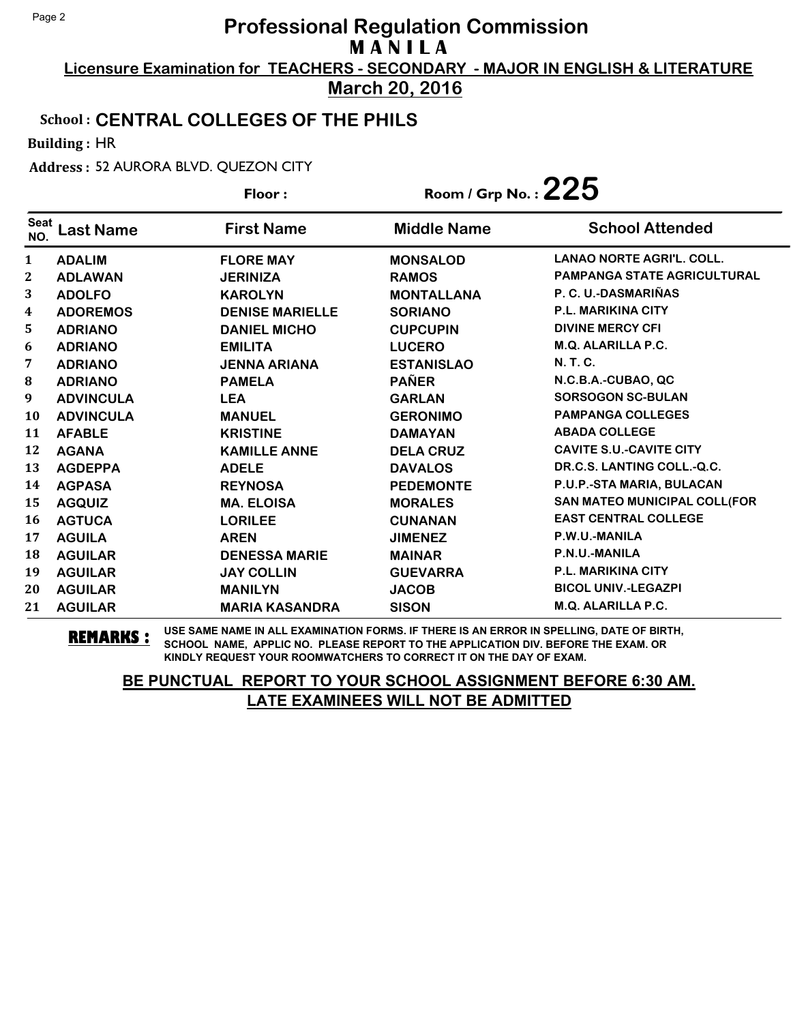**Licensure Examination for TEACHERS - SECONDARY - MAJOR IN ENGLISH & LITERATURE March 20, 2016**

### School : **CENTRAL COLLEGES OF THE PHILS**

Building : HR

Address : 52 AURORA BLVD. QUEZON CITY

|                    |                  | Floor:                 | Room / Grp No.: $225$ |                                  |
|--------------------|------------------|------------------------|-----------------------|----------------------------------|
| <b>Seat</b><br>NO. | <b>Last Name</b> | <b>First Name</b>      | <b>Middle Name</b>    | <b>School Attended</b>           |
| $\mathbf{1}$       | <b>ADALIM</b>    | <b>FLORE MAY</b>       | <b>MONSALOD</b>       | <b>LANAO NORTE AGRI'L, COLL.</b> |
| $\mathbf{2}$       | <b>ADLAWAN</b>   | <b>JERINIZA</b>        | <b>RAMOS</b>          | PAMPANGA STATE AGRICULTURAL      |
| 3                  | <b>ADOLFO</b>    | <b>KAROLYN</b>         | <b>MONTALLANA</b>     | P. C. U.-DASMARIÑAS              |
| 4                  | <b>ADOREMOS</b>  | <b>DENISE MARIELLE</b> | <b>SORIANO</b>        | <b>P.L. MARIKINA CITY</b>        |
| 5                  | <b>ADRIANO</b>   | <b>DANIEL MICHO</b>    | <b>CUPCUPIN</b>       | <b>DIVINE MERCY CFI</b>          |
| 6                  | <b>ADRIANO</b>   | <b>EMILITA</b>         | <b>LUCERO</b>         | M.Q. ALARILLA P.C.               |
| 7                  | <b>ADRIANO</b>   | <b>JENNA ARIANA</b>    | <b>ESTANISLAO</b>     | N. T. C.                         |
| ${\bf 8}$          | <b>ADRIANO</b>   | <b>PAMELA</b>          | <b>PAÑER</b>          | N.C.B.A.-CUBAO, QC               |
| 9                  | <b>ADVINCULA</b> | <b>LEA</b>             | <b>GARLAN</b>         | <b>SORSOGON SC-BULAN</b>         |
| 10                 | <b>ADVINCULA</b> | <b>MANUEL</b>          | <b>GERONIMO</b>       | <b>PAMPANGA COLLEGES</b>         |
| 11                 | <b>AFABLE</b>    | <b>KRISTINE</b>        | <b>DAMAYAN</b>        | <b>ABADA COLLEGE</b>             |
| 12                 | <b>AGANA</b>     | <b>KAMILLE ANNE</b>    | <b>DELA CRUZ</b>      | <b>CAVITE S.U.-CAVITE CITY</b>   |
| 13                 | <b>AGDEPPA</b>   | <b>ADELE</b>           | <b>DAVALOS</b>        | DR.C.S. LANTING COLL.-Q.C.       |
| 14                 | <b>AGPASA</b>    | <b>REYNOSA</b>         | <b>PEDEMONTE</b>      | P.U.P.-STA MARIA, BULACAN        |
| 15                 | <b>AGQUIZ</b>    | <b>MA. ELOISA</b>      | <b>MORALES</b>        | SAN MATEO MUNICIPAL COLL(FOR     |
| 16                 | <b>AGTUCA</b>    | <b>LORILEE</b>         | <b>CUNANAN</b>        | <b>EAST CENTRAL COLLEGE</b>      |
| 17                 | <b>AGUILA</b>    | <b>AREN</b>            | <b>JIMENEZ</b>        | P.W.U.-MANILA                    |
| 18                 | <b>AGUILAR</b>   | <b>DENESSA MARIE</b>   | <b>MAINAR</b>         | P.N.U.-MANILA                    |
| 19                 | <b>AGUILAR</b>   | <b>JAY COLLIN</b>      | <b>GUEVARRA</b>       | <b>P.L. MARIKINA CITY</b>        |
| 20                 | <b>AGUILAR</b>   | <b>MANILYN</b>         | <b>JACOB</b>          | <b>BICOL UNIV.-LEGAZPI</b>       |
| 21                 | <b>AGUILAR</b>   | <b>MARIA KASANDRA</b>  | <b>SISON</b>          | M.Q. ALARILLA P.C.               |

**REMARKS :** USE SAME NAME IN ALL EXAMINATION FORMS. IF THERE IS AN ERROR IN SPELLING, DATE OF BIRTH, SCHOOL NAME, APPLIC NO. PLEASE REPORT TO THE APPLICATION DIV. BEFORE THE EXAM. OR KINDLY REQUEST YOUR ROOMWATCHERS TO CORRECT IT ON THE DAY OF EXAM.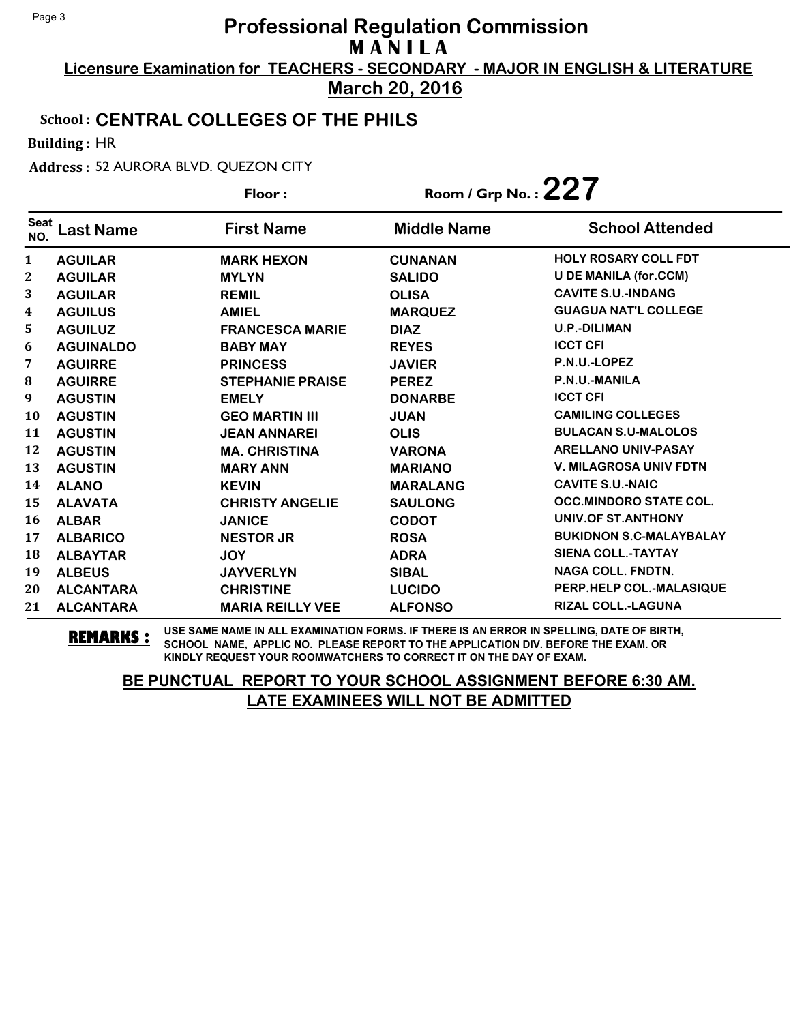**Licensure Examination for TEACHERS - SECONDARY - MAJOR IN ENGLISH & LITERATURE March 20, 2016**

### School : **CENTRAL COLLEGES OF THE PHILS**

Building : HR

Address : 52 AURORA BLVD. QUEZON CITY

|                    |                  | Floor:                  | Room / Grp No. : $227$ |                                |
|--------------------|------------------|-------------------------|------------------------|--------------------------------|
| <b>Seat</b><br>NO. | <b>Last Name</b> | <b>First Name</b>       | <b>Middle Name</b>     | <b>School Attended</b>         |
| 1                  | <b>AGUILAR</b>   | <b>MARK HEXON</b>       | <b>CUNANAN</b>         | <b>HOLY ROSARY COLL FDT</b>    |
| 2                  | <b>AGUILAR</b>   | <b>MYLYN</b>            | <b>SALIDO</b>          | <b>U DE MANILA (for.CCM)</b>   |
| 3                  | <b>AGUILAR</b>   | <b>REMIL</b>            | <b>OLISA</b>           | <b>CAVITE S.U.-INDANG</b>      |
| 4                  | <b>AGUILUS</b>   | <b>AMIEL</b>            | <b>MARQUEZ</b>         | <b>GUAGUA NAT'L COLLEGE</b>    |
| 5                  | <b>AGUILUZ</b>   | <b>FRANCESCA MARIE</b>  | <b>DIAZ</b>            | <b>U.P.-DILIMAN</b>            |
| 6                  | <b>AGUINALDO</b> | <b>BABY MAY</b>         | <b>REYES</b>           | <b>ICCT CFI</b>                |
| 7                  | <b>AGUIRRE</b>   | <b>PRINCESS</b>         | <b>JAVIER</b>          | P.N.U.-LOPEZ                   |
| 8                  | <b>AGUIRRE</b>   | <b>STEPHANIE PRAISE</b> | <b>PEREZ</b>           | P.N.U.-MANILA                  |
| 9                  | <b>AGUSTIN</b>   | <b>EMELY</b>            | <b>DONARBE</b>         | <b>ICCT CFI</b>                |
| 10                 | <b>AGUSTIN</b>   | <b>GEO MARTIN III</b>   | <b>JUAN</b>            | <b>CAMILING COLLEGES</b>       |
| 11                 | <b>AGUSTIN</b>   | <b>JEAN ANNAREI</b>     | <b>OLIS</b>            | <b>BULACAN S.U-MALOLOS</b>     |
| 12                 | <b>AGUSTIN</b>   | <b>MA. CHRISTINA</b>    | <b>VARONA</b>          | <b>ARELLANO UNIV-PASAY</b>     |
| 13                 | <b>AGUSTIN</b>   | <b>MARY ANN</b>         | <b>MARIANO</b>         | <b>V. MILAGROSA UNIV FDTN</b>  |
| 14                 | <b>ALANO</b>     | <b>KEVIN</b>            | <b>MARALANG</b>        | <b>CAVITE S.U.-NAIC</b>        |
| 15                 | <b>ALAVATA</b>   | <b>CHRISTY ANGELIE</b>  | <b>SAULONG</b>         | <b>OCC.MINDORO STATE COL.</b>  |
| 16                 | <b>ALBAR</b>     | <b>JANICE</b>           | <b>CODOT</b>           | UNIV.OF ST.ANTHONY             |
| 17                 | <b>ALBARICO</b>  | <b>NESTOR JR</b>        | <b>ROSA</b>            | <b>BUKIDNON S.C-MALAYBALAY</b> |
| 18                 | <b>ALBAYTAR</b>  | <b>JOY</b>              | <b>ADRA</b>            | <b>SIENA COLL.-TAYTAY</b>      |
| 19                 | <b>ALBEUS</b>    | <b>JAYVERLYN</b>        | <b>SIBAL</b>           | <b>NAGA COLL. FNDTN.</b>       |
| 20                 | <b>ALCANTARA</b> | <b>CHRISTINE</b>        | <b>LUCIDO</b>          | PERP.HELP COL.-MALASIQUE       |
| 21                 | <b>ALCANTARA</b> | <b>MARIA REILLY VEE</b> | <b>ALFONSO</b>         | RIZAL COLL.-LAGUNA             |

**REMARKS :** USE SAME NAME IN ALL EXAMINATION FORMS. IF THERE IS AN ERROR IN SPELLING, DATE OF BIRTH, SCHOOL NAME, APPLIC NO. PLEASE REPORT TO THE APPLICATION DIV. BEFORE THE EXAM. OR KINDLY REQUEST YOUR ROOMWATCHERS TO CORRECT IT ON THE DAY OF EXAM.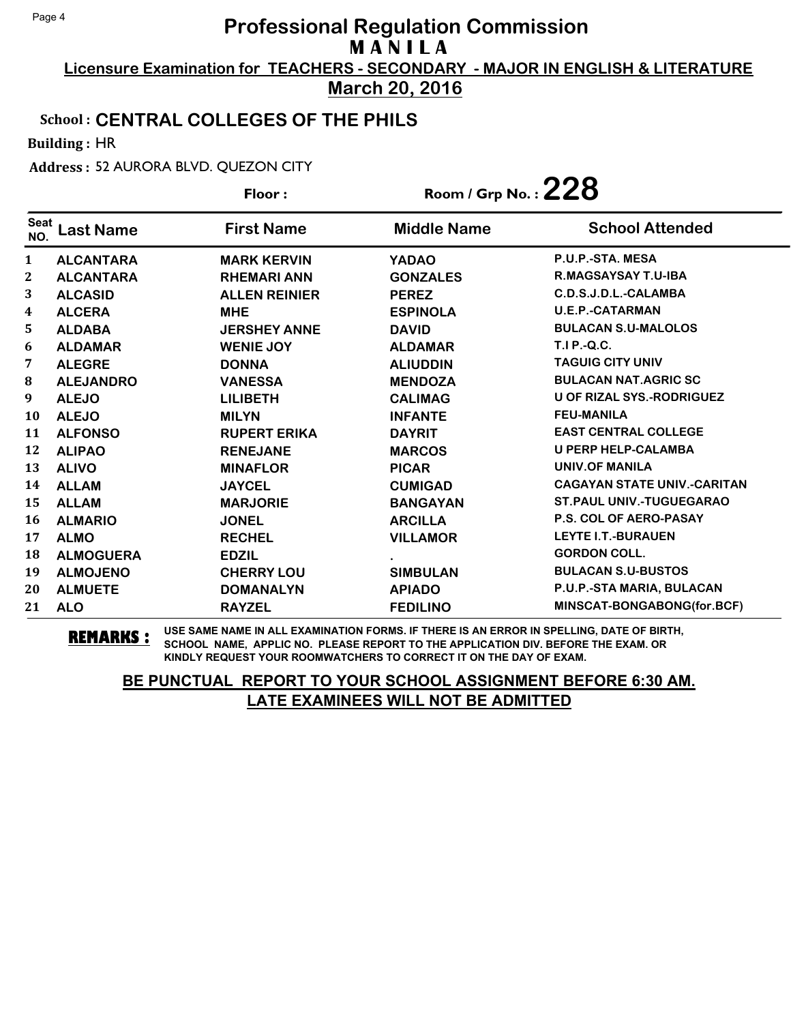**Licensure Examination for TEACHERS - SECONDARY - MAJOR IN ENGLISH & LITERATURE March 20, 2016**

### School : **CENTRAL COLLEGES OF THE PHILS**

Building : HR

Address : 52 AURORA BLVD. QUEZON CITY

|                    |                  | Floor:               | Room / Grp No. : $228$ |                                    |
|--------------------|------------------|----------------------|------------------------|------------------------------------|
| <b>Seat</b><br>NO. | <b>Last Name</b> | <b>First Name</b>    | <b>Middle Name</b>     | <b>School Attended</b>             |
| 1                  | <b>ALCANTARA</b> | <b>MARK KERVIN</b>   | <b>YADAO</b>           | P.U.P.-STA, MESA                   |
| 2                  | <b>ALCANTARA</b> | <b>RHEMARI ANN</b>   | <b>GONZALES</b>        | R.MAGSAYSAY T.U-IBA                |
| 3                  | <b>ALCASID</b>   | <b>ALLEN REINIER</b> | <b>PEREZ</b>           | C.D.S.J.D.L.-CALAMBA               |
| 4                  | <b>ALCERA</b>    | <b>MHE</b>           | <b>ESPINOLA</b>        | <b>U.E.P.-CATARMAN</b>             |
| 5                  | <b>ALDABA</b>    | <b>JERSHEY ANNE</b>  | <b>DAVID</b>           | <b>BULACAN S.U-MALOLOS</b>         |
| 6                  | <b>ALDAMAR</b>   | <b>WENIE JOY</b>     | <b>ALDAMAR</b>         | T.I P.-Q.C.                        |
| 7                  | <b>ALEGRE</b>    | <b>DONNA</b>         | <b>ALIUDDIN</b>        | <b>TAGUIG CITY UNIV</b>            |
| 8                  | <b>ALEJANDRO</b> | <b>VANESSA</b>       | <b>MENDOZA</b>         | <b>BULACAN NAT.AGRIC SC</b>        |
| 9                  | <b>ALEJO</b>     | <b>LILIBETH</b>      | <b>CALIMAG</b>         | <b>U OF RIZAL SYS.-RODRIGUEZ</b>   |
| 10                 | <b>ALEJO</b>     | <b>MILYN</b>         | <b>INFANTE</b>         | <b>FEU-MANILA</b>                  |
| 11                 | <b>ALFONSO</b>   | <b>RUPERT ERIKA</b>  | <b>DAYRIT</b>          | <b>EAST CENTRAL COLLEGE</b>        |
| 12                 | <b>ALIPAO</b>    | <b>RENEJANE</b>      | <b>MARCOS</b>          | <b>U PERP HELP-CALAMBA</b>         |
| 13                 | <b>ALIVO</b>     | <b>MINAFLOR</b>      | <b>PICAR</b>           | <b>UNIV.OF MANILA</b>              |
| 14                 | <b>ALLAM</b>     | <b>JAYCEL</b>        | <b>CUMIGAD</b>         | <b>CAGAYAN STATE UNIV.-CARITAN</b> |
| 15                 | <b>ALLAM</b>     | <b>MARJORIE</b>      | <b>BANGAYAN</b>        | <b>ST.PAUL UNIV.-TUGUEGARAO</b>    |
| 16                 | <b>ALMARIO</b>   | <b>JONEL</b>         | <b>ARCILLA</b>         | <b>P.S. COL OF AERO-PASAY</b>      |
| 17                 | <b>ALMO</b>      | <b>RECHEL</b>        | <b>VILLAMOR</b>        | <b>LEYTE I.T.-BURAUEN</b>          |
| 18                 | <b>ALMOGUERA</b> | <b>EDZIL</b>         |                        | <b>GORDON COLL.</b>                |
| 19                 | <b>ALMOJENO</b>  | <b>CHERRY LOU</b>    | <b>SIMBULAN</b>        | <b>BULACAN S.U-BUSTOS</b>          |
| 20                 | <b>ALMUETE</b>   | <b>DOMANALYN</b>     | <b>APIADO</b>          | P.U.P.-STA MARIA, BULACAN          |
| 21                 | <b>ALO</b>       | <b>RAYZEL</b>        | <b>FEDILINO</b>        | MINSCAT-BONGABONG(for.BCF)         |

**REMARKS :** USE SAME NAME IN ALL EXAMINATION FORMS. IF THERE IS AN ERROR IN SPELLING, DATE OF BIRTH, SCHOOL NAME, APPLIC NO. PLEASE REPORT TO THE APPLICATION DIV. BEFORE THE EXAM. OR KINDLY REQUEST YOUR ROOMWATCHERS TO CORRECT IT ON THE DAY OF EXAM.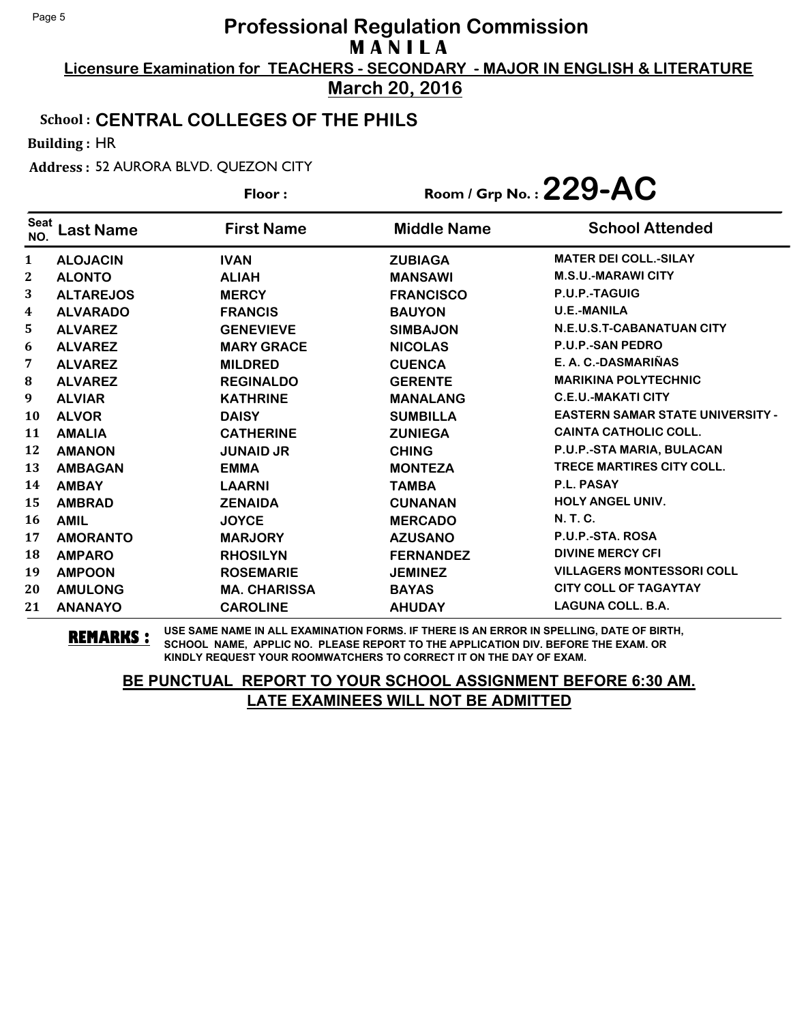**Licensure Examination for TEACHERS - SECONDARY - MAJOR IN ENGLISH & LITERATURE March 20, 2016**

### School : **CENTRAL COLLEGES OF THE PHILS**

Building : HR

Address : 52 AURORA BLVD. QUEZON CITY

|                    |                  | Floor:              |                    | Room / Grp No.: $229$ -AC               |
|--------------------|------------------|---------------------|--------------------|-----------------------------------------|
| <b>Seat</b><br>NO. | Last Name        | <b>First Name</b>   | <b>Middle Name</b> | <b>School Attended</b>                  |
| 1                  | <b>ALOJACIN</b>  | <b>IVAN</b>         | <b>ZUBIAGA</b>     | <b>MATER DEI COLL.-SILAY</b>            |
| 2                  | <b>ALONTO</b>    | <b>ALIAH</b>        | <b>MANSAWI</b>     | <b>M.S.U.-MARAWI CITY</b>               |
| 3                  | <b>ALTAREJOS</b> | <b>MERCY</b>        | <b>FRANCISCO</b>   | P.U.P.-TAGUIG                           |
| 4                  | <b>ALVARADO</b>  | <b>FRANCIS</b>      | <b>BAUYON</b>      | <b>U.E.-MANILA</b>                      |
| 5                  | <b>ALVAREZ</b>   | <b>GENEVIEVE</b>    | <b>SIMBAJON</b>    | N.E.U.S.T-CABANATUAN CITY               |
| 6                  | <b>ALVAREZ</b>   | <b>MARY GRACE</b>   | <b>NICOLAS</b>     | P.U.P.-SAN PEDRO                        |
| 7                  | <b>ALVAREZ</b>   | <b>MILDRED</b>      | <b>CUENCA</b>      | E. A. C.-DASMARIÑAS                     |
| 8                  | <b>ALVAREZ</b>   | <b>REGINALDO</b>    | <b>GERENTE</b>     | <b>MARIKINA POLYTECHNIC</b>             |
| 9                  | <b>ALVIAR</b>    | <b>KATHRINE</b>     | <b>MANALANG</b>    | <b>C.E.U.-MAKATI CITY</b>               |
| 10                 | <b>ALVOR</b>     | <b>DAISY</b>        | <b>SUMBILLA</b>    | <b>EASTERN SAMAR STATE UNIVERSITY -</b> |
| 11                 | <b>AMALIA</b>    | <b>CATHERINE</b>    | <b>ZUNIEGA</b>     | <b>CAINTA CATHOLIC COLL.</b>            |
| 12                 | <b>AMANON</b>    | <b>JUNAID JR</b>    | <b>CHING</b>       | P.U.P.-STA MARIA, BULACAN               |
| 13                 | <b>AMBAGAN</b>   | <b>EMMA</b>         | <b>MONTEZA</b>     | <b>TRECE MARTIRES CITY COLL.</b>        |
| 14                 | <b>AMBAY</b>     | <b>LAARNI</b>       | <b>TAMBA</b>       | <b>P.L. PASAY</b>                       |
| 15                 | <b>AMBRAD</b>    | <b>ZENAIDA</b>      | <b>CUNANAN</b>     | <b>HOLY ANGEL UNIV.</b>                 |
| 16                 | <b>AMIL</b>      | <b>JOYCE</b>        | <b>MERCADO</b>     | <b>N. T. C.</b>                         |
| 17                 | <b>AMORANTO</b>  | <b>MARJORY</b>      | <b>AZUSANO</b>     | P.U.P.-STA. ROSA                        |
| 18                 | <b>AMPARO</b>    | <b>RHOSILYN</b>     | <b>FERNANDEZ</b>   | <b>DIVINE MERCY CFI</b>                 |
| 19                 | <b>AMPOON</b>    | <b>ROSEMARIE</b>    | <b>JEMINEZ</b>     | <b>VILLAGERS MONTESSORI COLL</b>        |
| 20                 | <b>AMULONG</b>   | <b>MA. CHARISSA</b> | <b>BAYAS</b>       | <b>CITY COLL OF TAGAYTAY</b>            |
| 21                 | <b>ANANAYO</b>   | <b>CAROLINE</b>     | <b>AHUDAY</b>      | <b>LAGUNA COLL. B.A.</b>                |

**REMARKS :** USE SAME NAME IN ALL EXAMINATION FORMS. IF THERE IS AN ERROR IN SPELLING, DATE OF BIRTH, SCHOOL NAME, APPLIC NO. PLEASE REPORT TO THE APPLICATION DIV. BEFORE THE EXAM. OR KINDLY REQUEST YOUR ROOMWATCHERS TO CORRECT IT ON THE DAY OF EXAM.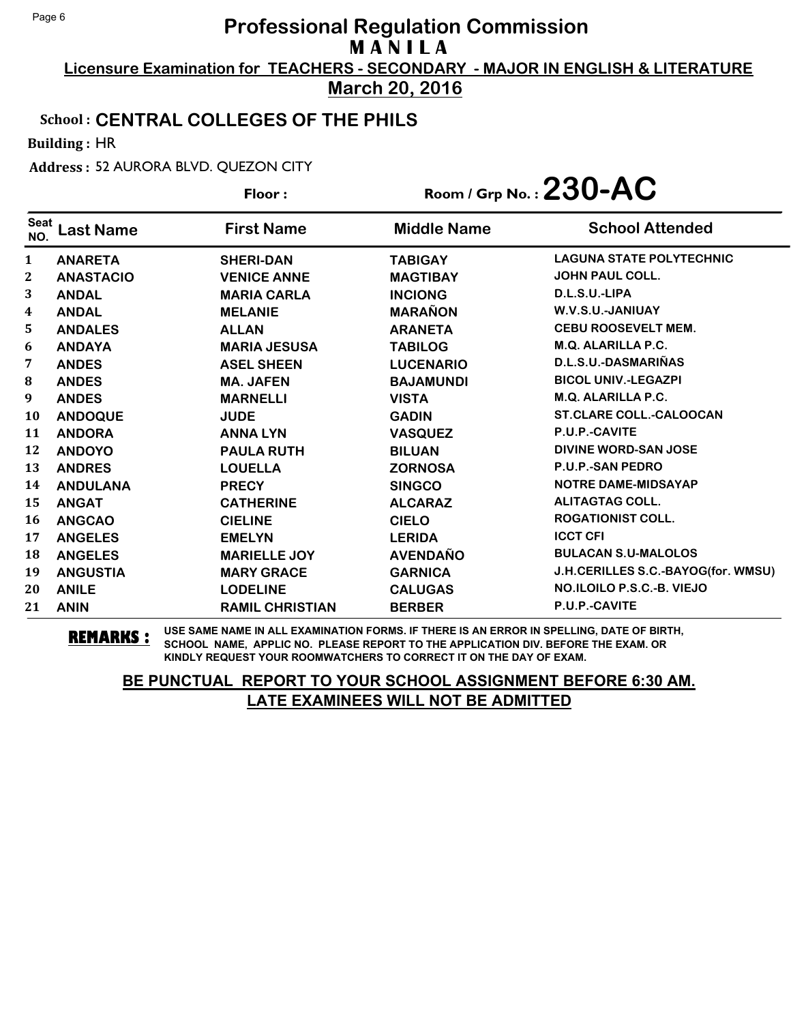**Licensure Examination for TEACHERS - SECONDARY - MAJOR IN ENGLISH & LITERATURE March 20, 2016**

## School : **CENTRAL COLLEGES OF THE PHILS**

Building : HR

Address : 52 AURORA BLVD. QUEZON CITY

|                    |                  | Floor:                 | Room / Grp No.: $230$ -AC |                                    |
|--------------------|------------------|------------------------|---------------------------|------------------------------------|
| <b>Seat</b><br>NO. | <b>Last Name</b> | <b>First Name</b>      | <b>Middle Name</b>        | <b>School Attended</b>             |
| $\mathbf{1}$       | <b>ANARETA</b>   | <b>SHERI-DAN</b>       | <b>TABIGAY</b>            | <b>LAGUNA STATE POLYTECHNIC</b>    |
| 2                  | <b>ANASTACIO</b> | <b>VENICE ANNE</b>     | <b>MAGTIBAY</b>           | <b>JOHN PAUL COLL.</b>             |
| 3                  | <b>ANDAL</b>     | <b>MARIA CARLA</b>     | <b>INCIONG</b>            | D.L.S.U.-LIPA                      |
| 4                  | <b>ANDAL</b>     | <b>MELANIE</b>         | <b>MARAÑON</b>            | W.V.S.U.-JANIUAY                   |
| 5.                 | <b>ANDALES</b>   | <b>ALLAN</b>           | <b>ARANETA</b>            | CEBU ROOSEVELT MEM.                |
| 6                  | <b>ANDAYA</b>    | <b>MARIA JESUSA</b>    | <b>TABILOG</b>            | M.Q. ALARILLA P.C.                 |
| 7                  | <b>ANDES</b>     | <b>ASEL SHEEN</b>      | <b>LUCENARIO</b>          | D.L.S.U.-DASMARIÑAS                |
| 8                  | <b>ANDES</b>     | <b>MA. JAFEN</b>       | <b>BAJAMUNDI</b>          | <b>BICOL UNIV.-LEGAZPI</b>         |
| 9                  | <b>ANDES</b>     | <b>MARNELLI</b>        | <b>VISTA</b>              | <b>M.Q. ALARILLA P.C.</b>          |
| <b>10</b>          | <b>ANDOQUE</b>   | <b>JUDE</b>            | <b>GADIN</b>              | <b>ST.CLARE COLL.-CALOOCAN</b>     |
| 11                 | <b>ANDORA</b>    | <b>ANNALYN</b>         | <b>VASQUEZ</b>            | P.U.P.-CAVITE                      |
| 12                 | <b>ANDOYO</b>    | <b>PAULA RUTH</b>      | <b>BILUAN</b>             | DIVINE WORD-SAN JOSE               |
| 13                 | <b>ANDRES</b>    | <b>LOUELLA</b>         | <b>ZORNOSA</b>            | P.U.P.-SAN PEDRO                   |
| 14                 | <b>ANDULANA</b>  | <b>PRECY</b>           | <b>SINGCO</b>             | <b>NOTRE DAME-MIDSAYAP</b>         |
| 15                 | <b>ANGAT</b>     | <b>CATHERINE</b>       | <b>ALCARAZ</b>            | <b>ALITAGTAG COLL.</b>             |
| 16                 | <b>ANGCAO</b>    | <b>CIELINE</b>         | <b>CIELO</b>              | <b>ROGATIONIST COLL.</b>           |
| 17                 | <b>ANGELES</b>   | <b>EMELYN</b>          | <b>LERIDA</b>             | <b>ICCT CFI</b>                    |
| 18                 | <b>ANGELES</b>   | <b>MARIELLE JOY</b>    | <b>AVENDAÑO</b>           | <b>BULACAN S.U-MALOLOS</b>         |
| 19                 | <b>ANGUSTIA</b>  | <b>MARY GRACE</b>      | <b>GARNICA</b>            | J.H.CERILLES S.C.-BAYOG(for. WMSU) |
| 20                 | <b>ANILE</b>     | <b>LODELINE</b>        | <b>CALUGAS</b>            | NO.ILOILO P.S.C.-B. VIEJO          |
| 21                 | <b>ANIN</b>      | <b>RAMIL CHRISTIAN</b> | <b>BERBER</b>             | P.U.P.-CAVITE                      |

**REMARKS :** USE SAME NAME IN ALL EXAMINATION FORMS. IF THERE IS AN ERROR IN SPELLING, DATE OF BIRTH, SCHOOL NAME, APPLIC NO. PLEASE REPORT TO THE APPLICATION DIV. BEFORE THE EXAM. OR KINDLY REQUEST YOUR ROOMWATCHERS TO CORRECT IT ON THE DAY OF EXAM.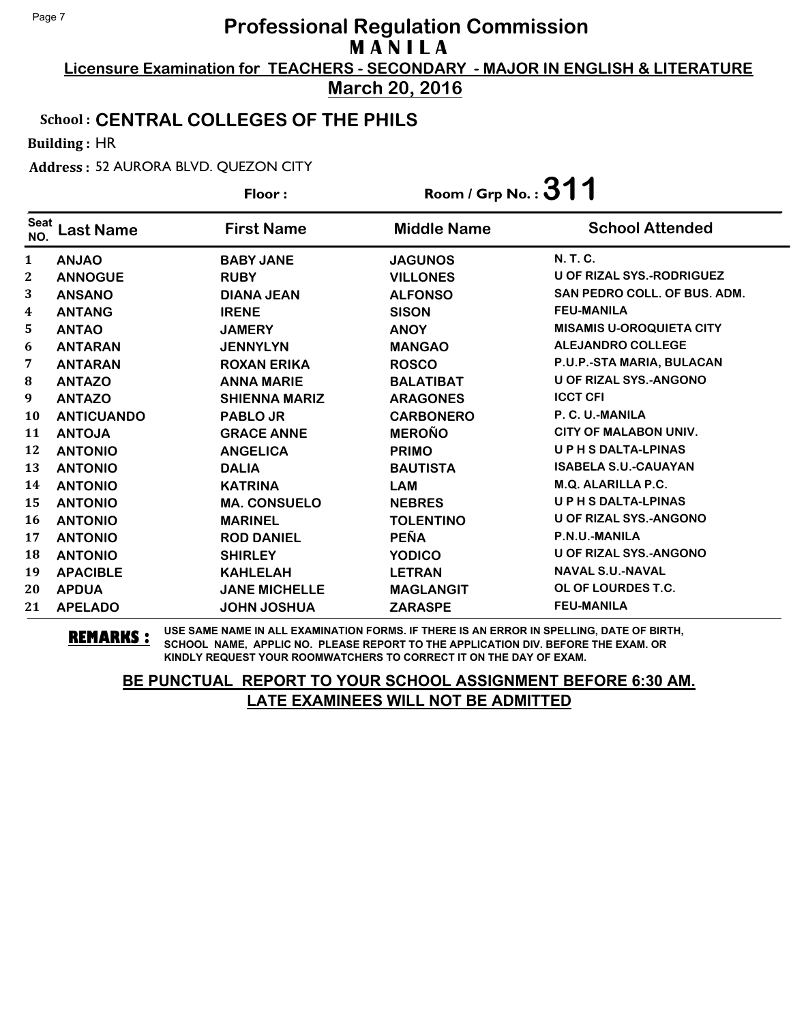**Licensure Examination for TEACHERS - SECONDARY - MAJOR IN ENGLISH & LITERATURE March 20, 2016**

### School : **CENTRAL COLLEGES OF THE PHILS**

Building : HR

Address : 52 AURORA BLVD. QUEZON CITY

|                    |                   | Floor:               | Room / Grp No.: $311$ |                                  |
|--------------------|-------------------|----------------------|-----------------------|----------------------------------|
| <b>Seat</b><br>NO. | <b>Last Name</b>  | <b>First Name</b>    | <b>Middle Name</b>    | <b>School Attended</b>           |
| 1                  | <b>ANJAO</b>      | <b>BABY JANE</b>     | <b>JAGUNOS</b>        | N. T. C.                         |
| 2                  | <b>ANNOGUE</b>    | <b>RUBY</b>          | <b>VILLONES</b>       | <b>U OF RIZAL SYS.-RODRIGUEZ</b> |
| 3                  | <b>ANSANO</b>     | <b>DIANA JEAN</b>    | <b>ALFONSO</b>        | SAN PEDRO COLL. OF BUS. ADM.     |
| 4                  | <b>ANTANG</b>     | <b>IRENE</b>         | <b>SISON</b>          | <b>FEU-MANILA</b>                |
| 5                  | <b>ANTAO</b>      | <b>JAMERY</b>        | <b>ANOY</b>           | <b>MISAMIS U-OROQUIETA CITY</b>  |
| 6                  | <b>ANTARAN</b>    | <b>JENNYLYN</b>      | <b>MANGAO</b>         | <b>ALEJANDRO COLLEGE</b>         |
| 7                  | <b>ANTARAN</b>    | <b>ROXAN ERIKA</b>   | <b>ROSCO</b>          | P.U.P.-STA MARIA, BULACAN        |
| $\bf{8}$           | <b>ANTAZO</b>     | <b>ANNA MARIE</b>    | <b>BALATIBAT</b>      | <b>U OF RIZAL SYS.-ANGONO</b>    |
| 9                  | <b>ANTAZO</b>     | <b>SHIENNA MARIZ</b> | <b>ARAGONES</b>       | <b>ICCT CFI</b>                  |
| 10                 | <b>ANTICUANDO</b> | <b>PABLO JR</b>      | <b>CARBONERO</b>      | P. C. U.-MANILA                  |
| 11                 | <b>ANTOJA</b>     | <b>GRACE ANNE</b>    | <b>MEROÑO</b>         | <b>CITY OF MALABON UNIV.</b>     |
| 12                 | <b>ANTONIO</b>    | <b>ANGELICA</b>      | <b>PRIMO</b>          | <b>UPHSDALTA-LPINAS</b>          |
| 13                 | <b>ANTONIO</b>    | <b>DALIA</b>         | <b>BAUTISTA</b>       | <b>ISABELA S.U.-CAUAYAN</b>      |
| 14                 | <b>ANTONIO</b>    | <b>KATRINA</b>       | <b>LAM</b>            | M.Q. ALARILLA P.C.               |
| 15                 | <b>ANTONIO</b>    | <b>MA. CONSUELO</b>  | <b>NEBRES</b>         | <b>UPHSDALTA-LPINAS</b>          |
| 16                 | <b>ANTONIO</b>    | <b>MARINEL</b>       | <b>TOLENTINO</b>      | <b>U OF RIZAL SYS.-ANGONO</b>    |
| 17                 | <b>ANTONIO</b>    | <b>ROD DANIEL</b>    | <b>PEÑA</b>           | P.N.U.-MANILA                    |
| 18                 | <b>ANTONIO</b>    | <b>SHIRLEY</b>       | <b>YODICO</b>         | <b>U OF RIZAL SYS.-ANGONO</b>    |
| 19                 | <b>APACIBLE</b>   | <b>KAHLELAH</b>      | <b>LETRAN</b>         | <b>NAVAL S.U.-NAVAL</b>          |
| 20                 | <b>APDUA</b>      | <b>JANE MICHELLE</b> | <b>MAGLANGIT</b>      | OL OF LOURDES T.C.               |
| 21                 | <b>APELADO</b>    | <b>JOHN JOSHUA</b>   | <b>ZARASPE</b>        | <b>FEU-MANILA</b>                |

**REMARKS :** USE SAME NAME IN ALL EXAMINATION FORMS. IF THERE IS AN ERROR IN SPELLING, DATE OF BIRTH, SCHOOL NAME, APPLIC NO. PLEASE REPORT TO THE APPLICATION DIV. BEFORE THE EXAM. OR KINDLY REQUEST YOUR ROOMWATCHERS TO CORRECT IT ON THE DAY OF EXAM.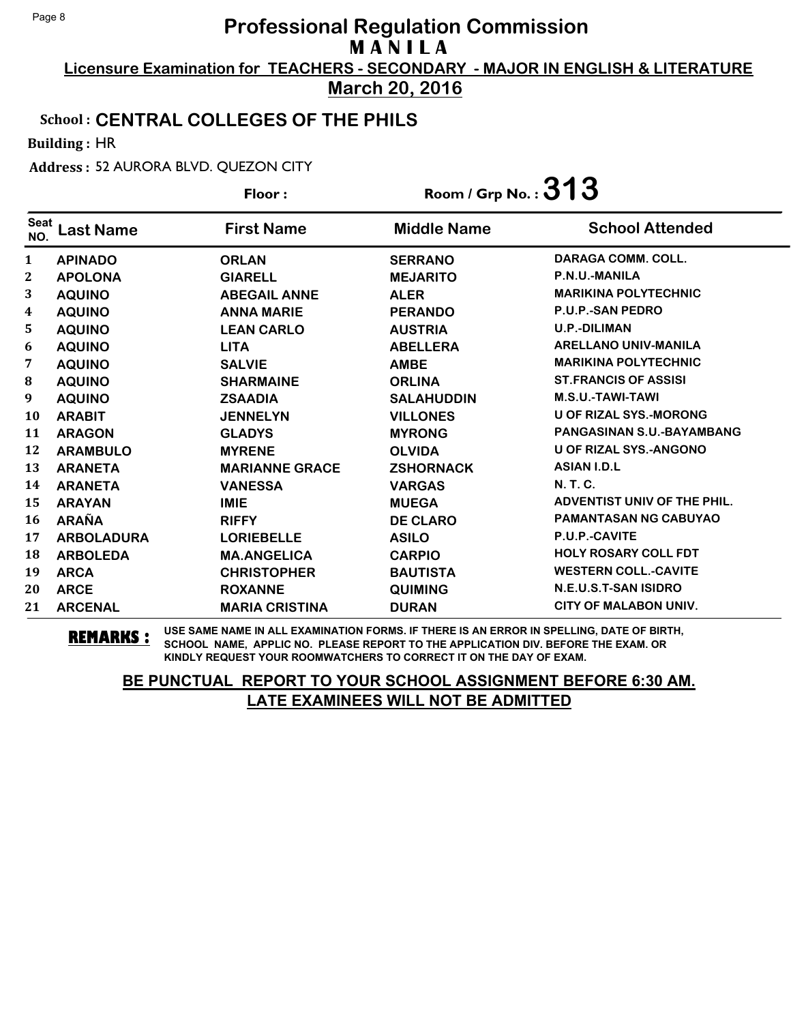**Licensure Examination for TEACHERS - SECONDARY - MAJOR IN ENGLISH & LITERATURE March 20, 2016**

## School : **CENTRAL COLLEGES OF THE PHILS**

Building : HR

Address : 52 AURORA BLVD. QUEZON CITY

|                    |                   | Floor:                | Room / Grp No.: $313$ |                                    |
|--------------------|-------------------|-----------------------|-----------------------|------------------------------------|
| <b>Seat</b><br>NO. | <b>Last Name</b>  | <b>First Name</b>     | <b>Middle Name</b>    | <b>School Attended</b>             |
| 1                  | <b>APINADO</b>    | <b>ORLAN</b>          | <b>SERRANO</b>        | DARAGA COMM. COLL.                 |
| 2                  | <b>APOLONA</b>    | <b>GIARELL</b>        | <b>MEJARITO</b>       | P.N.U.-MANILA                      |
| 3                  | <b>AQUINO</b>     | <b>ABEGAIL ANNE</b>   | <b>ALER</b>           | <b>MARIKINA POLYTECHNIC</b>        |
| 4                  | <b>AQUINO</b>     | <b>ANNA MARIE</b>     | <b>PERANDO</b>        | <b>P.U.P.-SAN PEDRO</b>            |
| 5                  | <b>AQUINO</b>     | <b>LEAN CARLO</b>     | <b>AUSTRIA</b>        | <b>U.P.-DILIMAN</b>                |
| 6                  | <b>AQUINO</b>     | <b>LITA</b>           | <b>ABELLERA</b>       | <b>ARELLANO UNIV-MANILA</b>        |
| 7                  | <b>AQUINO</b>     | <b>SALVIE</b>         | <b>AMBE</b>           | <b>MARIKINA POLYTECHNIC</b>        |
| 8                  | <b>AQUINO</b>     | <b>SHARMAINE</b>      | <b>ORLINA</b>         | <b>ST.FRANCIS OF ASSISI</b>        |
| 9                  | <b>AQUINO</b>     | <b>ZSAADIA</b>        | <b>SALAHUDDIN</b>     | M.S.U.-TAWI-TAWI                   |
| 10                 | <b>ARABIT</b>     | <b>JENNELYN</b>       | <b>VILLONES</b>       | <b>U OF RIZAL SYS.-MORONG</b>      |
| 11                 | <b>ARAGON</b>     | <b>GLADYS</b>         | <b>MYRONG</b>         | PANGASINAN S.U.-BAYAMBANG          |
| 12                 | <b>ARAMBULO</b>   | <b>MYRENE</b>         | <b>OLVIDA</b>         | <b>U OF RIZAL SYS.-ANGONO</b>      |
| 13                 | <b>ARANETA</b>    | <b>MARIANNE GRACE</b> | <b>ZSHORNACK</b>      | <b>ASIAN I.D.L</b>                 |
| 14                 | <b>ARANETA</b>    | <b>VANESSA</b>        | <b>VARGAS</b>         | <b>N.T.C.</b>                      |
| 15                 | <b>ARAYAN</b>     | <b>IMIE</b>           | <b>MUEGA</b>          | <b>ADVENTIST UNIV OF THE PHIL.</b> |
| 16                 | <b>ARAÑA</b>      | <b>RIFFY</b>          | <b>DE CLARO</b>       | <b>PAMANTASAN NG CABUYAO</b>       |
| 17                 | <b>ARBOLADURA</b> | <b>LORIEBELLE</b>     | <b>ASILO</b>          | P.U.P.-CAVITE                      |
| 18                 | <b>ARBOLEDA</b>   | <b>MA.ANGELICA</b>    | <b>CARPIO</b>         | <b>HOLY ROSARY COLL FDT</b>        |
| 19                 | <b>ARCA</b>       | <b>CHRISTOPHER</b>    | <b>BAUTISTA</b>       | <b>WESTERN COLL.-CAVITE</b>        |
| 20                 | <b>ARCE</b>       | <b>ROXANNE</b>        | <b>QUIMING</b>        | N.E.U.S.T-SAN ISIDRO               |
| 21                 | <b>ARCENAL</b>    | <b>MARIA CRISTINA</b> | <b>DURAN</b>          | CITY OF MALABON UNIV.              |

**REMARKS :** USE SAME NAME IN ALL EXAMINATION FORMS. IF THERE IS AN ERROR IN SPELLING, DATE OF BIRTH, SCHOOL NAME, APPLIC NO. PLEASE REPORT TO THE APPLICATION DIV. BEFORE THE EXAM. OR KINDLY REQUEST YOUR ROOMWATCHERS TO CORRECT IT ON THE DAY OF EXAM.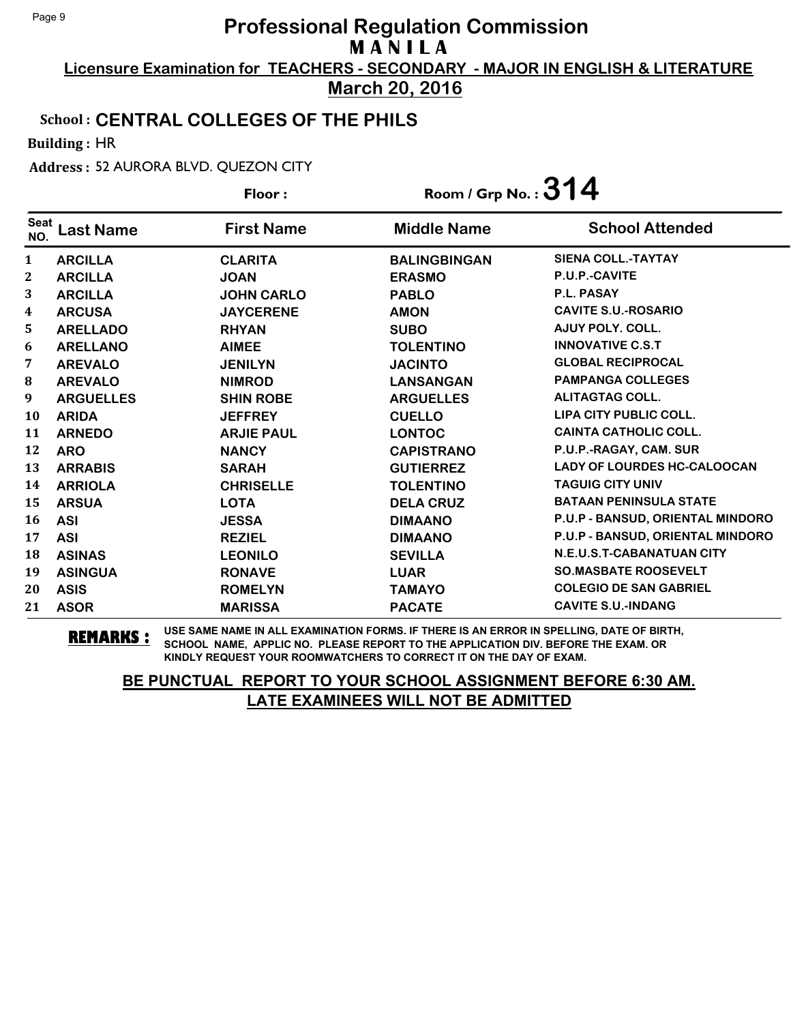**Licensure Examination for TEACHERS - SECONDARY - MAJOR IN ENGLISH & LITERATURE March 20, 2016**

## School : **CENTRAL COLLEGES OF THE PHILS**

Building : HR

Address : 52 AURORA BLVD. QUEZON CITY

|                    |                  | Floor:            | Room / Grp No.: $314$ |                                    |
|--------------------|------------------|-------------------|-----------------------|------------------------------------|
| <b>Seat</b><br>NO. | <b>Last Name</b> | <b>First Name</b> | <b>Middle Name</b>    | <b>School Attended</b>             |
| 1                  | <b>ARCILLA</b>   | <b>CLARITA</b>    | <b>BALINGBINGAN</b>   | <b>SIENA COLL.-TAYTAY</b>          |
| 2                  | <b>ARCILLA</b>   | <b>JOAN</b>       | <b>ERASMO</b>         | P.U.P.-CAVITE                      |
| 3                  | <b>ARCILLA</b>   | <b>JOHN CARLO</b> | <b>PABLO</b>          | P.L. PASAY                         |
| 4                  | <b>ARCUSA</b>    | <b>JAYCERENE</b>  | <b>AMON</b>           | <b>CAVITE S.U.-ROSARIO</b>         |
| 5                  | <b>ARELLADO</b>  | <b>RHYAN</b>      | <b>SUBO</b>           | AJUY POLY. COLL.                   |
| 6                  | <b>ARELLANO</b>  | <b>AIMEE</b>      | <b>TOLENTINO</b>      | <b>INNOVATIVE C.S.T</b>            |
| 7                  | <b>AREVALO</b>   | <b>JENILYN</b>    | <b>JACINTO</b>        | <b>GLOBAL RECIPROCAL</b>           |
| $\bf{8}$           | <b>AREVALO</b>   | <b>NIMROD</b>     | <b>LANSANGAN</b>      | <b>PAMPANGA COLLEGES</b>           |
| 9                  | <b>ARGUELLES</b> | <b>SHIN ROBE</b>  | <b>ARGUELLES</b>      | <b>ALITAGTAG COLL.</b>             |
| 10                 | <b>ARIDA</b>     | <b>JEFFREY</b>    | <b>CUELLO</b>         | LIPA CITY PUBLIC COLL.             |
| 11                 | <b>ARNEDO</b>    | <b>ARJIE PAUL</b> | <b>LONTOC</b>         | <b>CAINTA CATHOLIC COLL.</b>       |
| 12                 | <b>ARO</b>       | <b>NANCY</b>      | <b>CAPISTRANO</b>     | P.U.P.-RAGAY, CAM. SUR             |
| 13                 | <b>ARRABIS</b>   | <b>SARAH</b>      | <b>GUTIERREZ</b>      | <b>LADY OF LOURDES HC-CALOOCAN</b> |
| 14                 | <b>ARRIOLA</b>   | <b>CHRISELLE</b>  | <b>TOLENTINO</b>      | <b>TAGUIG CITY UNIV</b>            |
| 15                 | <b>ARSUA</b>     | <b>LOTA</b>       | <b>DELA CRUZ</b>      | <b>BATAAN PENINSULA STATE</b>      |
| 16                 | <b>ASI</b>       | <b>JESSA</b>      | <b>DIMAANO</b>        | P.U.P - BANSUD, ORIENTAL MINDORO   |
| 17                 | <b>ASI</b>       | <b>REZIEL</b>     | <b>DIMAANO</b>        | P.U.P - BANSUD, ORIENTAL MINDORO   |
| 18                 | <b>ASINAS</b>    | <b>LEONILO</b>    | <b>SEVILLA</b>        | <b>N.E.U.S.T-CABANATUAN CITY</b>   |
| 19                 | <b>ASINGUA</b>   | <b>RONAVE</b>     | <b>LUAR</b>           | <b>SO.MASBATE ROOSEVELT</b>        |
| 20                 | <b>ASIS</b>      | <b>ROMELYN</b>    | <b>TAMAYO</b>         | <b>COLEGIO DE SAN GABRIEL</b>      |
| 21                 | <b>ASOR</b>      | <b>MARISSA</b>    | <b>PACATE</b>         | <b>CAVITE S.U.-INDANG</b>          |

**REMARKS :** USE SAME NAME IN ALL EXAMINATION FORMS. IF THERE IS AN ERROR IN SPELLING, DATE OF BIRTH, SCHOOL NAME, APPLIC NO. PLEASE REPORT TO THE APPLICATION DIV. BEFORE THE EXAM. OR KINDLY REQUEST YOUR ROOMWATCHERS TO CORRECT IT ON THE DAY OF EXAM.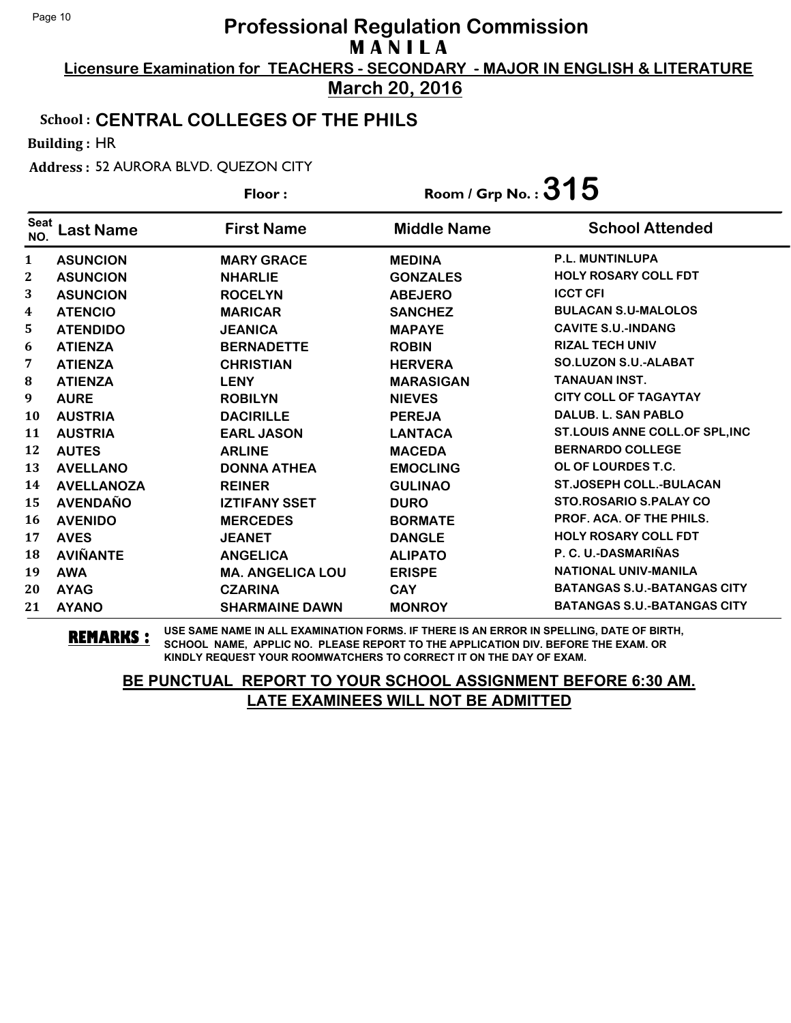**Licensure Examination for TEACHERS - SECONDARY - MAJOR IN ENGLISH & LITERATURE March 20, 2016**

#### School : **CENTRAL COLLEGES OF THE PHILS**

Building : HR

Address : 52 AURORA BLVD. QUEZON CITY

| Floor:             |                   |                         | Room / Grp No.: $315$ |                                    |
|--------------------|-------------------|-------------------------|-----------------------|------------------------------------|
| <b>Seat</b><br>NO. | <b>Last Name</b>  | <b>First Name</b>       | <b>Middle Name</b>    | <b>School Attended</b>             |
| 1                  | <b>ASUNCION</b>   | <b>MARY GRACE</b>       | <b>MEDINA</b>         | <b>P.L. MUNTINLUPA</b>             |
| $\boldsymbol{2}$   | <b>ASUNCION</b>   | <b>NHARLIE</b>          | <b>GONZALES</b>       | <b>HOLY ROSARY COLL FDT</b>        |
| 3                  | <b>ASUNCION</b>   | <b>ROCELYN</b>          | <b>ABEJERO</b>        | <b>ICCT CFI</b>                    |
| 4                  | <b>ATENCIO</b>    | <b>MARICAR</b>          | <b>SANCHEZ</b>        | <b>BULACAN S.U-MALOLOS</b>         |
| 5                  | <b>ATENDIDO</b>   | <b>JEANICA</b>          | <b>MAPAYE</b>         | <b>CAVITE S.U.-INDANG</b>          |
| 6                  | <b>ATIENZA</b>    | <b>BERNADETTE</b>       | <b>ROBIN</b>          | <b>RIZAL TECH UNIV</b>             |
| 7                  | <b>ATIENZA</b>    | <b>CHRISTIAN</b>        | <b>HERVERA</b>        | <b>SO.LUZON S.U.-ALABAT</b>        |
| 8                  | <b>ATIENZA</b>    | <b>LENY</b>             | <b>MARASIGAN</b>      | <b>TANAUAN INST.</b>               |
| 9                  | <b>AURE</b>       | <b>ROBILYN</b>          | <b>NIEVES</b>         | <b>CITY COLL OF TAGAYTAY</b>       |
| 10                 | <b>AUSTRIA</b>    | <b>DACIRILLE</b>        | <b>PEREJA</b>         | <b>DALUB. L. SAN PABLO</b>         |
| 11                 | <b>AUSTRIA</b>    | <b>EARL JASON</b>       | <b>LANTACA</b>        | ST.LOUIS ANNE COLL.OF SPL, INC     |
| 12                 | <b>AUTES</b>      | <b>ARLINE</b>           | <b>MACEDA</b>         | <b>BERNARDO COLLEGE</b>            |
| 13                 | <b>AVELLANO</b>   | <b>DONNA ATHEA</b>      | <b>EMOCLING</b>       | OL OF LOURDES T.C.                 |
| 14                 | <b>AVELLANOZA</b> | <b>REINER</b>           | <b>GULINAO</b>        | <b>ST.JOSEPH COLL.-BULACAN</b>     |
| 15                 | <b>AVENDAÑO</b>   | <b>IZTIFANY SSET</b>    | <b>DURO</b>           | STO.ROSARIO S.PALAY CO             |
| 16                 | <b>AVENIDO</b>    | <b>MERCEDES</b>         | <b>BORMATE</b>        | PROF. ACA. OF THE PHILS.           |
| 17                 | <b>AVES</b>       | <b>JEANET</b>           | <b>DANGLE</b>         | <b>HOLY ROSARY COLL FDT</b>        |
| 18                 | <b>AVIÑANTE</b>   | <b>ANGELICA</b>         | <b>ALIPATO</b>        | P. C. U.-DASMARIÑAS                |
| 19                 | <b>AWA</b>        | <b>MA. ANGELICA LOU</b> | <b>ERISPE</b>         | <b>NATIONAL UNIV-MANILA</b>        |
| 20                 | <b>AYAG</b>       | <b>CZARINA</b>          | <b>CAY</b>            | <b>BATANGAS S.U.-BATANGAS CITY</b> |
| 21                 | <b>AYANO</b>      | <b>SHARMAINE DAWN</b>   | <b>MONROY</b>         | <b>BATANGAS S.U.-BATANGAS CITY</b> |

**REMARKS :** USE SAME NAME IN ALL EXAMINATION FORMS. IF THERE IS AN ERROR IN SPELLING, DATE OF BIRTH, SCHOOL NAME, APPLIC NO. PLEASE REPORT TO THE APPLICATION DIV. BEFORE THE EXAM. OR KINDLY REQUEST YOUR ROOMWATCHERS TO CORRECT IT ON THE DAY OF EXAM.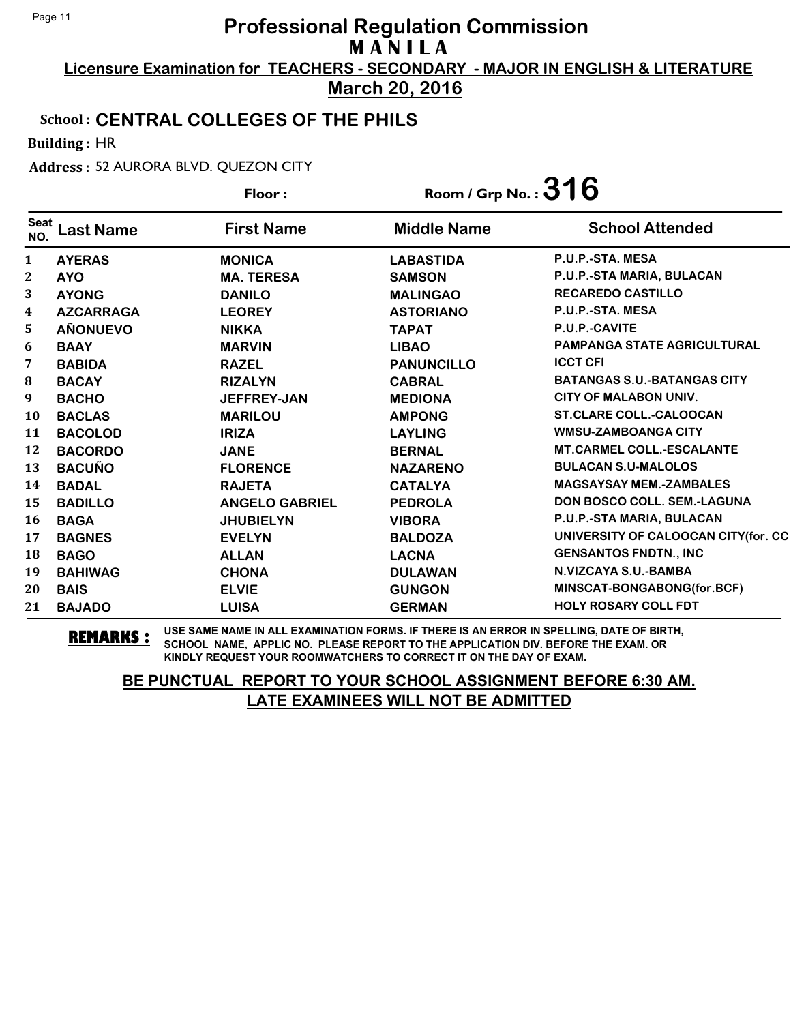**Licensure Examination for TEACHERS - SECONDARY - MAJOR IN ENGLISH & LITERATURE March 20, 2016**

#### School : **CENTRAL COLLEGES OF THE PHILS**

Building : HR

Address : 52 AURORA BLVD. QUEZON CITY

|                    |                  | Floor:                | Room / Grp No.: $316$ |                                     |
|--------------------|------------------|-----------------------|-----------------------|-------------------------------------|
| <b>Seat</b><br>NO. | <b>Last Name</b> | <b>First Name</b>     | <b>Middle Name</b>    | <b>School Attended</b>              |
| 1                  | <b>AYERAS</b>    | <b>MONICA</b>         | <b>LABASTIDA</b>      | P.U.P.-STA. MESA                    |
| 2                  | <b>AYO</b>       | <b>MA. TERESA</b>     | <b>SAMSON</b>         | P.U.P.-STA MARIA, BULACAN           |
| 3                  | <b>AYONG</b>     | <b>DANILO</b>         | <b>MALINGAO</b>       | <b>RECAREDO CASTILLO</b>            |
| 4                  | <b>AZCARRAGA</b> | <b>LEOREY</b>         | <b>ASTORIANO</b>      | P.U.P.-STA. MESA                    |
| 5                  | <b>AÑONUEVO</b>  | <b>NIKKA</b>          | <b>TAPAT</b>          | P.U.P.-CAVITE                       |
| 6                  | <b>BAAY</b>      | <b>MARVIN</b>         | <b>LIBAO</b>          | <b>PAMPANGA STATE AGRICULTURAL</b>  |
| 7                  | <b>BABIDA</b>    | <b>RAZEL</b>          | <b>PANUNCILLO</b>     | <b>ICCT CFI</b>                     |
| 8                  | <b>BACAY</b>     | <b>RIZALYN</b>        | <b>CABRAL</b>         | <b>BATANGAS S.U.-BATANGAS CITY</b>  |
| 9                  | <b>BACHO</b>     | <b>JEFFREY-JAN</b>    | <b>MEDIONA</b>        | CITY OF MALABON UNIV.               |
| 10                 | <b>BACLAS</b>    | <b>MARILOU</b>        | <b>AMPONG</b>         | <b>ST.CLARE COLL.-CALOOCAN</b>      |
| 11                 | <b>BACOLOD</b>   | <b>IRIZA</b>          | <b>LAYLING</b>        | <b>WMSU-ZAMBOANGA CITY</b>          |
| 12                 | <b>BACORDO</b>   | <b>JANE</b>           | <b>BERNAL</b>         | <b>MT.CARMEL COLL.-ESCALANTE</b>    |
| 13                 | <b>BACUÑO</b>    | <b>FLORENCE</b>       | <b>NAZARENO</b>       | <b>BULACAN S.U-MALOLOS</b>          |
| 14                 | <b>BADAL</b>     | <b>RAJETA</b>         | <b>CATALYA</b>        | <b>MAGSAYSAY MEM.-ZAMBALES</b>      |
| 15                 | <b>BADILLO</b>   | <b>ANGELO GABRIEL</b> | <b>PEDROLA</b>        | DON BOSCO COLL. SEM.-LAGUNA         |
| 16                 | <b>BAGA</b>      | <b>JHUBIELYN</b>      | <b>VIBORA</b>         | P.U.P.-STA MARIA, BULACAN           |
| 17                 | <b>BAGNES</b>    | <b>EVELYN</b>         | <b>BALDOZA</b>        | UNIVERSITY OF CALOOCAN CITY(for. CC |
| 18                 | <b>BAGO</b>      | <b>ALLAN</b>          | <b>LACNA</b>          | <b>GENSANTOS FNDTN., INC</b>        |
| 19                 | <b>BAHIWAG</b>   | <b>CHONA</b>          | <b>DULAWAN</b>        | N.VIZCAYA S.U.-BAMBA                |
| 20                 | <b>BAIS</b>      | <b>ELVIE</b>          | <b>GUNGON</b>         | MINSCAT-BONGABONG(for.BCF)          |
| 21                 | <b>BAJADO</b>    | <b>LUISA</b>          | <b>GERMAN</b>         | <b>HOLY ROSARY COLL FDT</b>         |

**REMARKS :** USE SAME NAME IN ALL EXAMINATION FORMS. IF THERE IS AN ERROR IN SPELLING, DATE OF BIRTH, SCHOOL NAME, APPLIC NO. PLEASE REPORT TO THE APPLICATION DIV. BEFORE THE EXAM. OR KINDLY REQUEST YOUR ROOMWATCHERS TO CORRECT IT ON THE DAY OF EXAM.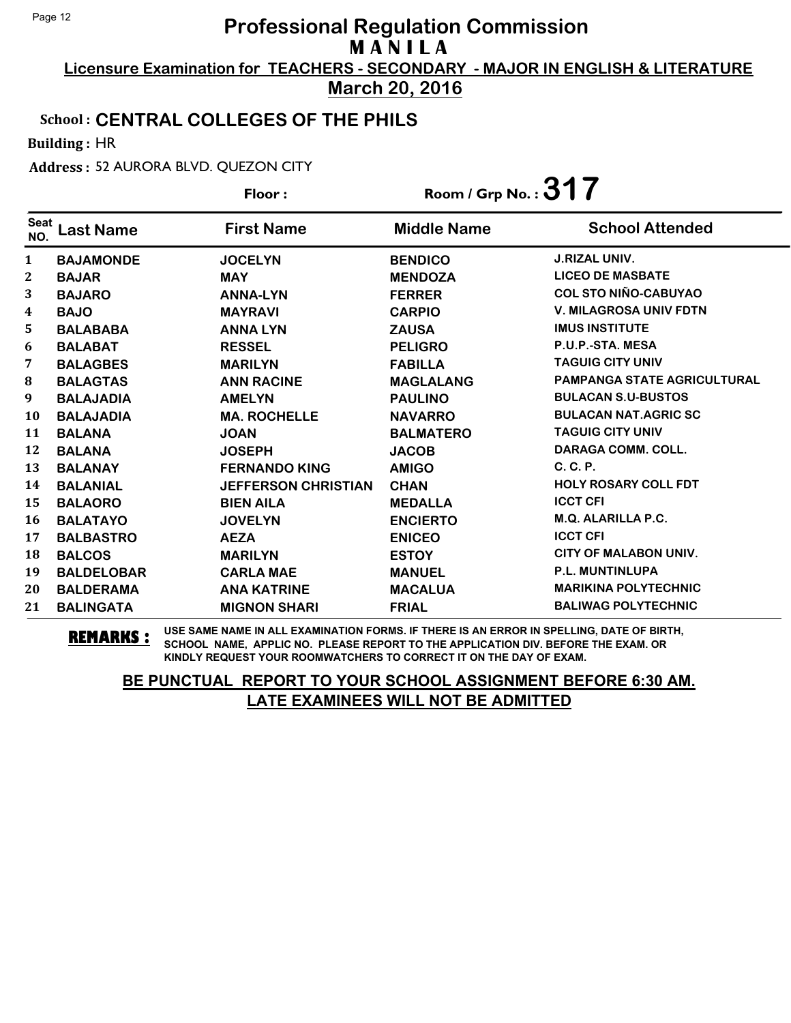**Licensure Examination for TEACHERS - SECONDARY - MAJOR IN ENGLISH & LITERATURE March 20, 2016**

#### School : **CENTRAL COLLEGES OF THE PHILS**

Building : HR

Address : 52 AURORA BLVD. QUEZON CITY

|                    |                   | Floor:                     | Room / Grp No.: $317$ |                                    |
|--------------------|-------------------|----------------------------|-----------------------|------------------------------------|
| <b>Seat</b><br>NO. | <b>Last Name</b>  | <b>First Name</b>          | <b>Middle Name</b>    | <b>School Attended</b>             |
| 1                  | <b>BAJAMONDE</b>  | <b>JOCELYN</b>             | <b>BENDICO</b>        | <b>J.RIZAL UNIV.</b>               |
| 2                  | <b>BAJAR</b>      | <b>MAY</b>                 | <b>MENDOZA</b>        | <b>LICEO DE MASBATE</b>            |
| 3                  | <b>BAJARO</b>     | <b>ANNA-LYN</b>            | <b>FERRER</b>         | <b>COL STO NIÑO-CABUYAO</b>        |
| 4                  | <b>BAJO</b>       | <b>MAYRAVI</b>             | <b>CARPIO</b>         | <b>V. MILAGROSA UNIV FDTN</b>      |
| 5                  | <b>BALABABA</b>   | <b>ANNA LYN</b>            | <b>ZAUSA</b>          | <b>IMUS INSTITUTE</b>              |
| 6                  | <b>BALABAT</b>    | <b>RESSEL</b>              | <b>PELIGRO</b>        | P.U.P.-STA. MESA                   |
| 7                  | <b>BALAGBES</b>   | <b>MARILYN</b>             | <b>FABILLA</b>        | <b>TAGUIG CITY UNIV</b>            |
| 8                  | <b>BALAGTAS</b>   | <b>ANN RACINE</b>          | <b>MAGLALANG</b>      | <b>PAMPANGA STATE AGRICULTURAL</b> |
| 9                  | <b>BALAJADIA</b>  | <b>AMELYN</b>              | <b>PAULINO</b>        | <b>BULACAN S.U-BUSTOS</b>          |
| 10                 | <b>BALAJADIA</b>  | <b>MA. ROCHELLE</b>        | <b>NAVARRO</b>        | <b>BULACAN NAT.AGRIC SC</b>        |
| 11                 | <b>BALANA</b>     | <b>JOAN</b>                | <b>BALMATERO</b>      | <b>TAGUIG CITY UNIV</b>            |
| 12                 | <b>BALANA</b>     | <b>JOSEPH</b>              | <b>JACOB</b>          | <b>DARAGA COMM. COLL.</b>          |
| 13                 | <b>BALANAY</b>    | <b>FERNANDO KING</b>       | <b>AMIGO</b>          | C. C. P.                           |
| 14                 | <b>BALANIAL</b>   | <b>JEFFERSON CHRISTIAN</b> | <b>CHAN</b>           | <b>HOLY ROSARY COLL FDT</b>        |
| 15                 | <b>BALAORO</b>    | <b>BIEN AILA</b>           | <b>MEDALLA</b>        | <b>ICCT CFI</b>                    |
| 16                 | <b>BALATAYO</b>   | <b>JOVELYN</b>             | <b>ENCIERTO</b>       | M.Q. ALARILLA P.C.                 |
| 17                 | <b>BALBASTRO</b>  | <b>AEZA</b>                | <b>ENICEO</b>         | <b>ICCT CFI</b>                    |
| 18                 | <b>BALCOS</b>     | <b>MARILYN</b>             | <b>ESTOY</b>          | <b>CITY OF MALABON UNIV.</b>       |
| 19                 | <b>BALDELOBAR</b> | <b>CARLA MAE</b>           | <b>MANUEL</b>         | P.L. MUNTINLUPA                    |
| 20                 | <b>BALDERAMA</b>  | <b>ANA KATRINE</b>         | <b>MACALUA</b>        | <b>MARIKINA POLYTECHNIC</b>        |
| 21                 | <b>BALINGATA</b>  | <b>MIGNON SHARI</b>        | <b>FRIAL</b>          | <b>BALIWAG POLYTECHNIC</b>         |

**REMARKS :** USE SAME NAME IN ALL EXAMINATION FORMS. IF THERE IS AN ERROR IN SPELLING, DATE OF BIRTH, SCHOOL NAME, APPLIC NO. PLEASE REPORT TO THE APPLICATION DIV. BEFORE THE EXAM. OR KINDLY REQUEST YOUR ROOMWATCHERS TO CORRECT IT ON THE DAY OF EXAM.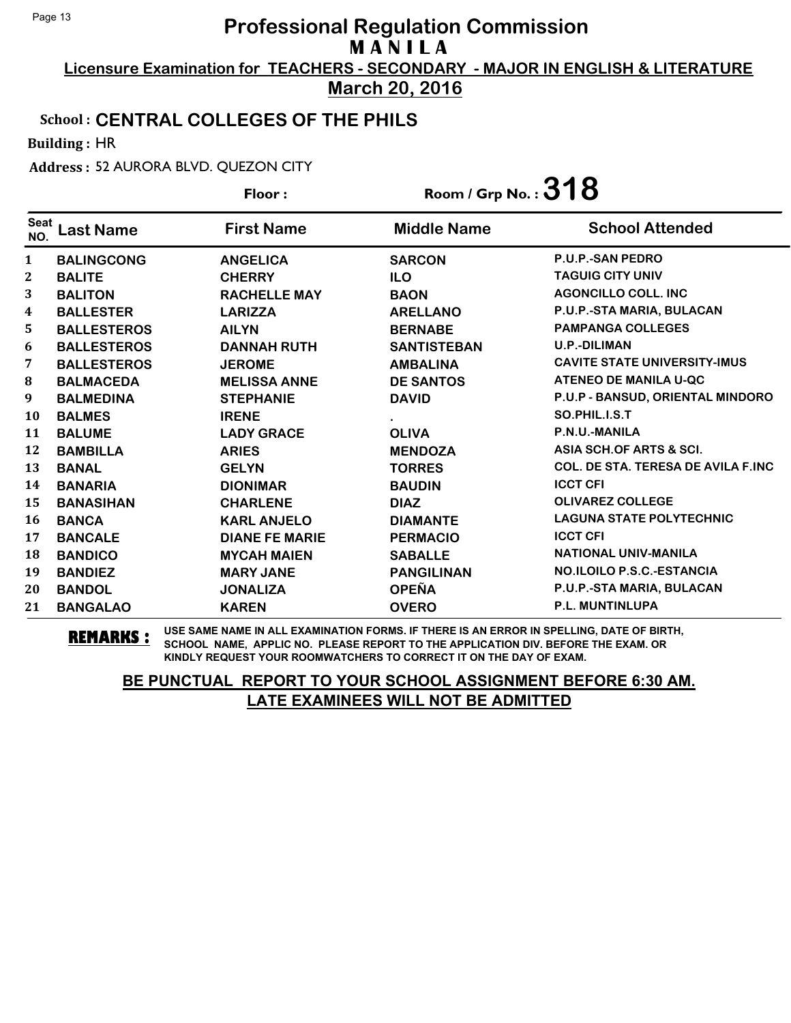**Licensure Examination for TEACHERS - SECONDARY - MAJOR IN ENGLISH & LITERATURE March 20, 2016**

### School : **CENTRAL COLLEGES OF THE PHILS**

Building : HR

Address : 52 AURORA BLVD. QUEZON CITY

| Floor:             |                    | Room / Grp No.: $318$ |                    |                                            |
|--------------------|--------------------|-----------------------|--------------------|--------------------------------------------|
| <b>Seat</b><br>NO. | <b>Last Name</b>   | <b>First Name</b>     | <b>Middle Name</b> | <b>School Attended</b>                     |
| $\mathbf{1}$       | <b>BALINGCONG</b>  | <b>ANGELICA</b>       | <b>SARCON</b>      | P.U.P.-SAN PEDRO                           |
| $\mathbf{2}$       | <b>BALITE</b>      | <b>CHERRY</b>         | <b>ILO</b>         | <b>TAGUIG CITY UNIV</b>                    |
| 3                  | <b>BALITON</b>     | <b>RACHELLE MAY</b>   | <b>BAON</b>        | <b>AGONCILLO COLL. INC</b>                 |
| $\boldsymbol{4}$   | <b>BALLESTER</b>   | <b>LARIZZA</b>        | <b>ARELLANO</b>    | P.U.P.-STA MARIA, BULACAN                  |
| 5                  | <b>BALLESTEROS</b> | <b>AILYN</b>          | <b>BERNABE</b>     | <b>PAMPANGA COLLEGES</b>                   |
| 6                  | <b>BALLESTEROS</b> | <b>DANNAH RUTH</b>    | <b>SANTISTEBAN</b> | <b>U.P.-DILIMAN</b>                        |
| 7                  | <b>BALLESTEROS</b> | <b>JEROME</b>         | <b>AMBALINA</b>    | <b>CAVITE STATE UNIVERSITY-IMUS</b>        |
| 8                  | <b>BALMACEDA</b>   | <b>MELISSA ANNE</b>   | <b>DE SANTOS</b>   | <b>ATENEO DE MANILA U-QC</b>               |
| 9                  | <b>BALMEDINA</b>   | <b>STEPHANIE</b>      | <b>DAVID</b>       | P.U.P - BANSUD, ORIENTAL MINDORO           |
| 10                 | <b>BALMES</b>      | <b>IRENE</b>          |                    | SO.PHIL.I.S.T                              |
| 11                 | <b>BALUME</b>      | <b>LADY GRACE</b>     | <b>OLIVA</b>       | P.N.U.-MANILA                              |
| 12                 | <b>BAMBILLA</b>    | <b>ARIES</b>          | <b>MENDOZA</b>     | ASIA SCH.OF ARTS & SCI.                    |
| 13                 | <b>BANAL</b>       | <b>GELYN</b>          | <b>TORRES</b>      | <b>COL. DE STA. TERESA DE AVILA F.INC.</b> |
| 14                 | <b>BANARIA</b>     | <b>DIONIMAR</b>       | <b>BAUDIN</b>      | <b>ICCT CFI</b>                            |
| 15                 | <b>BANASIHAN</b>   | <b>CHARLENE</b>       | <b>DIAZ</b>        | <b>OLIVAREZ COLLEGE</b>                    |
| <b>16</b>          | <b>BANCA</b>       | <b>KARL ANJELO</b>    | <b>DIAMANTE</b>    | <b>LAGUNA STATE POLYTECHNIC</b>            |
| 17                 | <b>BANCALE</b>     | <b>DIANE FE MARIE</b> | <b>PERMACIO</b>    | <b>ICCT CFI</b>                            |
| 18                 | <b>BANDICO</b>     | <b>MYCAH MAIEN</b>    | <b>SABALLE</b>     | <b>NATIONAL UNIV-MANILA</b>                |
| 19                 | <b>BANDIEZ</b>     | <b>MARY JANE</b>      | <b>PANGILINAN</b>  | NO.ILOILO P.S.C.-ESTANCIA                  |
| 20                 | <b>BANDOL</b>      | <b>JONALIZA</b>       | <b>OPEÑA</b>       | P.U.P.-STA MARIA, BULACAN                  |
| 21                 | <b>BANGALAO</b>    | <b>KAREN</b>          | <b>OVERO</b>       | P.L. MUNTINLUPA                            |

**REMARKS :** USE SAME NAME IN ALL EXAMINATION FORMS. IF THERE IS AN ERROR IN SPELLING, DATE OF BIRTH, SCHOOL NAME, APPLIC NO. PLEASE REPORT TO THE APPLICATION DIV. BEFORE THE EXAM. OR KINDLY REQUEST YOUR ROOMWATCHERS TO CORRECT IT ON THE DAY OF EXAM.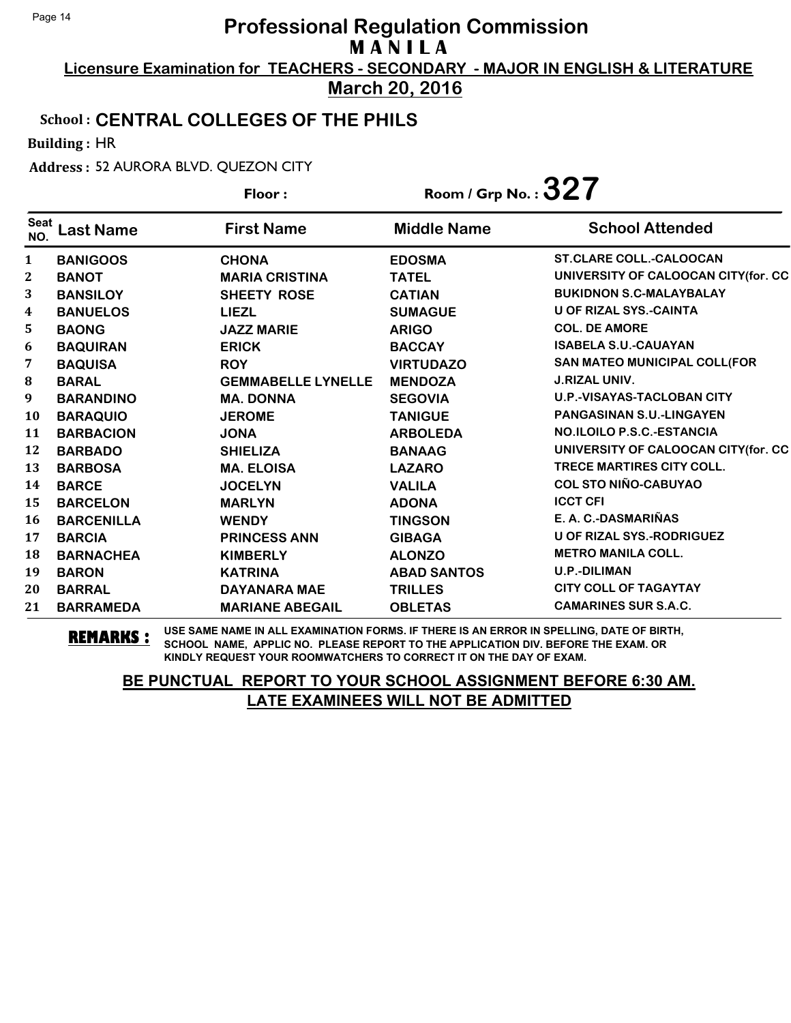**Licensure Examination for TEACHERS - SECONDARY - MAJOR IN ENGLISH & LITERATURE March 20, 2016**

#### School : **CENTRAL COLLEGES OF THE PHILS**

Building : HR

Address : 52 AURORA BLVD. QUEZON CITY

|                    |                   | Floor:                    | Room / Grp No. : $327$ |                                     |
|--------------------|-------------------|---------------------------|------------------------|-------------------------------------|
| <b>Seat</b><br>NO. | <b>Last Name</b>  | <b>First Name</b>         | <b>Middle Name</b>     | <b>School Attended</b>              |
| 1                  | <b>BANIGOOS</b>   | <b>CHONA</b>              | <b>EDOSMA</b>          | <b>ST.CLARE COLL.-CALOOCAN</b>      |
| 2                  | <b>BANOT</b>      | <b>MARIA CRISTINA</b>     | <b>TATEL</b>           | UNIVERSITY OF CALOOCAN CITY(for. CC |
| 3                  | <b>BANSILOY</b>   | <b>SHEETY ROSE</b>        | <b>CATIAN</b>          | <b>BUKIDNON S.C-MALAYBALAY</b>      |
| 4                  | <b>BANUELOS</b>   | <b>LIEZL</b>              | <b>SUMAGUE</b>         | <b>U OF RIZAL SYS.-CAINTA</b>       |
| 5                  | <b>BAONG</b>      | <b>JAZZ MARIE</b>         | <b>ARIGO</b>           | <b>COL. DE AMORE</b>                |
| 6                  | <b>BAQUIRAN</b>   | <b>ERICK</b>              | <b>BACCAY</b>          | <b>ISABELA S.U.-CAUAYAN</b>         |
| 7                  | <b>BAQUISA</b>    | <b>ROY</b>                | <b>VIRTUDAZO</b>       | SAN MATEO MUNICIPAL COLL(FOR        |
| ${\bf 8}$          | <b>BARAL</b>      | <b>GEMMABELLE LYNELLE</b> | <b>MENDOZA</b>         | <b>J.RIZAL UNIV.</b>                |
| 9                  | <b>BARANDINO</b>  | <b>MA. DONNA</b>          | <b>SEGOVIA</b>         | <b>U.P.-VISAYAS-TACLOBAN CITY</b>   |
| 10                 | <b>BARAQUIO</b>   | <b>JEROME</b>             | <b>TANIGUE</b>         | <b>PANGASINAN S.U.-LINGAYEN</b>     |
| 11                 | <b>BARBACION</b>  | <b>JONA</b>               | <b>ARBOLEDA</b>        | NO.ILOILO P.S.C.-ESTANCIA           |
| 12                 | <b>BARBADO</b>    | <b>SHIELIZA</b>           | <b>BANAAG</b>          | UNIVERSITY OF CALOOCAN CITY(for. CC |
| 13                 | <b>BARBOSA</b>    | <b>MA. ELOISA</b>         | <b>LAZARO</b>          | <b>TRECE MARTIRES CITY COLL.</b>    |
| 14                 | <b>BARCE</b>      | <b>JOCELYN</b>            | <b>VALILA</b>          | <b>COL STO NIÑO-CABUYAO</b>         |
| 15                 | <b>BARCELON</b>   | <b>MARLYN</b>             | <b>ADONA</b>           | <b>ICCT CFI</b>                     |
| 16                 | <b>BARCENILLA</b> | <b>WENDY</b>              | <b>TINGSON</b>         | E. A. C.-DASMARIÑAS                 |
| 17                 | <b>BARCIA</b>     | <b>PRINCESS ANN</b>       | <b>GIBAGA</b>          | <b>U OF RIZAL SYS.-RODRIGUEZ</b>    |
| 18                 | <b>BARNACHEA</b>  | <b>KIMBERLY</b>           | <b>ALONZO</b>          | <b>METRO MANILA COLL.</b>           |
| 19                 | <b>BARON</b>      | <b>KATRINA</b>            | <b>ABAD SANTOS</b>     | <b>U.P.-DILIMAN</b>                 |
| 20                 | <b>BARRAL</b>     | <b>DAYANARA MAE</b>       | <b>TRILLES</b>         | <b>CITY COLL OF TAGAYTAY</b>        |
| 21                 | <b>BARRAMEDA</b>  | <b>MARIANE ABEGAIL</b>    | <b>OBLETAS</b>         | <b>CAMARINES SUR S.A.C.</b>         |

**REMARKS :** USE SAME NAME IN ALL EXAMINATION FORMS. IF THERE IS AN ERROR IN SPELLING, DATE OF BIRTH, SCHOOL NAME, APPLIC NO. PLEASE REPORT TO THE APPLICATION DIV. BEFORE THE EXAM. OR KINDLY REQUEST YOUR ROOMWATCHERS TO CORRECT IT ON THE DAY OF EXAM.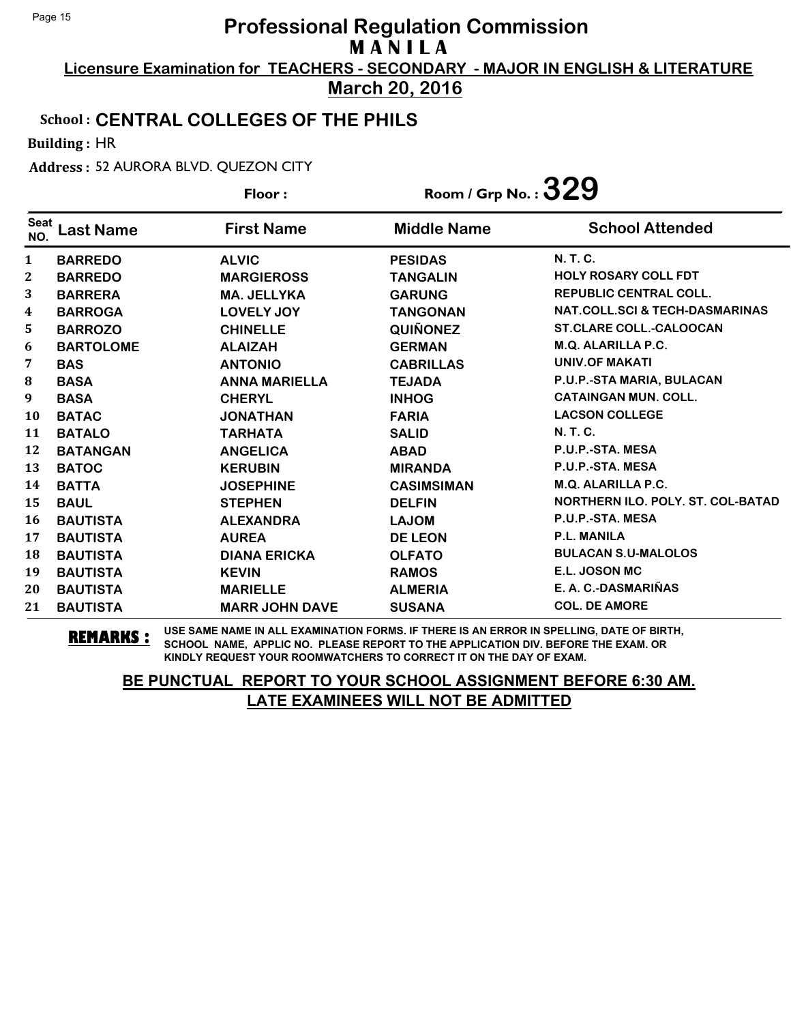**Licensure Examination for TEACHERS - SECONDARY - MAJOR IN ENGLISH & LITERATURE March 20, 2016**

#### School : **CENTRAL COLLEGES OF THE PHILS**

Building : HR

Address : 52 AURORA BLVD. QUEZON CITY

|                    |                  | Floor:                | Room / Grp No.: $329$ |                                           |
|--------------------|------------------|-----------------------|-----------------------|-------------------------------------------|
| <b>Seat</b><br>NO. | <b>Last Name</b> | <b>First Name</b>     | <b>Middle Name</b>    | <b>School Attended</b>                    |
| $\mathbf{1}$       | <b>BARREDO</b>   | <b>ALVIC</b>          | <b>PESIDAS</b>        | <b>N.T.C.</b>                             |
| $\mathbf{2}$       | <b>BARREDO</b>   | <b>MARGIEROSS</b>     | <b>TANGALIN</b>       | <b>HOLY ROSARY COLL FDT</b>               |
| 3                  | <b>BARRERA</b>   | <b>MA. JELLYKA</b>    | <b>GARUNG</b>         | <b>REPUBLIC CENTRAL COLL.</b>             |
| $\boldsymbol{4}$   | <b>BARROGA</b>   | <b>LOVELY JOY</b>     | <b>TANGONAN</b>       | <b>NAT.COLL.SCI &amp; TECH-DASMARINAS</b> |
| 5                  | <b>BARROZO</b>   | <b>CHINELLE</b>       | <b>QUIÑONEZ</b>       | <b>ST.CLARE COLL.-CALOOCAN</b>            |
| 6                  | <b>BARTOLOME</b> | <b>ALAIZAH</b>        | <b>GERMAN</b>         | M.Q. ALARILLA P.C.                        |
| 7                  | <b>BAS</b>       | <b>ANTONIO</b>        | <b>CABRILLAS</b>      | <b>UNIV.OF MAKATI</b>                     |
| 8                  | <b>BASA</b>      | <b>ANNA MARIELLA</b>  | <b>TEJADA</b>         | P.U.P.-STA MARIA, BULACAN                 |
| 9                  | <b>BASA</b>      | <b>CHERYL</b>         | <b>INHOG</b>          | <b>CATAINGAN MUN. COLL.</b>               |
| 10                 | <b>BATAC</b>     | <b>JONATHAN</b>       | <b>FARIA</b>          | <b>LACSON COLLEGE</b>                     |
| 11                 | <b>BATALO</b>    | <b>TARHATA</b>        | <b>SALID</b>          | <b>N.T.C.</b>                             |
| 12                 | <b>BATANGAN</b>  | <b>ANGELICA</b>       | <b>ABAD</b>           | P.U.P.-STA. MESA                          |
| 13                 | <b>BATOC</b>     | <b>KERUBIN</b>        | <b>MIRANDA</b>        | P.U.P.-STA. MESA                          |
| 14                 | <b>BATTA</b>     | <b>JOSEPHINE</b>      | <b>CASIMSIMAN</b>     | <b>M.Q. ALARILLA P.C.</b>                 |
| 15                 | <b>BAUL</b>      | <b>STEPHEN</b>        | <b>DELFIN</b>         | <b>NORTHERN ILO, POLY, ST. COL-BATAD</b>  |
| 16                 | <b>BAUTISTA</b>  | <b>ALEXANDRA</b>      | <b>LAJOM</b>          | P.U.P.-STA. MESA                          |
| 17                 | <b>BAUTISTA</b>  | <b>AUREA</b>          | <b>DE LEON</b>        | <b>P.L. MANILA</b>                        |
| 18                 | <b>BAUTISTA</b>  | <b>DIANA ERICKA</b>   | <b>OLFATO</b>         | <b>BULACAN S.U-MALOLOS</b>                |
| 19                 | <b>BAUTISTA</b>  | <b>KEVIN</b>          | <b>RAMOS</b>          | E.L. JOSON MC                             |
| 20                 | <b>BAUTISTA</b>  | <b>MARIELLE</b>       | <b>ALMERIA</b>        | E. A. C.-DASMARIÑAS                       |
| 21                 | <b>BAUTISTA</b>  | <b>MARR JOHN DAVE</b> | <b>SUSANA</b>         | <b>COL. DE AMORE</b>                      |

**REMARKS :** USE SAME NAME IN ALL EXAMINATION FORMS. IF THERE IS AN ERROR IN SPELLING, DATE OF BIRTH, SCHOOL NAME, APPLIC NO. PLEASE REPORT TO THE APPLICATION DIV. BEFORE THE EXAM. OR KINDLY REQUEST YOUR ROOMWATCHERS TO CORRECT IT ON THE DAY OF EXAM.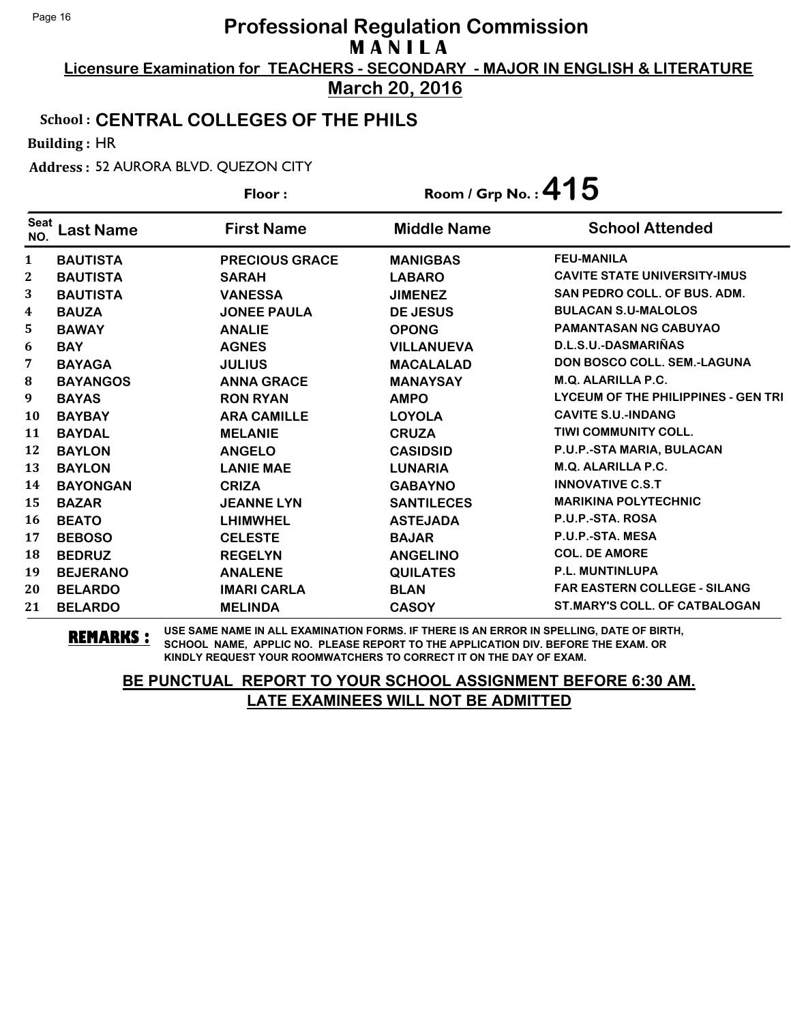**Licensure Examination for TEACHERS - SECONDARY - MAJOR IN ENGLISH & LITERATURE March 20, 2016**

#### School : **CENTRAL COLLEGES OF THE PHILS**

Building : HR

Address : 52 AURORA BLVD. QUEZON CITY

|                    |                  | Floor:                | Room / Grp No.: $415$ |                                            |
|--------------------|------------------|-----------------------|-----------------------|--------------------------------------------|
| <b>Seat</b><br>NO. | <b>Last Name</b> | <b>First Name</b>     | <b>Middle Name</b>    | <b>School Attended</b>                     |
| $\mathbf{1}$       | <b>BAUTISTA</b>  | <b>PRECIOUS GRACE</b> | <b>MANIGBAS</b>       | <b>FEU-MANILA</b>                          |
| $\boldsymbol{2}$   | <b>BAUTISTA</b>  | <b>SARAH</b>          | <b>LABARO</b>         | <b>CAVITE STATE UNIVERSITY-IMUS</b>        |
| 3                  | <b>BAUTISTA</b>  | <b>VANESSA</b>        | <b>JIMENEZ</b>        | <b>SAN PEDRO COLL. OF BUS. ADM.</b>        |
| 4                  | <b>BAUZA</b>     | <b>JONEE PAULA</b>    | <b>DE JESUS</b>       | <b>BULACAN S.U-MALOLOS</b>                 |
| 5.                 | <b>BAWAY</b>     | <b>ANALIE</b>         | <b>OPONG</b>          | <b>PAMANTASAN NG CABUYAO</b>               |
| 6                  | <b>BAY</b>       | <b>AGNES</b>          | <b>VILLANUEVA</b>     | D.L.S.U.-DASMARIÑAS                        |
| 7                  | <b>BAYAGA</b>    | <b>JULIUS</b>         | <b>MACALALAD</b>      | <b>DON BOSCO COLL, SEM.-LAGUNA</b>         |
| 8                  | <b>BAYANGOS</b>  | <b>ANNA GRACE</b>     | <b>MANAYSAY</b>       | <b>M.Q. ALARILLA P.C.</b>                  |
| $\boldsymbol{9}$   | <b>BAYAS</b>     | <b>RON RYAN</b>       | <b>AMPO</b>           | <b>LYCEUM OF THE PHILIPPINES - GEN TRI</b> |
| 10                 | <b>BAYBAY</b>    | <b>ARA CAMILLE</b>    | <b>LOYOLA</b>         | <b>CAVITE S.U.-INDANG</b>                  |
| 11                 | <b>BAYDAL</b>    | <b>MELANIE</b>        | <b>CRUZA</b>          | <b>TIWI COMMUNITY COLL.</b>                |
| 12                 | <b>BAYLON</b>    | <b>ANGELO</b>         | <b>CASIDSID</b>       | P.U.P.-STA MARIA, BULACAN                  |
| 13                 | <b>BAYLON</b>    | <b>LANIE MAE</b>      | <b>LUNARIA</b>        | <b>M.Q. ALARILLA P.C.</b>                  |
| 14                 | <b>BAYONGAN</b>  | <b>CRIZA</b>          | <b>GABAYNO</b>        | <b>INNOVATIVE C.S.T</b>                    |
| 15                 | <b>BAZAR</b>     | <b>JEANNE LYN</b>     | <b>SANTILECES</b>     | <b>MARIKINA POLYTECHNIC</b>                |
| 16                 | <b>BEATO</b>     | <b>LHIMWHEL</b>       | <b>ASTEJADA</b>       | P.U.P.-STA. ROSA                           |
| 17                 | <b>BEBOSO</b>    | <b>CELESTE</b>        | <b>BAJAR</b>          | P.U.P.-STA. MESA                           |
| 18                 | <b>BEDRUZ</b>    | <b>REGELYN</b>        | <b>ANGELINO</b>       | <b>COL. DE AMORE</b>                       |
| 19                 | <b>BEJERANO</b>  | <b>ANALENE</b>        | <b>QUILATES</b>       | <b>P.L. MUNTINLUPA</b>                     |
| 20                 | <b>BELARDO</b>   | <b>IMARI CARLA</b>    | <b>BLAN</b>           | <b>FAR EASTERN COLLEGE - SILANG</b>        |
| 21                 | <b>BELARDO</b>   | <b>MELINDA</b>        | <b>CASOY</b>          | <b>ST.MARY'S COLL. OF CATBALOGAN</b>       |

**REMARKS :** USE SAME NAME IN ALL EXAMINATION FORMS. IF THERE IS AN ERROR IN SPELLING, DATE OF BIRTH, SCHOOL NAME, APPLIC NO. PLEASE REPORT TO THE APPLICATION DIV. BEFORE THE EXAM. OR KINDLY REQUEST YOUR ROOMWATCHERS TO CORRECT IT ON THE DAY OF EXAM.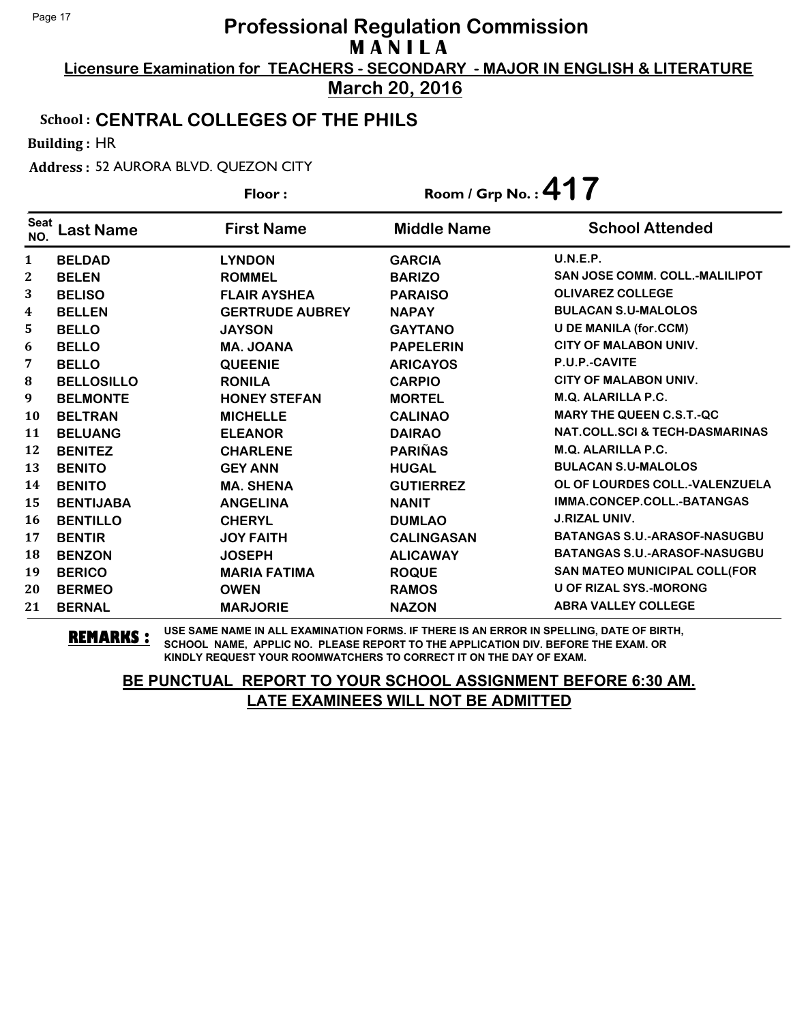**Licensure Examination for TEACHERS - SECONDARY - MAJOR IN ENGLISH & LITERATURE March 20, 2016**

### School : **CENTRAL COLLEGES OF THE PHILS**

Building : HR

Address : 52 AURORA BLVD. QUEZON CITY

| Floor:             |                   | Room / Grp No.: $417$  |                    |                                           |
|--------------------|-------------------|------------------------|--------------------|-------------------------------------------|
| <b>Seat</b><br>NO. | <b>Last Name</b>  | <b>First Name</b>      | <b>Middle Name</b> | <b>School Attended</b>                    |
| 1                  | <b>BELDAD</b>     | <b>LYNDON</b>          | <b>GARCIA</b>      | U.N.E.P.                                  |
| $\mathbf{2}$       | <b>BELEN</b>      | <b>ROMMEL</b>          | <b>BARIZO</b>      | <b>SAN JOSE COMM. COLL.-MALILIPOT</b>     |
| 3                  | <b>BELISO</b>     | <b>FLAIR AYSHEA</b>    | <b>PARAISO</b>     | <b>OLIVAREZ COLLEGE</b>                   |
| 4                  | <b>BELLEN</b>     | <b>GERTRUDE AUBREY</b> | <b>NAPAY</b>       | <b>BULACAN S.U-MALOLOS</b>                |
| 5                  | <b>BELLO</b>      | <b>JAYSON</b>          | <b>GAYTANO</b>     | <b>U DE MANILA (for.CCM)</b>              |
| 6                  | <b>BELLO</b>      | <b>MA. JOANA</b>       | <b>PAPELERIN</b>   | <b>CITY OF MALABON UNIV.</b>              |
| 7                  | <b>BELLO</b>      | <b>QUEENIE</b>         | <b>ARICAYOS</b>    | P.U.P.-CAVITE                             |
| 8                  | <b>BELLOSILLO</b> | <b>RONILA</b>          | <b>CARPIO</b>      | <b>CITY OF MALABON UNIV.</b>              |
| 9                  | <b>BELMONTE</b>   | <b>HONEY STEFAN</b>    | <b>MORTEL</b>      | <b>M.Q. ALARILLA P.C.</b>                 |
| 10                 | <b>BELTRAN</b>    | <b>MICHELLE</b>        | <b>CALINAO</b>     | <b>MARY THE QUEEN C.S.T.-QC</b>           |
| 11                 | <b>BELUANG</b>    | <b>ELEANOR</b>         | <b>DAIRAO</b>      | <b>NAT.COLL.SCI &amp; TECH-DASMARINAS</b> |
| 12                 | <b>BENITEZ</b>    | <b>CHARLENE</b>        | <b>PARIÑAS</b>     | <b>M.Q. ALARILLA P.C.</b>                 |
| 13                 | <b>BENITO</b>     | <b>GEY ANN</b>         | <b>HUGAL</b>       | <b>BULACAN S.U-MALOLOS</b>                |
| 14                 | <b>BENITO</b>     | <b>MA. SHENA</b>       | <b>GUTIERREZ</b>   | OL OF LOURDES COLL.-VALENZUELA            |
| 15                 | <b>BENTIJABA</b>  | <b>ANGELINA</b>        | <b>NANIT</b>       | IMMA.CONCEP.COLL.-BATANGAS                |
| <b>16</b>          | <b>BENTILLO</b>   | <b>CHERYL</b>          | <b>DUMLAO</b>      | <b>J.RIZAL UNIV.</b>                      |
| 17                 | <b>BENTIR</b>     | <b>JOY FAITH</b>       | <b>CALINGASAN</b>  | <b>BATANGAS S.U.-ARASOF-NASUGBU</b>       |
| 18                 | <b>BENZON</b>     | <b>JOSEPH</b>          | <b>ALICAWAY</b>    | <b>BATANGAS S.U.-ARASOF-NASUGBU</b>       |
| 19                 | <b>BERICO</b>     | <b>MARIA FATIMA</b>    | <b>ROQUE</b>       | SAN MATEO MUNICIPAL COLL(FOR              |
| 20                 | <b>BERMEO</b>     | <b>OWEN</b>            | <b>RAMOS</b>       | <b>U OF RIZAL SYS.-MORONG</b>             |
| 21                 | <b>BERNAL</b>     | <b>MARJORIE</b>        | <b>NAZON</b>       | <b>ABRA VALLEY COLLEGE</b>                |

**REMARKS :** USE SAME NAME IN ALL EXAMINATION FORMS. IF THERE IS AN ERROR IN SPELLING, DATE OF BIRTH, SCHOOL NAME, APPLIC NO. PLEASE REPORT TO THE APPLICATION DIV. BEFORE THE EXAM. OR KINDLY REQUEST YOUR ROOMWATCHERS TO CORRECT IT ON THE DAY OF EXAM.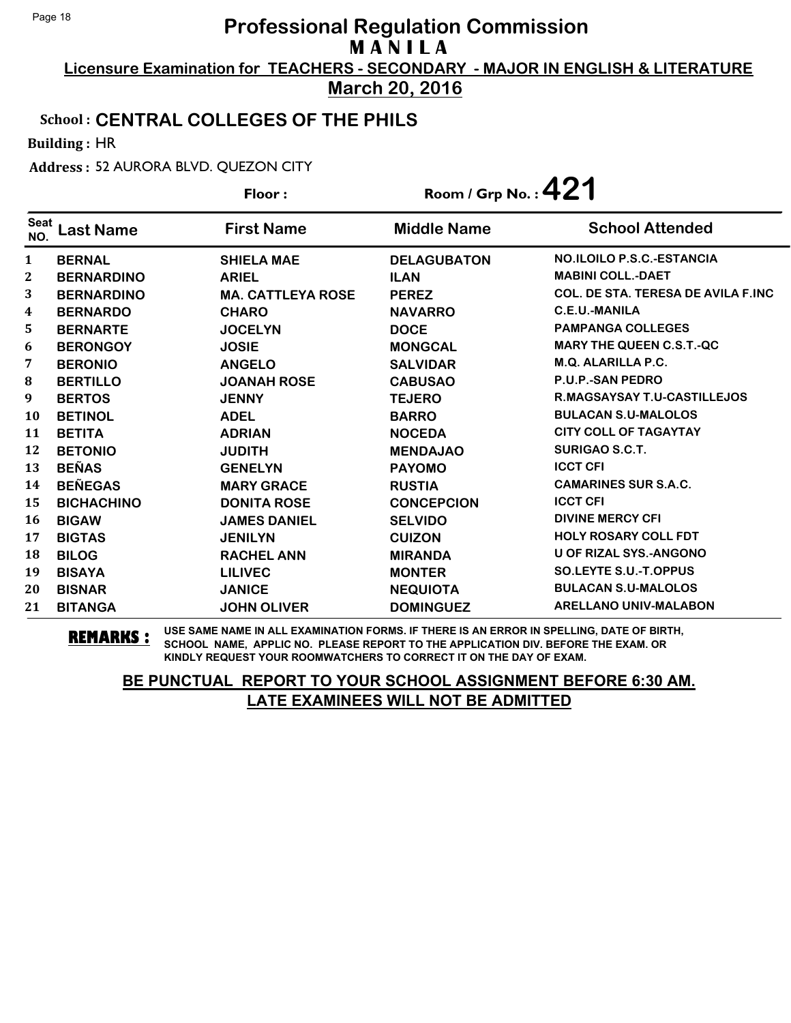**Licensure Examination for TEACHERS - SECONDARY - MAJOR IN ENGLISH & LITERATURE March 20, 2016**

#### School : **CENTRAL COLLEGES OF THE PHILS**

Building : HR

Address : 52 AURORA BLVD. QUEZON CITY

|                    |                   | Floor:                   | Room / Grp No.: $421$ |                                            |
|--------------------|-------------------|--------------------------|-----------------------|--------------------------------------------|
| <b>Seat</b><br>NO. | <b>Last Name</b>  | <b>First Name</b>        | <b>Middle Name</b>    | <b>School Attended</b>                     |
| $\mathbf{1}$       | <b>BERNAL</b>     | <b>SHIELA MAE</b>        | <b>DELAGUBATON</b>    | <b>NO.ILOILO P.S.C.-ESTANCIA</b>           |
| 2                  | <b>BERNARDINO</b> | <b>ARIEL</b>             | <b>ILAN</b>           | <b>MABINI COLL.-DAET</b>                   |
| 3                  | <b>BERNARDINO</b> | <b>MA. CATTLEYA ROSE</b> | <b>PEREZ</b>          | <b>COL. DE STA. TERESA DE AVILA F.INC.</b> |
| 4                  | <b>BERNARDO</b>   | <b>CHARO</b>             | <b>NAVARRO</b>        | <b>C.E.U.-MANILA</b>                       |
| 5                  | <b>BERNARTE</b>   | <b>JOCELYN</b>           | <b>DOCE</b>           | <b>PAMPANGA COLLEGES</b>                   |
| 6                  | <b>BERONGOY</b>   | <b>JOSIE</b>             | <b>MONGCAL</b>        | <b>MARY THE QUEEN C.S.T.-QC</b>            |
| 7                  | <b>BERONIO</b>    | <b>ANGELO</b>            | <b>SALVIDAR</b>       | <b>M.Q. ALARILLA P.C.</b>                  |
| $\bf{8}$           | <b>BERTILLO</b>   | <b>JOANAH ROSE</b>       | <b>CABUSAO</b>        | <b>P.U.P.-SAN PEDRO</b>                    |
| 9                  | <b>BERTOS</b>     | <b>JENNY</b>             | <b>TEJERO</b>         | <b>R.MAGSAYSAY T.U-CASTILLEJOS</b>         |
| <b>10</b>          | <b>BETINOL</b>    | <b>ADEL</b>              | <b>BARRO</b>          | <b>BULACAN S.U-MALOLOS</b>                 |
| 11                 | <b>BETITA</b>     | <b>ADRIAN</b>            | <b>NOCEDA</b>         | <b>CITY COLL OF TAGAYTAY</b>               |
| 12                 | <b>BETONIO</b>    | <b>JUDITH</b>            | <b>MENDAJAO</b>       | <b>SURIGAO S.C.T.</b>                      |
| 13                 | <b>BEÑAS</b>      | <b>GENELYN</b>           | <b>PAYOMO</b>         | <b>ICCT CFI</b>                            |
| 14                 | <b>BEÑEGAS</b>    | <b>MARY GRACE</b>        | <b>RUSTIA</b>         | <b>CAMARINES SUR S.A.C.</b>                |
| 15                 | <b>BICHACHINO</b> | <b>DONITA ROSE</b>       | <b>CONCEPCION</b>     | <b>ICCT CFI</b>                            |
| <b>16</b>          | <b>BIGAW</b>      | <b>JAMES DANIEL</b>      | <b>SELVIDO</b>        | <b>DIVINE MERCY CFI</b>                    |
| 17                 | <b>BIGTAS</b>     | <b>JENILYN</b>           | <b>CUIZON</b>         | <b>HOLY ROSARY COLL FDT</b>                |
| 18                 | <b>BILOG</b>      | <b>RACHEL ANN</b>        | <b>MIRANDA</b>        | <b>U OF RIZAL SYS.-ANGONO</b>              |
| 19                 | <b>BISAYA</b>     | <b>LILIVEC</b>           | <b>MONTER</b>         | <b>SO.LEYTE S.U.-T.OPPUS</b>               |
| 20                 | <b>BISNAR</b>     | <b>JANICE</b>            | <b>NEQUIOTA</b>       | <b>BULACAN S.U-MALOLOS</b>                 |
| 21                 | <b>BITANGA</b>    | <b>JOHN OLIVER</b>       | <b>DOMINGUEZ</b>      | <b>ARELLANO UNIV-MALABON</b>               |

**REMARKS :** USE SAME NAME IN ALL EXAMINATION FORMS. IF THERE IS AN ERROR IN SPELLING, DATE OF BIRTH, SCHOOL NAME, APPLIC NO. PLEASE REPORT TO THE APPLICATION DIV. BEFORE THE EXAM. OR KINDLY REQUEST YOUR ROOMWATCHERS TO CORRECT IT ON THE DAY OF EXAM.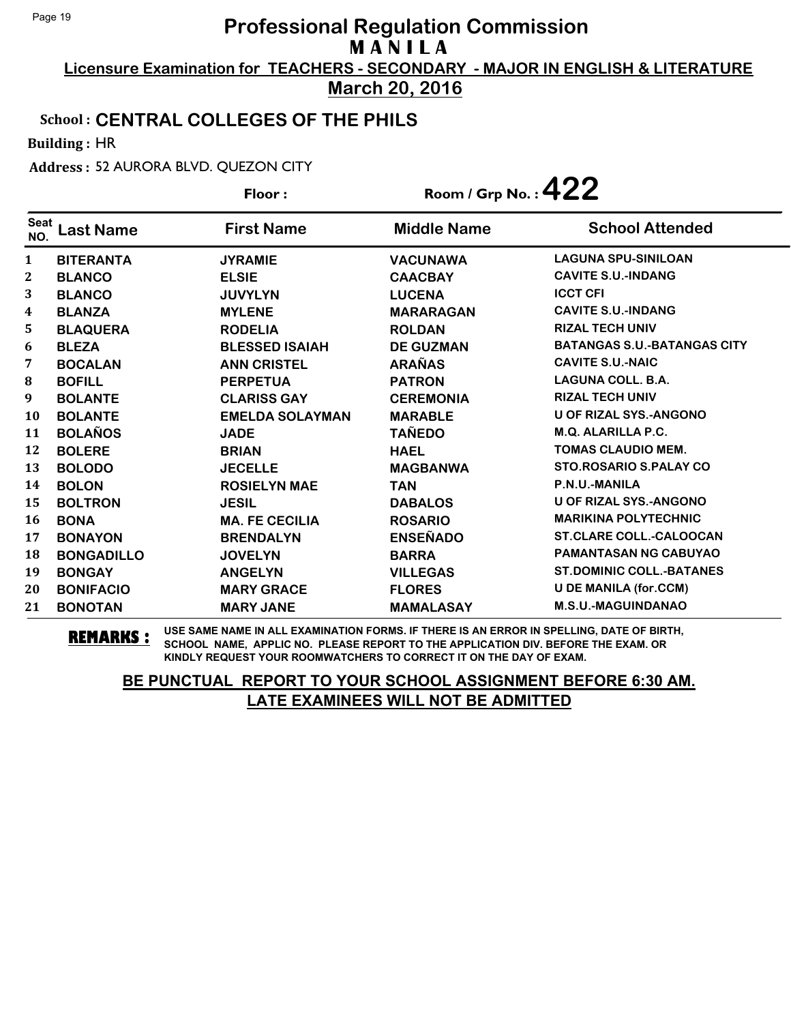**Licensure Examination for TEACHERS - SECONDARY - MAJOR IN ENGLISH & LITERATURE March 20, 2016**

#### School : **CENTRAL COLLEGES OF THE PHILS**

Building : HR

Address : 52 AURORA BLVD. QUEZON CITY

| Floor:             |                   |                        | Room / Grp No.: $422$ |                                    |
|--------------------|-------------------|------------------------|-----------------------|------------------------------------|
| <b>Seat</b><br>NO. | <b>Last Name</b>  | <b>First Name</b>      | <b>Middle Name</b>    | <b>School Attended</b>             |
| $\mathbf{1}$       | <b>BITERANTA</b>  | <b>JYRAMIE</b>         | <b>VACUNAWA</b>       | <b>LAGUNA SPU-SINILOAN</b>         |
| 2                  | <b>BLANCO</b>     | <b>ELSIE</b>           | <b>CAACBAY</b>        | <b>CAVITE S.U.-INDANG</b>          |
| 3                  | <b>BLANCO</b>     | <b>JUVYLYN</b>         | <b>LUCENA</b>         | <b>ICCT CFI</b>                    |
| 4                  | <b>BLANZA</b>     | <b>MYLENE</b>          | <b>MARARAGAN</b>      | <b>CAVITE S.U.-INDANG</b>          |
| 5                  | <b>BLAQUERA</b>   | <b>RODELIA</b>         | <b>ROLDAN</b>         | <b>RIZAL TECH UNIV</b>             |
| 6                  | <b>BLEZA</b>      | <b>BLESSED ISAIAH</b>  | <b>DE GUZMAN</b>      | <b>BATANGAS S.U.-BATANGAS CITY</b> |
| 7                  | <b>BOCALAN</b>    | <b>ANN CRISTEL</b>     | <b>ARAÑAS</b>         | <b>CAVITE S.U.-NAIC</b>            |
| 8                  | <b>BOFILL</b>     | <b>PERPETUA</b>        | <b>PATRON</b>         | <b>LAGUNA COLL. B.A.</b>           |
| 9                  | <b>BOLANTE</b>    | <b>CLARISS GAY</b>     | <b>CEREMONIA</b>      | <b>RIZAL TECH UNIV</b>             |
| 10                 | <b>BOLANTE</b>    | <b>EMELDA SOLAYMAN</b> | <b>MARABLE</b>        | <b>U OF RIZAL SYS.-ANGONO</b>      |
| 11                 | <b>BOLAÑOS</b>    | <b>JADE</b>            | <b>TAÑEDO</b>         | <b>M.Q. ALARILLA P.C.</b>          |
| 12                 | <b>BOLERE</b>     | <b>BRIAN</b>           | <b>HAEL</b>           | <b>TOMAS CLAUDIO MEM.</b>          |
| 13                 | <b>BOLODO</b>     | <b>JECELLE</b>         | <b>MAGBANWA</b>       | <b>STO.ROSARIO S.PALAY CO</b>      |
| 14                 | <b>BOLON</b>      | <b>ROSIELYN MAE</b>    | <b>TAN</b>            | P.N.U.-MANILA                      |
| 15                 | <b>BOLTRON</b>    | <b>JESIL</b>           | <b>DABALOS</b>        | <b>U OF RIZAL SYS.-ANGONO</b>      |
| 16                 | <b>BONA</b>       | <b>MA. FE CECILIA</b>  | <b>ROSARIO</b>        | <b>MARIKINA POLYTECHNIC</b>        |
| 17                 | <b>BONAYON</b>    | <b>BRENDALYN</b>       | <b>ENSEÑADO</b>       | <b>ST.CLARE COLL.-CALOOCAN</b>     |
| 18                 | <b>BONGADILLO</b> | <b>JOVELYN</b>         | <b>BARRA</b>          | <b>PAMANTASAN NG CABUYAO</b>       |
| 19                 | <b>BONGAY</b>     | <b>ANGELYN</b>         | <b>VILLEGAS</b>       | <b>ST.DOMINIC COLL.-BATANES</b>    |
| 20                 | <b>BONIFACIO</b>  | <b>MARY GRACE</b>      | <b>FLORES</b>         | <b>U DE MANILA (for.CCM)</b>       |
| 21                 | <b>BONOTAN</b>    | <b>MARY JANE</b>       | <b>MAMALASAY</b>      | <b>M.S.U.-MAGUINDANAO</b>          |

**REMARKS :** USE SAME NAME IN ALL EXAMINATION FORMS. IF THERE IS AN ERROR IN SPELLING, DATE OF BIRTH, SCHOOL NAME, APPLIC NO. PLEASE REPORT TO THE APPLICATION DIV. BEFORE THE EXAM. OR KINDLY REQUEST YOUR ROOMWATCHERS TO CORRECT IT ON THE DAY OF EXAM.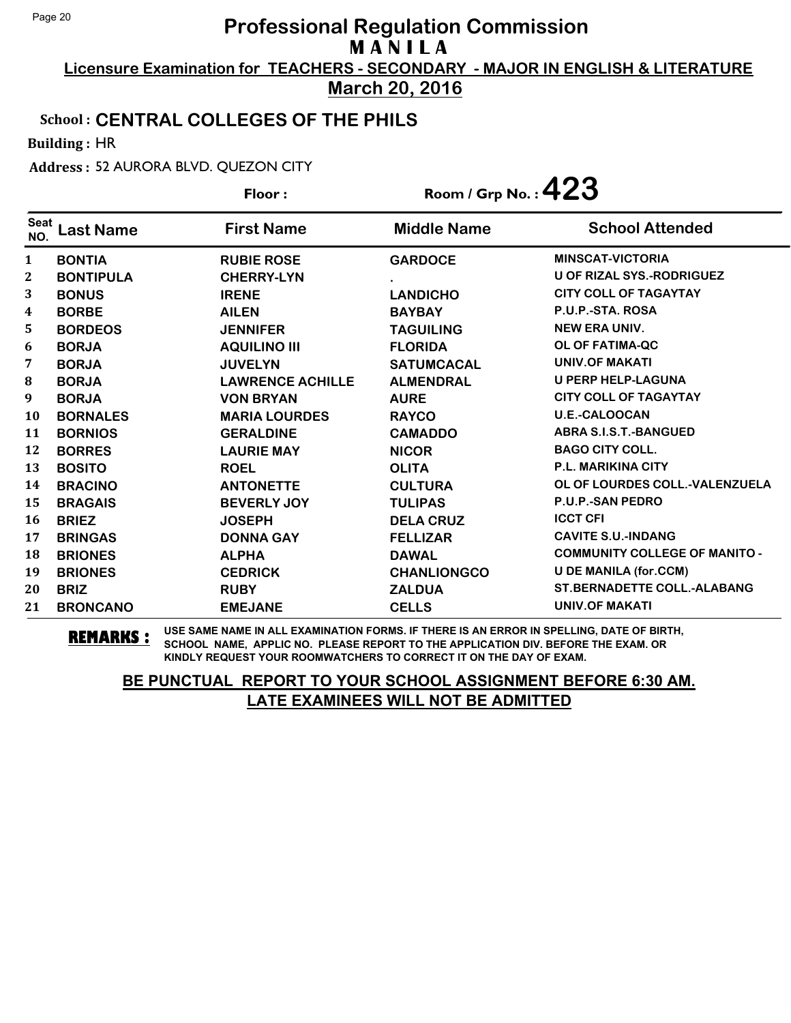**Licensure Examination for TEACHERS - SECONDARY - MAJOR IN ENGLISH & LITERATURE March 20, 2016**

### School : **CENTRAL COLLEGES OF THE PHILS**

Building : HR

Address : 52 AURORA BLVD. QUEZON CITY

|                    |                  | Floor:                  | Room / Grp No.: $423$ |                                      |
|--------------------|------------------|-------------------------|-----------------------|--------------------------------------|
| <b>Seat</b><br>NO. | <b>Last Name</b> | <b>First Name</b>       | <b>Middle Name</b>    | <b>School Attended</b>               |
| $\mathbf{1}$       | <b>BONTIA</b>    | <b>RUBIE ROSE</b>       | <b>GARDOCE</b>        | <b>MINSCAT-VICTORIA</b>              |
| 2                  | <b>BONTIPULA</b> | <b>CHERRY-LYN</b>       |                       | U OF RIZAL SYS.-RODRIGUEZ            |
| 3                  | <b>BONUS</b>     | <b>IRENE</b>            | <b>LANDICHO</b>       | <b>CITY COLL OF TAGAYTAY</b>         |
| 4                  | <b>BORBE</b>     | <b>AILEN</b>            | <b>BAYBAY</b>         | P.U.P.-STA. ROSA                     |
| 5                  | <b>BORDEOS</b>   | <b>JENNIFER</b>         | <b>TAGUILING</b>      | <b>NEW ERA UNIV.</b>                 |
| 6                  | <b>BORJA</b>     | <b>AQUILINO III</b>     | <b>FLORIDA</b>        | <b>OL OF FATIMA-QC</b>               |
| 7                  | <b>BORJA</b>     | <b>JUVELYN</b>          | <b>SATUMCACAL</b>     | <b>UNIV.OF MAKATI</b>                |
| 8                  | <b>BORJA</b>     | <b>LAWRENCE ACHILLE</b> | <b>ALMENDRAL</b>      | <b>U PERP HELP-LAGUNA</b>            |
| 9                  | <b>BORJA</b>     | <b>VON BRYAN</b>        | <b>AURE</b>           | <b>CITY COLL OF TAGAYTAY</b>         |
| <b>10</b>          | <b>BORNALES</b>  | <b>MARIA LOURDES</b>    | <b>RAYCO</b>          | <b>U.E.-CALOOCAN</b>                 |
| 11                 | <b>BORNIOS</b>   | <b>GERALDINE</b>        | <b>CAMADDO</b>        | <b>ABRA S.I.S.T.-BANGUED</b>         |
| 12                 | <b>BORRES</b>    | <b>LAURIE MAY</b>       | <b>NICOR</b>          | <b>BAGO CITY COLL.</b>               |
| 13                 | <b>BOSITO</b>    | <b>ROEL</b>             | <b>OLITA</b>          | <b>P.L. MARIKINA CITY</b>            |
| 14                 | <b>BRACINO</b>   | <b>ANTONETTE</b>        | <b>CULTURA</b>        | OL OF LOURDES COLL.-VALENZUELA       |
| 15                 | <b>BRAGAIS</b>   | <b>BEVERLY JOY</b>      | <b>TULIPAS</b>        | <b>P.U.P.-SAN PEDRO</b>              |
| <b>16</b>          | <b>BRIEZ</b>     | <b>JOSEPH</b>           | <b>DELA CRUZ</b>      | <b>ICCT CFI</b>                      |
| 17                 | <b>BRINGAS</b>   | <b>DONNA GAY</b>        | <b>FELLIZAR</b>       | <b>CAVITE S.U.-INDANG</b>            |
| 18                 | <b>BRIONES</b>   | <b>ALPHA</b>            | <b>DAWAL</b>          | <b>COMMUNITY COLLEGE OF MANITO -</b> |
| 19                 | <b>BRIONES</b>   | <b>CEDRICK</b>          | <b>CHANLIONGCO</b>    | <b>U DE MANILA (for.CCM)</b>         |
| 20                 | <b>BRIZ</b>      | <b>RUBY</b>             | <b>ZALDUA</b>         | <b>ST.BERNADETTE COLL.-ALABANG</b>   |
| 21                 | <b>BRONCANO</b>  | <b>EMEJANE</b>          | <b>CELLS</b>          | <b>UNIV.OF MAKATI</b>                |

**REMARKS :** USE SAME NAME IN ALL EXAMINATION FORMS. IF THERE IS AN ERROR IN SPELLING, DATE OF BIRTH, SCHOOL NAME, APPLIC NO. PLEASE REPORT TO THE APPLICATION DIV. BEFORE THE EXAM. OR KINDLY REQUEST YOUR ROOMWATCHERS TO CORRECT IT ON THE DAY OF EXAM.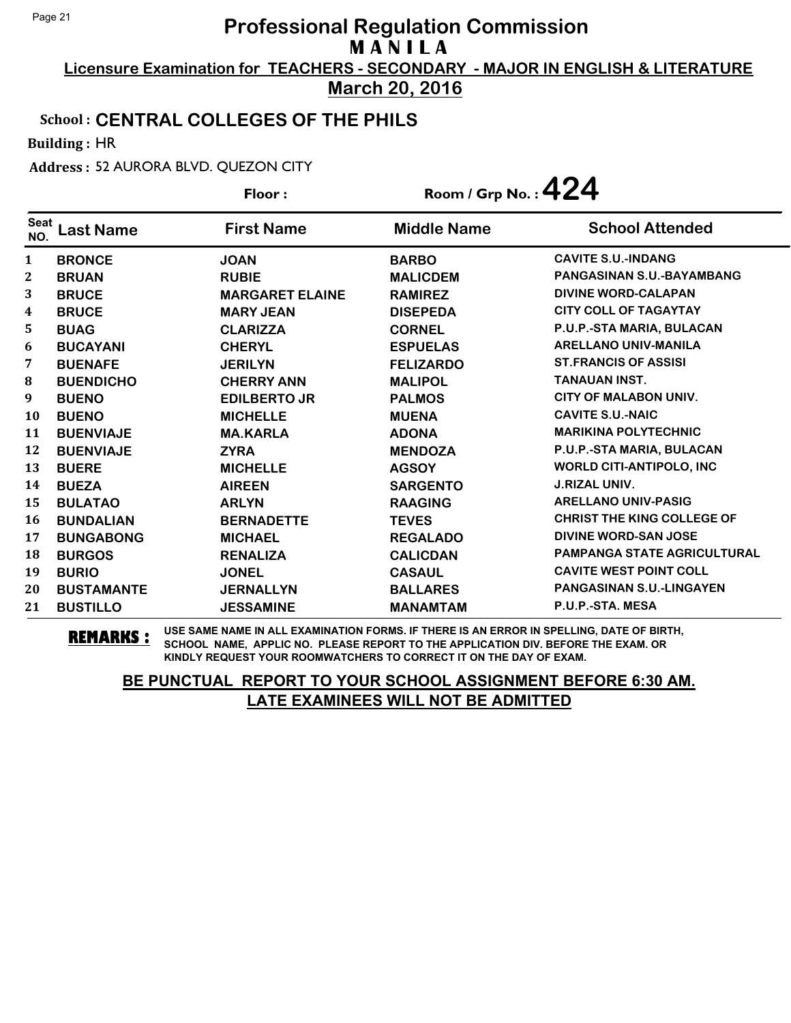**Licensure Examination for TEACHERS - SECONDARY - MAJOR IN ENGLISH & LITERATURE March 20, 2016**

### School : **CENTRAL COLLEGES OF THE PHILS**

Building : HR

Address : 52 AURORA BLVD. QUEZON CITY

|                    |                   | Floor:                 | Room / Grp No.: $424$ |                                    |
|--------------------|-------------------|------------------------|-----------------------|------------------------------------|
| <b>Seat</b><br>NO. | <b>Last Name</b>  | <b>First Name</b>      | <b>Middle Name</b>    | <b>School Attended</b>             |
| $\mathbf{1}$       | <b>BRONCE</b>     | <b>JOAN</b>            | <b>BARBO</b>          | <b>CAVITE S.U.-INDANG</b>          |
| $\mathbf{2}$       | <b>BRUAN</b>      | <b>RUBIE</b>           | <b>MALICDEM</b>       | PANGASINAN S.U.-BAYAMBANG          |
| 3                  | <b>BRUCE</b>      | <b>MARGARET ELAINE</b> | <b>RAMIREZ</b>        | <b>DIVINE WORD-CALAPAN</b>         |
| 4                  | <b>BRUCE</b>      | <b>MARY JEAN</b>       | <b>DISEPEDA</b>       | <b>CITY COLL OF TAGAYTAY</b>       |
| 5                  | <b>BUAG</b>       | <b>CLARIZZA</b>        | <b>CORNEL</b>         | P.U.P.-STA MARIA, BULACAN          |
| 6                  | <b>BUCAYANI</b>   | <b>CHERYL</b>          | <b>ESPUELAS</b>       | <b>ARELLANO UNIV-MANILA</b>        |
| 7                  | <b>BUENAFE</b>    | <b>JERILYN</b>         | <b>FELIZARDO</b>      | <b>ST. FRANCIS OF ASSISI</b>       |
| 8                  | <b>BUENDICHO</b>  | <b>CHERRY ANN</b>      | <b>MALIPOL</b>        | <b>TANAUAN INST.</b>               |
| 9                  | <b>BUENO</b>      | <b>EDILBERTO JR</b>    | <b>PALMOS</b>         | <b>CITY OF MALABON UNIV.</b>       |
| 10                 | <b>BUENO</b>      | <b>MICHELLE</b>        | <b>MUENA</b>          | <b>CAVITE S.U.-NAIC</b>            |
| 11                 | <b>BUENVIAJE</b>  | <b>MA.KARLA</b>        | <b>ADONA</b>          | <b>MARIKINA POLYTECHNIC</b>        |
| 12                 | <b>BUENVIAJE</b>  | <b>ZYRA</b>            | <b>MENDOZA</b>        | P.U.P.-STA MARIA, BULACAN          |
| 13                 | <b>BUERE</b>      | <b>MICHELLE</b>        | <b>AGSOY</b>          | <b>WORLD CITI-ANTIPOLO, INC</b>    |
| 14                 | <b>BUEZA</b>      | <b>AIREEN</b>          | <b>SARGENTO</b>       | <b>J.RIZAL UNIV.</b>               |
| 15                 | <b>BULATAO</b>    | <b>ARLYN</b>           | <b>RAAGING</b>        | <b>ARELLANO UNIV-PASIG</b>         |
| 16                 | <b>BUNDALIAN</b>  | <b>BERNADETTE</b>      | <b>TEVES</b>          | <b>CHRIST THE KING COLLEGE OF</b>  |
| 17                 | <b>BUNGABONG</b>  | <b>MICHAEL</b>         | <b>REGALADO</b>       | DIVINE WORD-SAN JOSE               |
| 18                 | <b>BURGOS</b>     | <b>RENALIZA</b>        | <b>CALICDAN</b>       | <b>PAMPANGA STATE AGRICULTURAL</b> |
| 19                 | <b>BURIO</b>      | <b>JONEL</b>           | <b>CASAUL</b>         | <b>CAVITE WEST POINT COLL</b>      |
| 20                 | <b>BUSTAMANTE</b> | <b>JERNALLYN</b>       | <b>BALLARES</b>       | <b>PANGASINAN S.U.-LINGAYEN</b>    |
| 21                 | <b>BUSTILLO</b>   | <b>JESSAMINE</b>       | <b>MANAMTAM</b>       | P.U.P.-STA. MESA                   |

**REMARKS :** USE SAME NAME IN ALL EXAMINATION FORMS. IF THERE IS AN ERROR IN SPELLING, DATE OF BIRTH, SCHOOL NAME, APPLIC NO. PLEASE REPORT TO THE APPLICATION DIV. BEFORE THE EXAM. OR KINDLY REQUEST YOUR ROOMWATCHERS TO CORRECT IT ON THE DAY OF EXAM.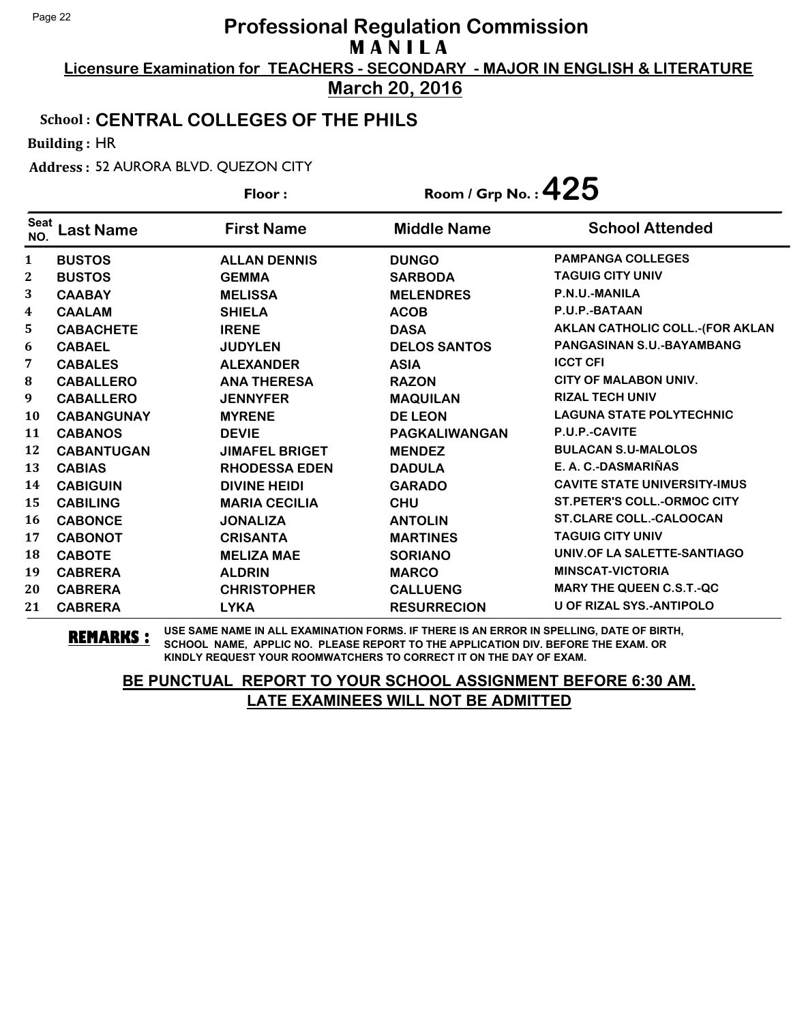**Licensure Examination for TEACHERS - SECONDARY - MAJOR IN ENGLISH & LITERATURE March 20, 2016**

#### School : **CENTRAL COLLEGES OF THE PHILS**

Building : HR

Address : 52 AURORA BLVD. QUEZON CITY

| Floor:             |                   |                       | Room / Grp No.: $425$ |                                     |
|--------------------|-------------------|-----------------------|-----------------------|-------------------------------------|
| <b>Seat</b><br>NO. | <b>Last Name</b>  | <b>First Name</b>     | <b>Middle Name</b>    | <b>School Attended</b>              |
| 1                  | <b>BUSTOS</b>     | <b>ALLAN DENNIS</b>   | <b>DUNGO</b>          | <b>PAMPANGA COLLEGES</b>            |
| $\mathbf{2}$       | <b>BUSTOS</b>     | <b>GEMMA</b>          | <b>SARBODA</b>        | <b>TAGUIG CITY UNIV</b>             |
| 3                  | <b>CAABAY</b>     | <b>MELISSA</b>        | <b>MELENDRES</b>      | P.N.U.-MANILA                       |
| 4                  | <b>CAALAM</b>     | <b>SHIELA</b>         | <b>ACOB</b>           | P.U.P.-BATAAN                       |
| 5                  | <b>CABACHETE</b>  | <b>IRENE</b>          | <b>DASA</b>           | AKLAN CATHOLIC COLL.-(FOR AKLAN     |
| 6                  | <b>CABAEL</b>     | <b>JUDYLEN</b>        | <b>DELOS SANTOS</b>   | <b>PANGASINAN S.U.-BAYAMBANG</b>    |
| 7                  | <b>CABALES</b>    | <b>ALEXANDER</b>      | <b>ASIA</b>           | <b>ICCT CFI</b>                     |
| $\bf{8}$           | <b>CABALLERO</b>  | <b>ANA THERESA</b>    | <b>RAZON</b>          | <b>CITY OF MALABON UNIV.</b>        |
| 9                  | <b>CABALLERO</b>  | <b>JENNYFER</b>       | <b>MAQUILAN</b>       | <b>RIZAL TECH UNIV</b>              |
| <b>10</b>          | <b>CABANGUNAY</b> | <b>MYRENE</b>         | <b>DE LEON</b>        | <b>LAGUNA STATE POLYTECHNIC</b>     |
| 11                 | <b>CABANOS</b>    | <b>DEVIE</b>          | <b>PAGKALIWANGAN</b>  | P.U.P.-CAVITE                       |
| 12                 | <b>CABANTUGAN</b> | <b>JIMAFEL BRIGET</b> | <b>MENDEZ</b>         | <b>BULACAN S.U-MALOLOS</b>          |
| 13                 | <b>CABIAS</b>     | <b>RHODESSA EDEN</b>  | <b>DADULA</b>         | E. A. C.-DASMARIÑAS                 |
| 14                 | <b>CABIGUIN</b>   | <b>DIVINE HEIDI</b>   | <b>GARADO</b>         | <b>CAVITE STATE UNIVERSITY-IMUS</b> |
| 15                 | <b>CABILING</b>   | <b>MARIA CECILIA</b>  | <b>CHU</b>            | <b>ST.PETER'S COLL.-ORMOC CITY</b>  |
| 16                 | <b>CABONCE</b>    | <b>JONALIZA</b>       | <b>ANTOLIN</b>        | <b>ST.CLARE COLL.-CALOOCAN</b>      |
| 17                 | <b>CABONOT</b>    | <b>CRISANTA</b>       | <b>MARTINES</b>       | <b>TAGUIG CITY UNIV</b>             |
| 18                 | <b>CABOTE</b>     | <b>MELIZA MAE</b>     | <b>SORIANO</b>        | UNIV.OF LA SALETTE-SANTIAGO         |
| 19                 | <b>CABRERA</b>    | <b>ALDRIN</b>         | <b>MARCO</b>          | <b>MINSCAT-VICTORIA</b>             |
| 20                 | <b>CABRERA</b>    | <b>CHRISTOPHER</b>    | <b>CALLUENG</b>       | <b>MARY THE QUEEN C.S.T.-QC</b>     |
| 21                 | <b>CABRERA</b>    | <b>LYKA</b>           | <b>RESURRECION</b>    | <b>U OF RIZAL SYS.-ANTIPOLO</b>     |

**REMARKS :** USE SAME NAME IN ALL EXAMINATION FORMS. IF THERE IS AN ERROR IN SPELLING, DATE OF BIRTH, SCHOOL NAME, APPLIC NO. PLEASE REPORT TO THE APPLICATION DIV. BEFORE THE EXAM. OR KINDLY REQUEST YOUR ROOMWATCHERS TO CORRECT IT ON THE DAY OF EXAM.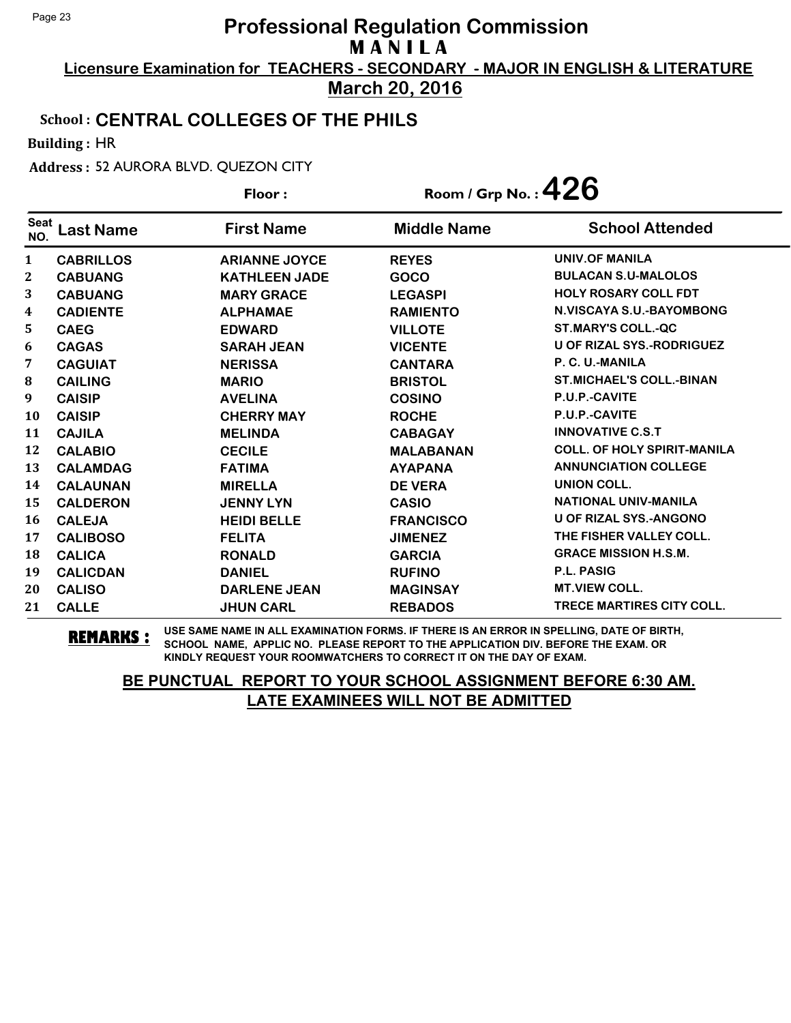**Licensure Examination for TEACHERS - SECONDARY - MAJOR IN ENGLISH & LITERATURE March 20, 2016**

#### School : **CENTRAL COLLEGES OF THE PHILS**

Building : HR

Address : 52 AURORA BLVD. QUEZON CITY

|                    |                  | Floor:               | Room / Grp No.: $426$ |                                    |
|--------------------|------------------|----------------------|-----------------------|------------------------------------|
| <b>Seat</b><br>NO. | <b>Last Name</b> | <b>First Name</b>    | <b>Middle Name</b>    | <b>School Attended</b>             |
| $\mathbf{1}$       | <b>CABRILLOS</b> | <b>ARIANNE JOYCE</b> | <b>REYES</b>          | UNIV.OF MANILA                     |
| 2                  | <b>CABUANG</b>   | <b>KATHLEEN JADE</b> | GOCO                  | <b>BULACAN S.U-MALOLOS</b>         |
| 3                  | <b>CABUANG</b>   | <b>MARY GRACE</b>    | <b>LEGASPI</b>        | <b>HOLY ROSARY COLL FDT</b>        |
| 4                  | <b>CADIENTE</b>  | <b>ALPHAMAE</b>      | <b>RAMIENTO</b>       | <b>N.VISCAYA S.U.-BAYOMBONG</b>    |
| 5                  | <b>CAEG</b>      | <b>EDWARD</b>        | <b>VILLOTE</b>        | <b>ST.MARY'S COLL.-QC</b>          |
| 6                  | <b>CAGAS</b>     | <b>SARAH JEAN</b>    | <b>VICENTE</b>        | <b>U OF RIZAL SYS.-RODRIGUEZ</b>   |
| 7                  | <b>CAGUIAT</b>   | <b>NERISSA</b>       | <b>CANTARA</b>        | P. C. U.-MANILA                    |
| $\bf{8}$           | <b>CAILING</b>   | <b>MARIO</b>         | <b>BRISTOL</b>        | <b>ST.MICHAEL'S COLL.-BINAN</b>    |
| 9                  | <b>CAISIP</b>    | <b>AVELINA</b>       | <b>COSINO</b>         | P.U.P.-CAVITE                      |
| <b>10</b>          | <b>CAISIP</b>    | <b>CHERRY MAY</b>    | <b>ROCHE</b>          | <b>P.U.P.-CAVITE</b>               |
| 11                 | <b>CAJILA</b>    | <b>MELINDA</b>       | <b>CABAGAY</b>        | <b>INNOVATIVE C.S.T</b>            |
| 12                 | <b>CALABIO</b>   | <b>CECILE</b>        | <b>MALABANAN</b>      | <b>COLL. OF HOLY SPIRIT-MANILA</b> |
| 13                 | <b>CALAMDAG</b>  | <b>FATIMA</b>        | <b>AYAPANA</b>        | <b>ANNUNCIATION COLLEGE</b>        |
| 14                 | <b>CALAUNAN</b>  | <b>MIRELLA</b>       | <b>DE VERA</b>        | <b>UNION COLL.</b>                 |
| 15                 | <b>CALDERON</b>  | <b>JENNY LYN</b>     | <b>CASIO</b>          | <b>NATIONAL UNIV-MANILA</b>        |
| 16                 | <b>CALEJA</b>    | <b>HEIDI BELLE</b>   | <b>FRANCISCO</b>      | <b>U OF RIZAL SYS.-ANGONO</b>      |
| 17                 | <b>CALIBOSO</b>  | <b>FELITA</b>        | <b>JIMENEZ</b>        | THE FISHER VALLEY COLL.            |
| 18                 | <b>CALICA</b>    | <b>RONALD</b>        | <b>GARCIA</b>         | <b>GRACE MISSION H.S.M.</b>        |
| 19                 | <b>CALICDAN</b>  | <b>DANIEL</b>        | <b>RUFINO</b>         | <b>P.L. PASIG</b>                  |
| 20                 | <b>CALISO</b>    | <b>DARLENE JEAN</b>  | <b>MAGINSAY</b>       | <b>MT.VIEW COLL.</b>               |
| 21                 | <b>CALLE</b>     | <b>JHUN CARL</b>     | <b>REBADOS</b>        | <b>TRECE MARTIRES CITY COLL.</b>   |

**REMARKS :** USE SAME NAME IN ALL EXAMINATION FORMS. IF THERE IS AN ERROR IN SPELLING, DATE OF BIRTH, SCHOOL NAME, APPLIC NO. PLEASE REPORT TO THE APPLICATION DIV. BEFORE THE EXAM. OR KINDLY REQUEST YOUR ROOMWATCHERS TO CORRECT IT ON THE DAY OF EXAM.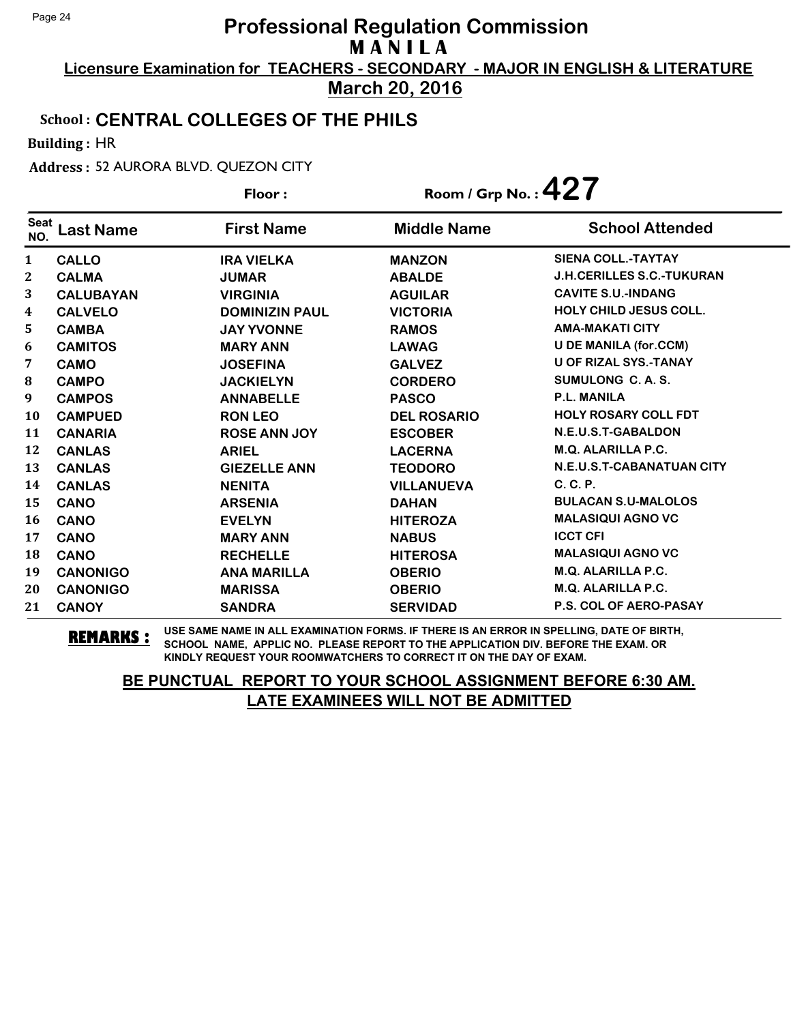**Licensure Examination for TEACHERS - SECONDARY - MAJOR IN ENGLISH & LITERATURE March 20, 2016**

#### School : **CENTRAL COLLEGES OF THE PHILS**

Building : HR

Address : 52 AURORA BLVD. QUEZON CITY

| Floor:             |                  | Room / Grp No. : $427$ |                    |                                  |
|--------------------|------------------|------------------------|--------------------|----------------------------------|
| <b>Seat</b><br>NO. | <b>Last Name</b> | <b>First Name</b>      | <b>Middle Name</b> | <b>School Attended</b>           |
| 1                  | <b>CALLO</b>     | <b>IRA VIELKA</b>      | <b>MANZON</b>      | <b>SIENA COLL.-TAYTAY</b>        |
| $\mathbf{2}$       | <b>CALMA</b>     | <b>JUMAR</b>           | <b>ABALDE</b>      | <b>J.H.CERILLES S.C.-TUKURAN</b> |
| 3                  | <b>CALUBAYAN</b> | <b>VIRGINIA</b>        | <b>AGUILAR</b>     | <b>CAVITE S.U.-INDANG</b>        |
| 4                  | <b>CALVELO</b>   | <b>DOMINIZIN PAUL</b>  | <b>VICTORIA</b>    | <b>HOLY CHILD JESUS COLL.</b>    |
| 5                  | <b>CAMBA</b>     | <b>JAY YVONNE</b>      | <b>RAMOS</b>       | <b>AMA-MAKATI CITY</b>           |
| 6                  | <b>CAMITOS</b>   | <b>MARY ANN</b>        | <b>LAWAG</b>       | <b>U DE MANILA (for.CCM)</b>     |
| 7                  | <b>CAMO</b>      | <b>JOSEFINA</b>        | <b>GALVEZ</b>      | <b>U OF RIZAL SYS.-TANAY</b>     |
| ${\bf 8}$          | <b>CAMPO</b>     | <b>JACKIELYN</b>       | <b>CORDERO</b>     | SUMULONG C.A.S.                  |
| 9                  | <b>CAMPOS</b>    | <b>ANNABELLE</b>       | <b>PASCO</b>       | <b>P.L. MANILA</b>               |
| 10                 | <b>CAMPUED</b>   | <b>RON LEO</b>         | <b>DEL ROSARIO</b> | <b>HOLY ROSARY COLL FDT</b>      |
| 11                 | <b>CANARIA</b>   | <b>ROSE ANN JOY</b>    | <b>ESCOBER</b>     | N.E.U.S.T-GABALDON               |
| 12                 | <b>CANLAS</b>    | <b>ARIEL</b>           | <b>LACERNA</b>     | M.Q. ALARILLA P.C.               |
| 13                 | <b>CANLAS</b>    | <b>GIEZELLE ANN</b>    | <b>TEODORO</b>     | N.E.U.S.T-CABANATUAN CITY        |
| 14                 | <b>CANLAS</b>    | <b>NENITA</b>          | <b>VILLANUEVA</b>  | C. C. P.                         |
| 15                 | <b>CANO</b>      | <b>ARSENIA</b>         | <b>DAHAN</b>       | <b>BULACAN S.U-MALOLOS</b>       |
| 16                 | <b>CANO</b>      | <b>EVELYN</b>          | <b>HITEROZA</b>    | <b>MALASIQUI AGNO VC</b>         |
| 17                 | <b>CANO</b>      | <b>MARY ANN</b>        | <b>NABUS</b>       | <b>ICCT CFI</b>                  |
| 18                 | <b>CANO</b>      | <b>RECHELLE</b>        | <b>HITEROSA</b>    | <b>MALASIQUI AGNO VC</b>         |
| 19                 | <b>CANONIGO</b>  | <b>ANA MARILLA</b>     | <b>OBERIO</b>      | <b>M.Q. ALARILLA P.C.</b>        |
| 20                 | <b>CANONIGO</b>  | <b>MARISSA</b>         | <b>OBERIO</b>      | M.Q. ALARILLA P.C.               |
| 21                 | <b>CANOY</b>     | <b>SANDRA</b>          | <b>SERVIDAD</b>    | <b>P.S. COL OF AERO-PASAY</b>    |

**REMARKS :** USE SAME NAME IN ALL EXAMINATION FORMS. IF THERE IS AN ERROR IN SPELLING, DATE OF BIRTH, SCHOOL NAME, APPLIC NO. PLEASE REPORT TO THE APPLICATION DIV. BEFORE THE EXAM. OR KINDLY REQUEST YOUR ROOMWATCHERS TO CORRECT IT ON THE DAY OF EXAM.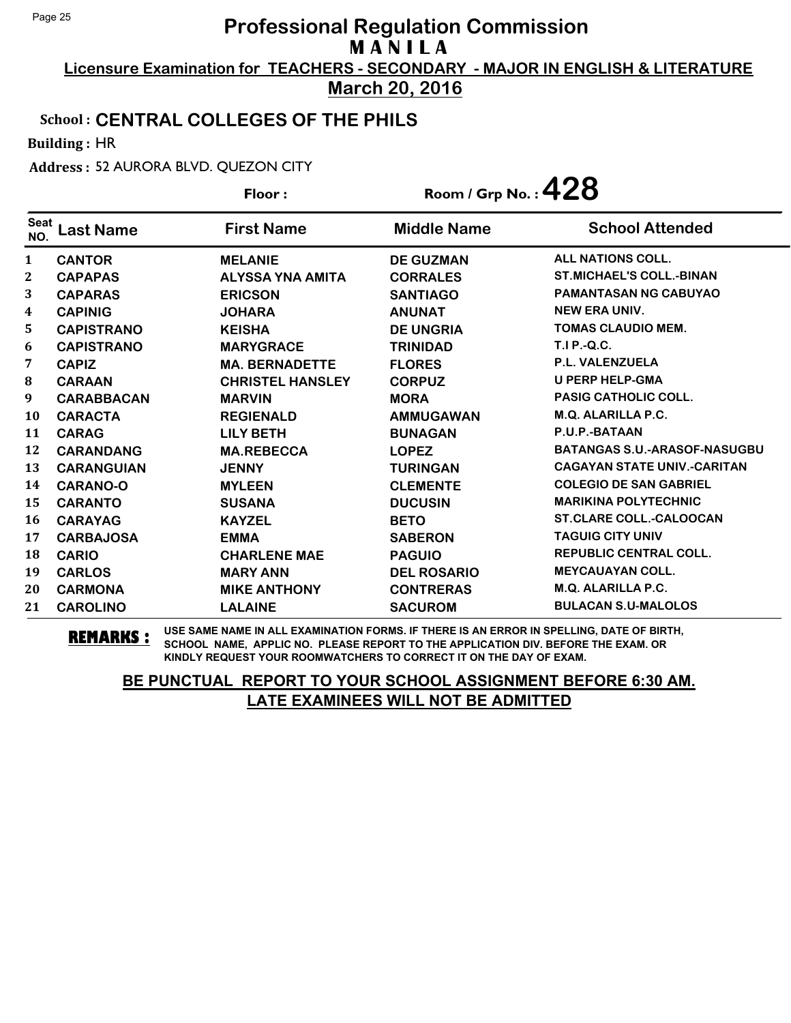**Licensure Examination for TEACHERS - SECONDARY - MAJOR IN ENGLISH & LITERATURE March 20, 2016**

### School : **CENTRAL COLLEGES OF THE PHILS**

Building : HR

Address : 52 AURORA BLVD. QUEZON CITY

|                    |                   | Floor:                  | Room / Grp No.: $428$ |                                     |
|--------------------|-------------------|-------------------------|-----------------------|-------------------------------------|
| <b>Seat</b><br>NO. | Last Name         | <b>First Name</b>       | <b>Middle Name</b>    | <b>School Attended</b>              |
| $\mathbf{1}$       | <b>CANTOR</b>     | <b>MELANIE</b>          | <b>DE GUZMAN</b>      | ALL NATIONS COLL.                   |
| 2                  | <b>CAPAPAS</b>    | <b>ALYSSA YNA AMITA</b> | <b>CORRALES</b>       | <b>ST.MICHAEL'S COLL.-BINAN</b>     |
| 3                  | <b>CAPARAS</b>    | <b>ERICSON</b>          | <b>SANTIAGO</b>       | <b>PAMANTASAN NG CABUYAO</b>        |
| 4                  | <b>CAPINIG</b>    | <b>JOHARA</b>           | <b>ANUNAT</b>         | <b>NEW ERA UNIV.</b>                |
| 5                  | <b>CAPISTRANO</b> | <b>KEISHA</b>           | <b>DE UNGRIA</b>      | <b>TOMAS CLAUDIO MEM.</b>           |
| 6                  | <b>CAPISTRANO</b> | <b>MARYGRACE</b>        | <b>TRINIDAD</b>       | <b>T.I P.-Q.C.</b>                  |
| 7                  | <b>CAPIZ</b>      | <b>MA. BERNADETTE</b>   | <b>FLORES</b>         | P.L. VALENZUELA                     |
| 8                  | <b>CARAAN</b>     | <b>CHRISTEL HANSLEY</b> | <b>CORPUZ</b>         | <b>U PERP HELP-GMA</b>              |
| 9                  | <b>CARABBACAN</b> | <b>MARVIN</b>           | <b>MORA</b>           | <b>PASIG CATHOLIC COLL.</b>         |
| <b>10</b>          | <b>CARACTA</b>    | <b>REGIENALD</b>        | <b>AMMUGAWAN</b>      | <b>M.Q. ALARILLA P.C.</b>           |
| 11                 | <b>CARAG</b>      | <b>LILY BETH</b>        | <b>BUNAGAN</b>        | P.U.P.-BATAAN                       |
| 12                 | <b>CARANDANG</b>  | <b>MA.REBECCA</b>       | <b>LOPEZ</b>          | <b>BATANGAS S.U.-ARASOF-NASUGBU</b> |
| 13                 | <b>CARANGUIAN</b> | <b>JENNY</b>            | <b>TURINGAN</b>       | <b>CAGAYAN STATE UNIV.-CARITAN</b>  |
| 14                 | <b>CARANO-O</b>   | <b>MYLEEN</b>           | <b>CLEMENTE</b>       | <b>COLEGIO DE SAN GABRIEL</b>       |
| 15                 | <b>CARANTO</b>    | <b>SUSANA</b>           | <b>DUCUSIN</b>        | <b>MARIKINA POLYTECHNIC</b>         |
| 16                 | <b>CARAYAG</b>    | <b>KAYZEL</b>           | <b>BETO</b>           | <b>ST.CLARE COLL.-CALOOCAN</b>      |
| 17                 | <b>CARBAJOSA</b>  | <b>EMMA</b>             | <b>SABERON</b>        | <b>TAGUIG CITY UNIV</b>             |
| 18                 | <b>CARIO</b>      | <b>CHARLENE MAE</b>     | <b>PAGUIO</b>         | <b>REPUBLIC CENTRAL COLL.</b>       |
| 19                 | <b>CARLOS</b>     | <b>MARY ANN</b>         | <b>DEL ROSARIO</b>    | <b>MEYCAUAYAN COLL.</b>             |
| 20                 | <b>CARMONA</b>    | <b>MIKE ANTHONY</b>     | <b>CONTRERAS</b>      | <b>M.Q. ALARILLA P.C.</b>           |
| 21                 | <b>CAROLINO</b>   | <b>LALAINE</b>          | <b>SACUROM</b>        | <b>BULACAN S.U-MALOLOS</b>          |

**REMARKS :** USE SAME NAME IN ALL EXAMINATION FORMS. IF THERE IS AN ERROR IN SPELLING, DATE OF BIRTH, SCHOOL NAME, APPLIC NO. PLEASE REPORT TO THE APPLICATION DIV. BEFORE THE EXAM. OR KINDLY REQUEST YOUR ROOMWATCHERS TO CORRECT IT ON THE DAY OF EXAM.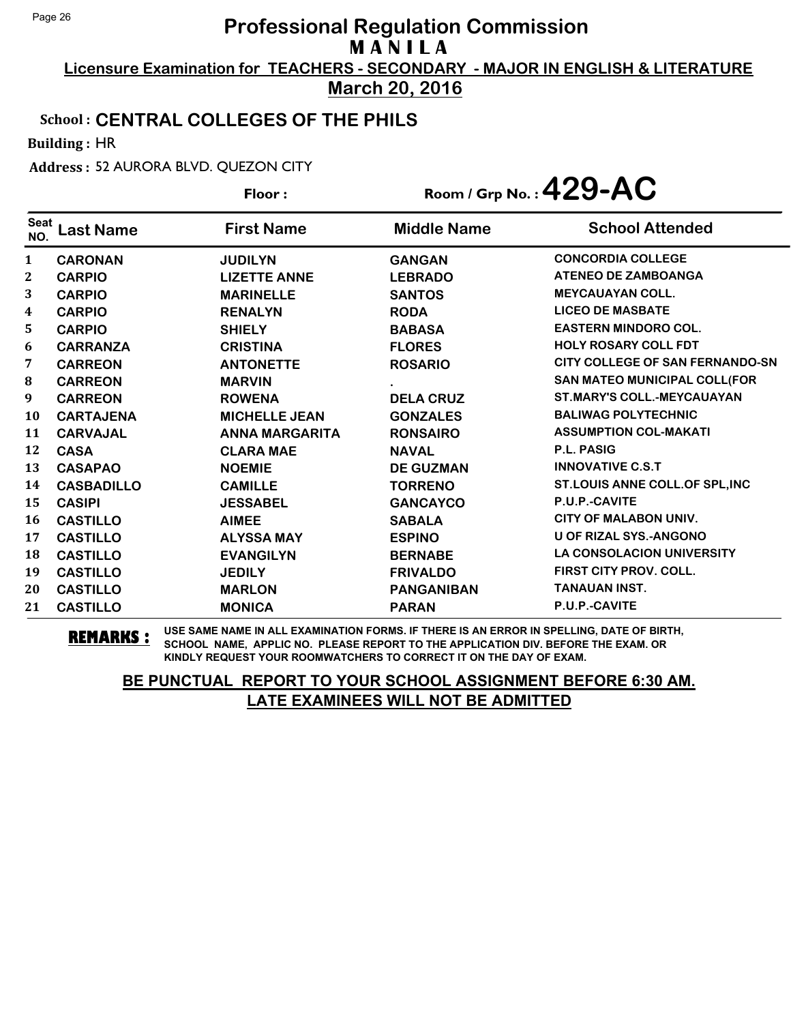**Licensure Examination for TEACHERS - SECONDARY - MAJOR IN ENGLISH & LITERATURE March 20, 2016**

#### School : **CENTRAL COLLEGES OF THE PHILS**

Building : HR

Address : 52 AURORA BLVD. QUEZON CITY

|                    |                   | Floor:                |                    | Room / Grp No.: $429 - AC$             |
|--------------------|-------------------|-----------------------|--------------------|----------------------------------------|
| <b>Seat</b><br>NO. | Last Name         | <b>First Name</b>     | <b>Middle Name</b> | <b>School Attended</b>                 |
| 1                  | <b>CARONAN</b>    | <b>JUDILYN</b>        | <b>GANGAN</b>      | <b>CONCORDIA COLLEGE</b>               |
| 2                  | <b>CARPIO</b>     | <b>LIZETTE ANNE</b>   | <b>LEBRADO</b>     | <b>ATENEO DE ZAMBOANGA</b>             |
| 3                  | <b>CARPIO</b>     | <b>MARINELLE</b>      | <b>SANTOS</b>      | <b>MEYCAUAYAN COLL.</b>                |
| 4                  | <b>CARPIO</b>     | <b>RENALYN</b>        | <b>RODA</b>        | <b>LICEO DE MASBATE</b>                |
| 5                  | <b>CARPIO</b>     | <b>SHIELY</b>         | <b>BABASA</b>      | <b>EASTERN MINDORO COL.</b>            |
| 6                  | <b>CARRANZA</b>   | <b>CRISTINA</b>       | <b>FLORES</b>      | <b>HOLY ROSARY COLL FDT</b>            |
| 7                  | <b>CARREON</b>    | <b>ANTONETTE</b>      | <b>ROSARIO</b>     | <b>CITY COLLEGE OF SAN FERNANDO-SN</b> |
| 8                  | <b>CARREON</b>    | <b>MARVIN</b>         |                    | SAN MATEO MUNICIPAL COLL(FOR           |
| 9                  | <b>CARREON</b>    | <b>ROWENA</b>         | <b>DELA CRUZ</b>   | <b>ST.MARY'S COLL.-MEYCAUAYAN</b>      |
| 10                 | <b>CARTAJENA</b>  | <b>MICHELLE JEAN</b>  | <b>GONZALES</b>    | <b>BALIWAG POLYTECHNIC</b>             |
| 11                 | <b>CARVAJAL</b>   | <b>ANNA MARGARITA</b> | <b>RONSAIRO</b>    | <b>ASSUMPTION COL-MAKATI</b>           |
| 12                 | <b>CASA</b>       | <b>CLARA MAE</b>      | <b>NAVAL</b>       | <b>P.L. PASIG</b>                      |
| 13                 | <b>CASAPAO</b>    | <b>NOEMIE</b>         | <b>DE GUZMAN</b>   | <b>INNOVATIVE C.S.T</b>                |
| 14                 | <b>CASBADILLO</b> | <b>CAMILLE</b>        | <b>TORRENO</b>     | ST.LOUIS ANNE COLL.OF SPL, INC         |
| 15                 | <b>CASIPI</b>     | <b>JESSABEL</b>       | <b>GANCAYCO</b>    | <b>P.U.P.-CAVITE</b>                   |
| 16                 | <b>CASTILLO</b>   | <b>AIMEE</b>          | <b>SABALA</b>      | <b>CITY OF MALABON UNIV.</b>           |
| 17                 | <b>CASTILLO</b>   | <b>ALYSSA MAY</b>     | <b>ESPINO</b>      | U OF RIZAL SYS.-ANGONO                 |
| 18                 | <b>CASTILLO</b>   | <b>EVANGILYN</b>      | <b>BERNABE</b>     | <b>LA CONSOLACION UNIVERSITY</b>       |
| 19                 | <b>CASTILLO</b>   | <b>JEDILY</b>         | <b>FRIVALDO</b>    | FIRST CITY PROV. COLL.                 |
| 20                 | <b>CASTILLO</b>   | <b>MARLON</b>         | <b>PANGANIBAN</b>  | <b>TANAUAN INST.</b>                   |
| 21                 | <b>CASTILLO</b>   | <b>MONICA</b>         | <b>PARAN</b>       | P.U.P.-CAVITE                          |

**REMARKS :** USE SAME NAME IN ALL EXAMINATION FORMS. IF THERE IS AN ERROR IN SPELLING, DATE OF BIRTH, SCHOOL NAME, APPLIC NO. PLEASE REPORT TO THE APPLICATION DIV. BEFORE THE EXAM. OR KINDLY REQUEST YOUR ROOMWATCHERS TO CORRECT IT ON THE DAY OF EXAM.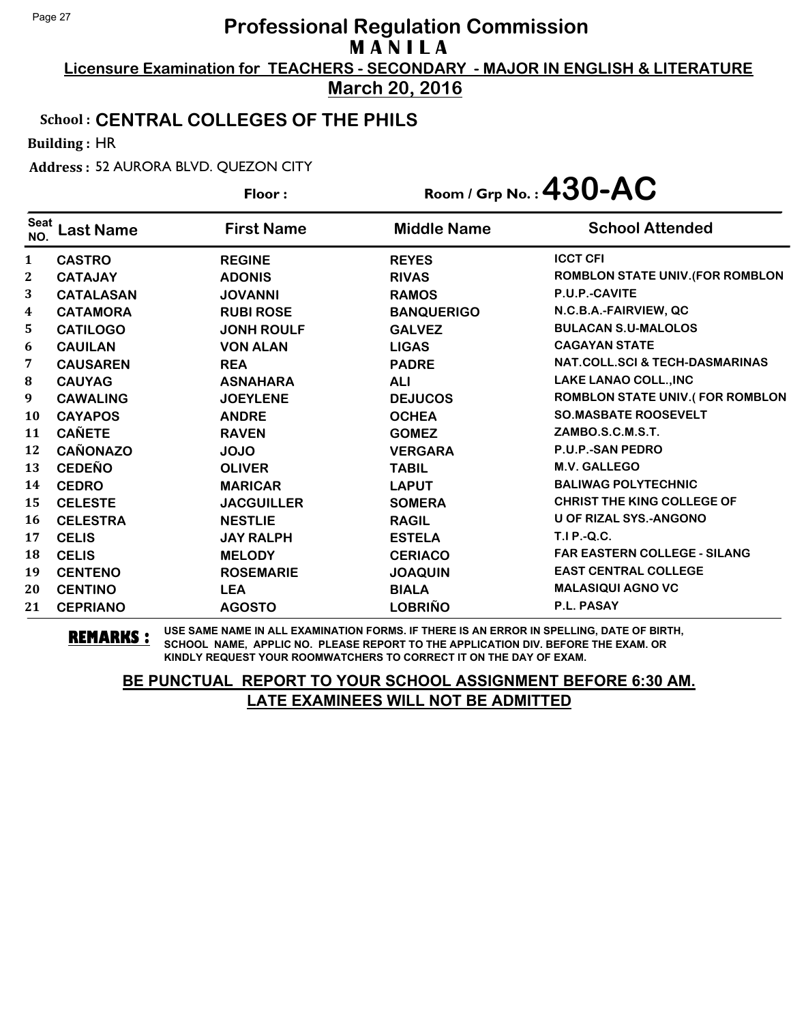**Licensure Examination for TEACHERS - SECONDARY - MAJOR IN ENGLISH & LITERATURE March 20, 2016**

#### School : **CENTRAL COLLEGES OF THE PHILS**

Building : HR

Address : 52 AURORA BLVD. QUEZON CITY

|                    |                  | Floor:            |                    | Room / Grp No.: $430 - AC$                |
|--------------------|------------------|-------------------|--------------------|-------------------------------------------|
| <b>Seat</b><br>NO. | Last Name        | <b>First Name</b> | <b>Middle Name</b> | <b>School Attended</b>                    |
| 1                  | <b>CASTRO</b>    | <b>REGINE</b>     | <b>REYES</b>       | <b>ICCT CFI</b>                           |
| $\mathbf{2}$       | <b>CATAJAY</b>   | <b>ADONIS</b>     | <b>RIVAS</b>       | ROMBLON STATE UNIV. (FOR ROMBLON          |
| 3                  | <b>CATALASAN</b> | <b>JOVANNI</b>    | <b>RAMOS</b>       | P.U.P.-CAVITE                             |
| 4                  | <b>CATAMORA</b>  | <b>RUBI ROSE</b>  | <b>BANQUERIGO</b>  | N.C.B.A.-FAIRVIEW, QC                     |
| 5                  | <b>CATILOGO</b>  | <b>JONH ROULF</b> | <b>GALVEZ</b>      | <b>BULACAN S.U-MALOLOS</b>                |
| 6                  | <b>CAUILAN</b>   | <b>VON ALAN</b>   | <b>LIGAS</b>       | <b>CAGAYAN STATE</b>                      |
| 7                  | <b>CAUSAREN</b>  | <b>REA</b>        | <b>PADRE</b>       | <b>NAT.COLL.SCI &amp; TECH-DASMARINAS</b> |
| ${\bf 8}$          | <b>CAUYAG</b>    | <b>ASNAHARA</b>   | <b>ALI</b>         | LAKE LANAO COLL., INC                     |
| 9                  | <b>CAWALING</b>  | <b>JOEYLENE</b>   | <b>DEJUCOS</b>     | ROMBLON STATE UNIV.(FOR ROMBLON           |
| 10                 | <b>CAYAPOS</b>   | <b>ANDRE</b>      | <b>OCHEA</b>       | <b>SO.MASBATE ROOSEVELT</b>               |
| 11                 | <b>CAÑETE</b>    | <b>RAVEN</b>      | <b>GOMEZ</b>       | ZAMBO.S.C.M.S.T.                          |
| 12                 | <b>CAÑONAZO</b>  | <b>JOJO</b>       | <b>VERGARA</b>     | <b>P.U.P.-SAN PEDRO</b>                   |
| 13                 | <b>CEDEÑO</b>    | <b>OLIVER</b>     | <b>TABIL</b>       | <b>M.V. GALLEGO</b>                       |
| 14                 | <b>CEDRO</b>     | <b>MARICAR</b>    | <b>LAPUT</b>       | <b>BALIWAG POLYTECHNIC</b>                |
| 15                 | <b>CELESTE</b>   | <b>JACGUILLER</b> | <b>SOMERA</b>      | <b>CHRIST THE KING COLLEGE OF</b>         |
| 16                 | <b>CELESTRA</b>  | <b>NESTLIE</b>    | <b>RAGIL</b>       | <b>U OF RIZAL SYS.-ANGONO</b>             |
| 17                 | <b>CELIS</b>     | <b>JAY RALPH</b>  | <b>ESTELA</b>      | T.I P.-Q.C.                               |
| 18                 | <b>CELIS</b>     | <b>MELODY</b>     | <b>CERIACO</b>     | <b>FAR EASTERN COLLEGE - SILANG</b>       |
| 19                 | <b>CENTENO</b>   | <b>ROSEMARIE</b>  | <b>JOAQUIN</b>     | <b>EAST CENTRAL COLLEGE</b>               |
| 20                 | <b>CENTINO</b>   | <b>LEA</b>        | <b>BIALA</b>       | <b>MALASIQUI AGNO VC</b>                  |
| 21                 | <b>CEPRIANO</b>  | <b>AGOSTO</b>     | <b>LOBRIÑO</b>     | P.L. PASAY                                |

**REMARKS :** USE SAME NAME IN ALL EXAMINATION FORMS. IF THERE IS AN ERROR IN SPELLING, DATE OF BIRTH, SCHOOL NAME, APPLIC NO. PLEASE REPORT TO THE APPLICATION DIV. BEFORE THE EXAM. OR KINDLY REQUEST YOUR ROOMWATCHERS TO CORRECT IT ON THE DAY OF EXAM.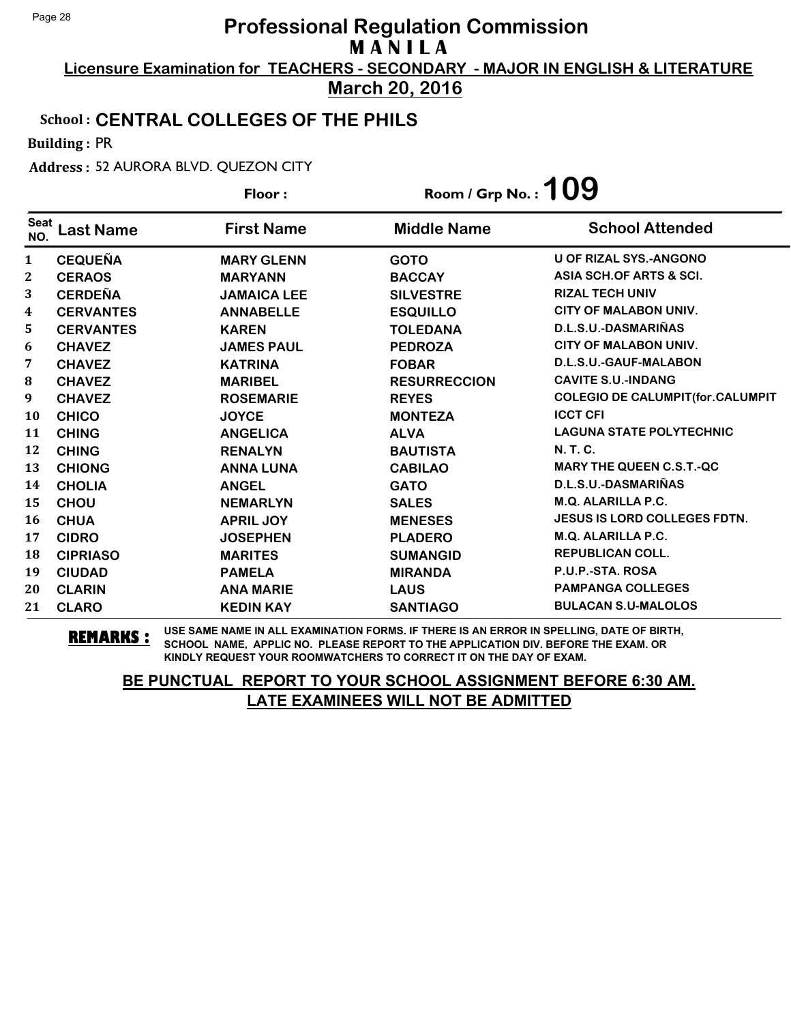**Licensure Examination for TEACHERS - SECONDARY - MAJOR IN ENGLISH & LITERATURE March 20, 2016**

#### School : **CENTRAL COLLEGES OF THE PHILS**

Building : PR

Address : 52 AURORA BLVD. QUEZON CITY

|                    |                  | Floor:             | Room / Grp No. : $109$ |                                          |
|--------------------|------------------|--------------------|------------------------|------------------------------------------|
| <b>Seat</b><br>NO. | <b>Last Name</b> | <b>First Name</b>  | <b>Middle Name</b>     | <b>School Attended</b>                   |
| 1                  | <b>CEQUEÑA</b>   | <b>MARY GLENN</b>  | <b>GOTO</b>            | <b>U OF RIZAL SYS.-ANGONO</b>            |
| 2                  | <b>CERAOS</b>    | <b>MARYANN</b>     | <b>BACCAY</b>          | ASIA SCH.OF ARTS & SCI.                  |
| 3                  | <b>CERDEÑA</b>   | <b>JAMAICA LEE</b> | <b>SILVESTRE</b>       | <b>RIZAL TECH UNIV</b>                   |
| 4                  | <b>CERVANTES</b> | <b>ANNABELLE</b>   | <b>ESQUILLO</b>        | <b>CITY OF MALABON UNIV.</b>             |
| 5                  | <b>CERVANTES</b> | <b>KAREN</b>       | <b>TOLEDANA</b>        | D.L.S.U.-DASMARIÑAS                      |
| 6                  | <b>CHAVEZ</b>    | <b>JAMES PAUL</b>  | <b>PEDROZA</b>         | <b>CITY OF MALABON UNIV.</b>             |
| 7                  | <b>CHAVEZ</b>    | <b>KATRINA</b>     | <b>FOBAR</b>           | D.L.S.U.-GAUF-MALABON                    |
| 8                  | <b>CHAVEZ</b>    | <b>MARIBEL</b>     | <b>RESURRECCION</b>    | <b>CAVITE S.U.-INDANG</b>                |
| 9                  | <b>CHAVEZ</b>    | <b>ROSEMARIE</b>   | <b>REYES</b>           | <b>COLEGIO DE CALUMPIT (for.CALUMPIT</b> |
| 10                 | <b>CHICO</b>     | <b>JOYCE</b>       | <b>MONTEZA</b>         | <b>ICCT CFI</b>                          |
| 11                 | <b>CHING</b>     | <b>ANGELICA</b>    | <b>ALVA</b>            | <b>LAGUNA STATE POLYTECHNIC</b>          |
| 12                 | <b>CHING</b>     | <b>RENALYN</b>     | <b>BAUTISTA</b>        | N. T. C.                                 |
| 13                 | <b>CHIONG</b>    | <b>ANNA LUNA</b>   | <b>CABILAO</b>         | <b>MARY THE QUEEN C.S.T.-QC</b>          |
| 14                 | <b>CHOLIA</b>    | <b>ANGEL</b>       | <b>GATO</b>            | D.L.S.U.-DASMARIÑAS                      |
| 15                 | <b>CHOU</b>      | <b>NEMARLYN</b>    | <b>SALES</b>           | <b>M.Q. ALARILLA P.C.</b>                |
| 16                 | <b>CHUA</b>      | <b>APRIL JOY</b>   | <b>MENESES</b>         | <b>JESUS IS LORD COLLEGES FDTN.</b>      |
| 17                 | <b>CIDRO</b>     | <b>JOSEPHEN</b>    | <b>PLADERO</b>         | <b>M.Q. ALARILLA P.C.</b>                |
| 18                 | <b>CIPRIASO</b>  | <b>MARITES</b>     | <b>SUMANGID</b>        | <b>REPUBLICAN COLL.</b>                  |
| 19                 | <b>CIUDAD</b>    | <b>PAMELA</b>      | <b>MIRANDA</b>         | P.U.P.-STA. ROSA                         |
| 20                 | <b>CLARIN</b>    | <b>ANA MARIE</b>   | <b>LAUS</b>            | <b>PAMPANGA COLLEGES</b>                 |
| 21                 | <b>CLARO</b>     | <b>KEDIN KAY</b>   | <b>SANTIAGO</b>        | <b>BULACAN S.U-MALOLOS</b>               |

**REMARKS :** USE SAME NAME IN ALL EXAMINATION FORMS. IF THERE IS AN ERROR IN SPELLING, DATE OF BIRTH, SCHOOL NAME, APPLIC NO. PLEASE REPORT TO THE APPLICATION DIV. BEFORE THE EXAM. OR KINDLY REQUEST YOUR ROOMWATCHERS TO CORRECT IT ON THE DAY OF EXAM.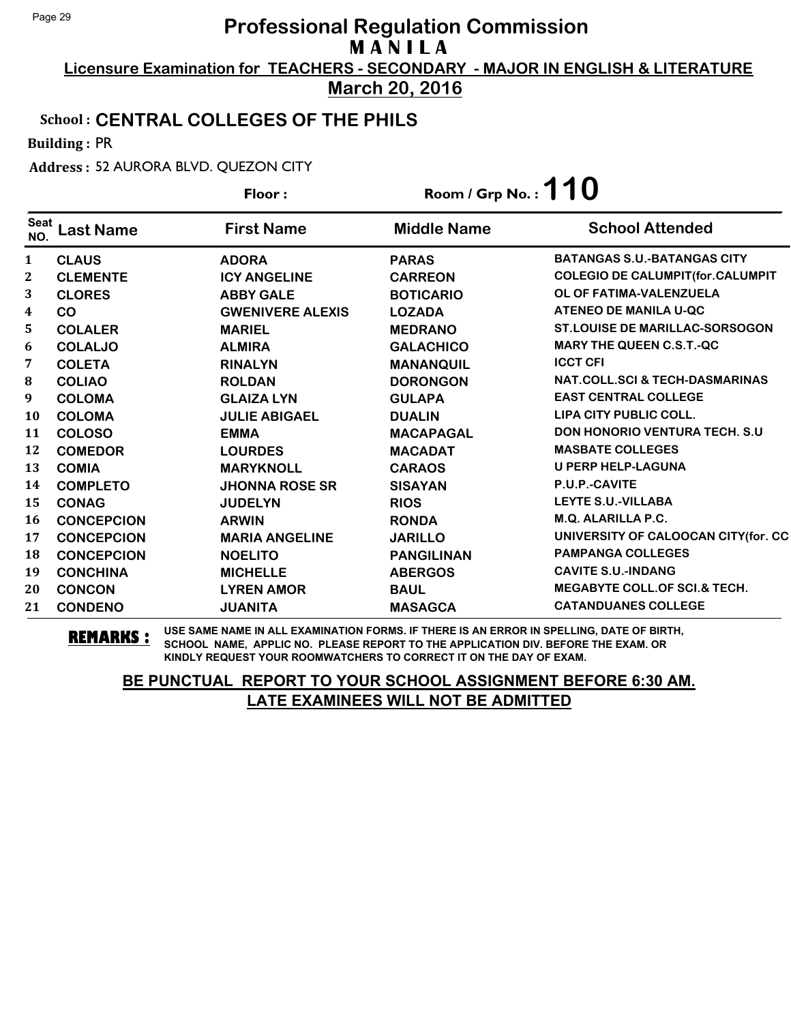**Licensure Examination for TEACHERS - SECONDARY - MAJOR IN ENGLISH & LITERATURE March 20, 2016**

### School : **CENTRAL COLLEGES OF THE PHILS**

Building : PR

Address : 52 AURORA BLVD. QUEZON CITY

|                    |                   | Floor:                  | Room / Grp No. : $110$ |                                           |
|--------------------|-------------------|-------------------------|------------------------|-------------------------------------------|
| <b>Seat</b><br>NO. | <b>Last Name</b>  | <b>First Name</b>       | <b>Middle Name</b>     | <b>School Attended</b>                    |
| 1                  | <b>CLAUS</b>      | <b>ADORA</b>            | <b>PARAS</b>           | <b>BATANGAS S.U.-BATANGAS CITY</b>        |
| 2                  | <b>CLEMENTE</b>   | <b>ICY ANGELINE</b>     | <b>CARREON</b>         | <b>COLEGIO DE CALUMPIT (for.CALUMPIT</b>  |
| 3                  | <b>CLORES</b>     | <b>ABBY GALE</b>        | <b>BOTICARIO</b>       | OL OF FATIMA-VALENZUELA                   |
| 4                  | <b>CO</b>         | <b>GWENIVERE ALEXIS</b> | <b>LOZADA</b>          | <b>ATENEO DE MANILA U-QC</b>              |
| 5                  | <b>COLALER</b>    | <b>MARIEL</b>           | <b>MEDRANO</b>         | <b>ST.LOUISE DE MARILLAC-SORSOGON</b>     |
| 6                  | <b>COLALJO</b>    | <b>ALMIRA</b>           | <b>GALACHICO</b>       | <b>MARY THE QUEEN C.S.T.-QC</b>           |
| 7                  | <b>COLETA</b>     | <b>RINALYN</b>          | <b>MANANQUIL</b>       | <b>ICCT CFI</b>                           |
| 8                  | <b>COLIAO</b>     | <b>ROLDAN</b>           | <b>DORONGON</b>        | <b>NAT.COLL.SCI &amp; TECH-DASMARINAS</b> |
| 9                  | <b>COLOMA</b>     | <b>GLAIZA LYN</b>       | <b>GULAPA</b>          | <b>EAST CENTRAL COLLEGE</b>               |
| <b>10</b>          | <b>COLOMA</b>     | <b>JULIE ABIGAEL</b>    | <b>DUALIN</b>          | <b>LIPA CITY PUBLIC COLL.</b>             |
| 11                 | <b>COLOSO</b>     | <b>EMMA</b>             | <b>MACAPAGAL</b>       | <b>DON HONORIO VENTURA TECH. S.U.</b>     |
| 12                 | <b>COMEDOR</b>    | <b>LOURDES</b>          | <b>MACADAT</b>         | <b>MASBATE COLLEGES</b>                   |
| 13                 | <b>COMIA</b>      | <b>MARYKNOLL</b>        | <b>CARAOS</b>          | <b>U PERP HELP-LAGUNA</b>                 |
| 14                 | <b>COMPLETO</b>   | <b>JHONNA ROSE SR</b>   | <b>SISAYAN</b>         | P.U.P.-CAVITE                             |
| 15                 | <b>CONAG</b>      | <b>JUDELYN</b>          | <b>RIOS</b>            | <b>LEYTE S.U.-VILLABA</b>                 |
| 16                 | <b>CONCEPCION</b> | <b>ARWIN</b>            | <b>RONDA</b>           | M.Q. ALARILLA P.C.                        |
| 17                 | <b>CONCEPCION</b> | <b>MARIA ANGELINE</b>   | <b>JARILLO</b>         | UNIVERSITY OF CALOOCAN CITY(for. CC       |
| 18                 | <b>CONCEPCION</b> | <b>NOELITO</b>          | <b>PANGILINAN</b>      | <b>PAMPANGA COLLEGES</b>                  |
| 19                 | <b>CONCHINA</b>   | <b>MICHELLE</b>         | <b>ABERGOS</b>         | <b>CAVITE S.U.-INDANG</b>                 |
| 20                 | <b>CONCON</b>     | <b>LYREN AMOR</b>       | <b>BAUL</b>            | <b>MEGABYTE COLL.OF SCI.&amp; TECH.</b>   |
| 21                 | <b>CONDENO</b>    | <b>JUANITA</b>          | <b>MASAGCA</b>         | <b>CATANDUANES COLLEGE</b>                |

**REMARKS :** USE SAME NAME IN ALL EXAMINATION FORMS. IF THERE IS AN ERROR IN SPELLING, DATE OF BIRTH, SCHOOL NAME, APPLIC NO. PLEASE REPORT TO THE APPLICATION DIV. BEFORE THE EXAM. OR KINDLY REQUEST YOUR ROOMWATCHERS TO CORRECT IT ON THE DAY OF EXAM.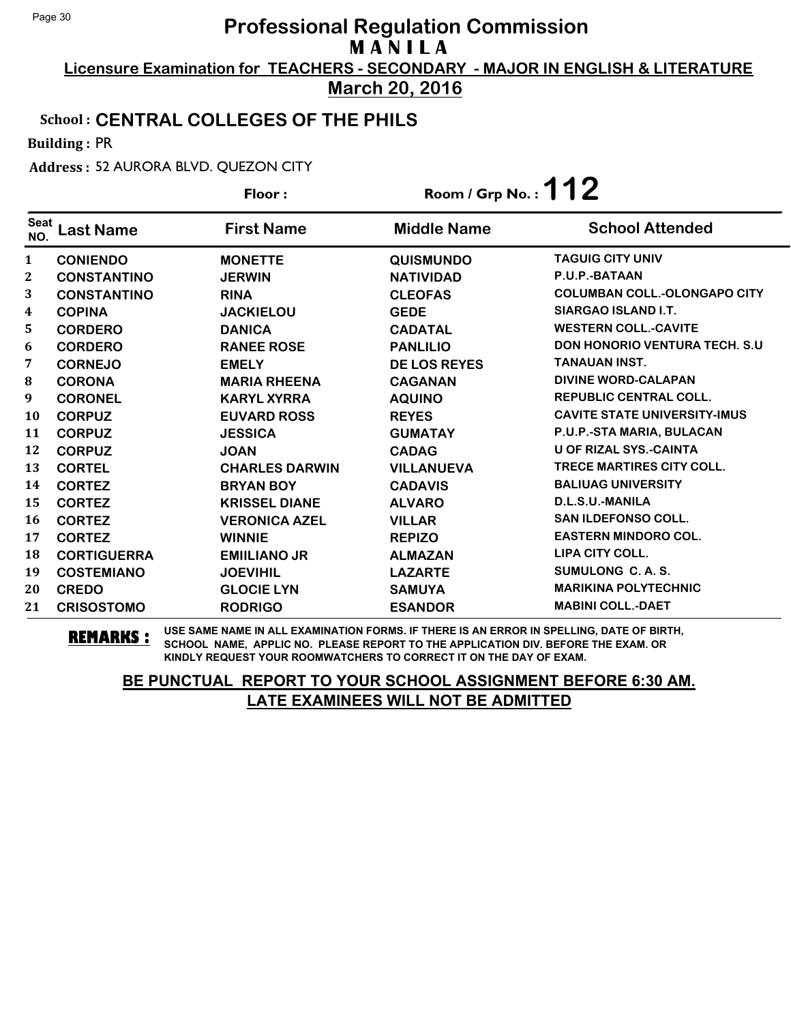**Licensure Examination for TEACHERS - SECONDARY - MAJOR IN ENGLISH & LITERATURE March 20, 2016**

### School : **CENTRAL COLLEGES OF THE PHILS**

Building : PR

Address : 52 AURORA BLVD. QUEZON CITY

|                    |                    | Floor:                | Room / Grp No.: $112$ |                                       |
|--------------------|--------------------|-----------------------|-----------------------|---------------------------------------|
| <b>Seat</b><br>NO. | <b>Last Name</b>   | <b>First Name</b>     | <b>Middle Name</b>    | <b>School Attended</b>                |
| $\mathbf{1}$       | <b>CONIENDO</b>    | <b>MONETTE</b>        | <b>QUISMUNDO</b>      | <b>TAGUIG CITY UNIV</b>               |
| $\mathbf{2}$       | <b>CONSTANTINO</b> | <b>JERWIN</b>         | <b>NATIVIDAD</b>      | P.U.P.-BATAAN                         |
| 3                  | <b>CONSTANTINO</b> | <b>RINA</b>           | <b>CLEOFAS</b>        | <b>COLUMBAN COLL.-OLONGAPO CITY</b>   |
| 4                  | <b>COPINA</b>      | <b>JACKIELOU</b>      | <b>GEDE</b>           | SIARGAO ISLAND I.T.                   |
| 5                  | <b>CORDERO</b>     | <b>DANICA</b>         | <b>CADATAL</b>        | <b>WESTERN COLL.-CAVITE</b>           |
| 6                  | <b>CORDERO</b>     | <b>RANEE ROSE</b>     | <b>PANLILIO</b>       | <b>DON HONORIO VENTURA TECH. S.U.</b> |
| 7                  | <b>CORNEJO</b>     | <b>EMELY</b>          | <b>DE LOS REYES</b>   | TANAUAN INST.                         |
| 8                  | <b>CORONA</b>      | <b>MARIA RHEENA</b>   | <b>CAGANAN</b>        | <b>DIVINE WORD-CALAPAN</b>            |
| 9                  | <b>CORONEL</b>     | <b>KARYL XYRRA</b>    | <b>AQUINO</b>         | <b>REPUBLIC CENTRAL COLL.</b>         |
| 10                 | <b>CORPUZ</b>      | <b>EUVARD ROSS</b>    | <b>REYES</b>          | <b>CAVITE STATE UNIVERSITY-IMUS</b>   |
| 11                 | <b>CORPUZ</b>      | <b>JESSICA</b>        | <b>GUMATAY</b>        | P.U.P.-STA MARIA, BULACAN             |
| 12                 | <b>CORPUZ</b>      | <b>JOAN</b>           | <b>CADAG</b>          | <b>U OF RIZAL SYS.-CAINTA</b>         |
| 13                 | <b>CORTEL</b>      | <b>CHARLES DARWIN</b> | <b>VILLANUEVA</b>     | <b>TRECE MARTIRES CITY COLL.</b>      |
| 14                 | <b>CORTEZ</b>      | <b>BRYAN BOY</b>      | <b>CADAVIS</b>        | <b>BALIUAG UNIVERSITY</b>             |
| 15                 | <b>CORTEZ</b>      | <b>KRISSEL DIANE</b>  | <b>ALVARO</b>         | D.L.S.U.-MANILA                       |
| 16                 | <b>CORTEZ</b>      | <b>VERONICA AZEL</b>  | <b>VILLAR</b>         | <b>SAN ILDEFONSO COLL.</b>            |
| 17                 | <b>CORTEZ</b>      | <b>WINNIE</b>         | <b>REPIZO</b>         | <b>EASTERN MINDORO COL.</b>           |
| 18                 | <b>CORTIGUERRA</b> | <b>EMIILIANO JR</b>   | <b>ALMAZAN</b>        | <b>LIPA CITY COLL.</b>                |
| 19                 | <b>COSTEMIANO</b>  | <b>JOEVIHIL</b>       | <b>LAZARTE</b>        | SUMULONG C. A. S.                     |
| 20                 | <b>CREDO</b>       | <b>GLOCIE LYN</b>     | <b>SAMUYA</b>         | <b>MARIKINA POLYTECHNIC</b>           |
| 21                 | <b>CRISOSTOMO</b>  | <b>RODRIGO</b>        | <b>ESANDOR</b>        | <b>MABINI COLL.-DAET</b>              |

**REMARKS :** USE SAME NAME IN ALL EXAMINATION FORMS. IF THERE IS AN ERROR IN SPELLING, DATE OF BIRTH, SCHOOL NAME, APPLIC NO. PLEASE REPORT TO THE APPLICATION DIV. BEFORE THE EXAM. OR KINDLY REQUEST YOUR ROOMWATCHERS TO CORRECT IT ON THE DAY OF EXAM.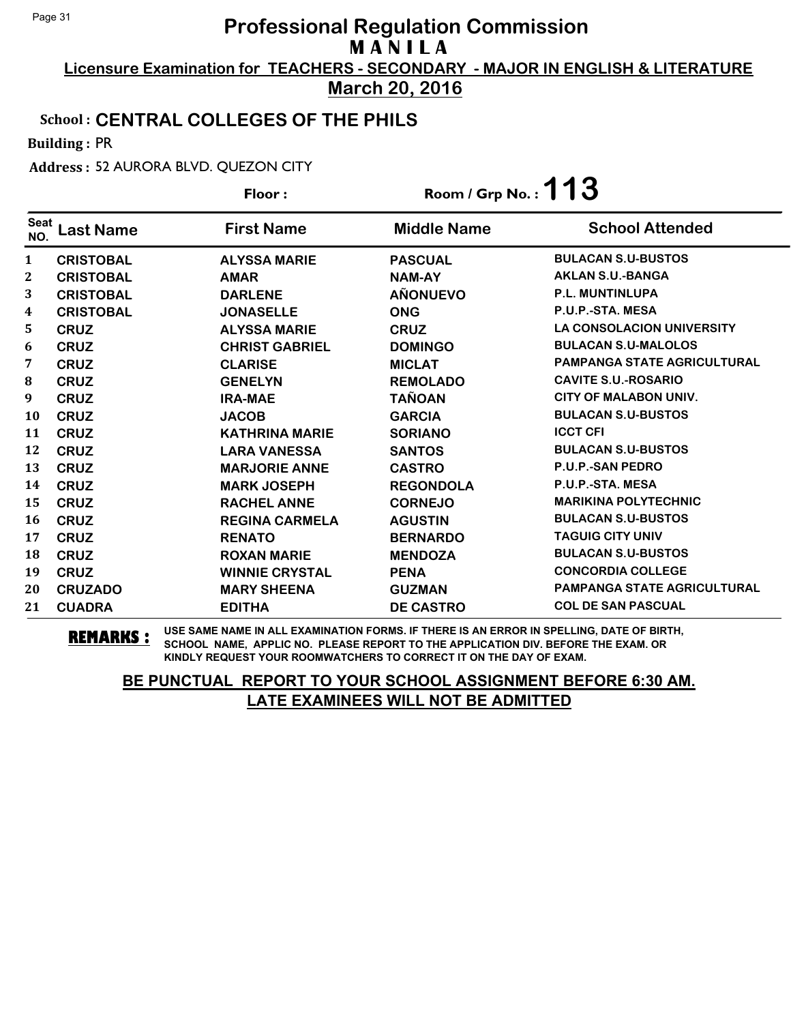**Licensure Examination for TEACHERS - SECONDARY - MAJOR IN ENGLISH & LITERATURE March 20, 2016**

### School : **CENTRAL COLLEGES OF THE PHILS**

Building : PR

Address : 52 AURORA BLVD. QUEZON CITY

|                    |                  | Floor:                | Room / Grp No. : $113$ |                                    |
|--------------------|------------------|-----------------------|------------------------|------------------------------------|
| <b>Seat</b><br>NO. | <b>Last Name</b> | <b>First Name</b>     | <b>Middle Name</b>     | <b>School Attended</b>             |
| $\mathbf{1}$       | <b>CRISTOBAL</b> | <b>ALYSSA MARIE</b>   | <b>PASCUAL</b>         | <b>BULACAN S.U-BUSTOS</b>          |
| $\mathbf{2}$       | <b>CRISTOBAL</b> | <b>AMAR</b>           | <b>NAM-AY</b>          | <b>AKLAN S.U.-BANGA</b>            |
| 3                  | <b>CRISTOBAL</b> | <b>DARLENE</b>        | <b>AÑONUEVO</b>        | P.L. MUNTINLUPA                    |
| 4                  | <b>CRISTOBAL</b> | <b>JONASELLE</b>      | <b>ONG</b>             | P.U.P.-STA. MESA                   |
| 5.                 | <b>CRUZ</b>      | <b>ALYSSA MARIE</b>   | <b>CRUZ</b>            | <b>LA CONSOLACION UNIVERSITY</b>   |
| 6                  | <b>CRUZ</b>      | <b>CHRIST GABRIEL</b> | <b>DOMINGO</b>         | <b>BULACAN S.U-MALOLOS</b>         |
| 7                  | <b>CRUZ</b>      | <b>CLARISE</b>        | <b>MICLAT</b>          | <b>PAMPANGA STATE AGRICULTURAL</b> |
| 8                  | <b>CRUZ</b>      | <b>GENELYN</b>        | <b>REMOLADO</b>        | <b>CAVITE S.U.-ROSARIO</b>         |
| 9                  | <b>CRUZ</b>      | <b>IRA-MAE</b>        | <b>TAÑOAN</b>          | <b>CITY OF MALABON UNIV.</b>       |
| <b>10</b>          | <b>CRUZ</b>      | <b>JACOB</b>          | <b>GARCIA</b>          | <b>BULACAN S.U-BUSTOS</b>          |
| 11                 | <b>CRUZ</b>      | <b>KATHRINA MARIE</b> | <b>SORIANO</b>         | <b>ICCT CFI</b>                    |
| 12                 | <b>CRUZ</b>      | <b>LARA VANESSA</b>   | <b>SANTOS</b>          | <b>BULACAN S.U-BUSTOS</b>          |
| 13                 | <b>CRUZ</b>      | <b>MARJORIE ANNE</b>  | <b>CASTRO</b>          | <b>P.U.P.-SAN PEDRO</b>            |
| 14                 | <b>CRUZ</b>      | <b>MARK JOSEPH</b>    | <b>REGONDOLA</b>       | P.U.P.-STA. MESA                   |
| 15                 | <b>CRUZ</b>      | <b>RACHEL ANNE</b>    | <b>CORNEJO</b>         | <b>MARIKINA POLYTECHNIC</b>        |
| 16                 | <b>CRUZ</b>      | <b>REGINA CARMELA</b> | <b>AGUSTIN</b>         | <b>BULACAN S.U-BUSTOS</b>          |
| 17                 | <b>CRUZ</b>      | <b>RENATO</b>         | <b>BERNARDO</b>        | <b>TAGUIG CITY UNIV</b>            |
| 18                 | <b>CRUZ</b>      | <b>ROXAN MARIE</b>    | <b>MENDOZA</b>         | <b>BULACAN S.U-BUSTOS</b>          |
| 19                 | <b>CRUZ</b>      | <b>WINNIE CRYSTAL</b> | <b>PENA</b>            | <b>CONCORDIA COLLEGE</b>           |
| 20                 | <b>CRUZADO</b>   | <b>MARY SHEENA</b>    | <b>GUZMAN</b>          | <b>PAMPANGA STATE AGRICULTURAL</b> |
| 21                 | <b>CUADRA</b>    | <b>EDITHA</b>         | <b>DE CASTRO</b>       | <b>COL DE SAN PASCUAL</b>          |

**REMARKS :** USE SAME NAME IN ALL EXAMINATION FORMS. IF THERE IS AN ERROR IN SPELLING, DATE OF BIRTH, SCHOOL NAME, APPLIC NO. PLEASE REPORT TO THE APPLICATION DIV. BEFORE THE EXAM. OR KINDLY REQUEST YOUR ROOMWATCHERS TO CORRECT IT ON THE DAY OF EXAM.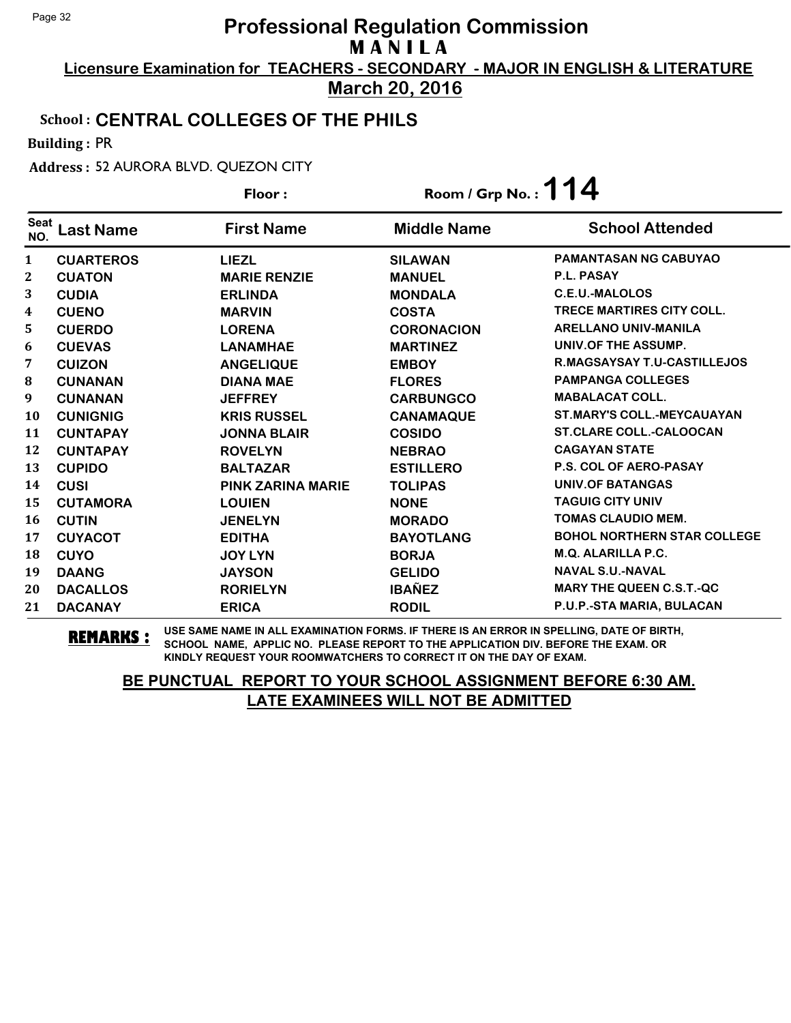**Licensure Examination for TEACHERS - SECONDARY - MAJOR IN ENGLISH & LITERATURE March 20, 2016**

### School : **CENTRAL COLLEGES OF THE PHILS**

Building : PR

Address : 52 AURORA BLVD. QUEZON CITY

|                    |                  | Floor:                   | Room / Grp No.: $114$ |                                    |
|--------------------|------------------|--------------------------|-----------------------|------------------------------------|
| <b>Seat</b><br>NO. | Last Name        | <b>First Name</b>        | <b>Middle Name</b>    | <b>School Attended</b>             |
| 1                  | <b>CUARTEROS</b> | <b>LIEZL</b>             | <b>SILAWAN</b>        | <b>PAMANTASAN NG CABUYAO</b>       |
| 2                  | <b>CUATON</b>    | <b>MARIE RENZIE</b>      | <b>MANUEL</b>         | P.L. PASAY                         |
| 3                  | <b>CUDIA</b>     | <b>ERLINDA</b>           | <b>MONDALA</b>        | <b>C.E.U.-MALOLOS</b>              |
| 4                  | <b>CUENO</b>     | <b>MARVIN</b>            | <b>COSTA</b>          | <b>TRECE MARTIRES CITY COLL.</b>   |
| 5                  | <b>CUERDO</b>    | <b>LORENA</b>            | <b>CORONACION</b>     | <b>ARELLANO UNIV-MANILA</b>        |
| 6                  | <b>CUEVAS</b>    | <b>LANAMHAE</b>          | <b>MARTINEZ</b>       | UNIV.OF THE ASSUMP.                |
| 7                  | <b>CUIZON</b>    | <b>ANGELIQUE</b>         | <b>EMBOY</b>          | R.MAGSAYSAY T.U-CASTILLEJOS        |
| 8                  | <b>CUNANAN</b>   | <b>DIANA MAE</b>         | <b>FLORES</b>         | <b>PAMPANGA COLLEGES</b>           |
| 9                  | <b>CUNANAN</b>   | <b>JEFFREY</b>           | <b>CARBUNGCO</b>      | <b>MABALACAT COLL.</b>             |
| 10                 | <b>CUNIGNIG</b>  | <b>KRIS RUSSEL</b>       | <b>CANAMAQUE</b>      | <b>ST.MARY'S COLL.-MEYCAUAYAN</b>  |
| 11                 | <b>CUNTAPAY</b>  | <b>JONNA BLAIR</b>       | <b>COSIDO</b>         | <b>ST.CLARE COLL.-CALOOCAN</b>     |
| 12                 | <b>CUNTAPAY</b>  | <b>ROVELYN</b>           | <b>NEBRAO</b>         | <b>CAGAYAN STATE</b>               |
| 13                 | <b>CUPIDO</b>    | <b>BALTAZAR</b>          | <b>ESTILLERO</b>      | <b>P.S. COL OF AERO-PASAY</b>      |
| 14                 | <b>CUSI</b>      | <b>PINK ZARINA MARIE</b> | <b>TOLIPAS</b>        | <b>UNIV.OF BATANGAS</b>            |
| 15                 | <b>CUTAMORA</b>  | <b>LOUIEN</b>            | <b>NONE</b>           | <b>TAGUIG CITY UNIV</b>            |
| 16                 | <b>CUTIN</b>     | <b>JENELYN</b>           | <b>MORADO</b>         | <b>TOMAS CLAUDIO MEM.</b>          |
| 17                 | <b>CUYACOT</b>   | <b>EDITHA</b>            | <b>BAYOTLANG</b>      | <b>BOHOL NORTHERN STAR COLLEGE</b> |
| 18                 | <b>CUYO</b>      | <b>JOY LYN</b>           | <b>BORJA</b>          | <b>M.Q. ALARILLA P.C.</b>          |
| 19                 | <b>DAANG</b>     | <b>JAYSON</b>            | <b>GELIDO</b>         | <b>NAVAL S.U.-NAVAL</b>            |
| 20                 | <b>DACALLOS</b>  | <b>RORIELYN</b>          | <b>IBAÑEZ</b>         | <b>MARY THE QUEEN C.S.T.-QC</b>    |
| 21                 | <b>DACANAY</b>   | <b>ERICA</b>             | <b>RODIL</b>          | P.U.P.-STA MARIA, BULACAN          |

**REMARKS :** USE SAME NAME IN ALL EXAMINATION FORMS. IF THERE IS AN ERROR IN SPELLING, DATE OF BIRTH, SCHOOL NAME, APPLIC NO. PLEASE REPORT TO THE APPLICATION DIV. BEFORE THE EXAM. OR KINDLY REQUEST YOUR ROOMWATCHERS TO CORRECT IT ON THE DAY OF EXAM.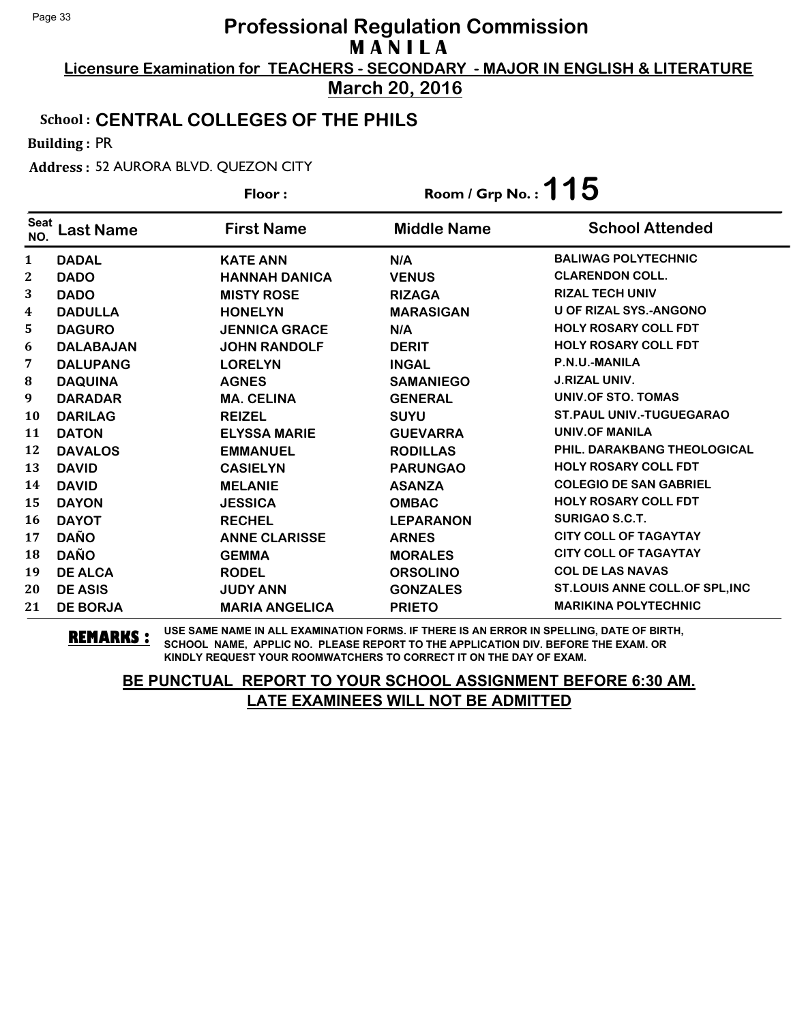**Licensure Examination for TEACHERS - SECONDARY - MAJOR IN ENGLISH & LITERATURE March 20, 2016**

### School : **CENTRAL COLLEGES OF THE PHILS**

Building : PR

Address : 52 AURORA BLVD. QUEZON CITY

|                    |                  | Floor:                | Room / Grp No. : $115$ |                                 |
|--------------------|------------------|-----------------------|------------------------|---------------------------------|
| <b>Seat</b><br>NO. | <b>Last Name</b> | <b>First Name</b>     | <b>Middle Name</b>     | <b>School Attended</b>          |
| $\mathbf{1}$       | <b>DADAL</b>     | <b>KATE ANN</b>       | N/A                    | <b>BALIWAG POLYTECHNIC</b>      |
| $\mathbf{2}$       | <b>DADO</b>      | <b>HANNAH DANICA</b>  | <b>VENUS</b>           | <b>CLARENDON COLL.</b>          |
| 3                  | <b>DADO</b>      | <b>MISTY ROSE</b>     | <b>RIZAGA</b>          | <b>RIZAL TECH UNIV</b>          |
| 4                  | <b>DADULLA</b>   | <b>HONELYN</b>        | <b>MARASIGAN</b>       | <b>U OF RIZAL SYS.-ANGONO</b>   |
| 5                  | <b>DAGURO</b>    | <b>JENNICA GRACE</b>  | N/A                    | <b>HOLY ROSARY COLL FDT</b>     |
| 6                  | <b>DALABAJAN</b> | <b>JOHN RANDOLF</b>   | <b>DERIT</b>           | <b>HOLY ROSARY COLL FDT</b>     |
| 7                  | <b>DALUPANG</b>  | <b>LORELYN</b>        | <b>INGAL</b>           | P.N.U.-MANILA                   |
| 8                  | <b>DAQUINA</b>   | <b>AGNES</b>          | <b>SAMANIEGO</b>       | <b>J.RIZAL UNIV.</b>            |
| 9                  | <b>DARADAR</b>   | <b>MA. CELINA</b>     | <b>GENERAL</b>         | UNIV.OF STO. TOMAS              |
| <b>10</b>          | <b>DARILAG</b>   | <b>REIZEL</b>         | <b>SUYU</b>            | <b>ST.PAUL UNIV.-TUGUEGARAO</b> |
| 11                 | <b>DATON</b>     | <b>ELYSSA MARIE</b>   | <b>GUEVARRA</b>        | <b>UNIV.OF MANILA</b>           |
| 12                 | <b>DAVALOS</b>   | <b>EMMANUEL</b>       | <b>RODILLAS</b>        | PHIL. DARAKBANG THEOLOGICAL     |
| 13                 | <b>DAVID</b>     | <b>CASIELYN</b>       | <b>PARUNGAO</b>        | <b>HOLY ROSARY COLL FDT</b>     |
| 14                 | <b>DAVID</b>     | <b>MELANIE</b>        | <b>ASANZA</b>          | <b>COLEGIO DE SAN GABRIEL</b>   |
| 15                 | <b>DAYON</b>     | <b>JESSICA</b>        | <b>OMBAC</b>           | <b>HOLY ROSARY COLL FDT</b>     |
| 16                 | <b>DAYOT</b>     | <b>RECHEL</b>         | <b>LEPARANON</b>       | <b>SURIGAO S.C.T.</b>           |
| 17                 | <b>DAÑO</b>      | <b>ANNE CLARISSE</b>  | <b>ARNES</b>           | <b>CITY COLL OF TAGAYTAY</b>    |
| 18                 | <b>DAÑO</b>      | <b>GEMMA</b>          | <b>MORALES</b>         | <b>CITY COLL OF TAGAYTAY</b>    |
| 19                 | <b>DE ALCA</b>   | <b>RODEL</b>          | <b>ORSOLINO</b>        | <b>COL DE LAS NAVAS</b>         |
| 20                 | <b>DE ASIS</b>   | <b>JUDY ANN</b>       | <b>GONZALES</b>        | ST.LOUIS ANNE COLL. OF SPL, INC |
| 21                 | <b>DE BORJA</b>  | <b>MARIA ANGELICA</b> | <b>PRIETO</b>          | <b>MARIKINA POLYTECHNIC</b>     |

**REMARKS :** USE SAME NAME IN ALL EXAMINATION FORMS. IF THERE IS AN ERROR IN SPELLING, DATE OF BIRTH, SCHOOL NAME, APPLIC NO. PLEASE REPORT TO THE APPLICATION DIV. BEFORE THE EXAM. OR KINDLY REQUEST YOUR ROOMWATCHERS TO CORRECT IT ON THE DAY OF EXAM.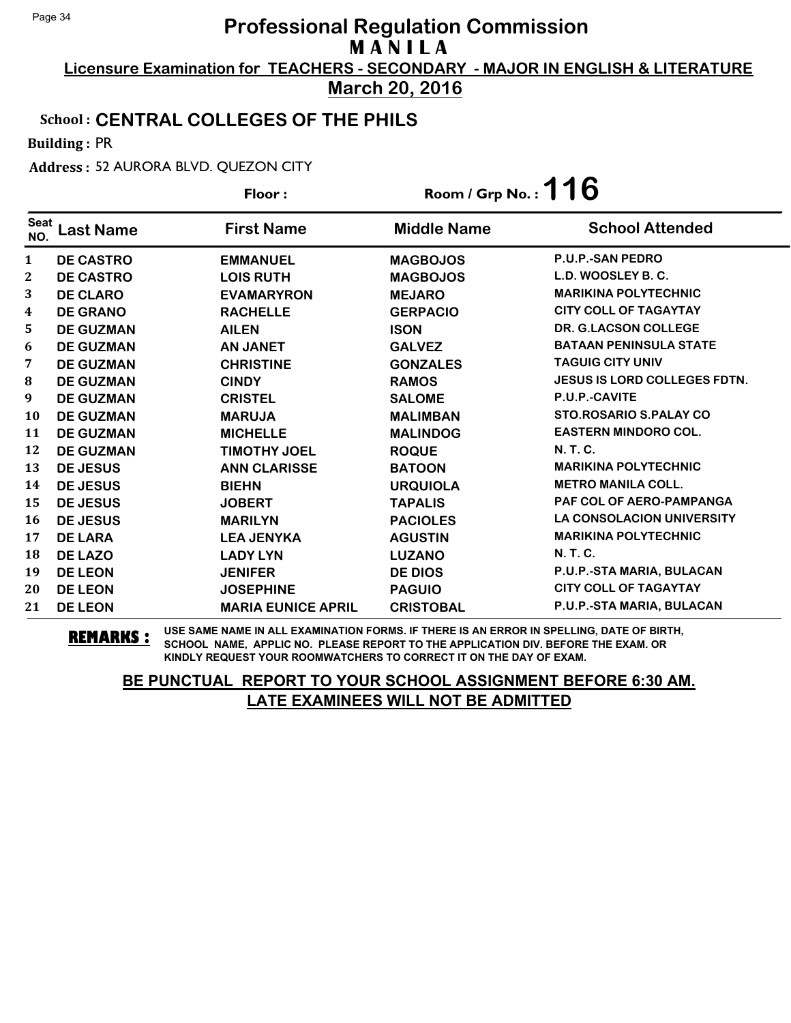**Licensure Examination for TEACHERS - SECONDARY - MAJOR IN ENGLISH & LITERATURE March 20, 2016**

#### School : **CENTRAL COLLEGES OF THE PHILS**

Building : PR

Address : 52 AURORA BLVD. QUEZON CITY

|                    |                  | Floor:                    | Room / Grp No.: $116$ |                                     |
|--------------------|------------------|---------------------------|-----------------------|-------------------------------------|
| <b>Seat</b><br>NO. | Last Name        | <b>First Name</b>         | <b>Middle Name</b>    | <b>School Attended</b>              |
| $\mathbf{1}$       | <b>DE CASTRO</b> | <b>EMMANUEL</b>           | <b>MAGBOJOS</b>       | <b>P.U.P.-SAN PEDRO</b>             |
| $\mathbf{2}$       | <b>DE CASTRO</b> | <b>LOIS RUTH</b>          | <b>MAGBOJOS</b>       | L.D. WOOSLEY B. C.                  |
| 3                  | <b>DE CLARO</b>  | <b>EVAMARYRON</b>         | <b>MEJARO</b>         | <b>MARIKINA POLYTECHNIC</b>         |
| 4                  | <b>DE GRANO</b>  | <b>RACHELLE</b>           | <b>GERPACIO</b>       | <b>CITY COLL OF TAGAYTAY</b>        |
| 5                  | <b>DE GUZMAN</b> | <b>AILEN</b>              | <b>ISON</b>           | <b>DR. G.LACSON COLLEGE</b>         |
| 6                  | <b>DE GUZMAN</b> | <b>AN JANET</b>           | <b>GALVEZ</b>         | <b>BATAAN PENINSULA STATE</b>       |
| 7                  | <b>DE GUZMAN</b> | <b>CHRISTINE</b>          | <b>GONZALES</b>       | <b>TAGUIG CITY UNIV</b>             |
| 8                  | <b>DE GUZMAN</b> | <b>CINDY</b>              | <b>RAMOS</b>          | <b>JESUS IS LORD COLLEGES FDTN.</b> |
| 9                  | <b>DE GUZMAN</b> | <b>CRISTEL</b>            | <b>SALOME</b>         | P.U.P.-CAVITE                       |
| <b>10</b>          | <b>DE GUZMAN</b> | <b>MARUJA</b>             | <b>MALIMBAN</b>       | <b>STO.ROSARIO S.PALAY CO</b>       |
| 11                 | <b>DE GUZMAN</b> | <b>MICHELLE</b>           | <b>MALINDOG</b>       | <b>EASTERN MINDORO COL.</b>         |
| 12                 | <b>DE GUZMAN</b> | <b>TIMOTHY JOEL</b>       | <b>ROQUE</b>          | <b>N.T.C.</b>                       |
| 13                 | <b>DE JESUS</b>  | <b>ANN CLARISSE</b>       | <b>BATOON</b>         | <b>MARIKINA POLYTECHNIC</b>         |
| 14                 | <b>DE JESUS</b>  | <b>BIEHN</b>              | <b>URQUIOLA</b>       | <b>METRO MANILA COLL.</b>           |
| 15                 | <b>DE JESUS</b>  | <b>JOBERT</b>             | <b>TAPALIS</b>        | PAF COL OF AERO-PAMPANGA            |
| 16                 | <b>DE JESUS</b>  | <b>MARILYN</b>            | <b>PACIOLES</b>       | <b>LA CONSOLACION UNIVERSITY</b>    |
| 17                 | <b>DE LARA</b>   | <b>LEA JENYKA</b>         | <b>AGUSTIN</b>        | <b>MARIKINA POLYTECHNIC</b>         |
| 18                 | <b>DE LAZO</b>   | <b>LADY LYN</b>           | <b>LUZANO</b>         | <b>N.T.C.</b>                       |
| 19                 | <b>DE LEON</b>   | <b>JENIFER</b>            | <b>DE DIOS</b>        | P.U.P.-STA MARIA, BULACAN           |
| 20                 | <b>DE LEON</b>   | <b>JOSEPHINE</b>          | <b>PAGUIO</b>         | <b>CITY COLL OF TAGAYTAY</b>        |
| 21                 | <b>DE LEON</b>   | <b>MARIA EUNICE APRIL</b> | <b>CRISTOBAL</b>      | P.U.P.-STA MARIA, BULACAN           |

**REMARKS :** USE SAME NAME IN ALL EXAMINATION FORMS. IF THERE IS AN ERROR IN SPELLING, DATE OF BIRTH, SCHOOL NAME, APPLIC NO. PLEASE REPORT TO THE APPLICATION DIV. BEFORE THE EXAM. OR KINDLY REQUEST YOUR ROOMWATCHERS TO CORRECT IT ON THE DAY OF EXAM.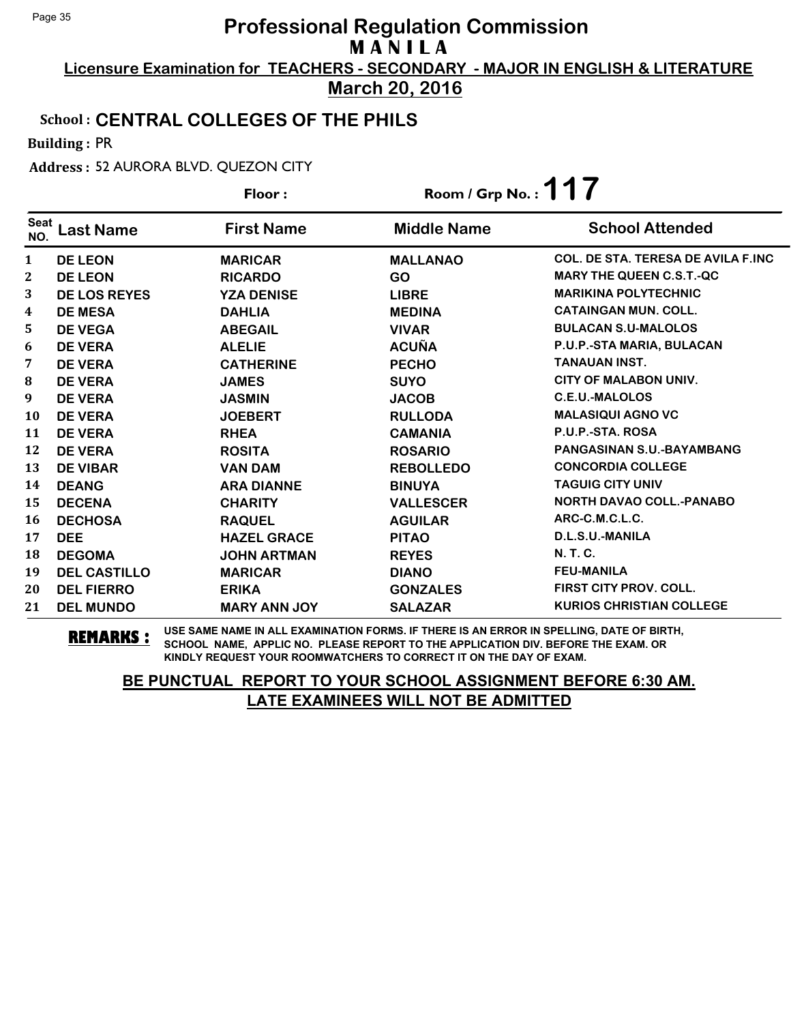**Licensure Examination for TEACHERS - SECONDARY - MAJOR IN ENGLISH & LITERATURE March 20, 2016**

#### School : **CENTRAL COLLEGES OF THE PHILS**

Building : PR

Address : 52 AURORA BLVD. QUEZON CITY

|                    |                     | Floor:              | Room / Grp No.: $117$ |                                    |
|--------------------|---------------------|---------------------|-----------------------|------------------------------------|
| <b>Seat</b><br>NO. | <b>Last Name</b>    | <b>First Name</b>   | <b>Middle Name</b>    | <b>School Attended</b>             |
| 1                  | <b>DE LEON</b>      | <b>MARICAR</b>      | <b>MALLANAO</b>       | COL. DE STA. TERESA DE AVILA F.INC |
| 2                  | <b>DE LEON</b>      | <b>RICARDO</b>      | <b>GO</b>             | <b>MARY THE QUEEN C.S.T.-QC</b>    |
| 3                  | <b>DE LOS REYES</b> | <b>YZA DENISE</b>   | <b>LIBRE</b>          | <b>MARIKINA POLYTECHNIC</b>        |
| 4                  | <b>DE MESA</b>      | <b>DAHLIA</b>       | <b>MEDINA</b>         | <b>CATAINGAN MUN. COLL.</b>        |
| 5                  | <b>DE VEGA</b>      | <b>ABEGAIL</b>      | <b>VIVAR</b>          | <b>BULACAN S.U-MALOLOS</b>         |
| 6                  | <b>DE VERA</b>      | <b>ALELIE</b>       | <b>ACUÑA</b>          | P.U.P.-STA MARIA, BULACAN          |
| 7                  | <b>DE VERA</b>      | <b>CATHERINE</b>    | <b>PECHO</b>          | TANAUAN INST.                      |
| 8                  | <b>DE VERA</b>      | <b>JAMES</b>        | <b>SUYO</b>           | <b>CITY OF MALABON UNIV.</b>       |
| 9                  | <b>DE VERA</b>      | <b>JASMIN</b>       | <b>JACOB</b>          | <b>C.E.U.-MALOLOS</b>              |
| 10                 | <b>DE VERA</b>      | <b>JOEBERT</b>      | <b>RULLODA</b>        | <b>MALASIQUI AGNO VC</b>           |
| 11                 | <b>DE VERA</b>      | <b>RHEA</b>         | <b>CAMANIA</b>        | P.U.P.-STA. ROSA                   |
| 12                 | <b>DE VERA</b>      | <b>ROSITA</b>       | <b>ROSARIO</b>        | PANGASINAN S.U.-BAYAMBANG          |
| 13                 | <b>DE VIBAR</b>     | <b>VAN DAM</b>      | <b>REBOLLEDO</b>      | <b>CONCORDIA COLLEGE</b>           |
| 14                 | <b>DEANG</b>        | <b>ARA DIANNE</b>   | <b>BINUYA</b>         | <b>TAGUIG CITY UNIV</b>            |
| 15                 | <b>DECENA</b>       | <b>CHARITY</b>      | <b>VALLESCER</b>      | <b>NORTH DAVAO COLL.-PANABO</b>    |
| 16                 | <b>DECHOSA</b>      | <b>RAQUEL</b>       | <b>AGUILAR</b>        | ARC-C.M.C.L.C.                     |
| 17                 | <b>DEE</b>          | <b>HAZEL GRACE</b>  | <b>PITAO</b>          | D.L.S.U.-MANILA                    |
| 18                 | <b>DEGOMA</b>       | <b>JOHN ARTMAN</b>  | <b>REYES</b>          | <b>N.T.C.</b>                      |
| 19                 | <b>DEL CASTILLO</b> | <b>MARICAR</b>      | <b>DIANO</b>          | <b>FEU-MANILA</b>                  |
| 20                 | <b>DEL FIERRO</b>   | <b>ERIKA</b>        | <b>GONZALES</b>       | <b>FIRST CITY PROV. COLL.</b>      |
| 21                 | <b>DEL MUNDO</b>    | <b>MARY ANN JOY</b> | <b>SALAZAR</b>        | <b>KURIOS CHRISTIAN COLLEGE</b>    |

**REMARKS :** USE SAME NAME IN ALL EXAMINATION FORMS. IF THERE IS AN ERROR IN SPELLING, DATE OF BIRTH, SCHOOL NAME, APPLIC NO. PLEASE REPORT TO THE APPLICATION DIV. BEFORE THE EXAM. OR KINDLY REQUEST YOUR ROOMWATCHERS TO CORRECT IT ON THE DAY OF EXAM.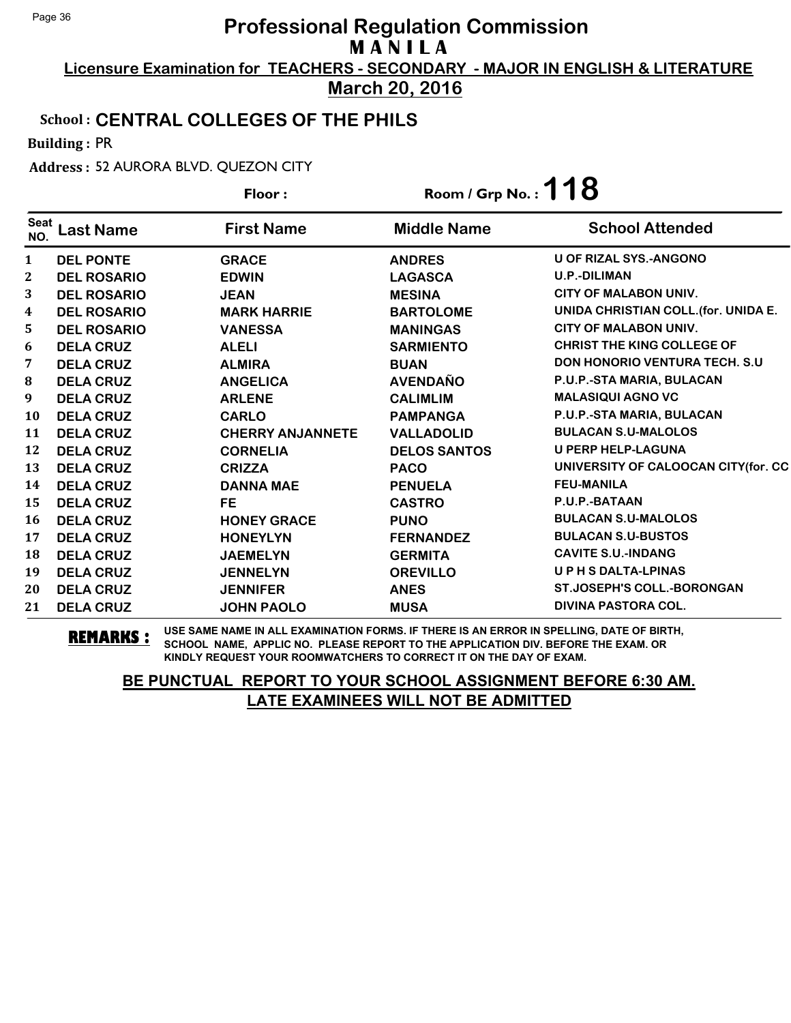**Licensure Examination for TEACHERS - SECONDARY - MAJOR IN ENGLISH & LITERATURE March 20, 2016**

#### School : **CENTRAL COLLEGES OF THE PHILS**

Building : PR

Address : 52 AURORA BLVD. QUEZON CITY

|                    |                    | Floor:                  | Room / Grp No.: $118$ |                                       |
|--------------------|--------------------|-------------------------|-----------------------|---------------------------------------|
| <b>Seat</b><br>NO. | <b>Last Name</b>   | <b>First Name</b>       | <b>Middle Name</b>    | <b>School Attended</b>                |
| 1                  | <b>DEL PONTE</b>   | <b>GRACE</b>            | <b>ANDRES</b>         | <b>U OF RIZAL SYS.-ANGONO</b>         |
| 2                  | <b>DEL ROSARIO</b> | <b>EDWIN</b>            | <b>LAGASCA</b>        | <b>U.P.-DILIMAN</b>                   |
| 3                  | <b>DEL ROSARIO</b> | <b>JEAN</b>             | <b>MESINA</b>         | <b>CITY OF MALABON UNIV.</b>          |
| 4                  | <b>DEL ROSARIO</b> | <b>MARK HARRIE</b>      | <b>BARTOLOME</b>      | UNIDA CHRISTIAN COLL. (for. UNIDA E.  |
| 5                  | <b>DEL ROSARIO</b> | <b>VANESSA</b>          | <b>MANINGAS</b>       | <b>CITY OF MALABON UNIV.</b>          |
| 6                  | <b>DELA CRUZ</b>   | <b>ALELI</b>            | <b>SARMIENTO</b>      | <b>CHRIST THE KING COLLEGE OF</b>     |
| 7                  | <b>DELA CRUZ</b>   | <b>ALMIRA</b>           | <b>BUAN</b>           | <b>DON HONORIO VENTURA TECH. S.U.</b> |
| 8                  | <b>DELA CRUZ</b>   | <b>ANGELICA</b>         | <b>AVENDAÑO</b>       | P.U.P.-STA MARIA, BULACAN             |
| 9                  | <b>DELA CRUZ</b>   | <b>ARLENE</b>           | <b>CALIMLIM</b>       | <b>MALASIQUI AGNO VC</b>              |
| 10                 | <b>DELA CRUZ</b>   | <b>CARLO</b>            | <b>PAMPANGA</b>       | P.U.P.-STA MARIA, BULACAN             |
| 11                 | <b>DELA CRUZ</b>   | <b>CHERRY ANJANNETE</b> | <b>VALLADOLID</b>     | <b>BULACAN S.U-MALOLOS</b>            |
| 12                 | <b>DELA CRUZ</b>   | <b>CORNELIA</b>         | <b>DELOS SANTOS</b>   | <b>U PERP HELP-LAGUNA</b>             |
| 13                 | <b>DELA CRUZ</b>   | <b>CRIZZA</b>           | <b>PACO</b>           | UNIVERSITY OF CALOOCAN CITY(for. CC   |
| 14                 | <b>DELA CRUZ</b>   | <b>DANNA MAE</b>        | <b>PENUELA</b>        | <b>FEU-MANILA</b>                     |
| 15                 | <b>DELA CRUZ</b>   | <b>FE</b>               | <b>CASTRO</b>         | P.U.P.-BATAAN                         |
| 16                 | <b>DELA CRUZ</b>   | <b>HONEY GRACE</b>      | <b>PUNO</b>           | <b>BULACAN S.U-MALOLOS</b>            |
| 17                 | <b>DELA CRUZ</b>   | <b>HONEYLYN</b>         | <b>FERNANDEZ</b>      | <b>BULACAN S.U-BUSTOS</b>             |
| 18                 | <b>DELA CRUZ</b>   | <b>JAEMELYN</b>         | <b>GERMITA</b>        | <b>CAVITE S.U.-INDANG</b>             |
| 19                 | <b>DELA CRUZ</b>   | <b>JENNELYN</b>         | <b>OREVILLO</b>       | UPHSDALTA-LPINAS                      |
| 20                 | <b>DELA CRUZ</b>   | <b>JENNIFER</b>         | <b>ANES</b>           | <b>ST.JOSEPH'S COLL.-BORONGAN</b>     |
| 21                 | <b>DELA CRUZ</b>   | <b>JOHN PAOLO</b>       | <b>MUSA</b>           | <b>DIVINA PASTORA COL.</b>            |

**REMARKS :** USE SAME NAME IN ALL EXAMINATION FORMS. IF THERE IS AN ERROR IN SPELLING, DATE OF BIRTH, SCHOOL NAME, APPLIC NO. PLEASE REPORT TO THE APPLICATION DIV. BEFORE THE EXAM. OR KINDLY REQUEST YOUR ROOMWATCHERS TO CORRECT IT ON THE DAY OF EXAM.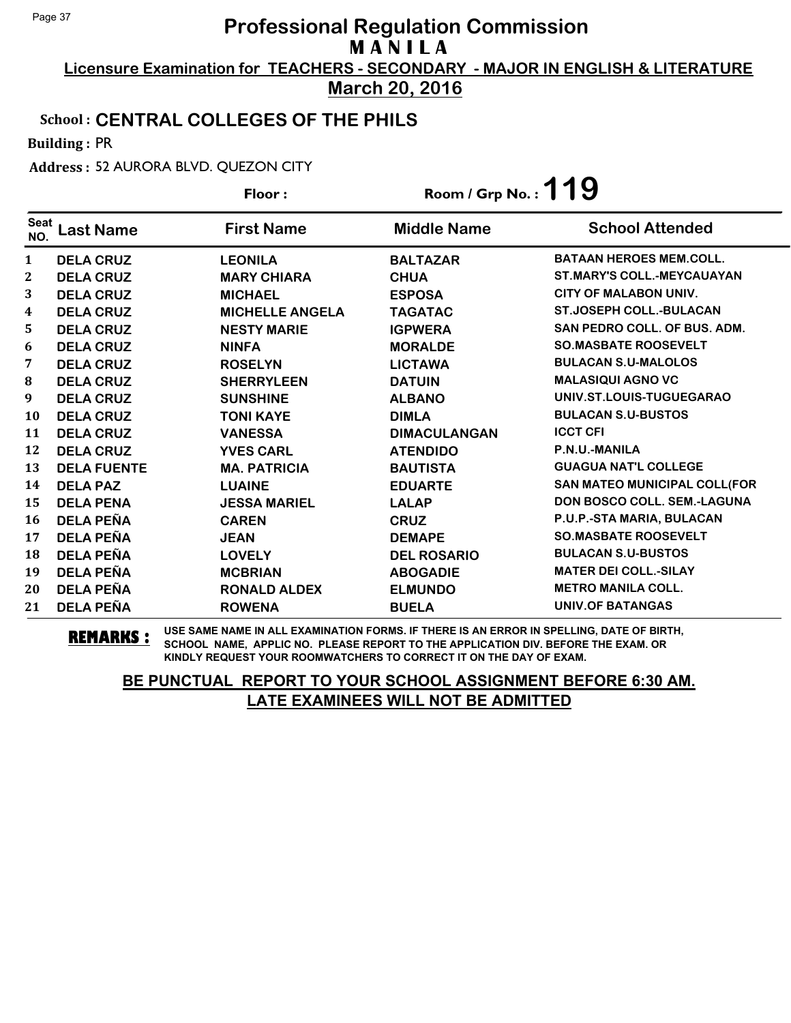**Licensure Examination for TEACHERS - SECONDARY - MAJOR IN ENGLISH & LITERATURE March 20, 2016**

#### School : **CENTRAL COLLEGES OF THE PHILS**

Building : PR

Address : 52 AURORA BLVD. QUEZON CITY

|                    |                    | Floor:                 | Room / Grp No.: $119$ |                                     |
|--------------------|--------------------|------------------------|-----------------------|-------------------------------------|
| <b>Seat</b><br>NO. | <b>Last Name</b>   | <b>First Name</b>      | <b>Middle Name</b>    | <b>School Attended</b>              |
| 1                  | <b>DELA CRUZ</b>   | <b>LEONILA</b>         | <b>BALTAZAR</b>       | <b>BATAAN HEROES MEM.COLL.</b>      |
| 2                  | <b>DELA CRUZ</b>   | <b>MARY CHIARA</b>     | <b>CHUA</b>           | <b>ST.MARY'S COLL.-MEYCAUAYAN</b>   |
| 3                  | <b>DELA CRUZ</b>   | <b>MICHAEL</b>         | <b>ESPOSA</b>         | <b>CITY OF MALABON UNIV.</b>        |
| 4                  | <b>DELA CRUZ</b>   | <b>MICHELLE ANGELA</b> | <b>TAGATAC</b>        | <b>ST.JOSEPH COLL.-BULACAN</b>      |
| 5                  | <b>DELA CRUZ</b>   | <b>NESTY MARIE</b>     | <b>IGPWERA</b>        | <b>SAN PEDRO COLL. OF BUS. ADM.</b> |
| 6                  | <b>DELA CRUZ</b>   | <b>NINFA</b>           | <b>MORALDE</b>        | <b>SO.MASBATE ROOSEVELT</b>         |
| 7                  | <b>DELA CRUZ</b>   | <b>ROSELYN</b>         | <b>LICTAWA</b>        | <b>BULACAN S.U-MALOLOS</b>          |
| 8                  | <b>DELA CRUZ</b>   | <b>SHERRYLEEN</b>      | <b>DATUIN</b>         | <b>MALASIQUI AGNO VC</b>            |
| 9                  | <b>DELA CRUZ</b>   | <b>SUNSHINE</b>        | <b>ALBANO</b>         | UNIV.ST.LOUIS-TUGUEGARAO            |
| 10                 | <b>DELA CRUZ</b>   | <b>TONI KAYE</b>       | <b>DIMLA</b>          | <b>BULACAN S.U-BUSTOS</b>           |
| 11                 | <b>DELA CRUZ</b>   | <b>VANESSA</b>         | <b>DIMACULANGAN</b>   | <b>ICCT CFI</b>                     |
| 12                 | <b>DELA CRUZ</b>   | <b>YVES CARL</b>       | <b>ATENDIDO</b>       | P.N.U.-MANILA                       |
| 13                 | <b>DELA FUENTE</b> | <b>MA. PATRICIA</b>    | <b>BAUTISTA</b>       | <b>GUAGUA NAT'L COLLEGE</b>         |
| 14                 | <b>DELA PAZ</b>    | <b>LUAINE</b>          | <b>EDUARTE</b>        | <b>SAN MATEO MUNICIPAL COLL(FOR</b> |
| 15                 | <b>DELA PENA</b>   | <b>JESSA MARIEL</b>    | <b>LALAP</b>          | <b>DON BOSCO COLL. SEM.-LAGUNA</b>  |
| 16                 | <b>DELA PEÑA</b>   | <b>CAREN</b>           | <b>CRUZ</b>           | P.U.P.-STA MARIA, BULACAN           |
| 17                 | <b>DELA PEÑA</b>   | <b>JEAN</b>            | <b>DEMAPE</b>         | <b>SO.MASBATE ROOSEVELT</b>         |
| 18                 | <b>DELA PEÑA</b>   | <b>LOVELY</b>          | <b>DEL ROSARIO</b>    | <b>BULACAN S.U-BUSTOS</b>           |
| 19                 | <b>DELA PEÑA</b>   | <b>MCBRIAN</b>         | <b>ABOGADIE</b>       | <b>MATER DEI COLL.-SILAY</b>        |
| 20                 | <b>DELA PEÑA</b>   | <b>RONALD ALDEX</b>    | <b>ELMUNDO</b>        | <b>METRO MANILA COLL.</b>           |
| 21                 | <b>DELA PEÑA</b>   | <b>ROWENA</b>          | <b>BUELA</b>          | <b>UNIV.OF BATANGAS</b>             |

**REMARKS :** USE SAME NAME IN ALL EXAMINATION FORMS. IF THERE IS AN ERROR IN SPELLING, DATE OF BIRTH, SCHOOL NAME, APPLIC NO. PLEASE REPORT TO THE APPLICATION DIV. BEFORE THE EXAM. OR KINDLY REQUEST YOUR ROOMWATCHERS TO CORRECT IT ON THE DAY OF EXAM.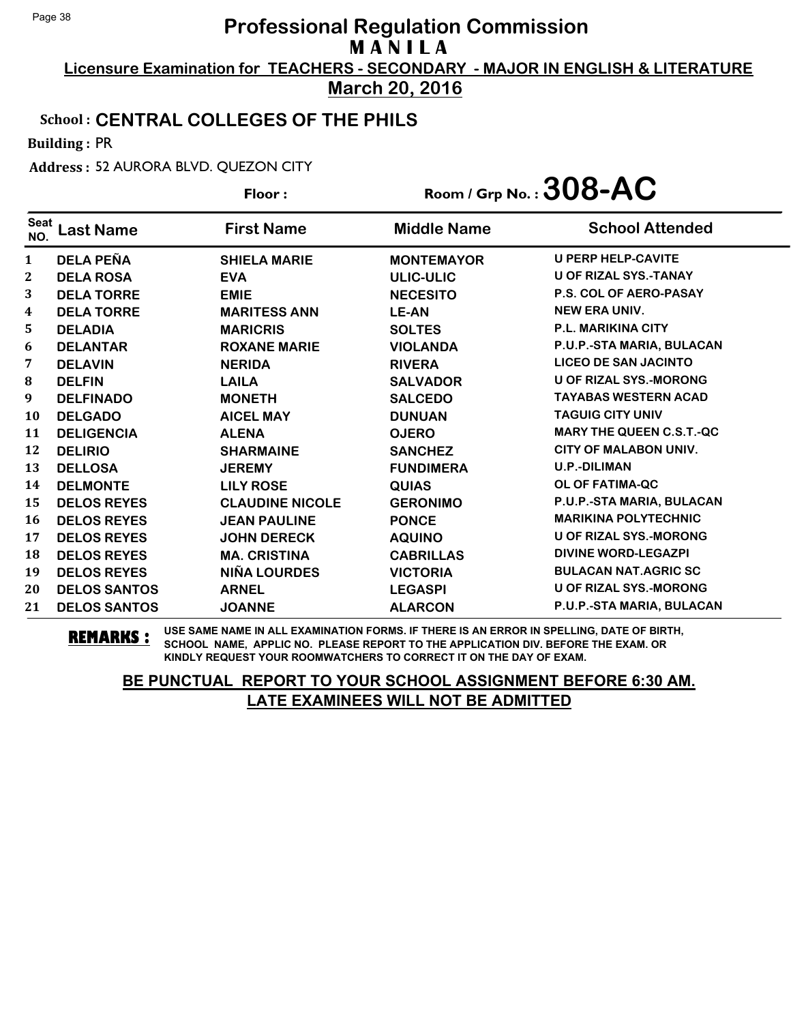**Licensure Examination for TEACHERS - SECONDARY - MAJOR IN ENGLISH & LITERATURE March 20, 2016**

#### School : **CENTRAL COLLEGES OF THE PHILS**

Building : PR

Address : 52 AURORA BLVD. QUEZON CITY

|                    |                     | Floor:                 | Room / Grp No.: $308$ -AC |                                 |
|--------------------|---------------------|------------------------|---------------------------|---------------------------------|
| <b>Seat</b><br>NO. | <b>Last Name</b>    | <b>First Name</b>      | <b>Middle Name</b>        | <b>School Attended</b>          |
| 1                  | <b>DELA PEÑA</b>    | <b>SHIELA MARIE</b>    | <b>MONTEMAYOR</b>         | <b>U PERP HELP-CAVITE</b>       |
| 2                  | <b>DELA ROSA</b>    | <b>EVA</b>             | ULIC-ULIC                 | <b>U OF RIZAL SYS.-TANAY</b>    |
| 3                  | <b>DELA TORRE</b>   | <b>EMIE</b>            | <b>NECESITO</b>           | <b>P.S. COL OF AERO-PASAY</b>   |
| 4                  | <b>DELA TORRE</b>   | <b>MARITESS ANN</b>    | <b>LE-AN</b>              | <b>NEW ERA UNIV.</b>            |
| 5                  | <b>DELADIA</b>      | <b>MARICRIS</b>        | <b>SOLTES</b>             | <b>P.L. MARIKINA CITY</b>       |
| 6                  | <b>DELANTAR</b>     | <b>ROXANE MARIE</b>    | <b>VIOLANDA</b>           | P.U.P.-STA MARIA, BULACAN       |
| 7                  | <b>DELAVIN</b>      | <b>NERIDA</b>          | <b>RIVERA</b>             | <b>LICEO DE SAN JACINTO</b>     |
| 8                  | <b>DELFIN</b>       | <b>LAILA</b>           | <b>SALVADOR</b>           | <b>U OF RIZAL SYS.-MORONG</b>   |
| 9                  | <b>DELFINADO</b>    | <b>MONETH</b>          | <b>SALCEDO</b>            | <b>TAYABAS WESTERN ACAD</b>     |
| 10                 | <b>DELGADO</b>      | <b>AICEL MAY</b>       | <b>DUNUAN</b>             | <b>TAGUIG CITY UNIV</b>         |
| 11                 | <b>DELIGENCIA</b>   | <b>ALENA</b>           | <b>OJERO</b>              | <b>MARY THE QUEEN C.S.T.-QC</b> |
| 12                 | <b>DELIRIO</b>      | <b>SHARMAINE</b>       | <b>SANCHEZ</b>            | CITY OF MALABON UNIV.           |
| 13                 | <b>DELLOSA</b>      | <b>JEREMY</b>          | <b>FUNDIMERA</b>          | <b>U.P.-DILIMAN</b>             |
| 14                 | <b>DELMONTE</b>     | <b>LILY ROSE</b>       | <b>QUIAS</b>              | OL OF FATIMA-QC                 |
| 15                 | <b>DELOS REYES</b>  | <b>CLAUDINE NICOLE</b> | <b>GERONIMO</b>           | P.U.P.-STA MARIA, BULACAN       |
| 16                 | <b>DELOS REYES</b>  | <b>JEAN PAULINE</b>    | <b>PONCE</b>              | <b>MARIKINA POLYTECHNIC</b>     |
| 17                 | <b>DELOS REYES</b>  | <b>JOHN DERECK</b>     | <b>AQUINO</b>             | <b>U OF RIZAL SYS.-MORONG</b>   |
| 18                 | <b>DELOS REYES</b>  | <b>MA. CRISTINA</b>    | <b>CABRILLAS</b>          | <b>DIVINE WORD-LEGAZPI</b>      |
| 19                 | <b>DELOS REYES</b>  | <b>NIÑA LOURDES</b>    | <b>VICTORIA</b>           | <b>BULACAN NAT.AGRIC SC</b>     |
| 20                 | <b>DELOS SANTOS</b> | <b>ARNEL</b>           | <b>LEGASPI</b>            | U OF RIZAL SYS.-MORONG          |
| 21                 | <b>DELOS SANTOS</b> | <b>JOANNE</b>          | <b>ALARCON</b>            | P.U.P.-STA MARIA, BULACAN       |

**REMARKS :** USE SAME NAME IN ALL EXAMINATION FORMS. IF THERE IS AN ERROR IN SPELLING, DATE OF BIRTH, SCHOOL NAME, APPLIC NO. PLEASE REPORT TO THE APPLICATION DIV. BEFORE THE EXAM. OR KINDLY REQUEST YOUR ROOMWATCHERS TO CORRECT IT ON THE DAY OF EXAM.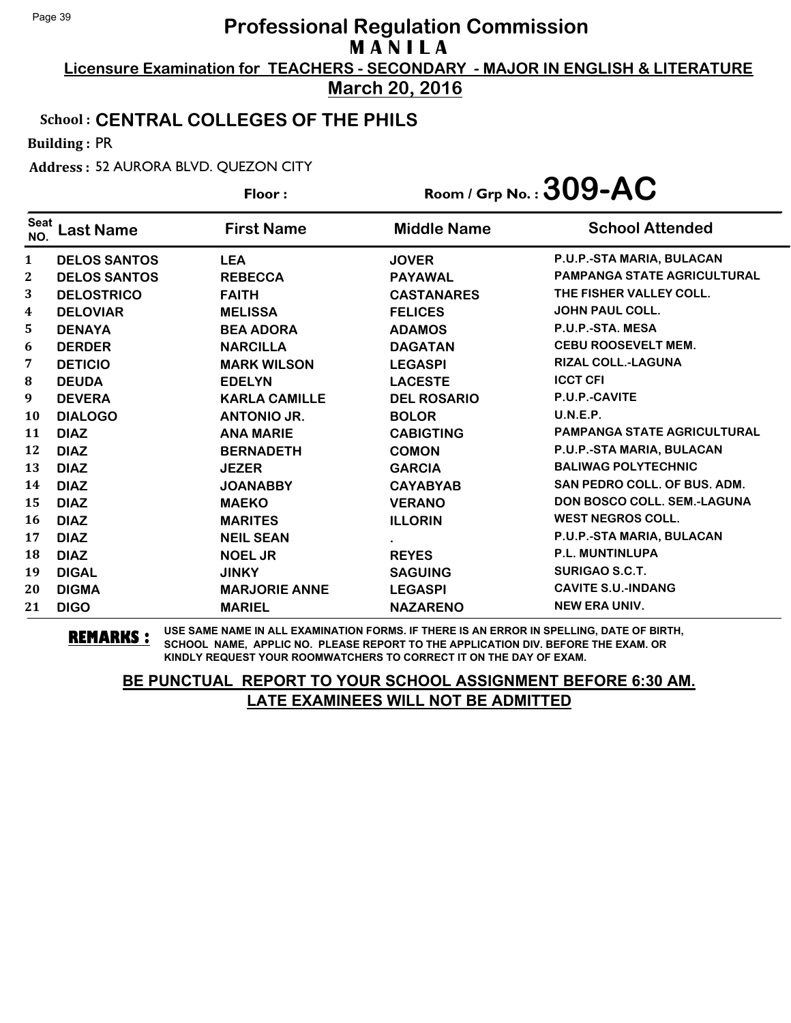**Licensure Examination for TEACHERS - SECONDARY - MAJOR IN ENGLISH & LITERATURE March 20, 2016**

#### School : **CENTRAL COLLEGES OF THE PHILS**

Building : PR

Address : 52 AURORA BLVD. QUEZON CITY

**Last Name First Name Middle Name** Floor : Room / Grp No. :**309-AC** Seat <sup>Seat</sup> Last Name First Name Middle Name School Attended **DELOS SANTOS LEA JOVER P.U.P.-STA MARIA, BULACAN DELOS SANTOS REBECCA PAYAWAL PAMPANGA STATE AGRICULTURAL DELOSTRICO FAITH CASTANARES THE FISHER VALLEY COLL. DELOVIAR MELISSA FELICES JOHN PAUL COLL. DENAYA BEA ADORA ADAMOS P.U.P.-STA. MESA DERDER NARCILLA DAGATAN CEBU ROOSEVELT MEM. DETICIO MARK WILSON LEGASPI RIZAL COLL.-LAGUNA DEUDA EDELYN LACESTE ICCT CFI DEVERA KARLA CAMILLE DEL ROSARIO P.U.P.-CAVITE DIALOGO ANTONIO JR. BOLOR U.N.E.P. DIAZ ANA MARIE CABIGTING PAMPANGA STATE AGRICULTURAL DIAZ BERNADETH COMON P.U.P.-STA MARIA, BULACAN DIAZ JEZER GARCIA BALIWAG POLYTECHNIC DIAZ JOANABBY CAYABYAB SAN PEDRO COLL. OF BUS. ADM. DIAZ MAEKO VERANO DON BOSCO COLL. SEM.-LAGUNA DIAZ MARITES ILLORIN WEST NEGROS COLL. DIAZ NEIL SEAN . P.U.P.-STA MARIA, BULACAN DIAZ NOEL JR REYES P.L. MUNTINLUPA DIGAL JINKY SAGUING SURIGAO S.C.T. DIGMA MARJORIE ANNE LEGASPI CAVITE S.U.-INDANG DIGO MARIEL NAZARENO NEW ERA UNIV.**

**REMARKS :** USE SAME NAME IN ALL EXAMINATION FORMS. IF THERE IS AN ERROR IN SPELLING, DATE OF BIRTH, SCHOOL NAME, APPLIC NO. PLEASE REPORT TO THE APPLICATION DIV. BEFORE THE EXAM. OR KINDLY REQUEST YOUR ROOMWATCHERS TO CORRECT IT ON THE DAY OF EXAM.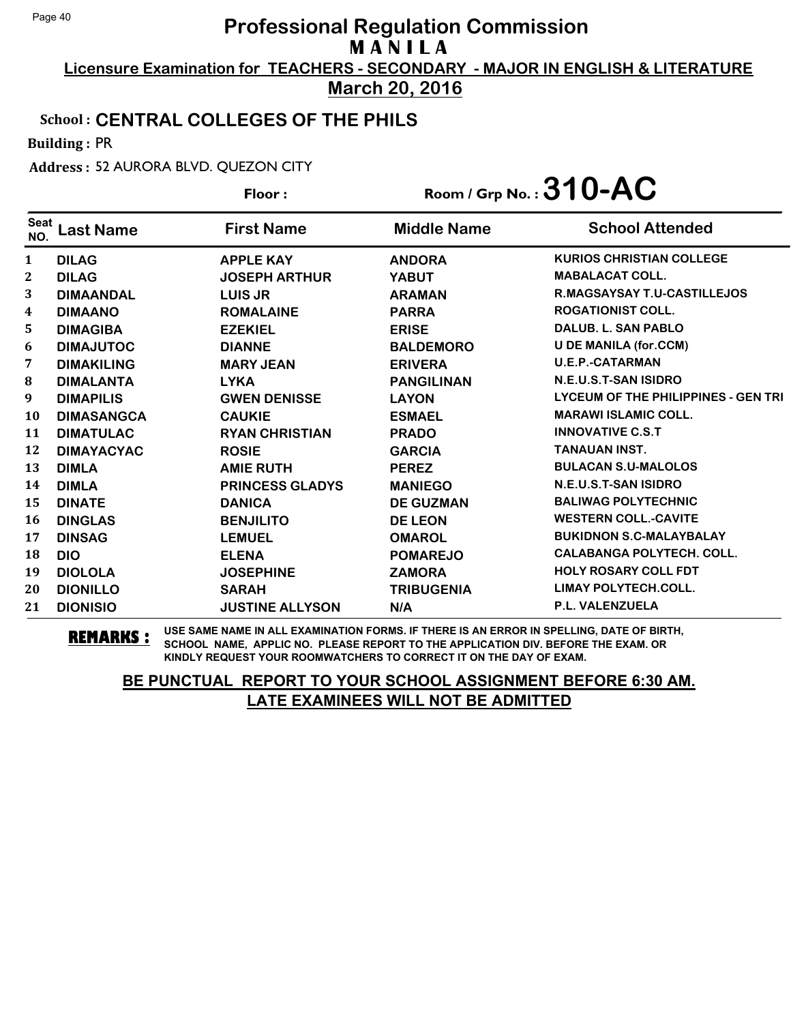**Licensure Examination for TEACHERS - SECONDARY - MAJOR IN ENGLISH & LITERATURE March 20, 2016**

#### School : **CENTRAL COLLEGES OF THE PHILS**

Building : PR

Address : 52 AURORA BLVD. QUEZON CITY

|                    |                   | Floor:                 |                    | Room / Grp No.: $310$ -AC                  |
|--------------------|-------------------|------------------------|--------------------|--------------------------------------------|
| <b>Seat</b><br>NO. | Last Name         | <b>First Name</b>      | <b>Middle Name</b> | <b>School Attended</b>                     |
| 1                  | <b>DILAG</b>      | <b>APPLE KAY</b>       | <b>ANDORA</b>      | <b>KURIOS CHRISTIAN COLLEGE</b>            |
| $\mathbf{2}$       | <b>DILAG</b>      | <b>JOSEPH ARTHUR</b>   | <b>YABUT</b>       | <b>MABALACAT COLL.</b>                     |
| 3                  | <b>DIMAANDAL</b>  | <b>LUIS JR</b>         | <b>ARAMAN</b>      | <b>R.MAGSAYSAY T.U-CASTILLEJOS</b>         |
| 4                  | <b>DIMAANO</b>    | <b>ROMALAINE</b>       | <b>PARRA</b>       | <b>ROGATIONIST COLL.</b>                   |
| 5                  | <b>DIMAGIBA</b>   | <b>EZEKIEL</b>         | <b>ERISE</b>       | <b>DALUB. L. SAN PABLO</b>                 |
| 6                  | <b>DIMAJUTOC</b>  | <b>DIANNE</b>          | <b>BALDEMORO</b>   | <b>U DE MANILA (for.CCM)</b>               |
| 7                  | <b>DIMAKILING</b> | <b>MARY JEAN</b>       | <b>ERIVERA</b>     | <b>U.E.P.-CATARMAN</b>                     |
| 8                  | <b>DIMALANTA</b>  | <b>LYKA</b>            | <b>PANGILINAN</b>  | N.E.U.S.T-SAN ISIDRO                       |
| 9                  | <b>DIMAPILIS</b>  | <b>GWEN DENISSE</b>    | <b>LAYON</b>       | <b>LYCEUM OF THE PHILIPPINES - GEN TRI</b> |
| 10                 | <b>DIMASANGCA</b> | <b>CAUKIE</b>          | <b>ESMAEL</b>      | <b>MARAWI ISLAMIC COLL.</b>                |
| 11                 | <b>DIMATULAC</b>  | <b>RYAN CHRISTIAN</b>  | <b>PRADO</b>       | <b>INNOVATIVE C.S.T</b>                    |
| 12                 | <b>DIMAYACYAC</b> | <b>ROSIE</b>           | <b>GARCIA</b>      | <b>TANAUAN INST.</b>                       |
| 13                 | <b>DIMLA</b>      | <b>AMIE RUTH</b>       | <b>PEREZ</b>       | <b>BULACAN S.U-MALOLOS</b>                 |
| 14                 | <b>DIMLA</b>      | <b>PRINCESS GLADYS</b> | <b>MANIEGO</b>     | N.E.U.S.T-SAN ISIDRO                       |
| 15                 | <b>DINATE</b>     | <b>DANICA</b>          | <b>DE GUZMAN</b>   | <b>BALIWAG POLYTECHNIC</b>                 |
| 16                 | <b>DINGLAS</b>    | <b>BENJILITO</b>       | <b>DE LEON</b>     | <b>WESTERN COLL.-CAVITE</b>                |
| 17                 | <b>DINSAG</b>     | <b>LEMUEL</b>          | <b>OMAROL</b>      | <b>BUKIDNON S.C-MALAYBALAY</b>             |
| 18                 | <b>DIO</b>        | <b>ELENA</b>           | <b>POMAREJO</b>    | <b>CALABANGA POLYTECH. COLL.</b>           |
| 19                 | <b>DIOLOLA</b>    | <b>JOSEPHINE</b>       | <b>ZAMORA</b>      | <b>HOLY ROSARY COLL FDT</b>                |
| 20                 | <b>DIONILLO</b>   | <b>SARAH</b>           | <b>TRIBUGENIA</b>  | <b>LIMAY POLYTECH.COLL.</b>                |
| 21                 | <b>DIONISIO</b>   | <b>JUSTINE ALLYSON</b> | N/A                | P.L. VALENZUELA                            |

**REMARKS :** USE SAME NAME IN ALL EXAMINATION FORMS. IF THERE IS AN ERROR IN SPELLING, DATE OF BIRTH, SCHOOL NAME, APPLIC NO. PLEASE REPORT TO THE APPLICATION DIV. BEFORE THE EXAM. OR KINDLY REQUEST YOUR ROOMWATCHERS TO CORRECT IT ON THE DAY OF EXAM.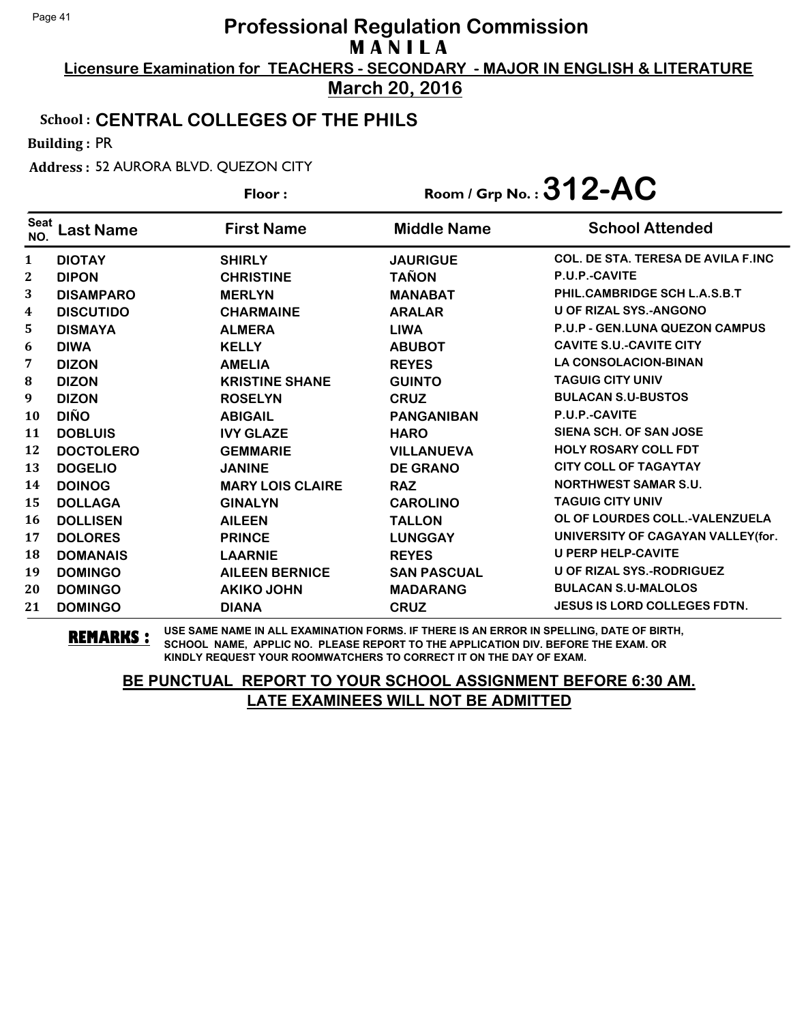**Licensure Examination for TEACHERS - SECONDARY - MAJOR IN ENGLISH & LITERATURE March 20, 2016**

#### School : **CENTRAL COLLEGES OF THE PHILS**

Building : PR

Address : 52 AURORA BLVD. QUEZON CITY

| Floor:             |                  |                         | Room / Grp No. : $312$ -AC |                                           |
|--------------------|------------------|-------------------------|----------------------------|-------------------------------------------|
| <b>Seat</b><br>NO. | <b>Last Name</b> | <b>First Name</b>       | <b>Middle Name</b>         | <b>School Attended</b>                    |
| 1                  | <b>DIOTAY</b>    | <b>SHIRLY</b>           | <b>JAURIGUE</b>            | <b>COL. DE STA. TERESA DE AVILA F.INC</b> |
| 2                  | <b>DIPON</b>     | <b>CHRISTINE</b>        | <b>TAÑON</b>               | P.U.P.-CAVITE                             |
| 3                  | <b>DISAMPARO</b> | <b>MERLYN</b>           | <b>MANABAT</b>             | PHIL.CAMBRIDGE SCH L.A.S.B.T              |
| 4                  | <b>DISCUTIDO</b> | <b>CHARMAINE</b>        | <b>ARALAR</b>              | <b>U OF RIZAL SYS.-ANGONO</b>             |
| 5                  | <b>DISMAYA</b>   | <b>ALMERA</b>           | <b>LIWA</b>                | <b>P.U.P - GEN.LUNA QUEZON CAMPUS</b>     |
| 6                  | <b>DIWA</b>      | <b>KELLY</b>            | <b>ABUBOT</b>              | <b>CAVITE S.U.-CAVITE CITY</b>            |
| 7                  | <b>DIZON</b>     | <b>AMELIA</b>           | <b>REYES</b>               | <b>LA CONSOLACION-BINAN</b>               |
| 8                  | <b>DIZON</b>     | <b>KRISTINE SHANE</b>   | <b>GUINTO</b>              | <b>TAGUIG CITY UNIV</b>                   |
| 9                  | <b>DIZON</b>     | <b>ROSELYN</b>          | <b>CRUZ</b>                | <b>BULACAN S.U-BUSTOS</b>                 |
| 10                 | <b>DIÑO</b>      | <b>ABIGAIL</b>          | <b>PANGANIBAN</b>          | P.U.P.-CAVITE                             |
| 11                 | <b>DOBLUIS</b>   | <b>IVY GLAZE</b>        | <b>HARO</b>                | SIENA SCH. OF SAN JOSE                    |
| 12                 | <b>DOCTOLERO</b> | <b>GEMMARIE</b>         | <b>VILLANUEVA</b>          | <b>HOLY ROSARY COLL FDT</b>               |
| 13                 | <b>DOGELIO</b>   | <b>JANINE</b>           | <b>DE GRANO</b>            | <b>CITY COLL OF TAGAYTAY</b>              |
| 14                 | <b>DOINOG</b>    | <b>MARY LOIS CLAIRE</b> | <b>RAZ</b>                 | <b>NORTHWEST SAMAR S.U.</b>               |
| 15                 | <b>DOLLAGA</b>   | <b>GINALYN</b>          | <b>CAROLINO</b>            | <b>TAGUIG CITY UNIV</b>                   |
| 16                 | <b>DOLLISEN</b>  | <b>AILEEN</b>           | <b>TALLON</b>              | OL OF LOURDES COLL.-VALENZUELA            |
| 17                 | <b>DOLORES</b>   | <b>PRINCE</b>           | <b>LUNGGAY</b>             | UNIVERSITY OF CAGAYAN VALLEY(for.         |
| 18                 | <b>DOMANAIS</b>  | <b>LAARNIE</b>          | <b>REYES</b>               | <b>U PERP HELP-CAVITE</b>                 |
| 19                 | <b>DOMINGO</b>   | <b>AILEEN BERNICE</b>   | <b>SAN PASCUAL</b>         | <b>U OF RIZAL SYS.-RODRIGUEZ</b>          |
| 20                 | <b>DOMINGO</b>   | <b>AKIKO JOHN</b>       | <b>MADARANG</b>            | <b>BULACAN S.U-MALOLOS</b>                |
| 21                 | <b>DOMINGO</b>   | <b>DIANA</b>            | <b>CRUZ</b>                | <b>JESUS IS LORD COLLEGES FDTN.</b>       |

**REMARKS :** USE SAME NAME IN ALL EXAMINATION FORMS. IF THERE IS AN ERROR IN SPELLING, DATE OF BIRTH, SCHOOL NAME, APPLIC NO. PLEASE REPORT TO THE APPLICATION DIV. BEFORE THE EXAM. OR KINDLY REQUEST YOUR ROOMWATCHERS TO CORRECT IT ON THE DAY OF EXAM.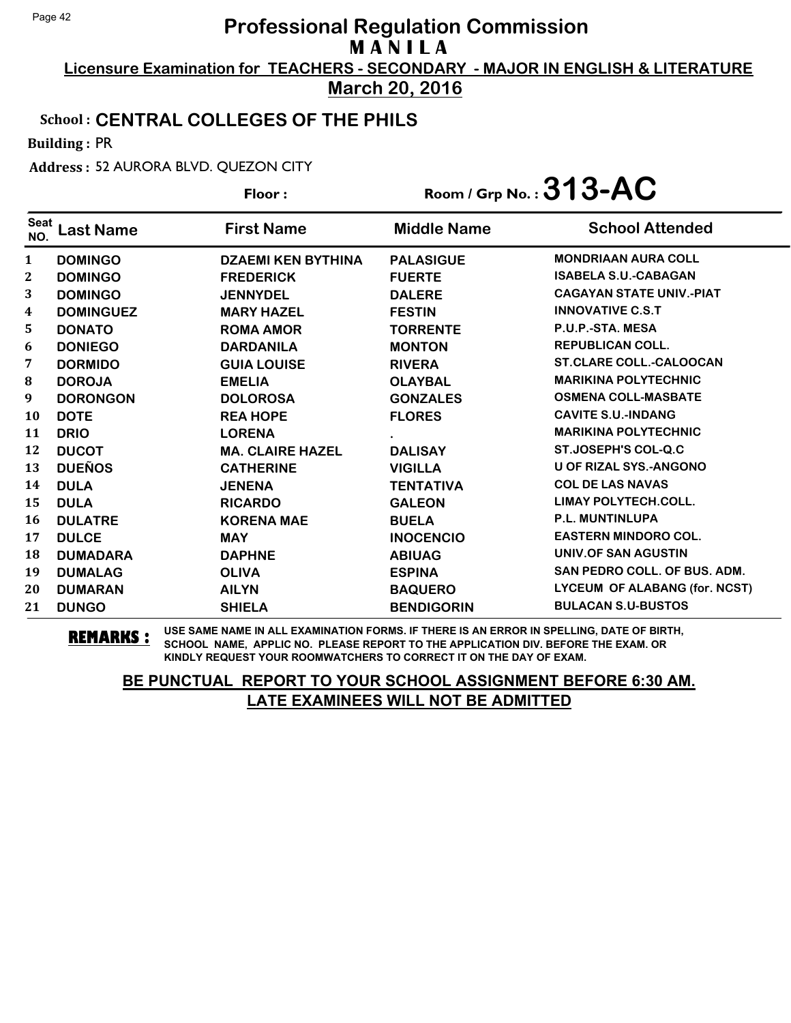**Licensure Examination for TEACHERS - SECONDARY - MAJOR IN ENGLISH & LITERATURE March 20, 2016**

#### School : **CENTRAL COLLEGES OF THE PHILS**

Building : PR

Seat

Address : 52 AURORA BLVD. QUEZON CITY

**Last Name First Name Middle Name** Floor : Room / Grp No. :**313-AC** NO. **School Attended**  1 **DOMINGO DZAEMI KEN BYTHINA PALASIGUE MONDRIAAN AURA COLL**

| $\mathbf{2}$ | <b>DOMINGO</b>   | <b>FREDERICK</b>        | <b>FUERTE</b>     | <b>ISABELA S.U.-CABAGAN</b>          |
|--------------|------------------|-------------------------|-------------------|--------------------------------------|
| 3            | <b>DOMINGO</b>   | <b>JENNYDEL</b>         | <b>DALERE</b>     | <b>CAGAYAN STATE UNIV.-PIAT</b>      |
| 4            | <b>DOMINGUEZ</b> | <b>MARY HAZEL</b>       | <b>FESTIN</b>     | <b>INNOVATIVE C.S.T</b>              |
| 5            | <b>DONATO</b>    | <b>ROMA AMOR</b>        | <b>TORRENTE</b>   | P.U.P.-STA. MESA                     |
| 6            | <b>DONIEGO</b>   | <b>DARDANILA</b>        | <b>MONTON</b>     | <b>REPUBLICAN COLL.</b>              |
| 7            | <b>DORMIDO</b>   | <b>GUIA LOUISE</b>      | <b>RIVERA</b>     | <b>ST.CLARE COLL.-CALOOCAN</b>       |
| 8            | <b>DOROJA</b>    | <b>EMELIA</b>           | <b>OLAYBAL</b>    | <b>MARIKINA POLYTECHNIC</b>          |
| 9            | <b>DORONGON</b>  | <b>DOLOROSA</b>         | <b>GONZALES</b>   | <b>OSMENA COLL-MASBATE</b>           |
| 10           | <b>DOTE</b>      | <b>REA HOPE</b>         | <b>FLORES</b>     | <b>CAVITE S.U.-INDANG</b>            |
| 11           | <b>DRIO</b>      | <b>LORENA</b>           |                   | <b>MARIKINA POLYTECHNIC</b>          |
| 12           | <b>DUCOT</b>     | <b>MA. CLAIRE HAZEL</b> | <b>DALISAY</b>    | <b>ST.JOSEPH'S COL-Q.C</b>           |
| 13           | <b>DUEÑOS</b>    | <b>CATHERINE</b>        | <b>VIGILLA</b>    | U OF RIZAL SYS.-ANGONO               |
| 14           | <b>DULA</b>      | <b>JENENA</b>           | TENTATIVA         | <b>COL DE LAS NAVAS</b>              |
| 15           | <b>DULA</b>      | <b>RICARDO</b>          | <b>GALEON</b>     | <b>LIMAY POLYTECH.COLL.</b>          |
| 16           | <b>DULATRE</b>   | <b>KORENA MAE</b>       | <b>BUELA</b>      | <b>P.L. MUNTINLUPA</b>               |
| 17           | <b>DULCE</b>     | <b>MAY</b>              | <b>INOCENCIO</b>  | <b>EASTERN MINDORO COL.</b>          |
| 18           | <b>DUMADARA</b>  | <b>DAPHNE</b>           | <b>ABIUAG</b>     | UNIV.OF SAN AGUSTIN                  |
| 19           | <b>DUMALAG</b>   | <b>OLIVA</b>            | <b>ESPINA</b>     | <b>SAN PEDRO COLL. OF BUS. ADM.</b>  |
| 20           | <b>DUMARAN</b>   | <b>AILYN</b>            | <b>BAQUERO</b>    | <b>LYCEUM OF ALABANG (for. NCST)</b> |
| 21           | <b>DUNGO</b>     | <b>SHIELA</b>           | <b>BENDIGORIN</b> | <b>BULACAN S.U-BUSTOS</b>            |
|              |                  |                         |                   |                                      |

**REMARKS :** USE SAME NAME IN ALL EXAMINATION FORMS. IF THERE IS AN ERROR IN SPELLING, DATE OF BIRTH, SCHOOL NAME, APPLIC NO. PLEASE REPORT TO THE APPLICATION DIV. BEFORE THE EXAM. OR KINDLY REQUEST YOUR ROOMWATCHERS TO CORRECT IT ON THE DAY OF EXAM.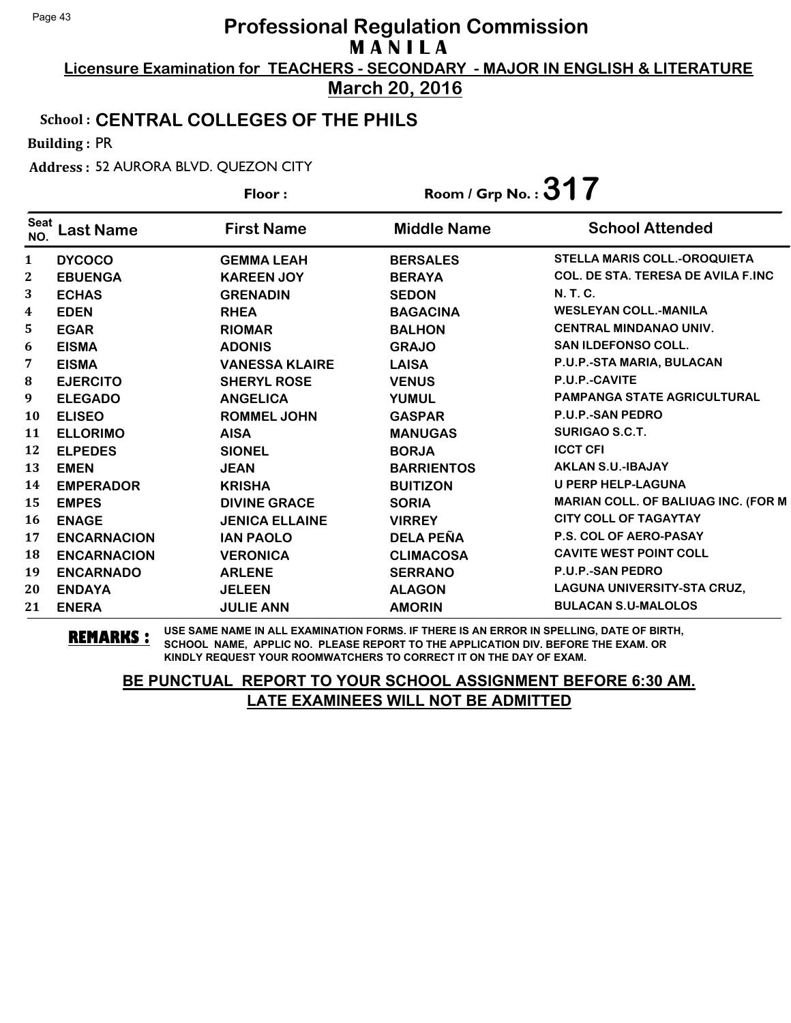**Licensure Examination for TEACHERS - SECONDARY - MAJOR IN ENGLISH & LITERATURE March 20, 2016**

#### School : **CENTRAL COLLEGES OF THE PHILS**

Building : PR

Address : 52 AURORA BLVD. QUEZON CITY

|                    |                    | Floor:                | Room / Grp No.: $317$ |                                            |
|--------------------|--------------------|-----------------------|-----------------------|--------------------------------------------|
| <b>Seat</b><br>NO. | <b>Last Name</b>   | <b>First Name</b>     | <b>Middle Name</b>    | <b>School Attended</b>                     |
| 1                  | <b>DYCOCO</b>      | <b>GEMMA LEAH</b>     | <b>BERSALES</b>       | <b>STELLA MARIS COLL.-OROQUIETA</b>        |
| $\mathbf 2$        | <b>EBUENGA</b>     | <b>KAREEN JOY</b>     | <b>BERAYA</b>         | <b>COL. DE STA. TERESA DE AVILA F.INC</b>  |
| 3                  | <b>ECHAS</b>       | <b>GRENADIN</b>       | <b>SEDON</b>          | <b>N.T.C.</b>                              |
| 4                  | <b>EDEN</b>        | <b>RHEA</b>           | <b>BAGACINA</b>       | <b>WESLEYAN COLL.-MANILA</b>               |
| 5                  | <b>EGAR</b>        | <b>RIOMAR</b>         | <b>BALHON</b>         | <b>CENTRAL MINDANAO UNIV.</b>              |
| 6                  | <b>EISMA</b>       | <b>ADONIS</b>         | <b>GRAJO</b>          | <b>SAN ILDEFONSO COLL.</b>                 |
| 7                  | <b>EISMA</b>       | <b>VANESSA KLAIRE</b> | <b>LAISA</b>          | P.U.P.-STA MARIA, BULACAN                  |
| ${\bf 8}$          | <b>EJERCITO</b>    | <b>SHERYL ROSE</b>    | <b>VENUS</b>          | P.U.P.-CAVITE                              |
| 9                  | <b>ELEGADO</b>     | <b>ANGELICA</b>       | <b>YUMUL</b>          | <b>PAMPANGA STATE AGRICULTURAL</b>         |
| 10                 | <b>ELISEO</b>      | <b>ROMMEL JOHN</b>    | <b>GASPAR</b>         | <b>P.U.P.-SAN PEDRO</b>                    |
| 11                 | <b>ELLORIMO</b>    | <b>AISA</b>           | <b>MANUGAS</b>        | <b>SURIGAO S.C.T.</b>                      |
| 12                 | <b>ELPEDES</b>     | <b>SIONEL</b>         | <b>BORJA</b>          | <b>ICCT CFI</b>                            |
| 13                 | <b>EMEN</b>        | <b>JEAN</b>           | <b>BARRIENTOS</b>     | <b>AKLAN S.U.-IBAJAY</b>                   |
| 14                 | <b>EMPERADOR</b>   | <b>KRISHA</b>         | <b>BUITIZON</b>       | <b>U PERP HELP-LAGUNA</b>                  |
| 15                 | <b>EMPES</b>       | <b>DIVINE GRACE</b>   | <b>SORIA</b>          | <b>MARIAN COLL. OF BALIUAG INC. (FOR M</b> |
| 16                 | <b>ENAGE</b>       | <b>JENICA ELLAINE</b> | <b>VIRREY</b>         | <b>CITY COLL OF TAGAYTAY</b>               |
| 17                 | <b>ENCARNACION</b> | <b>IAN PAOLO</b>      | <b>DELA PEÑA</b>      | <b>P.S. COL OF AERO-PASAY</b>              |
| 18                 | <b>ENCARNACION</b> | <b>VERONICA</b>       | <b>CLIMACOSA</b>      | <b>CAVITE WEST POINT COLL</b>              |
| 19                 | <b>ENCARNADO</b>   | <b>ARLENE</b>         | <b>SERRANO</b>        | <b>P.U.P.-SAN PEDRO</b>                    |
| 20                 | <b>ENDAYA</b>      | <b>JELEEN</b>         | <b>ALAGON</b>         | LAGUNA UNIVERSITY-STA CRUZ,                |
| 21                 | <b>ENERA</b>       | <b>JULIE ANN</b>      | <b>AMORIN</b>         | <b>BULACAN S.U-MALOLOS</b>                 |

**REMARKS :** USE SAME NAME IN ALL EXAMINATION FORMS. IF THERE IS AN ERROR IN SPELLING, DATE OF BIRTH, SCHOOL NAME, APPLIC NO. PLEASE REPORT TO THE APPLICATION DIV. BEFORE THE EXAM. OR KINDLY REQUEST YOUR ROOMWATCHERS TO CORRECT IT ON THE DAY OF EXAM.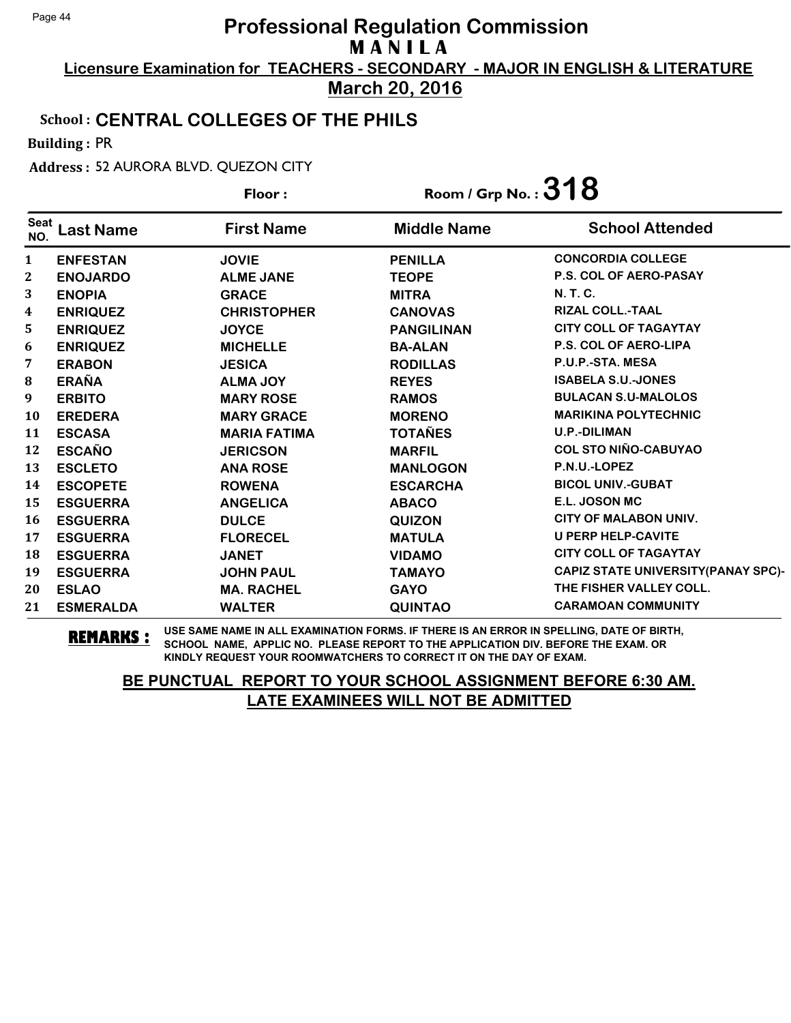**Licensure Examination for TEACHERS - SECONDARY - MAJOR IN ENGLISH & LITERATURE March 20, 2016**

#### School : **CENTRAL COLLEGES OF THE PHILS**

Building : PR

Address : 52 AURORA BLVD. QUEZON CITY

| Floor:           |                  |                     | Room / Grp No.: $318$ |                                           |
|------------------|------------------|---------------------|-----------------------|-------------------------------------------|
| Seat<br>NO.      | <b>Last Name</b> | <b>First Name</b>   | <b>Middle Name</b>    | <b>School Attended</b>                    |
| $\mathbf{1}$     | <b>ENFESTAN</b>  | <b>JOVIE</b>        | <b>PENILLA</b>        | <b>CONCORDIA COLLEGE</b>                  |
| $\mathbf{2}$     | <b>ENOJARDO</b>  | <b>ALME JANE</b>    | <b>TEOPE</b>          | <b>P.S. COL OF AERO-PASAY</b>             |
| 3                | <b>ENOPIA</b>    | <b>GRACE</b>        | <b>MITRA</b>          | N. T. C.                                  |
| $\boldsymbol{4}$ | <b>ENRIQUEZ</b>  | <b>CHRISTOPHER</b>  | <b>CANOVAS</b>        | <b>RIZAL COLL.-TAAL</b>                   |
| 5.               | <b>ENRIQUEZ</b>  | <b>JOYCE</b>        | <b>PANGILINAN</b>     | <b>CITY COLL OF TAGAYTAY</b>              |
| 6                | <b>ENRIQUEZ</b>  | <b>MICHELLE</b>     | <b>BA-ALAN</b>        | P.S. COL OF AERO-LIPA                     |
| 7                | <b>ERABON</b>    | <b>JESICA</b>       | <b>RODILLAS</b>       | P.U.P.-STA. MESA                          |
| 8                | <b>ERAÑA</b>     | <b>ALMA JOY</b>     | <b>REYES</b>          | <b>ISABELA S.U.-JONES</b>                 |
| 9                | <b>ERBITO</b>    | <b>MARY ROSE</b>    | <b>RAMOS</b>          | <b>BULACAN S.U-MALOLOS</b>                |
| 10               | <b>EREDERA</b>   | <b>MARY GRACE</b>   | <b>MORENO</b>         | <b>MARIKINA POLYTECHNIC</b>               |
| 11               | <b>ESCASA</b>    | <b>MARIA FATIMA</b> | <b>TOTAÑES</b>        | <b>U.P.-DILIMAN</b>                       |
| 12               | <b>ESCAÑO</b>    | <b>JERICSON</b>     | <b>MARFIL</b>         | <b>COL STO NIÑO-CABUYAO</b>               |
| 13               | <b>ESCLETO</b>   | <b>ANA ROSE</b>     | <b>MANLOGON</b>       | P.N.U.-LOPEZ                              |
| 14               | <b>ESCOPETE</b>  | <b>ROWENA</b>       | <b>ESCARCHA</b>       | <b>BICOL UNIV.-GUBAT</b>                  |
| 15               | <b>ESGUERRA</b>  | <b>ANGELICA</b>     | <b>ABACO</b>          | E.L. JOSON MC                             |
| <b>16</b>        | <b>ESGUERRA</b>  | <b>DULCE</b>        | <b>QUIZON</b>         | <b>CITY OF MALABON UNIV.</b>              |
| 17               | <b>ESGUERRA</b>  | <b>FLORECEL</b>     | <b>MATULA</b>         | <b>U PERP HELP-CAVITE</b>                 |
| 18               | <b>ESGUERRA</b>  | <b>JANET</b>        | <b>VIDAMO</b>         | <b>CITY COLL OF TAGAYTAY</b>              |
| 19               | <b>ESGUERRA</b>  | <b>JOHN PAUL</b>    | <b>TAMAYO</b>         | <b>CAPIZ STATE UNIVERSITY(PANAY SPC)-</b> |
| 20               | <b>ESLAO</b>     | <b>MA. RACHEL</b>   | <b>GAYO</b>           | THE FISHER VALLEY COLL.                   |
| 21               | <b>ESMERALDA</b> | <b>WALTER</b>       | <b>QUINTAO</b>        | <b>CARAMOAN COMMUNITY</b>                 |

**REMARKS :** USE SAME NAME IN ALL EXAMINATION FORMS. IF THERE IS AN ERROR IN SPELLING, DATE OF BIRTH, SCHOOL NAME, APPLIC NO. PLEASE REPORT TO THE APPLICATION DIV. BEFORE THE EXAM. OR KINDLY REQUEST YOUR ROOMWATCHERS TO CORRECT IT ON THE DAY OF EXAM.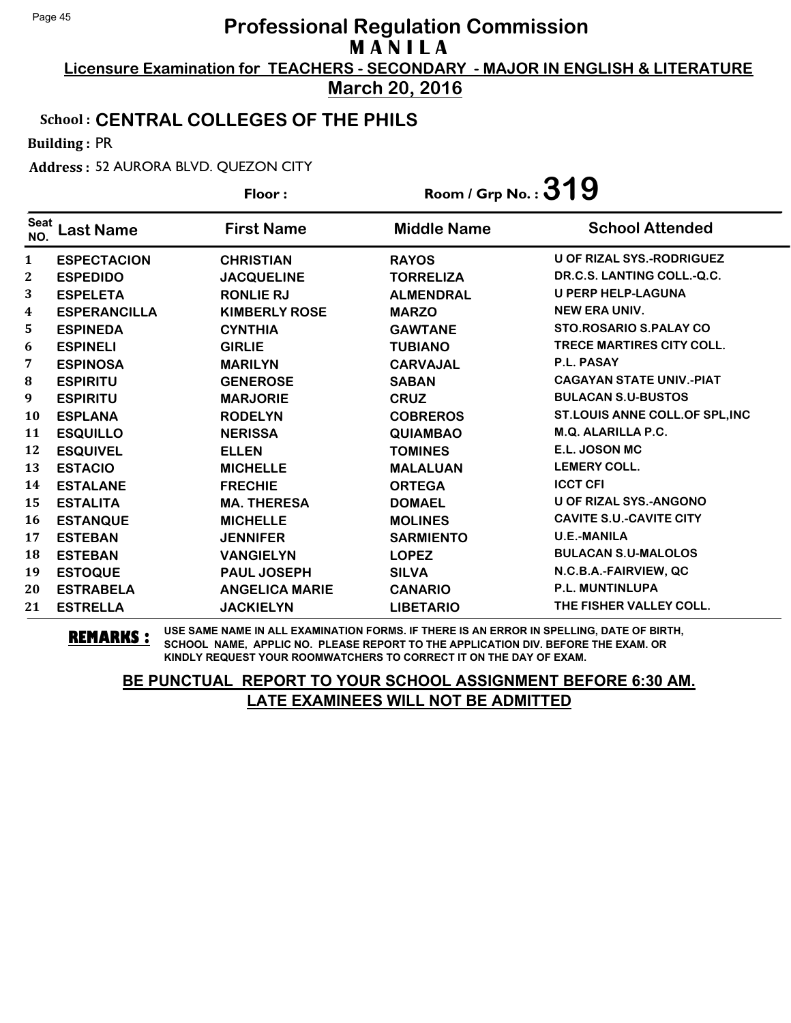**Licensure Examination for TEACHERS - SECONDARY - MAJOR IN ENGLISH & LITERATURE March 20, 2016**

#### School : **CENTRAL COLLEGES OF THE PHILS**

Building : PR

Address : 52 AURORA BLVD. QUEZON CITY

|                    |                     | Floor:                | Room / Grp No. : $319$ |                                  |
|--------------------|---------------------|-----------------------|------------------------|----------------------------------|
| <b>Seat</b><br>NO. | Last Name           | <b>First Name</b>     | <b>Middle Name</b>     | <b>School Attended</b>           |
| 1                  | <b>ESPECTACION</b>  | <b>CHRISTIAN</b>      | <b>RAYOS</b>           | <b>U OF RIZAL SYS.-RODRIGUEZ</b> |
| 2                  | <b>ESPEDIDO</b>     | <b>JACQUELINE</b>     | <b>TORRELIZA</b>       | DR.C.S. LANTING COLL.-Q.C.       |
| 3                  | <b>ESPELETA</b>     | <b>RONLIE RJ</b>      | <b>ALMENDRAL</b>       | <b>U PERP HELP-LAGUNA</b>        |
| 4                  | <b>ESPERANCILLA</b> | <b>KIMBERLY ROSE</b>  | <b>MARZO</b>           | <b>NEW ERA UNIV.</b>             |
| 5                  | <b>ESPINEDA</b>     | <b>CYNTHIA</b>        | <b>GAWTANE</b>         | <b>STO.ROSARIO S.PALAY CO</b>    |
| 6                  | <b>ESPINELI</b>     | <b>GIRLIE</b>         | <b>TUBIANO</b>         | <b>TRECE MARTIRES CITY COLL.</b> |
| 7                  | <b>ESPINOSA</b>     | <b>MARILYN</b>        | <b>CARVAJAL</b>        | P.L. PASAY                       |
| 8                  | <b>ESPIRITU</b>     | <b>GENEROSE</b>       | <b>SABAN</b>           | <b>CAGAYAN STATE UNIV.-PIAT</b>  |
| 9                  | <b>ESPIRITU</b>     | <b>MARJORIE</b>       | <b>CRUZ</b>            | <b>BULACAN S.U-BUSTOS</b>        |
| 10                 | <b>ESPLANA</b>      | <b>RODELYN</b>        | <b>COBREROS</b>        | ST.LOUIS ANNE COLL.OF SPL,INC    |
| 11                 | <b>ESQUILLO</b>     | <b>NERISSA</b>        | <b>QUIAMBAO</b>        | M.Q. ALARILLA P.C.               |
| 12                 | <b>ESQUIVEL</b>     | <b>ELLEN</b>          | <b>TOMINES</b>         | E.L. JOSON MC                    |
| 13                 | <b>ESTACIO</b>      | <b>MICHELLE</b>       | <b>MALALUAN</b>        | <b>LEMERY COLL.</b>              |
| 14                 | <b>ESTALANE</b>     | <b>FRECHIE</b>        | <b>ORTEGA</b>          | <b>ICCT CFI</b>                  |
| 15                 | <b>ESTALITA</b>     | <b>MA. THERESA</b>    | <b>DOMAEL</b>          | <b>U OF RIZAL SYS.-ANGONO</b>    |
| 16                 | <b>ESTANQUE</b>     | <b>MICHELLE</b>       | <b>MOLINES</b>         | <b>CAVITE S.U.-CAVITE CITY</b>   |
| 17                 | <b>ESTEBAN</b>      | <b>JENNIFER</b>       | <b>SARMIENTO</b>       | <b>U.E.-MANILA</b>               |
| 18                 | <b>ESTEBAN</b>      | <b>VANGIELYN</b>      | <b>LOPEZ</b>           | <b>BULACAN S.U-MALOLOS</b>       |
| 19                 | <b>ESTOQUE</b>      | <b>PAUL JOSEPH</b>    | <b>SILVA</b>           | N.C.B.A.-FAIRVIEW, QC            |
| 20                 | <b>ESTRABELA</b>    | <b>ANGELICA MARIE</b> | <b>CANARIO</b>         | <b>P.L. MUNTINLUPA</b>           |
| 21                 | <b>ESTRELLA</b>     | <b>JACKIELYN</b>      | <b>LIBETARIO</b>       | THE FISHER VALLEY COLL.          |

**REMARKS :** USE SAME NAME IN ALL EXAMINATION FORMS. IF THERE IS AN ERROR IN SPELLING, DATE OF BIRTH, SCHOOL NAME, APPLIC NO. PLEASE REPORT TO THE APPLICATION DIV. BEFORE THE EXAM. OR KINDLY REQUEST YOUR ROOMWATCHERS TO CORRECT IT ON THE DAY OF EXAM.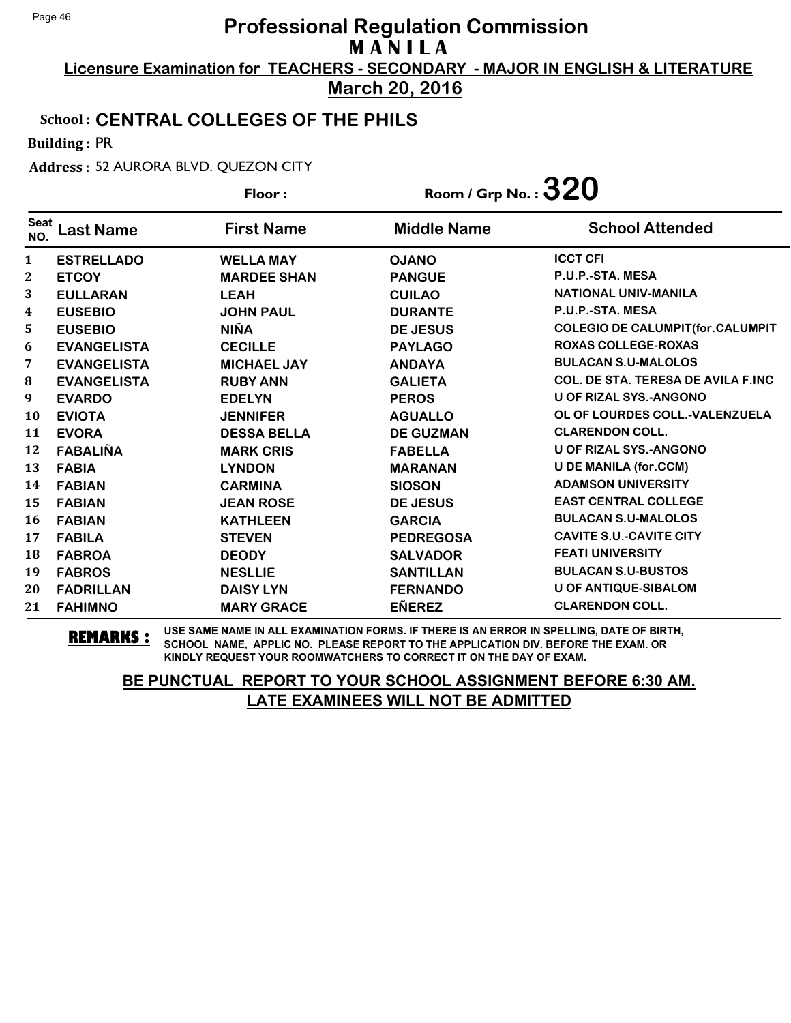**Licensure Examination for TEACHERS - SECONDARY - MAJOR IN ENGLISH & LITERATURE March 20, 2016**

#### School : **CENTRAL COLLEGES OF THE PHILS**

Building : PR

Address : 52 AURORA BLVD. QUEZON CITY

|                    |                    | Floor:             | Room / Grp No. : $320$ |                                           |
|--------------------|--------------------|--------------------|------------------------|-------------------------------------------|
| <b>Seat</b><br>NO. | <b>Last Name</b>   | <b>First Name</b>  | <b>Middle Name</b>     | <b>School Attended</b>                    |
| $\mathbf{1}$       | <b>ESTRELLADO</b>  | <b>WELLA MAY</b>   | <b>OJANO</b>           | <b>ICCT CFI</b>                           |
| 2                  | <b>ETCOY</b>       | <b>MARDEE SHAN</b> | <b>PANGUE</b>          | P.U.P.-STA. MESA                          |
| 3                  | <b>EULLARAN</b>    | <b>LEAH</b>        | <b>CUILAO</b>          | <b>NATIONAL UNIV-MANILA</b>               |
| 4                  | <b>EUSEBIO</b>     | <b>JOHN PAUL</b>   | <b>DURANTE</b>         | P.U.P.-STA. MESA                          |
| 5                  | <b>EUSEBIO</b>     | <b>NIÑA</b>        | <b>DE JESUS</b>        | <b>COLEGIO DE CALUMPIT(for.CALUMPIT</b>   |
| 6                  | <b>EVANGELISTA</b> | <b>CECILLE</b>     | <b>PAYLAGO</b>         | <b>ROXAS COLLEGE-ROXAS</b>                |
| 7                  | <b>EVANGELISTA</b> | <b>MICHAEL JAY</b> | <b>ANDAYA</b>          | <b>BULACAN S.U-MALOLOS</b>                |
| ${\bf 8}$          | <b>EVANGELISTA</b> | <b>RUBY ANN</b>    | <b>GALIETA</b>         | <b>COL. DE STA. TERESA DE AVILA F.INC</b> |
| 9                  | <b>EVARDO</b>      | <b>EDELYN</b>      | <b>PEROS</b>           | <b>U OF RIZAL SYS.-ANGONO</b>             |
| 10                 | <b>EVIOTA</b>      | <b>JENNIFER</b>    | <b>AGUALLO</b>         | OL OF LOURDES COLL.-VALENZUELA            |
| 11                 | <b>EVORA</b>       | <b>DESSA BELLA</b> | <b>DE GUZMAN</b>       | <b>CLARENDON COLL.</b>                    |
| 12                 | <b>FABALIÑA</b>    | <b>MARK CRIS</b>   | <b>FABELLA</b>         | <b>U OF RIZAL SYS.-ANGONO</b>             |
| 13                 | <b>FABIA</b>       | <b>LYNDON</b>      | <b>MARANAN</b>         | <b>U DE MANILA (for.CCM)</b>              |
| 14                 | <b>FABIAN</b>      | <b>CARMINA</b>     | <b>SIOSON</b>          | <b>ADAMSON UNIVERSITY</b>                 |
| 15                 | <b>FABIAN</b>      | <b>JEAN ROSE</b>   | <b>DE JESUS</b>        | <b>EAST CENTRAL COLLEGE</b>               |
| 16                 | <b>FABIAN</b>      | <b>KATHLEEN</b>    | <b>GARCIA</b>          | <b>BULACAN S.U-MALOLOS</b>                |
| 17                 | <b>FABILA</b>      | <b>STEVEN</b>      | <b>PEDREGOSA</b>       | <b>CAVITE S.U.-CAVITE CITY</b>            |
| 18                 | <b>FABROA</b>      | <b>DEODY</b>       | <b>SALVADOR</b>        | <b>FEATI UNIVERSITY</b>                   |
| 19                 | <b>FABROS</b>      | <b>NESLLIE</b>     | <b>SANTILLAN</b>       | <b>BULACAN S.U-BUSTOS</b>                 |
| 20                 | <b>FADRILLAN</b>   | <b>DAISY LYN</b>   | <b>FERNANDO</b>        | <b>U OF ANTIQUE-SIBALOM</b>               |
| 21                 | <b>FAHIMNO</b>     | <b>MARY GRACE</b>  | <b>EÑEREZ</b>          | <b>CLARENDON COLL.</b>                    |

**REMARKS :** USE SAME NAME IN ALL EXAMINATION FORMS. IF THERE IS AN ERROR IN SPELLING, DATE OF BIRTH, SCHOOL NAME, APPLIC NO. PLEASE REPORT TO THE APPLICATION DIV. BEFORE THE EXAM. OR KINDLY REQUEST YOUR ROOMWATCHERS TO CORRECT IT ON THE DAY OF EXAM.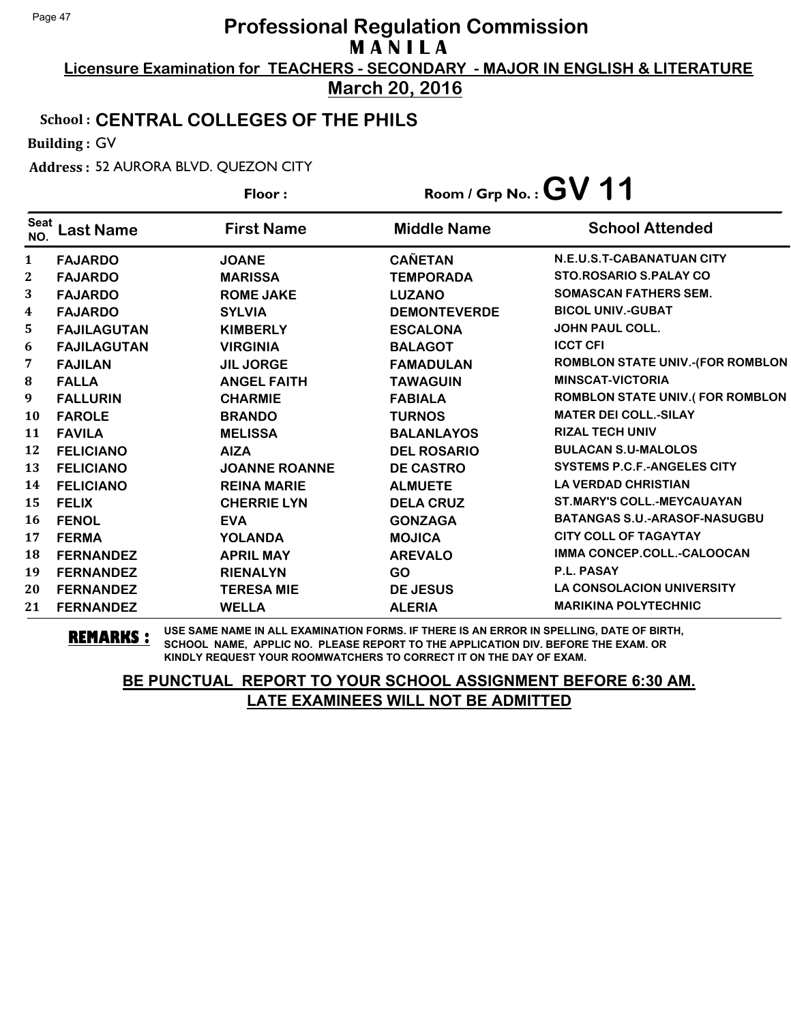**Licensure Examination for TEACHERS - SECONDARY - MAJOR IN ENGLISH & LITERATURE March 20, 2016**

#### School : **CENTRAL COLLEGES OF THE PHILS**

Building : GV

Address : 52 AURORA BLVD. QUEZON CITY

|                    |                    | Floor:               |                     | Room / Grp No.: $GV$ 11                 |
|--------------------|--------------------|----------------------|---------------------|-----------------------------------------|
| <b>Seat</b><br>NO. | <b>Last Name</b>   | <b>First Name</b>    | <b>Middle Name</b>  | <b>School Attended</b>                  |
| 1                  | <b>FAJARDO</b>     | <b>JOANE</b>         | <b>CAÑETAN</b>      | N.E.U.S.T-CABANATUAN CITY               |
| $\mathbf{2}$       | <b>FAJARDO</b>     | <b>MARISSA</b>       | <b>TEMPORADA</b>    | <b>STO.ROSARIO S.PALAY CO</b>           |
| 3                  | <b>FAJARDO</b>     | <b>ROME JAKE</b>     | <b>LUZANO</b>       | <b>SOMASCAN FATHERS SEM.</b>            |
| 4                  | <b>FAJARDO</b>     | <b>SYLVIA</b>        | <b>DEMONTEVERDE</b> | <b>BICOL UNIV.-GUBAT</b>                |
| 5                  | <b>FAJILAGUTAN</b> | <b>KIMBERLY</b>      | <b>ESCALONA</b>     | <b>JOHN PAUL COLL.</b>                  |
| 6                  | <b>FAJILAGUTAN</b> | <b>VIRGINIA</b>      | <b>BALAGOT</b>      | <b>ICCT CFI</b>                         |
| 7                  | <b>FAJILAN</b>     | <b>JIL JORGE</b>     | <b>FAMADULAN</b>    | <b>ROMBLON STATE UNIV.-(FOR ROMBLON</b> |
| 8                  | <b>FALLA</b>       | <b>ANGEL FAITH</b>   | <b>TAWAGUIN</b>     | <b>MINSCAT-VICTORIA</b>                 |
| 9                  | <b>FALLURIN</b>    | <b>CHARMIE</b>       | <b>FABIALA</b>      | ROMBLON STATE UNIV.(FOR ROMBLON         |
| 10                 | <b>FAROLE</b>      | <b>BRANDO</b>        | <b>TURNOS</b>       | <b>MATER DEI COLL.-SILAY</b>            |
| 11                 | <b>FAVILA</b>      | <b>MELISSA</b>       | <b>BALANLAYOS</b>   | <b>RIZAL TECH UNIV</b>                  |
| 12                 | <b>FELICIANO</b>   | <b>AIZA</b>          | <b>DEL ROSARIO</b>  | <b>BULACAN S.U-MALOLOS</b>              |
| 13                 | <b>FELICIANO</b>   | <b>JOANNE ROANNE</b> | <b>DE CASTRO</b>    | <b>SYSTEMS P.C.F.-ANGELES CITY</b>      |
| 14                 | <b>FELICIANO</b>   | <b>REINA MARIE</b>   | <b>ALMUETE</b>      | <b>LA VERDAD CHRISTIAN</b>              |
| 15                 | <b>FELIX</b>       | <b>CHERRIE LYN</b>   | <b>DELA CRUZ</b>    | <b>ST.MARY'S COLL.-MEYCAUAYAN</b>       |
| 16                 | <b>FENOL</b>       | <b>EVA</b>           | <b>GONZAGA</b>      | <b>BATANGAS S.U.-ARASOF-NASUGBU</b>     |
| 17                 | <b>FERMA</b>       | <b>YOLANDA</b>       | <b>MOJICA</b>       | <b>CITY COLL OF TAGAYTAY</b>            |
| 18                 | <b>FERNANDEZ</b>   | <b>APRIL MAY</b>     | <b>AREVALO</b>      | IMMA CONCEP.COLL.-CALOOCAN              |
| 19                 | <b>FERNANDEZ</b>   | <b>RIENALYN</b>      | <b>GO</b>           | P.L. PASAY                              |
| 20                 | <b>FERNANDEZ</b>   | <b>TERESA MIE</b>    | <b>DE JESUS</b>     | <b>LA CONSOLACION UNIVERSITY</b>        |
| 21                 | <b>FERNANDEZ</b>   | <b>WELLA</b>         | <b>ALERIA</b>       | <b>MARIKINA POLYTECHNIC</b>             |

**REMARKS :** USE SAME NAME IN ALL EXAMINATION FORMS. IF THERE IS AN ERROR IN SPELLING, DATE OF BIRTH, SCHOOL NAME, APPLIC NO. PLEASE REPORT TO THE APPLICATION DIV. BEFORE THE EXAM. OR KINDLY REQUEST YOUR ROOMWATCHERS TO CORRECT IT ON THE DAY OF EXAM.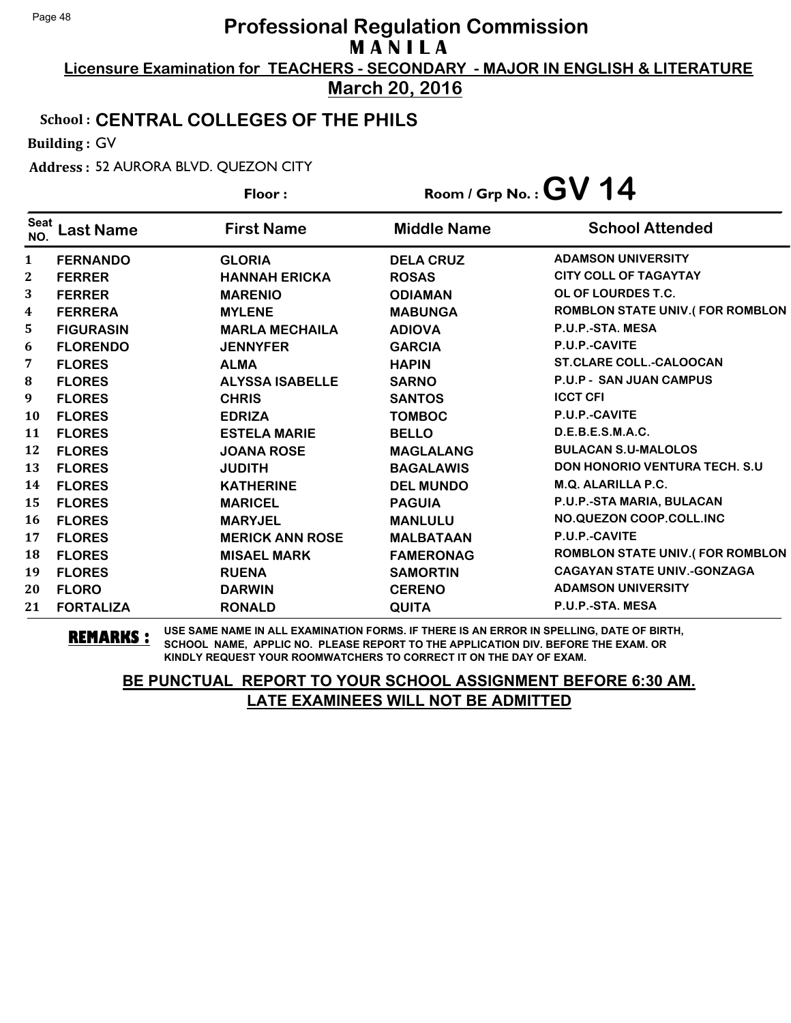**Licensure Examination for TEACHERS - SECONDARY - MAJOR IN ENGLISH & LITERATURE March 20, 2016**

#### School : **CENTRAL COLLEGES OF THE PHILS**

Building : GV

Address : 52 AURORA BLVD. QUEZON CITY

|                    |                  | Floor:                 |                    | Room / Grp No.: $GV$ 14                |
|--------------------|------------------|------------------------|--------------------|----------------------------------------|
| <b>Seat</b><br>NO. | <b>Last Name</b> | <b>First Name</b>      | <b>Middle Name</b> | <b>School Attended</b>                 |
| 1                  | <b>FERNANDO</b>  | <b>GLORIA</b>          | <b>DELA CRUZ</b>   | <b>ADAMSON UNIVERSITY</b>              |
| 2                  | <b>FERRER</b>    | <b>HANNAH ERICKA</b>   | <b>ROSAS</b>       | <b>CITY COLL OF TAGAYTAY</b>           |
| 3                  | <b>FERRER</b>    | <b>MARENIO</b>         | <b>ODIAMAN</b>     | OL OF LOURDES T.C.                     |
| 4                  | <b>FERRERA</b>   | <b>MYLENE</b>          | <b>MABUNGA</b>     | <b>ROMBLON STATE UNIV.(FOR ROMBLON</b> |
| 5                  | <b>FIGURASIN</b> | <b>MARLA MECHAILA</b>  | <b>ADIOVA</b>      | P.U.P.-STA, MESA                       |
| 6                  | <b>FLORENDO</b>  | <b>JENNYFER</b>        | <b>GARCIA</b>      | P.U.P.-CAVITE                          |
| 7                  | <b>FLORES</b>    | <b>ALMA</b>            | <b>HAPIN</b>       | <b>ST.CLARE COLL.-CALOOCAN</b>         |
| ${\bf 8}$          | <b>FLORES</b>    | <b>ALYSSA ISABELLE</b> | <b>SARNO</b>       | <b>P.U.P - SAN JUAN CAMPUS</b>         |
| 9                  | <b>FLORES</b>    | <b>CHRIS</b>           | <b>SANTOS</b>      | <b>ICCT CFI</b>                        |
| 10                 | <b>FLORES</b>    | <b>EDRIZA</b>          | <b>TOMBOC</b>      | P.U.P.-CAVITE                          |
| 11                 | <b>FLORES</b>    | <b>ESTELA MARIE</b>    | <b>BELLO</b>       | D.E.B.E.S.M.A.C.                       |
| 12                 | <b>FLORES</b>    | <b>JOANA ROSE</b>      | <b>MAGLALANG</b>   | <b>BULACAN S.U-MALOLOS</b>             |
| 13                 | <b>FLORES</b>    | <b>JUDITH</b>          | <b>BAGALAWIS</b>   | <b>DON HONORIO VENTURA TECH. S.U.</b>  |
| 14                 | <b>FLORES</b>    | <b>KATHERINE</b>       | <b>DEL MUNDO</b>   | M.Q. ALARILLA P.C.                     |
| 15                 | <b>FLORES</b>    | <b>MARICEL</b>         | <b>PAGUIA</b>      | P.U.P.-STA MARIA, BULACAN              |
| 16                 | <b>FLORES</b>    | <b>MARYJEL</b>         | <b>MANLULU</b>     | NO.QUEZON COOP.COLL.INC                |
| 17                 | <b>FLORES</b>    | <b>MERICK ANN ROSE</b> | <b>MALBATAAN</b>   | P.U.P.-CAVITE                          |
| 18                 | <b>FLORES</b>    | <b>MISAEL MARK</b>     | <b>FAMERONAG</b>   | <b>ROMBLON STATE UNIV.(FOR ROMBLON</b> |
| 19                 | <b>FLORES</b>    | <b>RUENA</b>           | <b>SAMORTIN</b>    | <b>CAGAYAN STATE UNIV.-GONZAGA</b>     |
| 20                 | <b>FLORO</b>     | <b>DARWIN</b>          | <b>CERENO</b>      | <b>ADAMSON UNIVERSITY</b>              |
| 21                 | <b>FORTALIZA</b> | <b>RONALD</b>          | <b>QUITA</b>       | P.U.P.-STA. MESA                       |

**REMARKS :** USE SAME NAME IN ALL EXAMINATION FORMS. IF THERE IS AN ERROR IN SPELLING, DATE OF BIRTH, SCHOOL NAME, APPLIC NO. PLEASE REPORT TO THE APPLICATION DIV. BEFORE THE EXAM. OR KINDLY REQUEST YOUR ROOMWATCHERS TO CORRECT IT ON THE DAY OF EXAM.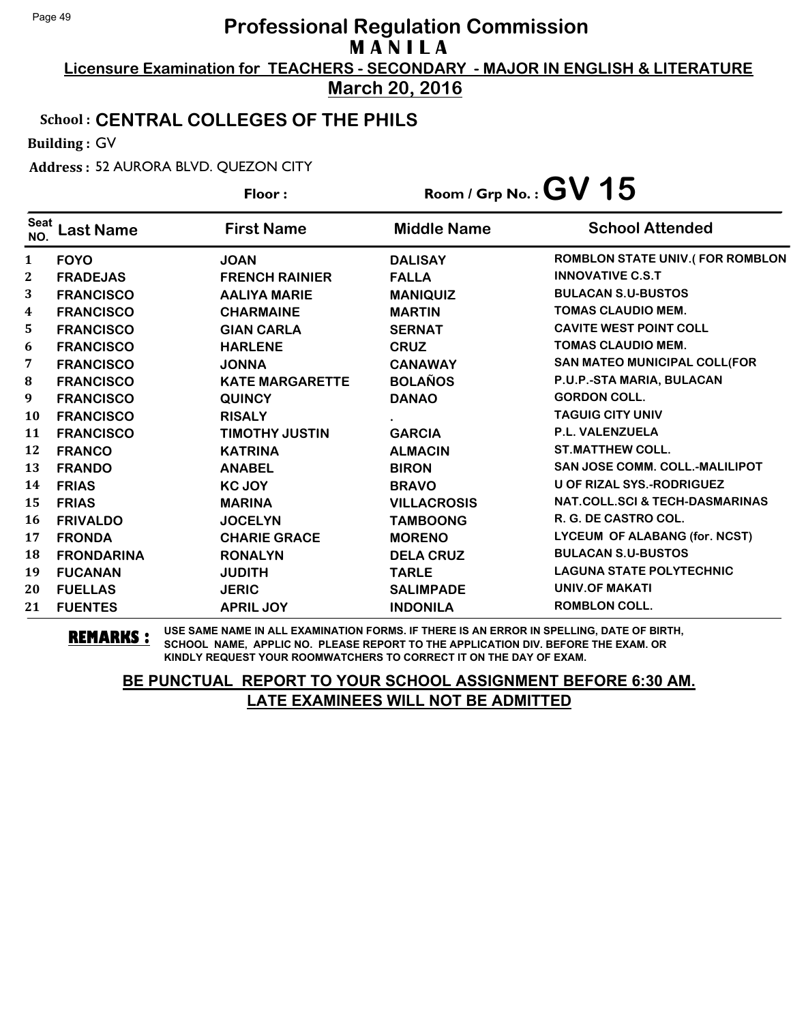**Licensure Examination for TEACHERS - SECONDARY - MAJOR IN ENGLISH & LITERATURE March 20, 2016**

#### School : **CENTRAL COLLEGES OF THE PHILS**

Building : GV

Address : 52 AURORA BLVD. QUEZON CITY

|                    |                   | Floor:                 |                    | Room / Grp No.: $GV$ 15                |
|--------------------|-------------------|------------------------|--------------------|----------------------------------------|
| <b>Seat</b><br>NO. | <b>Last Name</b>  | <b>First Name</b>      | <b>Middle Name</b> | <b>School Attended</b>                 |
| $\mathbf{1}$       | <b>FOYO</b>       | <b>JOAN</b>            | <b>DALISAY</b>     | <b>ROMBLON STATE UNIV.(FOR ROMBLON</b> |
| 2                  | <b>FRADEJAS</b>   | <b>FRENCH RAINIER</b>  | <b>FALLA</b>       | <b>INNOVATIVE C.S.T</b>                |
| 3                  | <b>FRANCISCO</b>  | <b>AALIYA MARIE</b>    | <b>MANIQUIZ</b>    | <b>BULACAN S.U-BUSTOS</b>              |
| 4                  | <b>FRANCISCO</b>  | <b>CHARMAINE</b>       | <b>MARTIN</b>      | <b>TOMAS CLAUDIO MEM.</b>              |
| 5                  | <b>FRANCISCO</b>  | <b>GIAN CARLA</b>      | <b>SERNAT</b>      | <b>CAVITE WEST POINT COLL</b>          |
| 6                  | <b>FRANCISCO</b>  | <b>HARLENE</b>         | <b>CRUZ</b>        | <b>TOMAS CLAUDIO MEM.</b>              |
| 7                  | <b>FRANCISCO</b>  | <b>JONNA</b>           | <b>CANAWAY</b>     | SAN MATEO MUNICIPAL COLL(FOR           |
| ${\bf 8}$          | <b>FRANCISCO</b>  | <b>KATE MARGARETTE</b> | <b>BOLAÑOS</b>     | P.U.P.-STA MARIA, BULACAN              |
| 9                  | <b>FRANCISCO</b>  | <b>QUINCY</b>          | <b>DANAO</b>       | <b>GORDON COLL.</b>                    |
| 10                 | <b>FRANCISCO</b>  | <b>RISALY</b>          |                    | <b>TAGUIG CITY UNIV</b>                |
| 11                 | <b>FRANCISCO</b>  | <b>TIMOTHY JUSTIN</b>  | <b>GARCIA</b>      | <b>P.L. VALENZUELA</b>                 |
| 12                 | <b>FRANCO</b>     | <b>KATRINA</b>         | <b>ALMACIN</b>     | <b>ST.MATTHEW COLL.</b>                |
| 13                 | <b>FRANDO</b>     | <b>ANABEL</b>          | <b>BIRON</b>       | <b>SAN JOSE COMM. COLL.-MALILIPOT</b>  |
| 14                 | <b>FRIAS</b>      | <b>KC JOY</b>          | <b>BRAVO</b>       | <b>U OF RIZAL SYS.-RODRIGUEZ</b>       |
| 15                 | <b>FRIAS</b>      | <b>MARINA</b>          | <b>VILLACROSIS</b> | NAT.COLL.SCI & TECH-DASMARINAS         |
| 16                 | <b>FRIVALDO</b>   | <b>JOCELYN</b>         | <b>TAMBOONG</b>    | R. G. DE CASTRO COL.                   |
| 17                 | <b>FRONDA</b>     | <b>CHARIE GRACE</b>    | <b>MORENO</b>      | LYCEUM OF ALABANG (for. NCST)          |
| 18                 | <b>FRONDARINA</b> | <b>RONALYN</b>         | <b>DELA CRUZ</b>   | <b>BULACAN S.U-BUSTOS</b>              |
| 19                 | <b>FUCANAN</b>    | <b>JUDITH</b>          | <b>TARLE</b>       | <b>LAGUNA STATE POLYTECHNIC</b>        |
| 20                 | <b>FUELLAS</b>    | <b>JERIC</b>           | <b>SALIMPADE</b>   | <b>UNIV.OF MAKATI</b>                  |
| 21                 | <b>FUENTES</b>    | <b>APRIL JOY</b>       | <b>INDONILA</b>    | <b>ROMBLON COLL.</b>                   |

**REMARKS :** USE SAME NAME IN ALL EXAMINATION FORMS. IF THERE IS AN ERROR IN SPELLING, DATE OF BIRTH, SCHOOL NAME, APPLIC NO. PLEASE REPORT TO THE APPLICATION DIV. BEFORE THE EXAM. OR KINDLY REQUEST YOUR ROOMWATCHERS TO CORRECT IT ON THE DAY OF EXAM.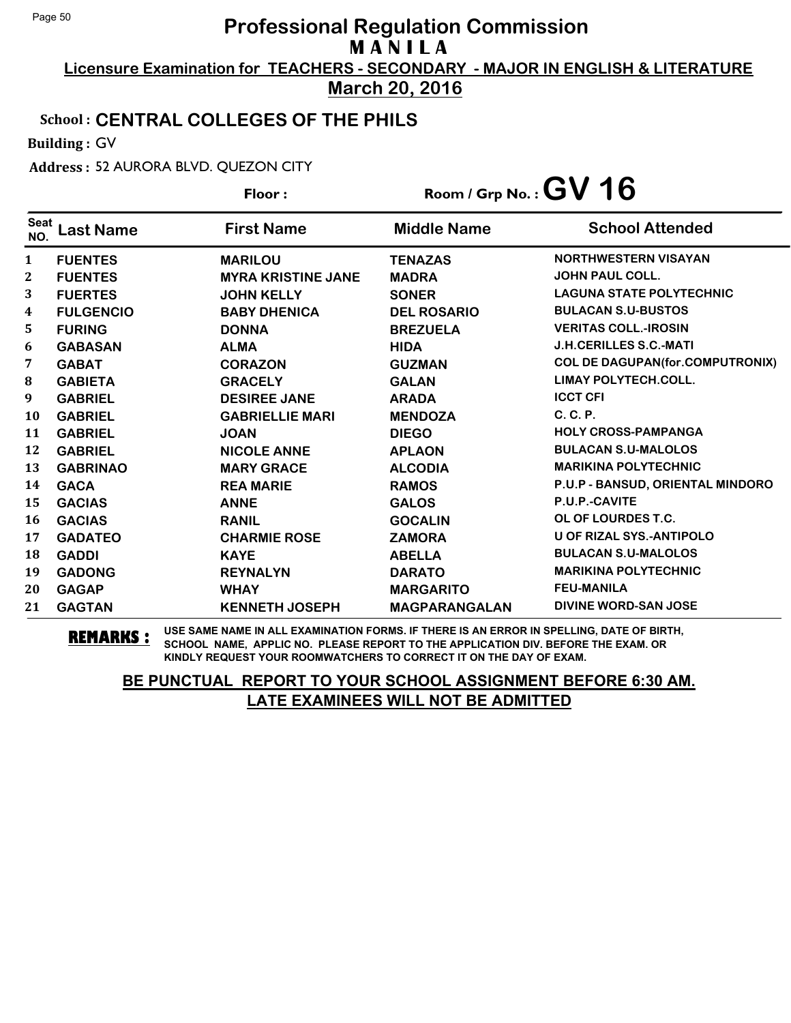**Licensure Examination for TEACHERS - SECONDARY - MAJOR IN ENGLISH & LITERATURE March 20, 2016**

#### School : **CENTRAL COLLEGES OF THE PHILS**

Building : GV

Address : 52 AURORA BLVD. QUEZON CITY

|                    |                  | Floor:                    | Room / Grp No.: $GV$ 16 |                                        |
|--------------------|------------------|---------------------------|-------------------------|----------------------------------------|
| <b>Seat</b><br>NO. | <b>Last Name</b> | <b>First Name</b>         | <b>Middle Name</b>      | <b>School Attended</b>                 |
| 1                  | <b>FUENTES</b>   | <b>MARILOU</b>            | <b>TENAZAS</b>          | <b>NORTHWESTERN VISAYAN</b>            |
| 2                  | <b>FUENTES</b>   | <b>MYRA KRISTINE JANE</b> | <b>MADRA</b>            | <b>JOHN PAUL COLL.</b>                 |
| 3                  | <b>FUERTES</b>   | <b>JOHN KELLY</b>         | <b>SONER</b>            | <b>LAGUNA STATE POLYTECHNIC</b>        |
| 4                  | <b>FULGENCIO</b> | <b>BABY DHENICA</b>       | <b>DEL ROSARIO</b>      | <b>BULACAN S.U-BUSTOS</b>              |
| 5                  | <b>FURING</b>    | <b>DONNA</b>              | <b>BREZUELA</b>         | <b>VERITAS COLL.-IROSIN</b>            |
| 6                  | <b>GABASAN</b>   | <b>ALMA</b>               | <b>HIDA</b>             | <b>J.H.CERILLES S.C.-MATI</b>          |
| 7                  | <b>GABAT</b>     | <b>CORAZON</b>            | <b>GUZMAN</b>           | <b>COL DE DAGUPAN(for.COMPUTRONIX)</b> |
| ${\bf 8}$          | <b>GABIETA</b>   | <b>GRACELY</b>            | <b>GALAN</b>            | <b>LIMAY POLYTECH.COLL.</b>            |
| 9                  | <b>GABRIEL</b>   | <b>DESIREE JANE</b>       | <b>ARADA</b>            | <b>ICCT CFI</b>                        |
| 10                 | <b>GABRIEL</b>   | <b>GABRIELLIE MARI</b>    | <b>MENDOZA</b>          | C. C. P.                               |
| 11                 | <b>GABRIEL</b>   | <b>JOAN</b>               | <b>DIEGO</b>            | <b>HOLY CROSS-PAMPANGA</b>             |
| 12                 | <b>GABRIEL</b>   | <b>NICOLE ANNE</b>        | <b>APLAON</b>           | <b>BULACAN S.U-MALOLOS</b>             |
| 13                 | <b>GABRINAO</b>  | <b>MARY GRACE</b>         | <b>ALCODIA</b>          | <b>MARIKINA POLYTECHNIC</b>            |
| 14                 | <b>GACA</b>      | <b>REA MARIE</b>          | <b>RAMOS</b>            | P.U.P - BANSUD, ORIENTAL MINDORO       |
| 15                 | <b>GACIAS</b>    | <b>ANNE</b>               | <b>GALOS</b>            | P.U.P.-CAVITE                          |
| 16                 | <b>GACIAS</b>    | <b>RANIL</b>              | <b>GOCALIN</b>          | OL OF LOURDES T.C.                     |
| 17                 | <b>GADATEO</b>   | <b>CHARMIE ROSE</b>       | <b>ZAMORA</b>           | U OF RIZAL SYS.-ANTIPOLO               |
| 18                 | <b>GADDI</b>     | <b>KAYE</b>               | <b>ABELLA</b>           | <b>BULACAN S.U-MALOLOS</b>             |
| 19                 | <b>GADONG</b>    | <b>REYNALYN</b>           | <b>DARATO</b>           | <b>MARIKINA POLYTECHNIC</b>            |
| 20                 | <b>GAGAP</b>     | <b>WHAY</b>               | <b>MARGARITO</b>        | <b>FEU-MANILA</b>                      |
| 21                 | <b>GAGTAN</b>    | <b>KENNETH JOSEPH</b>     | <b>MAGPARANGALAN</b>    | <b>DIVINE WORD-SAN JOSE</b>            |

**REMARKS :** USE SAME NAME IN ALL EXAMINATION FORMS. IF THERE IS AN ERROR IN SPELLING, DATE OF BIRTH, SCHOOL NAME, APPLIC NO. PLEASE REPORT TO THE APPLICATION DIV. BEFORE THE EXAM. OR KINDLY REQUEST YOUR ROOMWATCHERS TO CORRECT IT ON THE DAY OF EXAM.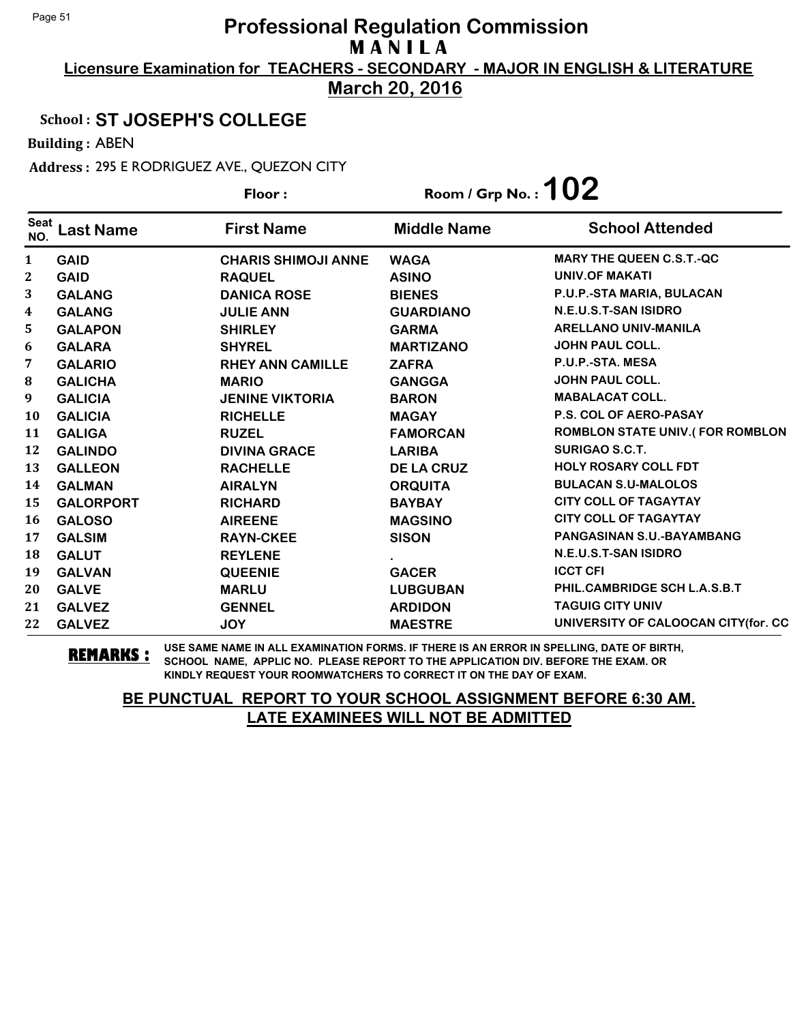**Licensure Examination for TEACHERS - SECONDARY - MAJOR IN ENGLISH & LITERATURE March 20, 2016**

## School : **ST JOSEPH'S COLLEGE**

Building : ABEN

Address : 295 E RODRIGUEZ AVE., QUEZON CITY

|                    |                  | Floor:                     | Room / Grp No. : $102$ |                                        |
|--------------------|------------------|----------------------------|------------------------|----------------------------------------|
| <b>Seat</b><br>NO. | <b>Last Name</b> | <b>First Name</b>          | <b>Middle Name</b>     | <b>School Attended</b>                 |
| $\mathbf{1}$       | <b>GAID</b>      | <b>CHARIS SHIMOJI ANNE</b> | <b>WAGA</b>            | <b>MARY THE QUEEN C.S.T.-QC</b>        |
| $\mathbf{2}$       | <b>GAID</b>      | <b>RAQUEL</b>              | <b>ASINO</b>           | <b>UNIV.OF MAKATI</b>                  |
| 3                  | <b>GALANG</b>    | <b>DANICA ROSE</b>         | <b>BIENES</b>          | P.U.P.-STA MARIA, BULACAN              |
| 4                  | <b>GALANG</b>    | <b>JULIE ANN</b>           | <b>GUARDIANO</b>       | N.E.U.S.T-SAN ISIDRO                   |
| 5                  | <b>GALAPON</b>   | <b>SHIRLEY</b>             | <b>GARMA</b>           | <b>ARELLANO UNIV-MANILA</b>            |
| 6                  | <b>GALARA</b>    | <b>SHYREL</b>              | <b>MARTIZANO</b>       | <b>JOHN PAUL COLL.</b>                 |
| 7                  | <b>GALARIO</b>   | <b>RHEY ANN CAMILLE</b>    | <b>ZAFRA</b>           | P.U.P.-STA. MESA                       |
| 8                  | <b>GALICHA</b>   | <b>MARIO</b>               | <b>GANGGA</b>          | JOHN PAUL COLL.                        |
| 9                  | <b>GALICIA</b>   | <b>JENINE VIKTORIA</b>     | <b>BARON</b>           | <b>MABALACAT COLL.</b>                 |
| <b>10</b>          | <b>GALICIA</b>   | <b>RICHELLE</b>            | <b>MAGAY</b>           | P.S. COL OF AERO-PASAY                 |
| 11                 | <b>GALIGA</b>    | <b>RUZEL</b>               | <b>FAMORCAN</b>        | <b>ROMBLON STATE UNIV.(FOR ROMBLON</b> |
| 12                 | <b>GALINDO</b>   | <b>DIVINA GRACE</b>        | <b>LARIBA</b>          | SURIGAO S.C.T.                         |
| 13                 | <b>GALLEON</b>   | <b>RACHELLE</b>            | <b>DE LA CRUZ</b>      | <b>HOLY ROSARY COLL FDT</b>            |
| 14                 | <b>GALMAN</b>    | <b>AIRALYN</b>             | <b>ORQUITA</b>         | <b>BULACAN S.U-MALOLOS</b>             |
| 15                 | <b>GALORPORT</b> | <b>RICHARD</b>             | <b>BAYBAY</b>          | <b>CITY COLL OF TAGAYTAY</b>           |
| 16                 | <b>GALOSO</b>    | <b>AIREENE</b>             | <b>MAGSINO</b>         | <b>CITY COLL OF TAGAYTAY</b>           |
| 17                 | <b>GALSIM</b>    | <b>RAYN-CKEE</b>           | <b>SISON</b>           | PANGASINAN S.U.-BAYAMBANG              |
| 18                 | <b>GALUT</b>     | <b>REYLENE</b>             |                        | N.E.U.S.T-SAN ISIDRO                   |
| 19                 | <b>GALVAN</b>    | <b>QUEENIE</b>             | <b>GACER</b>           | <b>ICCT CFI</b>                        |
| 20                 | <b>GALVE</b>     | <b>MARLU</b>               | <b>LUBGUBAN</b>        | PHIL.CAMBRIDGE SCH L.A.S.B.T           |
| 21                 | <b>GALVEZ</b>    | <b>GENNEL</b>              | <b>ARDIDON</b>         | <b>TAGUIG CITY UNIV</b>                |
| 22                 | <b>GALVEZ</b>    | <b>JOY</b>                 | <b>MAESTRE</b>         | UNIVERSITY OF CALOOCAN CITY(for. CC    |

**REMARKS :** USE SAME NAME IN ALL EXAMINATION FORMS. IF THERE IS AN ERROR IN SPELLING, DATE OF BIRTH, SCHOOL NAME, APPLIC NO. PLEASE REPORT TO THE APPLICATION DIV. BEFORE THE EXAM. OR KINDLY REQUEST YOUR ROOMWATCHERS TO CORRECT IT ON THE DAY OF EXAM.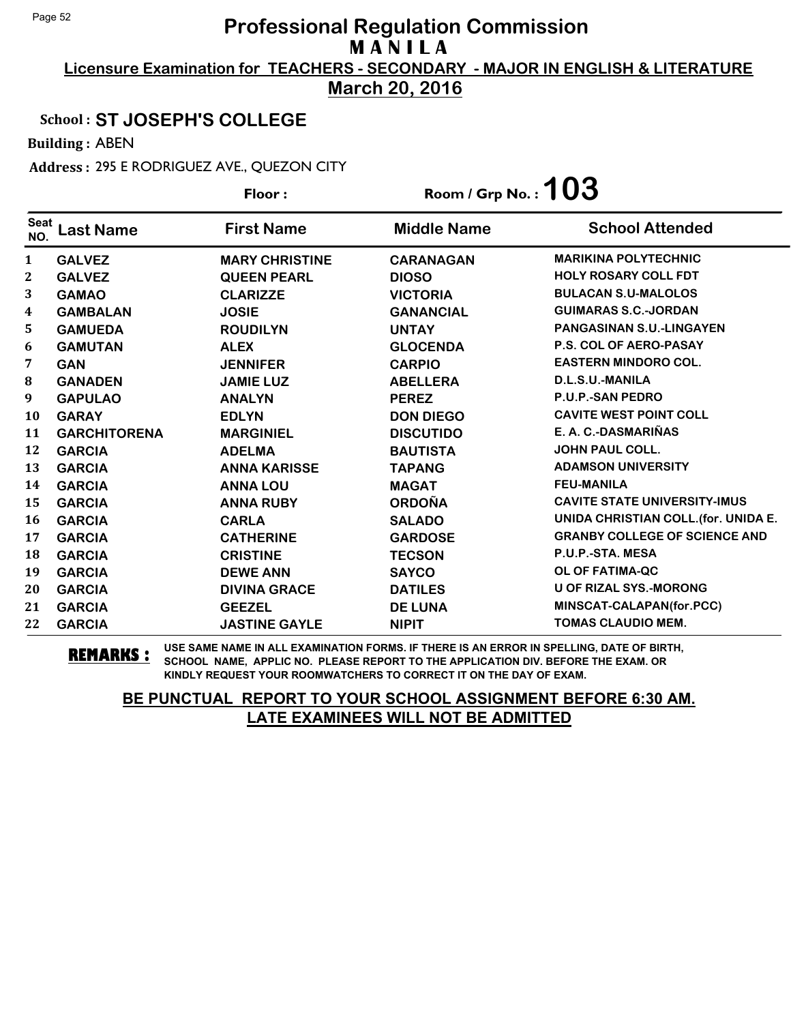**Licensure Examination for TEACHERS - SECONDARY - MAJOR IN ENGLISH & LITERATURE March 20, 2016**

## School : **ST JOSEPH'S COLLEGE**

Building : ABEN

Address : 295 E RODRIGUEZ AVE., QUEZON CITY

|                    |                     | Floor:                | Room / Grp No. : $103$ |                                      |
|--------------------|---------------------|-----------------------|------------------------|--------------------------------------|
| <b>Seat</b><br>NO. | <b>Last Name</b>    | <b>First Name</b>     | <b>Middle Name</b>     | <b>School Attended</b>               |
| $\mathbf{1}$       | <b>GALVEZ</b>       | <b>MARY CHRISTINE</b> | <b>CARANAGAN</b>       | <b>MARIKINA POLYTECHNIC</b>          |
| $\boldsymbol{2}$   | <b>GALVEZ</b>       | <b>QUEEN PEARL</b>    | <b>DIOSO</b>           | <b>HOLY ROSARY COLL FDT</b>          |
| 3                  | <b>GAMAO</b>        | <b>CLARIZZE</b>       | <b>VICTORIA</b>        | <b>BULACAN S.U-MALOLOS</b>           |
| 4                  | <b>GAMBALAN</b>     | <b>JOSIE</b>          | <b>GANANCIAL</b>       | <b>GUIMARAS S.C.-JORDAN</b>          |
| 5                  | <b>GAMUEDA</b>      | <b>ROUDILYN</b>       | <b>UNTAY</b>           | PANGASINAN S.U.-LINGAYEN             |
| 6                  | <b>GAMUTAN</b>      | <b>ALEX</b>           | <b>GLOCENDA</b>        | <b>P.S. COL OF AERO-PASAY</b>        |
| 7                  | <b>GAN</b>          | <b>JENNIFER</b>       | <b>CARPIO</b>          | <b>EASTERN MINDORO COL.</b>          |
| 8                  | <b>GANADEN</b>      | <b>JAMIE LUZ</b>      | <b>ABELLERA</b>        | D.L.S.U.-MANILA                      |
| 9                  | <b>GAPULAO</b>      | <b>ANALYN</b>         | <b>PEREZ</b>           | <b>P.U.P.-SAN PEDRO</b>              |
| <b>10</b>          | <b>GARAY</b>        | <b>EDLYN</b>          | <b>DON DIEGO</b>       | <b>CAVITE WEST POINT COLL</b>        |
| 11                 | <b>GARCHITORENA</b> | <b>MARGINIEL</b>      | <b>DISCUTIDO</b>       | E. A. C.-DASMARIÑAS                  |
| 12                 | <b>GARCIA</b>       | <b>ADELMA</b>         | <b>BAUTISTA</b>        | <b>JOHN PAUL COLL.</b>               |
| 13                 | <b>GARCIA</b>       | <b>ANNA KARISSE</b>   | <b>TAPANG</b>          | <b>ADAMSON UNIVERSITY</b>            |
| 14                 | <b>GARCIA</b>       | <b>ANNA LOU</b>       | <b>MAGAT</b>           | <b>FEU-MANILA</b>                    |
| 15                 | <b>GARCIA</b>       | <b>ANNA RUBY</b>      | <b>ORDOÑA</b>          | <b>CAVITE STATE UNIVERSITY-IMUS</b>  |
| 16                 | <b>GARCIA</b>       | <b>CARLA</b>          | <b>SALADO</b>          | UNIDA CHRISTIAN COLL. (for. UNIDA E. |
| 17                 | <b>GARCIA</b>       | <b>CATHERINE</b>      | <b>GARDOSE</b>         | <b>GRANBY COLLEGE OF SCIENCE AND</b> |
| 18                 | <b>GARCIA</b>       | <b>CRISTINE</b>       | <b>TECSON</b>          | P.U.P.-STA. MESA                     |
| 19                 | <b>GARCIA</b>       | <b>DEWE ANN</b>       | <b>SAYCO</b>           | OL OF FATIMA-QC                      |
| 20                 | <b>GARCIA</b>       | <b>DIVINA GRACE</b>   | <b>DATILES</b>         | <b>U OF RIZAL SYS.-MORONG</b>        |
| 21                 | <b>GARCIA</b>       | <b>GEEZEL</b>         | <b>DE LUNA</b>         | MINSCAT-CALAPAN(for.PCC)             |
| 22                 | <b>GARCIA</b>       | <b>JASTINE GAYLE</b>  | <b>NIPIT</b>           | <b>TOMAS CLAUDIO MEM.</b>            |

**REMARKS :** USE SAME NAME IN ALL EXAMINATION FORMS. IF THERE IS AN ERROR IN SPELLING, DATE OF BIRTH, SCHOOL NAME, APPLIC NO. PLEASE REPORT TO THE APPLICATION DIV. BEFORE THE EXAM. OR KINDLY REQUEST YOUR ROOMWATCHERS TO CORRECT IT ON THE DAY OF EXAM.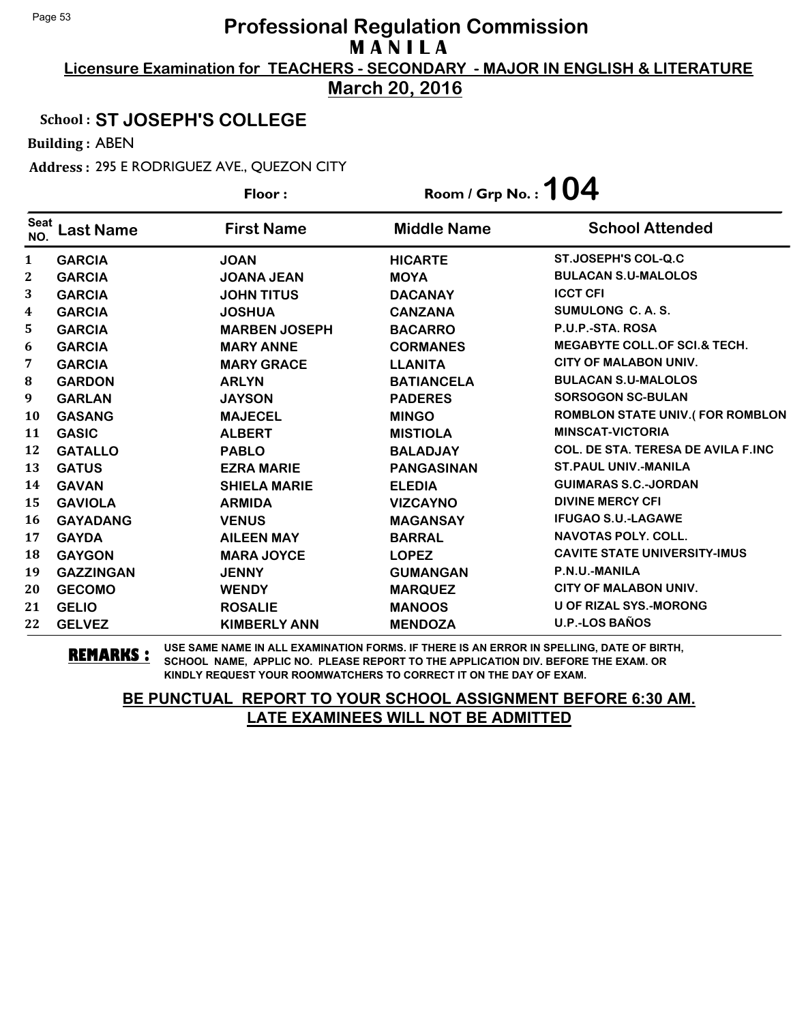**Licensure Examination for TEACHERS - SECONDARY - MAJOR IN ENGLISH & LITERATURE March 20, 2016**

### School : **ST JOSEPH'S COLLEGE**

Building : ABEN

Address : 295 E RODRIGUEZ AVE., QUEZON CITY

|                         |                  | Floor:               | Room / Grp No. : $104$ |                                           |
|-------------------------|------------------|----------------------|------------------------|-------------------------------------------|
| <b>Seat</b><br>NO.      | <b>Last Name</b> | <b>First Name</b>    | <b>Middle Name</b>     | <b>School Attended</b>                    |
| $\mathbf{1}$            | <b>GARCIA</b>    | <b>JOAN</b>          | <b>HICARTE</b>         | ST.JOSEPH'S COL-Q.C                       |
| 2                       | <b>GARCIA</b>    | <b>JOANA JEAN</b>    | <b>MOYA</b>            | <b>BULACAN S.U-MALOLOS</b>                |
| 3                       | <b>GARCIA</b>    | <b>JOHN TITUS</b>    | <b>DACANAY</b>         | <b>ICCT CFI</b>                           |
| $\overline{\mathbf{4}}$ | <b>GARCIA</b>    | <b>JOSHUA</b>        | <b>CANZANA</b>         | SUMULONG C.A.S.                           |
| 5                       | <b>GARCIA</b>    | <b>MARBEN JOSEPH</b> | <b>BACARRO</b>         | P.U.P.-STA. ROSA                          |
| 6                       | <b>GARCIA</b>    | <b>MARY ANNE</b>     | <b>CORMANES</b>        | <b>MEGABYTE COLL. OF SCI.&amp; TECH.</b>  |
| 7                       | <b>GARCIA</b>    | <b>MARY GRACE</b>    | <b>LLANITA</b>         | <b>CITY OF MALABON UNIV.</b>              |
| 8                       | <b>GARDON</b>    | <b>ARLYN</b>         | <b>BATIANCELA</b>      | <b>BULACAN S.U-MALOLOS</b>                |
| $\boldsymbol{9}$        | <b>GARLAN</b>    | <b>JAYSON</b>        | <b>PADERES</b>         | <b>SORSOGON SC-BULAN</b>                  |
| <b>10</b>               | <b>GASANG</b>    | <b>MAJECEL</b>       | <b>MINGO</b>           | <b>ROMBLON STATE UNIV.(FOR ROMBLON</b>    |
| 11                      | <b>GASIC</b>     | <b>ALBERT</b>        | <b>MISTIOLA</b>        | <b>MINSCAT-VICTORIA</b>                   |
| 12                      | <b>GATALLO</b>   | <b>PABLO</b>         | <b>BALADJAY</b>        | <b>COL. DE STA. TERESA DE AVILA F.INC</b> |
| 13                      | <b>GATUS</b>     | <b>EZRA MARIE</b>    | <b>PANGASINAN</b>      | <b>ST. PAUL UNIV.-MANILA</b>              |
| 14                      | <b>GAVAN</b>     | <b>SHIELA MARIE</b>  | <b>ELEDIA</b>          | <b>GUIMARAS S.C.-JORDAN</b>               |
| 15                      | <b>GAVIOLA</b>   | <b>ARMIDA</b>        | <b>VIZCAYNO</b>        | <b>DIVINE MERCY CFI</b>                   |
| 16                      | <b>GAYADANG</b>  | <b>VENUS</b>         | <b>MAGANSAY</b>        | <b>IFUGAO S.U.-LAGAWE</b>                 |
| 17                      | <b>GAYDA</b>     | <b>AILEEN MAY</b>    | <b>BARRAL</b>          | <b>NAVOTAS POLY, COLL.</b>                |
| 18                      | <b>GAYGON</b>    | <b>MARA JOYCE</b>    | <b>LOPEZ</b>           | <b>CAVITE STATE UNIVERSITY-IMUS</b>       |
| 19                      | <b>GAZZINGAN</b> | <b>JENNY</b>         | <b>GUMANGAN</b>        | P.N.U.-MANILA                             |
| 20                      | <b>GECOMO</b>    | <b>WENDY</b>         | <b>MARQUEZ</b>         | CITY OF MALABON UNIV.                     |
| 21                      | <b>GELIO</b>     | <b>ROSALIE</b>       | <b>MANOOS</b>          | <b>U OF RIZAL SYS.-MORONG</b>             |
| 22                      | <b>GELVEZ</b>    | <b>KIMBERLY ANN</b>  | <b>MENDOZA</b>         | <b>U.P.-LOS BAÑOS</b>                     |

**REMARKS :** USE SAME NAME IN ALL EXAMINATION FORMS. IF THERE IS AN ERROR IN SPELLING, DATE OF BIRTH, SCHOOL NAME, APPLIC NO. PLEASE REPORT TO THE APPLICATION DIV. BEFORE THE EXAM. OR KINDLY REQUEST YOUR ROOMWATCHERS TO CORRECT IT ON THE DAY OF EXAM.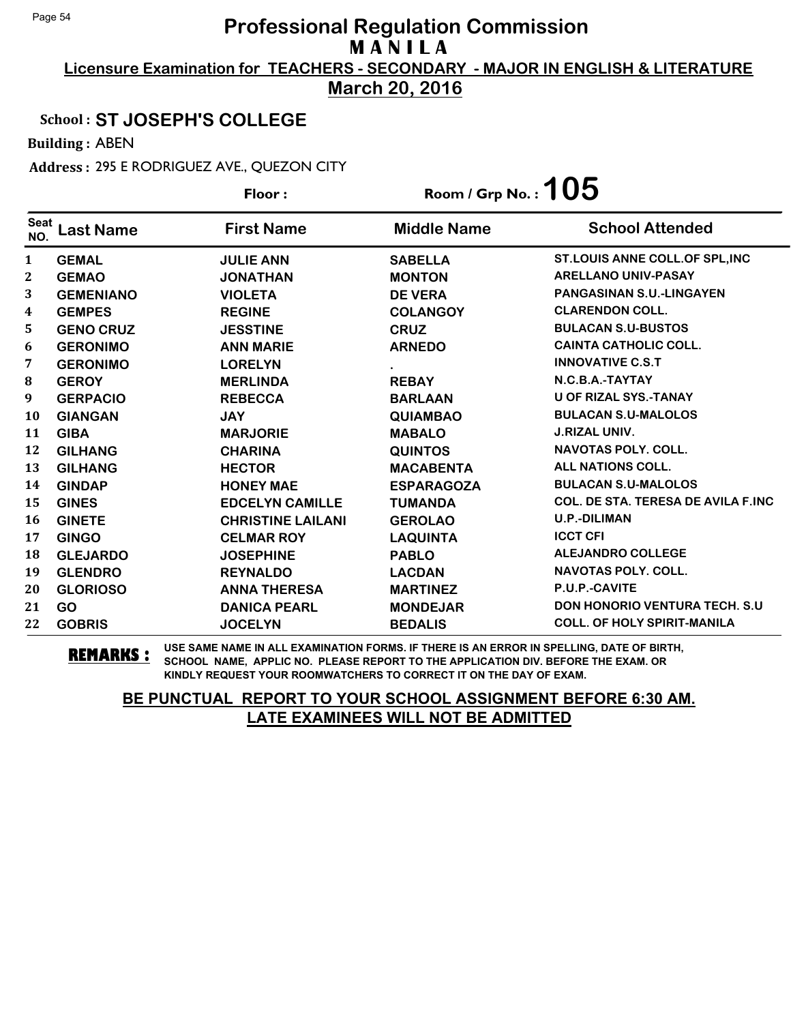**Licensure Examination for TEACHERS - SECONDARY - MAJOR IN ENGLISH & LITERATURE March 20, 2016**

#### School : **ST JOSEPH'S COLLEGE**

Building : ABEN

Address : 295 E RODRIGUEZ AVE., QUEZON CITY

|                    |                  | Floor:                   | Room / Grp No. : $105$ |                                           |
|--------------------|------------------|--------------------------|------------------------|-------------------------------------------|
| <b>Seat</b><br>NO. | Last Name        | <b>First Name</b>        | <b>Middle Name</b>     | <b>School Attended</b>                    |
| $\mathbf{1}$       | <b>GEMAL</b>     | <b>JULIE ANN</b>         | <b>SABELLA</b>         | ST.LOUIS ANNE COLL.OF SPL, INC            |
| 2                  | <b>GEMAO</b>     | <b>JONATHAN</b>          | <b>MONTON</b>          | <b>ARELLANO UNIV-PASAY</b>                |
| 3                  | <b>GEMENIANO</b> | <b>VIOLETA</b>           | <b>DE VERA</b>         | <b>PANGASINAN S.U.-LINGAYEN</b>           |
| 4                  | <b>GEMPES</b>    | <b>REGINE</b>            | <b>COLANGOY</b>        | <b>CLARENDON COLL.</b>                    |
| 5                  | <b>GENO CRUZ</b> | <b>JESSTINE</b>          | <b>CRUZ</b>            | <b>BULACAN S.U-BUSTOS</b>                 |
| 6                  | <b>GERONIMO</b>  | <b>ANN MARIE</b>         | <b>ARNEDO</b>          | <b>CAINTA CATHOLIC COLL.</b>              |
| 7                  | <b>GERONIMO</b>  | <b>LORELYN</b>           |                        | <b>INNOVATIVE C.S.T</b>                   |
| 8                  | <b>GEROY</b>     | <b>MERLINDA</b>          | <b>REBAY</b>           | N.C.B.A.-TAYTAY                           |
| 9                  | <b>GERPACIO</b>  | <b>REBECCA</b>           | <b>BARLAAN</b>         | <b>U OF RIZAL SYS.-TANAY</b>              |
| 10                 | <b>GIANGAN</b>   | <b>JAY</b>               | <b>QUIAMBAO</b>        | <b>BULACAN S.U-MALOLOS</b>                |
| 11                 | <b>GIBA</b>      | <b>MARJORIE</b>          | <b>MABALO</b>          | <b>J.RIZAL UNIV.</b>                      |
| 12                 | <b>GILHANG</b>   | <b>CHARINA</b>           | <b>QUINTOS</b>         | <b>NAVOTAS POLY, COLL.</b>                |
| 13                 | <b>GILHANG</b>   | <b>HECTOR</b>            | <b>MACABENTA</b>       | <b>ALL NATIONS COLL.</b>                  |
| 14                 | <b>GINDAP</b>    | <b>HONEY MAE</b>         | <b>ESPARAGOZA</b>      | <b>BULACAN S.U-MALOLOS</b>                |
| 15                 | <b>GINES</b>     | <b>EDCELYN CAMILLE</b>   | <b>TUMANDA</b>         | <b>COL. DE STA. TERESA DE AVILA F.INC</b> |
| 16                 | <b>GINETE</b>    | <b>CHRISTINE LAILANI</b> | <b>GEROLAO</b>         | <b>U.P.-DILIMAN</b>                       |
| 17                 | <b>GINGO</b>     | <b>CELMAR ROY</b>        | <b>LAQUINTA</b>        | <b>ICCT CFI</b>                           |
| 18                 | <b>GLEJARDO</b>  | <b>JOSEPHINE</b>         | <b>PABLO</b>           | <b>ALEJANDRO COLLEGE</b>                  |
| 19                 | <b>GLENDRO</b>   | <b>REYNALDO</b>          | <b>LACDAN</b>          | <b>NAVOTAS POLY, COLL.</b>                |
| 20                 | <b>GLORIOSO</b>  | <b>ANNA THERESA</b>      | <b>MARTINEZ</b>        | P.U.P.-CAVITE                             |
| 21                 | <b>GO</b>        | <b>DANICA PEARL</b>      | <b>MONDEJAR</b>        | <b>DON HONORIO VENTURA TECH. S.U</b>      |
| 22                 | <b>GOBRIS</b>    | <b>JOCELYN</b>           | <b>BEDALIS</b>         | <b>COLL. OF HOLY SPIRIT-MANILA</b>        |

**REMARKS :** USE SAME NAME IN ALL EXAMINATION FORMS. IF THERE IS AN ERROR IN SPELLING, DATE OF BIRTH, SCHOOL NAME, APPLIC NO. PLEASE REPORT TO THE APPLICATION DIV. BEFORE THE EXAM. OR KINDLY REQUEST YOUR ROOMWATCHERS TO CORRECT IT ON THE DAY OF EXAM.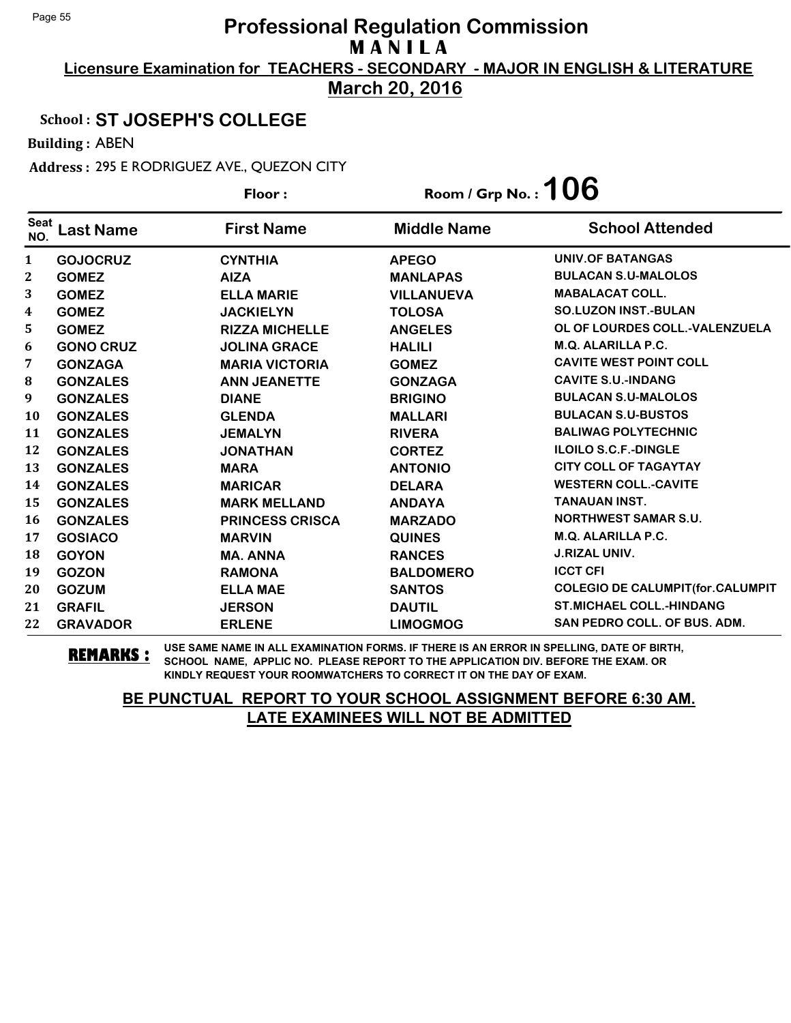**Licensure Examination for TEACHERS - SECONDARY - MAJOR IN ENGLISH & LITERATURE March 20, 2016**

### School : **ST JOSEPH'S COLLEGE**

Building : ABEN

Address : 295 E RODRIGUEZ AVE., QUEZON CITY

|                    |                  | Floor:                 | Room / Grp No. : $106$ |                                         |
|--------------------|------------------|------------------------|------------------------|-----------------------------------------|
| <b>Seat</b><br>NO. | <b>Last Name</b> | <b>First Name</b>      | <b>Middle Name</b>     | <b>School Attended</b>                  |
| $\mathbf{1}$       | <b>GOJOCRUZ</b>  | <b>CYNTHIA</b>         | <b>APEGO</b>           | <b>UNIV.OF BATANGAS</b>                 |
| 2                  | <b>GOMEZ</b>     | <b>AIZA</b>            | <b>MANLAPAS</b>        | <b>BULACAN S.U-MALOLOS</b>              |
| 3                  | <b>GOMEZ</b>     | <b>ELLA MARIE</b>      | <b>VILLANUEVA</b>      | <b>MABALACAT COLL.</b>                  |
| 4                  | <b>GOMEZ</b>     | <b>JACKIELYN</b>       | <b>TOLOSA</b>          | <b>SO.LUZON INST.-BULAN</b>             |
| 5                  | <b>GOMEZ</b>     | <b>RIZZA MICHELLE</b>  | <b>ANGELES</b>         | OL OF LOURDES COLL.-VALENZUELA          |
| 6                  | <b>GONO CRUZ</b> | <b>JOLINA GRACE</b>    | <b>HALILI</b>          | M.Q. ALARILLA P.C.                      |
| 7                  | <b>GONZAGA</b>   | <b>MARIA VICTORIA</b>  | <b>GOMEZ</b>           | <b>CAVITE WEST POINT COLL</b>           |
| 8                  | <b>GONZALES</b>  | <b>ANN JEANETTE</b>    | <b>GONZAGA</b>         | <b>CAVITE S.U.-INDANG</b>               |
| 9                  | <b>GONZALES</b>  | <b>DIANE</b>           | <b>BRIGINO</b>         | <b>BULACAN S.U-MALOLOS</b>              |
| <b>10</b>          | <b>GONZALES</b>  | <b>GLENDA</b>          | <b>MALLARI</b>         | <b>BULACAN S.U-BUSTOS</b>               |
| 11                 | <b>GONZALES</b>  | <b>JEMALYN</b>         | <b>RIVERA</b>          | <b>BALIWAG POLYTECHNIC</b>              |
| 12                 | <b>GONZALES</b>  | <b>JONATHAN</b>        | <b>CORTEZ</b>          | <b>ILOILO S.C.F.-DINGLE</b>             |
| 13                 | <b>GONZALES</b>  | <b>MARA</b>            | <b>ANTONIO</b>         | <b>CITY COLL OF TAGAYTAY</b>            |
| 14                 | <b>GONZALES</b>  | <b>MARICAR</b>         | <b>DELARA</b>          | <b>WESTERN COLL.-CAVITE</b>             |
| 15                 | <b>GONZALES</b>  | <b>MARK MELLAND</b>    | <b>ANDAYA</b>          | <b>TANAUAN INST.</b>                    |
| 16                 | <b>GONZALES</b>  | <b>PRINCESS CRISCA</b> | <b>MARZADO</b>         | <b>NORTHWEST SAMAR S.U.</b>             |
| 17                 | <b>GOSIACO</b>   | <b>MARVIN</b>          | <b>QUINES</b>          | <b>M.Q. ALARILLA P.C.</b>               |
| 18                 | <b>GOYON</b>     | <b>MA. ANNA</b>        | <b>RANCES</b>          | <b>J.RIZAL UNIV.</b>                    |
| 19                 | <b>GOZON</b>     | <b>RAMONA</b>          | <b>BALDOMERO</b>       | <b>ICCT CFI</b>                         |
| 20                 | <b>GOZUM</b>     | <b>ELLA MAE</b>        | <b>SANTOS</b>          | <b>COLEGIO DE CALUMPIT(for.CALUMPIT</b> |
| 21                 | <b>GRAFIL</b>    | <b>JERSON</b>          | <b>DAUTIL</b>          | <b>ST.MICHAEL COLL.-HINDANG</b>         |
| 22                 | <b>GRAVADOR</b>  | <b>ERLENE</b>          | <b>LIMOGMOG</b>        | SAN PEDRO COLL. OF BUS. ADM.            |

**REMARKS :** USE SAME NAME IN ALL EXAMINATION FORMS. IF THERE IS AN ERROR IN SPELLING, DATE OF BIRTH, SCHOOL NAME, APPLIC NO. PLEASE REPORT TO THE APPLICATION DIV. BEFORE THE EXAM. OR KINDLY REQUEST YOUR ROOMWATCHERS TO CORRECT IT ON THE DAY OF EXAM.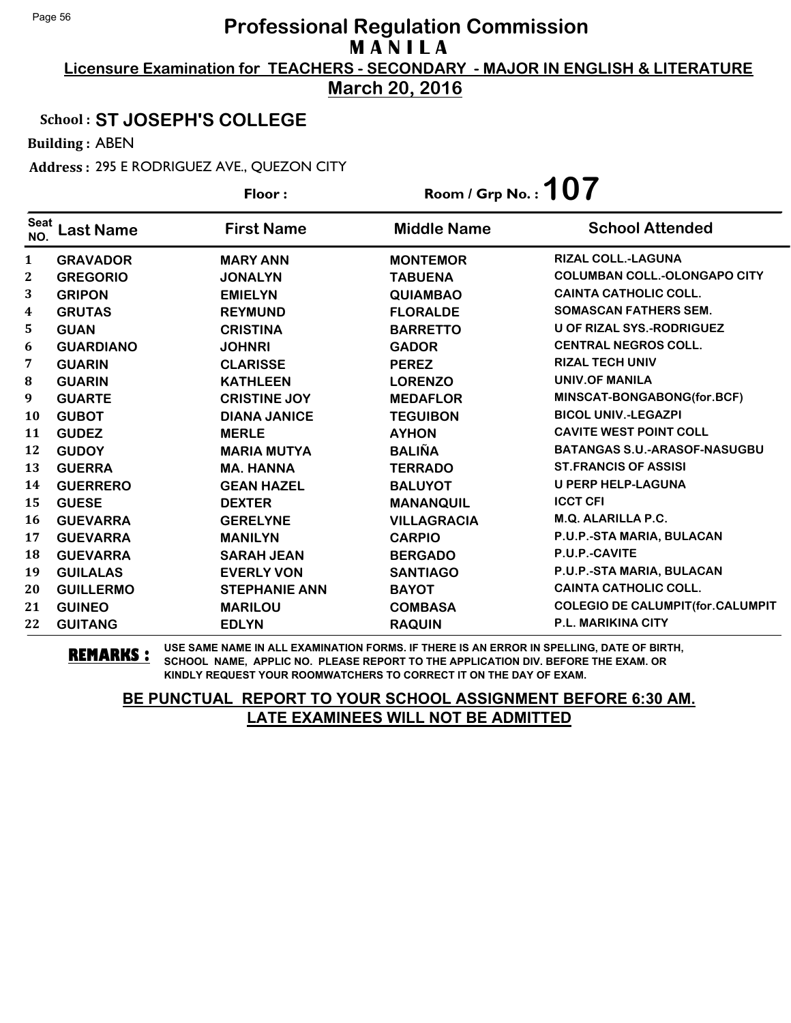**Licensure Examination for TEACHERS - SECONDARY - MAJOR IN ENGLISH & LITERATURE March 20, 2016**

### School : **ST JOSEPH'S COLLEGE**

Building : ABEN

Address : 295 E RODRIGUEZ AVE., QUEZON CITY

|                    |                  | Floor:               | Room / Grp No.: $107$ |                                         |
|--------------------|------------------|----------------------|-----------------------|-----------------------------------------|
| <b>Seat</b><br>NO. | <b>Last Name</b> | <b>First Name</b>    | <b>Middle Name</b>    | <b>School Attended</b>                  |
| $\mathbf{1}$       | <b>GRAVADOR</b>  | <b>MARY ANN</b>      | <b>MONTEMOR</b>       | <b>RIZAL COLL.-LAGUNA</b>               |
| 2                  | <b>GREGORIO</b>  | <b>JONALYN</b>       | <b>TABUENA</b>        | <b>COLUMBAN COLL.-OLONGAPO CITY</b>     |
| 3                  | <b>GRIPON</b>    | <b>EMIELYN</b>       | <b>QUIAMBAO</b>       | <b>CAINTA CATHOLIC COLL.</b>            |
| $\boldsymbol{4}$   | <b>GRUTAS</b>    | <b>REYMUND</b>       | <b>FLORALDE</b>       | <b>SOMASCAN FATHERS SEM.</b>            |
| 5                  | <b>GUAN</b>      | <b>CRISTINA</b>      | <b>BARRETTO</b>       | <b>U OF RIZAL SYS.-RODRIGUEZ</b>        |
| 6                  | <b>GUARDIANO</b> | <b>JOHNRI</b>        | <b>GADOR</b>          | <b>CENTRAL NEGROS COLL.</b>             |
| 7                  | <b>GUARIN</b>    | <b>CLARISSE</b>      | <b>PEREZ</b>          | <b>RIZAL TECH UNIV</b>                  |
| 8                  | <b>GUARIN</b>    | <b>KATHLEEN</b>      | <b>LORENZO</b>        | <b>UNIV.OF MANILA</b>                   |
| 9                  | <b>GUARTE</b>    | <b>CRISTINE JOY</b>  | <b>MEDAFLOR</b>       | MINSCAT-BONGABONG(for.BCF)              |
| <b>10</b>          | <b>GUBOT</b>     | <b>DIANA JANICE</b>  | <b>TEGUIBON</b>       | <b>BICOL UNIV.-LEGAZPI</b>              |
| 11                 | <b>GUDEZ</b>     | <b>MERLE</b>         | <b>AYHON</b>          | <b>CAVITE WEST POINT COLL</b>           |
| 12                 | <b>GUDOY</b>     | <b>MARIA MUTYA</b>   | <b>BALIÑA</b>         | <b>BATANGAS S.U.-ARASOF-NASUGBU</b>     |
| 13                 | <b>GUERRA</b>    | <b>MA. HANNA</b>     | <b>TERRADO</b>        | <b>ST.FRANCIS OF ASSISI</b>             |
| 14                 | <b>GUERRERO</b>  | <b>GEAN HAZEL</b>    | <b>BALUYOT</b>        | <b>U PERP HELP-LAGUNA</b>               |
| 15                 | <b>GUESE</b>     | <b>DEXTER</b>        | <b>MANANQUIL</b>      | <b>ICCT CFI</b>                         |
| 16                 | <b>GUEVARRA</b>  | <b>GERELYNE</b>      | <b>VILLAGRACIA</b>    | M.Q. ALARILLA P.C.                      |
| 17                 | <b>GUEVARRA</b>  | <b>MANILYN</b>       | <b>CARPIO</b>         | P.U.P.-STA MARIA, BULACAN               |
| 18                 | <b>GUEVARRA</b>  | <b>SARAH JEAN</b>    | <b>BERGADO</b>        | P.U.P.-CAVITE                           |
| 19                 | <b>GUILALAS</b>  | <b>EVERLY VON</b>    | <b>SANTIAGO</b>       | P.U.P.-STA MARIA, BULACAN               |
| 20                 | <b>GUILLERMO</b> | <b>STEPHANIE ANN</b> | <b>BAYOT</b>          | <b>CAINTA CATHOLIC COLL.</b>            |
| 21                 | <b>GUINEO</b>    | <b>MARILOU</b>       | <b>COMBASA</b>        | <b>COLEGIO DE CALUMPIT(for.CALUMPIT</b> |
| 22                 | <b>GUITANG</b>   | <b>EDLYN</b>         | <b>RAQUIN</b>         | P.L. MARIKINA CITY                      |

**REMARKS :** USE SAME NAME IN ALL EXAMINATION FORMS. IF THERE IS AN ERROR IN SPELLING, DATE OF BIRTH, SCHOOL NAME, APPLIC NO. PLEASE REPORT TO THE APPLICATION DIV. BEFORE THE EXAM. OR KINDLY REQUEST YOUR ROOMWATCHERS TO CORRECT IT ON THE DAY OF EXAM.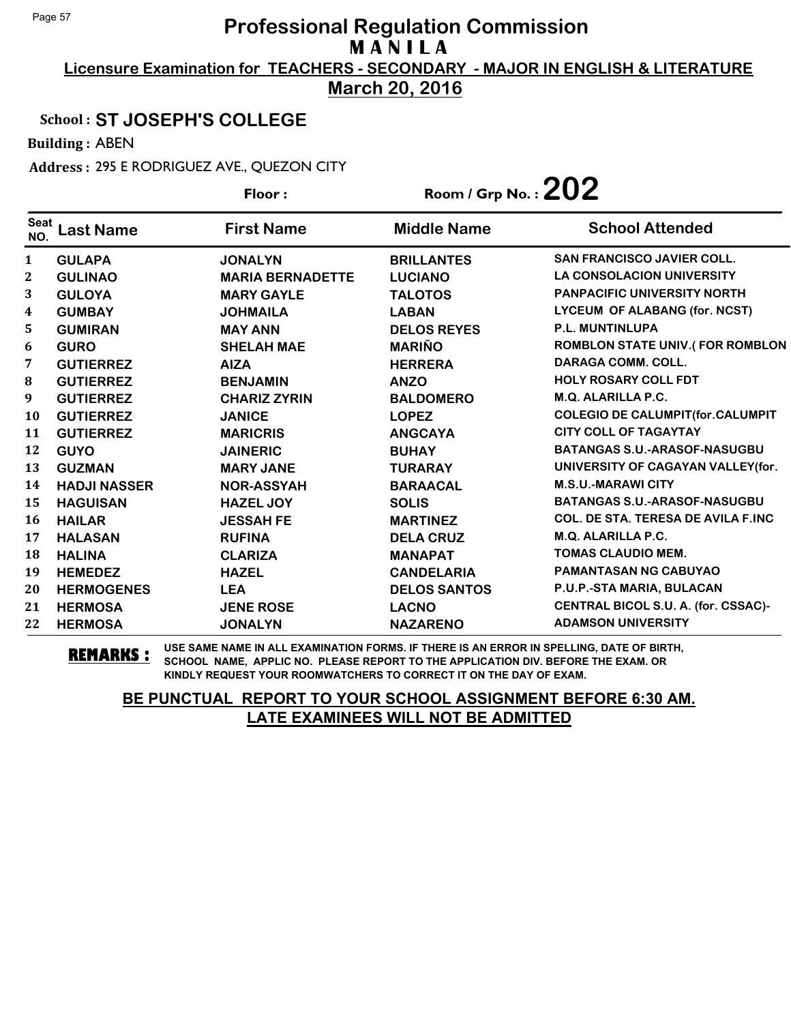**Licensure Examination for TEACHERS - SECONDARY - MAJOR IN ENGLISH & LITERATURE March 20, 2016**

### School : **ST JOSEPH'S COLLEGE**

Building : ABEN

Address : 295 E RODRIGUEZ AVE., QUEZON CITY

|                    |                     | Floor:                  | Room / Grp No. : $202$ |                                           |
|--------------------|---------------------|-------------------------|------------------------|-------------------------------------------|
| <b>Seat</b><br>NO. | <b>Last Name</b>    | <b>First Name</b>       | <b>Middle Name</b>     | <b>School Attended</b>                    |
| $\mathbf{1}$       | <b>GULAPA</b>       | <b>JONALYN</b>          | <b>BRILLANTES</b>      | <b>SAN FRANCISCO JAVIER COLL.</b>         |
| $\mathbf{2}$       | <b>GULINAO</b>      | <b>MARIA BERNADETTE</b> | <b>LUCIANO</b>         | <b>LA CONSOLACION UNIVERSITY</b>          |
| 3                  | <b>GULOYA</b>       | <b>MARY GAYLE</b>       | <b>TALOTOS</b>         | <b>PANPACIFIC UNIVERSITY NORTH</b>        |
| 4                  | <b>GUMBAY</b>       | <b>JOHMAILA</b>         | <b>LABAN</b>           | LYCEUM OF ALABANG (for. NCST)             |
| 5                  | <b>GUMIRAN</b>      | <b>MAY ANN</b>          | <b>DELOS REYES</b>     | <b>P.L. MUNTINLUPA</b>                    |
| 6                  | <b>GURO</b>         | <b>SHELAH MAE</b>       | <b>MARIÑO</b>          | <b>ROMBLON STATE UNIV.(FOR ROMBLON</b>    |
| 7                  | <b>GUTIERREZ</b>    | <b>AIZA</b>             | <b>HERRERA</b>         | <b>DARAGA COMM. COLL.</b>                 |
| $\bf{8}$           | <b>GUTIERREZ</b>    | <b>BENJAMIN</b>         | <b>ANZO</b>            | <b>HOLY ROSARY COLL FDT</b>               |
| 9                  | <b>GUTIERREZ</b>    | <b>CHARIZ ZYRIN</b>     | <b>BALDOMERO</b>       | <b>M.Q. ALARILLA P.C.</b>                 |
| <b>10</b>          | <b>GUTIERREZ</b>    | <b>JANICE</b>           | <b>LOPEZ</b>           | <b>COLEGIO DE CALUMPIT(for.CALUMPIT</b>   |
| 11                 | <b>GUTIERREZ</b>    | <b>MARICRIS</b>         | <b>ANGCAYA</b>         | <b>CITY COLL OF TAGAYTAY</b>              |
| 12                 | <b>GUYO</b>         | <b>JAINERIC</b>         | <b>BUHAY</b>           | <b>BATANGAS S.U.-ARASOF-NASUGBU</b>       |
| 13                 | <b>GUZMAN</b>       | <b>MARY JANE</b>        | <b>TURARAY</b>         | UNIVERSITY OF CAGAYAN VALLEY (for.        |
| 14                 | <b>HADJI NASSER</b> | <b>NOR-ASSYAH</b>       | <b>BARAACAL</b>        | <b>M.S.U.-MARAWI CITY</b>                 |
| 15                 | <b>HAGUISAN</b>     | <b>HAZEL JOY</b>        | <b>SOLIS</b>           | <b>BATANGAS S.U.-ARASOF-NASUGBU</b>       |
| 16                 | <b>HAILAR</b>       | <b>JESSAH FE</b>        | <b>MARTINEZ</b>        | <b>COL. DE STA. TERESA DE AVILA F.INC</b> |
| 17                 | <b>HALASAN</b>      | <b>RUFINA</b>           | <b>DELA CRUZ</b>       | <b>M.Q. ALARILLA P.C.</b>                 |
| 18                 | <b>HALINA</b>       | <b>CLARIZA</b>          | <b>MANAPAT</b>         | <b>TOMAS CLAUDIO MEM.</b>                 |
| 19                 | <b>HEMEDEZ</b>      | <b>HAZEL</b>            | <b>CANDELARIA</b>      | <b>PAMANTASAN NG CABUYAO</b>              |
| 20                 | <b>HERMOGENES</b>   | <b>LEA</b>              | <b>DELOS SANTOS</b>    | P.U.P.-STA MARIA, BULACAN                 |
| 21                 | <b>HERMOSA</b>      | <b>JENE ROSE</b>        | <b>LACNO</b>           | CENTRAL BICOL S.U. A. (for. CSSAC)-       |
| 22                 | <b>HERMOSA</b>      | <b>JONALYN</b>          | <b>NAZARENO</b>        | <b>ADAMSON UNIVERSITY</b>                 |

**REMARKS :** USE SAME NAME IN ALL EXAMINATION FORMS. IF THERE IS AN ERROR IN SPELLING, DATE OF BIRTH, SCHOOL NAME, APPLIC NO. PLEASE REPORT TO THE APPLICATION DIV. BEFORE THE EXAM. OR KINDLY REQUEST YOUR ROOMWATCHERS TO CORRECT IT ON THE DAY OF EXAM.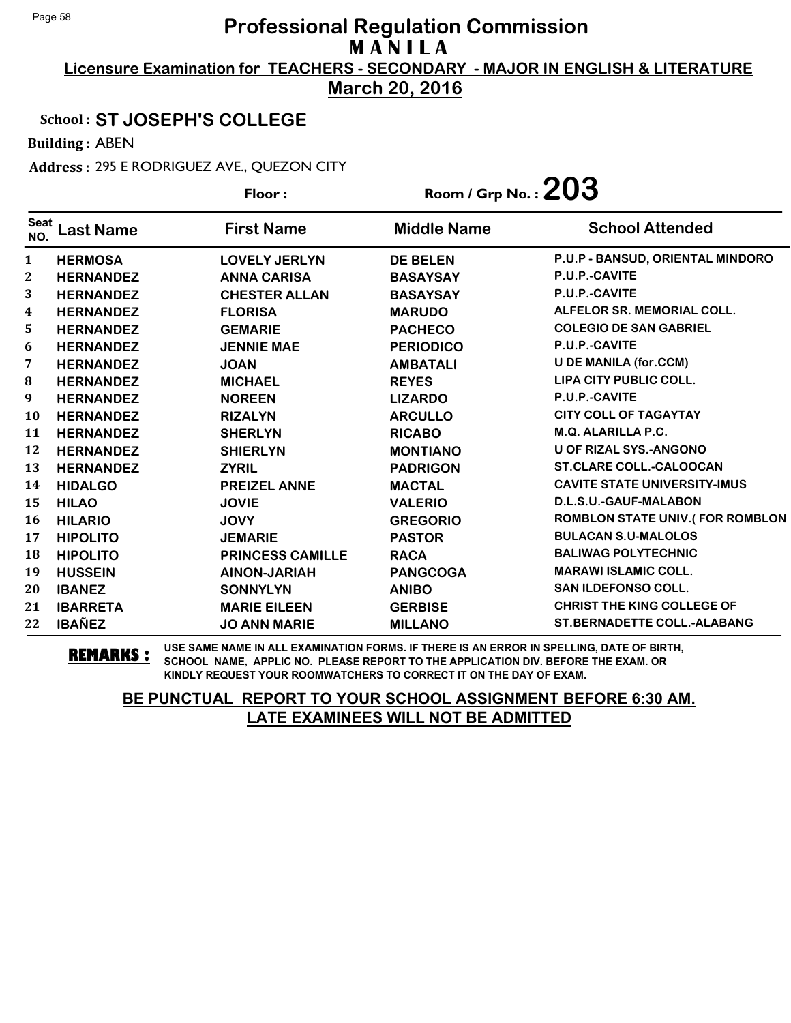**Licensure Examination for TEACHERS - SECONDARY - MAJOR IN ENGLISH & LITERATURE March 20, 2016**

### School : **ST JOSEPH'S COLLEGE**

Building : ABEN

Address : 295 E RODRIGUEZ AVE., QUEZON CITY

|                    |                  | Floor:                  |                    | Room / Grp No. : $203$                 |  |
|--------------------|------------------|-------------------------|--------------------|----------------------------------------|--|
| <b>Seat</b><br>NO. | <b>Last Name</b> | <b>First Name</b>       | <b>Middle Name</b> | <b>School Attended</b>                 |  |
| $\mathbf{1}$       | <b>HERMOSA</b>   | <b>LOVELY JERLYN</b>    | <b>DE BELEN</b>    | P.U.P - BANSUD, ORIENTAL MINDORO       |  |
| $\mathbf{2}$       | <b>HERNANDEZ</b> | <b>ANNA CARISA</b>      | <b>BASAYSAY</b>    | P.U.P.-CAVITE                          |  |
| 3                  | <b>HERNANDEZ</b> | <b>CHESTER ALLAN</b>    | <b>BASAYSAY</b>    | P.U.P.-CAVITE                          |  |
| $\boldsymbol{4}$   | <b>HERNANDEZ</b> | <b>FLORISA</b>          | <b>MARUDO</b>      | ALFELOR SR. MEMORIAL COLL.             |  |
| 5                  | <b>HERNANDEZ</b> | <b>GEMARIE</b>          | <b>PACHECO</b>     | <b>COLEGIO DE SAN GABRIEL</b>          |  |
| 6                  | <b>HERNANDEZ</b> | <b>JENNIE MAE</b>       | <b>PERIODICO</b>   | P.U.P.-CAVITE                          |  |
| 7                  | <b>HERNANDEZ</b> | <b>JOAN</b>             | <b>AMBATALI</b>    | <b>U DE MANILA (for.CCM)</b>           |  |
| 8                  | <b>HERNANDEZ</b> | <b>MICHAEL</b>          | <b>REYES</b>       | <b>LIPA CITY PUBLIC COLL.</b>          |  |
| 9                  | <b>HERNANDEZ</b> | <b>NOREEN</b>           | <b>LIZARDO</b>     | P.U.P.-CAVITE                          |  |
| <b>10</b>          | <b>HERNANDEZ</b> | <b>RIZALYN</b>          | <b>ARCULLO</b>     | <b>CITY COLL OF TAGAYTAY</b>           |  |
| 11                 | <b>HERNANDEZ</b> | <b>SHERLYN</b>          | <b>RICABO</b>      | M.Q. ALARILLA P.C.                     |  |
| 12                 | <b>HERNANDEZ</b> | <b>SHIERLYN</b>         | <b>MONTIANO</b>    | <b>U OF RIZAL SYS.-ANGONO</b>          |  |
| 13                 | <b>HERNANDEZ</b> | <b>ZYRIL</b>            | <b>PADRIGON</b>    | <b>ST.CLARE COLL.-CALOOCAN</b>         |  |
| 14                 | <b>HIDALGO</b>   | <b>PREIZEL ANNE</b>     | <b>MACTAL</b>      | <b>CAVITE STATE UNIVERSITY-IMUS</b>    |  |
| 15                 | <b>HILAO</b>     | <b>JOVIE</b>            | <b>VALERIO</b>     | D.L.S.U.-GAUF-MALABON                  |  |
| 16                 | <b>HILARIO</b>   | <b>JOVY</b>             | <b>GREGORIO</b>    | <b>ROMBLON STATE UNIV.(FOR ROMBLON</b> |  |
| 17                 | <b>HIPOLITO</b>  | <b>JEMARIE</b>          | <b>PASTOR</b>      | <b>BULACAN S.U-MALOLOS</b>             |  |
| 18                 | <b>HIPOLITO</b>  | <b>PRINCESS CAMILLE</b> | <b>RACA</b>        | <b>BALIWAG POLYTECHNIC</b>             |  |
| 19                 | <b>HUSSEIN</b>   | <b>AINON-JARIAH</b>     | <b>PANGCOGA</b>    | <b>MARAWI ISLAMIC COLL.</b>            |  |
| 20                 | <b>IBANEZ</b>    | <b>SONNYLYN</b>         | <b>ANIBO</b>       | <b>SAN ILDEFONSO COLL.</b>             |  |
| 21                 | <b>IBARRETA</b>  | <b>MARIE EILEEN</b>     | <b>GERBISE</b>     | <b>CHRIST THE KING COLLEGE OF</b>      |  |
| 22                 | <b>IBAÑEZ</b>    | <b>JO ANN MARIE</b>     | <b>MILLANO</b>     | <b>ST.BERNADETTE COLL.-ALABANG</b>     |  |

**REMARKS :** USE SAME NAME IN ALL EXAMINATION FORMS. IF THERE IS AN ERROR IN SPELLING, DATE OF BIRTH, SCHOOL NAME, APPLIC NO. PLEASE REPORT TO THE APPLICATION DIV. BEFORE THE EXAM. OR KINDLY REQUEST YOUR ROOMWATCHERS TO CORRECT IT ON THE DAY OF EXAM.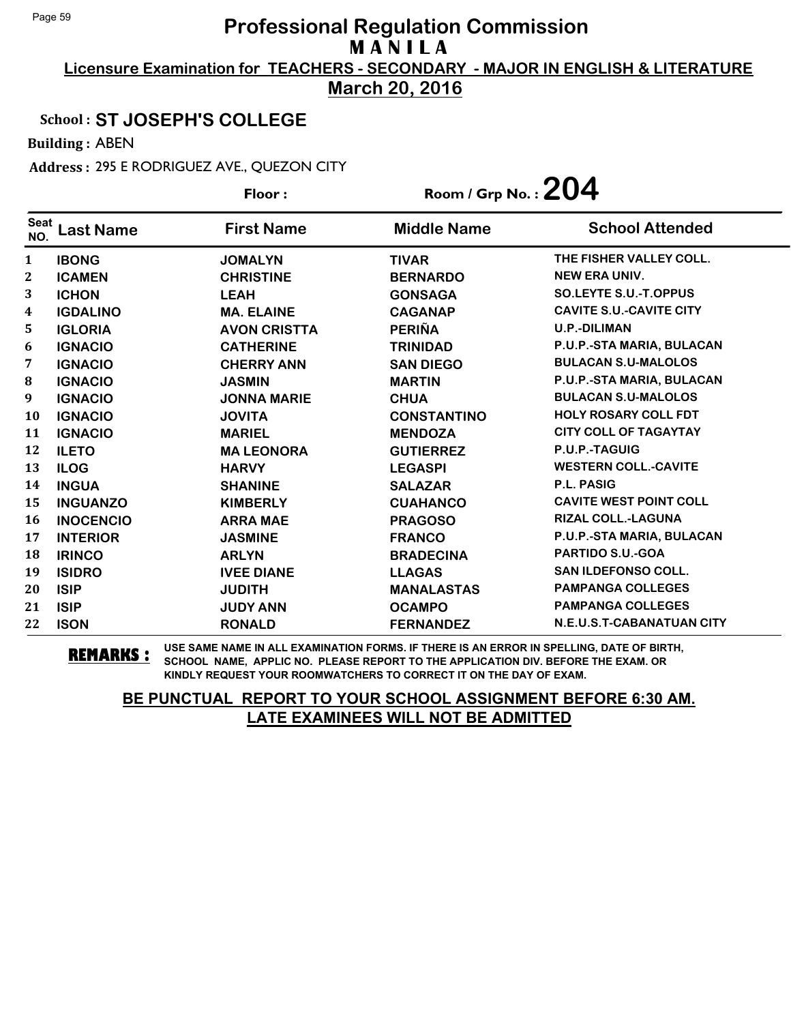**Licensure Examination for TEACHERS - SECONDARY - MAJOR IN ENGLISH & LITERATURE March 20, 2016**

### School : **ST JOSEPH'S COLLEGE**

Building : ABEN

Address : 295 E RODRIGUEZ AVE., QUEZON CITY Floor : Room / Grp No. :**204**

|                    |                  | Floor :             | Room / Grp No. : $LUT$ |                                  |  |
|--------------------|------------------|---------------------|------------------------|----------------------------------|--|
| <b>Seat</b><br>NO. | Last Name        | <b>First Name</b>   | <b>Middle Name</b>     | <b>School Attended</b>           |  |
| $\mathbf{1}$       | <b>IBONG</b>     | <b>JOMALYN</b>      | <b>TIVAR</b>           | THE FISHER VALLEY COLL.          |  |
| $\mathbf 2$        | <b>ICAMEN</b>    | <b>CHRISTINE</b>    | <b>BERNARDO</b>        | <b>NEW ERA UNIV.</b>             |  |
| 3                  | <b>ICHON</b>     | <b>LEAH</b>         | <b>GONSAGA</b>         | <b>SO.LEYTE S.U.-T.OPPUS</b>     |  |
| 4                  | <b>IGDALINO</b>  | <b>MA. ELAINE</b>   | <b>CAGANAP</b>         | <b>CAVITE S.U.-CAVITE CITY</b>   |  |
| 5                  | <b>IGLORIA</b>   | <b>AVON CRISTTA</b> | <b>PERIÑA</b>          | <b>U.P.-DILIMAN</b>              |  |
| 6                  | <b>IGNACIO</b>   | <b>CATHERINE</b>    | <b>TRINIDAD</b>        | P.U.P.-STA MARIA, BULACAN        |  |
| 7                  | <b>IGNACIO</b>   | <b>CHERRY ANN</b>   | <b>SAN DIEGO</b>       | <b>BULACAN S.U-MALOLOS</b>       |  |
| 8                  | <b>IGNACIO</b>   | <b>JASMIN</b>       | <b>MARTIN</b>          | P.U.P.-STA MARIA, BULACAN        |  |
| 9                  | <b>IGNACIO</b>   | <b>JONNA MARIE</b>  | <b>CHUA</b>            | <b>BULACAN S.U-MALOLOS</b>       |  |
| 10                 | <b>IGNACIO</b>   | <b>JOVITA</b>       | <b>CONSTANTINO</b>     | <b>HOLY ROSARY COLL FDT</b>      |  |
| 11                 | <b>IGNACIO</b>   | <b>MARIEL</b>       | <b>MENDOZA</b>         | <b>CITY COLL OF TAGAYTAY</b>     |  |
| 12                 | <b>ILETO</b>     | <b>MA LEONORA</b>   | <b>GUTIERREZ</b>       | P.U.P.-TAGUIG                    |  |
| 13                 | <b>ILOG</b>      | <b>HARVY</b>        | <b>LEGASPI</b>         | <b>WESTERN COLL.-CAVITE</b>      |  |
| 14                 | <b>INGUA</b>     | <b>SHANINE</b>      | <b>SALAZAR</b>         | <b>P.L. PASIG</b>                |  |
| 15                 | <b>INGUANZO</b>  | <b>KIMBERLY</b>     | <b>CUAHANCO</b>        | <b>CAVITE WEST POINT COLL</b>    |  |
| 16                 | <b>INOCENCIO</b> | <b>ARRA MAE</b>     | <b>PRAGOSO</b>         | <b>RIZAL COLL.-LAGUNA</b>        |  |
| 17                 | <b>INTERIOR</b>  | <b>JASMINE</b>      | <b>FRANCO</b>          | P.U.P.-STA MARIA, BULACAN        |  |
| 18                 | <b>IRINCO</b>    | <b>ARLYN</b>        | <b>BRADECINA</b>       | <b>PARTIDO S.U.-GOA</b>          |  |
| 19                 | <b>ISIDRO</b>    | <b>IVEE DIANE</b>   | <b>LLAGAS</b>          | <b>SAN ILDEFONSO COLL.</b>       |  |
| 20                 | <b>ISIP</b>      | <b>JUDITH</b>       | <b>MANALASTAS</b>      | <b>PAMPANGA COLLEGES</b>         |  |
| 21                 | <b>ISIP</b>      | <b>JUDY ANN</b>     | <b>OCAMPO</b>          | <b>PAMPANGA COLLEGES</b>         |  |
| 22                 | <b>ISON</b>      | <b>RONALD</b>       | <b>FERNANDEZ</b>       | <b>N.E.U.S.T-CABANATUAN CITY</b> |  |

**REMARKS :** USE SAME NAME IN ALL EXAMINATION FORMS. IF THERE IS AN ERROR IN SPELLING, DATE OF BIRTH, SCHOOL NAME, APPLIC NO. PLEASE REPORT TO THE APPLICATION DIV. BEFORE THE EXAM. OR KINDLY REQUEST YOUR ROOMWATCHERS TO CORRECT IT ON THE DAY OF EXAM.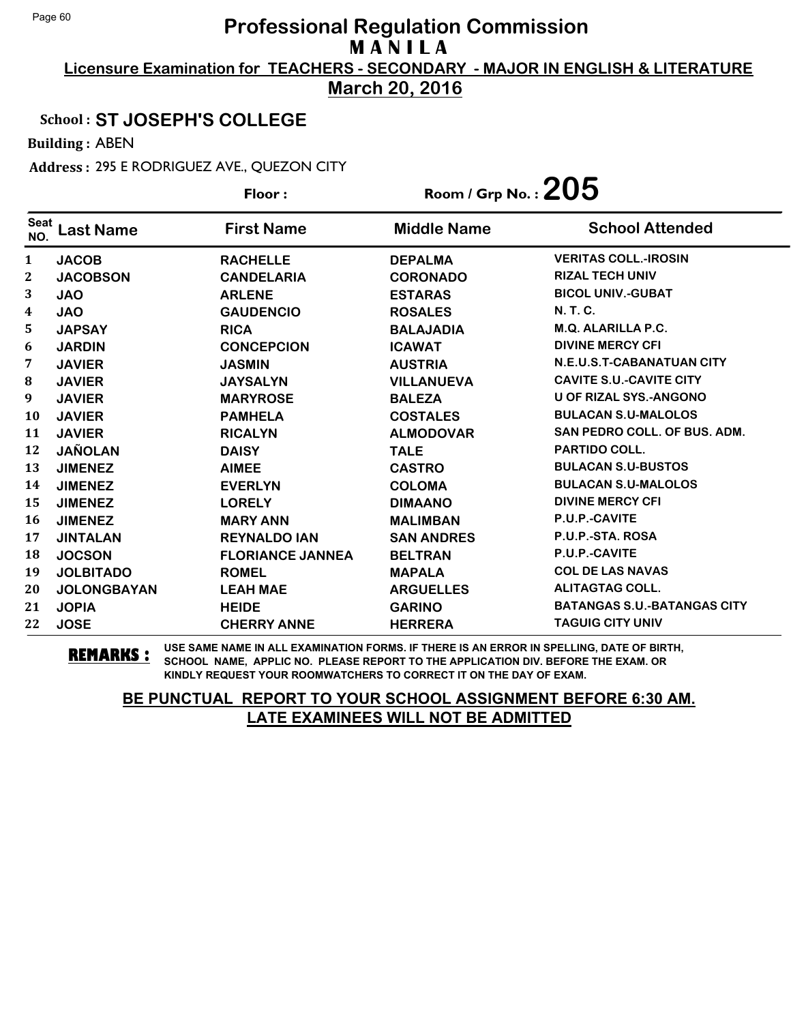**Licensure Examination for TEACHERS - SECONDARY - MAJOR IN ENGLISH & LITERATURE March 20, 2016**

#### School : **ST JOSEPH'S COLLEGE**

Building : ABEN

Address : 295 E RODRIGUEZ AVE., QUEZON CITY

|                    |                    | Floor:                  | Room / Grp No. : $205$ |                                    |
|--------------------|--------------------|-------------------------|------------------------|------------------------------------|
| <b>Seat</b><br>NO. | <b>Last Name</b>   | <b>First Name</b>       | <b>Middle Name</b>     | <b>School Attended</b>             |
| $\mathbf{1}$       | <b>JACOB</b>       | <b>RACHELLE</b>         | <b>DEPALMA</b>         | <b>VERITAS COLL.-IROSIN</b>        |
| 2                  | <b>JACOBSON</b>    | <b>CANDELARIA</b>       | <b>CORONADO</b>        | <b>RIZAL TECH UNIV</b>             |
| 3                  | <b>JAO</b>         | <b>ARLENE</b>           | <b>ESTARAS</b>         | <b>BICOL UNIV.-GUBAT</b>           |
| $\boldsymbol{4}$   | <b>JAO</b>         | <b>GAUDENCIO</b>        | <b>ROSALES</b>         | <b>N.T.C.</b>                      |
| 5                  | <b>JAPSAY</b>      | <b>RICA</b>             | <b>BALAJADIA</b>       | M.Q. ALARILLA P.C.                 |
| 6                  | <b>JARDIN</b>      | <b>CONCEPCION</b>       | <b>ICAWAT</b>          | <b>DIVINE MERCY CFI</b>            |
| 7                  | <b>JAVIER</b>      | <b>JASMIN</b>           | <b>AUSTRIA</b>         | N.E.U.S.T-CABANATUAN CITY          |
| ${\bf 8}$          | <b>JAVIER</b>      | <b>JAYSALYN</b>         | <b>VILLANUEVA</b>      | <b>CAVITE S.U.-CAVITE CITY</b>     |
| 9                  | <b>JAVIER</b>      | <b>MARYROSE</b>         | <b>BALEZA</b>          | <b>U OF RIZAL SYS.-ANGONO</b>      |
| 10                 | <b>JAVIER</b>      | <b>PAMHELA</b>          | <b>COSTALES</b>        | <b>BULACAN S.U-MALOLOS</b>         |
| 11                 | <b>JAVIER</b>      | <b>RICALYN</b>          | <b>ALMODOVAR</b>       | SAN PEDRO COLL. OF BUS. ADM.       |
| 12                 | <b>JAÑOLAN</b>     | <b>DAISY</b>            | <b>TALE</b>            | <b>PARTIDO COLL.</b>               |
| 13                 | <b>JIMENEZ</b>     | <b>AIMEE</b>            | <b>CASTRO</b>          | <b>BULACAN S.U-BUSTOS</b>          |
| 14                 | <b>JIMENEZ</b>     | <b>EVERLYN</b>          | <b>COLOMA</b>          | <b>BULACAN S.U-MALOLOS</b>         |
| 15                 | <b>JIMENEZ</b>     | <b>LORELY</b>           | <b>DIMAANO</b>         | <b>DIVINE MERCY CFI</b>            |
| 16                 | <b>JIMENEZ</b>     | <b>MARY ANN</b>         | <b>MALIMBAN</b>        | P.U.P.-CAVITE                      |
| 17                 | <b>JINTALAN</b>    | <b>REYNALDO IAN</b>     | <b>SAN ANDRES</b>      | P.U.P.-STA. ROSA                   |
| 18                 | <b>JOCSON</b>      | <b>FLORIANCE JANNEA</b> | <b>BELTRAN</b>         | P.U.P.-CAVITE                      |
| 19                 | <b>JOLBITADO</b>   | <b>ROMEL</b>            | <b>MAPALA</b>          | <b>COL DE LAS NAVAS</b>            |
| 20                 | <b>JOLONGBAYAN</b> | <b>LEAH MAE</b>         | <b>ARGUELLES</b>       | <b>ALITAGTAG COLL.</b>             |
| 21                 | <b>JOPIA</b>       | <b>HEIDE</b>            | <b>GARINO</b>          | <b>BATANGAS S.U.-BATANGAS CITY</b> |
| 22                 | <b>JOSE</b>        | <b>CHERRY ANNE</b>      | <b>HERRERA</b>         | <b>TAGUIG CITY UNIV</b>            |

**REMARKS :** USE SAME NAME IN ALL EXAMINATION FORMS. IF THERE IS AN ERROR IN SPELLING, DATE OF BIRTH, SCHOOL NAME, APPLIC NO. PLEASE REPORT TO THE APPLICATION DIV. BEFORE THE EXAM. OR KINDLY REQUEST YOUR ROOMWATCHERS TO CORRECT IT ON THE DAY OF EXAM.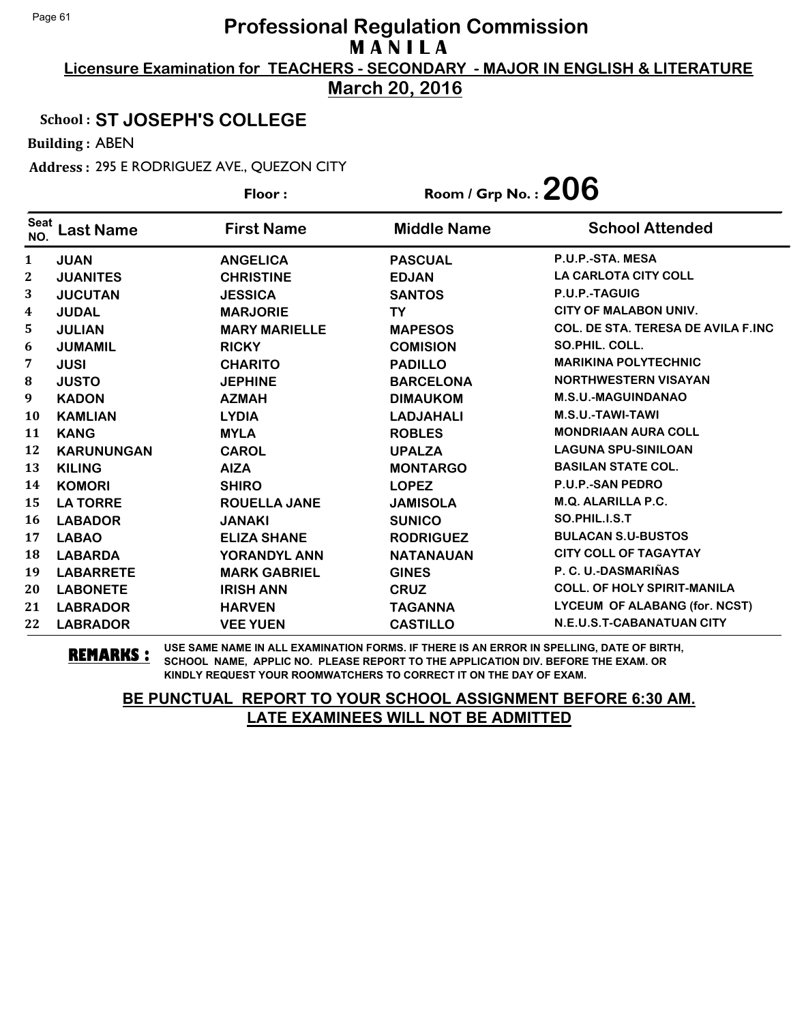**Licensure Examination for TEACHERS - SECONDARY - MAJOR IN ENGLISH & LITERATURE March 20, 2016**

## School : **ST JOSEPH'S COLLEGE**

Building : ABEN

Address : 295 E RODRIGUEZ AVE., QUEZON CITY

|                    |                   | Floor:               | Room / Grp No. : $206$ |                                           |
|--------------------|-------------------|----------------------|------------------------|-------------------------------------------|
| <b>Seat</b><br>NO. | <b>Last Name</b>  | <b>First Name</b>    | <b>Middle Name</b>     | <b>School Attended</b>                    |
| $\mathbf{1}$       | <b>JUAN</b>       | <b>ANGELICA</b>      | <b>PASCUAL</b>         | P.U.P.-STA. MESA                          |
| $\boldsymbol{2}$   | <b>JUANITES</b>   | <b>CHRISTINE</b>     | <b>EDJAN</b>           | <b>LA CARLOTA CITY COLL</b>               |
| 3                  | <b>JUCUTAN</b>    | <b>JESSICA</b>       | <b>SANTOS</b>          | P.U.P.-TAGUIG                             |
| 4                  | <b>JUDAL</b>      | <b>MARJORIE</b>      | TY                     | <b>CITY OF MALABON UNIV.</b>              |
| 5                  | <b>JULIAN</b>     | <b>MARY MARIELLE</b> | <b>MAPESOS</b>         | <b>COL. DE STA. TERESA DE AVILA F.INC</b> |
| 6                  | <b>JUMAMIL</b>    | <b>RICKY</b>         | <b>COMISION</b>        | SO.PHIL. COLL.                            |
| 7                  | <b>JUSI</b>       | <b>CHARITO</b>       | <b>PADILLO</b>         | <b>MARIKINA POLYTECHNIC</b>               |
| 8                  | <b>JUSTO</b>      | <b>JEPHINE</b>       | <b>BARCELONA</b>       | <b>NORTHWESTERN VISAYAN</b>               |
| 9                  | <b>KADON</b>      | <b>AZMAH</b>         | <b>DIMAUKOM</b>        | <b>M.S.U.-MAGUINDANAO</b>                 |
| 10                 | <b>KAMLIAN</b>    | <b>LYDIA</b>         | <b>LADJAHALI</b>       | M.S.U.-TAWI-TAWI                          |
| 11                 | <b>KANG</b>       | <b>MYLA</b>          | <b>ROBLES</b>          | <b>MONDRIAAN AURA COLL</b>                |
| 12                 | <b>KARUNUNGAN</b> | <b>CAROL</b>         | <b>UPALZA</b>          | <b>LAGUNA SPU-SINILOAN</b>                |
| 13                 | <b>KILING</b>     | <b>AIZA</b>          | <b>MONTARGO</b>        | <b>BASILAN STATE COL.</b>                 |
| 14                 | <b>KOMORI</b>     | <b>SHIRO</b>         | <b>LOPEZ</b>           | <b>P.U.P.-SAN PEDRO</b>                   |
| 15                 | <b>LA TORRE</b>   | <b>ROUELLA JANE</b>  | <b>JAMISOLA</b>        | M.Q. ALARILLA P.C.                        |
| 16                 | <b>LABADOR</b>    | <b>JANAKI</b>        | <b>SUNICO</b>          | SO.PHIL.I.S.T                             |
| 17                 | <b>LABAO</b>      | <b>ELIZA SHANE</b>   | <b>RODRIGUEZ</b>       | <b>BULACAN S.U-BUSTOS</b>                 |
| 18                 | <b>LABARDA</b>    | YORANDYL ANN         | <b>NATANAUAN</b>       | <b>CITY COLL OF TAGAYTAY</b>              |
| 19                 | <b>LABARRETE</b>  | <b>MARK GABRIEL</b>  | <b>GINES</b>           | P. C. U.-DASMARIÑAS                       |
| 20                 | <b>LABONETE</b>   | <b>IRISH ANN</b>     | <b>CRUZ</b>            | <b>COLL. OF HOLY SPIRIT-MANILA</b>        |
| 21                 | <b>LABRADOR</b>   | <b>HARVEN</b>        | <b>TAGANNA</b>         | LYCEUM OF ALABANG (for. NCST)             |
| 22                 | <b>LABRADOR</b>   | <b>VEE YUEN</b>      | <b>CASTILLO</b>        | N.E.U.S.T-CABANATUAN CITY                 |

**REMARKS :** USE SAME NAME IN ALL EXAMINATION FORMS. IF THERE IS AN ERROR IN SPELLING, DATE OF BIRTH, SCHOOL NAME, APPLIC NO. PLEASE REPORT TO THE APPLICATION DIV. BEFORE THE EXAM. OR KINDLY REQUEST YOUR ROOMWATCHERS TO CORRECT IT ON THE DAY OF EXAM.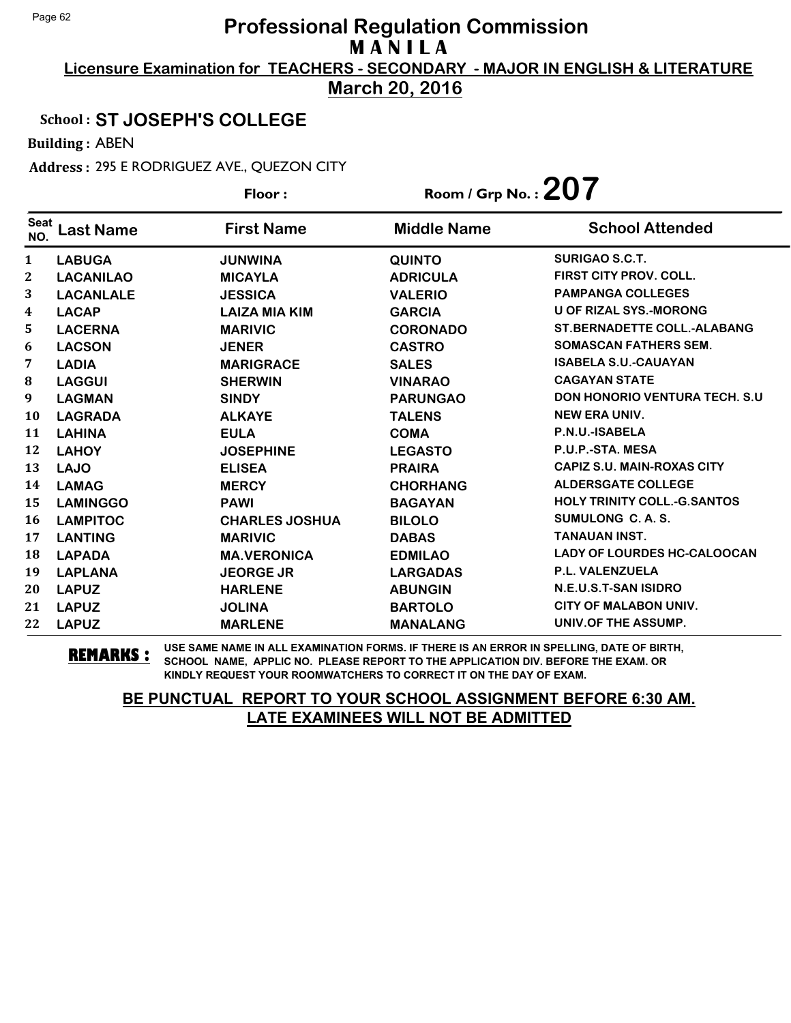**Licensure Examination for TEACHERS - SECONDARY - MAJOR IN ENGLISH & LITERATURE March 20, 2016**

### School : **ST JOSEPH'S COLLEGE**

Building : ABEN

Address : 295 E RODRIGUEZ AVE., QUEZON CITY

|                    |                  | Floor:                | Room / Grp No.: $207$ |                                       |
|--------------------|------------------|-----------------------|-----------------------|---------------------------------------|
| <b>Seat</b><br>NO. | <b>Last Name</b> | <b>First Name</b>     | <b>Middle Name</b>    | <b>School Attended</b>                |
| $\mathbf{1}$       | <b>LABUGA</b>    | <b>JUNWINA</b>        | <b>QUINTO</b>         | SURIGAO S.C.T.                        |
| $\mathbf{2}$       | <b>LACANILAO</b> | <b>MICAYLA</b>        | <b>ADRICULA</b>       | <b>FIRST CITY PROV. COLL.</b>         |
| 3                  | <b>LACANLALE</b> | <b>JESSICA</b>        | <b>VALERIO</b>        | <b>PAMPANGA COLLEGES</b>              |
| 4                  | <b>LACAP</b>     | <b>LAIZA MIA KIM</b>  | <b>GARCIA</b>         | <b>U OF RIZAL SYS.-MORONG</b>         |
| 5                  | <b>LACERNA</b>   | <b>MARIVIC</b>        | <b>CORONADO</b>       | <b>ST.BERNADETTE COLL.-ALABANG</b>    |
| 6                  | <b>LACSON</b>    | <b>JENER</b>          | <b>CASTRO</b>         | <b>SOMASCAN FATHERS SEM.</b>          |
| 7                  | <b>LADIA</b>     | <b>MARIGRACE</b>      | <b>SALES</b>          | <b>ISABELA S.U.-CAUAYAN</b>           |
| 8                  | <b>LAGGUI</b>    | <b>SHERWIN</b>        | <b>VINARAO</b>        | <b>CAGAYAN STATE</b>                  |
| 9                  | <b>LAGMAN</b>    | <b>SINDY</b>          | <b>PARUNGAO</b>       | <b>DON HONORIO VENTURA TECH. S.U.</b> |
| 10                 | <b>LAGRADA</b>   | <b>ALKAYE</b>         | <b>TALENS</b>         | <b>NEW ERA UNIV.</b>                  |
| 11                 | <b>LAHINA</b>    | <b>EULA</b>           | <b>COMA</b>           | P.N.U.-ISABELA                        |
| 12                 | <b>LAHOY</b>     | <b>JOSEPHINE</b>      | <b>LEGASTO</b>        | P.U.P.-STA. MESA                      |
| 13                 | <b>LAJO</b>      | <b>ELISEA</b>         | <b>PRAIRA</b>         | <b>CAPIZ S.U. MAIN-ROXAS CITY</b>     |
| 14                 | <b>LAMAG</b>     | <b>MERCY</b>          | <b>CHORHANG</b>       | <b>ALDERSGATE COLLEGE</b>             |
| 15                 | <b>LAMINGGO</b>  | <b>PAWI</b>           | <b>BAGAYAN</b>        | <b>HOLY TRINITY COLL.-G.SANTOS</b>    |
| 16                 | <b>LAMPITOC</b>  | <b>CHARLES JOSHUA</b> | <b>BILOLO</b>         | SUMULONG C. A. S.                     |
| 17                 | <b>LANTING</b>   | <b>MARIVIC</b>        | <b>DABAS</b>          | <b>TANAUAN INST.</b>                  |
| 18                 | <b>LAPADA</b>    | <b>MA.VERONICA</b>    | <b>EDMILAO</b>        | <b>LADY OF LOURDES HC-CALOOCAN</b>    |
| 19                 | <b>LAPLANA</b>   | <b>JEORGE JR</b>      | <b>LARGADAS</b>       | P.L. VALENZUELA                       |
| 20                 | <b>LAPUZ</b>     | <b>HARLENE</b>        | <b>ABUNGIN</b>        | N.E.U.S.T-SAN ISIDRO                  |
| 21                 | <b>LAPUZ</b>     | <b>JOLINA</b>         | <b>BARTOLO</b>        | <b>CITY OF MALABON UNIV.</b>          |
| 22                 | <b>LAPUZ</b>     | <b>MARLENE</b>        | <b>MANALANG</b>       | UNIV.OF THE ASSUMP.                   |

**REMARKS :** USE SAME NAME IN ALL EXAMINATION FORMS. IF THERE IS AN ERROR IN SPELLING, DATE OF BIRTH, SCHOOL NAME, APPLIC NO. PLEASE REPORT TO THE APPLICATION DIV. BEFORE THE EXAM. OR KINDLY REQUEST YOUR ROOMWATCHERS TO CORRECT IT ON THE DAY OF EXAM.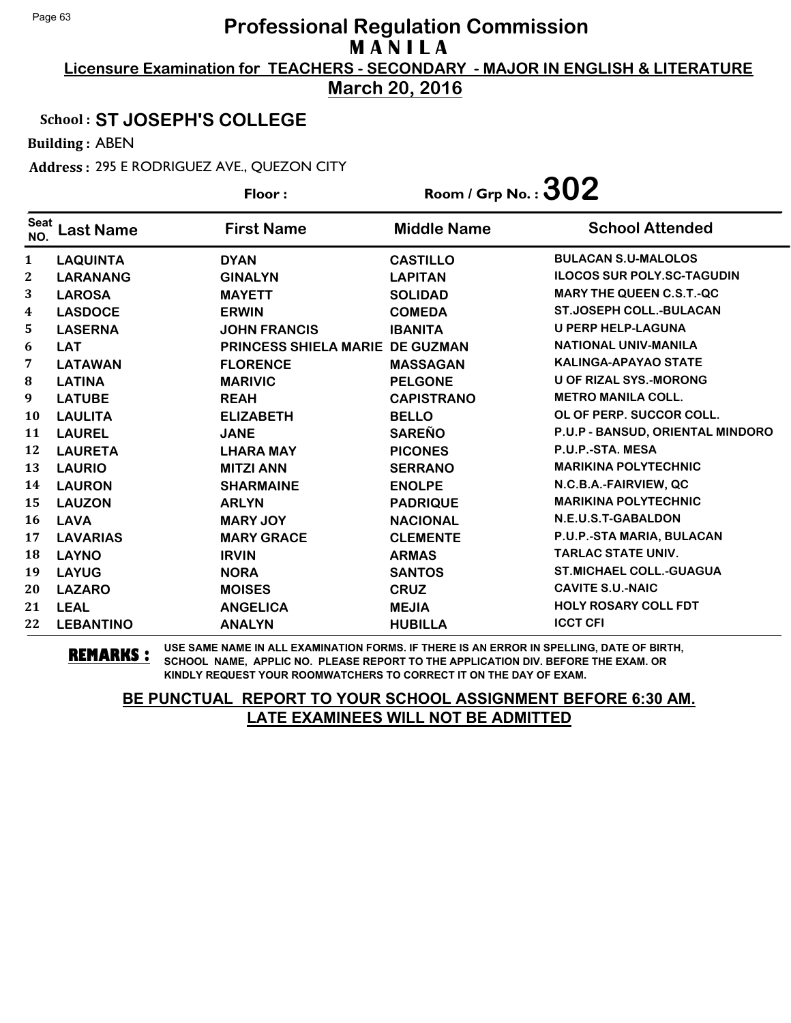**Licensure Examination for TEACHERS - SECONDARY - MAJOR IN ENGLISH & LITERATURE March 20, 2016**

## School : **ST JOSEPH'S COLLEGE**

Building : ABEN

Address : 295 E RODRIGUEZ AVE., QUEZON CITY

|                    |                  | Floor:                          | Room / Grp No. : $302$ |                                   |
|--------------------|------------------|---------------------------------|------------------------|-----------------------------------|
| <b>Seat</b><br>NO. | Last Name        | <b>First Name</b>               | <b>Middle Name</b>     | <b>School Attended</b>            |
| $\mathbf{1}$       | <b>LAQUINTA</b>  | <b>DYAN</b>                     | <b>CASTILLO</b>        | <b>BULACAN S.U-MALOLOS</b>        |
| 2                  | <b>LARANANG</b>  | <b>GINALYN</b>                  | <b>LAPITAN</b>         | <b>ILOCOS SUR POLY.SC-TAGUDIN</b> |
| 3                  | <b>LAROSA</b>    | <b>MAYETT</b>                   | <b>SOLIDAD</b>         | <b>MARY THE QUEEN C.S.T.-QC</b>   |
| 4                  | <b>LASDOCE</b>   | <b>ERWIN</b>                    | <b>COMEDA</b>          | <b>ST.JOSEPH COLL.-BULACAN</b>    |
| 5                  | <b>LASERNA</b>   | <b>JOHN FRANCIS</b>             | <b>IBANITA</b>         | <b>U PERP HELP-LAGUNA</b>         |
| 6                  | <b>LAT</b>       | PRINCESS SHIELA MARIE DE GUZMAN |                        | NATIONAL UNIV-MANILA              |
| 7                  | <b>LATAWAN</b>   | <b>FLORENCE</b>                 | <b>MASSAGAN</b>        | <b>KALINGA-APAYAO STATE</b>       |
| 8                  | <b>LATINA</b>    | <b>MARIVIC</b>                  | <b>PELGONE</b>         | <b>U OF RIZAL SYS.-MORONG</b>     |
| 9                  | <b>LATUBE</b>    | <b>REAH</b>                     | <b>CAPISTRANO</b>      | <b>METRO MANILA COLL.</b>         |
| 10                 | <b>LAULITA</b>   | <b>ELIZABETH</b>                | <b>BELLO</b>           | OL OF PERP. SUCCOR COLL.          |
| 11                 | <b>LAUREL</b>    | <b>JANE</b>                     | <b>SAREÑO</b>          | P.U.P - BANSUD, ORIENTAL MINDORO  |
| 12                 | <b>LAURETA</b>   | <b>LHARA MAY</b>                | <b>PICONES</b>         | P.U.P.-STA. MESA                  |
| 13                 | <b>LAURIO</b>    | <b>MITZI ANN</b>                | <b>SERRANO</b>         | <b>MARIKINA POLYTECHNIC</b>       |
| 14                 | <b>LAURON</b>    | <b>SHARMAINE</b>                | <b>ENOLPE</b>          | N.C.B.A.-FAIRVIEW, QC             |
| 15                 | <b>LAUZON</b>    | <b>ARLYN</b>                    | <b>PADRIQUE</b>        | <b>MARIKINA POLYTECHNIC</b>       |
| 16                 | <b>LAVA</b>      | <b>MARY JOY</b>                 | <b>NACIONAL</b>        | N.E.U.S.T-GABALDON                |
| 17                 | <b>LAVARIAS</b>  | <b>MARY GRACE</b>               | <b>CLEMENTE</b>        | P.U.P.-STA MARIA, BULACAN         |
| 18                 | <b>LAYNO</b>     | <b>IRVIN</b>                    | <b>ARMAS</b>           | <b>TARLAC STATE UNIV.</b>         |
| 19                 | <b>LAYUG</b>     | <b>NORA</b>                     | <b>SANTOS</b>          | <b>ST.MICHAEL COLL.-GUAGUA</b>    |
| 20                 | <b>LAZARO</b>    | <b>MOISES</b>                   | <b>CRUZ</b>            | <b>CAVITE S.U.-NAIC</b>           |
| 21                 | <b>LEAL</b>      | <b>ANGELICA</b>                 | <b>MEJIA</b>           | <b>HOLY ROSARY COLL FDT</b>       |
| 22                 | <b>LEBANTINO</b> | <b>ANALYN</b>                   | <b>HUBILLA</b>         | <b>ICCT CFI</b>                   |

**REMARKS :** USE SAME NAME IN ALL EXAMINATION FORMS. IF THERE IS AN ERROR IN SPELLING, DATE OF BIRTH, SCHOOL NAME, APPLIC NO. PLEASE REPORT TO THE APPLICATION DIV. BEFORE THE EXAM. OR KINDLY REQUEST YOUR ROOMWATCHERS TO CORRECT IT ON THE DAY OF EXAM.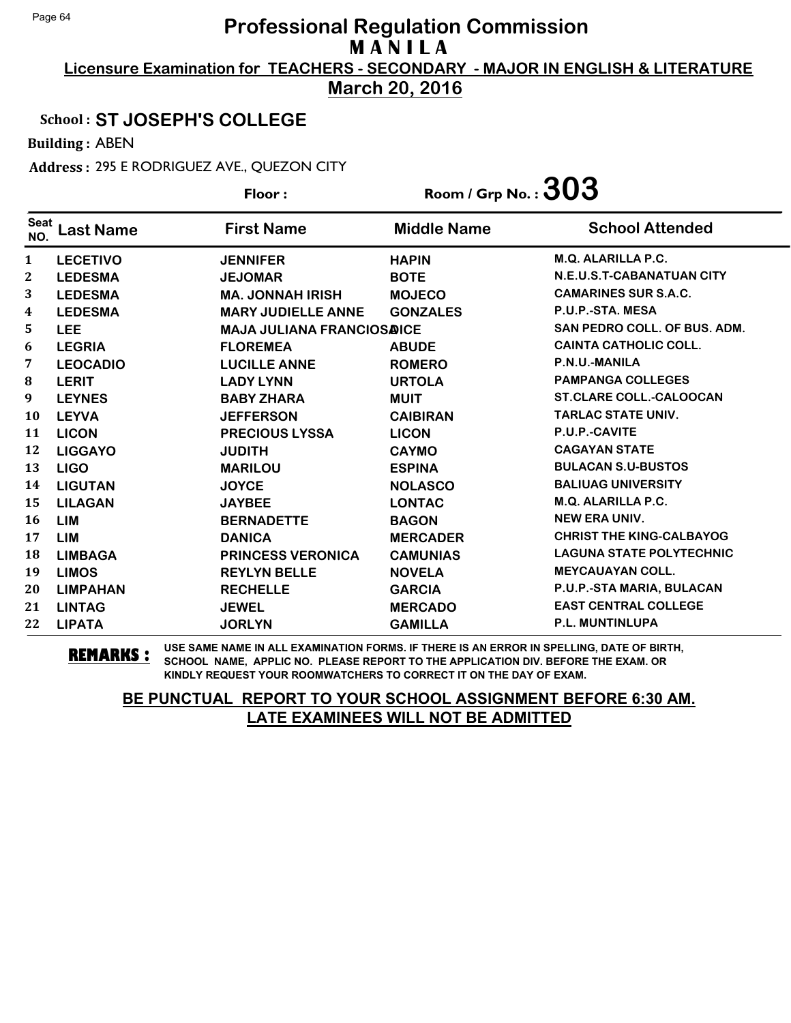**Licensure Examination for TEACHERS - SECONDARY - MAJOR IN ENGLISH & LITERATURE March 20, 2016**

### School : **ST JOSEPH'S COLLEGE**

Building : ABEN

Address : 295 E RODRIGUEZ AVE., QUEZON CITY

|                    |                  | Floor:                           | Room / Grp No. : $303$ |                                 |
|--------------------|------------------|----------------------------------|------------------------|---------------------------------|
| <b>Seat</b><br>NO. | <b>Last Name</b> | <b>First Name</b>                | <b>Middle Name</b>     | <b>School Attended</b>          |
| $\mathbf{1}$       | <b>LECETIVO</b>  | <b>JENNIFER</b>                  | <b>HAPIN</b>           | <b>M.Q. ALARILLA P.C.</b>       |
| 2                  | <b>LEDESMA</b>   | <b>JEJOMAR</b>                   | <b>BOTE</b>            | N.E.U.S.T-CABANATUAN CITY       |
| 3                  | <b>LEDESMA</b>   | <b>MA. JONNAH IRISH</b>          | <b>MOJECO</b>          | <b>CAMARINES SUR S.A.C.</b>     |
| 4                  | <b>LEDESMA</b>   | <b>MARY JUDIELLE ANNE</b>        | <b>GONZALES</b>        | P.U.P.-STA. MESA                |
| 5                  | <b>LEE</b>       | <b>MAJA JULIANA FRANCIOSAICE</b> |                        | SAN PEDRO COLL. OF BUS. ADM.    |
| 6                  | <b>LEGRIA</b>    | <b>FLOREMEA</b>                  | <b>ABUDE</b>           | <b>CAINTA CATHOLIC COLL.</b>    |
| 7                  | <b>LEOCADIO</b>  | <b>LUCILLE ANNE</b>              | <b>ROMERO</b>          | P.N.U.-MANILA                   |
| $\bf{8}$           | <b>LERIT</b>     | <b>LADY LYNN</b>                 | <b>URTOLA</b>          | <b>PAMPANGA COLLEGES</b>        |
| 9                  | <b>LEYNES</b>    | <b>BABY ZHARA</b>                | <b>MUIT</b>            | <b>ST.CLARE COLL.-CALOOCAN</b>  |
| 10                 | <b>LEYVA</b>     | <b>JEFFERSON</b>                 | <b>CAIBIRAN</b>        | <b>TARLAC STATE UNIV.</b>       |
| 11                 | <b>LICON</b>     | <b>PRECIOUS LYSSA</b>            | <b>LICON</b>           | P.U.P.-CAVITE                   |
| 12                 | <b>LIGGAYO</b>   | <b>JUDITH</b>                    | <b>CAYMO</b>           | <b>CAGAYAN STATE</b>            |
| 13                 | <b>LIGO</b>      | <b>MARILOU</b>                   | <b>ESPINA</b>          | <b>BULACAN S.U-BUSTOS</b>       |
| 14                 | <b>LIGUTAN</b>   | <b>JOYCE</b>                     | <b>NOLASCO</b>         | <b>BALIUAG UNIVERSITY</b>       |
| 15                 | <b>LILAGAN</b>   | <b>JAYBEE</b>                    | <b>LONTAC</b>          | <b>M.Q. ALARILLA P.C.</b>       |
| 16                 | <b>LIM</b>       | <b>BERNADETTE</b>                | <b>BAGON</b>           | <b>NEW ERA UNIV.</b>            |
| 17                 | <b>LIM</b>       | <b>DANICA</b>                    | <b>MERCADER</b>        | <b>CHRIST THE KING-CALBAYOG</b> |
| 18                 | <b>LIMBAGA</b>   | <b>PRINCESS VERONICA</b>         | <b>CAMUNIAS</b>        | <b>LAGUNA STATE POLYTECHNIC</b> |
| 19                 | <b>LIMOS</b>     | <b>REYLYN BELLE</b>              | <b>NOVELA</b>          | <b>MEYCAUAYAN COLL.</b>         |
| 20                 | <b>LIMPAHAN</b>  | <b>RECHELLE</b>                  | <b>GARCIA</b>          | P.U.P.-STA MARIA, BULACAN       |
| 21                 | <b>LINTAG</b>    | <b>JEWEL</b>                     | <b>MERCADO</b>         | <b>EAST CENTRAL COLLEGE</b>     |
| 22                 | <b>LIPATA</b>    | <b>JORLYN</b>                    | <b>GAMILLA</b>         | <b>P.L. MUNTINLUPA</b>          |

**REMARKS :** USE SAME NAME IN ALL EXAMINATION FORMS. IF THERE IS AN ERROR IN SPELLING, DATE OF BIRTH, SCHOOL NAME, APPLIC NO. PLEASE REPORT TO THE APPLICATION DIV. BEFORE THE EXAM. OR KINDLY REQUEST YOUR ROOMWATCHERS TO CORRECT IT ON THE DAY OF EXAM.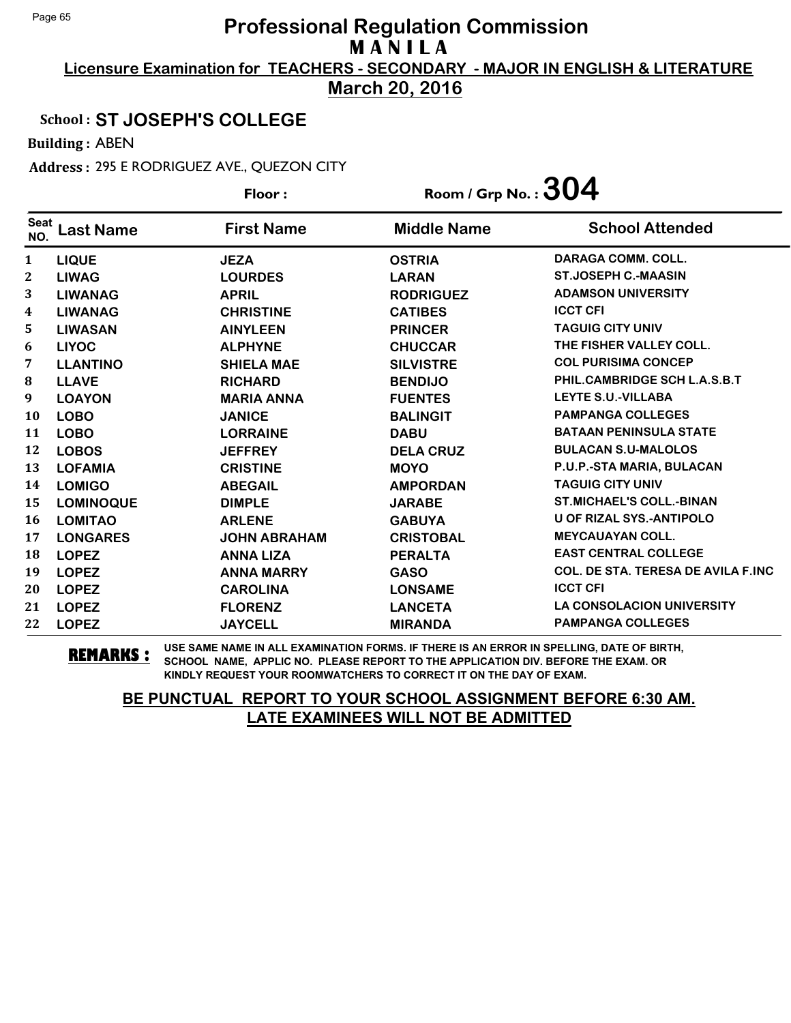**Licensure Examination for TEACHERS - SECONDARY - MAJOR IN ENGLISH & LITERATURE March 20, 2016**

### School : **ST JOSEPH'S COLLEGE**

Building : ABEN

Address : 295 E RODRIGUEZ AVE., QUEZON CITY

|                    |                  | Floor:              | Room / Grp No. : $304$ |                                           |
|--------------------|------------------|---------------------|------------------------|-------------------------------------------|
| <b>Seat</b><br>NO. | <b>Last Name</b> | <b>First Name</b>   | <b>Middle Name</b>     | <b>School Attended</b>                    |
| $\mathbf{1}$       | <b>LIQUE</b>     | <b>JEZA</b>         | <b>OSTRIA</b>          | <b>DARAGA COMM. COLL.</b>                 |
| $\mathbf{2}$       | <b>LIWAG</b>     | <b>LOURDES</b>      | <b>LARAN</b>           | <b>ST.JOSEPH C.-MAASIN</b>                |
| 3                  | <b>LIWANAG</b>   | <b>APRIL</b>        | <b>RODRIGUEZ</b>       | <b>ADAMSON UNIVERSITY</b>                 |
| 4                  | <b>LIWANAG</b>   | <b>CHRISTINE</b>    | <b>CATIBES</b>         | <b>ICCT CFI</b>                           |
| 5                  | <b>LIWASAN</b>   | <b>AINYLEEN</b>     | <b>PRINCER</b>         | <b>TAGUIG CITY UNIV</b>                   |
| 6                  | <b>LIYOC</b>     | <b>ALPHYNE</b>      | <b>CHUCCAR</b>         | THE FISHER VALLEY COLL.                   |
| 7                  | <b>LLANTINO</b>  | <b>SHIELA MAE</b>   | <b>SILVISTRE</b>       | <b>COL PURISIMA CONCEP</b>                |
| 8                  | <b>LLAVE</b>     | <b>RICHARD</b>      | <b>BENDIJO</b>         | PHIL.CAMBRIDGE SCH L.A.S.B.T              |
| 9                  | <b>LOAYON</b>    | <b>MARIA ANNA</b>   | <b>FUENTES</b>         | <b>LEYTE S.U.-VILLABA</b>                 |
| 10                 | <b>LOBO</b>      | <b>JANICE</b>       | <b>BALINGIT</b>        | <b>PAMPANGA COLLEGES</b>                  |
| 11                 | <b>LOBO</b>      | <b>LORRAINE</b>     | <b>DABU</b>            | <b>BATAAN PENINSULA STATE</b>             |
| 12                 | <b>LOBOS</b>     | <b>JEFFREY</b>      | <b>DELA CRUZ</b>       | <b>BULACAN S.U-MALOLOS</b>                |
| 13                 | <b>LOFAMIA</b>   | <b>CRISTINE</b>     | <b>MOYO</b>            | P.U.P.-STA MARIA, BULACAN                 |
| 14                 | <b>LOMIGO</b>    | <b>ABEGAIL</b>      | <b>AMPORDAN</b>        | <b>TAGUIG CITY UNIV</b>                   |
| 15                 | <b>LOMINOQUE</b> | <b>DIMPLE</b>       | <b>JARABE</b>          | <b>ST.MICHAEL'S COLL.-BINAN</b>           |
| 16                 | <b>LOMITAO</b>   | <b>ARLENE</b>       | <b>GABUYA</b>          | <b>U OF RIZAL SYS.-ANTIPOLO</b>           |
| 17                 | <b>LONGARES</b>  | <b>JOHN ABRAHAM</b> | <b>CRISTOBAL</b>       | <b>MEYCAUAYAN COLL.</b>                   |
| 18                 | <b>LOPEZ</b>     | <b>ANNA LIZA</b>    | <b>PERALTA</b>         | <b>EAST CENTRAL COLLEGE</b>               |
| 19                 | <b>LOPEZ</b>     | <b>ANNA MARRY</b>   | <b>GASO</b>            | <b>COL. DE STA. TERESA DE AVILA F.INC</b> |
| 20                 | <b>LOPEZ</b>     | <b>CAROLINA</b>     | <b>LONSAME</b>         | <b>ICCT CFI</b>                           |
| 21                 | <b>LOPEZ</b>     | <b>FLORENZ</b>      | <b>LANCETA</b>         | <b>LA CONSOLACION UNIVERSITY</b>          |
| 22                 | <b>LOPEZ</b>     | <b>JAYCELL</b>      | <b>MIRANDA</b>         | <b>PAMPANGA COLLEGES</b>                  |

**REMARKS :** USE SAME NAME IN ALL EXAMINATION FORMS. IF THERE IS AN ERROR IN SPELLING, DATE OF BIRTH, SCHOOL NAME, APPLIC NO. PLEASE REPORT TO THE APPLICATION DIV. BEFORE THE EXAM. OR KINDLY REQUEST YOUR ROOMWATCHERS TO CORRECT IT ON THE DAY OF EXAM.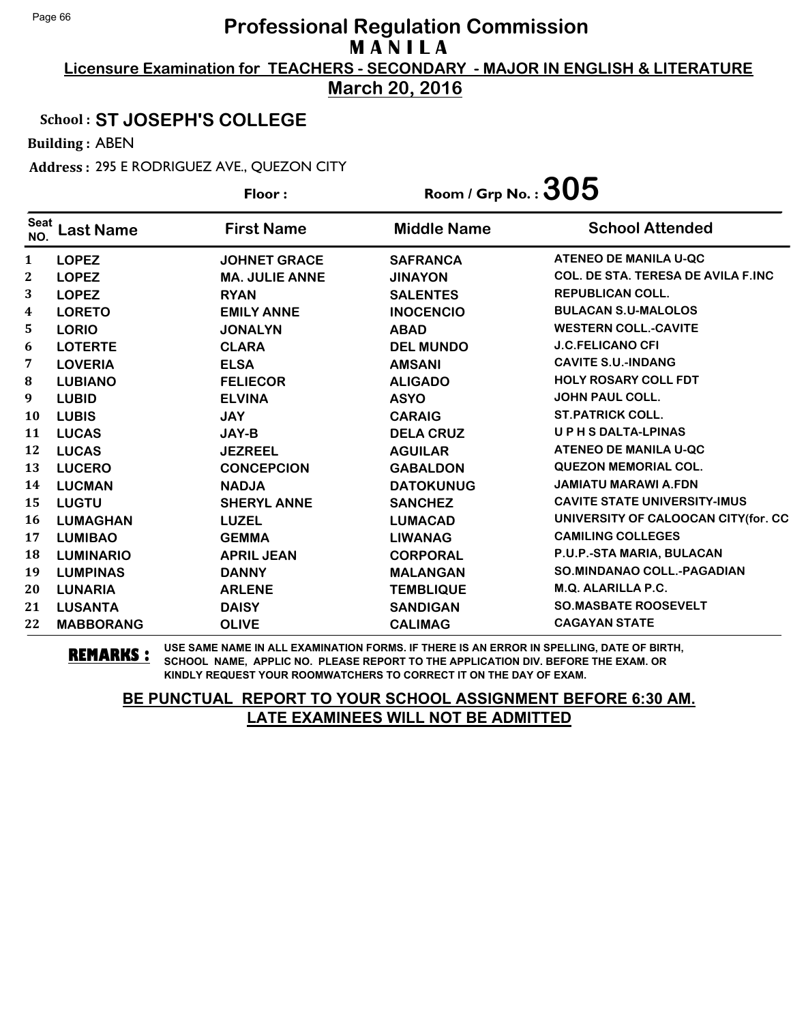**Licensure Examination for TEACHERS - SECONDARY - MAJOR IN ENGLISH & LITERATURE March 20, 2016**

### School : **ST JOSEPH'S COLLEGE**

Building : ABEN

Address : 295 E RODRIGUEZ AVE., QUEZON CITY

|                    |                  | Floor:                | Room / Grp No. : $305$ |                                           |
|--------------------|------------------|-----------------------|------------------------|-------------------------------------------|
| <b>Seat</b><br>NO. | <b>Last Name</b> | <b>First Name</b>     | <b>Middle Name</b>     | <b>School Attended</b>                    |
| $\mathbf{1}$       | <b>LOPEZ</b>     | <b>JOHNET GRACE</b>   | <b>SAFRANCA</b>        | ATENEO DE MANILA U-QC                     |
| 2                  | <b>LOPEZ</b>     | <b>MA. JULIE ANNE</b> | <b>JINAYON</b>         | <b>COL. DE STA. TERESA DE AVILA F.INC</b> |
| 3                  | <b>LOPEZ</b>     | <b>RYAN</b>           | <b>SALENTES</b>        | <b>REPUBLICAN COLL.</b>                   |
| 4                  | <b>LORETO</b>    | <b>EMILY ANNE</b>     | <b>INOCENCIO</b>       | <b>BULACAN S.U-MALOLOS</b>                |
| 5                  | <b>LORIO</b>     | <b>JONALYN</b>        | <b>ABAD</b>            | <b>WESTERN COLL.-CAVITE</b>               |
| 6                  | <b>LOTERTE</b>   | <b>CLARA</b>          | <b>DEL MUNDO</b>       | <b>J.C.FELICANO CFI</b>                   |
| 7                  | <b>LOVERIA</b>   | <b>ELSA</b>           | <b>AMSANI</b>          | <b>CAVITE S.U.-INDANG</b>                 |
| ${\bf 8}$          | <b>LUBIANO</b>   | <b>FELIECOR</b>       | <b>ALIGADO</b>         | <b>HOLY ROSARY COLL FDT</b>               |
| 9                  | <b>LUBID</b>     | <b>ELVINA</b>         | <b>ASYO</b>            | <b>JOHN PAUL COLL.</b>                    |
| 10                 | <b>LUBIS</b>     | <b>JAY</b>            | <b>CARAIG</b>          | <b>ST.PATRICK COLL.</b>                   |
| 11                 | <b>LUCAS</b>     | JAY-B                 | <b>DELA CRUZ</b>       | UPHSDALTA-LPINAS                          |
| 12                 | <b>LUCAS</b>     | <b>JEZREEL</b>        | <b>AGUILAR</b>         | <b>ATENEO DE MANILA U-QC</b>              |
| 13                 | <b>LUCERO</b>    | <b>CONCEPCION</b>     | <b>GABALDON</b>        | <b>QUEZON MEMORIAL COL.</b>               |
| 14                 | <b>LUCMAN</b>    | <b>NADJA</b>          | <b>DATOKUNUG</b>       | <b>JAMIATU MARAWI A.FDN</b>               |
| 15                 | <b>LUGTU</b>     | <b>SHERYL ANNE</b>    | <b>SANCHEZ</b>         | <b>CAVITE STATE UNIVERSITY-IMUS</b>       |
| 16                 | <b>LUMAGHAN</b>  | <b>LUZEL</b>          | <b>LUMACAD</b>         | UNIVERSITY OF CALOOCAN CITY(for. CC       |
| 17                 | <b>LUMIBAO</b>   | <b>GEMMA</b>          | <b>LIWANAG</b>         | <b>CAMILING COLLEGES</b>                  |
| 18                 | <b>LUMINARIO</b> | <b>APRIL JEAN</b>     | <b>CORPORAL</b>        | P.U.P.-STA MARIA, BULACAN                 |
| 19                 | <b>LUMPINAS</b>  | <b>DANNY</b>          | <b>MALANGAN</b>        | <b>SO.MINDANAO COLL.-PAGADIAN</b>         |
| 20                 | <b>LUNARIA</b>   | <b>ARLENE</b>         | <b>TEMBLIQUE</b>       | M.Q. ALARILLA P.C.                        |
| 21                 | <b>LUSANTA</b>   | <b>DAISY</b>          | <b>SANDIGAN</b>        | <b>SO.MASBATE ROOSEVELT</b>               |
| 22                 | <b>MABBORANG</b> | <b>OLIVE</b>          | <b>CALIMAG</b>         | <b>CAGAYAN STATE</b>                      |

**REMARKS :** USE SAME NAME IN ALL EXAMINATION FORMS. IF THERE IS AN ERROR IN SPELLING, DATE OF BIRTH, SCHOOL NAME, APPLIC NO. PLEASE REPORT TO THE APPLICATION DIV. BEFORE THE EXAM. OR KINDLY REQUEST YOUR ROOMWATCHERS TO CORRECT IT ON THE DAY OF EXAM.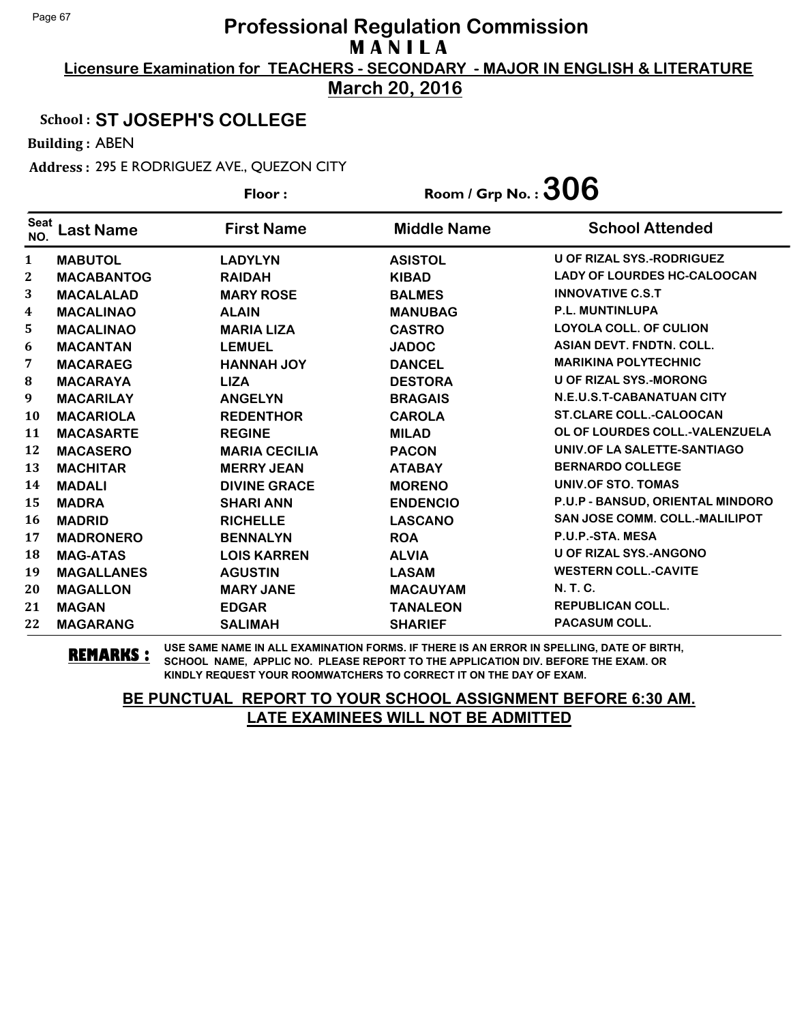**Licensure Examination for TEACHERS - SECONDARY - MAJOR IN ENGLISH & LITERATURE March 20, 2016**

### School : **ST JOSEPH'S COLLEGE**

Building : ABEN

Address : 295 E RODRIGUEZ AVE., QUEZON CITY

|                  |                   | Floor:               | Room / Grp No. : $306$ |                                    |
|------------------|-------------------|----------------------|------------------------|------------------------------------|
| Seat<br>NO.      | <b>Last Name</b>  | <b>First Name</b>    | <b>Middle Name</b>     | <b>School Attended</b>             |
| $\mathbf{1}$     | <b>MABUTOL</b>    | <b>LADYLYN</b>       | <b>ASISTOL</b>         | <b>U OF RIZAL SYS.-RODRIGUEZ</b>   |
| $\boldsymbol{2}$ | <b>MACABANTOG</b> | <b>RAIDAH</b>        | <b>KIBAD</b>           | <b>LADY OF LOURDES HC-CALOOCAN</b> |
| 3                | <b>MACALALAD</b>  | <b>MARY ROSE</b>     | <b>BALMES</b>          | <b>INNOVATIVE C.S.T</b>            |
| 4                | <b>MACALINAO</b>  | <b>ALAIN</b>         | <b>MANUBAG</b>         | <b>P.L. MUNTINLUPA</b>             |
| 5                | <b>MACALINAO</b>  | <b>MARIA LIZA</b>    | <b>CASTRO</b>          | <b>LOYOLA COLL. OF CULION</b>      |
| 6                | <b>MACANTAN</b>   | <b>LEMUEL</b>        | <b>JADOC</b>           | <b>ASIAN DEVT. FNDTN. COLL.</b>    |
| 7                | <b>MACARAEG</b>   | <b>HANNAH JOY</b>    | <b>DANCEL</b>          | <b>MARIKINA POLYTECHNIC</b>        |
| ${\bf 8}$        | <b>MACARAYA</b>   | <b>LIZA</b>          | <b>DESTORA</b>         | <b>U OF RIZAL SYS.-MORONG</b>      |
| 9                | <b>MACARILAY</b>  | <b>ANGELYN</b>       | <b>BRAGAIS</b>         | N.E.U.S.T-CABANATUAN CITY          |
| <b>10</b>        | <b>MACARIOLA</b>  | <b>REDENTHOR</b>     | <b>CAROLA</b>          | <b>ST.CLARE COLL.-CALOOCAN</b>     |
| 11               | <b>MACASARTE</b>  | <b>REGINE</b>        | <b>MILAD</b>           | OL OF LOURDES COLL.-VALENZUELA     |
| 12               | <b>MACASERO</b>   | <b>MARIA CECILIA</b> | <b>PACON</b>           | UNIV.OF LA SALETTE-SANTIAGO        |
| 13               | <b>MACHITAR</b>   | <b>MERRY JEAN</b>    | <b>ATABAY</b>          | <b>BERNARDO COLLEGE</b>            |
| 14               | <b>MADALI</b>     | <b>DIVINE GRACE</b>  | <b>MORENO</b>          | UNIV.OF STO. TOMAS                 |
| 15               | <b>MADRA</b>      | <b>SHARI ANN</b>     | <b>ENDENCIO</b>        | P.U.P - BANSUD, ORIENTAL MINDORO   |
| <b>16</b>        | <b>MADRID</b>     | <b>RICHELLE</b>      | <b>LASCANO</b>         | SAN JOSE COMM. COLL.-MALILIPOT     |
| 17               | <b>MADRONERO</b>  | <b>BENNALYN</b>      | <b>ROA</b>             | P.U.P.-STA. MESA                   |
| 18               | <b>MAG-ATAS</b>   | <b>LOIS KARREN</b>   | <b>ALVIA</b>           | <b>U OF RIZAL SYS.-ANGONO</b>      |
| 19               | <b>MAGALLANES</b> | <b>AGUSTIN</b>       | <b>LASAM</b>           | <b>WESTERN COLL.-CAVITE</b>        |
| 20               | <b>MAGALLON</b>   | <b>MARY JANE</b>     | <b>MACAUYAM</b>        | <b>N.T.C.</b>                      |
| 21               | <b>MAGAN</b>      | <b>EDGAR</b>         | <b>TANALEON</b>        | <b>REPUBLICAN COLL.</b>            |
| 22               | <b>MAGARANG</b>   | <b>SALIMAH</b>       | <b>SHARIEF</b>         | <b>PACASUM COLL.</b>               |

**REMARKS :** USE SAME NAME IN ALL EXAMINATION FORMS. IF THERE IS AN ERROR IN SPELLING, DATE OF BIRTH, SCHOOL NAME, APPLIC NO. PLEASE REPORT TO THE APPLICATION DIV. BEFORE THE EXAM. OR KINDLY REQUEST YOUR ROOMWATCHERS TO CORRECT IT ON THE DAY OF EXAM.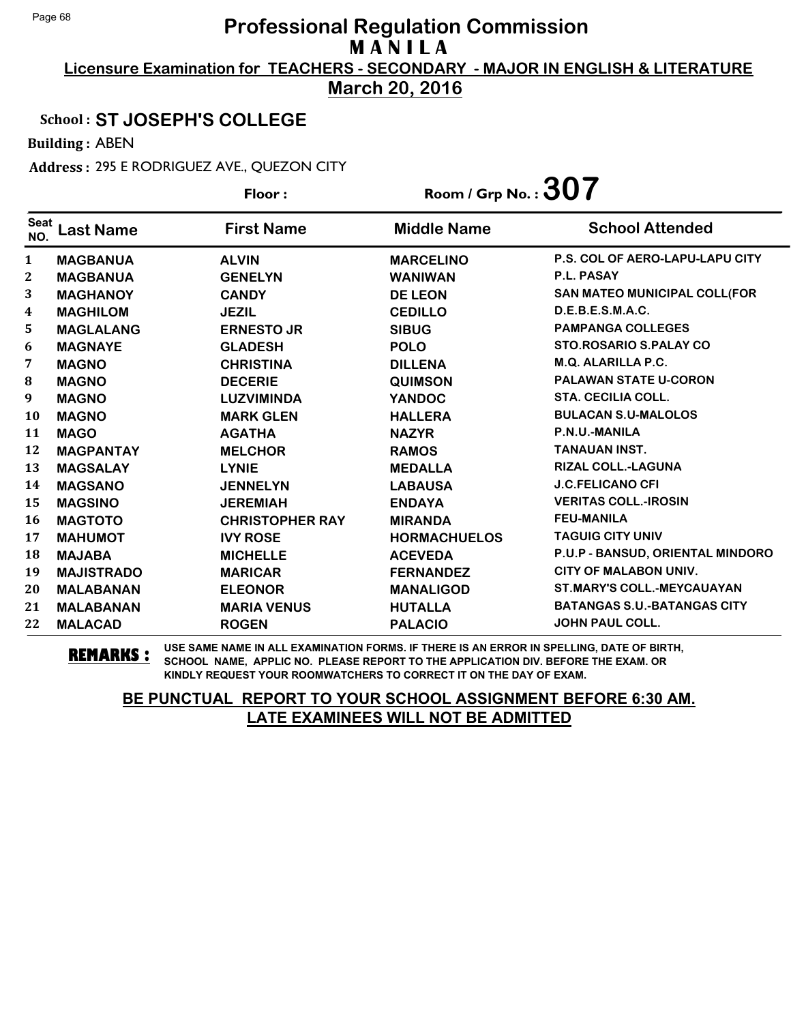**Licensure Examination for TEACHERS - SECONDARY - MAJOR IN ENGLISH & LITERATURE March 20, 2016**

### School : **ST JOSEPH'S COLLEGE**

Building : ABEN

Address : 295 E RODRIGUEZ AVE., QUEZON CITY

|                    |                   | Floor:                 | Room / Grp No. : $307$ |                                        |
|--------------------|-------------------|------------------------|------------------------|----------------------------------------|
| <b>Seat</b><br>NO. | <b>Last Name</b>  | <b>First Name</b>      | <b>Middle Name</b>     | <b>School Attended</b>                 |
| $\mathbf{1}$       | <b>MAGBANUA</b>   | <b>ALVIN</b>           | <b>MARCELINO</b>       | <b>P.S. COL OF AERO-LAPU-LAPU CITY</b> |
| $\mathbf{2}$       | <b>MAGBANUA</b>   | <b>GENELYN</b>         | <b>WANIWAN</b>         | <b>P.L. PASAY</b>                      |
| 3                  | <b>MAGHANOY</b>   | <b>CANDY</b>           | <b>DE LEON</b>         | SAN MATEO MUNICIPAL COLL(FOR           |
| 4                  | <b>MAGHILOM</b>   | <b>JEZIL</b>           | <b>CEDILLO</b>         | D.E.B.E.S.M.A.C.                       |
| 5                  | <b>MAGLALANG</b>  | <b>ERNESTO JR</b>      | <b>SIBUG</b>           | <b>PAMPANGA COLLEGES</b>               |
| 6                  | <b>MAGNAYE</b>    | <b>GLADESH</b>         | <b>POLO</b>            | <b>STO.ROSARIO S.PALAY CO</b>          |
| 7                  | <b>MAGNO</b>      | <b>CHRISTINA</b>       | <b>DILLENA</b>         | <b>M.Q. ALARILLA P.C.</b>              |
| 8                  | <b>MAGNO</b>      | <b>DECERIE</b>         | <b>QUIMSON</b>         | <b>PALAWAN STATE U-CORON</b>           |
| 9                  | <b>MAGNO</b>      | <b>LUZVIMINDA</b>      | <b>YANDOC</b>          | <b>STA. CECILIA COLL.</b>              |
| 10                 | <b>MAGNO</b>      | <b>MARK GLEN</b>       | <b>HALLERA</b>         | <b>BULACAN S.U-MALOLOS</b>             |
| 11                 | <b>MAGO</b>       | <b>AGATHA</b>          | <b>NAZYR</b>           | P.N.U.-MANILA                          |
| 12                 | <b>MAGPANTAY</b>  | <b>MELCHOR</b>         | <b>RAMOS</b>           | <b>TANAUAN INST.</b>                   |
| 13                 | <b>MAGSALAY</b>   | <b>LYNIE</b>           | <b>MEDALLA</b>         | <b>RIZAL COLL.-LAGUNA</b>              |
| 14                 | <b>MAGSANO</b>    | <b>JENNELYN</b>        | <b>LABAUSA</b>         | <b>J.C.FELICANO CFI</b>                |
| 15                 | <b>MAGSINO</b>    | <b>JEREMIAH</b>        | <b>ENDAYA</b>          | <b>VERITAS COLL.-IROSIN</b>            |
| 16                 | <b>MAGTOTO</b>    | <b>CHRISTOPHER RAY</b> | <b>MIRANDA</b>         | <b>FEU-MANILA</b>                      |
| 17                 | <b>MAHUMOT</b>    | <b>IVY ROSE</b>        | <b>HORMACHUELOS</b>    | <b>TAGUIG CITY UNIV</b>                |
| 18                 | <b>MAJABA</b>     | <b>MICHELLE</b>        | <b>ACEVEDA</b>         | P.U.P - BANSUD, ORIENTAL MINDORO       |
| 19                 | <b>MAJISTRADO</b> | <b>MARICAR</b>         | <b>FERNANDEZ</b>       | CITY OF MALABON UNIV.                  |
| 20                 | <b>MALABANAN</b>  | <b>ELEONOR</b>         | <b>MANALIGOD</b>       | <b>ST.MARY'S COLL.-MEYCAUAYAN</b>      |
| 21                 | <b>MALABANAN</b>  | <b>MARIA VENUS</b>     | <b>HUTALLA</b>         | <b>BATANGAS S.U.-BATANGAS CITY</b>     |
| 22                 | <b>MALACAD</b>    | <b>ROGEN</b>           | <b>PALACIO</b>         | <b>JOHN PAUL COLL.</b>                 |

**REMARKS :** USE SAME NAME IN ALL EXAMINATION FORMS. IF THERE IS AN ERROR IN SPELLING, DATE OF BIRTH, SCHOOL NAME, APPLIC NO. PLEASE REPORT TO THE APPLICATION DIV. BEFORE THE EXAM. OR KINDLY REQUEST YOUR ROOMWATCHERS TO CORRECT IT ON THE DAY OF EXAM.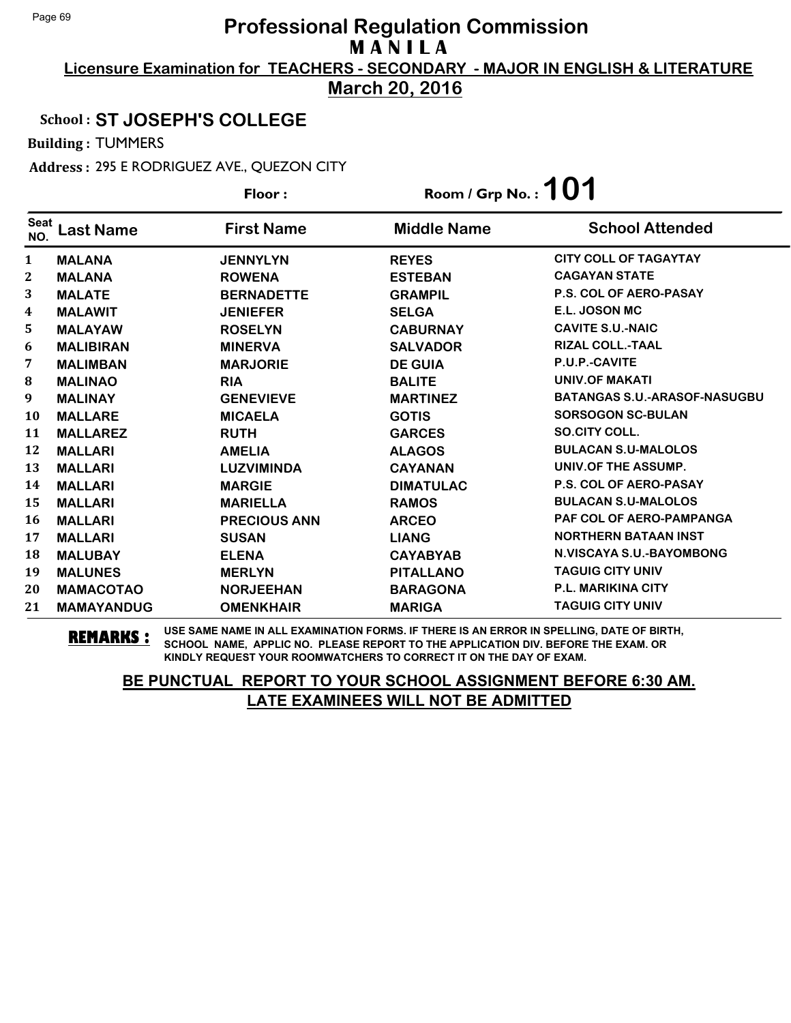**Licensure Examination for TEACHERS - SECONDARY - MAJOR IN ENGLISH & LITERATURE March 20, 2016**

### School : **ST JOSEPH'S COLLEGE**

Building : TUMMERS

Address : 295 E RODRIGUEZ AVE., QUEZON CITY

|                    |                   | Floor:              | Room / Grp No. : $101$ |                                     |
|--------------------|-------------------|---------------------|------------------------|-------------------------------------|
| <b>Seat</b><br>NO. | Last Name         | <b>First Name</b>   | <b>Middle Name</b>     | <b>School Attended</b>              |
| 1                  | <b>MALANA</b>     | <b>JENNYLYN</b>     | <b>REYES</b>           | <b>CITY COLL OF TAGAYTAY</b>        |
| 2                  | <b>MALANA</b>     | <b>ROWENA</b>       | <b>ESTEBAN</b>         | <b>CAGAYAN STATE</b>                |
| 3                  | <b>MALATE</b>     | <b>BERNADETTE</b>   | <b>GRAMPIL</b>         | <b>P.S. COL OF AERO-PASAY</b>       |
| 4                  | <b>MALAWIT</b>    | <b>JENIEFER</b>     | <b>SELGA</b>           | E.L. JOSON MC                       |
| 5                  | <b>MALAYAW</b>    | <b>ROSELYN</b>      | <b>CABURNAY</b>        | <b>CAVITE S.U.-NAIC</b>             |
| 6                  | <b>MALIBIRAN</b>  | <b>MINERVA</b>      | <b>SALVADOR</b>        | <b>RIZAL COLL.-TAAL</b>             |
| 7                  | <b>MALIMBAN</b>   | <b>MARJORIE</b>     | <b>DE GUIA</b>         | P.U.P.-CAVITE                       |
| 8                  | <b>MALINAO</b>    | <b>RIA</b>          | <b>BALITE</b>          | <b>UNIV.OF MAKATI</b>               |
| 9                  | <b>MALINAY</b>    | <b>GENEVIEVE</b>    | <b>MARTINEZ</b>        | <b>BATANGAS S.U.-ARASOF-NASUGBU</b> |
| <b>10</b>          | <b>MALLARE</b>    | <b>MICAELA</b>      | <b>GOTIS</b>           | <b>SORSOGON SC-BULAN</b>            |
| 11                 | <b>MALLAREZ</b>   | <b>RUTH</b>         | <b>GARCES</b>          | SO.CITY COLL.                       |
| 12                 | <b>MALLARI</b>    | <b>AMELIA</b>       | <b>ALAGOS</b>          | <b>BULACAN S.U-MALOLOS</b>          |
| 13                 | <b>MALLARI</b>    | <b>LUZVIMINDA</b>   | <b>CAYANAN</b>         | UNIV.OF THE ASSUMP.                 |
| 14                 | <b>MALLARI</b>    | <b>MARGIE</b>       | <b>DIMATULAC</b>       | <b>P.S. COL OF AERO-PASAY</b>       |
| 15                 | <b>MALLARI</b>    | <b>MARIELLA</b>     | <b>RAMOS</b>           | <b>BULACAN S.U-MALOLOS</b>          |
| 16                 | <b>MALLARI</b>    | <b>PRECIOUS ANN</b> | <b>ARCEO</b>           | <b>PAF COL OF AERO-PAMPANGA</b>     |
| 17                 | <b>MALLARI</b>    | <b>SUSAN</b>        | <b>LIANG</b>           | <b>NORTHERN BATAAN INST</b>         |
| 18                 | <b>MALUBAY</b>    | <b>ELENA</b>        | <b>CAYABYAB</b>        | <b>N.VISCAYA S.U.-BAYOMBONG</b>     |
| 19                 | <b>MALUNES</b>    | <b>MERLYN</b>       | <b>PITALLANO</b>       | <b>TAGUIG CITY UNIV</b>             |
| 20                 | <b>MAMACOTAO</b>  | <b>NORJEEHAN</b>    | <b>BARAGONA</b>        | <b>P.L. MARIKINA CITY</b>           |
| 21                 | <b>MAMAYANDUG</b> | <b>OMENKHAIR</b>    | <b>MARIGA</b>          | <b>TAGUIG CITY UNIV</b>             |

**REMARKS :** USE SAME NAME IN ALL EXAMINATION FORMS. IF THERE IS AN ERROR IN SPELLING, DATE OF BIRTH, SCHOOL NAME, APPLIC NO. PLEASE REPORT TO THE APPLICATION DIV. BEFORE THE EXAM. OR KINDLY REQUEST YOUR ROOMWATCHERS TO CORRECT IT ON THE DAY OF EXAM.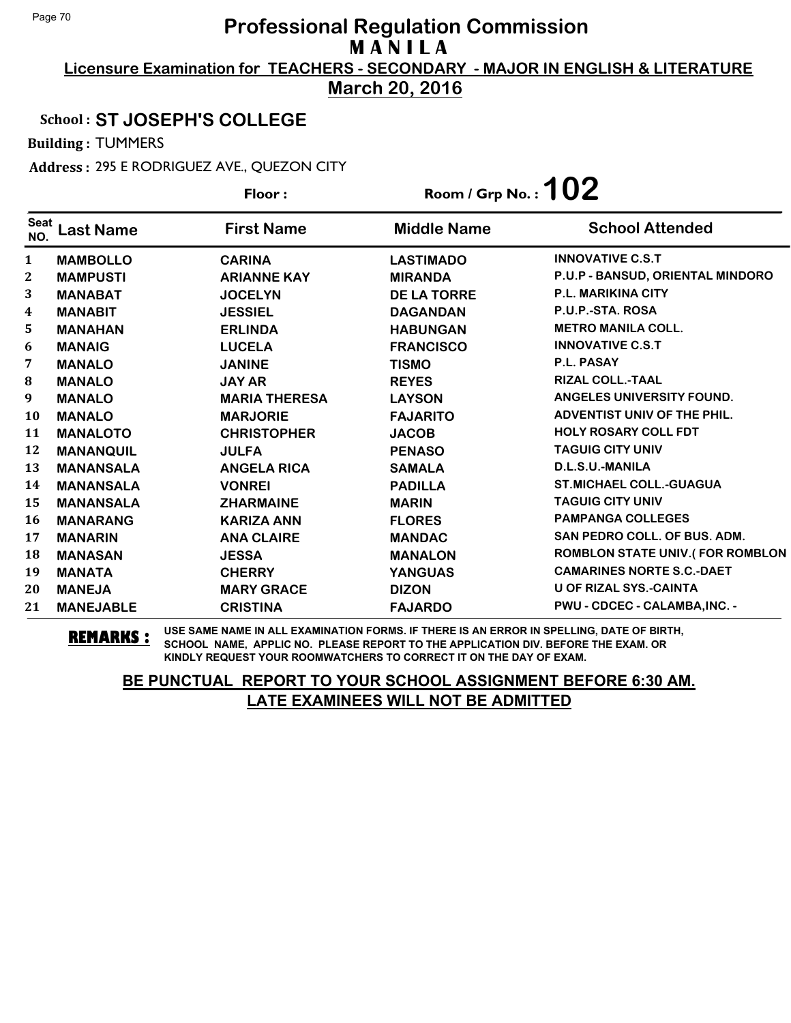**Licensure Examination for TEACHERS - SECONDARY - MAJOR IN ENGLISH & LITERATURE March 20, 2016**

### School : **ST JOSEPH'S COLLEGE**

Building : TUMMERS

Address : 295 E RODRIGUEZ AVE., QUEZON CITY

|                    |                  | Floor:               | Room / Grp No. : $102$ |                                        |  |  |
|--------------------|------------------|----------------------|------------------------|----------------------------------------|--|--|
| <b>Seat</b><br>NO. | <b>Last Name</b> | <b>First Name</b>    | <b>Middle Name</b>     | <b>School Attended</b>                 |  |  |
| $\mathbf{1}$       | <b>MAMBOLLO</b>  | <b>CARINA</b>        | <b>LASTIMADO</b>       | <b>INNOVATIVE C.S.T</b>                |  |  |
| $\boldsymbol{2}$   | <b>MAMPUSTI</b>  | <b>ARIANNE KAY</b>   | <b>MIRANDA</b>         | P.U.P - BANSUD, ORIENTAL MINDORO       |  |  |
| 3                  | <b>MANABAT</b>   | <b>JOCELYN</b>       | <b>DE LA TORRE</b>     | <b>P.L. MARIKINA CITY</b>              |  |  |
| 4                  | <b>MANABIT</b>   | <b>JESSIEL</b>       | <b>DAGANDAN</b>        | P.U.P.-STA. ROSA                       |  |  |
| 5                  | <b>MANAHAN</b>   | <b>ERLINDA</b>       | <b>HABUNGAN</b>        | <b>METRO MANILA COLL.</b>              |  |  |
| 6                  | <b>MANAIG</b>    | <b>LUCELA</b>        | <b>FRANCISCO</b>       | <b>INNOVATIVE C.S.T</b>                |  |  |
| 7                  | <b>MANALO</b>    | <b>JANINE</b>        | <b>TISMO</b>           | P.L. PASAY                             |  |  |
| ${\bf 8}$          | <b>MANALO</b>    | <b>JAY AR</b>        | <b>REYES</b>           | <b>RIZAL COLL.-TAAL</b>                |  |  |
| 9                  | <b>MANALO</b>    | <b>MARIA THERESA</b> | <b>LAYSON</b>          | ANGELES UNIVERSITY FOUND.              |  |  |
| 10                 | <b>MANALO</b>    | <b>MARJORIE</b>      | <b>FAJARITO</b>        | ADVENTIST UNIV OF THE PHIL.            |  |  |
| 11                 | <b>MANALOTO</b>  | <b>CHRISTOPHER</b>   | <b>JACOB</b>           | <b>HOLY ROSARY COLL FDT</b>            |  |  |
| 12                 | <b>MANANQUIL</b> | <b>JULFA</b>         | <b>PENASO</b>          | <b>TAGUIG CITY UNIV</b>                |  |  |
| 13                 | <b>MANANSALA</b> | <b>ANGELA RICA</b>   | <b>SAMALA</b>          | D.L.S.U.-MANILA                        |  |  |
| 14                 | <b>MANANSALA</b> | <b>VONREI</b>        | <b>PADILLA</b>         | <b>ST.MICHAEL COLL.-GUAGUA</b>         |  |  |
| 15                 | <b>MANANSALA</b> | <b>ZHARMAINE</b>     | <b>MARIN</b>           | <b>TAGUIG CITY UNIV</b>                |  |  |
| <b>16</b>          | <b>MANARANG</b>  | <b>KARIZA ANN</b>    | <b>FLORES</b>          | <b>PAMPANGA COLLEGES</b>               |  |  |
| 17                 | <b>MANARIN</b>   | <b>ANA CLAIRE</b>    | <b>MANDAC</b>          | SAN PEDRO COLL. OF BUS. ADM.           |  |  |
| 18                 | <b>MANASAN</b>   | <b>JESSA</b>         | <b>MANALON</b>         | <b>ROMBLON STATE UNIV.(FOR ROMBLON</b> |  |  |
| 19                 | <b>MANATA</b>    | <b>CHERRY</b>        | <b>YANGUAS</b>         | <b>CAMARINES NORTE S.C.-DAET</b>       |  |  |
| 20                 | <b>MANEJA</b>    | <b>MARY GRACE</b>    | <b>DIZON</b>           | <b>U OF RIZAL SYS.-CAINTA</b>          |  |  |
| 21                 | <b>MANEJABLE</b> | <b>CRISTINA</b>      | <b>FAJARDO</b>         | PWU - CDCEC - CALAMBA, INC. -          |  |  |

**REMARKS :** USE SAME NAME IN ALL EXAMINATION FORMS. IF THERE IS AN ERROR IN SPELLING, DATE OF BIRTH, SCHOOL NAME, APPLIC NO. PLEASE REPORT TO THE APPLICATION DIV. BEFORE THE EXAM. OR KINDLY REQUEST YOUR ROOMWATCHERS TO CORRECT IT ON THE DAY OF EXAM.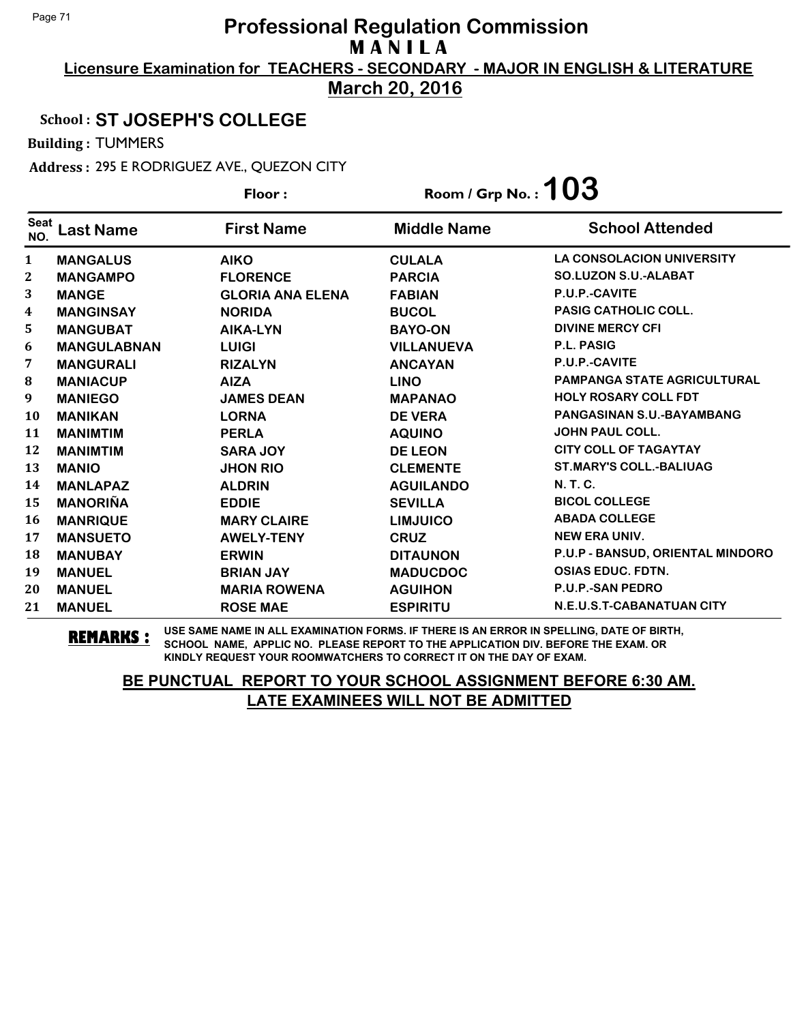**Licensure Examination for TEACHERS - SECONDARY - MAJOR IN ENGLISH & LITERATURE March 20, 2016**

### School : **ST JOSEPH'S COLLEGE**

Building : TUMMERS

Address : 295 E RODRIGUEZ AVE., QUEZON CITY

|                    |                    | Floor:                  | Room / Grp No. : $103$ |                                    |
|--------------------|--------------------|-------------------------|------------------------|------------------------------------|
| <b>Seat</b><br>NO. | Last Name          | <b>First Name</b>       | <b>Middle Name</b>     | <b>School Attended</b>             |
| $\mathbf{1}$       | <b>MANGALUS</b>    | <b>AIKO</b>             | <b>CULALA</b>          | <b>LA CONSOLACION UNIVERSITY</b>   |
| 2                  | <b>MANGAMPO</b>    | <b>FLORENCE</b>         | <b>PARCIA</b>          | <b>SO.LUZON S.U.-ALABAT</b>        |
| 3                  | <b>MANGE</b>       | <b>GLORIA ANA ELENA</b> | <b>FABIAN</b>          | P.U.P.-CAVITE                      |
| 4                  | <b>MANGINSAY</b>   | <b>NORIDA</b>           | <b>BUCOL</b>           | <b>PASIG CATHOLIC COLL.</b>        |
| 5                  | <b>MANGUBAT</b>    | AIKA-LYN                | <b>BAYO-ON</b>         | <b>DIVINE MERCY CFI</b>            |
| 6                  | <b>MANGULABNAN</b> | LUIGI                   | <b>VILLANUEVA</b>      | P.L. PASIG                         |
| 7                  | <b>MANGURALI</b>   | <b>RIZALYN</b>          | <b>ANCAYAN</b>         | P.U.P.-CAVITE                      |
| $\bf{8}$           | <b>MANIACUP</b>    | <b>AIZA</b>             | <b>LINO</b>            | <b>PAMPANGA STATE AGRICULTURAL</b> |
| 9                  | <b>MANIEGO</b>     | <b>JAMES DEAN</b>       | <b>MAPANAO</b>         | <b>HOLY ROSARY COLL FDT</b>        |
| 10                 | <b>MANIKAN</b>     | <b>LORNA</b>            | <b>DE VERA</b>         | PANGASINAN S.U.-BAYAMBANG          |
| 11                 | <b>MANIMTIM</b>    | <b>PERLA</b>            | <b>AQUINO</b>          | <b>JOHN PAUL COLL.</b>             |
| 12                 | <b>MANIMTIM</b>    | <b>SARA JOY</b>         | <b>DE LEON</b>         | <b>CITY COLL OF TAGAYTAY</b>       |
| 13                 | <b>MANIO</b>       | <b>JHON RIO</b>         | <b>CLEMENTE</b>        | <b>ST.MARY'S COLL.-BALIUAG</b>     |
| 14                 | <b>MANLAPAZ</b>    | <b>ALDRIN</b>           | <b>AGUILANDO</b>       | <b>N.T.C.</b>                      |
| 15                 | <b>MANORIÑA</b>    | <b>EDDIE</b>            | <b>SEVILLA</b>         | <b>BICOL COLLEGE</b>               |
| 16                 | <b>MANRIQUE</b>    | <b>MARY CLAIRE</b>      | <b>LIMJUICO</b>        | <b>ABADA COLLEGE</b>               |
| 17                 | <b>MANSUETO</b>    | <b>AWELY-TENY</b>       | <b>CRUZ</b>            | <b>NEW ERA UNIV.</b>               |
| 18                 | <b>MANUBAY</b>     | <b>ERWIN</b>            | <b>DITAUNON</b>        | P.U.P - BANSUD, ORIENTAL MINDORO   |
| 19                 | <b>MANUEL</b>      | <b>BRIAN JAY</b>        | <b>MADUCDOC</b>        | <b>OSIAS EDUC. FDTN.</b>           |
| 20                 | <b>MANUEL</b>      | <b>MARIA ROWENA</b>     | <b>AGUIHON</b>         | P.U.P.-SAN PEDRO                   |
| 21                 | <b>MANUEL</b>      | <b>ROSE MAE</b>         | <b>ESPIRITU</b>        | N.E.U.S.T-CABANATUAN CITY          |

**REMARKS :** USE SAME NAME IN ALL EXAMINATION FORMS. IF THERE IS AN ERROR IN SPELLING, DATE OF BIRTH, SCHOOL NAME, APPLIC NO. PLEASE REPORT TO THE APPLICATION DIV. BEFORE THE EXAM. OR KINDLY REQUEST YOUR ROOMWATCHERS TO CORRECT IT ON THE DAY OF EXAM.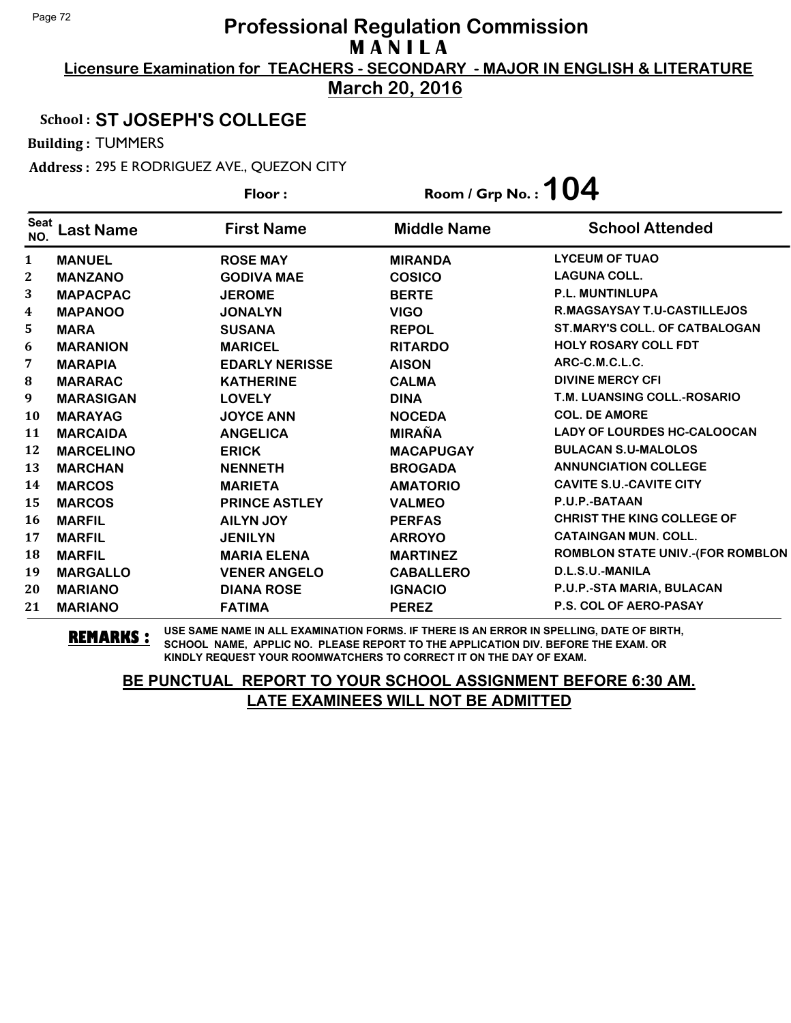**Licensure Examination for TEACHERS - SECONDARY - MAJOR IN ENGLISH & LITERATURE March 20, 2016**

### School : **ST JOSEPH'S COLLEGE**

Building : TUMMERS

Address : 295 E RODRIGUEZ AVE., QUEZON CITY

|                    |                  | Floor:                | Room / Grp No.: $104$ |                                         |
|--------------------|------------------|-----------------------|-----------------------|-----------------------------------------|
| <b>Seat</b><br>NO. | <b>Last Name</b> | <b>First Name</b>     | <b>Middle Name</b>    | <b>School Attended</b>                  |
| $\mathbf{1}$       | <b>MANUEL</b>    | <b>ROSE MAY</b>       | <b>MIRANDA</b>        | <b>LYCEUM OF TUAO</b>                   |
| 2                  | <b>MANZANO</b>   | <b>GODIVA MAE</b>     | <b>COSICO</b>         | <b>LAGUNA COLL.</b>                     |
| 3                  | <b>MAPACPAC</b>  | <b>JEROME</b>         | <b>BERTE</b>          | <b>P.L. MUNTINLUPA</b>                  |
| 4                  | <b>MAPANOO</b>   | <b>JONALYN</b>        | <b>VIGO</b>           | <b>R.MAGSAYSAY T.U-CASTILLEJOS</b>      |
| 5                  | <b>MARA</b>      | <b>SUSANA</b>         | <b>REPOL</b>          | <b>ST.MARY'S COLL. OF CATBALOGAN</b>    |
| 6                  | <b>MARANION</b>  | <b>MARICEL</b>        | <b>RITARDO</b>        | <b>HOLY ROSARY COLL FDT</b>             |
| 7                  | <b>MARAPIA</b>   | <b>EDARLY NERISSE</b> | <b>AISON</b>          | ARC-C.M.C.L.C.                          |
| 8                  | <b>MARARAC</b>   | <b>KATHERINE</b>      | <b>CALMA</b>          | <b>DIVINE MERCY CFI</b>                 |
| 9                  | <b>MARASIGAN</b> | <b>LOVELY</b>         | <b>DINA</b>           | T.M. LUANSING COLL.-ROSARIO             |
| 10                 | <b>MARAYAG</b>   | <b>JOYCE ANN</b>      | <b>NOCEDA</b>         | <b>COL. DE AMORE</b>                    |
| 11                 | <b>MARCAIDA</b>  | <b>ANGELICA</b>       | <b>MIRAÑA</b>         | <b>LADY OF LOURDES HC-CALOOCAN</b>      |
| 12                 | <b>MARCELINO</b> | <b>ERICK</b>          | <b>MACAPUGAY</b>      | <b>BULACAN S.U-MALOLOS</b>              |
| 13                 | <b>MARCHAN</b>   | <b>NENNETH</b>        | <b>BROGADA</b>        | <b>ANNUNCIATION COLLEGE</b>             |
| 14                 | <b>MARCOS</b>    | <b>MARIETA</b>        | <b>AMATORIO</b>       | <b>CAVITE S.U.-CAVITE CITY</b>          |
| 15                 | <b>MARCOS</b>    | <b>PRINCE ASTLEY</b>  | <b>VALMEO</b>         | P.U.P.-BATAAN                           |
| 16                 | <b>MARFIL</b>    | <b>AILYN JOY</b>      | <b>PERFAS</b>         | <b>CHRIST THE KING COLLEGE OF</b>       |
| 17                 | <b>MARFIL</b>    | <b>JENILYN</b>        | <b>ARROYO</b>         | <b>CATAINGAN MUN. COLL.</b>             |
| 18                 | <b>MARFIL</b>    | <b>MARIA ELENA</b>    | <b>MARTINEZ</b>       | <b>ROMBLON STATE UNIV.-(FOR ROMBLON</b> |
| 19                 | <b>MARGALLO</b>  | <b>VENER ANGELO</b>   | <b>CABALLERO</b>      | D.L.S.U.-MANILA                         |
| 20                 | <b>MARIANO</b>   | <b>DIANA ROSE</b>     | <b>IGNACIO</b>        | P.U.P.-STA MARIA, BULACAN               |
| 21                 | <b>MARIANO</b>   | <b>FATIMA</b>         | <b>PEREZ</b>          | <b>P.S. COL OF AERO-PASAY</b>           |

**REMARKS :** USE SAME NAME IN ALL EXAMINATION FORMS. IF THERE IS AN ERROR IN SPELLING, DATE OF BIRTH, SCHOOL NAME, APPLIC NO. PLEASE REPORT TO THE APPLICATION DIV. BEFORE THE EXAM. OR KINDLY REQUEST YOUR ROOMWATCHERS TO CORRECT IT ON THE DAY OF EXAM.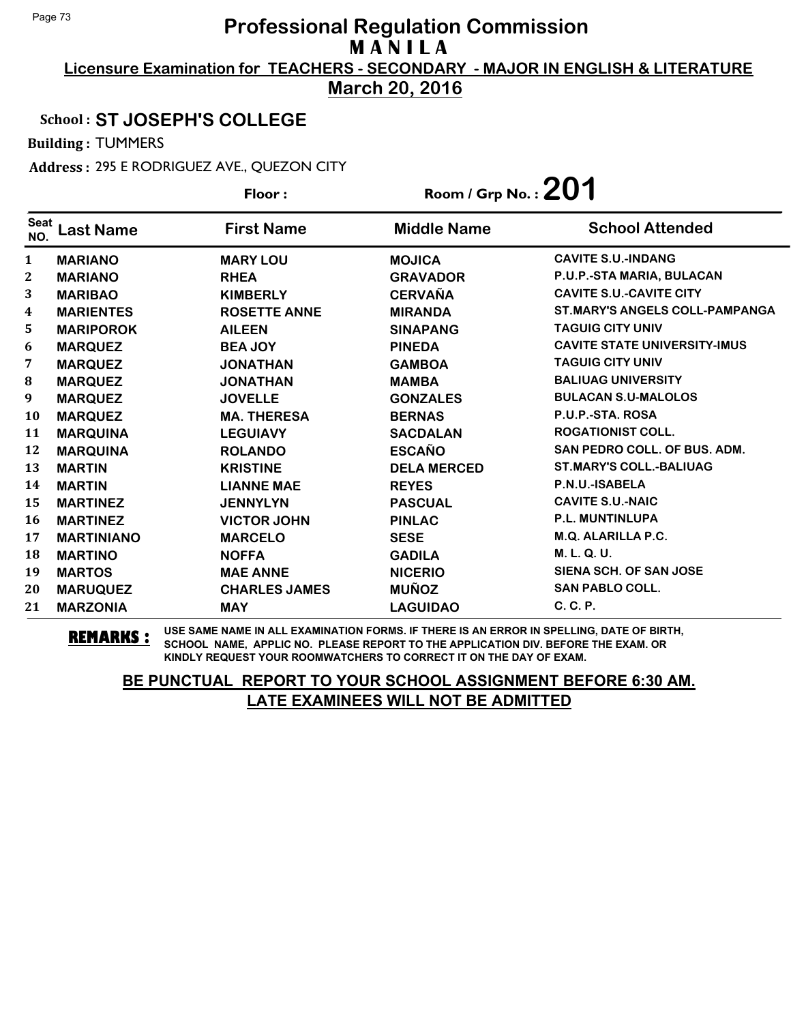**Licensure Examination for TEACHERS - SECONDARY - MAJOR IN ENGLISH & LITERATURE March 20, 2016**

## School : **ST JOSEPH'S COLLEGE**

Building : TUMMERS

Address : 295 E RODRIGUEZ AVE., QUEZON CITY

|                    |                   | Floor:               | Room / Grp No.: $201$ |                                       |
|--------------------|-------------------|----------------------|-----------------------|---------------------------------------|
| <b>Seat</b><br>NO. | Last Name         | <b>First Name</b>    | <b>Middle Name</b>    | <b>School Attended</b>                |
| 1                  | <b>MARIANO</b>    | <b>MARY LOU</b>      | <b>MOJICA</b>         | <b>CAVITE S.U.-INDANG</b>             |
| 2                  | <b>MARIANO</b>    | <b>RHEA</b>          | <b>GRAVADOR</b>       | P.U.P.-STA MARIA, BULACAN             |
| 3                  | <b>MARIBAO</b>    | <b>KIMBERLY</b>      | <b>CERVAÑA</b>        | <b>CAVITE S.U.-CAVITE CITY</b>        |
| 4                  | <b>MARIENTES</b>  | <b>ROSETTE ANNE</b>  | <b>MIRANDA</b>        | <b>ST.MARY'S ANGELS COLL-PAMPANGA</b> |
| 5                  | <b>MARIPOROK</b>  | <b>AILEEN</b>        | <b>SINAPANG</b>       | <b>TAGUIG CITY UNIV</b>               |
| 6                  | <b>MARQUEZ</b>    | <b>BEA JOY</b>       | <b>PINEDA</b>         | <b>CAVITE STATE UNIVERSITY-IMUS</b>   |
| 7                  | <b>MARQUEZ</b>    | <b>JONATHAN</b>      | <b>GAMBOA</b>         | <b>TAGUIG CITY UNIV</b>               |
| 8                  | <b>MARQUEZ</b>    | <b>JONATHAN</b>      | <b>MAMBA</b>          | <b>BALIUAG UNIVERSITY</b>             |
| 9                  | <b>MARQUEZ</b>    | <b>JOVELLE</b>       | <b>GONZALES</b>       | <b>BULACAN S.U-MALOLOS</b>            |
| 10                 | <b>MARQUEZ</b>    | <b>MA. THERESA</b>   | <b>BERNAS</b>         | P.U.P.-STA. ROSA                      |
| 11                 | <b>MARQUINA</b>   | <b>LEGUIAVY</b>      | <b>SACDALAN</b>       | <b>ROGATIONIST COLL.</b>              |
| 12                 | <b>MARQUINA</b>   | <b>ROLANDO</b>       | <b>ESCAÑO</b>         | SAN PEDRO COLL. OF BUS. ADM.          |
| 13                 | <b>MARTIN</b>     | <b>KRISTINE</b>      | <b>DELA MERCED</b>    | <b>ST.MARY'S COLL.-BALIUAG</b>        |
| 14                 | <b>MARTIN</b>     | <b>LIANNE MAE</b>    | <b>REYES</b>          | P.N.U.-ISABELA                        |
| 15                 | <b>MARTINEZ</b>   | <b>JENNYLYN</b>      | <b>PASCUAL</b>        | <b>CAVITE S.U.-NAIC</b>               |
| 16                 | <b>MARTINEZ</b>   | <b>VICTOR JOHN</b>   | <b>PINLAC</b>         | <b>P.L. MUNTINLUPA</b>                |
| 17                 | <b>MARTINIANO</b> | <b>MARCELO</b>       | <b>SESE</b>           | <b>M.Q. ALARILLA P.C.</b>             |
| 18                 | <b>MARTINO</b>    | <b>NOFFA</b>         | <b>GADILA</b>         | M. L. Q. U.                           |
| 19                 | <b>MARTOS</b>     | <b>MAE ANNE</b>      | <b>NICERIO</b>        | SIENA SCH. OF SAN JOSE                |
| 20                 | <b>MARUQUEZ</b>   | <b>CHARLES JAMES</b> | <b>MUÑOZ</b>          | <b>SAN PABLO COLL.</b>                |
| 21                 | <b>MARZONIA</b>   | <b>MAY</b>           | <b>LAGUIDAO</b>       | C. C. P.                              |

**REMARKS :** USE SAME NAME IN ALL EXAMINATION FORMS. IF THERE IS AN ERROR IN SPELLING, DATE OF BIRTH, SCHOOL NAME, APPLIC NO. PLEASE REPORT TO THE APPLICATION DIV. BEFORE THE EXAM. OR KINDLY REQUEST YOUR ROOMWATCHERS TO CORRECT IT ON THE DAY OF EXAM.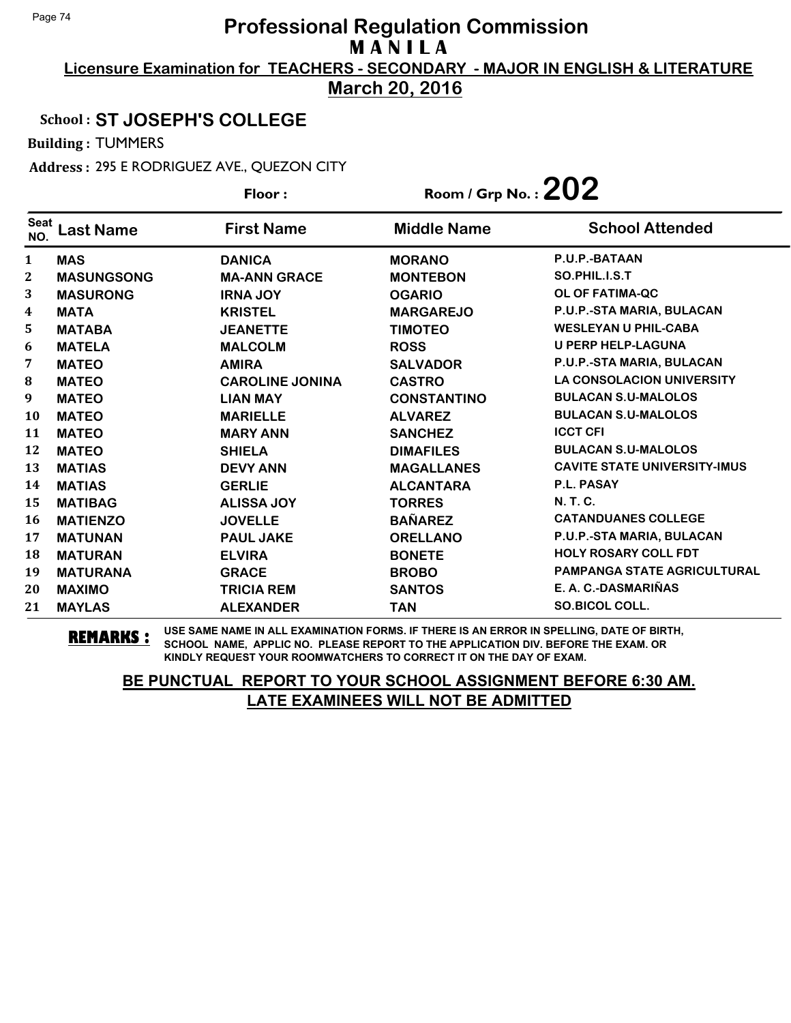**Licensure Examination for TEACHERS - SECONDARY - MAJOR IN ENGLISH & LITERATURE March 20, 2016**

School : **ST JOSEPH'S COLLEGE**

Building : TUMMERS

Address : 295 E RODRIGUEZ AVE., QUEZON CITY

|                    |                   | Floor:                 | Room / Grp No. : $202$ |                                     |
|--------------------|-------------------|------------------------|------------------------|-------------------------------------|
| <b>Seat</b><br>NO. | <b>Last Name</b>  | <b>First Name</b>      | <b>Middle Name</b>     | <b>School Attended</b>              |
| $\mathbf{1}$       | <b>MAS</b>        | <b>DANICA</b>          | <b>MORANO</b>          | P.U.P.-BATAAN                       |
| 2                  | <b>MASUNGSONG</b> | <b>MA-ANN GRACE</b>    | <b>MONTEBON</b>        | SO.PHIL.I.S.T                       |
| 3                  | <b>MASURONG</b>   | <b>IRNA JOY</b>        | <b>OGARIO</b>          | OL OF FATIMA-QC                     |
| 4                  | <b>MATA</b>       | <b>KRISTEL</b>         | <b>MARGAREJO</b>       | P.U.P.-STA MARIA, BULACAN           |
| 5                  | <b>MATABA</b>     | <b>JEANETTE</b>        | <b>TIMOTEO</b>         | <b>WESLEYAN U PHIL-CABA</b>         |
| 6                  | <b>MATELA</b>     | <b>MALCOLM</b>         | <b>ROSS</b>            | <b>U PERP HELP-LAGUNA</b>           |
| 7                  | <b>MATEO</b>      | <b>AMIRA</b>           | <b>SALVADOR</b>        | P.U.P.-STA MARIA, BULACAN           |
| 8                  | <b>MATEO</b>      | <b>CAROLINE JONINA</b> | <b>CASTRO</b>          | <b>LA CONSOLACION UNIVERSITY</b>    |
| 9                  | <b>MATEO</b>      | <b>LIAN MAY</b>        | <b>CONSTANTINO</b>     | <b>BULACAN S.U-MALOLOS</b>          |
| <b>10</b>          | <b>MATEO</b>      | <b>MARIELLE</b>        | <b>ALVAREZ</b>         | <b>BULACAN S.U-MALOLOS</b>          |
| 11                 | <b>MATEO</b>      | <b>MARY ANN</b>        | <b>SANCHEZ</b>         | <b>ICCT CFI</b>                     |
| 12                 | <b>MATEO</b>      | <b>SHIELA</b>          | <b>DIMAFILES</b>       | <b>BULACAN S.U-MALOLOS</b>          |
| 13                 | <b>MATIAS</b>     | <b>DEVY ANN</b>        | <b>MAGALLANES</b>      | <b>CAVITE STATE UNIVERSITY-IMUS</b> |
| 14                 | <b>MATIAS</b>     | <b>GERLIE</b>          | <b>ALCANTARA</b>       | P.L. PASAY                          |
| 15                 | <b>MATIBAG</b>    | <b>ALISSA JOY</b>      | <b>TORRES</b>          | <b>N.T.C.</b>                       |
| 16                 | <b>MATIENZO</b>   | <b>JOVELLE</b>         | <b>BAÑAREZ</b>         | <b>CATANDUANES COLLEGE</b>          |
| 17                 | <b>MATUNAN</b>    | <b>PAUL JAKE</b>       | <b>ORELLANO</b>        | P.U.P.-STA MARIA, BULACAN           |
| 18                 | <b>MATURAN</b>    | <b>ELVIRA</b>          | <b>BONETE</b>          | <b>HOLY ROSARY COLL FDT</b>         |
| 19                 | <b>MATURANA</b>   | <b>GRACE</b>           | <b>BROBO</b>           | <b>PAMPANGA STATE AGRICULTURAL</b>  |
| 20                 | <b>MAXIMO</b>     | <b>TRICIA REM</b>      | <b>SANTOS</b>          | E. A. C.-DASMARIÑAS                 |
| 21                 | <b>MAYLAS</b>     | <b>ALEXANDER</b>       | <b>TAN</b>             | <b>SO.BICOL COLL.</b>               |

**REMARKS :** USE SAME NAME IN ALL EXAMINATION FORMS. IF THERE IS AN ERROR IN SPELLING, DATE OF BIRTH, SCHOOL NAME, APPLIC NO. PLEASE REPORT TO THE APPLICATION DIV. BEFORE THE EXAM. OR KINDLY REQUEST YOUR ROOMWATCHERS TO CORRECT IT ON THE DAY OF EXAM.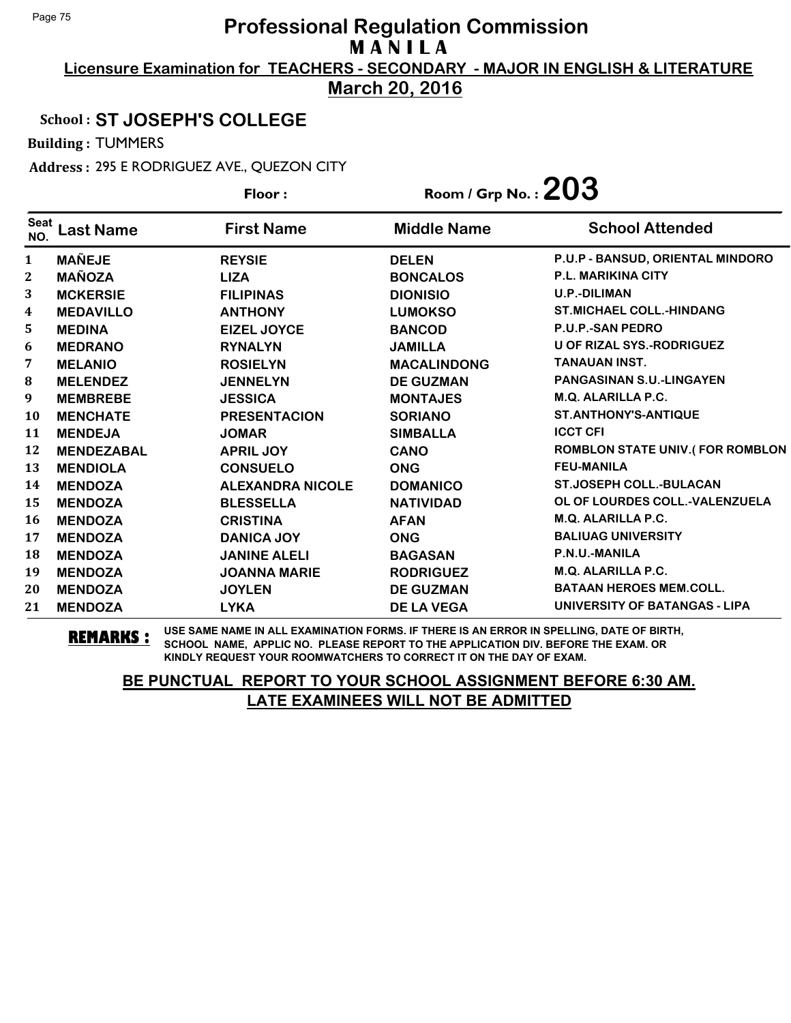**Licensure Examination for TEACHERS - SECONDARY - MAJOR IN ENGLISH & LITERATURE March 20, 2016**

#### School : **ST JOSEPH'S COLLEGE**

Building : TUMMERS

Address : 295 E RODRIGUEZ AVE., QUEZON CITY

|                    |                   | Floor:                  | Room / Grp No. : $203$ |                                        |
|--------------------|-------------------|-------------------------|------------------------|----------------------------------------|
| <b>Seat</b><br>NO. | <b>Last Name</b>  | <b>First Name</b>       | <b>Middle Name</b>     | <b>School Attended</b>                 |
| 1                  | <b>MAÑEJE</b>     | <b>REYSIE</b>           | <b>DELEN</b>           | P.U.P - BANSUD, ORIENTAL MINDORO       |
| $\mathbf{2}$       | <b>MAÑOZA</b>     | <b>LIZA</b>             | <b>BONCALOS</b>        | <b>P.L. MARIKINA CITY</b>              |
| 3                  | <b>MCKERSIE</b>   | <b>FILIPINAS</b>        | <b>DIONISIO</b>        | <b>U.P.-DILIMAN</b>                    |
| 4                  | <b>MEDAVILLO</b>  | <b>ANTHONY</b>          | <b>LUMOKSO</b>         | <b>ST.MICHAEL COLL.-HINDANG</b>        |
| 5                  | <b>MEDINA</b>     | <b>EIZEL JOYCE</b>      | <b>BANCOD</b>          | <b>P.U.P.-SAN PEDRO</b>                |
| 6                  | <b>MEDRANO</b>    | <b>RYNALYN</b>          | <b>JAMILLA</b>         | <b>U OF RIZAL SYS.-RODRIGUEZ</b>       |
| 7                  | <b>MELANIO</b>    | <b>ROSIELYN</b>         | <b>MACALINDONG</b>     | <b>TANAUAN INST.</b>                   |
| 8                  | <b>MELENDEZ</b>   | <b>JENNELYN</b>         | <b>DE GUZMAN</b>       | <b>PANGASINAN S.U.-LINGAYEN</b>        |
| 9                  | <b>MEMBREBE</b>   | <b>JESSICA</b>          | <b>MONTAJES</b>        | <b>M.Q. ALARILLA P.C.</b>              |
| 10                 | <b>MENCHATE</b>   | <b>PRESENTACION</b>     | <b>SORIANO</b>         | <b>ST.ANTHONY'S-ANTIQUE</b>            |
| 11                 | <b>MENDEJA</b>    | <b>JOMAR</b>            | <b>SIMBALLA</b>        | <b>ICCT CFI</b>                        |
| 12                 | <b>MENDEZABAL</b> | <b>APRIL JOY</b>        | <b>CANO</b>            | <b>ROMBLON STATE UNIV.(FOR ROMBLON</b> |
| 13                 | <b>MENDIOLA</b>   | <b>CONSUELO</b>         | <b>ONG</b>             | <b>FEU-MANILA</b>                      |
| 14                 | <b>MENDOZA</b>    | <b>ALEXANDRA NICOLE</b> | <b>DOMANICO</b>        | <b>ST.JOSEPH COLL.-BULACAN</b>         |
| 15                 | <b>MENDOZA</b>    | <b>BLESSELLA</b>        | <b>NATIVIDAD</b>       | OL OF LOURDES COLL.-VALENZUELA         |
| 16                 | <b>MENDOZA</b>    | <b>CRISTINA</b>         | <b>AFAN</b>            | M.Q. ALARILLA P.C.                     |
| 17                 | <b>MENDOZA</b>    | <b>DANICA JOY</b>       | <b>ONG</b>             | <b>BALIUAG UNIVERSITY</b>              |
| 18                 | <b>MENDOZA</b>    | <b>JANINE ALELI</b>     | <b>BAGASAN</b>         | P.N.U.-MANILA                          |
| 19                 | <b>MENDOZA</b>    | <b>JOANNA MARIE</b>     | <b>RODRIGUEZ</b>       | M.Q. ALARILLA P.C.                     |
| 20                 | <b>MENDOZA</b>    | <b>JOYLEN</b>           | <b>DE GUZMAN</b>       | <b>BATAAN HEROES MEM.COLL.</b>         |
| 21                 | <b>MENDOZA</b>    | <b>LYKA</b>             | <b>DE LA VEGA</b>      | UNIVERSITY OF BATANGAS - LIPA          |

**REMARKS :** USE SAME NAME IN ALL EXAMINATION FORMS. IF THERE IS AN ERROR IN SPELLING, DATE OF BIRTH, SCHOOL NAME, APPLIC NO. PLEASE REPORT TO THE APPLICATION DIV. BEFORE THE EXAM. OR KINDLY REQUEST YOUR ROOMWATCHERS TO CORRECT IT ON THE DAY OF EXAM.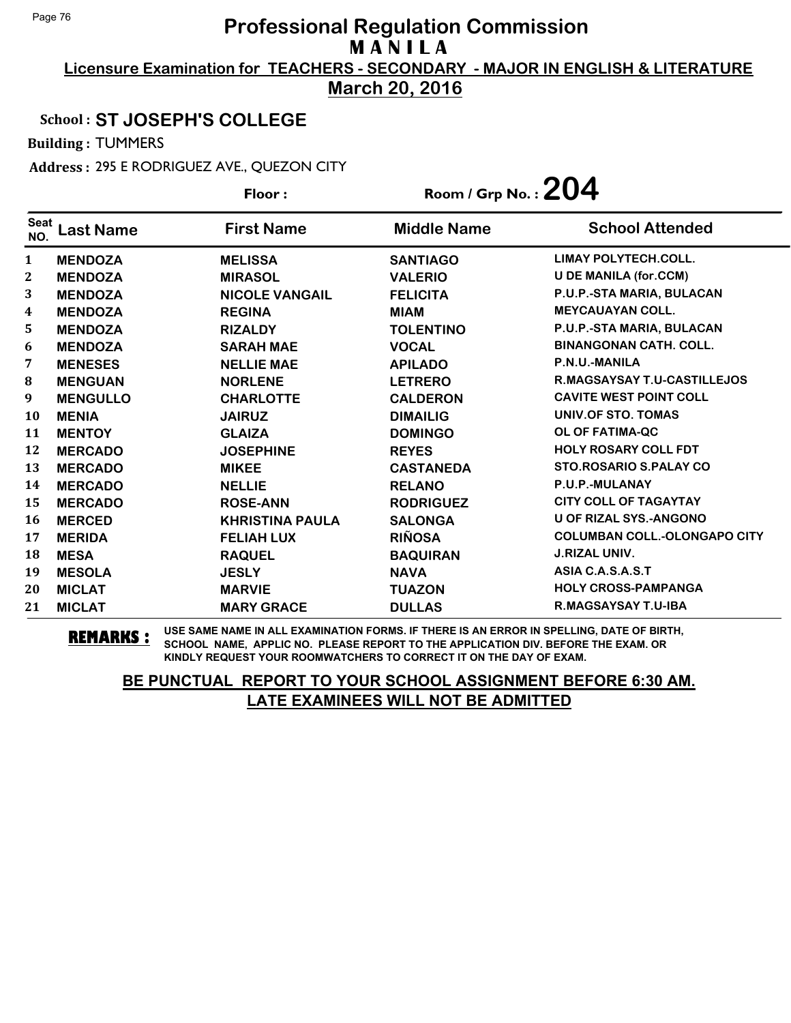**Licensure Examination for TEACHERS - SECONDARY - MAJOR IN ENGLISH & LITERATURE March 20, 2016**

## School : **ST JOSEPH'S COLLEGE**

Building : TUMMERS

Address : 295 E RODRIGUEZ AVE., QUEZON CITY

|                    |                 | Floor:                 | Room / Grp No. : $204$ |                                     |
|--------------------|-----------------|------------------------|------------------------|-------------------------------------|
| <b>Seat</b><br>NO. | Last Name       | <b>First Name</b>      | <b>Middle Name</b>     | <b>School Attended</b>              |
| $\mathbf{1}$       | <b>MENDOZA</b>  | <b>MELISSA</b>         | <b>SANTIAGO</b>        | <b>LIMAY POLYTECH.COLL.</b>         |
| $\mathbf{2}$       | <b>MENDOZA</b>  | <b>MIRASOL</b>         | <b>VALERIO</b>         | <b>U DE MANILA (for.CCM)</b>        |
| 3                  | <b>MENDOZA</b>  | <b>NICOLE VANGAIL</b>  | <b>FELICITA</b>        | P.U.P.-STA MARIA, BULACAN           |
| 4                  | <b>MENDOZA</b>  | <b>REGINA</b>          | <b>MIAM</b>            | <b>MEYCAUAYAN COLL.</b>             |
| 5                  | <b>MENDOZA</b>  | <b>RIZALDY</b>         | <b>TOLENTINO</b>       | P.U.P.-STA MARIA, BULACAN           |
| 6                  | <b>MENDOZA</b>  | <b>SARAH MAE</b>       | <b>VOCAL</b>           | <b>BINANGONAN CATH, COLL.</b>       |
| 7                  | <b>MENESES</b>  | <b>NELLIE MAE</b>      | <b>APILADO</b>         | P.N.U.-MANILA                       |
| 8                  | <b>MENGUAN</b>  | <b>NORLENE</b>         | <b>LETRERO</b>         | <b>R.MAGSAYSAY T.U-CASTILLEJOS</b>  |
| 9                  | <b>MENGULLO</b> | <b>CHARLOTTE</b>       | <b>CALDERON</b>        | <b>CAVITE WEST POINT COLL</b>       |
| 10                 | <b>MENIA</b>    | <b>JAIRUZ</b>          | <b>DIMAILIG</b>        | UNIV.OF STO. TOMAS                  |
| 11                 | <b>MENTOY</b>   | <b>GLAIZA</b>          | <b>DOMINGO</b>         | OL OF FATIMA-QC                     |
| 12                 | <b>MERCADO</b>  | <b>JOSEPHINE</b>       | <b>REYES</b>           | <b>HOLY ROSARY COLL FDT</b>         |
| 13                 | <b>MERCADO</b>  | <b>MIKEE</b>           | <b>CASTANEDA</b>       | <b>STO.ROSARIO S.PALAY CO</b>       |
| 14                 | <b>MERCADO</b>  | <b>NELLIE</b>          | <b>RELANO</b>          | P.U.P.-MULANAY                      |
| 15                 | <b>MERCADO</b>  | <b>ROSE-ANN</b>        | <b>RODRIGUEZ</b>       | <b>CITY COLL OF TAGAYTAY</b>        |
| 16                 | <b>MERCED</b>   | <b>KHRISTINA PAULA</b> | <b>SALONGA</b>         | <b>U OF RIZAL SYS.-ANGONO</b>       |
| 17                 | <b>MERIDA</b>   | <b>FELIAH LUX</b>      | <b>RIÑOSA</b>          | <b>COLUMBAN COLL.-OLONGAPO CITY</b> |
| 18                 | <b>MESA</b>     | <b>RAQUEL</b>          | <b>BAQUIRAN</b>        | <b>J.RIZAL UNIV.</b>                |
| 19                 | <b>MESOLA</b>   | <b>JESLY</b>           | <b>NAVA</b>            | ASIA C.A.S.A.S.T                    |
| 20                 | <b>MICLAT</b>   | <b>MARVIE</b>          | <b>TUAZON</b>          | <b>HOLY CROSS-PAMPANGA</b>          |
| 21                 | <b>MICLAT</b>   | <b>MARY GRACE</b>      | <b>DULLAS</b>          | <b>R.MAGSAYSAY T.U-IBA</b>          |

**REMARKS :** USE SAME NAME IN ALL EXAMINATION FORMS. IF THERE IS AN ERROR IN SPELLING, DATE OF BIRTH, SCHOOL NAME, APPLIC NO. PLEASE REPORT TO THE APPLICATION DIV. BEFORE THE EXAM. OR KINDLY REQUEST YOUR ROOMWATCHERS TO CORRECT IT ON THE DAY OF EXAM.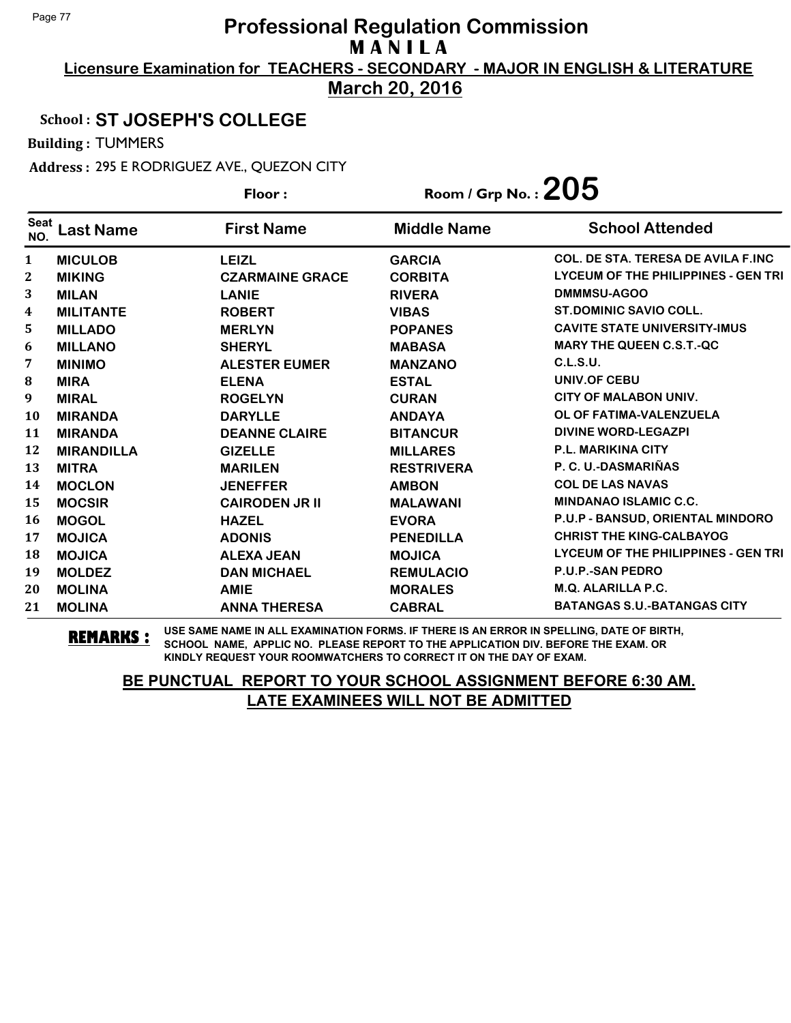**Licensure Examination for TEACHERS - SECONDARY - MAJOR IN ENGLISH & LITERATURE**

**March 20, 2016**

#### School : **ST JOSEPH'S COLLEGE**

Building : TUMMERS

Address : 295 E RODRIGUEZ AVE., QUEZON CITY

|                    |                   | Floor:                 | Room / Grp No. : $205$ |                                           |
|--------------------|-------------------|------------------------|------------------------|-------------------------------------------|
| <b>Seat</b><br>NO. | Last Name         | <b>First Name</b>      | <b>Middle Name</b>     | <b>School Attended</b>                    |
| 1                  | <b>MICULOB</b>    | <b>LEIZL</b>           | <b>GARCIA</b>          | <b>COL. DE STA. TERESA DE AVILA F.INC</b> |
| 2                  | <b>MIKING</b>     | <b>CZARMAINE GRACE</b> | <b>CORBITA</b>         | LYCEUM OF THE PHILIPPINES - GEN TRI       |
| 3                  | <b>MILAN</b>      | <b>LANIE</b>           | <b>RIVERA</b>          | DMMMSU-AGOO                               |
| 4                  | <b>MILITANTE</b>  | <b>ROBERT</b>          | <b>VIBAS</b>           | <b>ST.DOMINIC SAVIO COLL.</b>             |
| 5                  | <b>MILLADO</b>    | <b>MERLYN</b>          | <b>POPANES</b>         | <b>CAVITE STATE UNIVERSITY-IMUS</b>       |
| 6                  | <b>MILLANO</b>    | <b>SHERYL</b>          | <b>MABASA</b>          | <b>MARY THE QUEEN C.S.T.-QC</b>           |
| 7                  | <b>MINIMO</b>     | <b>ALESTER EUMER</b>   | <b>MANZANO</b>         | C.L.S.U.                                  |
| ${\bf 8}$          | <b>MIRA</b>       | <b>ELENA</b>           | <b>ESTAL</b>           | <b>UNIV.OF CEBU</b>                       |
| 9                  | <b>MIRAL</b>      | <b>ROGELYN</b>         | <b>CURAN</b>           | CITY OF MALABON UNIV.                     |
| 10                 | <b>MIRANDA</b>    | <b>DARYLLE</b>         | <b>ANDAYA</b>          | OL OF FATIMA-VALENZUELA                   |
| 11                 | <b>MIRANDA</b>    | <b>DEANNE CLAIRE</b>   | <b>BITANCUR</b>        | <b>DIVINE WORD-LEGAZPI</b>                |
| 12                 | <b>MIRANDILLA</b> | <b>GIZELLE</b>         | <b>MILLARES</b>        | <b>P.L. MARIKINA CITY</b>                 |
| 13                 | <b>MITRA</b>      | <b>MARILEN</b>         | <b>RESTRIVERA</b>      | P. C. U.-DASMARIÑAS                       |
| 14                 | <b>MOCLON</b>     | <b>JENEFFER</b>        | <b>AMBON</b>           | <b>COL DE LAS NAVAS</b>                   |
| 15                 | <b>MOCSIR</b>     | <b>CAIRODEN JR II</b>  | <b>MALAWANI</b>        | <b>MINDANAO ISLAMIC C.C.</b>              |
| 16                 | <b>MOGOL</b>      | <b>HAZEL</b>           | <b>EVORA</b>           | P.U.P - BANSUD, ORIENTAL MINDORO          |
| 17                 | <b>MOJICA</b>     | <b>ADONIS</b>          | <b>PENEDILLA</b>       | <b>CHRIST THE KING-CALBAYOG</b>           |
| 18                 | <b>MOJICA</b>     | <b>ALEXA JEAN</b>      | <b>MOJICA</b>          | LYCEUM OF THE PHILIPPINES - GEN TRI       |
| 19                 | <b>MOLDEZ</b>     | <b>DAN MICHAEL</b>     | <b>REMULACIO</b>       | <b>P.U.P.-SAN PEDRO</b>                   |
| 20                 | <b>MOLINA</b>     | <b>AMIE</b>            | <b>MORALES</b>         | M.Q. ALARILLA P.C.                        |
| 21                 | <b>MOLINA</b>     | <b>ANNA THERESA</b>    | <b>CABRAL</b>          | <b>BATANGAS S.U.-BATANGAS CITY</b>        |

**REMARKS :** USE SAME NAME IN ALL EXAMINATION FORMS. IF THERE IS AN ERROR IN SPELLING, DATE OF BIRTH, SCHOOL NAME, APPLIC NO. PLEASE REPORT TO THE APPLICATION DIV. BEFORE THE EXAM. OR KINDLY REQUEST YOUR ROOMWATCHERS TO CORRECT IT ON THE DAY OF EXAM.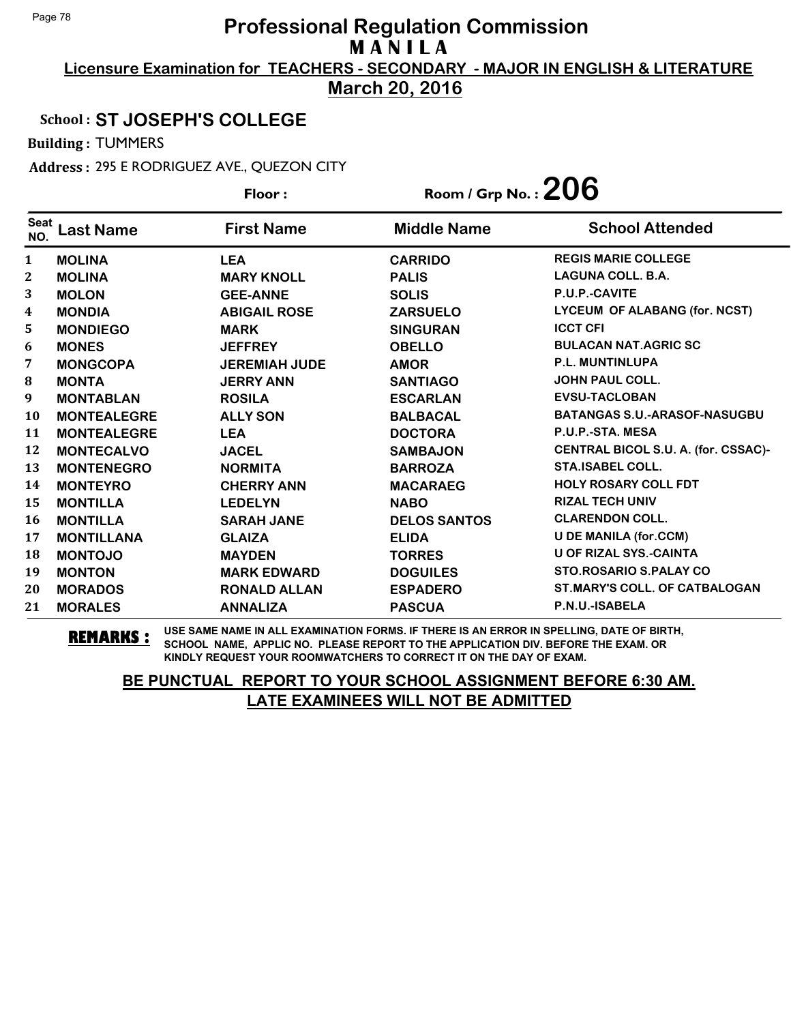**Licensure Examination for TEACHERS - SECONDARY - MAJOR IN ENGLISH & LITERATURE March 20, 2016**

## School : **ST JOSEPH'S COLLEGE**

Building : TUMMERS

Address : 295 E RODRIGUEZ AVE., QUEZON CITY

|                    |                    | Floor:               | Room / Grp No.: $206$ |                                      |
|--------------------|--------------------|----------------------|-----------------------|--------------------------------------|
| <b>Seat</b><br>NO. | Last Name          | <b>First Name</b>    | <b>Middle Name</b>    | <b>School Attended</b>               |
| 1                  | <b>MOLINA</b>      | <b>LEA</b>           | <b>CARRIDO</b>        | <b>REGIS MARIE COLLEGE</b>           |
| 2                  | <b>MOLINA</b>      | <b>MARY KNOLL</b>    | <b>PALIS</b>          | <b>LAGUNA COLL. B.A.</b>             |
| 3                  | <b>MOLON</b>       | <b>GEE-ANNE</b>      | <b>SOLIS</b>          | P.U.P.-CAVITE                        |
| 4                  | <b>MONDIA</b>      | <b>ABIGAIL ROSE</b>  | <b>ZARSUELO</b>       | <b>LYCEUM OF ALABANG (for. NCST)</b> |
| 5                  | <b>MONDIEGO</b>    | <b>MARK</b>          | <b>SINGURAN</b>       | <b>ICCT CFI</b>                      |
| 6                  | <b>MONES</b>       | <b>JEFFREY</b>       | <b>OBELLO</b>         | <b>BULACAN NAT.AGRIC SC</b>          |
| 7                  | <b>MONGCOPA</b>    | <b>JEREMIAH JUDE</b> | <b>AMOR</b>           | <b>P.L. MUNTINLUPA</b>               |
| 8                  | <b>MONTA</b>       | <b>JERRY ANN</b>     | <b>SANTIAGO</b>       | <b>JOHN PAUL COLL.</b>               |
| 9                  | <b>MONTABLAN</b>   | <b>ROSILA</b>        | <b>ESCARLAN</b>       | <b>EVSU-TACLOBAN</b>                 |
| 10                 | <b>MONTEALEGRE</b> | <b>ALLY SON</b>      | <b>BALBACAL</b>       | <b>BATANGAS S.U.-ARASOF-NASUGBU</b>  |
| 11                 | <b>MONTEALEGRE</b> | <b>LEA</b>           | <b>DOCTORA</b>        | P.U.P.-STA. MESA                     |
| 12                 | <b>MONTECALVO</b>  | <b>JACEL</b>         | <b>SAMBAJON</b>       | CENTRAL BICOL S.U. A. (for. CSSAC)-  |
| 13                 | <b>MONTENEGRO</b>  | <b>NORMITA</b>       | <b>BARROZA</b>        | <b>STA.ISABEL COLL.</b>              |
| 14                 | <b>MONTEYRO</b>    | <b>CHERRY ANN</b>    | <b>MACARAEG</b>       | <b>HOLY ROSARY COLL FDT</b>          |
| 15                 | <b>MONTILLA</b>    | <b>LEDELYN</b>       | <b>NABO</b>           | <b>RIZAL TECH UNIV</b>               |
| 16                 | <b>MONTILLA</b>    | <b>SARAH JANE</b>    | <b>DELOS SANTOS</b>   | <b>CLARENDON COLL.</b>               |
| 17                 | <b>MONTILLANA</b>  | <b>GLAIZA</b>        | <b>ELIDA</b>          | <b>U DE MANILA (for.CCM)</b>         |
| 18                 | <b>MONTOJO</b>     | <b>MAYDEN</b>        | <b>TORRES</b>         | <b>U OF RIZAL SYS.-CAINTA</b>        |
| 19                 | <b>MONTON</b>      | <b>MARK EDWARD</b>   | <b>DOGUILES</b>       | STO.ROSARIO S.PALAY CO               |
| 20                 | <b>MORADOS</b>     | <b>RONALD ALLAN</b>  | <b>ESPADERO</b>       | <b>ST.MARY'S COLL. OF CATBALOGAN</b> |
| 21                 | <b>MORALES</b>     | <b>ANNALIZA</b>      | <b>PASCUA</b>         | P.N.U.-ISABELA                       |

**REMARKS :** USE SAME NAME IN ALL EXAMINATION FORMS. IF THERE IS AN ERROR IN SPELLING, DATE OF BIRTH, SCHOOL NAME, APPLIC NO. PLEASE REPORT TO THE APPLICATION DIV. BEFORE THE EXAM. OR KINDLY REQUEST YOUR ROOMWATCHERS TO CORRECT IT ON THE DAY OF EXAM.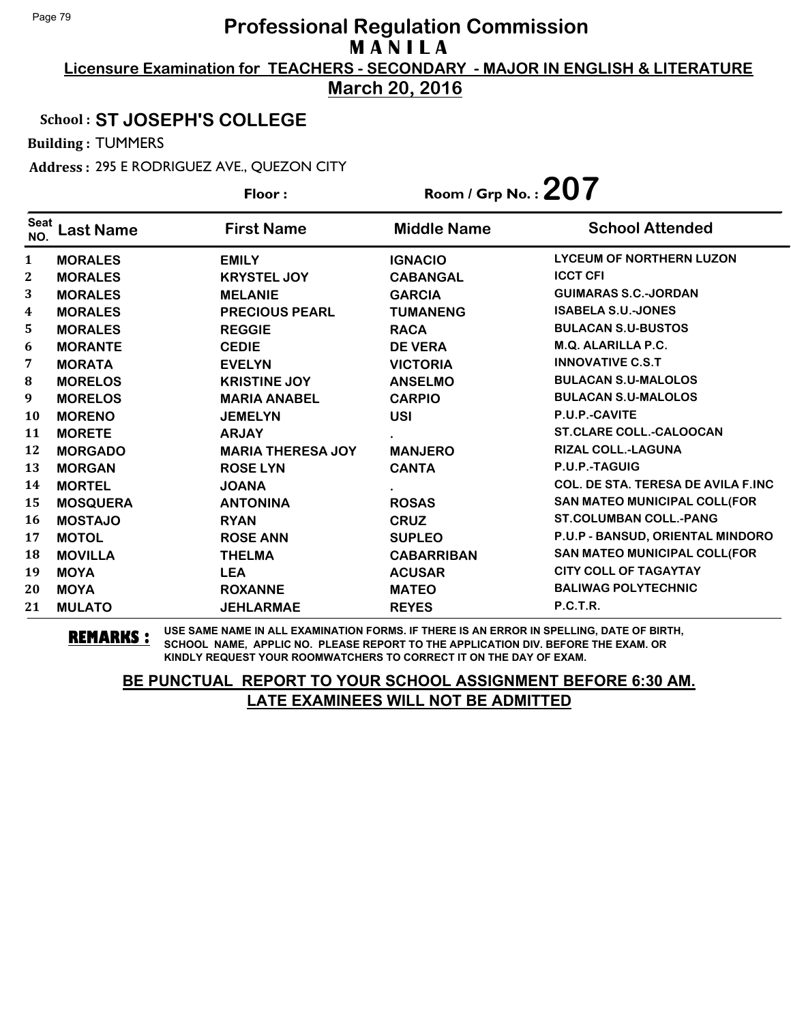**Licensure Examination for TEACHERS - SECONDARY - MAJOR IN ENGLISH & LITERATURE March 20, 2016**

## School : **ST JOSEPH'S COLLEGE**

Building : TUMMERS

Address : 295 E RODRIGUEZ AVE., QUEZON CITY

|                    |                  | Floor:                   | Room / Grp No. : $207$ |                                           |
|--------------------|------------------|--------------------------|------------------------|-------------------------------------------|
| <b>Seat</b><br>NO. | <b>Last Name</b> | <b>First Name</b>        | <b>Middle Name</b>     | <b>School Attended</b>                    |
| $\mathbf{1}$       | <b>MORALES</b>   | <b>EMILY</b>             | <b>IGNACIO</b>         | <b>LYCEUM OF NORTHERN LUZON</b>           |
| $\mathbf{2}$       | <b>MORALES</b>   | <b>KRYSTEL JOY</b>       | <b>CABANGAL</b>        | <b>ICCT CFI</b>                           |
| 3                  | <b>MORALES</b>   | <b>MELANIE</b>           | <b>GARCIA</b>          | <b>GUIMARAS S.C.-JORDAN</b>               |
| 4                  | <b>MORALES</b>   | <b>PRECIOUS PEARL</b>    | <b>TUMANENG</b>        | <b>ISABELA S.U.-JONES</b>                 |
| 5                  | <b>MORALES</b>   | <b>REGGIE</b>            | <b>RACA</b>            | <b>BULACAN S.U-BUSTOS</b>                 |
| 6                  | <b>MORANTE</b>   | <b>CEDIE</b>             | <b>DE VERA</b>         | M.Q. ALARILLA P.C.                        |
| 7                  | <b>MORATA</b>    | <b>EVELYN</b>            | <b>VICTORIA</b>        | <b>INNOVATIVE C.S.T</b>                   |
| 8                  | <b>MORELOS</b>   | <b>KRISTINE JOY</b>      | <b>ANSELMO</b>         | <b>BULACAN S.U-MALOLOS</b>                |
| 9                  | <b>MORELOS</b>   | <b>MARIA ANABEL</b>      | <b>CARPIO</b>          | <b>BULACAN S.U-MALOLOS</b>                |
| 10                 | <b>MORENO</b>    | <b>JEMELYN</b>           | <b>USI</b>             | P.U.P.-CAVITE                             |
| 11                 | <b>MORETE</b>    | <b>ARJAY</b>             |                        | <b>ST.CLARE COLL.-CALOOCAN</b>            |
| 12                 | <b>MORGADO</b>   | <b>MARIA THERESA JOY</b> | <b>MANJERO</b>         | <b>RIZAL COLL.-LAGUNA</b>                 |
| 13                 | <b>MORGAN</b>    | <b>ROSE LYN</b>          | <b>CANTA</b>           | P.U.P.-TAGUIG                             |
| 14                 | <b>MORTEL</b>    | <b>JOANA</b>             |                        | <b>COL. DE STA. TERESA DE AVILA F.INC</b> |
| 15                 | <b>MOSQUERA</b>  | <b>ANTONINA</b>          | <b>ROSAS</b>           | <b>SAN MATEO MUNICIPAL COLL(FOR</b>       |
| 16                 | <b>MOSTAJO</b>   | <b>RYAN</b>              | <b>CRUZ</b>            | <b>ST.COLUMBAN COLL.-PANG</b>             |
| 17                 | <b>MOTOL</b>     | <b>ROSE ANN</b>          | <b>SUPLEO</b>          | P.U.P - BANSUD, ORIENTAL MINDORO          |
| 18                 | <b>MOVILLA</b>   | <b>THELMA</b>            | <b>CABARRIBAN</b>      | SAN MATEO MUNICIPAL COLL(FOR              |
| 19                 | <b>MOYA</b>      | <b>LEA</b>               | <b>ACUSAR</b>          | <b>CITY COLL OF TAGAYTAY</b>              |
| 20                 | <b>MOYA</b>      | <b>ROXANNE</b>           | <b>MATEO</b>           | <b>BALIWAG POLYTECHNIC</b>                |
| 21                 | <b>MULATO</b>    | <b>JEHLARMAE</b>         | <b>REYES</b>           | <b>P.C.T.R.</b>                           |

**REMARKS :** USE SAME NAME IN ALL EXAMINATION FORMS. IF THERE IS AN ERROR IN SPELLING, DATE OF BIRTH, SCHOOL NAME, APPLIC NO. PLEASE REPORT TO THE APPLICATION DIV. BEFORE THE EXAM. OR KINDLY REQUEST YOUR ROOMWATCHERS TO CORRECT IT ON THE DAY OF EXAM.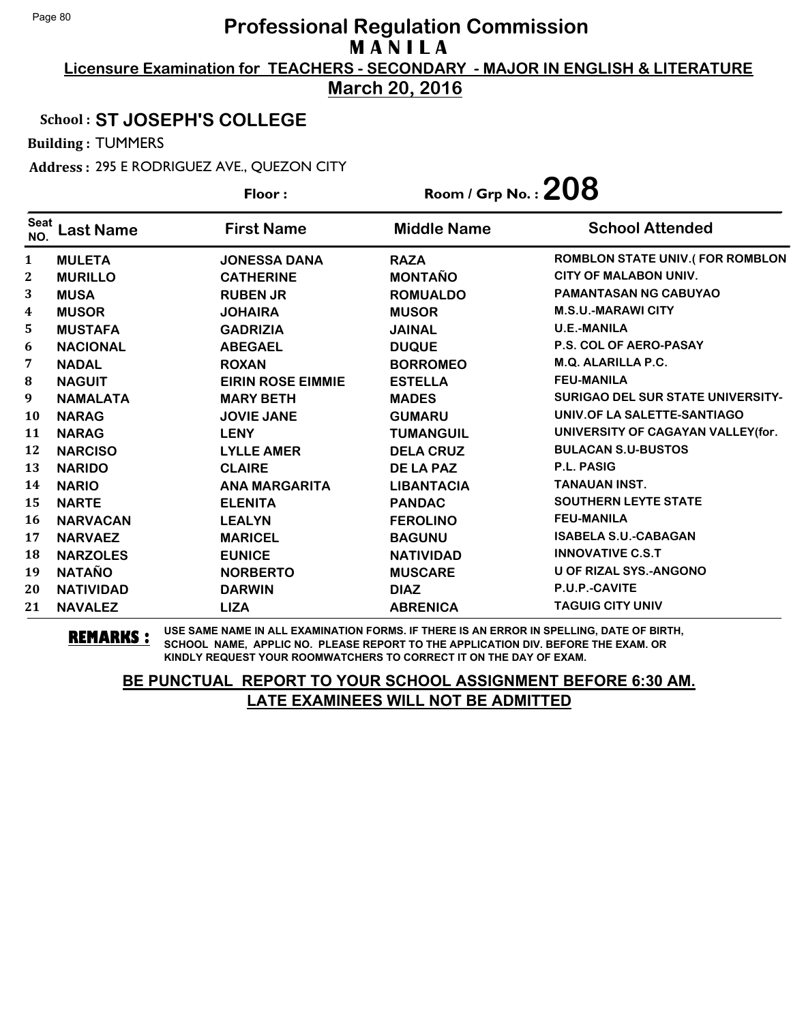**Licensure Examination for TEACHERS - SECONDARY - MAJOR IN ENGLISH & LITERATURE**

**March 20, 2016**

#### School : **ST JOSEPH'S COLLEGE**

Building : TUMMERS

Address : 295 E RODRIGUEZ AVE., QUEZON CITY

|                    |                  | Floor:                   | Room / Grp No. : $208$ |                                          |
|--------------------|------------------|--------------------------|------------------------|------------------------------------------|
| <b>Seat</b><br>NO. | <b>Last Name</b> | <b>First Name</b>        | <b>Middle Name</b>     | <b>School Attended</b>                   |
| 1                  | <b>MULETA</b>    | <b>JONESSA DANA</b>      | <b>RAZA</b>            | <b>ROMBLON STATE UNIV.(FOR ROMBLON</b>   |
| $\mathbf{2}$       | <b>MURILLO</b>   | <b>CATHERINE</b>         | <b>MONTAÑO</b>         | <b>CITY OF MALABON UNIV.</b>             |
| 3                  | <b>MUSA</b>      | <b>RUBEN JR</b>          | <b>ROMUALDO</b>        | <b>PAMANTASAN NG CABUYAO</b>             |
| $\boldsymbol{4}$   | <b>MUSOR</b>     | <b>JOHAIRA</b>           | <b>MUSOR</b>           | <b>M.S.U.-MARAWI CITY</b>                |
| 5                  | <b>MUSTAFA</b>   | <b>GADRIZIA</b>          | <b>JAINAL</b>          | <b>U.E.-MANILA</b>                       |
| 6                  | <b>NACIONAL</b>  | <b>ABEGAEL</b>           | <b>DUQUE</b>           | <b>P.S. COL OF AERO-PASAY</b>            |
| 7                  | <b>NADAL</b>     | <b>ROXAN</b>             | <b>BORROMEO</b>        | <b>M.Q. ALARILLA P.C.</b>                |
| 8                  | <b>NAGUIT</b>    | <b>EIRIN ROSE EIMMIE</b> | <b>ESTELLA</b>         | <b>FEU-MANILA</b>                        |
| 9                  | <b>NAMALATA</b>  | <b>MARY BETH</b>         | <b>MADES</b>           | <b>SURIGAO DEL SUR STATE UNIVERSITY-</b> |
| <b>10</b>          | <b>NARAG</b>     | <b>JOVIE JANE</b>        | <b>GUMARU</b>          | UNIV.OF LA SALETTE-SANTIAGO              |
| 11                 | <b>NARAG</b>     | <b>LENY</b>              | <b>TUMANGUIL</b>       | UNIVERSITY OF CAGAYAN VALLEY(for.        |
| 12                 | <b>NARCISO</b>   | <b>LYLLE AMER</b>        | <b>DELA CRUZ</b>       | <b>BULACAN S.U-BUSTOS</b>                |
| 13                 | <b>NARIDO</b>    | <b>CLAIRE</b>            | DE LA PAZ              | P.L. PASIG                               |
| 14                 | <b>NARIO</b>     | <b>ANA MARGARITA</b>     | <b>LIBANTACIA</b>      | <b>TANAUAN INST.</b>                     |
| 15                 | <b>NARTE</b>     | <b>ELENITA</b>           | <b>PANDAC</b>          | <b>SOUTHERN LEYTE STATE</b>              |
| <b>16</b>          | <b>NARVACAN</b>  | <b>LEALYN</b>            | <b>FEROLINO</b>        | <b>FEU-MANILA</b>                        |
| 17                 | <b>NARVAEZ</b>   | <b>MARICEL</b>           | <b>BAGUNU</b>          | <b>ISABELA S.U.-CABAGAN</b>              |
| 18                 | <b>NARZOLES</b>  | <b>EUNICE</b>            | <b>NATIVIDAD</b>       | <b>INNOVATIVE C.S.T</b>                  |
| 19                 | <b>NATAÑO</b>    | <b>NORBERTO</b>          | <b>MUSCARE</b>         | <b>U OF RIZAL SYS.-ANGONO</b>            |
| 20                 | <b>NATIVIDAD</b> | <b>DARWIN</b>            | <b>DIAZ</b>            | P.U.P.-CAVITE                            |
| 21                 | <b>NAVALEZ</b>   | <b>LIZA</b>              | <b>ABRENICA</b>        | <b>TAGUIG CITY UNIV</b>                  |

**REMARKS :** USE SAME NAME IN ALL EXAMINATION FORMS. IF THERE IS AN ERROR IN SPELLING, DATE OF BIRTH, SCHOOL NAME, APPLIC NO. PLEASE REPORT TO THE APPLICATION DIV. BEFORE THE EXAM. OR KINDLY REQUEST YOUR ROOMWATCHERS TO CORRECT IT ON THE DAY OF EXAM.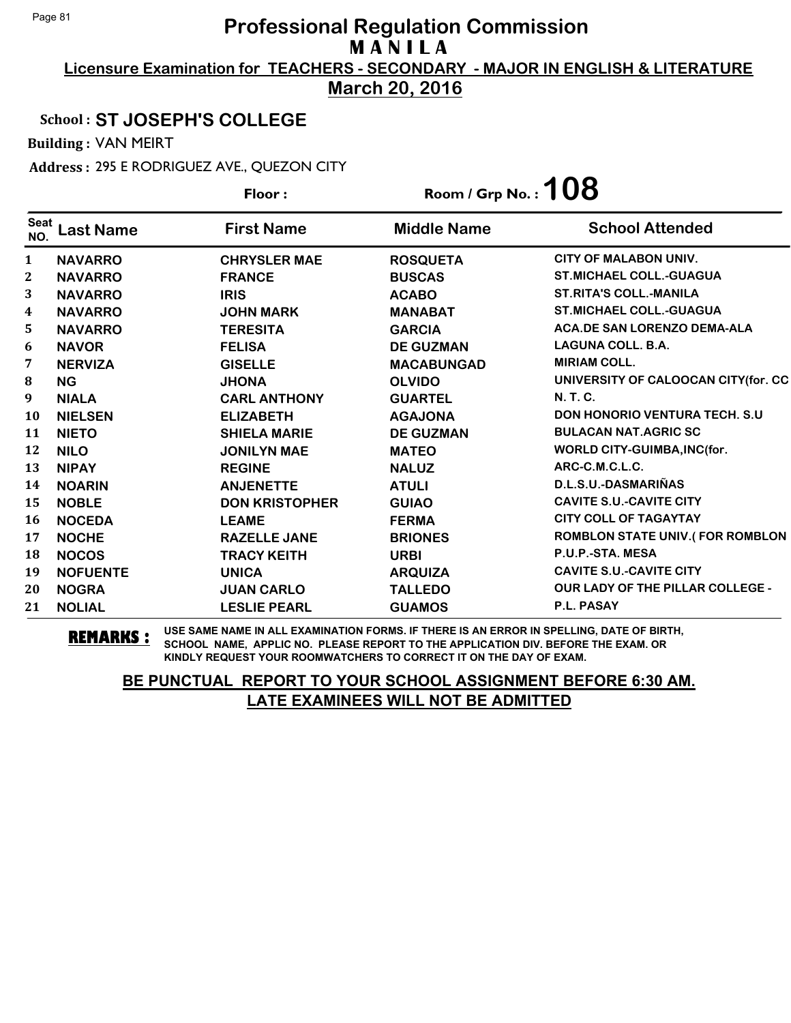**Licensure Examination for TEACHERS - SECONDARY - MAJOR IN ENGLISH & LITERATURE March 20, 2016**

## School : **ST JOSEPH'S COLLEGE**

Building : VAN MEIRT

Address : 295 E RODRIGUEZ AVE., QUEZON CITY

|                    |                  | Floor:                | Room / Grp No. : $108$ |                                         |
|--------------------|------------------|-----------------------|------------------------|-----------------------------------------|
| <b>Seat</b><br>NO. | <b>Last Name</b> | <b>First Name</b>     | <b>Middle Name</b>     | <b>School Attended</b>                  |
| 1                  | <b>NAVARRO</b>   | <b>CHRYSLER MAE</b>   | <b>ROSQUETA</b>        | <b>CITY OF MALABON UNIV.</b>            |
| 2                  | <b>NAVARRO</b>   | <b>FRANCE</b>         | <b>BUSCAS</b>          | <b>ST.MICHAEL COLL.-GUAGUA</b>          |
| 3                  | <b>NAVARRO</b>   | <b>IRIS</b>           | <b>ACABO</b>           | <b>ST.RITA'S COLL.-MANILA</b>           |
| 4                  | <b>NAVARRO</b>   | <b>JOHN MARK</b>      | <b>MANABAT</b>         | <b>ST.MICHAEL COLL.-GUAGUA</b>          |
| 5                  | <b>NAVARRO</b>   | <b>TERESITA</b>       | <b>GARCIA</b>          | <b>ACA.DE SAN LORENZO DEMA-ALA</b>      |
| 6                  | <b>NAVOR</b>     | <b>FELISA</b>         | <b>DE GUZMAN</b>       | <b>LAGUNA COLL. B.A.</b>                |
| 7                  | <b>NERVIZA</b>   | <b>GISELLE</b>        | <b>MACABUNGAD</b>      | <b>MIRIAM COLL.</b>                     |
| 8                  | <b>NG</b>        | <b>JHONA</b>          | <b>OLVIDO</b>          | UNIVERSITY OF CALOOCAN CITY(for. CC     |
| 9                  | <b>NIALA</b>     | <b>CARL ANTHONY</b>   | <b>GUARTEL</b>         | <b>N.T.C.</b>                           |
| 10                 | <b>NIELSEN</b>   | <b>ELIZABETH</b>      | <b>AGAJONA</b>         | <b>DON HONORIO VENTURA TECH. S.U.</b>   |
| 11                 | <b>NIETO</b>     | <b>SHIELA MARIE</b>   | <b>DE GUZMAN</b>       | <b>BULACAN NAT.AGRIC SC</b>             |
| 12                 | <b>NILO</b>      | <b>JONILYN MAE</b>    | <b>MATEO</b>           | WORLD CITY-GUIMBA, INC(for.             |
| 13                 | <b>NIPAY</b>     | <b>REGINE</b>         | <b>NALUZ</b>           | ARC-C.M.C.L.C.                          |
| 14                 | <b>NOARIN</b>    | <b>ANJENETTE</b>      | <b>ATULI</b>           | D.L.S.U.-DASMARIÑAS                     |
| 15                 | <b>NOBLE</b>     | <b>DON KRISTOPHER</b> | <b>GUIAO</b>           | <b>CAVITE S.U.-CAVITE CITY</b>          |
| 16                 | <b>NOCEDA</b>    | <b>LEAME</b>          | <b>FERMA</b>           | <b>CITY COLL OF TAGAYTAY</b>            |
| 17                 | <b>NOCHE</b>     | <b>RAZELLE JANE</b>   | <b>BRIONES</b>         | <b>ROMBLON STATE UNIV.(FOR ROMBLON</b>  |
| 18                 | <b>NOCOS</b>     | <b>TRACY KEITH</b>    | <b>URBI</b>            | P.U.P.-STA. MESA                        |
| 19                 | <b>NOFUENTE</b>  | <b>UNICA</b>          | <b>ARQUIZA</b>         | <b>CAVITE S.U.-CAVITE CITY</b>          |
| 20                 | <b>NOGRA</b>     | <b>JUAN CARLO</b>     | <b>TALLEDO</b>         | <b>OUR LADY OF THE PILLAR COLLEGE -</b> |
| 21                 | <b>NOLIAL</b>    | <b>LESLIE PEARL</b>   | <b>GUAMOS</b>          | <b>P.L. PASAY</b>                       |

**REMARKS :** USE SAME NAME IN ALL EXAMINATION FORMS. IF THERE IS AN ERROR IN SPELLING, DATE OF BIRTH, SCHOOL NAME, APPLIC NO. PLEASE REPORT TO THE APPLICATION DIV. BEFORE THE EXAM. OR KINDLY REQUEST YOUR ROOMWATCHERS TO CORRECT IT ON THE DAY OF EXAM.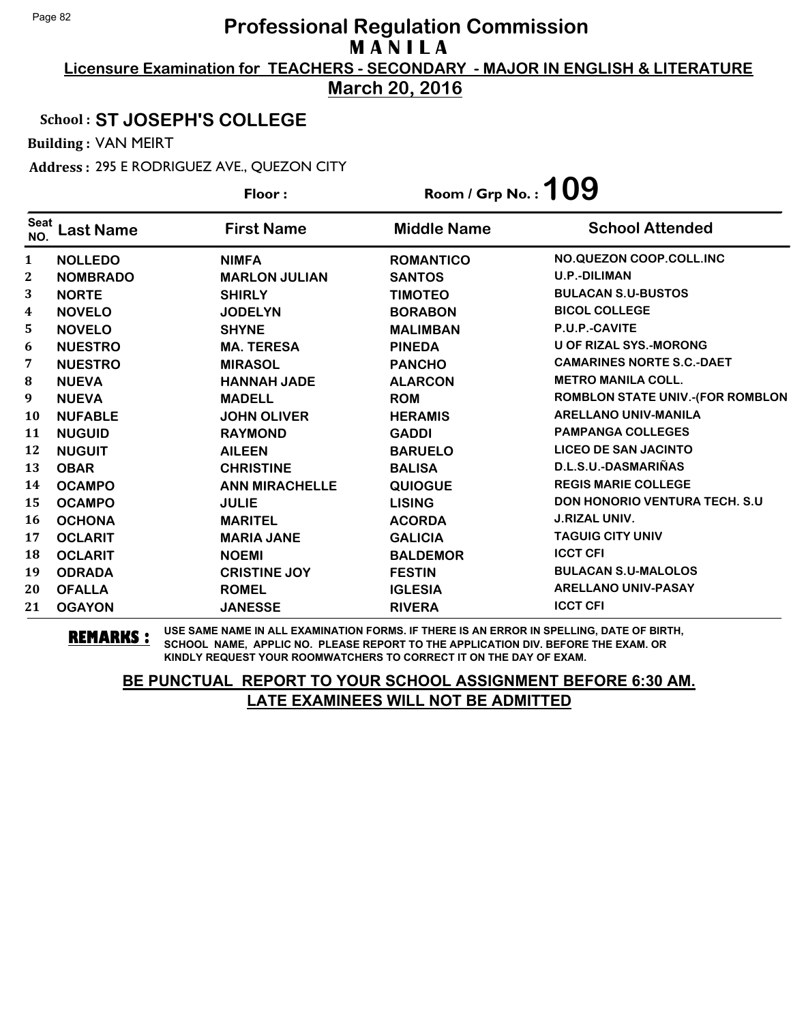**Licensure Examination for TEACHERS - SECONDARY - MAJOR IN ENGLISH & LITERATURE March 20, 2016**

#### School : **ST JOSEPH'S COLLEGE**

Building : VAN MEIRT

Address : 295 E RODRIGUEZ AVE., QUEZON CITY

|                    |                  | Floor:                | Room / Grp No.: $109$ |                                         |
|--------------------|------------------|-----------------------|-----------------------|-----------------------------------------|
| <b>Seat</b><br>NO. | <b>Last Name</b> | <b>First Name</b>     | <b>Middle Name</b>    | <b>School Attended</b>                  |
| 1                  | <b>NOLLEDO</b>   | <b>NIMFA</b>          | <b>ROMANTICO</b>      | NO.QUEZON COOP.COLL.INC                 |
| $\mathbf{2}$       | <b>NOMBRADO</b>  | <b>MARLON JULIAN</b>  | <b>SANTOS</b>         | <b>U.P.-DILIMAN</b>                     |
| 3                  | <b>NORTE</b>     | <b>SHIRLY</b>         | <b>TIMOTEO</b>        | <b>BULACAN S.U-BUSTOS</b>               |
| 4                  | <b>NOVELO</b>    | <b>JODELYN</b>        | <b>BORABON</b>        | <b>BICOL COLLEGE</b>                    |
| 5                  | <b>NOVELO</b>    | <b>SHYNE</b>          | <b>MALIMBAN</b>       | P.U.P.-CAVITE                           |
| 6                  | <b>NUESTRO</b>   | <b>MA. TERESA</b>     | <b>PINEDA</b>         | <b>U OF RIZAL SYS.-MORONG</b>           |
| 7                  | <b>NUESTRO</b>   | <b>MIRASOL</b>        | <b>PANCHO</b>         | <b>CAMARINES NORTE S.C.-DAET</b>        |
| 8                  | <b>NUEVA</b>     | <b>HANNAH JADE</b>    | <b>ALARCON</b>        | <b>METRO MANILA COLL.</b>               |
| 9                  | <b>NUEVA</b>     | <b>MADELL</b>         | <b>ROM</b>            | <b>ROMBLON STATE UNIV.-(FOR ROMBLON</b> |
| 10                 | <b>NUFABLE</b>   | <b>JOHN OLIVER</b>    | <b>HERAMIS</b>        | <b>ARELLANO UNIV-MANILA</b>             |
| 11                 | <b>NUGUID</b>    | <b>RAYMOND</b>        | <b>GADDI</b>          | <b>PAMPANGA COLLEGES</b>                |
| 12                 | <b>NUGUIT</b>    | <b>AILEEN</b>         | <b>BARUELO</b>        | <b>LICEO DE SAN JACINTO</b>             |
| 13                 | <b>OBAR</b>      | <b>CHRISTINE</b>      | <b>BALISA</b>         | D.L.S.U.-DASMARIÑAS                     |
| 14                 | <b>OCAMPO</b>    | <b>ANN MIRACHELLE</b> | <b>QUIOGUE</b>        | <b>REGIS MARIE COLLEGE</b>              |
| 15                 | <b>OCAMPO</b>    | <b>JULIE</b>          | <b>LISING</b>         | <b>DON HONORIO VENTURA TECH. S.U.</b>   |
| <b>16</b>          | <b>OCHONA</b>    | <b>MARITEL</b>        | <b>ACORDA</b>         | <b>J.RIZAL UNIV.</b>                    |
| 17                 | <b>OCLARIT</b>   | <b>MARIA JANE</b>     | <b>GALICIA</b>        | <b>TAGUIG CITY UNIV</b>                 |
| 18                 | <b>OCLARIT</b>   | <b>NOEMI</b>          | <b>BALDEMOR</b>       | <b>ICCT CFI</b>                         |
| 19                 | <b>ODRADA</b>    | <b>CRISTINE JOY</b>   | <b>FESTIN</b>         | <b>BULACAN S.U-MALOLOS</b>              |
| 20                 | <b>OFALLA</b>    | <b>ROMEL</b>          | <b>IGLESIA</b>        | <b>ARELLANO UNIV-PASAY</b>              |
| 21                 | <b>OGAYON</b>    | <b>JANESSE</b>        | <b>RIVERA</b>         | <b>ICCT CFI</b>                         |

**REMARKS :** USE SAME NAME IN ALL EXAMINATION FORMS. IF THERE IS AN ERROR IN SPELLING, DATE OF BIRTH, SCHOOL NAME, APPLIC NO. PLEASE REPORT TO THE APPLICATION DIV. BEFORE THE EXAM. OR KINDLY REQUEST YOUR ROOMWATCHERS TO CORRECT IT ON THE DAY OF EXAM.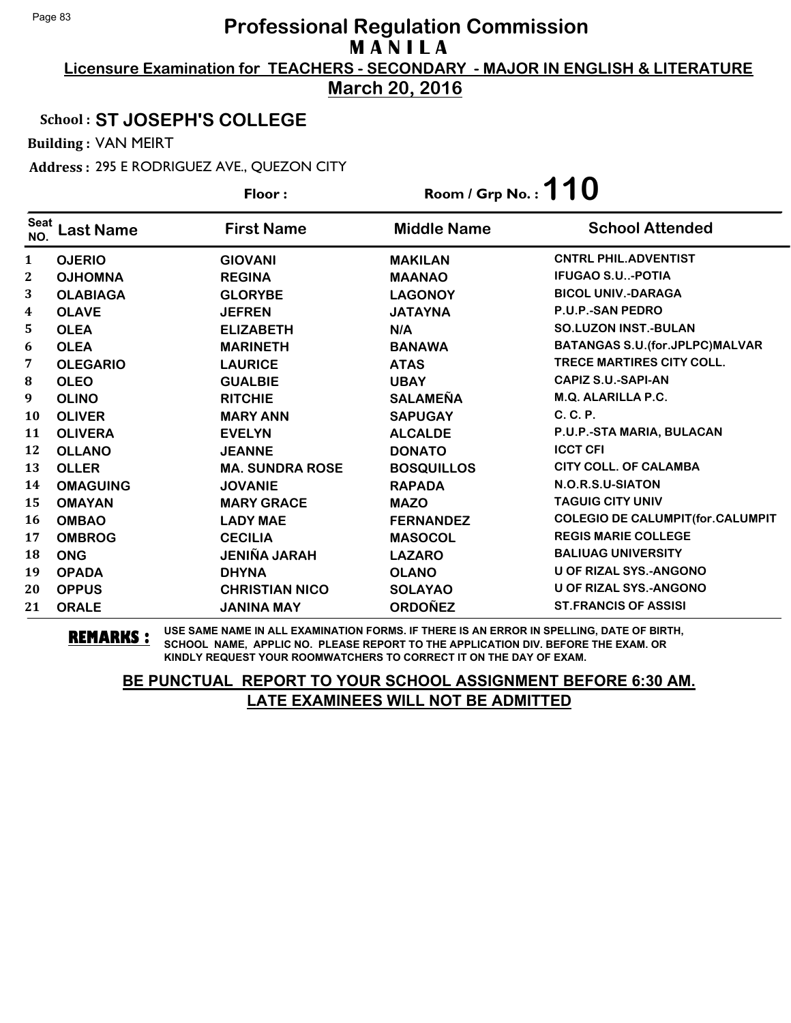**Licensure Examination for TEACHERS - SECONDARY - MAJOR IN ENGLISH & LITERATURE March 20, 2016**

## School : **ST JOSEPH'S COLLEGE**

Building : VAN MEIRT

Address : 295 E RODRIGUEZ AVE., QUEZON CITY

|                    |                  | Floor:                 | Room / Grp No.: $110$ |                                         |
|--------------------|------------------|------------------------|-----------------------|-----------------------------------------|
| <b>Seat</b><br>NO. | <b>Last Name</b> | <b>First Name</b>      | <b>Middle Name</b>    | <b>School Attended</b>                  |
| $\mathbf{1}$       | <b>OJERIO</b>    | <b>GIOVANI</b>         | <b>MAKILAN</b>        | <b>CNTRL PHIL.ADVENTIST</b>             |
| $\mathbf{2}$       | <b>OJHOMNA</b>   | <b>REGINA</b>          | <b>MAANAO</b>         | <b>IFUGAO S.U-POTIA</b>                 |
| 3                  | <b>OLABIAGA</b>  | <b>GLORYBE</b>         | <b>LAGONOY</b>        | <b>BICOL UNIV.-DARAGA</b>               |
| $\boldsymbol{4}$   | <b>OLAVE</b>     | <b>JEFREN</b>          | <b>JATAYNA</b>        | P.U.P.-SAN PEDRO                        |
| 5                  | <b>OLEA</b>      | <b>ELIZABETH</b>       | N/A                   | <b>SO.LUZON INST.-BULAN</b>             |
| 6                  | <b>OLEA</b>      | <b>MARINETH</b>        | <b>BANAWA</b>         | <b>BATANGAS S.U. (for.JPLPC)MALVAR</b>  |
| 7                  | <b>OLEGARIO</b>  | <b>LAURICE</b>         | <b>ATAS</b>           | <b>TRECE MARTIRES CITY COLL.</b>        |
| ${\bf 8}$          | <b>OLEO</b>      | <b>GUALBIE</b>         | <b>UBAY</b>           | <b>CAPIZ S.U.-SAPI-AN</b>               |
| 9                  | <b>OLINO</b>     | <b>RITCHIE</b>         | <b>SALAMEÑA</b>       | M.Q. ALARILLA P.C.                      |
| 10                 | <b>OLIVER</b>    | <b>MARY ANN</b>        | <b>SAPUGAY</b>        | C. C. P.                                |
| 11                 | <b>OLIVERA</b>   | <b>EVELYN</b>          | <b>ALCALDE</b>        | P.U.P.-STA MARIA, BULACAN               |
| 12                 | <b>OLLANO</b>    | <b>JEANNE</b>          | <b>DONATO</b>         | <b>ICCT CFI</b>                         |
| 13                 | <b>OLLER</b>     | <b>MA. SUNDRA ROSE</b> | <b>BOSQUILLOS</b>     | <b>CITY COLL. OF CALAMBA</b>            |
| 14                 | <b>OMAGUING</b>  | <b>JOVANIE</b>         | <b>RAPADA</b>         | N.O.R.S.U-SIATON                        |
| 15                 | <b>OMAYAN</b>    | <b>MARY GRACE</b>      | <b>MAZO</b>           | <b>TAGUIG CITY UNIV</b>                 |
| 16                 | <b>OMBAO</b>     | <b>LADY MAE</b>        | <b>FERNANDEZ</b>      | <b>COLEGIO DE CALUMPIT(for.CALUMPIT</b> |
| 17                 | <b>OMBROG</b>    | <b>CECILIA</b>         | <b>MASOCOL</b>        | <b>REGIS MARIE COLLEGE</b>              |
| 18                 | <b>ONG</b>       | <b>JENIÑA JARAH</b>    | <b>LAZARO</b>         | <b>BALIUAG UNIVERSITY</b>               |
| 19                 | <b>OPADA</b>     | <b>DHYNA</b>           | <b>OLANO</b>          | <b>U OF RIZAL SYS.-ANGONO</b>           |
| 20                 | <b>OPPUS</b>     | <b>CHRISTIAN NICO</b>  | <b>SOLAYAO</b>        | <b>U OF RIZAL SYS.-ANGONO</b>           |
| 21                 | <b>ORALE</b>     | <b>JANINA MAY</b>      | <b>ORDOÑEZ</b>        | <b>ST.FRANCIS OF ASSISI</b>             |

**REMARKS :** USE SAME NAME IN ALL EXAMINATION FORMS. IF THERE IS AN ERROR IN SPELLING, DATE OF BIRTH, SCHOOL NAME, APPLIC NO. PLEASE REPORT TO THE APPLICATION DIV. BEFORE THE EXAM. OR KINDLY REQUEST YOUR ROOMWATCHERS TO CORRECT IT ON THE DAY OF EXAM.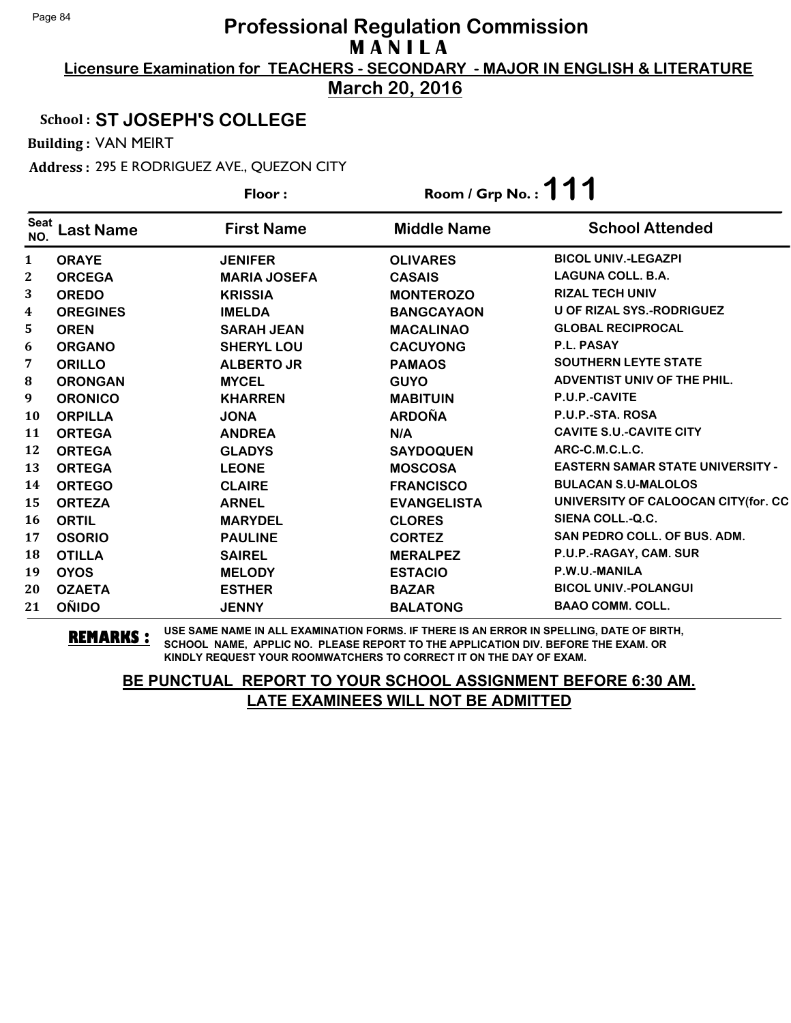**Licensure Examination for TEACHERS - SECONDARY - MAJOR IN ENGLISH & LITERATURE March 20, 2016**

## School : **ST JOSEPH'S COLLEGE**

Building : VAN MEIRT

Address : 295 E RODRIGUEZ AVE., QUEZON CITY

|                    |                  | Floor:              | Room / Grp No.: $111$ |                                         |
|--------------------|------------------|---------------------|-----------------------|-----------------------------------------|
| <b>Seat</b><br>NO. | <b>Last Name</b> | <b>First Name</b>   | <b>Middle Name</b>    | <b>School Attended</b>                  |
| 1                  | <b>ORAYE</b>     | <b>JENIFER</b>      | <b>OLIVARES</b>       | <b>BICOL UNIV.-LEGAZPI</b>              |
| 2                  | <b>ORCEGA</b>    | <b>MARIA JOSEFA</b> | <b>CASAIS</b>         | <b>LAGUNA COLL. B.A.</b>                |
| 3                  | <b>OREDO</b>     | <b>KRISSIA</b>      | <b>MONTEROZO</b>      | <b>RIZAL TECH UNIV</b>                  |
| 4                  | <b>OREGINES</b>  | <b>IMELDA</b>       | <b>BANGCAYAON</b>     | <b>U OF RIZAL SYS.-RODRIGUEZ</b>        |
| 5                  | <b>OREN</b>      | <b>SARAH JEAN</b>   | <b>MACALINAO</b>      | <b>GLOBAL RECIPROCAL</b>                |
| 6                  | <b>ORGANO</b>    | <b>SHERYL LOU</b>   | <b>CACUYONG</b>       | P.L. PASAY                              |
| 7                  | <b>ORILLO</b>    | <b>ALBERTO JR</b>   | <b>PAMAOS</b>         | <b>SOUTHERN LEYTE STATE</b>             |
| 8                  | <b>ORONGAN</b>   | <b>MYCEL</b>        | <b>GUYO</b>           | ADVENTIST UNIV OF THE PHIL.             |
| 9                  | <b>ORONICO</b>   | <b>KHARREN</b>      | <b>MABITUIN</b>       | P.U.P.-CAVITE                           |
| 10                 | <b>ORPILLA</b>   | <b>JONA</b>         | <b>ARDOÑA</b>         | P.U.P.-STA. ROSA                        |
| 11                 | <b>ORTEGA</b>    | <b>ANDREA</b>       | N/A                   | <b>CAVITE S.U.-CAVITE CITY</b>          |
| 12                 | <b>ORTEGA</b>    | <b>GLADYS</b>       | <b>SAYDOQUEN</b>      | ARC-C.M.C.L.C.                          |
| 13                 | <b>ORTEGA</b>    | <b>LEONE</b>        | <b>MOSCOSA</b>        | <b>EASTERN SAMAR STATE UNIVERSITY -</b> |
| 14                 | <b>ORTEGO</b>    | <b>CLAIRE</b>       | <b>FRANCISCO</b>      | <b>BULACAN S.U-MALOLOS</b>              |
| 15                 | <b>ORTEZA</b>    | <b>ARNEL</b>        | <b>EVANGELISTA</b>    | UNIVERSITY OF CALOOCAN CITY (for. CC    |
| 16                 | <b>ORTIL</b>     | <b>MARYDEL</b>      | <b>CLORES</b>         | SIENA COLL.-Q.C.                        |
| 17                 | <b>OSORIO</b>    | <b>PAULINE</b>      | <b>CORTEZ</b>         | <b>SAN PEDRO COLL. OF BUS. ADM.</b>     |
| 18                 | <b>OTILLA</b>    | <b>SAIREL</b>       | <b>MERALPEZ</b>       | P.U.P.-RAGAY, CAM. SUR                  |
| 19                 | <b>OYOS</b>      | <b>MELODY</b>       | <b>ESTACIO</b>        | P.W.U.-MANILA                           |
| 20                 | <b>OZAETA</b>    | <b>ESTHER</b>       | <b>BAZAR</b>          | <b>BICOL UNIV.-POLANGUI</b>             |
| 21                 | <b>OÑIDO</b>     | <b>JENNY</b>        | <b>BALATONG</b>       | <b>BAAO COMM. COLL.</b>                 |

**REMARKS :** USE SAME NAME IN ALL EXAMINATION FORMS. IF THERE IS AN ERROR IN SPELLING, DATE OF BIRTH, SCHOOL NAME, APPLIC NO. PLEASE REPORT TO THE APPLICATION DIV. BEFORE THE EXAM. OR KINDLY REQUEST YOUR ROOMWATCHERS TO CORRECT IT ON THE DAY OF EXAM.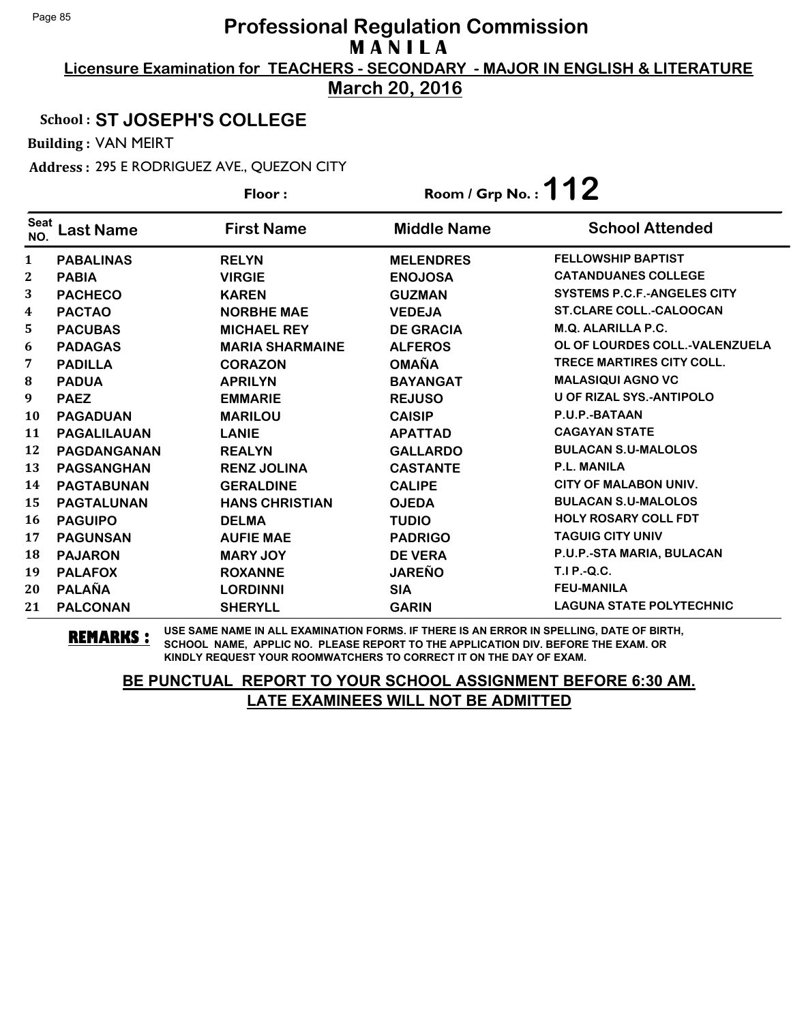**Licensure Examination for TEACHERS - SECONDARY - MAJOR IN ENGLISH & LITERATURE March 20, 2016**

## School : **ST JOSEPH'S COLLEGE**

Building : VAN MEIRT

Address : 295 E RODRIGUEZ AVE., QUEZON CITY

|                    |                    | Floor:                 | Room / Grp No. : $112$ |                                    |
|--------------------|--------------------|------------------------|------------------------|------------------------------------|
| <b>Seat</b><br>NO. | <b>Last Name</b>   | <b>First Name</b>      | <b>Middle Name</b>     | <b>School Attended</b>             |
| 1                  | <b>PABALINAS</b>   | <b>RELYN</b>           | <b>MELENDRES</b>       | <b>FELLOWSHIP BAPTIST</b>          |
| $\boldsymbol{2}$   | <b>PABIA</b>       | <b>VIRGIE</b>          | <b>ENOJOSA</b>         | <b>CATANDUANES COLLEGE</b>         |
| 3                  | <b>PACHECO</b>     | <b>KAREN</b>           | <b>GUZMAN</b>          | <b>SYSTEMS P.C.F.-ANGELES CITY</b> |
| 4                  | <b>PACTAO</b>      | <b>NORBHE MAE</b>      | <b>VEDEJA</b>          | <b>ST.CLARE COLL.-CALOOCAN</b>     |
| 5                  | <b>PACUBAS</b>     | <b>MICHAEL REY</b>     | <b>DE GRACIA</b>       | <b>M.Q. ALARILLA P.C.</b>          |
| 6                  | <b>PADAGAS</b>     | <b>MARIA SHARMAINE</b> | <b>ALFEROS</b>         | OL OF LOURDES COLL.-VALENZUELA     |
| 7                  | <b>PADILLA</b>     | <b>CORAZON</b>         | <b>OMAÑA</b>           | <b>TRECE MARTIRES CITY COLL.</b>   |
| 8                  | <b>PADUA</b>       | <b>APRILYN</b>         | <b>BAYANGAT</b>        | <b>MALASIQUI AGNO VC</b>           |
| 9                  | <b>PAEZ</b>        | <b>EMMARIE</b>         | <b>REJUSO</b>          | <b>U OF RIZAL SYS.-ANTIPOLO</b>    |
| 10                 | <b>PAGADUAN</b>    | <b>MARILOU</b>         | <b>CAISIP</b>          | P.U.P.-BATAAN                      |
| 11                 | <b>PAGALILAUAN</b> | <b>LANIE</b>           | <b>APATTAD</b>         | <b>CAGAYAN STATE</b>               |
| 12                 | PAGDANGANAN        | <b>REALYN</b>          | <b>GALLARDO</b>        | <b>BULACAN S.U-MALOLOS</b>         |
| 13                 | <b>PAGSANGHAN</b>  | <b>RENZ JOLINA</b>     | <b>CASTANTE</b>        | <b>P.L. MANILA</b>                 |
| 14                 | <b>PAGTABUNAN</b>  | <b>GERALDINE</b>       | <b>CALIPE</b>          | <b>CITY OF MALABON UNIV.</b>       |
| 15                 | <b>PAGTALUNAN</b>  | <b>HANS CHRISTIAN</b>  | <b>OJEDA</b>           | <b>BULACAN S.U-MALOLOS</b>         |
| 16                 | <b>PAGUIPO</b>     | <b>DELMA</b>           | <b>TUDIO</b>           | <b>HOLY ROSARY COLL FDT</b>        |
| 17                 | <b>PAGUNSAN</b>    | <b>AUFIE MAE</b>       | <b>PADRIGO</b>         | <b>TAGUIG CITY UNIV</b>            |
| 18                 | <b>PAJARON</b>     | <b>MARY JOY</b>        | <b>DE VERA</b>         | P.U.P.-STA MARIA, BULACAN          |
| 19                 | <b>PALAFOX</b>     | <b>ROXANNE</b>         | <b>JAREÑO</b>          | T.I P.-Q.C.                        |
| 20                 | <b>PALAÑA</b>      | <b>LORDINNI</b>        | <b>SIA</b>             | <b>FEU-MANILA</b>                  |
| 21                 | <b>PALCONAN</b>    | <b>SHERYLL</b>         | <b>GARIN</b>           | <b>LAGUNA STATE POLYTECHNIC</b>    |

**REMARKS :** USE SAME NAME IN ALL EXAMINATION FORMS. IF THERE IS AN ERROR IN SPELLING, DATE OF BIRTH, SCHOOL NAME, APPLIC NO. PLEASE REPORT TO THE APPLICATION DIV. BEFORE THE EXAM. OR KINDLY REQUEST YOUR ROOMWATCHERS TO CORRECT IT ON THE DAY OF EXAM.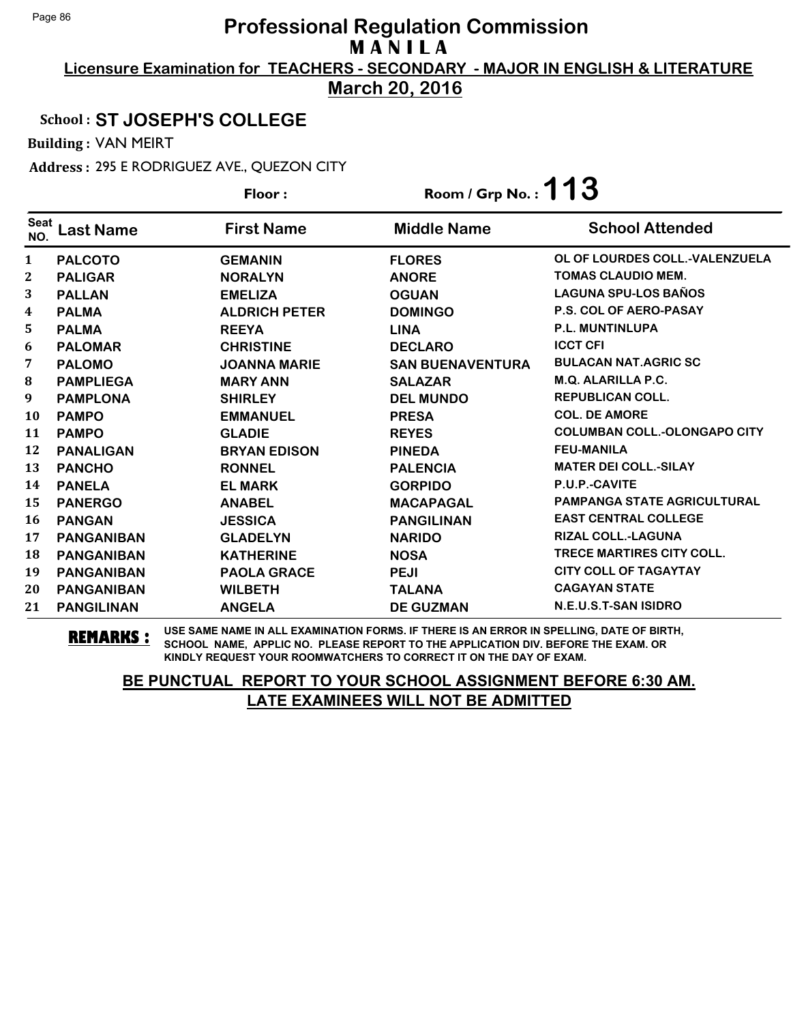**Licensure Examination for TEACHERS - SECONDARY - MAJOR IN ENGLISH & LITERATURE March 20, 2016**

## School : **ST JOSEPH'S COLLEGE**

Building : VAN MEIRT

Address : 295 E RODRIGUEZ AVE., QUEZON CITY

|                    |                   | Floor:               | Room / Grp No.: $113$   |                                     |
|--------------------|-------------------|----------------------|-------------------------|-------------------------------------|
| <b>Seat</b><br>NO. | <b>Last Name</b>  | <b>First Name</b>    | <b>Middle Name</b>      | <b>School Attended</b>              |
| $\mathbf{1}$       | <b>PALCOTO</b>    | <b>GEMANIN</b>       | <b>FLORES</b>           | OL OF LOURDES COLL.-VALENZUELA      |
| 2                  | <b>PALIGAR</b>    | <b>NORALYN</b>       | <b>ANORE</b>            | <b>TOMAS CLAUDIO MEM.</b>           |
| 3                  | <b>PALLAN</b>     | <b>EMELIZA</b>       | <b>OGUAN</b>            | <b>LAGUNA SPU-LOS BAÑOS</b>         |
| 4                  | <b>PALMA</b>      | <b>ALDRICH PETER</b> | <b>DOMINGO</b>          | P.S. COL OF AERO-PASAY              |
| 5                  | <b>PALMA</b>      | <b>REEYA</b>         | <b>LINA</b>             | <b>P.L. MUNTINLUPA</b>              |
| 6                  | <b>PALOMAR</b>    | <b>CHRISTINE</b>     | <b>DECLARO</b>          | <b>ICCT CFI</b>                     |
| 7                  | <b>PALOMO</b>     | <b>JOANNA MARIE</b>  | <b>SAN BUENAVENTURA</b> | <b>BULACAN NAT.AGRIC SC</b>         |
| 8                  | <b>PAMPLIEGA</b>  | <b>MARY ANN</b>      | <b>SALAZAR</b>          | M.Q. ALARILLA P.C.                  |
| 9                  | <b>PAMPLONA</b>   | <b>SHIRLEY</b>       | <b>DEL MUNDO</b>        | <b>REPUBLICAN COLL.</b>             |
| 10                 | <b>PAMPO</b>      | <b>EMMANUEL</b>      | <b>PRESA</b>            | <b>COL. DE AMORE</b>                |
| 11                 | <b>PAMPO</b>      | <b>GLADIE</b>        | <b>REYES</b>            | <b>COLUMBAN COLL.-OLONGAPO CITY</b> |
| 12                 | <b>PANALIGAN</b>  | <b>BRYAN EDISON</b>  | <b>PINEDA</b>           | <b>FEU-MANILA</b>                   |
| 13                 | <b>PANCHO</b>     | <b>RONNEL</b>        | <b>PALENCIA</b>         | <b>MATER DEI COLL.-SILAY</b>        |
| 14                 | <b>PANELA</b>     | <b>EL MARK</b>       | <b>GORPIDO</b>          | P.U.P.-CAVITE                       |
| 15                 | <b>PANERGO</b>    | <b>ANABEL</b>        | <b>MACAPAGAL</b>        | <b>PAMPANGA STATE AGRICULTURAL</b>  |
| <b>16</b>          | <b>PANGAN</b>     | <b>JESSICA</b>       | <b>PANGILINAN</b>       | <b>EAST CENTRAL COLLEGE</b>         |
| 17                 | <b>PANGANIBAN</b> | <b>GLADELYN</b>      | <b>NARIDO</b>           | <b>RIZAL COLL.-LAGUNA</b>           |
| 18                 | <b>PANGANIBAN</b> | <b>KATHERINE</b>     | <b>NOSA</b>             | <b>TRECE MARTIRES CITY COLL.</b>    |
| 19                 | <b>PANGANIBAN</b> | <b>PAOLA GRACE</b>   | <b>PEJI</b>             | <b>CITY COLL OF TAGAYTAY</b>        |
| 20                 | <b>PANGANIBAN</b> | <b>WILBETH</b>       | <b>TALANA</b>           | <b>CAGAYAN STATE</b>                |
| 21                 | <b>PANGILINAN</b> | <b>ANGELA</b>        | <b>DE GUZMAN</b>        | N.E.U.S.T-SAN ISIDRO                |

**REMARKS :** USE SAME NAME IN ALL EXAMINATION FORMS. IF THERE IS AN ERROR IN SPELLING, DATE OF BIRTH, SCHOOL NAME, APPLIC NO. PLEASE REPORT TO THE APPLICATION DIV. BEFORE THE EXAM. OR KINDLY REQUEST YOUR ROOMWATCHERS TO CORRECT IT ON THE DAY OF EXAM.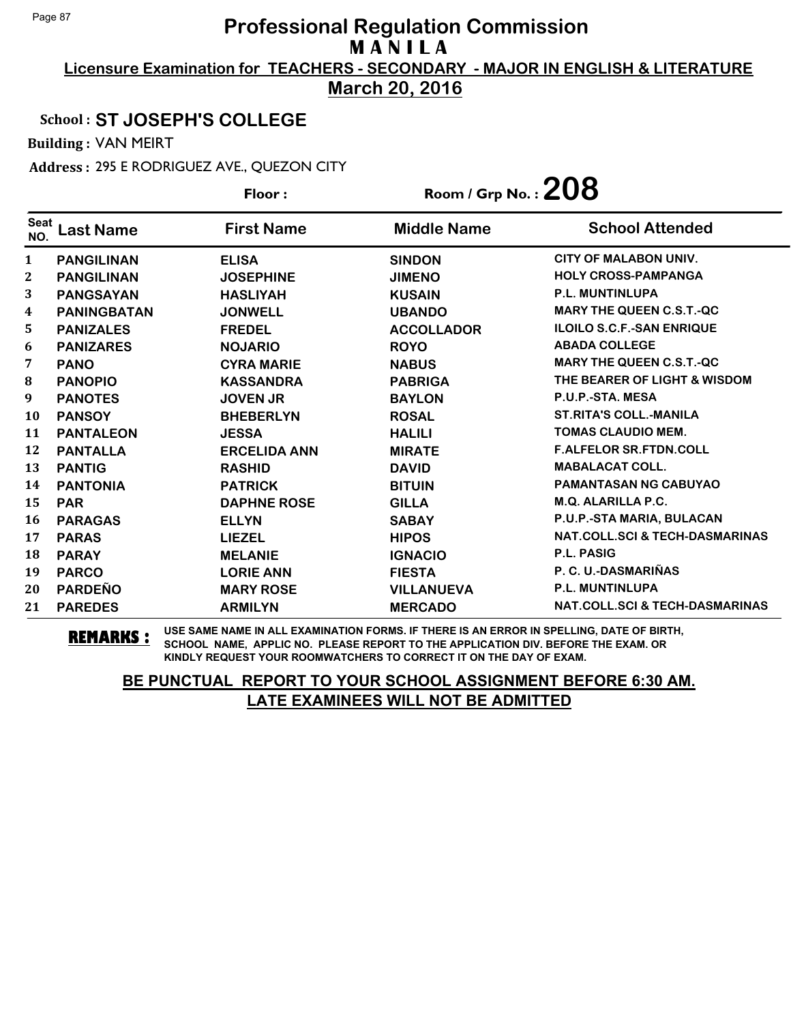**Licensure Examination for TEACHERS - SECONDARY - MAJOR IN ENGLISH & LITERATURE March 20, 2016**

## School : **ST JOSEPH'S COLLEGE**

Building : VAN MEIRT

Address : 295 E RODRIGUEZ AVE., QUEZON CITY

|                    |                    | Floor:              | Room / Grp No. : $208$ |                                           |
|--------------------|--------------------|---------------------|------------------------|-------------------------------------------|
| <b>Seat</b><br>NO. | <b>Last Name</b>   | <b>First Name</b>   | <b>Middle Name</b>     | <b>School Attended</b>                    |
| 1                  | <b>PANGILINAN</b>  | <b>ELISA</b>        | <b>SINDON</b>          | <b>CITY OF MALABON UNIV.</b>              |
| $\mathbf{2}$       | <b>PANGILINAN</b>  | <b>JOSEPHINE</b>    | <b>JIMENO</b>          | <b>HOLY CROSS-PAMPANGA</b>                |
| 3                  | <b>PANGSAYAN</b>   | <b>HASLIYAH</b>     | <b>KUSAIN</b>          | <b>P.L. MUNTINLUPA</b>                    |
| 4                  | <b>PANINGBATAN</b> | <b>JONWELL</b>      | <b>UBANDO</b>          | <b>MARY THE QUEEN C.S.T.-QC</b>           |
| 5                  | <b>PANIZALES</b>   | <b>FREDEL</b>       | <b>ACCOLLADOR</b>      | <b>ILOILO S.C.F.-SAN ENRIQUE</b>          |
| 6                  | <b>PANIZARES</b>   | <b>NOJARIO</b>      | <b>ROYO</b>            | <b>ABADA COLLEGE</b>                      |
| 7                  | <b>PANO</b>        | <b>CYRA MARIE</b>   | <b>NABUS</b>           | <b>MARY THE QUEEN C.S.T.-QC</b>           |
| 8                  | <b>PANOPIO</b>     | <b>KASSANDRA</b>    | <b>PABRIGA</b>         | THE BEARER OF LIGHT & WISDOM              |
| 9                  | <b>PANOTES</b>     | <b>JOVEN JR</b>     | <b>BAYLON</b>          | P.U.P.-STA. MESA                          |
| 10                 | <b>PANSOY</b>      | <b>BHEBERLYN</b>    | <b>ROSAL</b>           | <b>ST.RITA'S COLL.-MANILA</b>             |
| 11                 | <b>PANTALEON</b>   | <b>JESSA</b>        | <b>HALILI</b>          | <b>TOMAS CLAUDIO MEM.</b>                 |
| 12                 | <b>PANTALLA</b>    | <b>ERCELIDA ANN</b> | <b>MIRATE</b>          | <b>F.ALFELOR SR.FTDN.COLL</b>             |
| 13                 | <b>PANTIG</b>      | <b>RASHID</b>       | <b>DAVID</b>           | <b>MABALACAT COLL.</b>                    |
| 14                 | <b>PANTONIA</b>    | <b>PATRICK</b>      | <b>BITUIN</b>          | <b>PAMANTASAN NG CABUYAO</b>              |
| 15                 | <b>PAR</b>         | <b>DAPHNE ROSE</b>  | <b>GILLA</b>           | <b>M.Q. ALARILLA P.C.</b>                 |
| 16                 | <b>PARAGAS</b>     | <b>ELLYN</b>        | <b>SABAY</b>           | P.U.P.-STA MARIA, BULACAN                 |
| 17                 | <b>PARAS</b>       | <b>LIEZEL</b>       | <b>HIPOS</b>           | <b>NAT.COLL.SCI &amp; TECH-DASMARINAS</b> |
| 18                 | <b>PARAY</b>       | <b>MELANIE</b>      | <b>IGNACIO</b>         | <b>P.L. PASIG</b>                         |
| 19                 | <b>PARCO</b>       | <b>LORIE ANN</b>    | <b>FIESTA</b>          | P. C. U.-DASMARIÑAS                       |
| 20                 | <b>PARDEÑO</b>     | <b>MARY ROSE</b>    | <b>VILLANUEVA</b>      | P.L. MUNTINLUPA                           |
| 21                 | <b>PAREDES</b>     | <b>ARMILYN</b>      | <b>MERCADO</b>         | NAT.COLL.SCI & TECH-DASMARINAS            |

**REMARKS :** USE SAME NAME IN ALL EXAMINATION FORMS. IF THERE IS AN ERROR IN SPELLING, DATE OF BIRTH, SCHOOL NAME, APPLIC NO. PLEASE REPORT TO THE APPLICATION DIV. BEFORE THE EXAM. OR KINDLY REQUEST YOUR ROOMWATCHERS TO CORRECT IT ON THE DAY OF EXAM.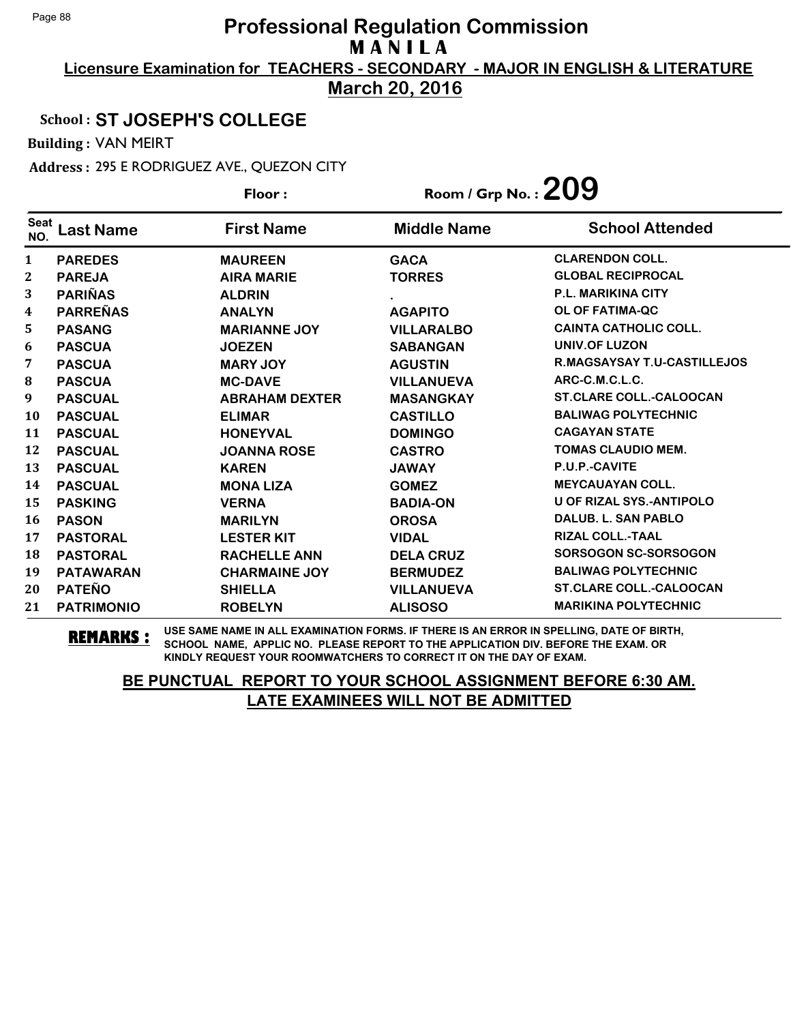**Licensure Examination for TEACHERS - SECONDARY - MAJOR IN ENGLISH & LITERATURE March 20, 2016**

#### School : **ST JOSEPH'S COLLEGE**

Building : VAN MEIRT

Address : 295 E RODRIGUEZ AVE., QUEZON CITY

|                    |                   | Floor:                | Room / Grp No. : $209$ |                                    |
|--------------------|-------------------|-----------------------|------------------------|------------------------------------|
| <b>Seat</b><br>NO. | <b>Last Name</b>  | <b>First Name</b>     | <b>Middle Name</b>     | <b>School Attended</b>             |
| 1                  | <b>PAREDES</b>    | <b>MAUREEN</b>        | <b>GACA</b>            | <b>CLARENDON COLL.</b>             |
| 2                  | <b>PAREJA</b>     | <b>AIRA MARIE</b>     | <b>TORRES</b>          | <b>GLOBAL RECIPROCAL</b>           |
| 3                  | <b>PARIÑAS</b>    | <b>ALDRIN</b>         |                        | <b>P.L. MARIKINA CITY</b>          |
| 4                  | <b>PARREÑAS</b>   | <b>ANALYN</b>         | <b>AGAPITO</b>         | <b>OL OF FATIMA-QC</b>             |
| 5                  | <b>PASANG</b>     | <b>MARIANNE JOY</b>   | <b>VILLARALBO</b>      | <b>CAINTA CATHOLIC COLL.</b>       |
| 6                  | <b>PASCUA</b>     | <b>JOEZEN</b>         | <b>SABANGAN</b>        | <b>UNIV.OF LUZON</b>               |
| 7                  | <b>PASCUA</b>     | <b>MARY JOY</b>       | <b>AGUSTIN</b>         | <b>R.MAGSAYSAY T.U-CASTILLEJOS</b> |
| 8                  | <b>PASCUA</b>     | <b>MC-DAVE</b>        | <b>VILLANUEVA</b>      | ARC-C.M.C.L.C.                     |
| 9                  | <b>PASCUAL</b>    | <b>ABRAHAM DEXTER</b> | <b>MASANGKAY</b>       | <b>ST.CLARE COLL.-CALOOCAN</b>     |
| <b>10</b>          | <b>PASCUAL</b>    | <b>ELIMAR</b>         | <b>CASTILLO</b>        | <b>BALIWAG POLYTECHNIC</b>         |
| 11                 | <b>PASCUAL</b>    | <b>HONEYVAL</b>       | <b>DOMINGO</b>         | <b>CAGAYAN STATE</b>               |
| 12                 | <b>PASCUAL</b>    | <b>JOANNA ROSE</b>    | <b>CASTRO</b>          | <b>TOMAS CLAUDIO MEM.</b>          |
| 13                 | <b>PASCUAL</b>    | <b>KAREN</b>          | <b>JAWAY</b>           | P.U.P.-CAVITE                      |
| 14                 | <b>PASCUAL</b>    | <b>MONA LIZA</b>      | <b>GOMEZ</b>           | <b>MEYCAUAYAN COLL.</b>            |
| 15                 | <b>PASKING</b>    | <b>VERNA</b>          | <b>BADIA-ON</b>        | <b>U OF RIZAL SYS.-ANTIPOLO</b>    |
| 16                 | <b>PASON</b>      | <b>MARILYN</b>        | <b>OROSA</b>           | <b>DALUB. L. SAN PABLO</b>         |
| 17                 | <b>PASTORAL</b>   | <b>LESTER KIT</b>     | <b>VIDAL</b>           | <b>RIZAL COLL.-TAAL</b>            |
| 18                 | <b>PASTORAL</b>   | <b>RACHELLE ANN</b>   | <b>DELA CRUZ</b>       | <b>SORSOGON SC-SORSOGON</b>        |
| 19                 | <b>PATAWARAN</b>  | <b>CHARMAINE JOY</b>  | <b>BERMUDEZ</b>        | <b>BALIWAG POLYTECHNIC</b>         |
| 20                 | <b>PATEÑO</b>     | <b>SHIELLA</b>        | <b>VILLANUEVA</b>      | <b>ST.CLARE COLL.-CALOOCAN</b>     |
| 21                 | <b>PATRIMONIO</b> | <b>ROBELYN</b>        | <b>ALISOSO</b>         | <b>MARIKINA POLYTECHNIC</b>        |

**REMARKS :** USE SAME NAME IN ALL EXAMINATION FORMS. IF THERE IS AN ERROR IN SPELLING, DATE OF BIRTH, SCHOOL NAME, APPLIC NO. PLEASE REPORT TO THE APPLICATION DIV. BEFORE THE EXAM. OR KINDLY REQUEST YOUR ROOMWATCHERS TO CORRECT IT ON THE DAY OF EXAM.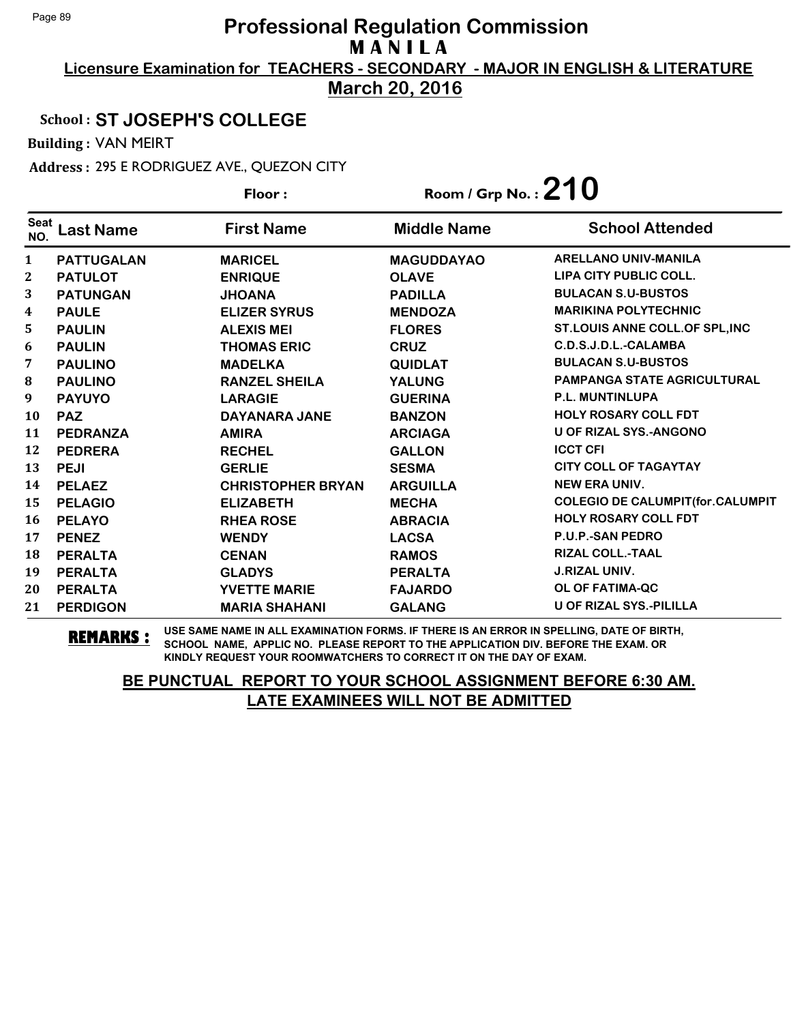**Licensure Examination for TEACHERS - SECONDARY - MAJOR IN ENGLISH & LITERATURE March 20, 2016**

## School : **ST JOSEPH'S COLLEGE**

Building : VAN MEIRT

Address : 295 E RODRIGUEZ AVE., QUEZON CITY

|                    |                   | Floor:                   | Room / Grp No.: $210$ |                                         |
|--------------------|-------------------|--------------------------|-----------------------|-----------------------------------------|
| <b>Seat</b><br>NO. | <b>Last Name</b>  | <b>First Name</b>        | <b>Middle Name</b>    | <b>School Attended</b>                  |
| 1                  | <b>PATTUGALAN</b> | <b>MARICEL</b>           | <b>MAGUDDAYAO</b>     | <b>ARELLANO UNIV-MANILA</b>             |
| 2                  | <b>PATULOT</b>    | <b>ENRIQUE</b>           | <b>OLAVE</b>          | <b>LIPA CITY PUBLIC COLL.</b>           |
| 3                  | <b>PATUNGAN</b>   | <b>JHOANA</b>            | <b>PADILLA</b>        | <b>BULACAN S.U-BUSTOS</b>               |
| 4                  | <b>PAULE</b>      | <b>ELIZER SYRUS</b>      | <b>MENDOZA</b>        | <b>MARIKINA POLYTECHNIC</b>             |
| 5                  | <b>PAULIN</b>     | <b>ALEXIS MEI</b>        | <b>FLORES</b>         | ST.LOUIS ANNE COLL.OF SPL, INC          |
| 6                  | <b>PAULIN</b>     | <b>THOMAS ERIC</b>       | <b>CRUZ</b>           | C.D.S.J.D.L.-CALAMBA                    |
| 7                  | <b>PAULINO</b>    | <b>MADELKA</b>           | <b>QUIDLAT</b>        | <b>BULACAN S.U-BUSTOS</b>               |
| 8                  | <b>PAULINO</b>    | <b>RANZEL SHEILA</b>     | <b>YALUNG</b>         | <b>PAMPANGA STATE AGRICULTURAL</b>      |
| 9                  | <b>PAYUYO</b>     | <b>LARAGIE</b>           | <b>GUERINA</b>        | <b>P.L. MUNTINLUPA</b>                  |
| 10                 | <b>PAZ</b>        | DAYANARA JANE            | <b>BANZON</b>         | <b>HOLY ROSARY COLL FDT</b>             |
| 11                 | <b>PEDRANZA</b>   | <b>AMIRA</b>             | <b>ARCIAGA</b>        | <b>U OF RIZAL SYS.-ANGONO</b>           |
| 12                 | <b>PEDRERA</b>    | <b>RECHEL</b>            | <b>GALLON</b>         | <b>ICCT CFI</b>                         |
| 13                 | <b>PEJI</b>       | <b>GERLIE</b>            | <b>SESMA</b>          | <b>CITY COLL OF TAGAYTAY</b>            |
| 14                 | <b>PELAEZ</b>     | <b>CHRISTOPHER BRYAN</b> | <b>ARGUILLA</b>       | <b>NEW ERA UNIV.</b>                    |
| 15                 | <b>PELAGIO</b>    | <b>ELIZABETH</b>         | <b>MECHA</b>          | <b>COLEGIO DE CALUMPIT(for.CALUMPIT</b> |
| 16                 | <b>PELAYO</b>     | <b>RHEA ROSE</b>         | <b>ABRACIA</b>        | <b>HOLY ROSARY COLL FDT</b>             |
| 17                 | <b>PENEZ</b>      | <b>WENDY</b>             | <b>LACSA</b>          | P.U.P.-SAN PEDRO                        |
| 18                 | <b>PERALTA</b>    | <b>CENAN</b>             | <b>RAMOS</b>          | <b>RIZAL COLL.-TAAL</b>                 |
| 19                 | <b>PERALTA</b>    | <b>GLADYS</b>            | <b>PERALTA</b>        | <b>J.RIZAL UNIV.</b>                    |
| 20                 | <b>PERALTA</b>    | <b>YVETTE MARIE</b>      | <b>FAJARDO</b>        | OL OF FATIMA-QC                         |
| 21                 | <b>PERDIGON</b>   | <b>MARIA SHAHANI</b>     | <b>GALANG</b>         | <b>U OF RIZAL SYS.-PILILLA</b>          |

**REMARKS :** USE SAME NAME IN ALL EXAMINATION FORMS. IF THERE IS AN ERROR IN SPELLING, DATE OF BIRTH, SCHOOL NAME, APPLIC NO. PLEASE REPORT TO THE APPLICATION DIV. BEFORE THE EXAM. OR KINDLY REQUEST YOUR ROOMWATCHERS TO CORRECT IT ON THE DAY OF EXAM.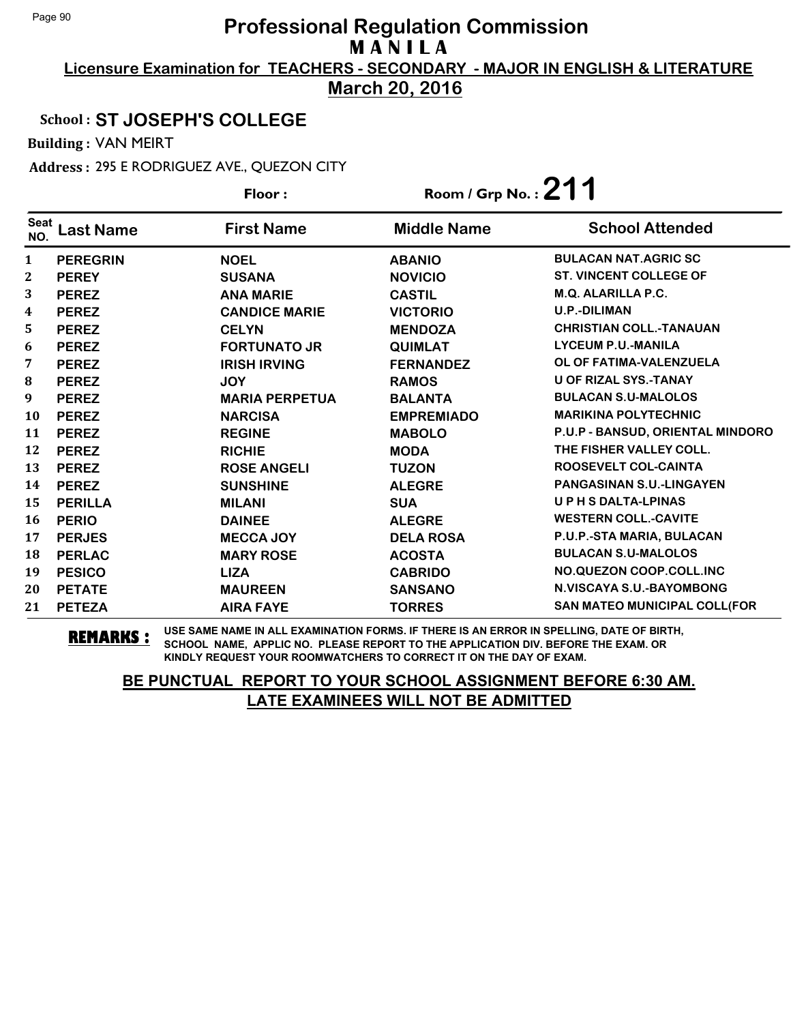**Licensure Examination for TEACHERS - SECONDARY - MAJOR IN ENGLISH & LITERATURE March 20, 2016**

School : **ST JOSEPH'S COLLEGE**

Building : VAN MEIRT

Address : 295 E RODRIGUEZ AVE., QUEZON CITY

|                    |                 | Floor:                | Room / Grp No. : $211$ |                                     |
|--------------------|-----------------|-----------------------|------------------------|-------------------------------------|
| <b>Seat</b><br>NO. | Last Name       | <b>First Name</b>     | <b>Middle Name</b>     | <b>School Attended</b>              |
| 1                  | <b>PEREGRIN</b> | <b>NOEL</b>           | <b>ABANIO</b>          | <b>BULACAN NAT.AGRIC SC</b>         |
| 2                  | <b>PEREY</b>    | <b>SUSANA</b>         | <b>NOVICIO</b>         | <b>ST. VINCENT COLLEGE OF</b>       |
| 3                  | <b>PEREZ</b>    | <b>ANA MARIE</b>      | <b>CASTIL</b>          | <b>M.Q. ALARILLA P.C.</b>           |
| 4                  | <b>PEREZ</b>    | <b>CANDICE MARIE</b>  | <b>VICTORIO</b>        | <b>U.P.-DILIMAN</b>                 |
| 5.                 | <b>PEREZ</b>    | <b>CELYN</b>          | <b>MENDOZA</b>         | <b>CHRISTIAN COLL.-TANAUAN</b>      |
| 6                  | <b>PEREZ</b>    | <b>FORTUNATO JR</b>   | <b>QUIMLAT</b>         | <b>LYCEUM P.U.-MANILA</b>           |
| 7                  | <b>PEREZ</b>    | <b>IRISH IRVING</b>   | <b>FERNANDEZ</b>       | OL OF FATIMA-VALENZUELA             |
| 8                  | <b>PEREZ</b>    | <b>JOY</b>            | <b>RAMOS</b>           | <b>U OF RIZAL SYS.-TANAY</b>        |
| 9                  | <b>PEREZ</b>    | <b>MARIA PERPETUA</b> | <b>BALANTA</b>         | <b>BULACAN S.U-MALOLOS</b>          |
| 10                 | <b>PEREZ</b>    | <b>NARCISA</b>        | <b>EMPREMIADO</b>      | <b>MARIKINA POLYTECHNIC</b>         |
| 11                 | <b>PEREZ</b>    | <b>REGINE</b>         | <b>MABOLO</b>          | P.U.P - BANSUD, ORIENTAL MINDORO    |
| 12                 | <b>PEREZ</b>    | <b>RICHIE</b>         | <b>MODA</b>            | THE FISHER VALLEY COLL.             |
| 13                 | <b>PEREZ</b>    | <b>ROSE ANGELI</b>    | <b>TUZON</b>           | ROOSEVELT COL-CAINTA                |
| 14                 | <b>PEREZ</b>    | <b>SUNSHINE</b>       | <b>ALEGRE</b>          | <b>PANGASINAN S.U.-LINGAYEN</b>     |
| 15                 | <b>PERILLA</b>  | <b>MILANI</b>         | <b>SUA</b>             | <b>UPHSDALTA-LPINAS</b>             |
| 16                 | <b>PERIO</b>    | <b>DAINEE</b>         | <b>ALEGRE</b>          | <b>WESTERN COLL.-CAVITE</b>         |
| 17                 | <b>PERJES</b>   | <b>MECCA JOY</b>      | <b>DELA ROSA</b>       | P.U.P.-STA MARIA, BULACAN           |
| 18                 | <b>PERLAC</b>   | <b>MARY ROSE</b>      | <b>ACOSTA</b>          | <b>BULACAN S.U-MALOLOS</b>          |
| 19                 | <b>PESICO</b>   | <b>LIZA</b>           | <b>CABRIDO</b>         | NO.QUEZON COOP.COLL.INC             |
| 20                 | <b>PETATE</b>   | <b>MAUREEN</b>        | <b>SANSANO</b>         | N.VISCAYA S.U.-BAYOMBONG            |
| 21                 | <b>PETEZA</b>   | <b>AIRA FAYE</b>      | <b>TORRES</b>          | <b>SAN MATEO MUNICIPAL COLL(FOR</b> |

**REMARKS :** USE SAME NAME IN ALL EXAMINATION FORMS. IF THERE IS AN ERROR IN SPELLING, DATE OF BIRTH, SCHOOL NAME, APPLIC NO. PLEASE REPORT TO THE APPLICATION DIV. BEFORE THE EXAM. OR KINDLY REQUEST YOUR ROOMWATCHERS TO CORRECT IT ON THE DAY OF EXAM.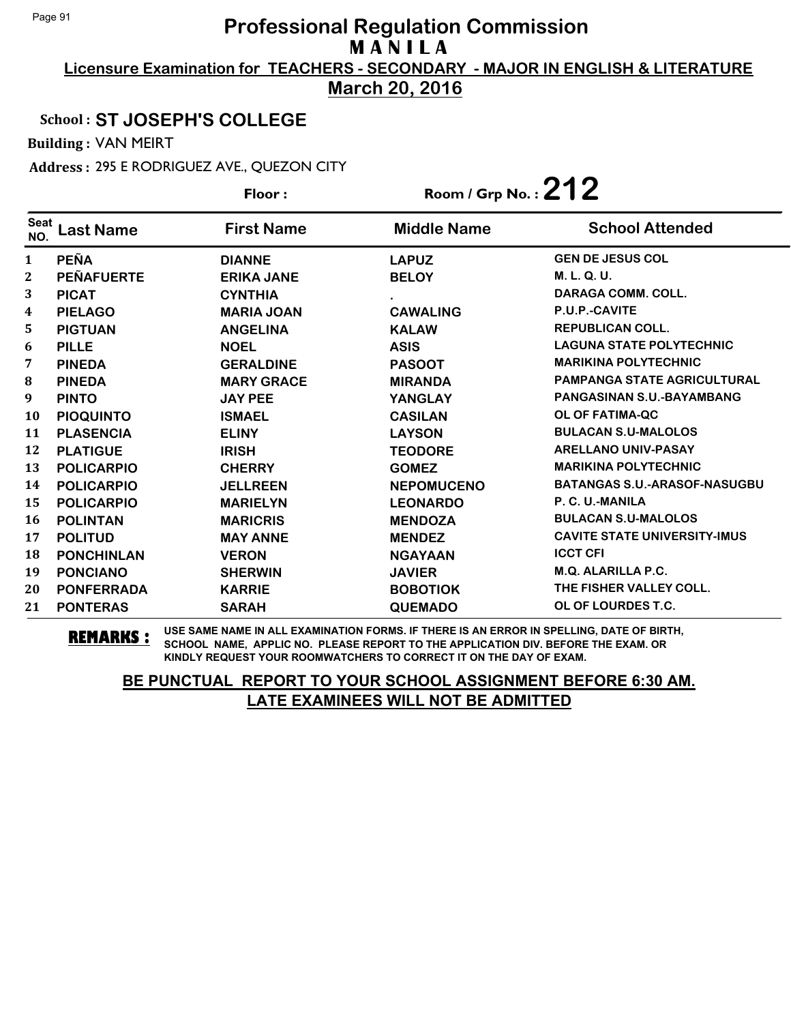**Licensure Examination for TEACHERS - SECONDARY - MAJOR IN ENGLISH & LITERATURE March 20, 2016**

## School : **ST JOSEPH'S COLLEGE**

Building : VAN MEIRT

Address : 295 E RODRIGUEZ AVE., QUEZON CITY

|                    |                   | Floor:            | Room / Grp No.: $212$ |                                     |
|--------------------|-------------------|-------------------|-----------------------|-------------------------------------|
| <b>Seat</b><br>NO. | <b>Last Name</b>  | <b>First Name</b> | <b>Middle Name</b>    | <b>School Attended</b>              |
| $\mathbf{1}$       | <b>PEÑA</b>       | <b>DIANNE</b>     | <b>LAPUZ</b>          | <b>GEN DE JESUS COL</b>             |
| $\mathbf{2}$       | <b>PEÑAFUERTE</b> | <b>ERIKA JANE</b> | <b>BELOY</b>          | M. L. Q. U.                         |
| 3                  | <b>PICAT</b>      | <b>CYNTHIA</b>    |                       | <b>DARAGA COMM. COLL.</b>           |
| 4                  | <b>PIELAGO</b>    | <b>MARIA JOAN</b> | <b>CAWALING</b>       | P.U.P.-CAVITE                       |
| 5                  | <b>PIGTUAN</b>    | <b>ANGELINA</b>   | <b>KALAW</b>          | <b>REPUBLICAN COLL.</b>             |
| 6                  | <b>PILLE</b>      | <b>NOEL</b>       | <b>ASIS</b>           | <b>LAGUNA STATE POLYTECHNIC</b>     |
| 7                  | <b>PINEDA</b>     | <b>GERALDINE</b>  | <b>PASOOT</b>         | <b>MARIKINA POLYTECHNIC</b>         |
| 8                  | <b>PINEDA</b>     | <b>MARY GRACE</b> | <b>MIRANDA</b>        | <b>PAMPANGA STATE AGRICULTURAL</b>  |
| 9                  | <b>PINTO</b>      | <b>JAY PEE</b>    | <b>YANGLAY</b>        | PANGASINAN S.U.-BAYAMBANG           |
| 10                 | <b>PIOQUINTO</b>  | <b>ISMAEL</b>     | <b>CASILAN</b>        | <b>OL OF FATIMA-QC</b>              |
| 11                 | <b>PLASENCIA</b>  | <b>ELINY</b>      | <b>LAYSON</b>         | <b>BULACAN S.U-MALOLOS</b>          |
| 12                 | <b>PLATIGUE</b>   | <b>IRISH</b>      | <b>TEODORE</b>        | <b>ARELLANO UNIV-PASAY</b>          |
| 13                 | <b>POLICARPIO</b> | <b>CHERRY</b>     | <b>GOMEZ</b>          | <b>MARIKINA POLYTECHNIC</b>         |
| 14                 | <b>POLICARPIO</b> | <b>JELLREEN</b>   | <b>NEPOMUCENO</b>     | <b>BATANGAS S.U.-ARASOF-NASUGBU</b> |
| 15                 | <b>POLICARPIO</b> | <b>MARIELYN</b>   | <b>LEONARDO</b>       | P. C. U.-MANILA                     |
| <b>16</b>          | <b>POLINTAN</b>   | <b>MARICRIS</b>   | <b>MENDOZA</b>        | <b>BULACAN S.U-MALOLOS</b>          |
| 17                 | <b>POLITUD</b>    | <b>MAY ANNE</b>   | <b>MENDEZ</b>         | <b>CAVITE STATE UNIVERSITY-IMUS</b> |
| 18                 | <b>PONCHINLAN</b> | <b>VERON</b>      | <b>NGAYAAN</b>        | <b>ICCT CFI</b>                     |
| 19                 | <b>PONCIANO</b>   | <b>SHERWIN</b>    | <b>JAVIER</b>         | <b>M.Q. ALARILLA P.C.</b>           |
| 20                 | <b>PONFERRADA</b> | <b>KARRIE</b>     | <b>BOBOTIOK</b>       | THE FISHER VALLEY COLL.             |
| 21                 | <b>PONTERAS</b>   | <b>SARAH</b>      | <b>QUEMADO</b>        | OL OF LOURDES T.C.                  |

**REMARKS :** USE SAME NAME IN ALL EXAMINATION FORMS. IF THERE IS AN ERROR IN SPELLING, DATE OF BIRTH, SCHOOL NAME, APPLIC NO. PLEASE REPORT TO THE APPLICATION DIV. BEFORE THE EXAM. OR KINDLY REQUEST YOUR ROOMWATCHERS TO CORRECT IT ON THE DAY OF EXAM.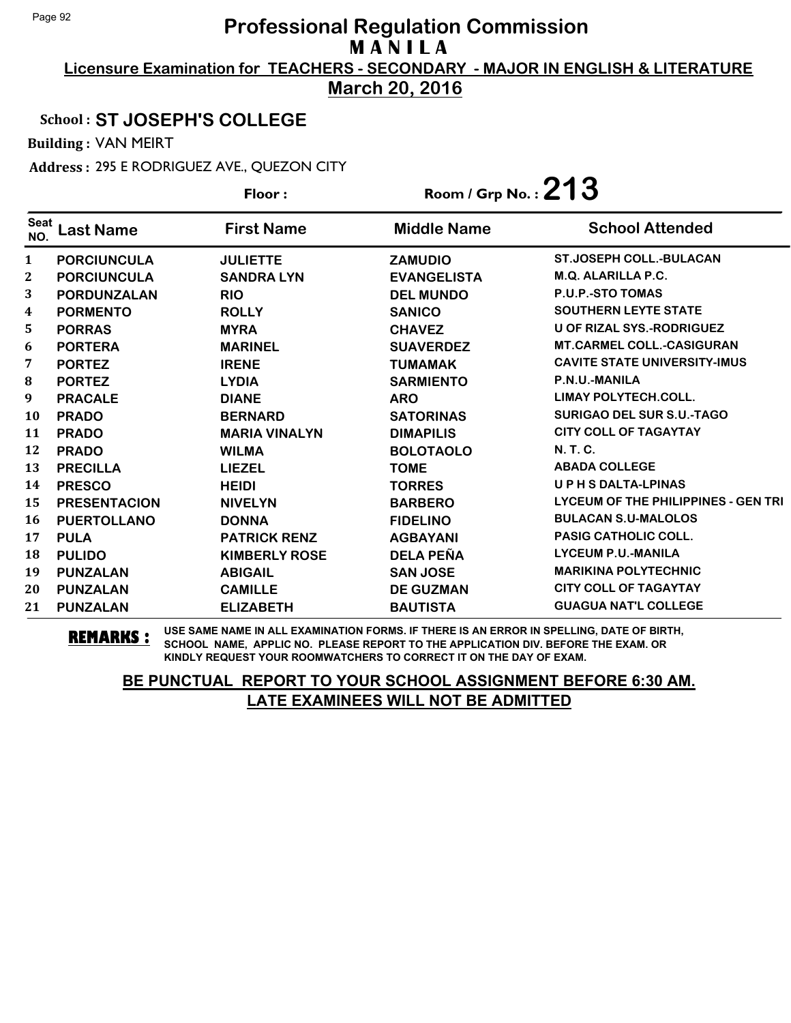**Licensure Examination for TEACHERS - SECONDARY - MAJOR IN ENGLISH & LITERATURE March 20, 2016**

## School : **ST JOSEPH'S COLLEGE**

Building : VAN MEIRT

Address : 295 E RODRIGUEZ AVE., QUEZON CITY

|                    |                     | Floor:               | Room / Grp No.: $213$ |                                            |
|--------------------|---------------------|----------------------|-----------------------|--------------------------------------------|
| <b>Seat</b><br>NO. | <b>Last Name</b>    | <b>First Name</b>    | <b>Middle Name</b>    | <b>School Attended</b>                     |
| $\mathbf{1}$       | <b>PORCIUNCULA</b>  | <b>JULIETTE</b>      | <b>ZAMUDIO</b>        | <b>ST.JOSEPH COLL.-BULACAN</b>             |
| 2                  | <b>PORCIUNCULA</b>  | <b>SANDRA LYN</b>    | <b>EVANGELISTA</b>    | M.Q. ALARILLA P.C.                         |
| 3                  | PORDUNZALAN         | <b>RIO</b>           | <b>DEL MUNDO</b>      | <b>P.U.P.-STO TOMAS</b>                    |
| 4                  | <b>PORMENTO</b>     | <b>ROLLY</b>         | <b>SANICO</b>         | <b>SOUTHERN LEYTE STATE</b>                |
| 5                  | <b>PORRAS</b>       | <b>MYRA</b>          | <b>CHAVEZ</b>         | <b>U OF RIZAL SYS.-RODRIGUEZ</b>           |
| 6                  | <b>PORTERA</b>      | <b>MARINEL</b>       | <b>SUAVERDEZ</b>      | <b>MT.CARMEL COLL.-CASIGURAN</b>           |
| 7                  | <b>PORTEZ</b>       | <b>IRENE</b>         | <b>TUMAMAK</b>        | <b>CAVITE STATE UNIVERSITY-IMUS</b>        |
| 8                  | <b>PORTEZ</b>       | <b>LYDIA</b>         | <b>SARMIENTO</b>      | P.N.U.-MANILA                              |
| 9                  | <b>PRACALE</b>      | <b>DIANE</b>         | <b>ARO</b>            | <b>LIMAY POLYTECH.COLL.</b>                |
| <b>10</b>          | <b>PRADO</b>        | <b>BERNARD</b>       | <b>SATORINAS</b>      | <b>SURIGAO DEL SUR S.U.-TAGO</b>           |
| 11                 | <b>PRADO</b>        | <b>MARIA VINALYN</b> | <b>DIMAPILIS</b>      | <b>CITY COLL OF TAGAYTAY</b>               |
| 12                 | <b>PRADO</b>        | <b>WILMA</b>         | <b>BOLOTAOLO</b>      | N. T. C.                                   |
| 13                 | <b>PRECILLA</b>     | <b>LIEZEL</b>        | <b>TOME</b>           | <b>ABADA COLLEGE</b>                       |
| 14                 | <b>PRESCO</b>       | <b>HEIDI</b>         | <b>TORRES</b>         | UPHSDALTA-LPINAS                           |
| 15                 | <b>PRESENTACION</b> | <b>NIVELYN</b>       | <b>BARBERO</b>        | <b>LYCEUM OF THE PHILIPPINES - GEN TRI</b> |
| <b>16</b>          | <b>PUERTOLLANO</b>  | <b>DONNA</b>         | <b>FIDELINO</b>       | <b>BULACAN S.U-MALOLOS</b>                 |
| 17                 | <b>PULA</b>         | <b>PATRICK RENZ</b>  | <b>AGBAYANI</b>       | <b>PASIG CATHOLIC COLL.</b>                |
| 18                 | <b>PULIDO</b>       | <b>KIMBERLY ROSE</b> | <b>DELA PEÑA</b>      | <b>LYCEUM P.U.-MANILA</b>                  |
| 19                 | <b>PUNZALAN</b>     | <b>ABIGAIL</b>       | <b>SAN JOSE</b>       | <b>MARIKINA POLYTECHNIC</b>                |
| 20                 | <b>PUNZALAN</b>     | <b>CAMILLE</b>       | <b>DE GUZMAN</b>      | <b>CITY COLL OF TAGAYTAY</b>               |
| 21                 | <b>PUNZALAN</b>     | <b>ELIZABETH</b>     | <b>BAUTISTA</b>       | <b>GUAGUA NAT'L COLLEGE</b>                |

**REMARKS :** USE SAME NAME IN ALL EXAMINATION FORMS. IF THERE IS AN ERROR IN SPELLING, DATE OF BIRTH, SCHOOL NAME, APPLIC NO. PLEASE REPORT TO THE APPLICATION DIV. BEFORE THE EXAM. OR KINDLY REQUEST YOUR ROOMWATCHERS TO CORRECT IT ON THE DAY OF EXAM.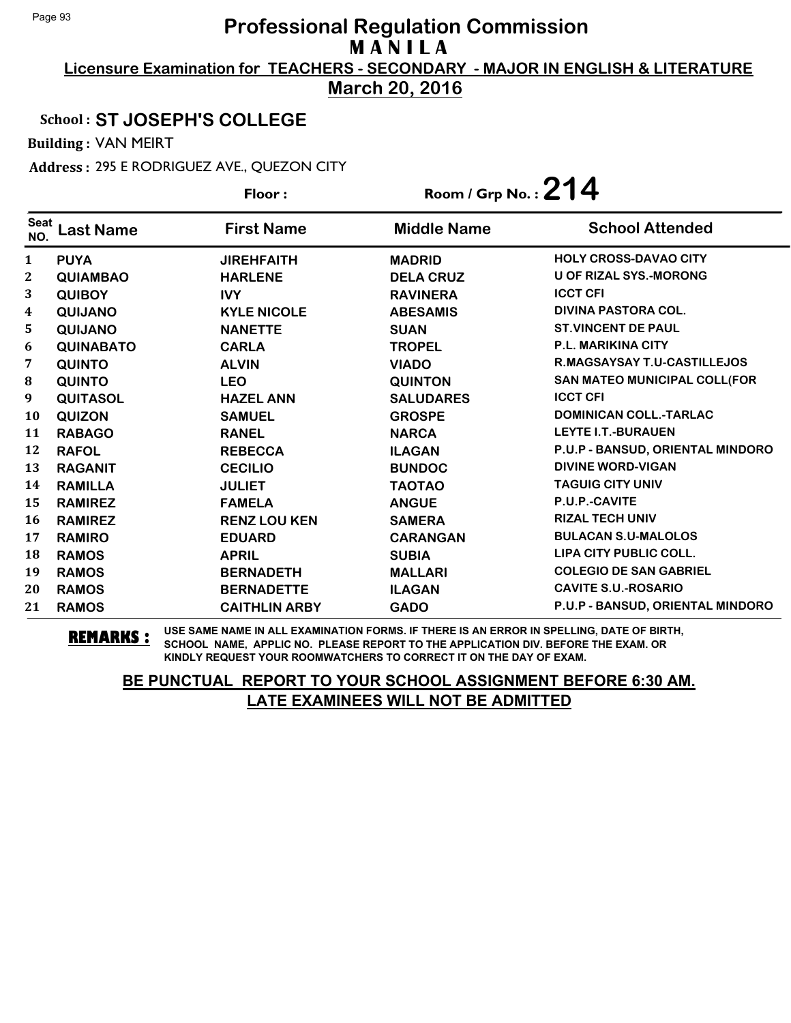**Licensure Examination for TEACHERS - SECONDARY - MAJOR IN ENGLISH & LITERATURE March 20, 2016**

## School : **ST JOSEPH'S COLLEGE**

Building : VAN MEIRT

Address : 295 E RODRIGUEZ AVE., QUEZON CITY

|                    |                  | Floor:               | Room / Grp No.: $214$ |                                  |
|--------------------|------------------|----------------------|-----------------------|----------------------------------|
| <b>Seat</b><br>NO. | <b>Last Name</b> | <b>First Name</b>    | <b>Middle Name</b>    | <b>School Attended</b>           |
| $\mathbf{1}$       | <b>PUYA</b>      | <b>JIREHFAITH</b>    | <b>MADRID</b>         | <b>HOLY CROSS-DAVAO CITY</b>     |
| 2                  | <b>QUIAMBAO</b>  | <b>HARLENE</b>       | <b>DELA CRUZ</b>      | <b>U OF RIZAL SYS.-MORONG</b>    |
| 3                  | <b>QUIBOY</b>    | <b>IVY</b>           | <b>RAVINERA</b>       | <b>ICCT CFI</b>                  |
| 4                  | <b>QUIJANO</b>   | <b>KYLE NICOLE</b>   | <b>ABESAMIS</b>       | DIVINA PASTORA COL.              |
| 5                  | <b>QUIJANO</b>   | <b>NANETTE</b>       | <b>SUAN</b>           | <b>ST.VINCENT DE PAUL</b>        |
| 6                  | <b>QUINABATO</b> | <b>CARLA</b>         | <b>TROPEL</b>         | <b>P.L. MARIKINA CITY</b>        |
| 7                  | <b>QUINTO</b>    | <b>ALVIN</b>         | <b>VIADO</b>          | R.MAGSAYSAY T.U-CASTILLEJOS      |
| 8                  | <b>QUINTO</b>    | <b>LEO</b>           | <b>QUINTON</b>        | SAN MATEO MUNICIPAL COLL(FOR     |
| 9                  | <b>QUITASOL</b>  | <b>HAZEL ANN</b>     | <b>SALUDARES</b>      | <b>ICCT CFI</b>                  |
| <b>10</b>          | <b>QUIZON</b>    | <b>SAMUEL</b>        | <b>GROSPE</b>         | <b>DOMINICAN COLL.-TARLAC</b>    |
| 11                 | <b>RABAGO</b>    | <b>RANEL</b>         | <b>NARCA</b>          | <b>LEYTE I.T.-BURAUEN</b>        |
| 12                 | <b>RAFOL</b>     | <b>REBECCA</b>       | <b>ILAGAN</b>         | P.U.P - BANSUD, ORIENTAL MINDORO |
| 13                 | <b>RAGANIT</b>   | <b>CECILIO</b>       | <b>BUNDOC</b>         | <b>DIVINE WORD-VIGAN</b>         |
| 14                 | <b>RAMILLA</b>   | <b>JULIET</b>        | <b>TAOTAO</b>         | <b>TAGUIG CITY UNIV</b>          |
| 15                 | <b>RAMIREZ</b>   | <b>FAMELA</b>        | <b>ANGUE</b>          | P.U.P.-CAVITE                    |
| 16                 | <b>RAMIREZ</b>   | <b>RENZ LOU KEN</b>  | <b>SAMERA</b>         | <b>RIZAL TECH UNIV</b>           |
| 17                 | <b>RAMIRO</b>    | <b>EDUARD</b>        | <b>CARANGAN</b>       | <b>BULACAN S.U-MALOLOS</b>       |
| 18                 | <b>RAMOS</b>     | <b>APRIL</b>         | <b>SUBIA</b>          | LIPA CITY PUBLIC COLL.           |
| 19                 | <b>RAMOS</b>     | <b>BERNADETH</b>     | <b>MALLARI</b>        | <b>COLEGIO DE SAN GABRIEL</b>    |
| 20                 | <b>RAMOS</b>     | <b>BERNADETTE</b>    | <b>ILAGAN</b>         | <b>CAVITE S.U.-ROSARIO</b>       |
| 21                 | <b>RAMOS</b>     | <b>CAITHLIN ARBY</b> | <b>GADO</b>           | P.U.P - BANSUD, ORIENTAL MINDORO |

**REMARKS :** USE SAME NAME IN ALL EXAMINATION FORMS. IF THERE IS AN ERROR IN SPELLING, DATE OF BIRTH, SCHOOL NAME, APPLIC NO. PLEASE REPORT TO THE APPLICATION DIV. BEFORE THE EXAM. OR KINDLY REQUEST YOUR ROOMWATCHERS TO CORRECT IT ON THE DAY OF EXAM.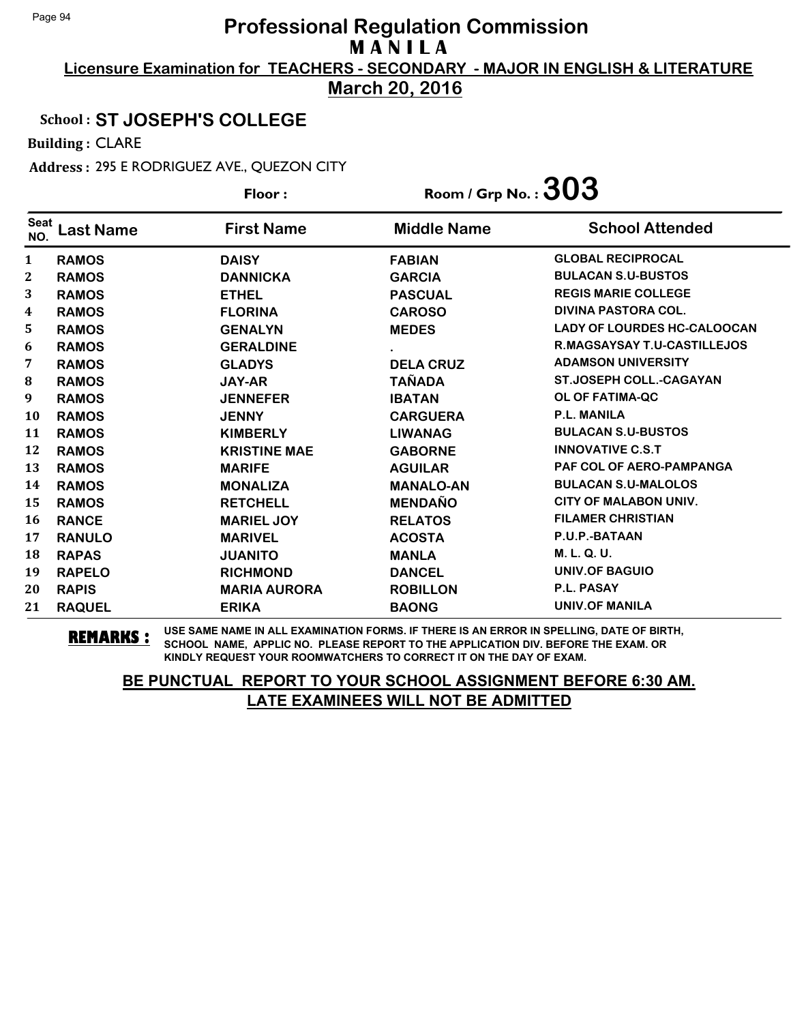**Licensure Examination for TEACHERS - SECONDARY - MAJOR IN ENGLISH & LITERATURE March 20, 2016**

#### School : **ST JOSEPH'S COLLEGE**

Building : CLARE

Address : 295 E RODRIGUEZ AVE., QUEZON CITY

|                    |                  | Floor:              | Room / Grp No. : $303$ |                                    |
|--------------------|------------------|---------------------|------------------------|------------------------------------|
| <b>Seat</b><br>NO. | <b>Last Name</b> | <b>First Name</b>   | <b>Middle Name</b>     | <b>School Attended</b>             |
| 1                  | <b>RAMOS</b>     | <b>DAISY</b>        | <b>FABIAN</b>          | <b>GLOBAL RECIPROCAL</b>           |
| $\mathbf{2}$       | <b>RAMOS</b>     | <b>DANNICKA</b>     | <b>GARCIA</b>          | <b>BULACAN S.U-BUSTOS</b>          |
| 3                  | <b>RAMOS</b>     | <b>ETHEL</b>        | <b>PASCUAL</b>         | <b>REGIS MARIE COLLEGE</b>         |
| 4                  | <b>RAMOS</b>     | <b>FLORINA</b>      | <b>CAROSO</b>          | <b>DIVINA PASTORA COL.</b>         |
| 5                  | <b>RAMOS</b>     | <b>GENALYN</b>      | <b>MEDES</b>           | <b>LADY OF LOURDES HC-CALOOCAN</b> |
| 6                  | <b>RAMOS</b>     | <b>GERALDINE</b>    |                        | <b>R.MAGSAYSAY T.U-CASTILLEJOS</b> |
| 7                  | <b>RAMOS</b>     | <b>GLADYS</b>       | <b>DELA CRUZ</b>       | <b>ADAMSON UNIVERSITY</b>          |
| 8                  | <b>RAMOS</b>     | <b>JAY-AR</b>       | <b>TAÑADA</b>          | <b>ST.JOSEPH COLL.-CAGAYAN</b>     |
| 9                  | <b>RAMOS</b>     | <b>JENNEFER</b>     | <b>IBATAN</b>          | <b>OL OF FATIMA-QC</b>             |
| 10                 | <b>RAMOS</b>     | <b>JENNY</b>        | <b>CARGUERA</b>        | <b>P.L. MANILA</b>                 |
| 11                 | <b>RAMOS</b>     | <b>KIMBERLY</b>     | <b>LIWANAG</b>         | <b>BULACAN S.U-BUSTOS</b>          |
| 12                 | <b>RAMOS</b>     | <b>KRISTINE MAE</b> | <b>GABORNE</b>         | <b>INNOVATIVE C.S.T</b>            |
| 13                 | <b>RAMOS</b>     | <b>MARIFE</b>       | <b>AGUILAR</b>         | <b>PAF COL OF AERO-PAMPANGA</b>    |
| 14                 | <b>RAMOS</b>     | <b>MONALIZA</b>     | <b>MANALO-AN</b>       | <b>BULACAN S.U-MALOLOS</b>         |
| 15                 | <b>RAMOS</b>     | <b>RETCHELL</b>     | <b>MENDAÑO</b>         | <b>CITY OF MALABON UNIV.</b>       |
| 16                 | <b>RANCE</b>     | <b>MARIEL JOY</b>   | <b>RELATOS</b>         | <b>FILAMER CHRISTIAN</b>           |
| 17                 | <b>RANULO</b>    | <b>MARIVEL</b>      | <b>ACOSTA</b>          | P.U.P.-BATAAN                      |
| 18                 | <b>RAPAS</b>     | <b>JUANITO</b>      | <b>MANLA</b>           | M. L. Q. U.                        |
| 19                 | <b>RAPELO</b>    | <b>RICHMOND</b>     | <b>DANCEL</b>          | <b>UNIV.OF BAGUIO</b>              |
| 20                 | <b>RAPIS</b>     | <b>MARIA AURORA</b> | <b>ROBILLON</b>        | P.L. PASAY                         |
| 21                 | <b>RAQUEL</b>    | <b>ERIKA</b>        | <b>BAONG</b>           | <b>UNIV.OF MANILA</b>              |

**REMARKS :** USE SAME NAME IN ALL EXAMINATION FORMS. IF THERE IS AN ERROR IN SPELLING, DATE OF BIRTH, SCHOOL NAME, APPLIC NO. PLEASE REPORT TO THE APPLICATION DIV. BEFORE THE EXAM. OR KINDLY REQUEST YOUR ROOMWATCHERS TO CORRECT IT ON THE DAY OF EXAM.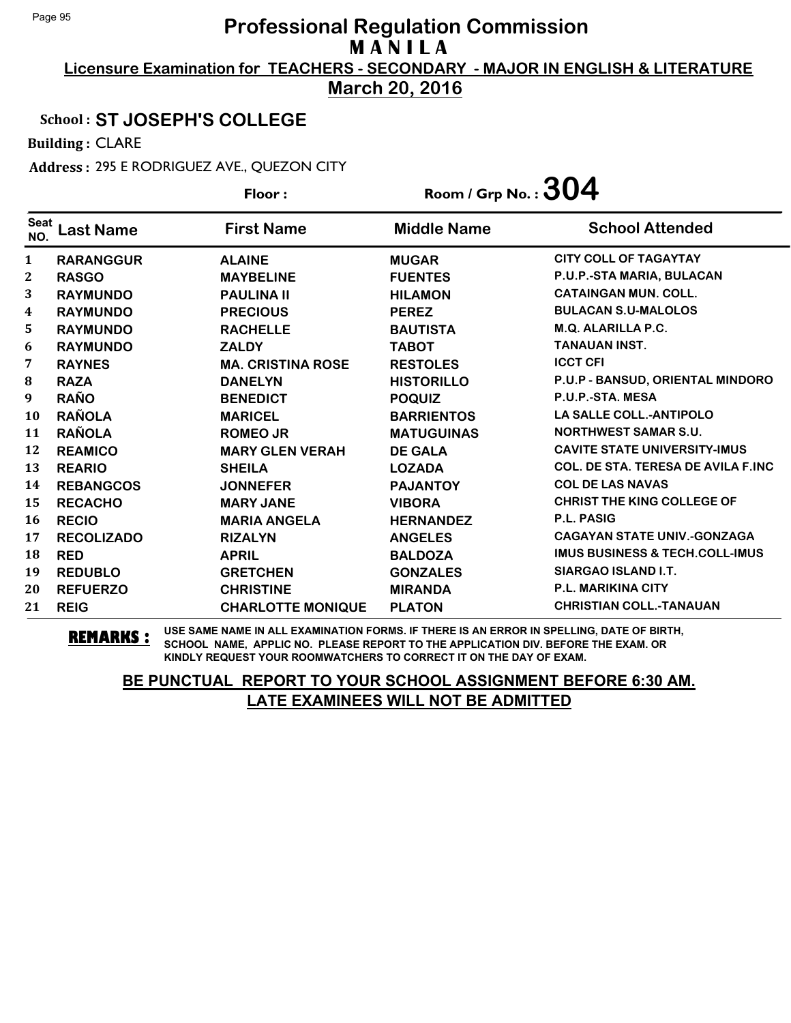**Licensure Examination for TEACHERS - SECONDARY - MAJOR IN ENGLISH & LITERATURE March 20, 2016**

## School : **ST JOSEPH'S COLLEGE**

Building : CLARE

Address : 295 E RODRIGUEZ AVE., QUEZON CITY

|                    |                   | Floor:                   | Room / Grp No. : $304$ |                                           |
|--------------------|-------------------|--------------------------|------------------------|-------------------------------------------|
| <b>Seat</b><br>NO. | Last Name         | <b>First Name</b>        | <b>Middle Name</b>     | <b>School Attended</b>                    |
| $\mathbf{1}$       | <b>RARANGGUR</b>  | <b>ALAINE</b>            | <b>MUGAR</b>           | <b>CITY COLL OF TAGAYTAY</b>              |
| $\mathbf{2}$       | <b>RASGO</b>      | <b>MAYBELINE</b>         | <b>FUENTES</b>         | P.U.P.-STA MARIA, BULACAN                 |
| 3                  | <b>RAYMUNDO</b>   | <b>PAULINA II</b>        | <b>HILAMON</b>         | <b>CATAINGAN MUN. COLL.</b>               |
| 4                  | <b>RAYMUNDO</b>   | <b>PRECIOUS</b>          | <b>PEREZ</b>           | <b>BULACAN S.U-MALOLOS</b>                |
| 5                  | <b>RAYMUNDO</b>   | <b>RACHELLE</b>          | <b>BAUTISTA</b>        | <b>M.Q. ALARILLA P.C.</b>                 |
| 6                  | <b>RAYMUNDO</b>   | <b>ZALDY</b>             | <b>TABOT</b>           | <b>TANAUAN INST.</b>                      |
| 7                  | <b>RAYNES</b>     | <b>MA. CRISTINA ROSE</b> | <b>RESTOLES</b>        | <b>ICCT CFI</b>                           |
| 8                  | <b>RAZA</b>       | <b>DANELYN</b>           | <b>HISTORILLO</b>      | P.U.P - BANSUD, ORIENTAL MINDORO          |
| 9                  | <b>RAÑO</b>       | <b>BENEDICT</b>          | <b>POQUIZ</b>          | P.U.P.-STA. MESA                          |
| 10                 | <b>RAÑOLA</b>     | <b>MARICEL</b>           | <b>BARRIENTOS</b>      | <b>LA SALLE COLL.-ANTIPOLO</b>            |
| 11                 | <b>RAÑOLA</b>     | <b>ROMEO JR</b>          | <b>MATUGUINAS</b>      | <b>NORTHWEST SAMAR S.U.</b>               |
| 12                 | <b>REAMICO</b>    | <b>MARY GLEN VERAH</b>   | <b>DE GALA</b>         | <b>CAVITE STATE UNIVERSITY-IMUS</b>       |
| 13                 | <b>REARIO</b>     | <b>SHEILA</b>            | <b>LOZADA</b>          | <b>COL. DE STA. TERESA DE AVILA F.INC</b> |
| 14                 | <b>REBANGCOS</b>  | <b>JONNEFER</b>          | <b>PAJANTOY</b>        | <b>COL DE LAS NAVAS</b>                   |
| 15                 | <b>RECACHO</b>    | <b>MARY JANE</b>         | <b>VIBORA</b>          | <b>CHRIST THE KING COLLEGE OF</b>         |
| 16                 | <b>RECIO</b>      | <b>MARIA ANGELA</b>      | <b>HERNANDEZ</b>       | <b>P.L. PASIG</b>                         |
| 17                 | <b>RECOLIZADO</b> | <b>RIZALYN</b>           | <b>ANGELES</b>         | <b>CAGAYAN STATE UNIV.-GONZAGA</b>        |
| 18                 | <b>RED</b>        | <b>APRIL</b>             | <b>BALDOZA</b>         | <b>IMUS BUSINESS &amp; TECH.COLL-IMUS</b> |
| 19                 | <b>REDUBLO</b>    | <b>GRETCHEN</b>          | <b>GONZALES</b>        | SIARGAO ISLAND I.T.                       |
| 20                 | <b>REFUERZO</b>   | <b>CHRISTINE</b>         | <b>MIRANDA</b>         | <b>P.L. MARIKINA CITY</b>                 |
| 21                 | <b>REIG</b>       | <b>CHARLOTTE MONIQUE</b> | <b>PLATON</b>          | <b>CHRISTIAN COLL.-TANAUAN</b>            |

**REMARKS :** USE SAME NAME IN ALL EXAMINATION FORMS. IF THERE IS AN ERROR IN SPELLING, DATE OF BIRTH, SCHOOL NAME, APPLIC NO. PLEASE REPORT TO THE APPLICATION DIV. BEFORE THE EXAM. OR KINDLY REQUEST YOUR ROOMWATCHERS TO CORRECT IT ON THE DAY OF EXAM.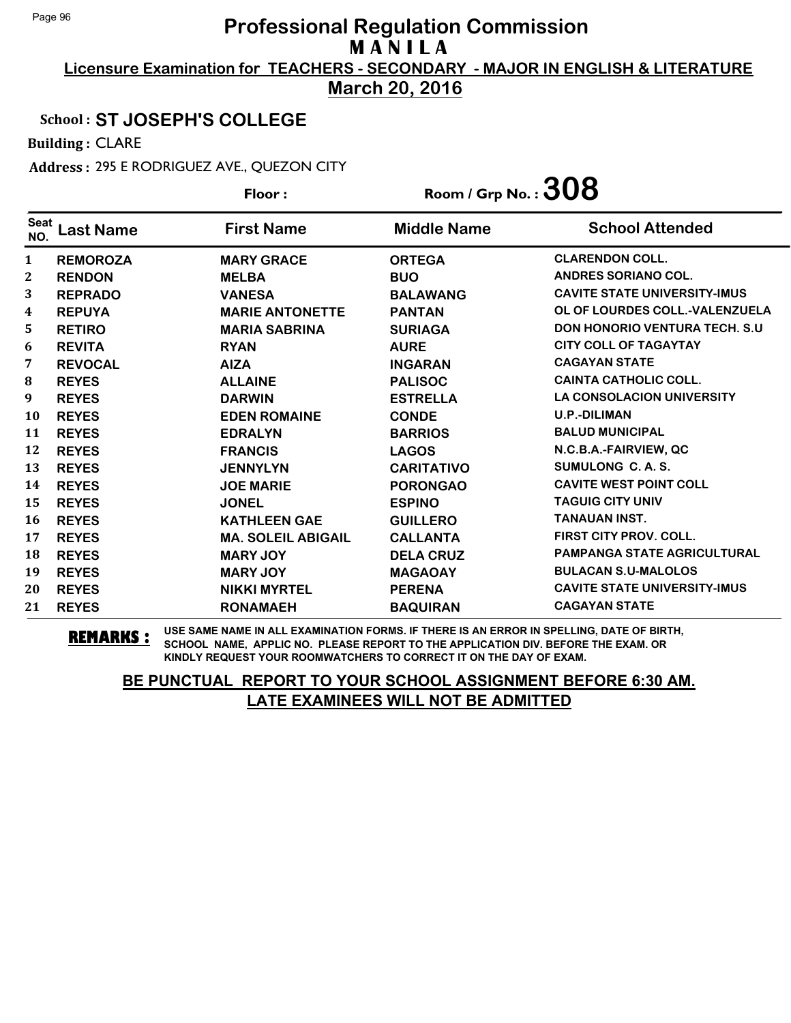**Licensure Examination for TEACHERS - SECONDARY - MAJOR IN ENGLISH & LITERATURE March 20, 2016**

## School : **ST JOSEPH'S COLLEGE**

Building : CLARE

Address : 295 E RODRIGUEZ AVE., QUEZON CITY

|                    |                  | Floor:                    | Room / Grp No. : $308$ |                                       |
|--------------------|------------------|---------------------------|------------------------|---------------------------------------|
| <b>Seat</b><br>NO. | <b>Last Name</b> | <b>First Name</b>         | <b>Middle Name</b>     | <b>School Attended</b>                |
| $\mathbf{1}$       | <b>REMOROZA</b>  | <b>MARY GRACE</b>         | <b>ORTEGA</b>          | <b>CLARENDON COLL.</b>                |
| $\mathbf{2}$       | <b>RENDON</b>    | <b>MELBA</b>              | <b>BUO</b>             | <b>ANDRES SORIANO COL.</b>            |
| 3                  | <b>REPRADO</b>   | <b>VANESA</b>             | <b>BALAWANG</b>        | <b>CAVITE STATE UNIVERSITY-IMUS</b>   |
| 4                  | <b>REPUYA</b>    | <b>MARIE ANTONETTE</b>    | <b>PANTAN</b>          | OL OF LOURDES COLL.-VALENZUELA        |
| 5                  | <b>RETIRO</b>    | <b>MARIA SABRINA</b>      | <b>SURIAGA</b>         | <b>DON HONORIO VENTURA TECH. S.U.</b> |
| 6                  | <b>REVITA</b>    | <b>RYAN</b>               | <b>AURE</b>            | <b>CITY COLL OF TAGAYTAY</b>          |
| 7                  | <b>REVOCAL</b>   | <b>AIZA</b>               | <b>INGARAN</b>         | <b>CAGAYAN STATE</b>                  |
| 8                  | <b>REYES</b>     | <b>ALLAINE</b>            | <b>PALISOC</b>         | <b>CAINTA CATHOLIC COLL.</b>          |
| 9                  | <b>REYES</b>     | <b>DARWIN</b>             | <b>ESTRELLA</b>        | <b>LA CONSOLACION UNIVERSITY</b>      |
| <b>10</b>          | <b>REYES</b>     | <b>EDEN ROMAINE</b>       | <b>CONDE</b>           | <b>U.P.-DILIMAN</b>                   |
| 11                 | <b>REYES</b>     | <b>EDRALYN</b>            | <b>BARRIOS</b>         | <b>BALUD MUNICIPAL</b>                |
| 12                 | <b>REYES</b>     | <b>FRANCIS</b>            | <b>LAGOS</b>           | N.C.B.A.-FAIRVIEW, QC                 |
| 13                 | <b>REYES</b>     | <b>JENNYLYN</b>           | <b>CARITATIVO</b>      | SUMULONG C. A. S.                     |
| 14                 | <b>REYES</b>     | <b>JOE MARIE</b>          | <b>PORONGAO</b>        | <b>CAVITE WEST POINT COLL</b>         |
| 15                 | <b>REYES</b>     | <b>JONEL</b>              | <b>ESPINO</b>          | <b>TAGUIG CITY UNIV</b>               |
| 16                 | <b>REYES</b>     | <b>KATHLEEN GAE</b>       | <b>GUILLERO</b>        | <b>TANAUAN INST.</b>                  |
| 17                 | <b>REYES</b>     | <b>MA. SOLEIL ABIGAIL</b> | <b>CALLANTA</b>        | <b>FIRST CITY PROV. COLL.</b>         |
| 18                 | <b>REYES</b>     | <b>MARY JOY</b>           | <b>DELA CRUZ</b>       | <b>PAMPANGA STATE AGRICULTURAL</b>    |
| 19                 | <b>REYES</b>     | <b>MARY JOY</b>           | <b>MAGAOAY</b>         | <b>BULACAN S.U-MALOLOS</b>            |
| 20                 | <b>REYES</b>     | <b>NIKKI MYRTEL</b>       | <b>PERENA</b>          | <b>CAVITE STATE UNIVERSITY-IMUS</b>   |
| 21                 | <b>REYES</b>     | <b>RONAMAEH</b>           | <b>BAQUIRAN</b>        | <b>CAGAYAN STATE</b>                  |

**REMARKS :** USE SAME NAME IN ALL EXAMINATION FORMS. IF THERE IS AN ERROR IN SPELLING, DATE OF BIRTH, SCHOOL NAME, APPLIC NO. PLEASE REPORT TO THE APPLICATION DIV. BEFORE THE EXAM. OR KINDLY REQUEST YOUR ROOMWATCHERS TO CORRECT IT ON THE DAY OF EXAM.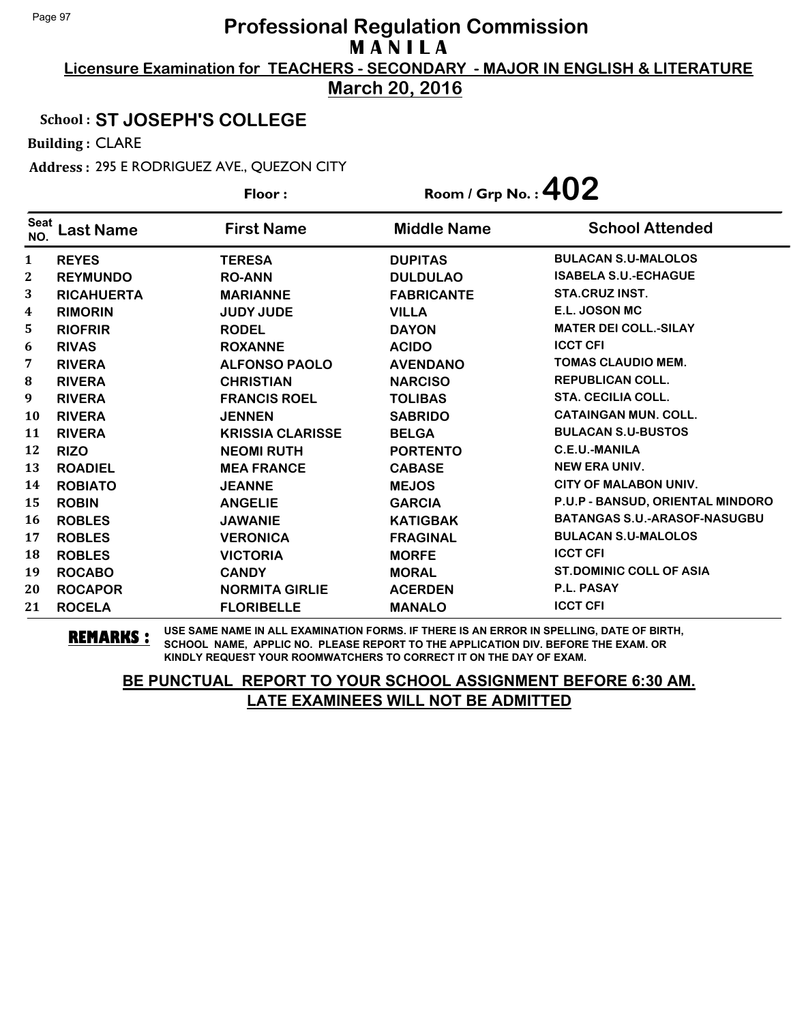**Licensure Examination for TEACHERS - SECONDARY - MAJOR IN ENGLISH & LITERATURE March 20, 2016**

#### School : **ST JOSEPH'S COLLEGE**

Building : CLARE

Address : 295 E RODRIGUEZ AVE., QUEZON CITY

|                    |                   | Floor:                  | Room / Grp No. : $402$ |                                     |  |
|--------------------|-------------------|-------------------------|------------------------|-------------------------------------|--|
| <b>Seat</b><br>NO. | <b>Last Name</b>  | <b>First Name</b>       | <b>Middle Name</b>     | <b>School Attended</b>              |  |
| $\mathbf{1}$       | <b>REYES</b>      | <b>TERESA</b>           | <b>DUPITAS</b>         | <b>BULACAN S.U-MALOLOS</b>          |  |
| 2                  | <b>REYMUNDO</b>   | <b>RO-ANN</b>           | <b>DULDULAO</b>        | <b>ISABELA S.U.-ECHAGUE</b>         |  |
| 3                  | <b>RICAHUERTA</b> | <b>MARIANNE</b>         | <b>FABRICANTE</b>      | <b>STA.CRUZ INST.</b>               |  |
| 4                  | <b>RIMORIN</b>    | <b>JUDY JUDE</b>        | <b>VILLA</b>           | E.L. JOSON MC                       |  |
| 5                  | <b>RIOFRIR</b>    | <b>RODEL</b>            | <b>DAYON</b>           | <b>MATER DEI COLL.-SILAY</b>        |  |
| 6                  | <b>RIVAS</b>      | <b>ROXANNE</b>          | <b>ACIDO</b>           | <b>ICCT CFI</b>                     |  |
| 7                  | <b>RIVERA</b>     | <b>ALFONSO PAOLO</b>    | <b>AVENDANO</b>        | <b>TOMAS CLAUDIO MEM.</b>           |  |
| 8                  | <b>RIVERA</b>     | <b>CHRISTIAN</b>        | <b>NARCISO</b>         | <b>REPUBLICAN COLL.</b>             |  |
| 9                  | <b>RIVERA</b>     | <b>FRANCIS ROEL</b>     | <b>TOLIBAS</b>         | <b>STA. CECILIA COLL.</b>           |  |
| 10                 | <b>RIVERA</b>     | <b>JENNEN</b>           | <b>SABRIDO</b>         | <b>CATAINGAN MUN. COLL.</b>         |  |
| 11                 | <b>RIVERA</b>     | <b>KRISSIA CLARISSE</b> | <b>BELGA</b>           | <b>BULACAN S.U-BUSTOS</b>           |  |
| 12                 | <b>RIZO</b>       | <b>NEOMI RUTH</b>       | <b>PORTENTO</b>        | <b>C.E.U.-MANILA</b>                |  |
| 13                 | <b>ROADIEL</b>    | <b>MEA FRANCE</b>       | <b>CABASE</b>          | <b>NEW ERA UNIV.</b>                |  |
| 14                 | <b>ROBIATO</b>    | <b>JEANNE</b>           | <b>MEJOS</b>           | <b>CITY OF MALABON UNIV.</b>        |  |
| 15                 | <b>ROBIN</b>      | <b>ANGELIE</b>          | <b>GARCIA</b>          | P.U.P - BANSUD, ORIENTAL MINDORO    |  |
| 16                 | <b>ROBLES</b>     | <b>JAWANIE</b>          | <b>KATIGBAK</b>        | <b>BATANGAS S.U.-ARASOF-NASUGBU</b> |  |
| 17                 | <b>ROBLES</b>     | <b>VERONICA</b>         | <b>FRAGINAL</b>        | <b>BULACAN S.U-MALOLOS</b>          |  |
| 18                 | <b>ROBLES</b>     | <b>VICTORIA</b>         | <b>MORFE</b>           | <b>ICCT CFI</b>                     |  |
| 19                 | <b>ROCABO</b>     | <b>CANDY</b>            | <b>MORAL</b>           | <b>ST.DOMINIC COLL OF ASIA</b>      |  |
| 20                 | <b>ROCAPOR</b>    | <b>NORMITA GIRLIE</b>   | <b>ACERDEN</b>         | <b>P.L. PASAY</b>                   |  |
| 21                 | <b>ROCELA</b>     | <b>FLORIBELLE</b>       | <b>MANALO</b>          | <b>ICCT CFI</b>                     |  |

**REMARKS :** USE SAME NAME IN ALL EXAMINATION FORMS. IF THERE IS AN ERROR IN SPELLING, DATE OF BIRTH, SCHOOL NAME, APPLIC NO. PLEASE REPORT TO THE APPLICATION DIV. BEFORE THE EXAM. OR KINDLY REQUEST YOUR ROOMWATCHERS TO CORRECT IT ON THE DAY OF EXAM.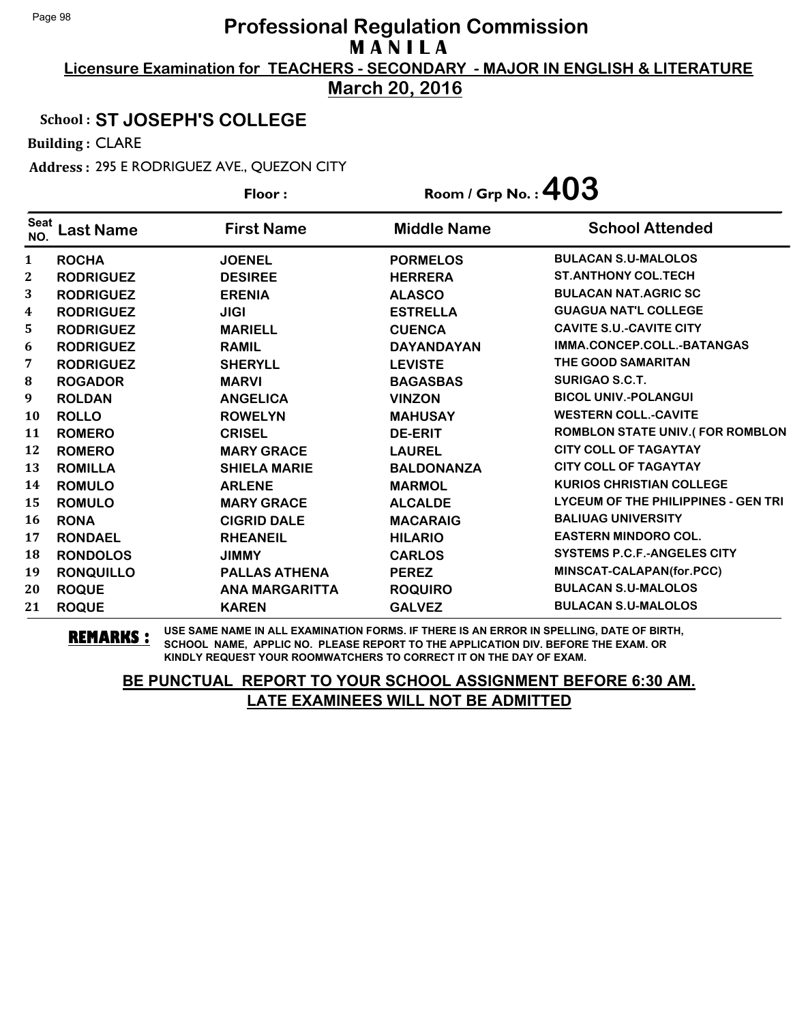**Licensure Examination for TEACHERS - SECONDARY - MAJOR IN ENGLISH & LITERATURE March 20, 2016**

## School : **ST JOSEPH'S COLLEGE**

Building : CLARE

Address : 295 E RODRIGUEZ AVE., QUEZON CITY

| Floor:             |                  | Room / Grp No.: $403$ |                    |                                     |
|--------------------|------------------|-----------------------|--------------------|-------------------------------------|
| <b>Seat</b><br>NO. | <b>Last Name</b> | <b>First Name</b>     | <b>Middle Name</b> | <b>School Attended</b>              |
| 1                  | <b>ROCHA</b>     | <b>JOENEL</b>         | <b>PORMELOS</b>    | <b>BULACAN S.U-MALOLOS</b>          |
| 2                  | <b>RODRIGUEZ</b> | <b>DESIREE</b>        | <b>HERRERA</b>     | <b>ST.ANTHONY COL.TECH</b>          |
| 3                  | <b>RODRIGUEZ</b> | <b>ERENIA</b>         | <b>ALASCO</b>      | <b>BULACAN NAT.AGRIC SC</b>         |
| $\boldsymbol{4}$   | <b>RODRIGUEZ</b> | <b>JIGI</b>           | <b>ESTRELLA</b>    | <b>GUAGUA NAT'L COLLEGE</b>         |
| 5                  | <b>RODRIGUEZ</b> | <b>MARIELL</b>        | <b>CUENCA</b>      | <b>CAVITE S.U.-CAVITE CITY</b>      |
| 6                  | <b>RODRIGUEZ</b> | <b>RAMIL</b>          | <b>DAYANDAYAN</b>  | IMMA.CONCEP.COLL.-BATANGAS          |
| 7                  | <b>RODRIGUEZ</b> | <b>SHERYLL</b>        | <b>LEVISTE</b>     | THE GOOD SAMARITAN                  |
| 8                  | <b>ROGADOR</b>   | <b>MARVI</b>          | <b>BAGASBAS</b>    | <b>SURIGAO S.C.T.</b>               |
| 9                  | <b>ROLDAN</b>    | <b>ANGELICA</b>       | <b>VINZON</b>      | <b>BICOL UNIV.-POLANGUI</b>         |
| 10                 | <b>ROLLO</b>     | <b>ROWELYN</b>        | <b>MAHUSAY</b>     | <b>WESTERN COLL.-CAVITE</b>         |
| 11                 | <b>ROMERO</b>    | <b>CRISEL</b>         | <b>DE-ERIT</b>     | ROMBLON STATE UNIV.(FOR ROMBLON     |
| 12                 | <b>ROMERO</b>    | <b>MARY GRACE</b>     | <b>LAUREL</b>      | <b>CITY COLL OF TAGAYTAY</b>        |
| 13                 | <b>ROMILLA</b>   | <b>SHIELA MARIE</b>   | <b>BALDONANZA</b>  | <b>CITY COLL OF TAGAYTAY</b>        |
| 14                 | <b>ROMULO</b>    | <b>ARLENE</b>         | <b>MARMOL</b>      | <b>KURIOS CHRISTIAN COLLEGE</b>     |
| 15                 | <b>ROMULO</b>    | <b>MARY GRACE</b>     | <b>ALCALDE</b>     | LYCEUM OF THE PHILIPPINES - GEN TRI |
| 16                 | <b>RONA</b>      | <b>CIGRID DALE</b>    | <b>MACARAIG</b>    | <b>BALIUAG UNIVERSITY</b>           |
| 17                 | <b>RONDAEL</b>   | <b>RHEANEIL</b>       | <b>HILARIO</b>     | <b>EASTERN MINDORO COL.</b>         |
| 18                 | <b>RONDOLOS</b>  | <b>JIMMY</b>          | <b>CARLOS</b>      | <b>SYSTEMS P.C.F.-ANGELES CITY</b>  |
| 19                 | <b>RONQUILLO</b> | <b>PALLAS ATHENA</b>  | <b>PEREZ</b>       | MINSCAT-CALAPAN(for.PCC)            |
| 20                 | <b>ROQUE</b>     | <b>ANA MARGARITTA</b> | <b>ROQUIRO</b>     | <b>BULACAN S.U-MALOLOS</b>          |
| 21                 | <b>ROQUE</b>     | <b>KAREN</b>          | <b>GALVEZ</b>      | <b>BULACAN S.U-MALOLOS</b>          |

**REMARKS :** USE SAME NAME IN ALL EXAMINATION FORMS. IF THERE IS AN ERROR IN SPELLING, DATE OF BIRTH, SCHOOL NAME, APPLIC NO. PLEASE REPORT TO THE APPLICATION DIV. BEFORE THE EXAM. OR KINDLY REQUEST YOUR ROOMWATCHERS TO CORRECT IT ON THE DAY OF EXAM.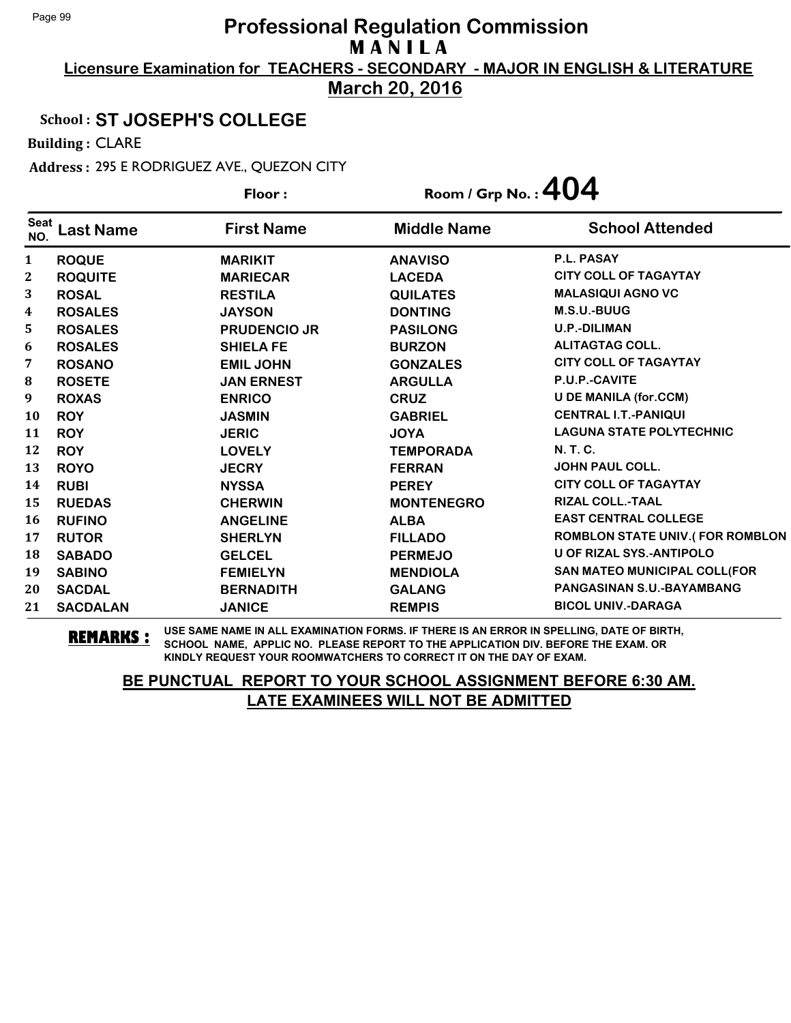**Licensure Examination for TEACHERS - SECONDARY - MAJOR IN ENGLISH & LITERATURE March 20, 2016**

## School : **ST JOSEPH'S COLLEGE**

Building : CLARE

Address : 295 E RODRIGUEZ AVE., QUEZON CITY

|                    |                  | Floor:              | Room / Grp No. : $404$ |                                        |
|--------------------|------------------|---------------------|------------------------|----------------------------------------|
| <b>Seat</b><br>NO. | <b>Last Name</b> | <b>First Name</b>   | <b>Middle Name</b>     | <b>School Attended</b>                 |
| $\mathbf{1}$       | <b>ROQUE</b>     | <b>MARIKIT</b>      | <b>ANAVISO</b>         | P.L. PASAY                             |
| 2                  | <b>ROQUITE</b>   | <b>MARIECAR</b>     | <b>LACEDA</b>          | <b>CITY COLL OF TAGAYTAY</b>           |
| 3                  | <b>ROSAL</b>     | <b>RESTILA</b>      | <b>QUILATES</b>        | <b>MALASIQUI AGNO VC</b>               |
| 4                  | <b>ROSALES</b>   | <b>JAYSON</b>       | <b>DONTING</b>         | M.S.U.-BUUG                            |
| 5                  | <b>ROSALES</b>   | <b>PRUDENCIO JR</b> | <b>PASILONG</b>        | <b>U.P.-DILIMAN</b>                    |
| 6                  | <b>ROSALES</b>   | <b>SHIELA FE</b>    | <b>BURZON</b>          | <b>ALITAGTAG COLL.</b>                 |
| 7                  | <b>ROSANO</b>    | <b>EMIL JOHN</b>    | <b>GONZALES</b>        | <b>CITY COLL OF TAGAYTAY</b>           |
| 8                  | <b>ROSETE</b>    | <b>JAN ERNEST</b>   | <b>ARGULLA</b>         | P.U.P.-CAVITE                          |
| 9                  | <b>ROXAS</b>     | <b>ENRICO</b>       | <b>CRUZ</b>            | <b>U DE MANILA (for.CCM)</b>           |
| 10                 | <b>ROY</b>       | <b>JASMIN</b>       | <b>GABRIEL</b>         | <b>CENTRAL I.T.-PANIQUI</b>            |
| 11                 | <b>ROY</b>       | <b>JERIC</b>        | <b>JOYA</b>            | <b>LAGUNA STATE POLYTECHNIC</b>        |
| 12                 | <b>ROY</b>       | <b>LOVELY</b>       | <b>TEMPORADA</b>       | N. T. C.                               |
| 13                 | <b>ROYO</b>      | <b>JECRY</b>        | <b>FERRAN</b>          | <b>JOHN PAUL COLL.</b>                 |
| 14                 | <b>RUBI</b>      | <b>NYSSA</b>        | <b>PEREY</b>           | <b>CITY COLL OF TAGAYTAY</b>           |
| 15                 | <b>RUEDAS</b>    | <b>CHERWIN</b>      | <b>MONTENEGRO</b>      | <b>RIZAL COLL.-TAAL</b>                |
| 16                 | <b>RUFINO</b>    | <b>ANGELINE</b>     | <b>ALBA</b>            | <b>EAST CENTRAL COLLEGE</b>            |
| 17                 | <b>RUTOR</b>     | <b>SHERLYN</b>      | <b>FILLADO</b>         | <b>ROMBLON STATE UNIV.(FOR ROMBLON</b> |
| 18                 | <b>SABADO</b>    | <b>GELCEL</b>       | <b>PERMEJO</b>         | <b>U OF RIZAL SYS.-ANTIPOLO</b>        |
| 19                 | <b>SABINO</b>    | <b>FEMIELYN</b>     | <b>MENDIOLA</b>        | SAN MATEO MUNICIPAL COLL(FOR           |
| 20                 | <b>SACDAL</b>    | <b>BERNADITH</b>    | <b>GALANG</b>          | PANGASINAN S.U.-BAYAMBANG              |
| 21                 | <b>SACDALAN</b>  | <b>JANICE</b>       | <b>REMPIS</b>          | <b>BICOL UNIV.-DARAGA</b>              |

**REMARKS :** USE SAME NAME IN ALL EXAMINATION FORMS. IF THERE IS AN ERROR IN SPELLING, DATE OF BIRTH, SCHOOL NAME, APPLIC NO. PLEASE REPORT TO THE APPLICATION DIV. BEFORE THE EXAM. OR KINDLY REQUEST YOUR ROOMWATCHERS TO CORRECT IT ON THE DAY OF EXAM.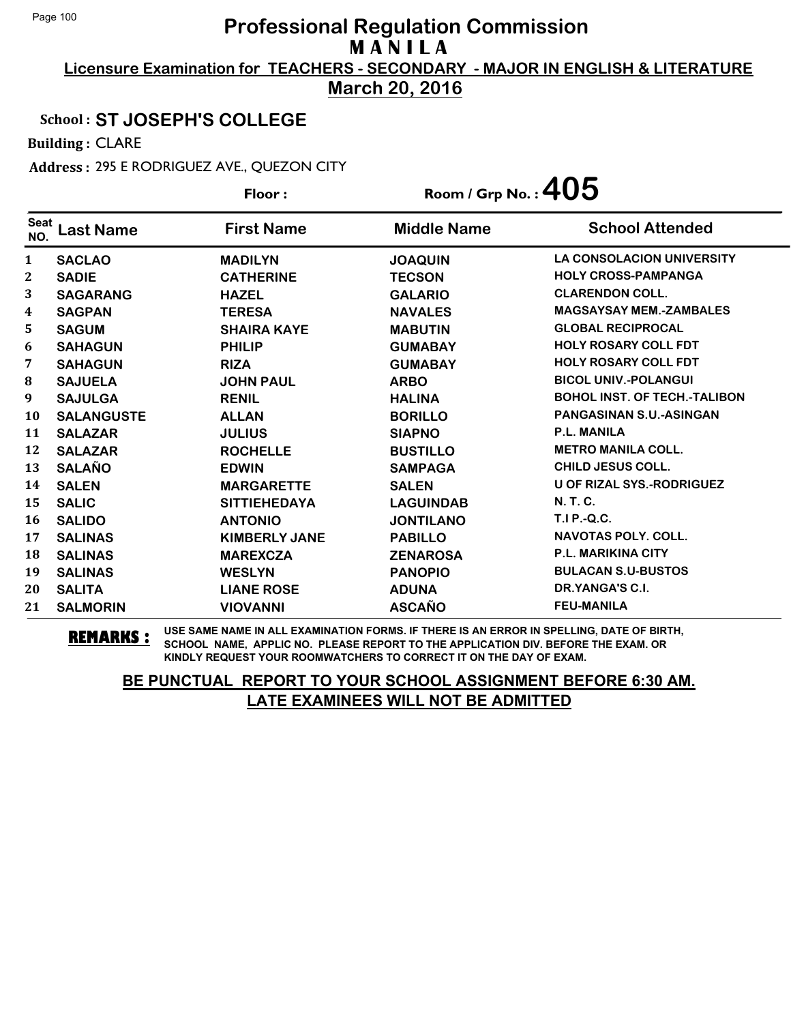**Licensure Examination for TEACHERS - SECONDARY - MAJOR IN ENGLISH & LITERATURE March 20, 2016**

School : **ST JOSEPH'S COLLEGE**

Building : CLARE

Address : 295 E RODRIGUEZ AVE., QUEZON CITY

|                    |                   | Floor:               | Room / Grp No. : $405$ |                                     |
|--------------------|-------------------|----------------------|------------------------|-------------------------------------|
| <b>Seat</b><br>NO. | <b>Last Name</b>  | <b>First Name</b>    | <b>Middle Name</b>     | <b>School Attended</b>              |
| $\mathbf{1}$       | <b>SACLAO</b>     | <b>MADILYN</b>       | <b>JOAQUIN</b>         | <b>LA CONSOLACION UNIVERSITY</b>    |
| $\boldsymbol{2}$   | <b>SADIE</b>      | <b>CATHERINE</b>     | <b>TECSON</b>          | <b>HOLY CROSS-PAMPANGA</b>          |
| 3                  | <b>SAGARANG</b>   | <b>HAZEL</b>         | <b>GALARIO</b>         | <b>CLARENDON COLL.</b>              |
| 4                  | <b>SAGPAN</b>     | <b>TERESA</b>        | <b>NAVALES</b>         | <b>MAGSAYSAY MEM.-ZAMBALES</b>      |
| 5                  | <b>SAGUM</b>      | <b>SHAIRA KAYE</b>   | <b>MABUTIN</b>         | <b>GLOBAL RECIPROCAL</b>            |
| 6                  | <b>SAHAGUN</b>    | <b>PHILIP</b>        | <b>GUMABAY</b>         | <b>HOLY ROSARY COLL FDT</b>         |
| 7                  | <b>SAHAGUN</b>    | <b>RIZA</b>          | <b>GUMABAY</b>         | <b>HOLY ROSARY COLL FDT</b>         |
| 8                  | <b>SAJUELA</b>    | <b>JOHN PAUL</b>     | <b>ARBO</b>            | <b>BICOL UNIV.-POLANGUI</b>         |
| 9                  | <b>SAJULGA</b>    | <b>RENIL</b>         | <b>HALINA</b>          | <b>BOHOL INST. OF TECH.-TALIBON</b> |
| 10                 | <b>SALANGUSTE</b> | <b>ALLAN</b>         | <b>BORILLO</b>         | PANGASINAN S.U.-ASINGAN             |
| 11                 | <b>SALAZAR</b>    | <b>JULIUS</b>        | <b>SIAPNO</b>          | <b>P.L. MANILA</b>                  |
| 12                 | <b>SALAZAR</b>    | <b>ROCHELLE</b>      | <b>BUSTILLO</b>        | <b>METRO MANILA COLL.</b>           |
| 13                 | <b>SALAÑO</b>     | <b>EDWIN</b>         | <b>SAMPAGA</b>         | <b>CHILD JESUS COLL.</b>            |
| 14                 | <b>SALEN</b>      | <b>MARGARETTE</b>    | <b>SALEN</b>           | <b>U OF RIZAL SYS.-RODRIGUEZ</b>    |
| 15                 | <b>SALIC</b>      | <b>SITTIEHEDAYA</b>  | <b>LAGUINDAB</b>       | N. T. C.                            |
| 16                 | <b>SALIDO</b>     | <b>ANTONIO</b>       | <b>JONTILANO</b>       | T.I P.-Q.C.                         |
| 17                 | <b>SALINAS</b>    | <b>KIMBERLY JANE</b> | <b>PABILLO</b>         | <b>NAVOTAS POLY, COLL.</b>          |
| 18                 | <b>SALINAS</b>    | <b>MAREXCZA</b>      | <b>ZENAROSA</b>        | <b>P.L. MARIKINA CITY</b>           |
| 19                 | <b>SALINAS</b>    | <b>WESLYN</b>        | <b>PANOPIO</b>         | <b>BULACAN S.U-BUSTOS</b>           |
| 20                 | <b>SALITA</b>     | <b>LIANE ROSE</b>    | <b>ADUNA</b>           | DR.YANGA'S C.I.                     |
| 21                 | <b>SALMORIN</b>   | <b>VIOVANNI</b>      | <b>ASCAÑO</b>          | <b>FEU-MANILA</b>                   |

**REMARKS :** USE SAME NAME IN ALL EXAMINATION FORMS. IF THERE IS AN ERROR IN SPELLING, DATE OF BIRTH, SCHOOL NAME, APPLIC NO. PLEASE REPORT TO THE APPLICATION DIV. BEFORE THE EXAM. OR KINDLY REQUEST YOUR ROOMWATCHERS TO CORRECT IT ON THE DAY OF EXAM.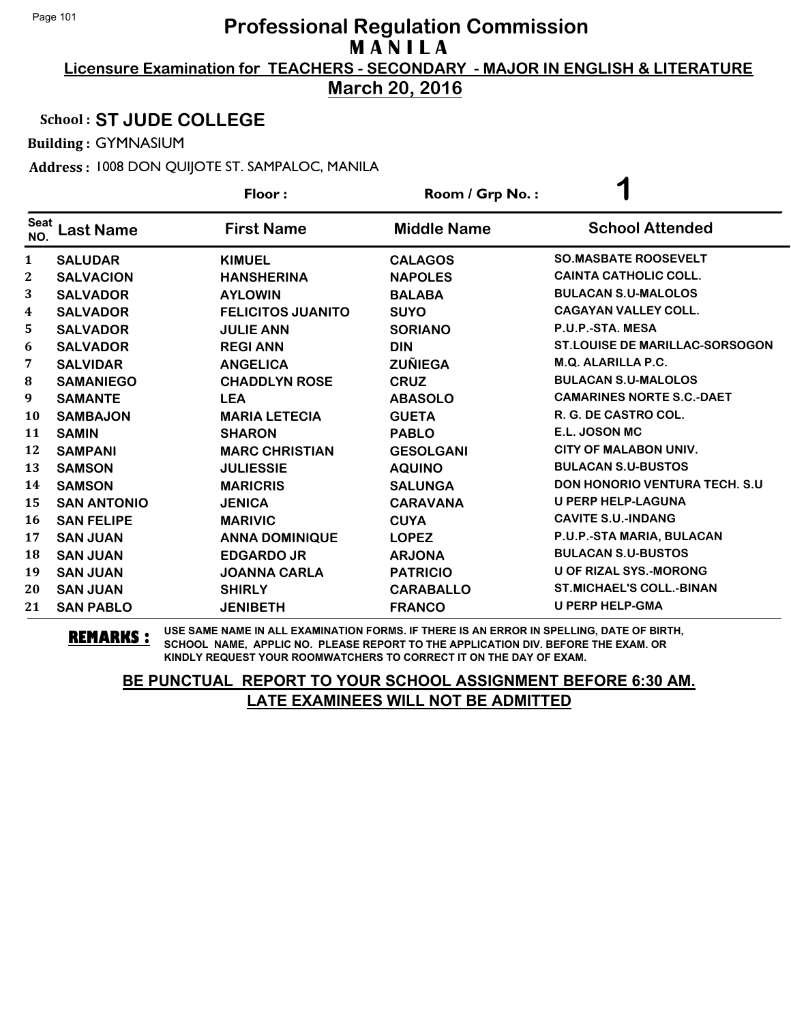**March 20, 2016**

#### School : **ST JUDE COLLEGE**

Building : GYMNASIUM

Address : 1008 DON QUIJOTE ST. SAMPALOC, MANILA

|                    |                    | Floor:                   | Room / Grp No.:    | ℯ                                     |
|--------------------|--------------------|--------------------------|--------------------|---------------------------------------|
| <b>Seat</b><br>NO. | <b>Last Name</b>   | <b>First Name</b>        | <b>Middle Name</b> | <b>School Attended</b>                |
| $\mathbf{1}$       | <b>SALUDAR</b>     | <b>KIMUEL</b>            | <b>CALAGOS</b>     | <b>SO.MASBATE ROOSEVELT</b>           |
| 2                  | <b>SALVACION</b>   | <b>HANSHERINA</b>        | <b>NAPOLES</b>     | <b>CAINTA CATHOLIC COLL.</b>          |
| 3                  | <b>SALVADOR</b>    | <b>AYLOWIN</b>           | <b>BALABA</b>      | <b>BULACAN S.U-MALOLOS</b>            |
| 4                  | <b>SALVADOR</b>    | <b>FELICITOS JUANITO</b> | <b>SUYO</b>        | <b>CAGAYAN VALLEY COLL.</b>           |
| 5                  | <b>SALVADOR</b>    | <b>JULIE ANN</b>         | <b>SORIANO</b>     | P.U.P.-STA. MESA                      |
| 6                  | <b>SALVADOR</b>    | <b>REGI ANN</b>          | <b>DIN</b>         | <b>ST.LOUISE DE MARILLAC-SORSOGON</b> |
| 7                  | <b>SALVIDAR</b>    | <b>ANGELICA</b>          | <b>ZUÑIEGA</b>     | <b>M.Q. ALARILLA P.C.</b>             |
| 8                  | <b>SAMANIEGO</b>   | <b>CHADDLYN ROSE</b>     | <b>CRUZ</b>        | <b>BULACAN S.U-MALOLOS</b>            |
| 9                  | <b>SAMANTE</b>     | <b>LEA</b>               | <b>ABASOLO</b>     | <b>CAMARINES NORTE S.C.-DAET</b>      |
| 10                 | <b>SAMBAJON</b>    | <b>MARIA LETECIA</b>     | <b>GUETA</b>       | R. G. DE CASTRO COL.                  |
| 11                 | <b>SAMIN</b>       | <b>SHARON</b>            | <b>PABLO</b>       | E.L. JOSON MC                         |
| 12                 | <b>SAMPANI</b>     | <b>MARC CHRISTIAN</b>    | <b>GESOLGANI</b>   | <b>CITY OF MALABON UNIV.</b>          |
| 13                 | <b>SAMSON</b>      | <b>JULIESSIE</b>         | <b>AQUINO</b>      | <b>BULACAN S.U-BUSTOS</b>             |
| 14                 | <b>SAMSON</b>      | <b>MARICRIS</b>          | <b>SALUNGA</b>     | <b>DON HONORIO VENTURA TECH. S.U.</b> |
| 15                 | <b>SAN ANTONIO</b> | <b>JENICA</b>            | <b>CARAVANA</b>    | <b>U PERP HELP-LAGUNA</b>             |
| 16                 | <b>SAN FELIPE</b>  | <b>MARIVIC</b>           | <b>CUYA</b>        | <b>CAVITE S.U.-INDANG</b>             |
| 17                 | <b>SAN JUAN</b>    | <b>ANNA DOMINIQUE</b>    | <b>LOPEZ</b>       | P.U.P.-STA MARIA, BULACAN             |
| 18                 | <b>SAN JUAN</b>    | <b>EDGARDO JR</b>        | <b>ARJONA</b>      | <b>BULACAN S.U-BUSTOS</b>             |
| 19                 | <b>SAN JUAN</b>    | <b>JOANNA CARLA</b>      | <b>PATRICIO</b>    | <b>U OF RIZAL SYS.-MORONG</b>         |
| 20                 | <b>SAN JUAN</b>    | <b>SHIRLY</b>            | <b>CARABALLO</b>   | <b>ST.MICHAEL'S COLL.-BINAN</b>       |
| 21                 | <b>SAN PABLO</b>   | <b>JENIBETH</b>          | <b>FRANCO</b>      | <b>U PERP HELP-GMA</b>                |

**REMARKS :** USE SAME NAME IN ALL EXAMINATION FORMS. IF THERE IS AN ERROR IN SPELLING, DATE OF BIRTH, SCHOOL NAME, APPLIC NO. PLEASE REPORT TO THE APPLICATION DIV. BEFORE THE EXAM. OR KINDLY REQUEST YOUR ROOMWATCHERS TO CORRECT IT ON THE DAY OF EXAM.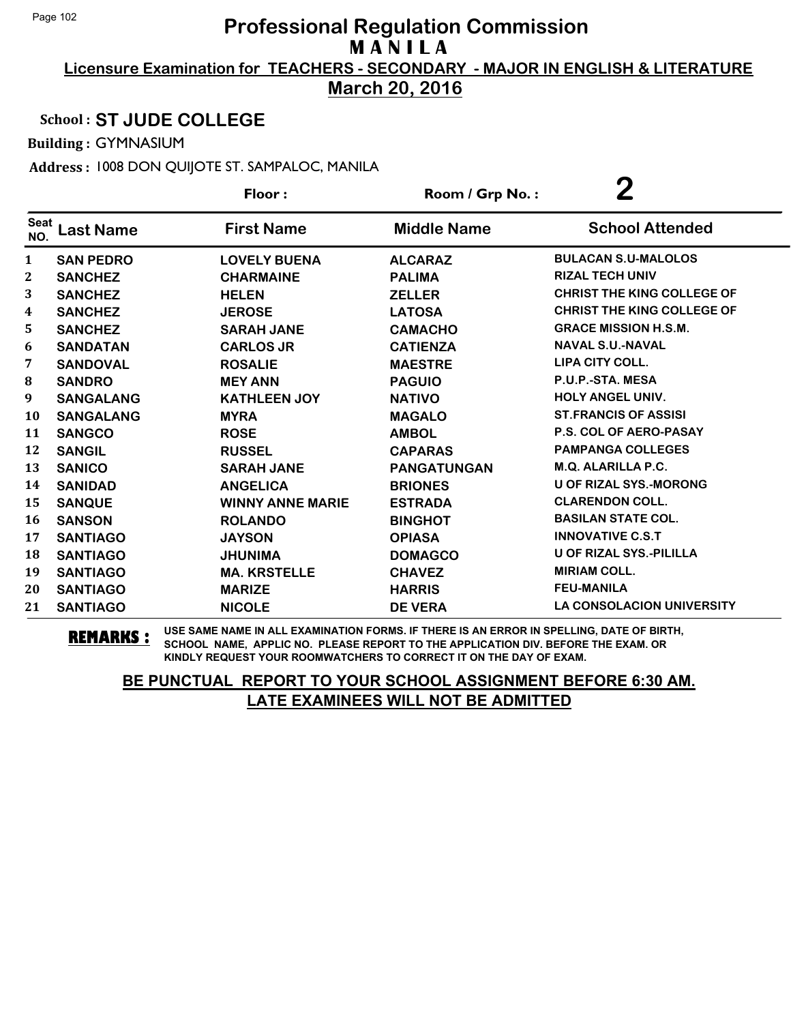**March 20, 2016**

#### School : **ST JUDE COLLEGE**

Building : GYMNASIUM

Address : 1008 DON QUIJOTE ST. SAMPALOC, MANILA

|                    |                  | Floor:                  | Room / Grp No.:    | $\overline{2}$                    |
|--------------------|------------------|-------------------------|--------------------|-----------------------------------|
| <b>Seat</b><br>NO. | <b>Last Name</b> | <b>First Name</b>       | <b>Middle Name</b> | <b>School Attended</b>            |
| $\mathbf{1}$       | <b>SAN PEDRO</b> | <b>LOVELY BUENA</b>     | <b>ALCARAZ</b>     | <b>BULACAN S.U-MALOLOS</b>        |
| $\boldsymbol{2}$   | <b>SANCHEZ</b>   | <b>CHARMAINE</b>        | <b>PALIMA</b>      | <b>RIZAL TECH UNIV</b>            |
| 3                  | <b>SANCHEZ</b>   | <b>HELEN</b>            | <b>ZELLER</b>      | <b>CHRIST THE KING COLLEGE OF</b> |
| 4                  | <b>SANCHEZ</b>   | <b>JEROSE</b>           | <b>LATOSA</b>      | <b>CHRIST THE KING COLLEGE OF</b> |
| 5                  | <b>SANCHEZ</b>   | <b>SARAH JANE</b>       | <b>CAMACHO</b>     | <b>GRACE MISSION H.S.M.</b>       |
| 6                  | <b>SANDATAN</b>  | <b>CARLOS JR</b>        | <b>CATIENZA</b>    | <b>NAVAL S.U.-NAVAL</b>           |
| 7                  | <b>SANDOVAL</b>  | <b>ROSALIE</b>          | <b>MAESTRE</b>     | LIPA CITY COLL.                   |
| ${\bf 8}$          | <b>SANDRO</b>    | <b>MEY ANN</b>          | <b>PAGUIO</b>      | P.U.P.-STA. MESA                  |
| 9                  | <b>SANGALANG</b> | <b>KATHLEEN JOY</b>     | <b>NATIVO</b>      | <b>HOLY ANGEL UNIV.</b>           |
| <b>10</b>          | <b>SANGALANG</b> | <b>MYRA</b>             | <b>MAGALO</b>      | <b>ST.FRANCIS OF ASSISI</b>       |
| 11                 | <b>SANGCO</b>    | <b>ROSE</b>             | <b>AMBOL</b>       | <b>P.S. COL OF AERO-PASAY</b>     |
| 12                 | <b>SANGIL</b>    | <b>RUSSEL</b>           | <b>CAPARAS</b>     | <b>PAMPANGA COLLEGES</b>          |
| 13                 | <b>SANICO</b>    | <b>SARAH JANE</b>       | <b>PANGATUNGAN</b> | M.Q. ALARILLA P.C.                |
| 14                 | <b>SANIDAD</b>   | <b>ANGELICA</b>         | <b>BRIONES</b>     | <b>U OF RIZAL SYS.-MORONG</b>     |
| 15                 | <b>SANQUE</b>    | <b>WINNY ANNE MARIE</b> | <b>ESTRADA</b>     | <b>CLARENDON COLL.</b>            |
| 16                 | <b>SANSON</b>    | <b>ROLANDO</b>          | <b>BINGHOT</b>     | <b>BASILAN STATE COL.</b>         |
| 17                 | <b>SANTIAGO</b>  | <b>JAYSON</b>           | <b>OPIASA</b>      | <b>INNOVATIVE C.S.T</b>           |
| 18                 | <b>SANTIAGO</b>  | <b>JHUNIMA</b>          | <b>DOMAGCO</b>     | <b>U OF RIZAL SYS.-PILILLA</b>    |
| 19                 | <b>SANTIAGO</b>  | <b>MA. KRSTELLE</b>     | <b>CHAVEZ</b>      | <b>MIRIAM COLL.</b>               |
| 20                 | <b>SANTIAGO</b>  | <b>MARIZE</b>           | <b>HARRIS</b>      | <b>FEU-MANILA</b>                 |
| 21                 | <b>SANTIAGO</b>  | <b>NICOLE</b>           | <b>DE VERA</b>     | <b>LA CONSOLACION UNIVERSITY</b>  |

**REMARKS :** USE SAME NAME IN ALL EXAMINATION FORMS. IF THERE IS AN ERROR IN SPELLING, DATE OF BIRTH, SCHOOL NAME, APPLIC NO. PLEASE REPORT TO THE APPLICATION DIV. BEFORE THE EXAM. OR KINDLY REQUEST YOUR ROOMWATCHERS TO CORRECT IT ON THE DAY OF EXAM.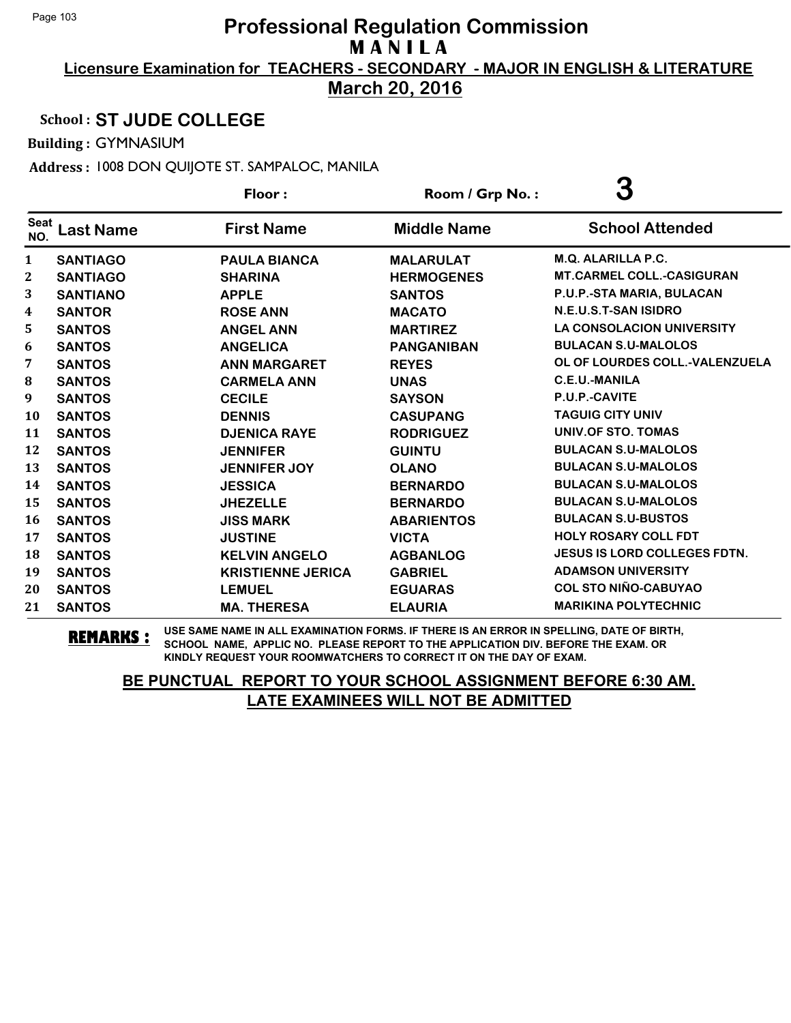**March 20, 2016**

#### School : **ST JUDE COLLEGE**

Building : GYMNASIUM

Address : 1008 DON QUIJOTE ST. SAMPALOC, MANILA

|                    |                  | Floor:                   | Room / Grp No.:    | 3                                   |
|--------------------|------------------|--------------------------|--------------------|-------------------------------------|
| <b>Seat</b><br>NO. | <b>Last Name</b> | <b>First Name</b>        | <b>Middle Name</b> | <b>School Attended</b>              |
| $\mathbf{1}$       | <b>SANTIAGO</b>  | <b>PAULA BIANCA</b>      | <b>MALARULAT</b>   | M.Q. ALARILLA P.C.                  |
| 2                  | <b>SANTIAGO</b>  | <b>SHARINA</b>           | <b>HERMOGENES</b>  | <b>MT.CARMEL COLL.-CASIGURAN</b>    |
| 3                  | <b>SANTIANO</b>  | <b>APPLE</b>             | <b>SANTOS</b>      | P.U.P.-STA MARIA, BULACAN           |
| 4                  | <b>SANTOR</b>    | <b>ROSE ANN</b>          | <b>MACATO</b>      | N.E.U.S.T-SAN ISIDRO                |
| 5                  | <b>SANTOS</b>    | <b>ANGEL ANN</b>         | <b>MARTIREZ</b>    | <b>LA CONSOLACION UNIVERSITY</b>    |
| 6                  | <b>SANTOS</b>    | <b>ANGELICA</b>          | <b>PANGANIBAN</b>  | <b>BULACAN S.U-MALOLOS</b>          |
| 7                  | <b>SANTOS</b>    | <b>ANN MARGARET</b>      | <b>REYES</b>       | OL OF LOURDES COLL.-VALENZUELA      |
| 8                  | <b>SANTOS</b>    | <b>CARMELA ANN</b>       | <b>UNAS</b>        | <b>C.E.U.-MANILA</b>                |
| 9                  | <b>SANTOS</b>    | <b>CECILE</b>            | <b>SAYSON</b>      | P.U.P.-CAVITE                       |
| 10                 | <b>SANTOS</b>    | <b>DENNIS</b>            | <b>CASUPANG</b>    | <b>TAGUIG CITY UNIV</b>             |
| 11                 | <b>SANTOS</b>    | <b>DJENICA RAYE</b>      | <b>RODRIGUEZ</b>   | UNIV.OF STO. TOMAS                  |
| 12                 | <b>SANTOS</b>    | <b>JENNIFER</b>          | <b>GUINTU</b>      | <b>BULACAN S.U-MALOLOS</b>          |
| 13                 | <b>SANTOS</b>    | <b>JENNIFER JOY</b>      | <b>OLANO</b>       | <b>BULACAN S.U-MALOLOS</b>          |
| 14                 | <b>SANTOS</b>    | <b>JESSICA</b>           | <b>BERNARDO</b>    | <b>BULACAN S.U-MALOLOS</b>          |
| 15                 | <b>SANTOS</b>    | <b>JHEZELLE</b>          | <b>BERNARDO</b>    | <b>BULACAN S.U-MALOLOS</b>          |
| 16                 | <b>SANTOS</b>    | <b>JISS MARK</b>         | <b>ABARIENTOS</b>  | <b>BULACAN S.U-BUSTOS</b>           |
| 17                 | <b>SANTOS</b>    | <b>JUSTINE</b>           | <b>VICTA</b>       | <b>HOLY ROSARY COLL FDT</b>         |
| 18                 | <b>SANTOS</b>    | <b>KELVIN ANGELO</b>     | <b>AGBANLOG</b>    | <b>JESUS IS LORD COLLEGES FDTN.</b> |
| 19                 | <b>SANTOS</b>    | <b>KRISTIENNE JERICA</b> | <b>GABRIEL</b>     | <b>ADAMSON UNIVERSITY</b>           |
| 20                 | <b>SANTOS</b>    | <b>LEMUEL</b>            | <b>EGUARAS</b>     | <b>COL STO NIÑO-CABUYAO</b>         |
| 21                 | <b>SANTOS</b>    | <b>MA. THERESA</b>       | <b>ELAURIA</b>     | <b>MARIKINA POLYTECHNIC</b>         |

**REMARKS :** USE SAME NAME IN ALL EXAMINATION FORMS. IF THERE IS AN ERROR IN SPELLING, DATE OF BIRTH, SCHOOL NAME, APPLIC NO. PLEASE REPORT TO THE APPLICATION DIV. BEFORE THE EXAM. OR KINDLY REQUEST YOUR ROOMWATCHERS TO CORRECT IT ON THE DAY OF EXAM.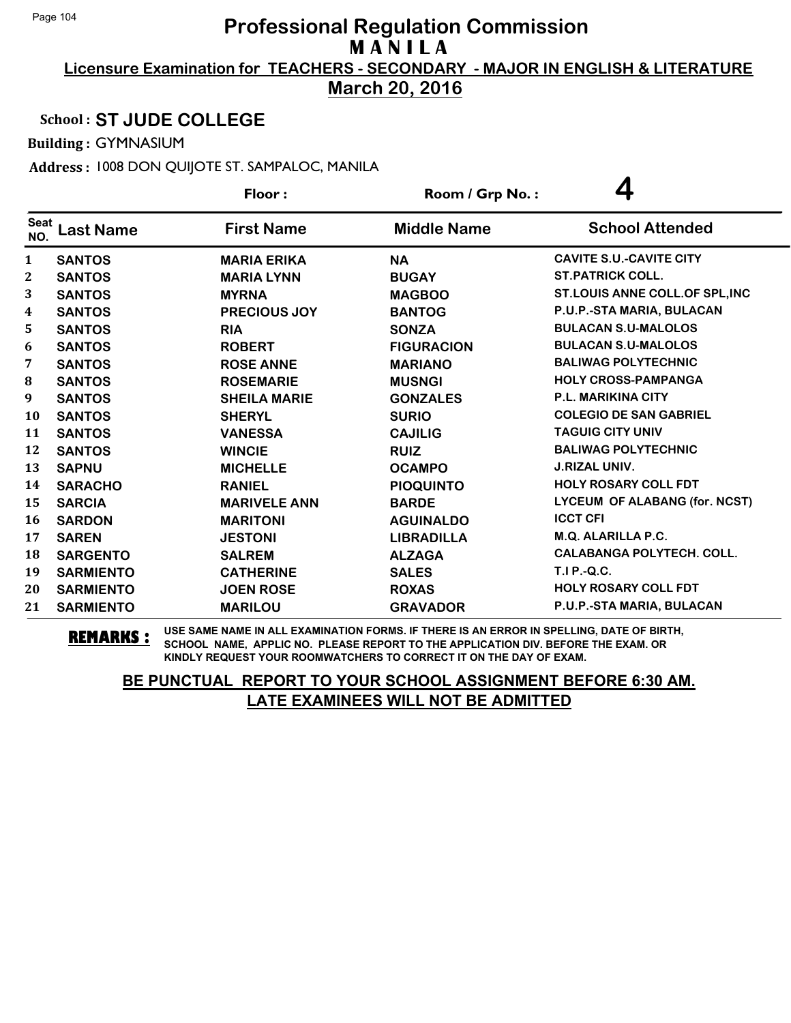**March 20, 2016**

#### School : **ST JUDE COLLEGE**

Building : GYMNASIUM

Address : 1008 DON QUIJOTE ST. SAMPALOC, MANILA

|                    |                  | Floor:              | Room / Grp No.:    |                                      |
|--------------------|------------------|---------------------|--------------------|--------------------------------------|
| <b>Seat</b><br>NO. | Last Name        | <b>First Name</b>   | <b>Middle Name</b> | <b>School Attended</b>               |
| 1                  | <b>SANTOS</b>    | <b>MARIA ERIKA</b>  | <b>NA</b>          | <b>CAVITE S.U.-CAVITE CITY</b>       |
| 2                  | <b>SANTOS</b>    | <b>MARIA LYNN</b>   | <b>BUGAY</b>       | <b>ST.PATRICK COLL.</b>              |
| 3                  | <b>SANTOS</b>    | <b>MYRNA</b>        | <b>MAGBOO</b>      | ST.LOUIS ANNE COLL. OF SPL, INC      |
| 4                  | <b>SANTOS</b>    | <b>PRECIOUS JOY</b> | <b>BANTOG</b>      | P.U.P.-STA MARIA, BULACAN            |
| 5                  | <b>SANTOS</b>    | <b>RIA</b>          | <b>SONZA</b>       | <b>BULACAN S.U-MALOLOS</b>           |
| 6                  | <b>SANTOS</b>    | <b>ROBERT</b>       | <b>FIGURACION</b>  | <b>BULACAN S.U-MALOLOS</b>           |
| 7                  | <b>SANTOS</b>    | <b>ROSE ANNE</b>    | <b>MARIANO</b>     | <b>BALIWAG POLYTECHNIC</b>           |
| $\bf{8}$           | <b>SANTOS</b>    | <b>ROSEMARIE</b>    | <b>MUSNGI</b>      | <b>HOLY CROSS-PAMPANGA</b>           |
| 9                  | <b>SANTOS</b>    | <b>SHEILA MARIE</b> | <b>GONZALES</b>    | P.L. MARIKINA CITY                   |
| 10                 | <b>SANTOS</b>    | <b>SHERYL</b>       | <b>SURIO</b>       | <b>COLEGIO DE SAN GABRIEL</b>        |
| 11                 | <b>SANTOS</b>    | <b>VANESSA</b>      | <b>CAJILIG</b>     | <b>TAGUIG CITY UNIV</b>              |
| 12                 | <b>SANTOS</b>    | <b>WINCIE</b>       | <b>RUIZ</b>        | <b>BALIWAG POLYTECHNIC</b>           |
| 13                 | <b>SAPNU</b>     | <b>MICHELLE</b>     | <b>OCAMPO</b>      | <b>J.RIZAL UNIV.</b>                 |
| 14                 | <b>SARACHO</b>   | <b>RANIEL</b>       | <b>PIOQUINTO</b>   | <b>HOLY ROSARY COLL FDT</b>          |
| 15                 | <b>SARCIA</b>    | <b>MARIVELE ANN</b> | <b>BARDE</b>       | <b>LYCEUM OF ALABANG (for. NCST)</b> |
| 16                 | <b>SARDON</b>    | <b>MARITONI</b>     | <b>AGUINALDO</b>   | <b>ICCT CFI</b>                      |
| 17                 | <b>SAREN</b>     | <b>JESTONI</b>      | <b>LIBRADILLA</b>  | <b>M.Q. ALARILLA P.C.</b>            |
| 18                 | <b>SARGENTO</b>  | <b>SALREM</b>       | <b>ALZAGA</b>      | <b>CALABANGA POLYTECH. COLL.</b>     |
| 19                 | <b>SARMIENTO</b> | <b>CATHERINE</b>    | <b>SALES</b>       | <b>T.I P.-Q.C.</b>                   |
| 20                 | <b>SARMIENTO</b> | <b>JOEN ROSE</b>    | <b>ROXAS</b>       | <b>HOLY ROSARY COLL FDT</b>          |
| 21                 | <b>SARMIENTO</b> | <b>MARILOU</b>      | <b>GRAVADOR</b>    | P.U.P.-STA MARIA, BULACAN            |

**REMARKS :** USE SAME NAME IN ALL EXAMINATION FORMS. IF THERE IS AN ERROR IN SPELLING, DATE OF BIRTH, SCHOOL NAME, APPLIC NO. PLEASE REPORT TO THE APPLICATION DIV. BEFORE THE EXAM. OR KINDLY REQUEST YOUR ROOMWATCHERS TO CORRECT IT ON THE DAY OF EXAM.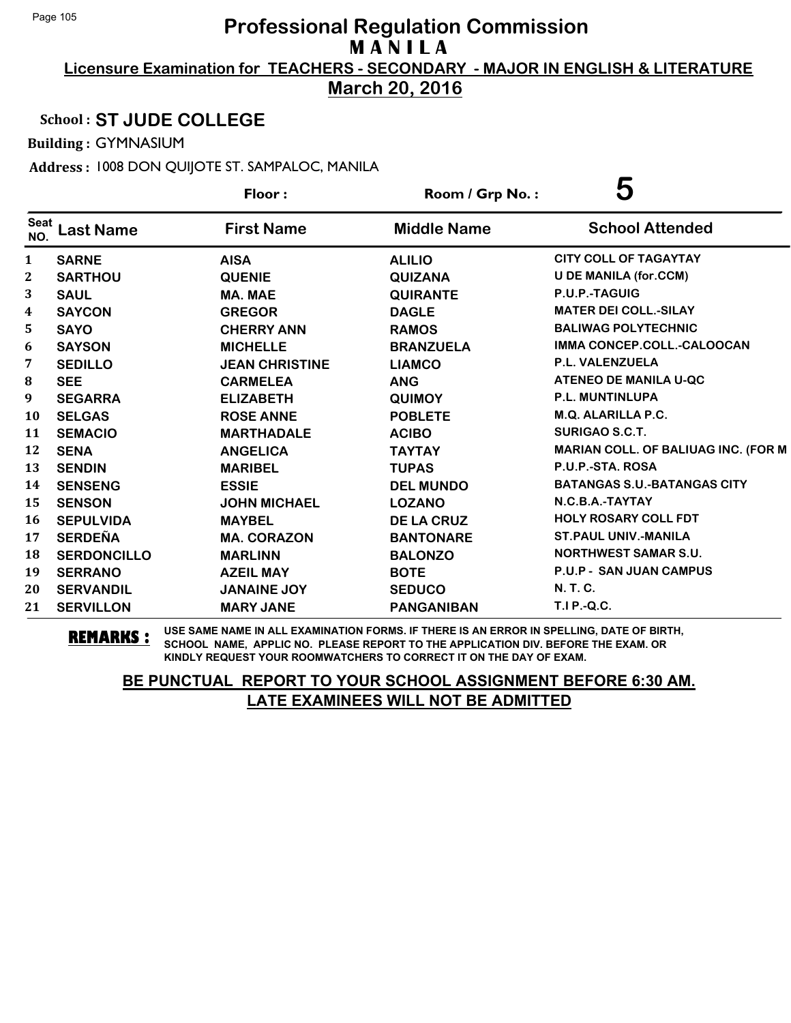**Licensure Examination for TEACHERS - SECONDARY - MAJOR IN ENGLISH & LITERATURE March 20, 2016**

#### School : **ST JUDE COLLEGE**

Building : GYMNASIUM

Address : 1008 DON QUIJOTE ST. SAMPALOC, MANILA

|                    |                    | Floor:                | Room / Grp No.:    | 5                                   |
|--------------------|--------------------|-----------------------|--------------------|-------------------------------------|
| <b>Seat</b><br>NO. | <b>Last Name</b>   | <b>First Name</b>     | <b>Middle Name</b> | <b>School Attended</b>              |
| 1                  | <b>SARNE</b>       | <b>AISA</b>           | <b>ALILIO</b>      | <b>CITY COLL OF TAGAYTAY</b>        |
| $\mathbf{2}$       | <b>SARTHOU</b>     | <b>QUENIE</b>         | <b>QUIZANA</b>     | <b>U DE MANILA (for.CCM)</b>        |
| 3                  | <b>SAUL</b>        | <b>MA. MAE</b>        | <b>QUIRANTE</b>    | P.U.P.-TAGUIG                       |
| $\boldsymbol{4}$   | <b>SAYCON</b>      | <b>GREGOR</b>         | <b>DAGLE</b>       | <b>MATER DEI COLL.-SILAY</b>        |
| 5                  | <b>SAYO</b>        | <b>CHERRY ANN</b>     | <b>RAMOS</b>       | <b>BALIWAG POLYTECHNIC</b>          |
| 6                  | <b>SAYSON</b>      | <b>MICHELLE</b>       | <b>BRANZUELA</b>   | IMMA CONCEP.COLL.-CALOOCAN          |
| 7                  | <b>SEDILLO</b>     | <b>JEAN CHRISTINE</b> | <b>LIAMCO</b>      | P.L. VALENZUELA                     |
| ${\bf 8}$          | <b>SEE</b>         | <b>CARMELEA</b>       | <b>ANG</b>         | <b>ATENEO DE MANILA U-QC</b>        |
| 9                  | <b>SEGARRA</b>     | <b>ELIZABETH</b>      | <b>QUIMOY</b>      | P.L. MUNTINLUPA                     |
| 10                 | <b>SELGAS</b>      | <b>ROSE ANNE</b>      | <b>POBLETE</b>     | M.Q. ALARILLA P.C.                  |
| 11                 | <b>SEMACIO</b>     | <b>MARTHADALE</b>     | <b>ACIBO</b>       | <b>SURIGAO S.C.T.</b>               |
| 12                 | <b>SENA</b>        | <b>ANGELICA</b>       | <b>TAYTAY</b>      | MARIAN COLL. OF BALIUAG INC. (FOR M |
| 13                 | <b>SENDIN</b>      | <b>MARIBEL</b>        | <b>TUPAS</b>       | P.U.P.-STA. ROSA                    |
| 14                 | <b>SENSENG</b>     | <b>ESSIE</b>          | <b>DEL MUNDO</b>   | <b>BATANGAS S.U.-BATANGAS CITY</b>  |
| 15                 | <b>SENSON</b>      | <b>JOHN MICHAEL</b>   | <b>LOZANO</b>      | N.C.B.A.-TAYTAY                     |
| 16                 | <b>SEPULVIDA</b>   | <b>MAYBEL</b>         | <b>DE LA CRUZ</b>  | <b>HOLY ROSARY COLL FDT</b>         |
| 17                 | <b>SERDEÑA</b>     | <b>MA. CORAZON</b>    | <b>BANTONARE</b>   | <b>ST. PAUL UNIV.-MANILA</b>        |
| 18                 | <b>SERDONCILLO</b> | <b>MARLINN</b>        | <b>BALONZO</b>     | <b>NORTHWEST SAMAR S.U.</b>         |
| 19                 | <b>SERRANO</b>     | <b>AZEIL MAY</b>      | <b>BOTE</b>        | <b>P.U.P - SAN JUAN CAMPUS</b>      |
| 20                 | <b>SERVANDIL</b>   | <b>JANAINE JOY</b>    | <b>SEDUCO</b>      | N. T. C.                            |
| 21                 | <b>SERVILLON</b>   | <b>MARY JANE</b>      | <b>PANGANIBAN</b>  | T.I P.-Q.C.                         |

**REMARKS :** USE SAME NAME IN ALL EXAMINATION FORMS. IF THERE IS AN ERROR IN SPELLING, DATE OF BIRTH, SCHOOL NAME, APPLIC NO. PLEASE REPORT TO THE APPLICATION DIV. BEFORE THE EXAM. OR KINDLY REQUEST YOUR ROOMWATCHERS TO CORRECT IT ON THE DAY OF EXAM.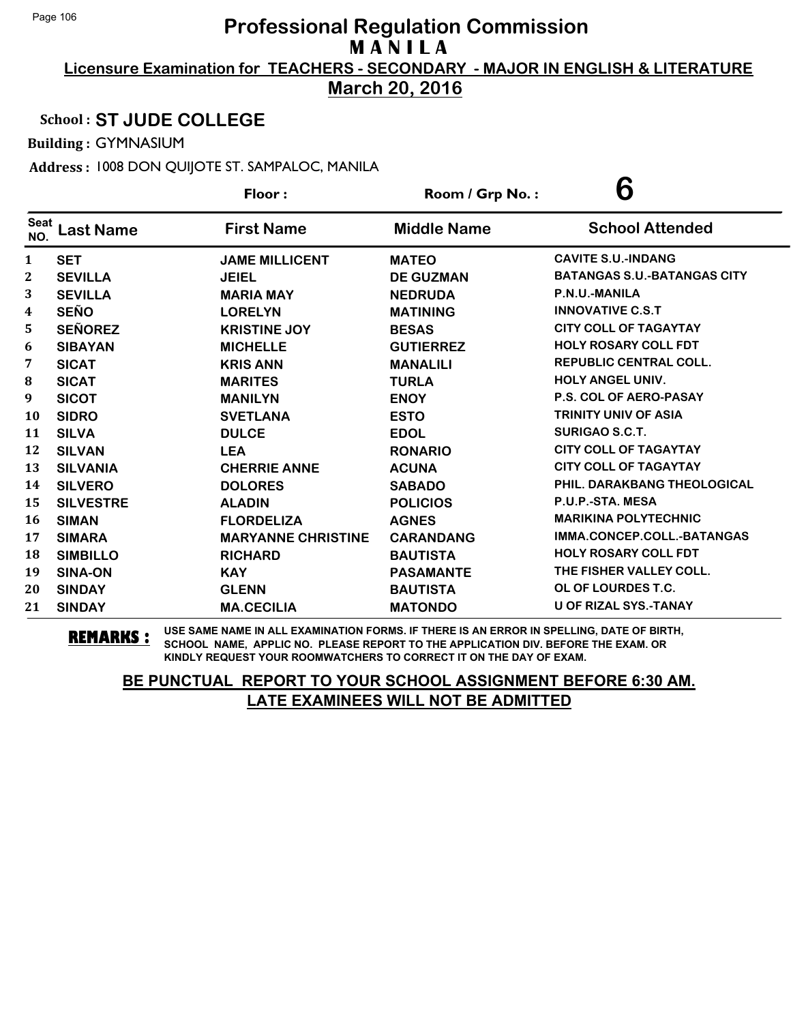**March 20, 2016**

#### School : **ST JUDE COLLEGE**

Building : GYMNASIUM

Address : 1008 DON QUIJOTE ST. SAMPALOC, MANILA

|                    |                  | Floor:                    | Room / Grp No.:    | 6                                  |
|--------------------|------------------|---------------------------|--------------------|------------------------------------|
| <b>Seat</b><br>NO. | <b>Last Name</b> | <b>First Name</b>         | <b>Middle Name</b> | <b>School Attended</b>             |
| $\mathbf{1}$       | <b>SET</b>       | <b>JAME MILLICENT</b>     | <b>MATEO</b>       | <b>CAVITE S.U.-INDANG</b>          |
| $\boldsymbol{2}$   | <b>SEVILLA</b>   | <b>JEIEL</b>              | <b>DE GUZMAN</b>   | <b>BATANGAS S.U.-BATANGAS CITY</b> |
| 3                  | <b>SEVILLA</b>   | <b>MARIA MAY</b>          | <b>NEDRUDA</b>     | P.N.U.-MANILA                      |
| 4                  | <b>SEÑO</b>      | <b>LORELYN</b>            | <b>MATINING</b>    | <b>INNOVATIVE C.S.T</b>            |
| 5                  | <b>SEÑOREZ</b>   | <b>KRISTINE JOY</b>       | <b>BESAS</b>       | <b>CITY COLL OF TAGAYTAY</b>       |
| 6                  | <b>SIBAYAN</b>   | <b>MICHELLE</b>           | <b>GUTIERREZ</b>   | <b>HOLY ROSARY COLL FDT</b>        |
| 7                  | <b>SICAT</b>     | <b>KRIS ANN</b>           | <b>MANALILI</b>    | <b>REPUBLIC CENTRAL COLL.</b>      |
| 8                  | <b>SICAT</b>     | <b>MARITES</b>            | <b>TURLA</b>       | <b>HOLY ANGEL UNIV.</b>            |
| 9                  | <b>SICOT</b>     | <b>MANILYN</b>            | <b>ENOY</b>        | <b>P.S. COL OF AERO-PASAY</b>      |
| 10                 | <b>SIDRO</b>     | <b>SVETLANA</b>           | <b>ESTO</b>        | <b>TRINITY UNIV OF ASIA</b>        |
| 11                 | <b>SILVA</b>     | <b>DULCE</b>              | <b>EDOL</b>        | <b>SURIGAO S.C.T.</b>              |
| 12                 | <b>SILVAN</b>    | <b>LEA</b>                | <b>RONARIO</b>     | <b>CITY COLL OF TAGAYTAY</b>       |
| 13                 | <b>SILVANIA</b>  | <b>CHERRIE ANNE</b>       | <b>ACUNA</b>       | <b>CITY COLL OF TAGAYTAY</b>       |
| 14                 | <b>SILVERO</b>   | <b>DOLORES</b>            | <b>SABADO</b>      | PHIL. DARAKBANG THEOLOGICAL        |
| 15                 | <b>SILVESTRE</b> | <b>ALADIN</b>             | <b>POLICIOS</b>    | P.U.P.-STA. MESA                   |
| 16                 | <b>SIMAN</b>     | <b>FLORDELIZA</b>         | <b>AGNES</b>       | <b>MARIKINA POLYTECHNIC</b>        |
| 17                 | <b>SIMARA</b>    | <b>MARYANNE CHRISTINE</b> | <b>CARANDANG</b>   | IMMA.CONCEP.COLL.-BATANGAS         |
| 18                 | <b>SIMBILLO</b>  | <b>RICHARD</b>            | <b>BAUTISTA</b>    | <b>HOLY ROSARY COLL FDT</b>        |
| 19                 | <b>SINA-ON</b>   | <b>KAY</b>                | <b>PASAMANTE</b>   | THE FISHER VALLEY COLL.            |
| 20                 | <b>SINDAY</b>    | <b>GLENN</b>              | <b>BAUTISTA</b>    | OL OF LOURDES T.C.                 |
| 21                 | <b>SINDAY</b>    | <b>MA.CECILIA</b>         | <b>MATONDO</b>     | <b>U OF RIZAL SYS.-TANAY</b>       |

**REMARKS :** USE SAME NAME IN ALL EXAMINATION FORMS. IF THERE IS AN ERROR IN SPELLING, DATE OF BIRTH, SCHOOL NAME, APPLIC NO. PLEASE REPORT TO THE APPLICATION DIV. BEFORE THE EXAM. OR KINDLY REQUEST YOUR ROOMWATCHERS TO CORRECT IT ON THE DAY OF EXAM.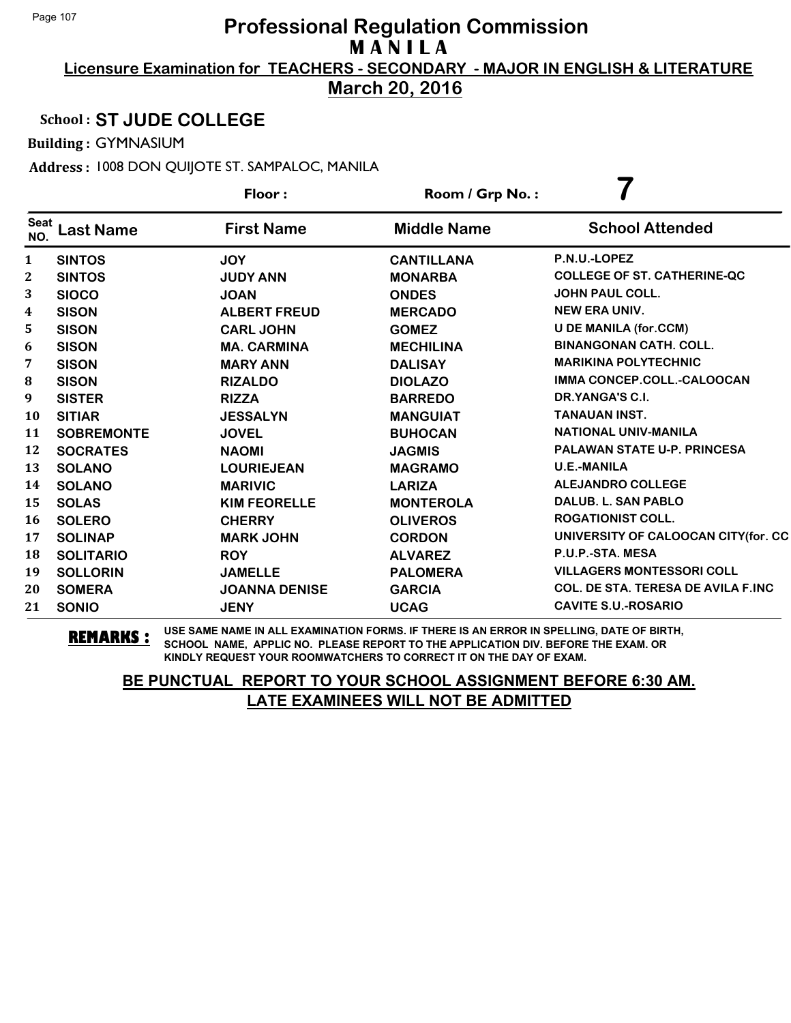**Licensure Examination for TEACHERS - SECONDARY - MAJOR IN ENGLISH & LITERATURE March 20, 2016**

#### School : **ST JUDE COLLEGE**

Building : GYMNASIUM

Address : 1008 DON QUIJOTE ST. SAMPALOC, MANILA

|                    |                   | Floor:               | Room / Grp No.:    |                                            |
|--------------------|-------------------|----------------------|--------------------|--------------------------------------------|
| <b>Seat</b><br>NO. | <b>Last Name</b>  | <b>First Name</b>    | <b>Middle Name</b> | <b>School Attended</b>                     |
| 1                  | <b>SINTOS</b>     | <b>JOY</b>           | <b>CANTILLANA</b>  | P.N.U.-LOPEZ                               |
| 2                  | <b>SINTOS</b>     | <b>JUDY ANN</b>      | <b>MONARBA</b>     | <b>COLLEGE OF ST. CATHERINE-QC</b>         |
| 3                  | <b>SIOCO</b>      | <b>JOAN</b>          | <b>ONDES</b>       | <b>JOHN PAUL COLL.</b>                     |
| 4                  | <b>SISON</b>      | <b>ALBERT FREUD</b>  | <b>MERCADO</b>     | <b>NEW ERA UNIV.</b>                       |
| 5                  | <b>SISON</b>      | <b>CARL JOHN</b>     | <b>GOMEZ</b>       | <b>U DE MANILA (for.CCM)</b>               |
| 6                  | <b>SISON</b>      | <b>MA. CARMINA</b>   | <b>MECHILINA</b>   | <b>BINANGONAN CATH. COLL.</b>              |
| 7                  | <b>SISON</b>      | <b>MARY ANN</b>      | <b>DALISAY</b>     | <b>MARIKINA POLYTECHNIC</b>                |
| 8                  | <b>SISON</b>      | <b>RIZALDO</b>       | <b>DIOLAZO</b>     | IMMA CONCEP.COLL.-CALOOCAN                 |
| 9                  | <b>SISTER</b>     | <b>RIZZA</b>         | <b>BARREDO</b>     | DR.YANGA'S C.I.                            |
| 10                 | <b>SITIAR</b>     | <b>JESSALYN</b>      | <b>MANGUIAT</b>    | <b>TANAUAN INST.</b>                       |
| 11                 | <b>SOBREMONTE</b> | <b>JOVEL</b>         | <b>BUHOCAN</b>     | <b>NATIONAL UNIV-MANILA</b>                |
| 12                 | <b>SOCRATES</b>   | <b>NAOMI</b>         | <b>JAGMIS</b>      | <b>PALAWAN STATE U-P. PRINCESA</b>         |
| 13                 | <b>SOLANO</b>     | <b>LOURIEJEAN</b>    | <b>MAGRAMO</b>     | <b>U.E.-MANILA</b>                         |
| 14                 | <b>SOLANO</b>     | <b>MARIVIC</b>       | <b>LARIZA</b>      | <b>ALEJANDRO COLLEGE</b>                   |
| 15                 | <b>SOLAS</b>      | <b>KIM FEORELLE</b>  | <b>MONTEROLA</b>   | <b>DALUB. L. SAN PABLO</b>                 |
| 16                 | <b>SOLERO</b>     | <b>CHERRY</b>        | <b>OLIVEROS</b>    | <b>ROGATIONIST COLL.</b>                   |
| 17                 | <b>SOLINAP</b>    | <b>MARK JOHN</b>     | <b>CORDON</b>      | UNIVERSITY OF CALOOCAN CITY (for. CC       |
| 18                 | <b>SOLITARIO</b>  | <b>ROY</b>           | <b>ALVAREZ</b>     | P.U.P.-STA. MESA                           |
| 19                 | <b>SOLLORIN</b>   | <b>JAMELLE</b>       | <b>PALOMERA</b>    | <b>VILLAGERS MONTESSORI COLL</b>           |
| 20                 | <b>SOMERA</b>     | <b>JOANNA DENISE</b> | <b>GARCIA</b>      | <b>COL. DE STA. TERESA DE AVILA F.INC.</b> |
| 21                 | <b>SONIO</b>      | <b>JENY</b>          | <b>UCAG</b>        | <b>CAVITE S.U.-ROSARIO</b>                 |

**REMARKS :** USE SAME NAME IN ALL EXAMINATION FORMS. IF THERE IS AN ERROR IN SPELLING, DATE OF BIRTH, SCHOOL NAME, APPLIC NO. PLEASE REPORT TO THE APPLICATION DIV. BEFORE THE EXAM. OR KINDLY REQUEST YOUR ROOMWATCHERS TO CORRECT IT ON THE DAY OF EXAM.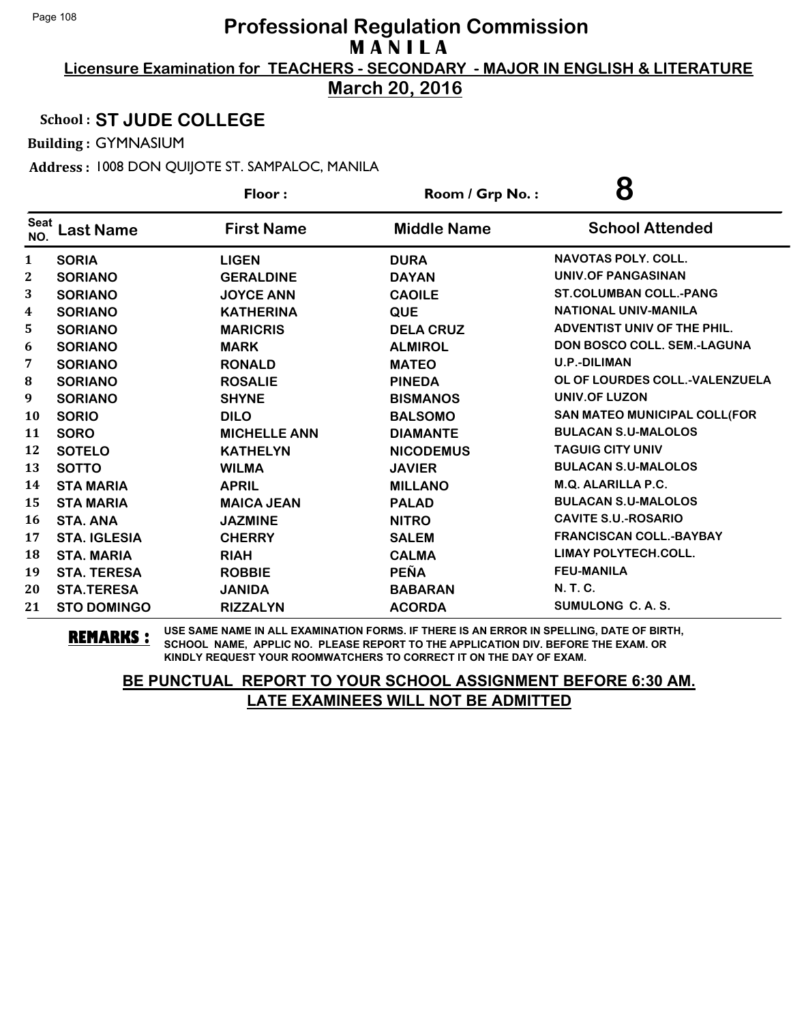**March 20, 2016**

#### School : **ST JUDE COLLEGE**

Building : GYMNASIUM

Address : 1008 DON QUIJOTE ST. SAMPALOC, MANILA

|                    |                     | Floor:              | 8<br>Room / Grp No.: |                                    |
|--------------------|---------------------|---------------------|----------------------|------------------------------------|
| <b>Seat</b><br>NO. | <b>Last Name</b>    | <b>First Name</b>   | <b>Middle Name</b>   | <b>School Attended</b>             |
| 1                  | <b>SORIA</b>        | <b>LIGEN</b>        | <b>DURA</b>          | <b>NAVOTAS POLY, COLL.</b>         |
| 2                  | <b>SORIANO</b>      | <b>GERALDINE</b>    | <b>DAYAN</b>         | UNIV.OF PANGASINAN                 |
| 3                  | <b>SORIANO</b>      | <b>JOYCE ANN</b>    | <b>CAOILE</b>        | <b>ST.COLUMBAN COLL.-PANG</b>      |
| 4                  | <b>SORIANO</b>      | <b>KATHERINA</b>    | <b>QUE</b>           | <b>NATIONAL UNIV-MANILA</b>        |
| 5                  | <b>SORIANO</b>      | <b>MARICRIS</b>     | <b>DELA CRUZ</b>     | ADVENTIST UNIV OF THE PHIL.        |
| 6                  | <b>SORIANO</b>      | <b>MARK</b>         | <b>ALMIROL</b>       | <b>DON BOSCO COLL. SEM.-LAGUNA</b> |
| 7                  | <b>SORIANO</b>      | <b>RONALD</b>       | <b>MATEO</b>         | <b>U.P.-DILIMAN</b>                |
| ${\bf 8}$          | <b>SORIANO</b>      | <b>ROSALIE</b>      | <b>PINEDA</b>        | OL OF LOURDES COLL.-VALENZUELA     |
| 9                  | <b>SORIANO</b>      | <b>SHYNE</b>        | <b>BISMANOS</b>      | <b>UNIV.OF LUZON</b>               |
| 10                 | <b>SORIO</b>        | <b>DILO</b>         | <b>BALSOMO</b>       | SAN MATEO MUNICIPAL COLL(FOR       |
| 11                 | <b>SORO</b>         | <b>MICHELLE ANN</b> | <b>DIAMANTE</b>      | <b>BULACAN S.U-MALOLOS</b>         |
| 12                 | <b>SOTELO</b>       | <b>KATHELYN</b>     | <b>NICODEMUS</b>     | <b>TAGUIG CITY UNIV</b>            |
| 13                 | <b>SOTTO</b>        | <b>WILMA</b>        | <b>JAVIER</b>        | <b>BULACAN S.U-MALOLOS</b>         |
| 14                 | <b>STA MARIA</b>    | <b>APRIL</b>        | <b>MILLANO</b>       | <b>M.Q. ALARILLA P.C.</b>          |
| 15                 | <b>STA MARIA</b>    | <b>MAICA JEAN</b>   | <b>PALAD</b>         | <b>BULACAN S.U-MALOLOS</b>         |
| 16                 | <b>STA. ANA</b>     | <b>JAZMINE</b>      | <b>NITRO</b>         | <b>CAVITE S.U.-ROSARIO</b>         |
| 17                 | <b>STA. IGLESIA</b> | <b>CHERRY</b>       | <b>SALEM</b>         | <b>FRANCISCAN COLL.-BAYBAY</b>     |
| 18                 | <b>STA. MARIA</b>   | <b>RIAH</b>         | <b>CALMA</b>         | <b>LIMAY POLYTECH.COLL.</b>        |
| 19                 | <b>STA. TERESA</b>  | <b>ROBBIE</b>       | <b>PEÑA</b>          | <b>FEU-MANILA</b>                  |
| 20                 | <b>STA.TERESA</b>   | <b>JANIDA</b>       | <b>BABARAN</b>       | N. T. C.                           |
| 21                 | <b>STO DOMINGO</b>  | <b>RIZZALYN</b>     | <b>ACORDA</b>        | SUMULONG C. A. S.                  |

**REMARKS :** USE SAME NAME IN ALL EXAMINATION FORMS. IF THERE IS AN ERROR IN SPELLING, DATE OF BIRTH, SCHOOL NAME, APPLIC NO. PLEASE REPORT TO THE APPLICATION DIV. BEFORE THE EXAM. OR KINDLY REQUEST YOUR ROOMWATCHERS TO CORRECT IT ON THE DAY OF EXAM.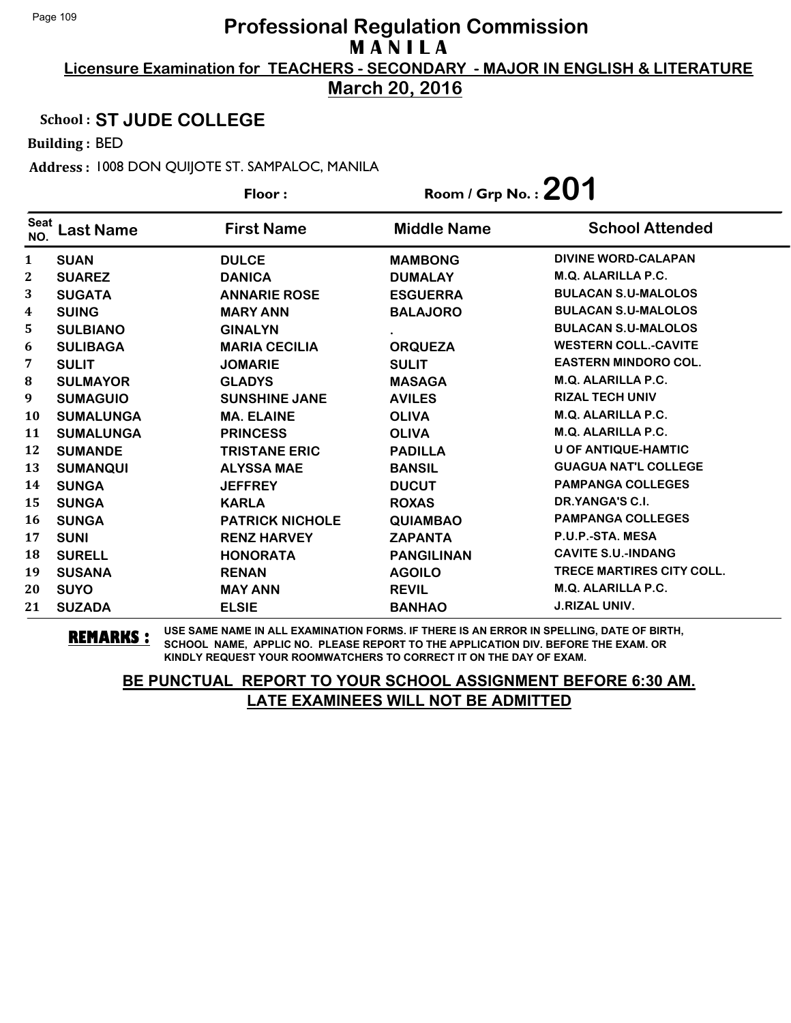**March 20, 2016**

#### School : **ST JUDE COLLEGE**

Building : BED

Address : 1008 DON QUIJOTE ST. SAMPALOC, MANILA

|                    |                  | Room / Grp No. : $201$<br>Floor: |                    |                                  |
|--------------------|------------------|----------------------------------|--------------------|----------------------------------|
| <b>Seat</b><br>NO. | Last Name        | <b>First Name</b>                | <b>Middle Name</b> | <b>School Attended</b>           |
| 1                  | <b>SUAN</b>      | <b>DULCE</b>                     | <b>MAMBONG</b>     | <b>DIVINE WORD-CALAPAN</b>       |
| $\mathbf{2}$       | <b>SUAREZ</b>    | <b>DANICA</b>                    | <b>DUMALAY</b>     | M.Q. ALARILLA P.C.               |
| 3                  | <b>SUGATA</b>    | <b>ANNARIE ROSE</b>              | <b>ESGUERRA</b>    | <b>BULACAN S.U-MALOLOS</b>       |
| 4                  | <b>SUING</b>     | <b>MARY ANN</b>                  | <b>BALAJORO</b>    | <b>BULACAN S.U-MALOLOS</b>       |
| 5                  | <b>SULBIANO</b>  | <b>GINALYN</b>                   |                    | <b>BULACAN S.U-MALOLOS</b>       |
| 6                  | <b>SULIBAGA</b>  | <b>MARIA CECILIA</b>             | <b>ORQUEZA</b>     | <b>WESTERN COLL.-CAVITE</b>      |
| 7                  | <b>SULIT</b>     | <b>JOMARIE</b>                   | <b>SULIT</b>       | <b>EASTERN MINDORO COL.</b>      |
| 8                  | <b>SULMAYOR</b>  | <b>GLADYS</b>                    | <b>MASAGA</b>      | <b>M.Q. ALARILLA P.C.</b>        |
| 9                  | <b>SUMAGUIO</b>  | <b>SUNSHINE JANE</b>             | <b>AVILES</b>      | <b>RIZAL TECH UNIV</b>           |
| 10                 | <b>SUMALUNGA</b> | <b>MA. ELAINE</b>                | <b>OLIVA</b>       | <b>M.Q. ALARILLA P.C.</b>        |
| 11                 | <b>SUMALUNGA</b> | <b>PRINCESS</b>                  | <b>OLIVA</b>       | <b>M.Q. ALARILLA P.C.</b>        |
| 12                 | <b>SUMANDE</b>   | <b>TRISTANE ERIC</b>             | <b>PADILLA</b>     | <b>U OF ANTIQUE-HAMTIC</b>       |
| 13                 | <b>SUMANQUI</b>  | <b>ALYSSA MAE</b>                | <b>BANSIL</b>      | <b>GUAGUA NAT'L COLLEGE</b>      |
| 14                 | <b>SUNGA</b>     | <b>JEFFREY</b>                   | <b>DUCUT</b>       | <b>PAMPANGA COLLEGES</b>         |
| 15                 | <b>SUNGA</b>     | <b>KARLA</b>                     | <b>ROXAS</b>       | DR.YANGA'S C.I.                  |
| 16                 | <b>SUNGA</b>     | <b>PATRICK NICHOLE</b>           | <b>QUIAMBAO</b>    | <b>PAMPANGA COLLEGES</b>         |
| 17                 | <b>SUNI</b>      | <b>RENZ HARVEY</b>               | <b>ZAPANTA</b>     | P.U.P.-STA. MESA                 |
| 18                 | <b>SURELL</b>    | <b>HONORATA</b>                  | <b>PANGILINAN</b>  | <b>CAVITE S.U.-INDANG</b>        |
| 19                 | <b>SUSANA</b>    | <b>RENAN</b>                     | <b>AGOILO</b>      | <b>TRECE MARTIRES CITY COLL.</b> |
| 20                 | <b>SUYO</b>      | <b>MAY ANN</b>                   | <b>REVIL</b>       | <b>M.Q. ALARILLA P.C.</b>        |
| 21                 | <b>SUZADA</b>    | <b>ELSIE</b>                     | <b>BANHAO</b>      | <b>J.RIZAL UNIV.</b>             |

**REMARKS :** USE SAME NAME IN ALL EXAMINATION FORMS. IF THERE IS AN ERROR IN SPELLING, DATE OF BIRTH, SCHOOL NAME, APPLIC NO. PLEASE REPORT TO THE APPLICATION DIV. BEFORE THE EXAM. OR KINDLY REQUEST YOUR ROOMWATCHERS TO CORRECT IT ON THE DAY OF EXAM.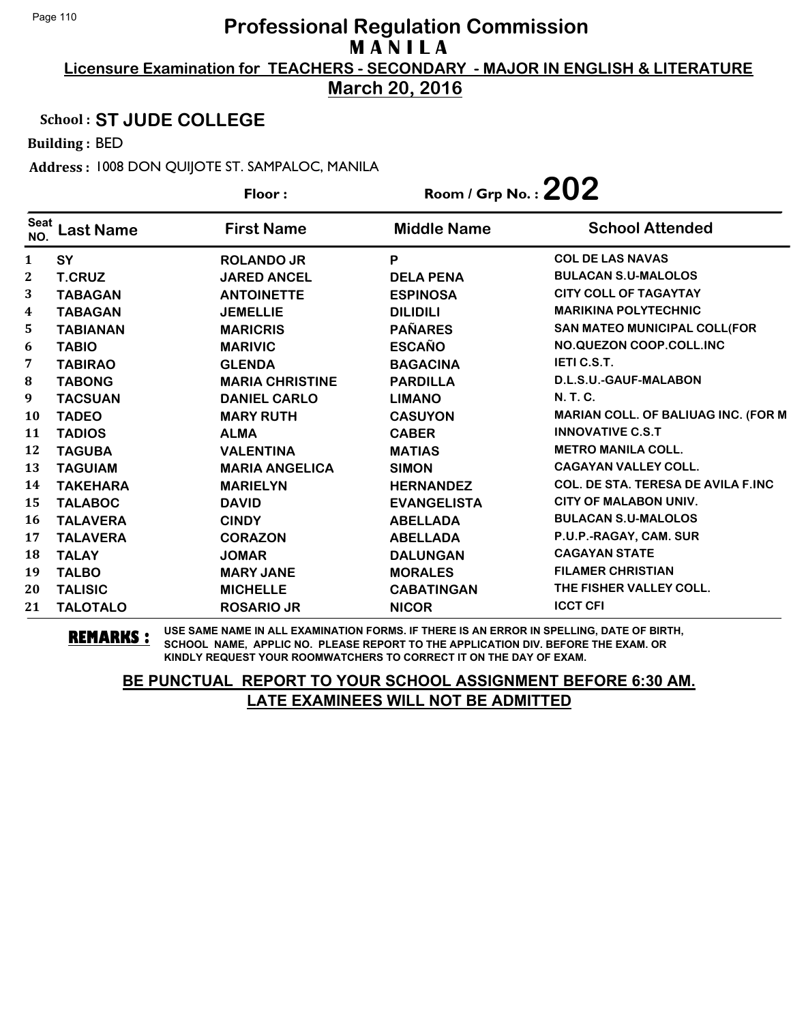**March 20, 2016**

### School : **ST JUDE COLLEGE**

Building : BED

Address : 1008 DON QUIJOTE ST. SAMPALOC, MANILA

|                    |                  | Floor:                 | Room / Grp No. : $202$ |                                           |
|--------------------|------------------|------------------------|------------------------|-------------------------------------------|
| <b>Seat</b><br>NO. | <b>Last Name</b> | <b>First Name</b>      | <b>Middle Name</b>     | <b>School Attended</b>                    |
| 1                  | SY               | <b>ROLANDO JR</b>      | P                      | <b>COL DE LAS NAVAS</b>                   |
| $\mathbf{2}$       | <b>T.CRUZ</b>    | <b>JARED ANCEL</b>     | <b>DELA PENA</b>       | <b>BULACAN S.U-MALOLOS</b>                |
| 3                  | <b>TABAGAN</b>   | <b>ANTOINETTE</b>      | <b>ESPINOSA</b>        | <b>CITY COLL OF TAGAYTAY</b>              |
| 4                  | <b>TABAGAN</b>   | <b>JEMELLIE</b>        | <b>DILIDILI</b>        | <b>MARIKINA POLYTECHNIC</b>               |
| 5                  | <b>TABIANAN</b>  | <b>MARICRIS</b>        | <b>PAÑARES</b>         | <b>SAN MATEO MUNICIPAL COLL(FOR</b>       |
| 6                  | <b>TABIO</b>     | <b>MARIVIC</b>         | <b>ESCAÑO</b>          | NO.QUEZON COOP.COLL.INC                   |
| 7                  | <b>TABIRAO</b>   | <b>GLENDA</b>          | <b>BAGACINA</b>        | <b>IETIC.S.T.</b>                         |
| 8                  | <b>TABONG</b>    | <b>MARIA CHRISTINE</b> | <b>PARDILLA</b>        | D.L.S.U.-GAUF-MALABON                     |
| 9                  | <b>TACSUAN</b>   | <b>DANIEL CARLO</b>    | <b>LIMANO</b>          | <b>N.T.C.</b>                             |
| 10                 | <b>TADEO</b>     | <b>MARY RUTH</b>       | <b>CASUYON</b>         | MARIAN COLL. OF BALIUAG INC. (FOR M       |
| 11                 | <b>TADIOS</b>    | <b>ALMA</b>            | <b>CABER</b>           | <b>INNOVATIVE C.S.T</b>                   |
| 12                 | <b>TAGUBA</b>    | <b>VALENTINA</b>       | <b>MATIAS</b>          | <b>METRO MANILA COLL.</b>                 |
| 13                 | <b>TAGUIAM</b>   | <b>MARIA ANGELICA</b>  | <b>SIMON</b>           | <b>CAGAYAN VALLEY COLL.</b>               |
| 14                 | <b>TAKEHARA</b>  | <b>MARIELYN</b>        | <b>HERNANDEZ</b>       | <b>COL. DE STA. TERESA DE AVILA F.INC</b> |
| 15                 | <b>TALABOC</b>   | <b>DAVID</b>           | <b>EVANGELISTA</b>     | CITY OF MALABON UNIV.                     |
| 16                 | <b>TALAVERA</b>  | <b>CINDY</b>           | <b>ABELLADA</b>        | <b>BULACAN S.U-MALOLOS</b>                |
| 17                 | <b>TALAVERA</b>  | <b>CORAZON</b>         | <b>ABELLADA</b>        | P.U.P.-RAGAY, CAM. SUR                    |
| 18                 | <b>TALAY</b>     | <b>JOMAR</b>           | <b>DALUNGAN</b>        | <b>CAGAYAN STATE</b>                      |
| 19                 | <b>TALBO</b>     | <b>MARY JANE</b>       | <b>MORALES</b>         | <b>FILAMER CHRISTIAN</b>                  |
| 20                 | <b>TALISIC</b>   | <b>MICHELLE</b>        | <b>CABATINGAN</b>      | THE FISHER VALLEY COLL.                   |
| 21                 | <b>TALOTALO</b>  | <b>ROSARIO JR</b>      | <b>NICOR</b>           | <b>ICCT CFI</b>                           |

**REMARKS :** USE SAME NAME IN ALL EXAMINATION FORMS. IF THERE IS AN ERROR IN SPELLING, DATE OF BIRTH, SCHOOL NAME, APPLIC NO. PLEASE REPORT TO THE APPLICATION DIV. BEFORE THE EXAM. OR KINDLY REQUEST YOUR ROOMWATCHERS TO CORRECT IT ON THE DAY OF EXAM.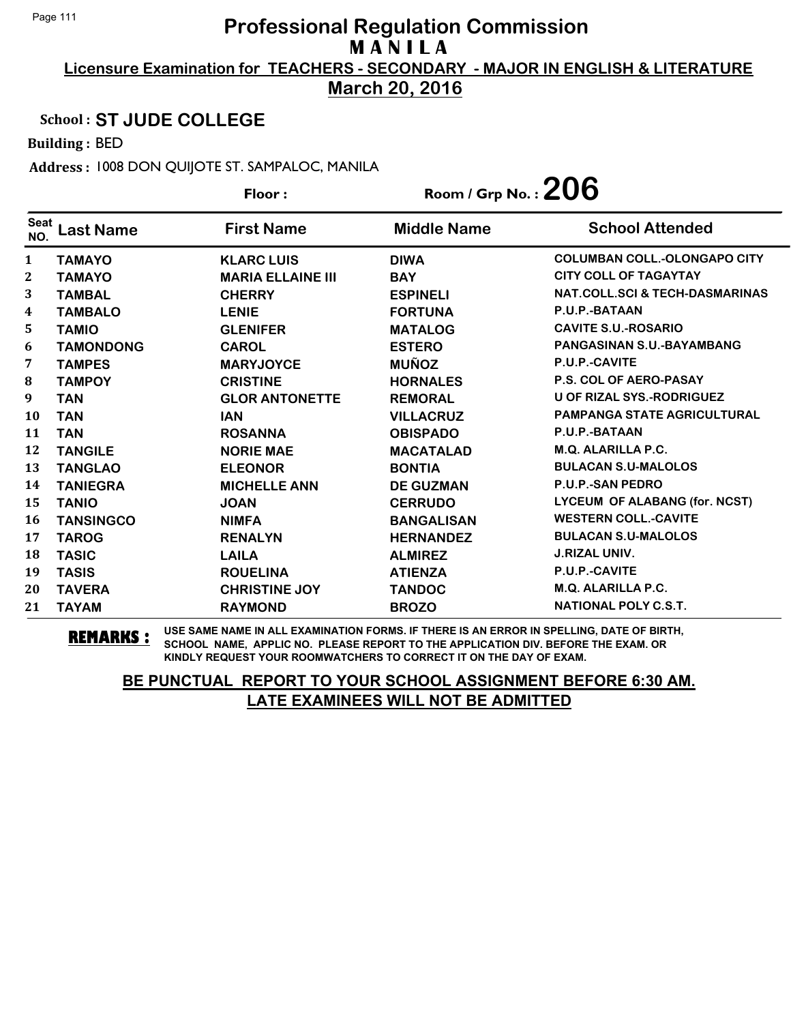**March 20, 2016**

### School : **ST JUDE COLLEGE**

Building : BED

Address : 1008 DON QUIJOTE ST. SAMPALOC, MANILA

|                    |                  | Floor:                   | Room / Grp No. : $206$ |                                           |
|--------------------|------------------|--------------------------|------------------------|-------------------------------------------|
| <b>Seat</b><br>NO. | <b>Last Name</b> | <b>First Name</b>        | <b>Middle Name</b>     | <b>School Attended</b>                    |
| 1                  | <b>TAMAYO</b>    | <b>KLARC LUIS</b>        | <b>DIWA</b>            | <b>COLUMBAN COLL.-OLONGAPO CITY</b>       |
| $\mathbf 2$        | <b>TAMAYO</b>    | <b>MARIA ELLAINE III</b> | <b>BAY</b>             | <b>CITY COLL OF TAGAYTAY</b>              |
| 3                  | <b>TAMBAL</b>    | <b>CHERRY</b>            | <b>ESPINELI</b>        | <b>NAT.COLL.SCI &amp; TECH-DASMARINAS</b> |
| 4                  | <b>TAMBALO</b>   | <b>LENIE</b>             | <b>FORTUNA</b>         | P.U.P.-BATAAN                             |
| 5                  | <b>TAMIO</b>     | <b>GLENIFER</b>          | <b>MATALOG</b>         | <b>CAVITE S.U.-ROSARIO</b>                |
| 6                  | <b>TAMONDONG</b> | <b>CAROL</b>             | <b>ESTERO</b>          | PANGASINAN S.U.-BAYAMBANG                 |
| 7                  | <b>TAMPES</b>    | <b>MARYJOYCE</b>         | <b>MUÑOZ</b>           | P.U.P.-CAVITE                             |
| 8                  | <b>TAMPOY</b>    | <b>CRISTINE</b>          | <b>HORNALES</b>        | <b>P.S. COL OF AERO-PASAY</b>             |
| 9                  | <b>TAN</b>       | <b>GLOR ANTONETTE</b>    | <b>REMORAL</b>         | <b>U OF RIZAL SYS.-RODRIGUEZ</b>          |
| 10                 | <b>TAN</b>       | <b>IAN</b>               | <b>VILLACRUZ</b>       | <b>PAMPANGA STATE AGRICULTURAL</b>        |
| 11                 | <b>TAN</b>       | <b>ROSANNA</b>           | <b>OBISPADO</b>        | P.U.P.-BATAAN                             |
| 12                 | <b>TANGILE</b>   | <b>NORIE MAE</b>         | <b>MACATALAD</b>       | M.Q. ALARILLA P.C.                        |
| 13                 | <b>TANGLAO</b>   | <b>ELEONOR</b>           | <b>BONTIA</b>          | <b>BULACAN S.U-MALOLOS</b>                |
| 14                 | <b>TANIEGRA</b>  | <b>MICHELLE ANN</b>      | <b>DE GUZMAN</b>       | <b>P.U.P.-SAN PEDRO</b>                   |
| 15                 | <b>TANIO</b>     | <b>JOAN</b>              | <b>CERRUDO</b>         | LYCEUM OF ALABANG (for. NCST)             |
| 16                 | <b>TANSINGCO</b> | <b>NIMFA</b>             | <b>BANGALISAN</b>      | <b>WESTERN COLL.-CAVITE</b>               |
| 17                 | <b>TAROG</b>     | <b>RENALYN</b>           | <b>HERNANDEZ</b>       | <b>BULACAN S.U-MALOLOS</b>                |
| 18                 | <b>TASIC</b>     | <b>LAILA</b>             | <b>ALMIREZ</b>         | <b>J.RIZAL UNIV.</b>                      |
| 19                 | <b>TASIS</b>     | <b>ROUELINA</b>          | <b>ATIENZA</b>         | P.U.P.-CAVITE                             |
| 20                 | <b>TAVERA</b>    | <b>CHRISTINE JOY</b>     | <b>TANDOC</b>          | <b>M.Q. ALARILLA P.C.</b>                 |
| 21                 | <b>TAYAM</b>     | <b>RAYMOND</b>           | <b>BROZO</b>           | <b>NATIONAL POLY C.S.T.</b>               |

**REMARKS :** USE SAME NAME IN ALL EXAMINATION FORMS. IF THERE IS AN ERROR IN SPELLING, DATE OF BIRTH, SCHOOL NAME, APPLIC NO. PLEASE REPORT TO THE APPLICATION DIV. BEFORE THE EXAM. OR KINDLY REQUEST YOUR ROOMWATCHERS TO CORRECT IT ON THE DAY OF EXAM.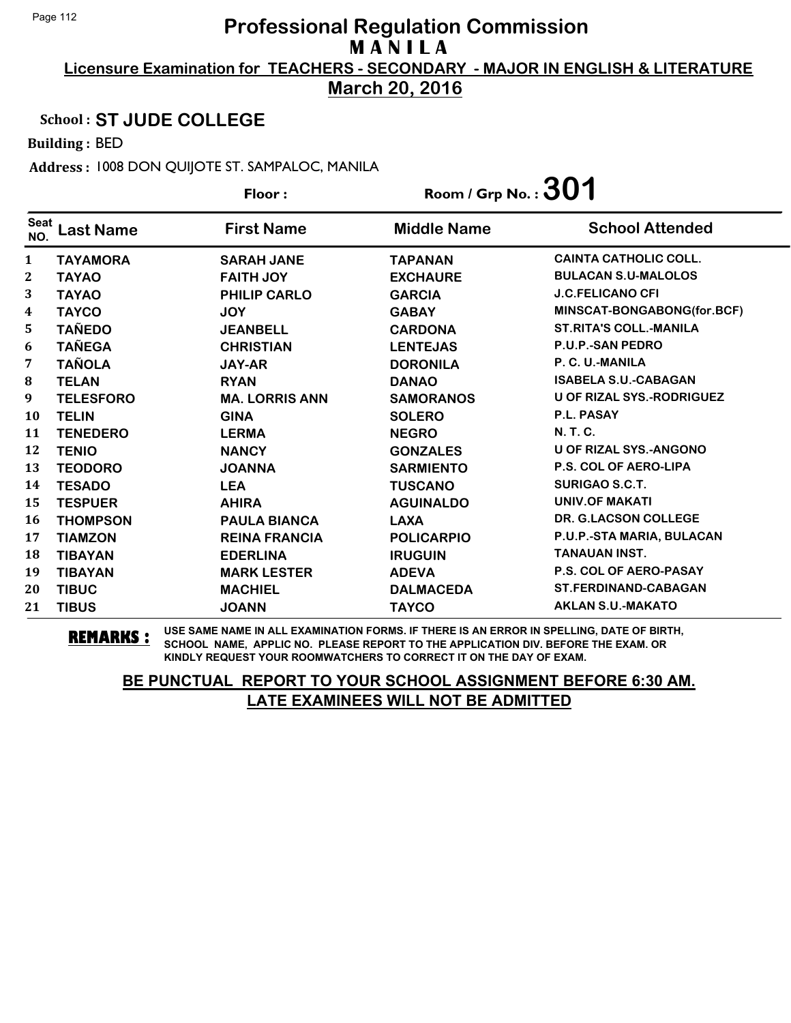**March 20, 2016**

#### School : **ST JUDE COLLEGE**

Building : BED

Address : 1008 DON QUIJOTE ST. SAMPALOC, MANILA

**Last Name First Name Middle Name** Floor : Room / Grp No. :**301** Seat <sup>seat</sup> Last Name First Name Middle Name School Attended **TAYAMORA SARAH JANE TAPANAN CAINTA CATHOLIC COLL. TAYAO FAITH JOY EXCHAURE BULACAN S.U-MALOLOS TAYAO PHILIP CARLO GARCIA J.C.FELICANO CFI TAYCO JOY GABAY MINSCAT-BONGABONG(for.BCF) TAÑEDO JEANBELL CARDONA ST.RITA'S COLL.-MANILA TAÑEGA CHRISTIAN LENTEJAS P.U.P.-SAN PEDRO TAÑOLA JAY-AR DORONILA P. C. U.-MANILA TELAN RYAN DANAO ISABELA S.U.-CABAGAN TELESFORO MA. LORRIS ANN SAMORANOS U OF RIZAL SYS.-RODRIGUEZ TELIN GINA SOLERO P.L. PASAY TENEDERO LERMA NEGRO N. T. C. TENIO NANCY GONZALES U OF RIZAL SYS.-ANGONO TEODORO JOANNA SARMIENTO P.S. COL OF AERO-LIPA TESADO LEA TUSCANO SURIGAO S.C.T. TESPUER AHIRA AGUINALDO UNIV.OF MAKATI THOMPSON PAULA BIANCA LAXA DR. G.LACSON COLLEGE TIAMZON REINA FRANCIA POLICARPIO P.U.P.-STA MARIA, BULACAN TIBAYAN EDERLINA IRUGUIN TANAUAN INST. TIBAYAN MARK LESTER ADEVA P.S. COL OF AERO-PASAY TIBUC MACHIEL DALMACEDA ST.FERDINAND-CABAGAN TIBUS JOANN TAYCO AKLAN S.U.-MAKATO**

**REMARKS :** USE SAME NAME IN ALL EXAMINATION FORMS. IF THERE IS AN ERROR IN SPELLING, DATE OF BIRTH, SCHOOL NAME, APPLIC NO. PLEASE REPORT TO THE APPLICATION DIV. BEFORE THE EXAM. OR KINDLY REQUEST YOUR ROOMWATCHERS TO CORRECT IT ON THE DAY OF EXAM.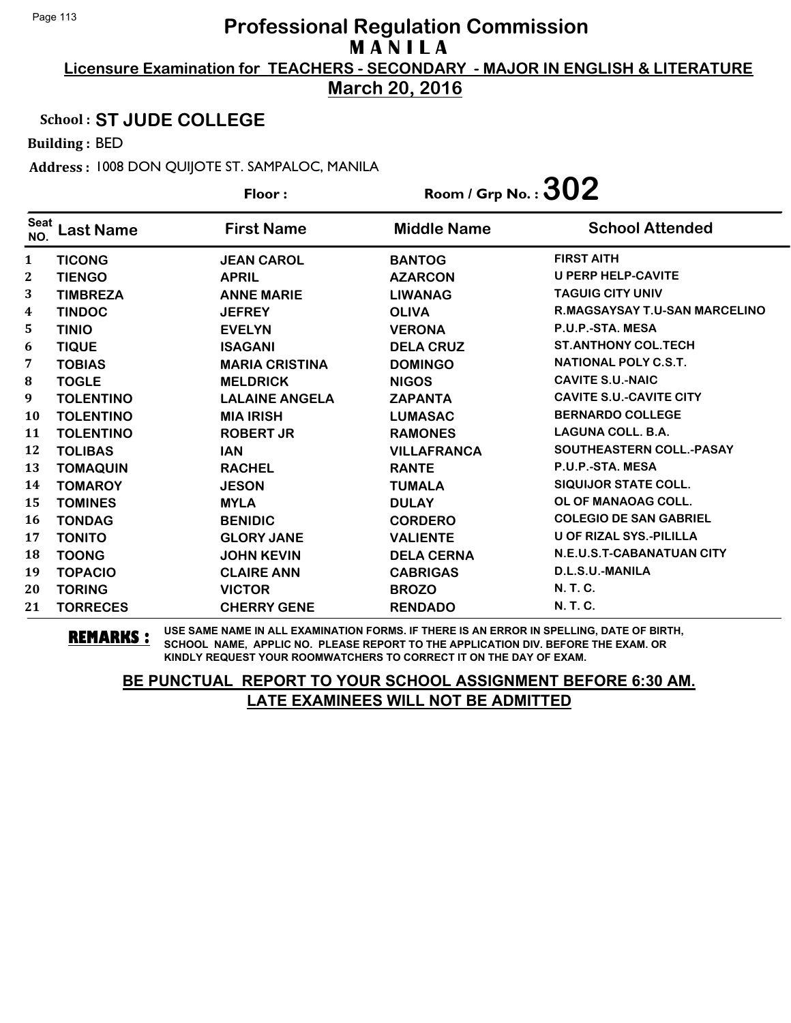**March 20, 2016**

### School : **ST JUDE COLLEGE**

Building : BED

Address : 1008 DON QUIJOTE ST. SAMPALOC, MANILA

|                    |                  | Floor:                | Room / Grp No. : $302$ |                                      |
|--------------------|------------------|-----------------------|------------------------|--------------------------------------|
| <b>Seat</b><br>NO. | Last Name        | <b>First Name</b>     | <b>Middle Name</b>     | <b>School Attended</b>               |
| 1                  | <b>TICONG</b>    | <b>JEAN CAROL</b>     | <b>BANTOG</b>          | <b>FIRST AITH</b>                    |
| 2                  | <b>TIENGO</b>    | <b>APRIL</b>          | <b>AZARCON</b>         | <b>U PERP HELP-CAVITE</b>            |
| 3                  | <b>TIMBREZA</b>  | <b>ANNE MARIE</b>     | <b>LIWANAG</b>         | <b>TAGUIG CITY UNIV</b>              |
| 4                  | <b>TINDOC</b>    | <b>JEFREY</b>         | <b>OLIVA</b>           | <b>R.MAGSAYSAY T.U-SAN MARCELINO</b> |
| 5                  | <b>TINIO</b>     | <b>EVELYN</b>         | <b>VERONA</b>          | P.U.P.-STA. MESA                     |
| 6                  | <b>TIQUE</b>     | <b>ISAGANI</b>        | <b>DELA CRUZ</b>       | <b>ST.ANTHONY COL.TECH</b>           |
| 7                  | <b>TOBIAS</b>    | <b>MARIA CRISTINA</b> | <b>DOMINGO</b>         | <b>NATIONAL POLY C.S.T.</b>          |
| 8                  | <b>TOGLE</b>     | <b>MELDRICK</b>       | <b>NIGOS</b>           | <b>CAVITE S.U.-NAIC</b>              |
| 9                  | <b>TOLENTINO</b> | <b>LALAINE ANGELA</b> | <b>ZAPANTA</b>         | <b>CAVITE S.U.-CAVITE CITY</b>       |
| 10                 | <b>TOLENTINO</b> | <b>MIA IRISH</b>      | <b>LUMASAC</b>         | <b>BERNARDO COLLEGE</b>              |
| 11                 | <b>TOLENTINO</b> | <b>ROBERT JR</b>      | <b>RAMONES</b>         | <b>LAGUNA COLL. B.A.</b>             |
| 12                 | <b>TOLIBAS</b>   | <b>IAN</b>            | <b>VILLAFRANCA</b>     | SOUTHEASTERN COLL.-PASAY             |
| 13                 | <b>TOMAQUIN</b>  | <b>RACHEL</b>         | <b>RANTE</b>           | P.U.P.-STA. MESA                     |
| 14                 | <b>TOMAROY</b>   | <b>JESON</b>          | <b>TUMALA</b>          | <b>SIQUIJOR STATE COLL.</b>          |
| 15                 | <b>TOMINES</b>   | <b>MYLA</b>           | <b>DULAY</b>           | OL OF MANAOAG COLL.                  |
| 16                 | <b>TONDAG</b>    | <b>BENIDIC</b>        | <b>CORDERO</b>         | <b>COLEGIO DE SAN GABRIEL</b>        |
| 17                 | <b>TONITO</b>    | <b>GLORY JANE</b>     | <b>VALIENTE</b>        | <b>U OF RIZAL SYS.-PILILLA</b>       |
| 18                 | <b>TOONG</b>     | <b>JOHN KEVIN</b>     | <b>DELA CERNA</b>      | <b>N.E.U.S.T-CABANATUAN CITY</b>     |
| 19                 | <b>TOPACIO</b>   | <b>CLAIRE ANN</b>     | <b>CABRIGAS</b>        | D.L.S.U.-MANILA                      |
| 20                 | <b>TORING</b>    | <b>VICTOR</b>         | <b>BROZO</b>           | N. T. C.                             |
| 21                 | <b>TORRECES</b>  | <b>CHERRY GENE</b>    | <b>RENDADO</b>         | N. T. C.                             |

**REMARKS :** USE SAME NAME IN ALL EXAMINATION FORMS. IF THERE IS AN ERROR IN SPELLING, DATE OF BIRTH, SCHOOL NAME, APPLIC NO. PLEASE REPORT TO THE APPLICATION DIV. BEFORE THE EXAM. OR KINDLY REQUEST YOUR ROOMWATCHERS TO CORRECT IT ON THE DAY OF EXAM.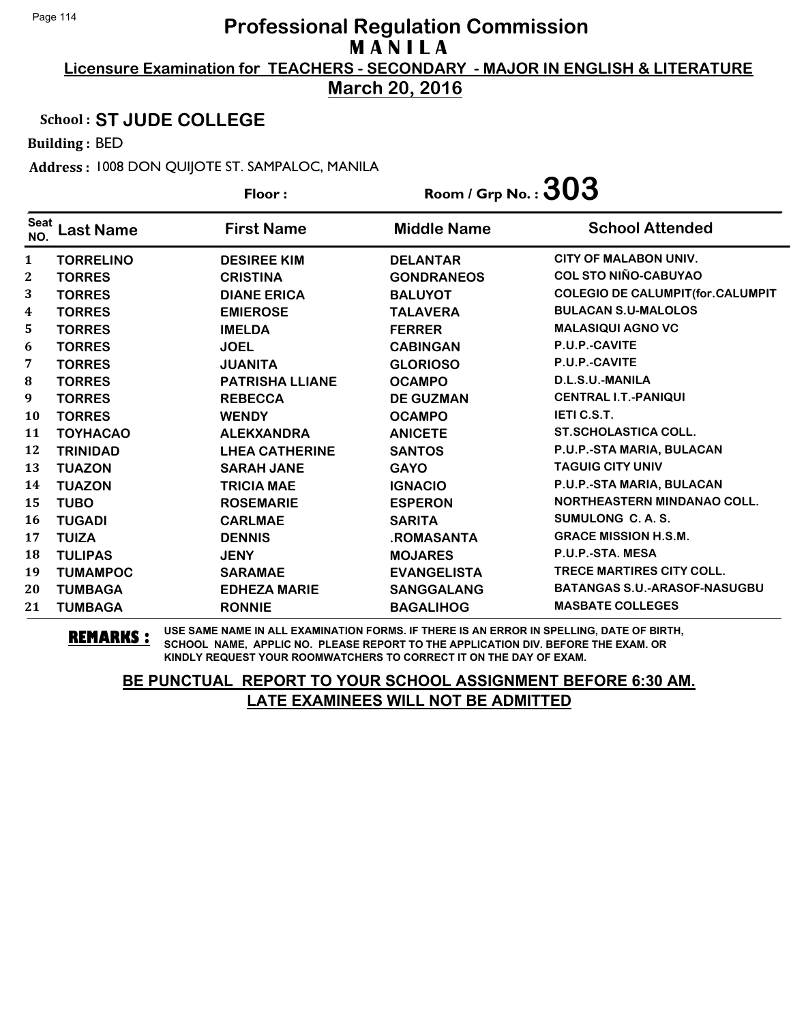**March 20, 2016**

### School : **ST JUDE COLLEGE**

Building : BED

Address : 1008 DON QUIJOTE ST. SAMPALOC, MANILA

|                    |                  | Floor:                 | Room / Grp No. : $303$ |                                         |
|--------------------|------------------|------------------------|------------------------|-----------------------------------------|
| <b>Seat</b><br>NO. | <b>Last Name</b> | <b>First Name</b>      | <b>Middle Name</b>     | <b>School Attended</b>                  |
| 1                  | <b>TORRELINO</b> | <b>DESIREE KIM</b>     | <b>DELANTAR</b>        | <b>CITY OF MALABON UNIV.</b>            |
| 2                  | <b>TORRES</b>    | <b>CRISTINA</b>        | <b>GONDRANEOS</b>      | <b>COL STO NIÑO-CABUYAO</b>             |
| 3                  | <b>TORRES</b>    | <b>DIANE ERICA</b>     | <b>BALUYOT</b>         | <b>COLEGIO DE CALUMPIT(for.CALUMPIT</b> |
| 4                  | <b>TORRES</b>    | <b>EMIEROSE</b>        | <b>TALAVERA</b>        | <b>BULACAN S.U-MALOLOS</b>              |
| 5                  | <b>TORRES</b>    | <b>IMELDA</b>          | <b>FERRER</b>          | <b>MALASIQUI AGNO VC</b>                |
| 6                  | <b>TORRES</b>    | <b>JOEL</b>            | <b>CABINGAN</b>        | P.U.P.-CAVITE                           |
| 7                  | <b>TORRES</b>    | <b>JUANITA</b>         | <b>GLORIOSO</b>        | P.U.P.-CAVITE                           |
| 8                  | <b>TORRES</b>    | <b>PATRISHA LLIANE</b> | <b>OCAMPO</b>          | D.L.S.U.-MANILA                         |
| 9                  | <b>TORRES</b>    | <b>REBECCA</b>         | <b>DE GUZMAN</b>       | <b>CENTRAL I.T.-PANIQUI</b>             |
| 10                 | <b>TORRES</b>    | <b>WENDY</b>           | <b>OCAMPO</b>          | <b>IETI C.S.T.</b>                      |
| 11                 | <b>TOYHACAO</b>  | <b>ALEKXANDRA</b>      | <b>ANICETE</b>         | <b>ST.SCHOLASTICA COLL.</b>             |
| 12                 | <b>TRINIDAD</b>  | <b>LHEA CATHERINE</b>  | <b>SANTOS</b>          | P.U.P.-STA MARIA, BULACAN               |
| 13                 | <b>TUAZON</b>    | <b>SARAH JANE</b>      | <b>GAYO</b>            | <b>TAGUIG CITY UNIV</b>                 |
| 14                 | <b>TUAZON</b>    | <b>TRICIA MAE</b>      | <b>IGNACIO</b>         | P.U.P.-STA MARIA, BULACAN               |
| 15                 | <b>TUBO</b>      | <b>ROSEMARIE</b>       | <b>ESPERON</b>         | <b>NORTHEASTERN MINDANAO COLL.</b>      |
| 16                 | <b>TUGADI</b>    | <b>CARLMAE</b>         | <b>SARITA</b>          | SUMULONG C.A.S.                         |
| 17                 | <b>TUIZA</b>     | <b>DENNIS</b>          | .ROMASANTA             | <b>GRACE MISSION H.S.M.</b>             |
| 18                 | <b>TULIPAS</b>   | <b>JENY</b>            | <b>MOJARES</b>         | P.U.P.-STA. MESA                        |
| 19                 | <b>TUMAMPOC</b>  | <b>SARAMAE</b>         | <b>EVANGELISTA</b>     | <b>TRECE MARTIRES CITY COLL.</b>        |
| 20                 | <b>TUMBAGA</b>   | <b>EDHEZA MARIE</b>    | <b>SANGGALANG</b>      | <b>BATANGAS S.U.-ARASOF-NASUGBU</b>     |
| 21                 | <b>TUMBAGA</b>   | <b>RONNIE</b>          | <b>BAGALIHOG</b>       | <b>MASBATE COLLEGES</b>                 |

**REMARKS :** USE SAME NAME IN ALL EXAMINATION FORMS. IF THERE IS AN ERROR IN SPELLING, DATE OF BIRTH, SCHOOL NAME, APPLIC NO. PLEASE REPORT TO THE APPLICATION DIV. BEFORE THE EXAM. OR KINDLY REQUEST YOUR ROOMWATCHERS TO CORRECT IT ON THE DAY OF EXAM.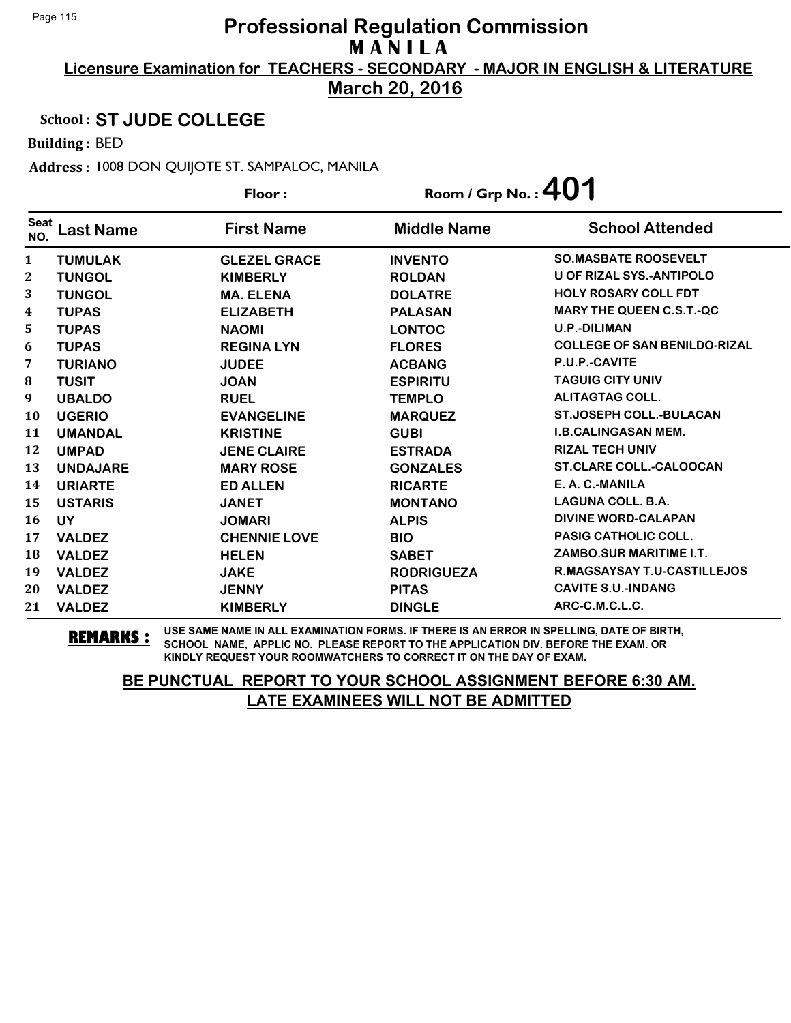**March 20, 2016**

### School : **ST JUDE COLLEGE**

Building : BED

Address : 1008 DON QUIJOTE ST. SAMPALOC, MANILA

|                    |                  | Floor:              | Room / Grp No. : $401$ |                                     |
|--------------------|------------------|---------------------|------------------------|-------------------------------------|
| <b>Seat</b><br>NO. | <b>Last Name</b> | <b>First Name</b>   | <b>Middle Name</b>     | <b>School Attended</b>              |
| 1                  | <b>TUMULAK</b>   | <b>GLEZEL GRACE</b> | <b>INVENTO</b>         | <b>SO.MASBATE ROOSEVELT</b>         |
| $\mathbf{2}$       | <b>TUNGOL</b>    | <b>KIMBERLY</b>     | <b>ROLDAN</b>          | <b>U OF RIZAL SYS.-ANTIPOLO</b>     |
| 3                  | <b>TUNGOL</b>    | <b>MA. ELENA</b>    | <b>DOLATRE</b>         | <b>HOLY ROSARY COLL FDT</b>         |
| 4                  | <b>TUPAS</b>     | <b>ELIZABETH</b>    | <b>PALASAN</b>         | <b>MARY THE QUEEN C.S.T.-QC</b>     |
| 5                  | <b>TUPAS</b>     | <b>NAOMI</b>        | <b>LONTOC</b>          | <b>U.P.-DILIMAN</b>                 |
| 6                  | <b>TUPAS</b>     | <b>REGINA LYN</b>   | <b>FLORES</b>          | <b>COLLEGE OF SAN BENILDO-RIZAL</b> |
| 7                  | <b>TURIANO</b>   | <b>JUDEE</b>        | <b>ACBANG</b>          | P.U.P.-CAVITE                       |
| 8                  | <b>TUSIT</b>     | <b>JOAN</b>         | <b>ESPIRITU</b>        | <b>TAGUIG CITY UNIV</b>             |
| 9                  | <b>UBALDO</b>    | <b>RUEL</b>         | <b>TEMPLO</b>          | <b>ALITAGTAG COLL.</b>              |
| 10                 | <b>UGERIO</b>    | <b>EVANGELINE</b>   | <b>MARQUEZ</b>         | <b>ST.JOSEPH COLL.-BULACAN</b>      |
| 11                 | <b>UMANDAL</b>   | <b>KRISTINE</b>     | <b>GUBI</b>            | <b>I.B.CALINGASAN MEM.</b>          |
| 12                 | <b>UMPAD</b>     | <b>JENE CLAIRE</b>  | <b>ESTRADA</b>         | <b>RIZAL TECH UNIV</b>              |
| 13                 | <b>UNDAJARE</b>  | <b>MARY ROSE</b>    | <b>GONZALES</b>        | <b>ST.CLARE COLL.-CALOOCAN</b>      |
| 14                 | <b>URIARTE</b>   | <b>ED ALLEN</b>     | <b>RICARTE</b>         | E. A. C.-MANILA                     |
| 15                 | <b>USTARIS</b>   | <b>JANET</b>        | <b>MONTANO</b>         | <b>LAGUNA COLL. B.A.</b>            |
| 16                 | <b>UY</b>        | <b>JOMARI</b>       | <b>ALPIS</b>           | <b>DIVINE WORD-CALAPAN</b>          |
| 17                 | <b>VALDEZ</b>    | <b>CHENNIE LOVE</b> | <b>BIO</b>             | <b>PASIG CATHOLIC COLL.</b>         |
| 18                 | <b>VALDEZ</b>    | <b>HELEN</b>        | <b>SABET</b>           | ZAMBO.SUR MARITIME I.T.             |
| 19                 | <b>VALDEZ</b>    | <b>JAKE</b>         | <b>RODRIGUEZA</b>      | R.MAGSAYSAY T.U-CASTILLEJOS         |
| 20                 | <b>VALDEZ</b>    | <b>JENNY</b>        | <b>PITAS</b>           | <b>CAVITE S.U.-INDANG</b>           |
| 21                 | <b>VALDEZ</b>    | <b>KIMBERLY</b>     | <b>DINGLE</b>          | ARC-C.M.C.L.C.                      |

**REMARKS :** USE SAME NAME IN ALL EXAMINATION FORMS. IF THERE IS AN ERROR IN SPELLING, DATE OF BIRTH, SCHOOL NAME, APPLIC NO. PLEASE REPORT TO THE APPLICATION DIV. BEFORE THE EXAM. OR KINDLY REQUEST YOUR ROOMWATCHERS TO CORRECT IT ON THE DAY OF EXAM.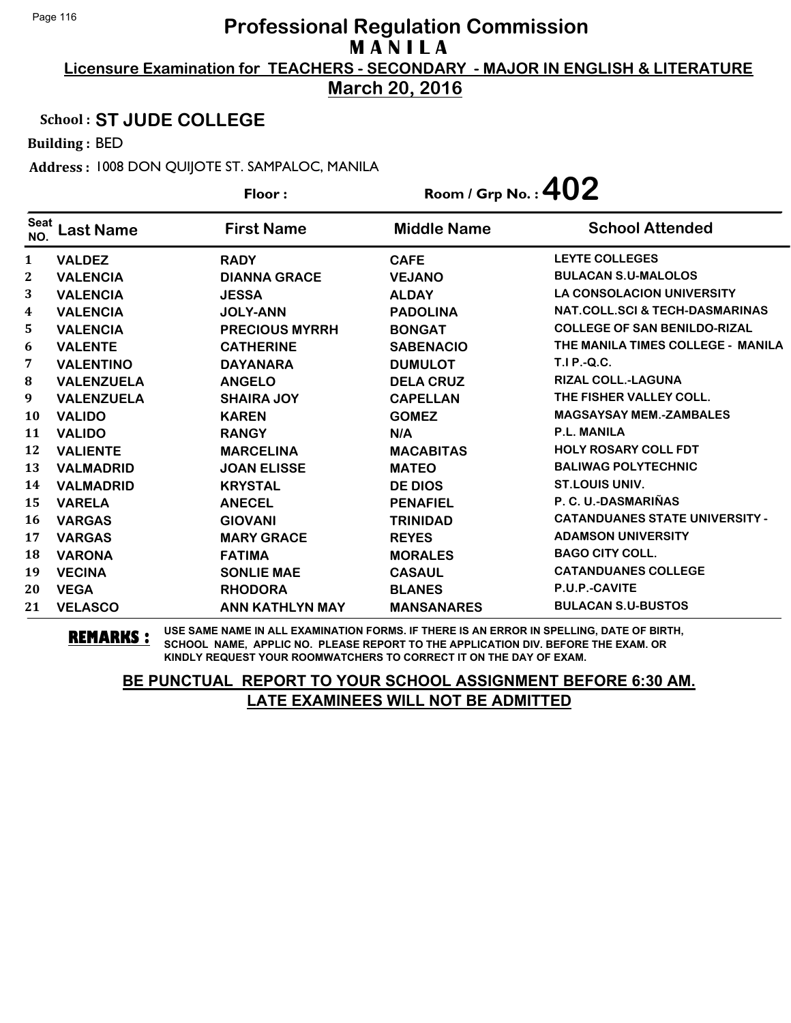**March 20, 2016**

### School : **ST JUDE COLLEGE**

Building : BED

Address : 1008 DON QUIJOTE ST. SAMPALOC, MANILA

| Floor:             |                   | Room / Grp No. : $402$ |                    |                                           |
|--------------------|-------------------|------------------------|--------------------|-------------------------------------------|
| <b>Seat</b><br>NO. | <b>Last Name</b>  | <b>First Name</b>      | <b>Middle Name</b> | <b>School Attended</b>                    |
| 1                  | <b>VALDEZ</b>     | <b>RADY</b>            | <b>CAFE</b>        | <b>LEYTE COLLEGES</b>                     |
| 2                  | <b>VALENCIA</b>   | <b>DIANNA GRACE</b>    | <b>VEJANO</b>      | <b>BULACAN S.U-MALOLOS</b>                |
| 3                  | <b>VALENCIA</b>   | <b>JESSA</b>           | <b>ALDAY</b>       | <b>LA CONSOLACION UNIVERSITY</b>          |
| 4                  | <b>VALENCIA</b>   | <b>JOLY-ANN</b>        | <b>PADOLINA</b>    | <b>NAT.COLL.SCI &amp; TECH-DASMARINAS</b> |
| 5                  | <b>VALENCIA</b>   | <b>PRECIOUS MYRRH</b>  | <b>BONGAT</b>      | <b>COLLEGE OF SAN BENILDO-RIZAL</b>       |
| 6                  | <b>VALENTE</b>    | <b>CATHERINE</b>       | <b>SABENACIO</b>   | THE MANILA TIMES COLLEGE - MANILA         |
| 7                  | <b>VALENTINO</b>  | <b>DAYANARA</b>        | <b>DUMULOT</b>     | T.I P.-Q.C.                               |
| 8                  | <b>VALENZUELA</b> | <b>ANGELO</b>          | <b>DELA CRUZ</b>   | <b>RIZAL COLL.-LAGUNA</b>                 |
| 9                  | <b>VALENZUELA</b> | <b>SHAIRA JOY</b>      | <b>CAPELLAN</b>    | THE FISHER VALLEY COLL.                   |
| 10                 | <b>VALIDO</b>     | <b>KAREN</b>           | <b>GOMEZ</b>       | <b>MAGSAYSAY MEM.-ZAMBALES</b>            |
| 11                 | <b>VALIDO</b>     | <b>RANGY</b>           | N/A                | <b>P.L. MANILA</b>                        |
| 12                 | <b>VALIENTE</b>   | <b>MARCELINA</b>       | <b>MACABITAS</b>   | <b>HOLY ROSARY COLL FDT</b>               |
| 13                 | <b>VALMADRID</b>  | <b>JOAN ELISSE</b>     | <b>MATEO</b>       | <b>BALIWAG POLYTECHNIC</b>                |
| 14                 | <b>VALMADRID</b>  | <b>KRYSTAL</b>         | <b>DE DIOS</b>     | <b>ST.LOUIS UNIV.</b>                     |
| 15                 | <b>VARELA</b>     | <b>ANECEL</b>          | <b>PENAFIEL</b>    | P. C. U.-DASMARIÑAS                       |
| 16                 | <b>VARGAS</b>     | <b>GIOVANI</b>         | <b>TRINIDAD</b>    | <b>CATANDUANES STATE UNIVERSITY -</b>     |
| 17                 | <b>VARGAS</b>     | <b>MARY GRACE</b>      | <b>REYES</b>       | <b>ADAMSON UNIVERSITY</b>                 |
| 18                 | <b>VARONA</b>     | <b>FATIMA</b>          | <b>MORALES</b>     | <b>BAGO CITY COLL.</b>                    |
| 19                 | <b>VECINA</b>     | <b>SONLIE MAE</b>      | <b>CASAUL</b>      | <b>CATANDUANES COLLEGE</b>                |
| 20                 | <b>VEGA</b>       | <b>RHODORA</b>         | <b>BLANES</b>      | P.U.P.-CAVITE                             |
| 21                 | <b>VELASCO</b>    | <b>ANN KATHLYN MAY</b> | <b>MANSANARES</b>  | <b>BULACAN S.U-BUSTOS</b>                 |

**REMARKS :** USE SAME NAME IN ALL EXAMINATION FORMS. IF THERE IS AN ERROR IN SPELLING, DATE OF BIRTH, SCHOOL NAME, APPLIC NO. PLEASE REPORT TO THE APPLICATION DIV. BEFORE THE EXAM. OR KINDLY REQUEST YOUR ROOMWATCHERS TO CORRECT IT ON THE DAY OF EXAM.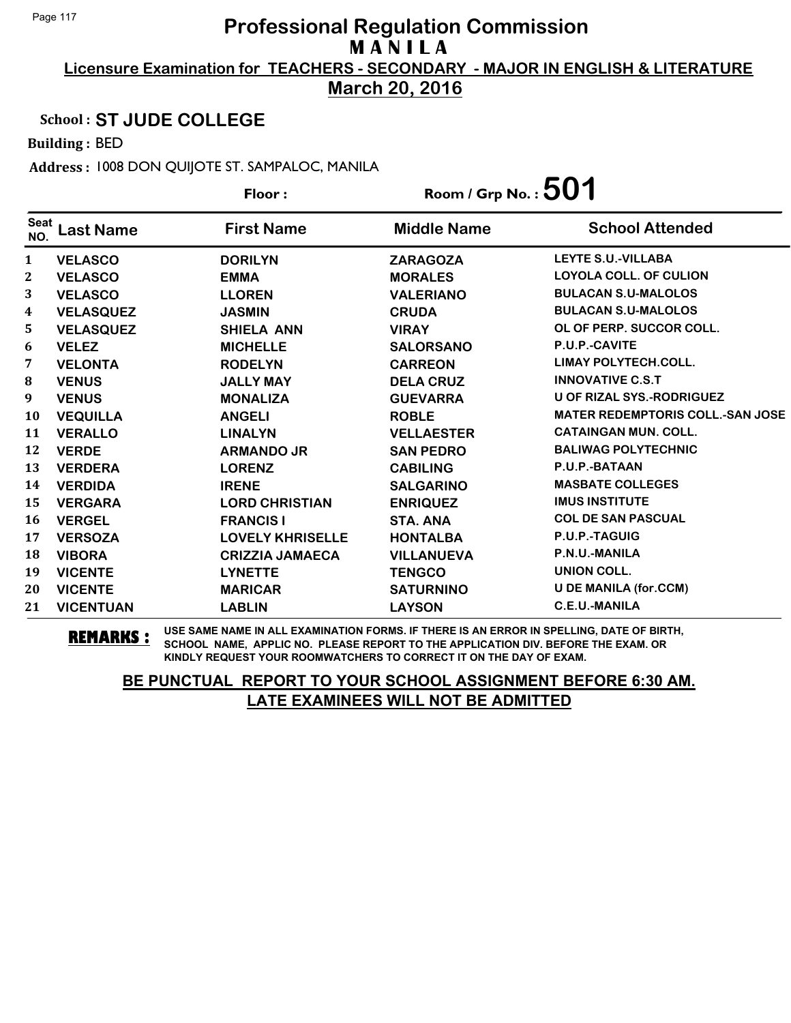**March 20, 2016**

Floor : Room / Grp No. :**501**

#### School : **ST JUDE COLLEGE**

Building : BED

Address : 1008 DON QUIJOTE ST. SAMPALOC, MANILA

| <b>Seat</b><br>NO. | _ast Name        | <b>First Name</b>       | <b>Middle Name</b> | <b>School Attended</b>                  |
|--------------------|------------------|-------------------------|--------------------|-----------------------------------------|
| 1                  | <b>VELASCO</b>   | <b>DORILYN</b>          | <b>ZARAGOZA</b>    | <b>LEYTE S.U.-VILLABA</b>               |
| $\boldsymbol{2}$   | <b>VELASCO</b>   | <b>EMMA</b>             | <b>MORALES</b>     | <b>LOYOLA COLL. OF CULION</b>           |
| 3                  | <b>VELASCO</b>   | <b>LLOREN</b>           | <b>VALERIANO</b>   | <b>BULACAN S.U-MALOLOS</b>              |
| 4                  | <b>VELASQUEZ</b> | <b>JASMIN</b>           | <b>CRUDA</b>       | <b>BULACAN S.U-MALOLOS</b>              |
| 5                  | <b>VELASQUEZ</b> | <b>SHIELA ANN</b>       | <b>VIRAY</b>       | OL OF PERP. SUCCOR COLL.                |
| 6                  | <b>VELEZ</b>     | <b>MICHELLE</b>         | <b>SALORSANO</b>   | P.U.P.-CAVITE                           |
| 7                  | <b>VELONTA</b>   | <b>RODELYN</b>          | <b>CARREON</b>     | <b>LIMAY POLYTECH.COLL.</b>             |
| 8                  | <b>VENUS</b>     | <b>JALLY MAY</b>        | <b>DELA CRUZ</b>   | <b>INNOVATIVE C.S.T</b>                 |
| 9                  | <b>VENUS</b>     | <b>MONALIZA</b>         | <b>GUEVARRA</b>    | <b>U OF RIZAL SYS.-RODRIGUEZ</b>        |
| 10                 | <b>VEQUILLA</b>  | <b>ANGELI</b>           | <b>ROBLE</b>       | <b>MATER REDEMPTORIS COLL.-SAN JOSE</b> |
| 11                 | <b>VERALLO</b>   | <b>LINALYN</b>          | <b>VELLAESTER</b>  | <b>CATAINGAN MUN. COLL.</b>             |
| 12                 | <b>VERDE</b>     | <b>ARMANDO JR</b>       | <b>SAN PEDRO</b>   | <b>BALIWAG POLYTECHNIC</b>              |
| 13                 | <b>VERDERA</b>   | <b>LORENZ</b>           | <b>CABILING</b>    | P.U.P.-BATAAN                           |
| 14                 | <b>VERDIDA</b>   | <b>IRENE</b>            | <b>SALGARINO</b>   | <b>MASBATE COLLEGES</b>                 |
| 15                 | <b>VERGARA</b>   | <b>LORD CHRISTIAN</b>   | <b>ENRIQUEZ</b>    | <b>IMUS INSTITUTE</b>                   |
| 16                 | <b>VERGEL</b>    | <b>FRANCIS I</b>        | STA. ANA           | <b>COL DE SAN PASCUAL</b>               |
| 17                 | <b>VERSOZA</b>   | <b>LOVELY KHRISELLE</b> | <b>HONTALBA</b>    | P.U.P.-TAGUIG                           |
| 18                 | <b>VIBORA</b>    | <b>CRIZZIA JAMAECA</b>  | <b>VILLANUEVA</b>  | P.N.U.-MANILA                           |
| 19                 | <b>VICENTE</b>   | <b>LYNETTE</b>          | <b>TENGCO</b>      | <b>UNION COLL.</b>                      |
| 20                 | <b>VICENTE</b>   | <b>MARICAR</b>          | <b>SATURNINO</b>   | <b>U DE MANILA (for.CCM)</b>            |
| 21                 | <b>VICENTUAN</b> | <b>LABLIN</b>           | <b>LAYSON</b>      | <b>C.E.U.-MANILA</b>                    |

**REMARKS :** USE SAME NAME IN ALL EXAMINATION FORMS. IF THERE IS AN ERROR IN SPELLING, DATE OF BIRTH, SCHOOL NAME, APPLIC NO. PLEASE REPORT TO THE APPLICATION DIV. BEFORE THE EXAM. OR KINDLY REQUEST YOUR ROOMWATCHERS TO CORRECT IT ON THE DAY OF EXAM.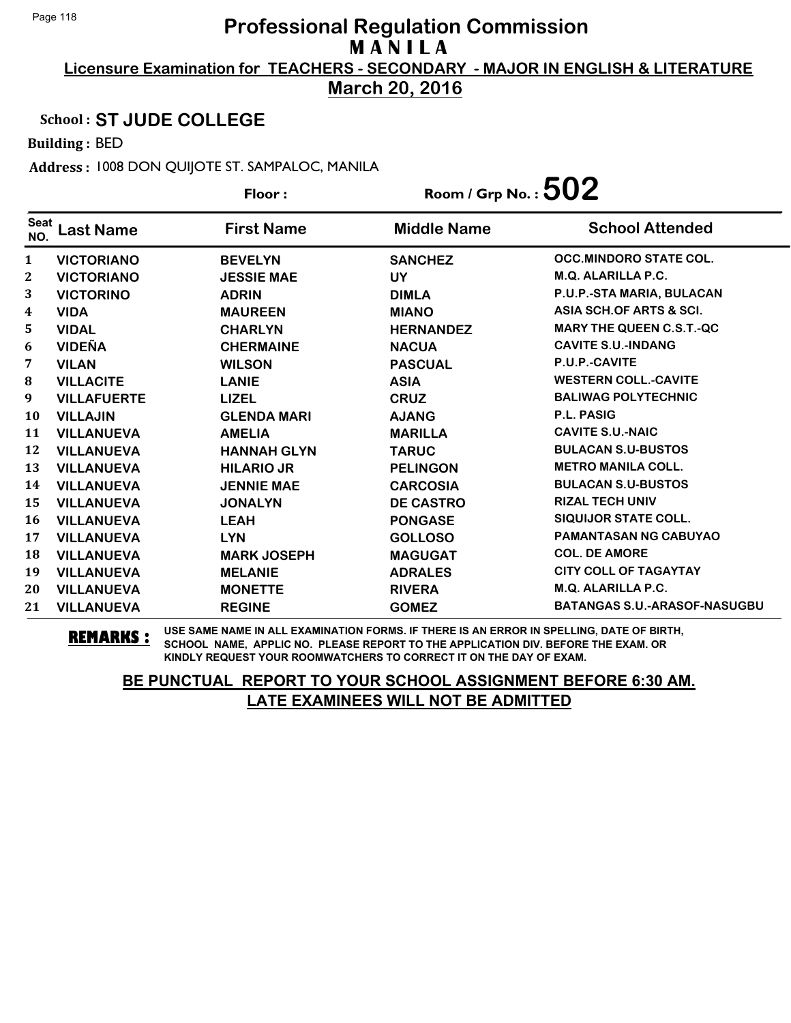**March 20, 2016**

Floor : Room / Grp No. :**502**

### School : **ST JUDE COLLEGE**

Building : BED

Address : 1008 DON QUIJOTE ST. SAMPALOC, MANILA

| <b>Seat</b>  | _ast Name          | <b>First Name</b>  | <b>Middle Name</b> | <b>School Attended</b>              |
|--------------|--------------------|--------------------|--------------------|-------------------------------------|
| NO.          |                    |                    |                    |                                     |
| $\mathbf{1}$ | <b>VICTORIANO</b>  | <b>BEVELYN</b>     | <b>SANCHEZ</b>     | <b>OCC.MINDORO STATE COL.</b>       |
| $\mathbf{2}$ | <b>VICTORIANO</b>  | <b>JESSIE MAE</b>  | <b>UY</b>          | <b>M.Q. ALARILLA P.C.</b>           |
| 3            | <b>VICTORINO</b>   | <b>ADRIN</b>       | <b>DIMLA</b>       | P.U.P.-STA MARIA, BULACAN           |
| 4            | <b>VIDA</b>        | <b>MAUREEN</b>     | <b>MIANO</b>       | ASIA SCH.OF ARTS & SCI.             |
| 5            | <b>VIDAL</b>       | <b>CHARLYN</b>     | <b>HERNANDEZ</b>   | <b>MARY THE QUEEN C.S.T.-QC</b>     |
| 6            | <b>VIDEÑA</b>      | <b>CHERMAINE</b>   | <b>NACUA</b>       | <b>CAVITE S.U.-INDANG</b>           |
| 7            | <b>VILAN</b>       | <b>WILSON</b>      | <b>PASCUAL</b>     | P.U.P.-CAVITE                       |
| 8            | <b>VILLACITE</b>   | <b>LANIE</b>       | <b>ASIA</b>        | <b>WESTERN COLL.-CAVITE</b>         |
| 9            | <b>VILLAFUERTE</b> | <b>LIZEL</b>       | <b>CRUZ</b>        | <b>BALIWAG POLYTECHNIC</b>          |
| 10           | <b>VILLAJIN</b>    | <b>GLENDA MARI</b> | <b>AJANG</b>       | <b>P.L. PASIG</b>                   |
| 11           | <b>VILLANUEVA</b>  | <b>AMELIA</b>      | <b>MARILLA</b>     | <b>CAVITE S.U.-NAIC</b>             |
| 12           | <b>VILLANUEVA</b>  | <b>HANNAH GLYN</b> | <b>TARUC</b>       | <b>BULACAN S.U-BUSTOS</b>           |
| 13           | <b>VILLANUEVA</b>  | <b>HILARIO JR</b>  | <b>PELINGON</b>    | <b>METRO MANILA COLL.</b>           |
| 14           | <b>VILLANUEVA</b>  | <b>JENNIE MAE</b>  | <b>CARCOSIA</b>    | <b>BULACAN S.U-BUSTOS</b>           |
| 15           | <b>VILLANUEVA</b>  | <b>JONALYN</b>     | <b>DE CASTRO</b>   | <b>RIZAL TECH UNIV</b>              |
| 16           | <b>VILLANUEVA</b>  | <b>LEAH</b>        | <b>PONGASE</b>     | <b>SIQUIJOR STATE COLL.</b>         |
| 17           | <b>VILLANUEVA</b>  | <b>LYN</b>         | <b>GOLLOSO</b>     | <b>PAMANTASAN NG CABUYAO</b>        |
| 18           | <b>VILLANUEVA</b>  | <b>MARK JOSEPH</b> | <b>MAGUGAT</b>     | <b>COL. DE AMORE</b>                |
| 19           | <b>VILLANUEVA</b>  | <b>MELANIE</b>     | <b>ADRALES</b>     | <b>CITY COLL OF TAGAYTAY</b>        |
| 20           | <b>VILLANUEVA</b>  | <b>MONETTE</b>     | <b>RIVERA</b>      | <b>M.Q. ALARILLA P.C.</b>           |
| 21           | <b>VILLANUEVA</b>  | <b>REGINE</b>      | <b>GOMEZ</b>       | <b>BATANGAS S.U.-ARASOF-NASUGBU</b> |

**REMARKS :** USE SAME NAME IN ALL EXAMINATION FORMS. IF THERE IS AN ERROR IN SPELLING, DATE OF BIRTH, SCHOOL NAME, APPLIC NO. PLEASE REPORT TO THE APPLICATION DIV. BEFORE THE EXAM. OR KINDLY REQUEST YOUR ROOMWATCHERS TO CORRECT IT ON THE DAY OF EXAM.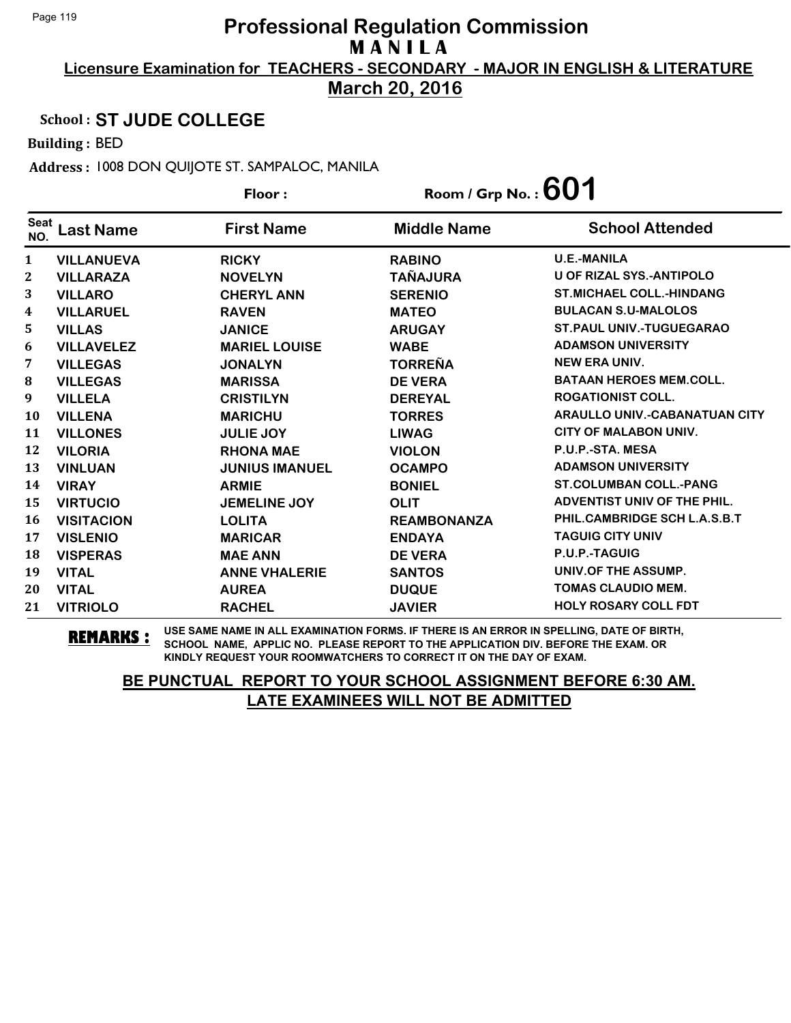**March 20, 2016**

#### School : **ST JUDE COLLEGE**

Building : BED

Address : 1008 DON QUIJOTE ST. SAMPALOC, MANILA

|                    |                   | Floor:                | Room / Grp No. : $601$ |                                      |
|--------------------|-------------------|-----------------------|------------------------|--------------------------------------|
| <b>Seat</b><br>NO. | <b>Last Name</b>  | <b>First Name</b>     | <b>Middle Name</b>     | <b>School Attended</b>               |
| 1                  | <b>VILLANUEVA</b> | <b>RICKY</b>          | <b>RABINO</b>          | <b>U.E.-MANILA</b>                   |
| 2                  | <b>VILLARAZA</b>  | <b>NOVELYN</b>        | <b>TAÑAJURA</b>        | U OF RIZAL SYS.-ANTIPOLO             |
| 3                  | <b>VILLARO</b>    | <b>CHERYL ANN</b>     | <b>SERENIO</b>         | <b>ST.MICHAEL COLL.-HINDANG</b>      |
| 4                  | <b>VILLARUEL</b>  | <b>RAVEN</b>          | <b>MATEO</b>           | <b>BULACAN S.U-MALOLOS</b>           |
| 5                  | <b>VILLAS</b>     | <b>JANICE</b>         | <b>ARUGAY</b>          | <b>ST. PAUL UNIV.-TUGUEGARAO</b>     |
| 6                  | <b>VILLAVELEZ</b> | <b>MARIEL LOUISE</b>  | <b>WABE</b>            | <b>ADAMSON UNIVERSITY</b>            |
| 7                  | <b>VILLEGAS</b>   | <b>JONALYN</b>        | <b>TORREÑA</b>         | <b>NEW ERA UNIV.</b>                 |
| 8                  | <b>VILLEGAS</b>   | <b>MARISSA</b>        | <b>DE VERA</b>         | <b>BATAAN HEROES MEM.COLL.</b>       |
| 9                  | <b>VILLELA</b>    | <b>CRISTILYN</b>      | <b>DEREYAL</b>         | <b>ROGATIONIST COLL.</b>             |
| 10                 | <b>VILLENA</b>    | <b>MARICHU</b>        | <b>TORRES</b>          | <b>ARAULLO UNIV.-CABANATUAN CITY</b> |
| 11                 | <b>VILLONES</b>   | <b>JULIE JOY</b>      | <b>LIWAG</b>           | <b>CITY OF MALABON UNIV.</b>         |
| 12                 | <b>VILORIA</b>    | <b>RHONA MAE</b>      | <b>VIOLON</b>          | P.U.P.-STA. MESA                     |
| 13                 | <b>VINLUAN</b>    | <b>JUNIUS IMANUEL</b> | <b>OCAMPO</b>          | <b>ADAMSON UNIVERSITY</b>            |
| 14                 | <b>VIRAY</b>      | <b>ARMIE</b>          | <b>BONIEL</b>          | <b>ST.COLUMBAN COLL.-PANG</b>        |
| 15                 | <b>VIRTUCIO</b>   | <b>JEMELINE JOY</b>   | <b>OLIT</b>            | ADVENTIST UNIV OF THE PHIL.          |
| 16                 | <b>VISITACION</b> | <b>LOLITA</b>         | <b>REAMBONANZA</b>     | PHIL.CAMBRIDGE SCH L.A.S.B.T         |
| 17                 | <b>VISLENIO</b>   | <b>MARICAR</b>        | <b>ENDAYA</b>          | <b>TAGUIG CITY UNIV</b>              |
| 18                 | <b>VISPERAS</b>   | <b>MAE ANN</b>        | <b>DE VERA</b>         | P.U.P.-TAGUIG                        |
| 19                 | <b>VITAL</b>      | <b>ANNE VHALERIE</b>  | <b>SANTOS</b>          | UNIV.OF THE ASSUMP.                  |
| 20                 | <b>VITAL</b>      | <b>AUREA</b>          | <b>DUQUE</b>           | <b>TOMAS CLAUDIO MEM.</b>            |
| 21                 | <b>VITRIOLO</b>   | <b>RACHEL</b>         | <b>JAVIER</b>          | <b>HOLY ROSARY COLL FDT</b>          |

**REMARKS :** USE SAME NAME IN ALL EXAMINATION FORMS. IF THERE IS AN ERROR IN SPELLING, DATE OF BIRTH, SCHOOL NAME, APPLIC NO. PLEASE REPORT TO THE APPLICATION DIV. BEFORE THE EXAM. OR KINDLY REQUEST YOUR ROOMWATCHERS TO CORRECT IT ON THE DAY OF EXAM.